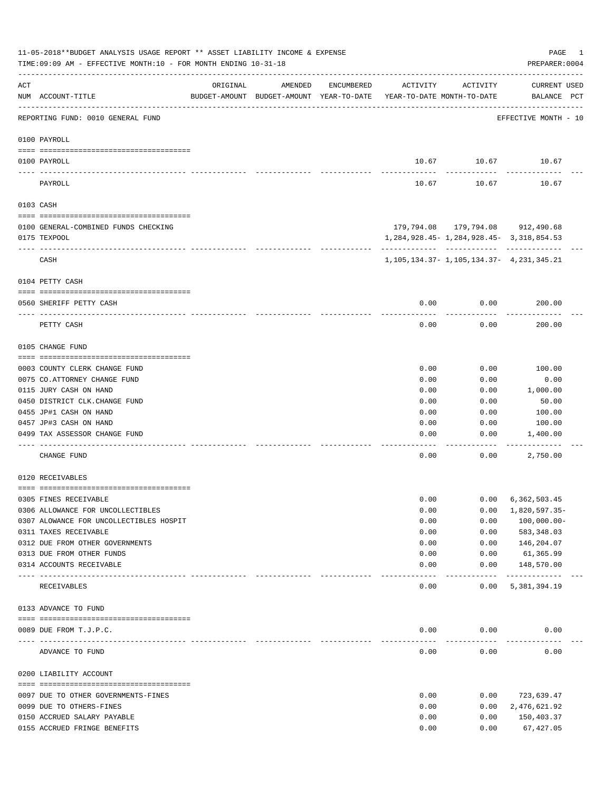|          | 11-05-2018**BUDGET ANALYSIS USAGE REPORT ** ASSET LIABILITY INCOME & EXPENSE<br>TIME: 09:09 AM - EFFECTIVE MONTH: 10 - FOR MONTH ENDING 10-31-18 |                                  |                                                                                |            |          |                                                     | PAGE<br>1<br>PREPARER: 0004        |
|----------|--------------------------------------------------------------------------------------------------------------------------------------------------|----------------------------------|--------------------------------------------------------------------------------|------------|----------|-----------------------------------------------------|------------------------------------|
| ACT      | NUM ACCOUNT-TITLE                                                                                                                                | ORIGINAL                         | AMENDED<br>BUDGET-AMOUNT BUDGET-AMOUNT YEAR-TO-DATE YEAR-TO-DATE MONTH-TO-DATE | ENCUMBERED | ACTIVITY | ACTIVITY                                            | <b>CURRENT USED</b><br>BALANCE PCT |
|          | REPORTING FUND: 0010 GENERAL FUND                                                                                                                |                                  |                                                                                |            |          |                                                     | EFFECTIVE MONTH - 10               |
|          | 0100 PAYROLL                                                                                                                                     |                                  |                                                                                |            |          |                                                     |                                    |
|          | 0100 PAYROLL                                                                                                                                     |                                  |                                                                                |            |          | 10.67 10.67 10.67                                   |                                    |
| ---- --- | PAYROLL                                                                                                                                          |                                  |                                                                                |            | 10.67    | 10.67                                               | 10.67                              |
|          | 0103 CASH                                                                                                                                        |                                  |                                                                                |            |          |                                                     |                                    |
|          | 0100 GENERAL-COMBINED FUNDS CHECKING                                                                                                             |                                  |                                                                                |            |          | 179,794.08 179,794.08 912,490.68                    |                                    |
|          | 0175 TEXPOOL                                                                                                                                     |                                  |                                                                                |            |          | 1, 284, 928. 45 - 1, 284, 928. 45 - 3, 318, 854. 53 |                                    |
|          | CASH                                                                                                                                             |                                  |                                                                                |            |          | 1, 105, 134. 37 - 1, 105, 134. 37 - 4, 231, 345. 21 |                                    |
|          | 0104 PETTY CASH                                                                                                                                  |                                  |                                                                                |            |          |                                                     |                                    |
|          |                                                                                                                                                  |                                  |                                                                                |            |          |                                                     |                                    |
|          | 0560 SHERIFF PETTY CASH                                                                                                                          |                                  |                                                                                |            | 0.00     | 0.00                                                | 200.00                             |
|          | PETTY CASH                                                                                                                                       |                                  |                                                                                |            | 0.00     | 0.00                                                | 200.00                             |
|          | 0105 CHANGE FUND                                                                                                                                 |                                  |                                                                                |            |          |                                                     |                                    |
|          | 0003 COUNTY CLERK CHANGE FUND                                                                                                                    |                                  |                                                                                |            | 0.00     | 0.00                                                | 100.00                             |
|          | 0075 CO.ATTORNEY CHANGE FUND                                                                                                                     |                                  |                                                                                |            | 0.00     | 0.00                                                | 0.00                               |
|          | 0115 JURY CASH ON HAND                                                                                                                           |                                  |                                                                                |            | 0.00     | 0.00                                                | 1,000.00                           |
|          | 0450 DISTRICT CLK. CHANGE FUND                                                                                                                   |                                  |                                                                                |            | 0.00     | 0.00                                                | 50.00                              |
|          | 0455 JP#1 CASH ON HAND                                                                                                                           |                                  |                                                                                |            | 0.00     | 0.00                                                | 100.00                             |
|          | 0457 JP#3 CASH ON HAND                                                                                                                           |                                  |                                                                                |            | 0.00     | 0.00                                                | 100.00                             |
|          | 0499 TAX ASSESSOR CHANGE FUND                                                                                                                    |                                  |                                                                                |            | 0.00     | 0.00                                                | 1,400.00                           |
|          | CHANGE FUND                                                                                                                                      |                                  |                                                                                |            | 0.00     | 0.00                                                | 2,750.00                           |
|          | 0120 RECEIVABLES                                                                                                                                 |                                  |                                                                                |            |          |                                                     |                                    |
|          | 0305 FINES RECEIVABLE                                                                                                                            |                                  |                                                                                |            | 0.00     | 0.00                                                | 6,362,503.45                       |
|          | 0306 ALLOWANCE FOR UNCOLLECTIBLES                                                                                                                |                                  |                                                                                |            | 0.00     | 0.00                                                | 1,820,597.35-                      |
|          | 0307 ALOWANCE FOR UNCOLLECTIBLES HOSPIT                                                                                                          |                                  |                                                                                |            | 0.00     | 0.00                                                | $100,000.00-$                      |
|          | 0311 TAXES RECEIVABLE                                                                                                                            |                                  |                                                                                |            | 0.00     | 0.00                                                | 583,348.03                         |
|          | 0312 DUE FROM OTHER GOVERNMENTS                                                                                                                  |                                  |                                                                                |            | 0.00     | 0.00                                                | 146,204.07                         |
|          | 0313 DUE FROM OTHER FUNDS                                                                                                                        |                                  |                                                                                |            | 0.00     | 0.00                                                | 61,365.99                          |
|          | 0314 ACCOUNTS RECEIVABLE                                                                                                                         | ________________________________ |                                                                                |            | 0.00     | 0.00<br>$- - - - -$                                 | 148,570.00<br>-------------        |
|          | RECEIVABLES                                                                                                                                      |                                  |                                                                                |            | 0.00     | 0.00                                                | 5,381,394.19                       |
|          | 0133 ADVANCE TO FUND                                                                                                                             |                                  |                                                                                |            |          |                                                     |                                    |
|          | 0089 DUE FROM T.J.P.C.                                                                                                                           |                                  |                                                                                |            | 0.00     | 0.00                                                | 0.00                               |
|          | -------------------- -----------<br>ADVANCE TO FUND                                                                                              |                                  |                                                                                |            | 0.00     | 0.00                                                | 0.00                               |
|          | 0200 LIABILITY ACCOUNT                                                                                                                           |                                  |                                                                                |            |          |                                                     |                                    |
|          | 0097 DUE TO OTHER GOVERNMENTS-FINES                                                                                                              |                                  |                                                                                |            | 0.00     | 0.00                                                | 723,639.47                         |
|          | 0099 DUE TO OTHERS-FINES                                                                                                                         |                                  |                                                                                |            | 0.00     | 0.00                                                | 2,476,621.92                       |
|          | 0150 ACCRUED SALARY PAYABLE                                                                                                                      |                                  |                                                                                |            | 0.00     | 0.00                                                | 150,403.37                         |
|          | 0155 ACCRUED FRINGE BENEFITS                                                                                                                     |                                  |                                                                                |            | 0.00     | 0.00                                                | 67,427.05                          |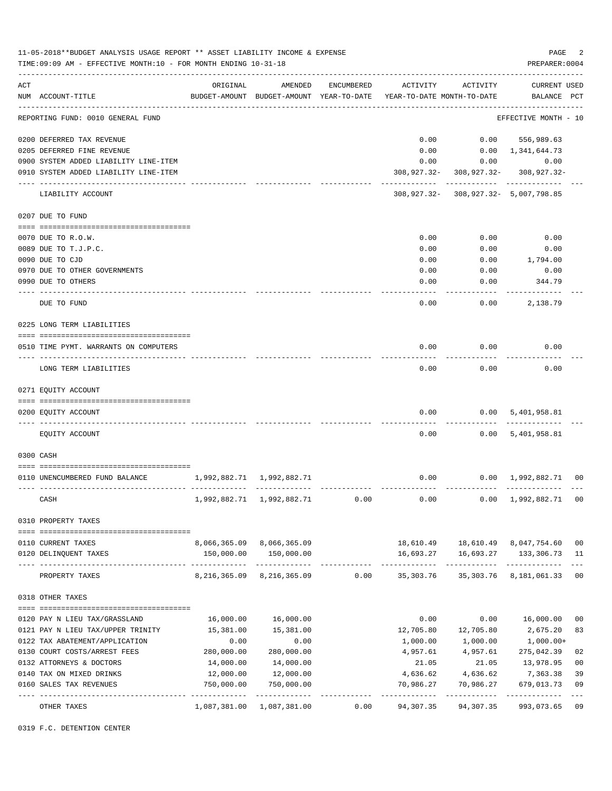| ACT<br>AMENDED<br>ACTIVITY<br>ACTIVITY<br><b>CURRENT USED</b><br>ORIGINAL<br>ENCUMBERED<br>NUM ACCOUNT-TITLE<br>BUDGET-AMOUNT BUDGET-AMOUNT YEAR-TO-DATE YEAR-TO-DATE MONTH-TO-DATE<br>BALANCE PCT<br>REPORTING FUND: 0010 GENERAL FUND<br>EFFECTIVE MONTH - 10<br>0200 DEFERRED TAX REVENUE<br>0.00<br>$0.00$ 556,989.63<br>$0.00 \quad 1,341,644.73$<br>0205 DEFERRED FINE REVENUE<br>0.00<br>0.00<br>0900 SYSTEM ADDED LIABILITY LINE-ITEM<br>0.00<br>0.00<br>308, 927. 32 - 308, 927. 32 -<br>0910 SYSTEM ADDED LIABILITY LINE-ITEM<br>308,927.32-<br>308,927.32- 308,927.32- 5,007,798.85<br>LIABILITY ACCOUNT<br>0207 DUE TO FUND<br>0.00<br>0.00<br>0.00<br>0070 DUE TO R.O.W.<br>0.00<br>0.00<br>0089 DUE TO T.J.P.C.<br>0.00<br>0090 DUE TO CJD<br>0.00<br>0.00<br>1,794.00<br>0970 DUE TO OTHER GOVERNMENTS<br>0.00<br>0.00<br>0.00<br>344.79<br>0990 DUE TO OTHERS<br>0.00<br>0.00<br>0.00<br>0.00<br>2,138.79<br>DUE TO FUND<br>0225 LONG TERM LIABILITIES<br>0.00<br>0.00<br>0.00<br>0510 TIME PYMT. WARRANTS ON COMPUTERS<br>LONG TERM LIABILITIES<br>0.00<br>0.00<br>0.00<br>0271 EQUITY ACCOUNT<br>0.00<br>0200 EQUITY ACCOUNT<br>0.00 5,401,958.81<br>--------<br>0.00<br>EQUITY ACCOUNT<br>0.00 5,401,958.81<br>0300 CASH<br>0.00<br>1,992,882.71 1,992,882.71<br>$0.00 \quad 1,992,882.71 \quad 00$<br>0110 UNENCUMBERED FUND BALANCE<br>1,992,882.71 1,992,882.71<br>0.00<br>0.00 1,992,882.71 00<br>CASH<br>0.00<br>0310 PROPERTY TAXES<br>8,066,365.09 8,066,365.09<br>18,610.49    18,610.49    8,047,754.60<br>0110 CURRENT TAXES<br>150,000.00 150,000.00<br>16,693.27   16,693.27   133,306.73<br>0120 DELINQUENT TAXES<br>. <u>.</u> .<br>-----------<br>PROPERTY TAXES<br>8,216,365.09 8,216,365.09   0.00   35,303.76   35,303.76   8,181,061.33<br>0318 OTHER TAXES<br>0.00<br>16,000.00<br>0 <sub>0</sub><br>16,000.00<br>16,000.00<br>0.00<br>0120 PAY N LIEU TAX/GRASSLAND<br>15,381.00<br>12,705.80<br>12,705.80<br>2,675.20<br>83<br>0121 PAY N LIEU TAX/UPPER TRINITY<br>15,381.00<br>0122 TAX ABATEMENT/APPLICATION<br>0.00<br>0.00<br>1,000.00<br>1,000.00<br>1,000.00+<br>02<br>0130 COURT COSTS/ARREST FEES<br>280,000.00<br>280,000.00<br>4,957.61<br>4,957.61<br>275,042.39<br>14,000.00<br>0 <sub>0</sub><br>0132 ATTORNEYS & DOCTORS<br>14,000.00<br>21.05<br>21.05<br>13,978.95<br>39<br>12,000.00<br>12,000.00<br>4,636.62<br>7,363.38<br>0140 TAX ON MIXED DRINKS<br>4,636.62<br>750,000.00<br>0160 SALES TAX REVENUES<br>750,000.00<br>70,986.27<br>70,986.27<br>679,013.73<br>0.00<br>94,307.35<br>94,307.35<br>993,073.65<br>OTHER TAXES<br>1,087,381.00 1,087,381.00 | 11-05-2018**BUDGET ANALYSIS USAGE REPORT ** ASSET LIABILITY INCOME & EXPENSE<br>TIME: 09:09 AM - EFFECTIVE MONTH: 10 - FOR MONTH ENDING 10-31-18 |  |  | PAGE<br>PREPARER: 0004 | 2              |
|-------------------------------------------------------------------------------------------------------------------------------------------------------------------------------------------------------------------------------------------------------------------------------------------------------------------------------------------------------------------------------------------------------------------------------------------------------------------------------------------------------------------------------------------------------------------------------------------------------------------------------------------------------------------------------------------------------------------------------------------------------------------------------------------------------------------------------------------------------------------------------------------------------------------------------------------------------------------------------------------------------------------------------------------------------------------------------------------------------------------------------------------------------------------------------------------------------------------------------------------------------------------------------------------------------------------------------------------------------------------------------------------------------------------------------------------------------------------------------------------------------------------------------------------------------------------------------------------------------------------------------------------------------------------------------------------------------------------------------------------------------------------------------------------------------------------------------------------------------------------------------------------------------------------------------------------------------------------------------------------------------------------------------------------------------------------------------------------------------------------------------------------------------------------------------------------------------------------------------------------------------------------------------------------------------------------------------------------------------------------------------------------------------------------------------------------------------------------------------------------------------------------------------------------------------------------------------------------------------------------------|--------------------------------------------------------------------------------------------------------------------------------------------------|--|--|------------------------|----------------|
|                                                                                                                                                                                                                                                                                                                                                                                                                                                                                                                                                                                                                                                                                                                                                                                                                                                                                                                                                                                                                                                                                                                                                                                                                                                                                                                                                                                                                                                                                                                                                                                                                                                                                                                                                                                                                                                                                                                                                                                                                                                                                                                                                                                                                                                                                                                                                                                                                                                                                                                                                                                                                         |                                                                                                                                                  |  |  |                        |                |
|                                                                                                                                                                                                                                                                                                                                                                                                                                                                                                                                                                                                                                                                                                                                                                                                                                                                                                                                                                                                                                                                                                                                                                                                                                                                                                                                                                                                                                                                                                                                                                                                                                                                                                                                                                                                                                                                                                                                                                                                                                                                                                                                                                                                                                                                                                                                                                                                                                                                                                                                                                                                                         |                                                                                                                                                  |  |  |                        |                |
|                                                                                                                                                                                                                                                                                                                                                                                                                                                                                                                                                                                                                                                                                                                                                                                                                                                                                                                                                                                                                                                                                                                                                                                                                                                                                                                                                                                                                                                                                                                                                                                                                                                                                                                                                                                                                                                                                                                                                                                                                                                                                                                                                                                                                                                                                                                                                                                                                                                                                                                                                                                                                         |                                                                                                                                                  |  |  |                        |                |
|                                                                                                                                                                                                                                                                                                                                                                                                                                                                                                                                                                                                                                                                                                                                                                                                                                                                                                                                                                                                                                                                                                                                                                                                                                                                                                                                                                                                                                                                                                                                                                                                                                                                                                                                                                                                                                                                                                                                                                                                                                                                                                                                                                                                                                                                                                                                                                                                                                                                                                                                                                                                                         |                                                                                                                                                  |  |  |                        |                |
|                                                                                                                                                                                                                                                                                                                                                                                                                                                                                                                                                                                                                                                                                                                                                                                                                                                                                                                                                                                                                                                                                                                                                                                                                                                                                                                                                                                                                                                                                                                                                                                                                                                                                                                                                                                                                                                                                                                                                                                                                                                                                                                                                                                                                                                                                                                                                                                                                                                                                                                                                                                                                         |                                                                                                                                                  |  |  |                        |                |
|                                                                                                                                                                                                                                                                                                                                                                                                                                                                                                                                                                                                                                                                                                                                                                                                                                                                                                                                                                                                                                                                                                                                                                                                                                                                                                                                                                                                                                                                                                                                                                                                                                                                                                                                                                                                                                                                                                                                                                                                                                                                                                                                                                                                                                                                                                                                                                                                                                                                                                                                                                                                                         |                                                                                                                                                  |  |  |                        |                |
|                                                                                                                                                                                                                                                                                                                                                                                                                                                                                                                                                                                                                                                                                                                                                                                                                                                                                                                                                                                                                                                                                                                                                                                                                                                                                                                                                                                                                                                                                                                                                                                                                                                                                                                                                                                                                                                                                                                                                                                                                                                                                                                                                                                                                                                                                                                                                                                                                                                                                                                                                                                                                         |                                                                                                                                                  |  |  |                        |                |
|                                                                                                                                                                                                                                                                                                                                                                                                                                                                                                                                                                                                                                                                                                                                                                                                                                                                                                                                                                                                                                                                                                                                                                                                                                                                                                                                                                                                                                                                                                                                                                                                                                                                                                                                                                                                                                                                                                                                                                                                                                                                                                                                                                                                                                                                                                                                                                                                                                                                                                                                                                                                                         |                                                                                                                                                  |  |  |                        |                |
|                                                                                                                                                                                                                                                                                                                                                                                                                                                                                                                                                                                                                                                                                                                                                                                                                                                                                                                                                                                                                                                                                                                                                                                                                                                                                                                                                                                                                                                                                                                                                                                                                                                                                                                                                                                                                                                                                                                                                                                                                                                                                                                                                                                                                                                                                                                                                                                                                                                                                                                                                                                                                         |                                                                                                                                                  |  |  |                        |                |
|                                                                                                                                                                                                                                                                                                                                                                                                                                                                                                                                                                                                                                                                                                                                                                                                                                                                                                                                                                                                                                                                                                                                                                                                                                                                                                                                                                                                                                                                                                                                                                                                                                                                                                                                                                                                                                                                                                                                                                                                                                                                                                                                                                                                                                                                                                                                                                                                                                                                                                                                                                                                                         |                                                                                                                                                  |  |  |                        |                |
|                                                                                                                                                                                                                                                                                                                                                                                                                                                                                                                                                                                                                                                                                                                                                                                                                                                                                                                                                                                                                                                                                                                                                                                                                                                                                                                                                                                                                                                                                                                                                                                                                                                                                                                                                                                                                                                                                                                                                                                                                                                                                                                                                                                                                                                                                                                                                                                                                                                                                                                                                                                                                         |                                                                                                                                                  |  |  |                        |                |
|                                                                                                                                                                                                                                                                                                                                                                                                                                                                                                                                                                                                                                                                                                                                                                                                                                                                                                                                                                                                                                                                                                                                                                                                                                                                                                                                                                                                                                                                                                                                                                                                                                                                                                                                                                                                                                                                                                                                                                                                                                                                                                                                                                                                                                                                                                                                                                                                                                                                                                                                                                                                                         |                                                                                                                                                  |  |  |                        |                |
|                                                                                                                                                                                                                                                                                                                                                                                                                                                                                                                                                                                                                                                                                                                                                                                                                                                                                                                                                                                                                                                                                                                                                                                                                                                                                                                                                                                                                                                                                                                                                                                                                                                                                                                                                                                                                                                                                                                                                                                                                                                                                                                                                                                                                                                                                                                                                                                                                                                                                                                                                                                                                         |                                                                                                                                                  |  |  |                        |                |
|                                                                                                                                                                                                                                                                                                                                                                                                                                                                                                                                                                                                                                                                                                                                                                                                                                                                                                                                                                                                                                                                                                                                                                                                                                                                                                                                                                                                                                                                                                                                                                                                                                                                                                                                                                                                                                                                                                                                                                                                                                                                                                                                                                                                                                                                                                                                                                                                                                                                                                                                                                                                                         |                                                                                                                                                  |  |  |                        |                |
|                                                                                                                                                                                                                                                                                                                                                                                                                                                                                                                                                                                                                                                                                                                                                                                                                                                                                                                                                                                                                                                                                                                                                                                                                                                                                                                                                                                                                                                                                                                                                                                                                                                                                                                                                                                                                                                                                                                                                                                                                                                                                                                                                                                                                                                                                                                                                                                                                                                                                                                                                                                                                         |                                                                                                                                                  |  |  |                        |                |
|                                                                                                                                                                                                                                                                                                                                                                                                                                                                                                                                                                                                                                                                                                                                                                                                                                                                                                                                                                                                                                                                                                                                                                                                                                                                                                                                                                                                                                                                                                                                                                                                                                                                                                                                                                                                                                                                                                                                                                                                                                                                                                                                                                                                                                                                                                                                                                                                                                                                                                                                                                                                                         |                                                                                                                                                  |  |  |                        |                |
|                                                                                                                                                                                                                                                                                                                                                                                                                                                                                                                                                                                                                                                                                                                                                                                                                                                                                                                                                                                                                                                                                                                                                                                                                                                                                                                                                                                                                                                                                                                                                                                                                                                                                                                                                                                                                                                                                                                                                                                                                                                                                                                                                                                                                                                                                                                                                                                                                                                                                                                                                                                                                         |                                                                                                                                                  |  |  |                        |                |
|                                                                                                                                                                                                                                                                                                                                                                                                                                                                                                                                                                                                                                                                                                                                                                                                                                                                                                                                                                                                                                                                                                                                                                                                                                                                                                                                                                                                                                                                                                                                                                                                                                                                                                                                                                                                                                                                                                                                                                                                                                                                                                                                                                                                                                                                                                                                                                                                                                                                                                                                                                                                                         |                                                                                                                                                  |  |  |                        |                |
|                                                                                                                                                                                                                                                                                                                                                                                                                                                                                                                                                                                                                                                                                                                                                                                                                                                                                                                                                                                                                                                                                                                                                                                                                                                                                                                                                                                                                                                                                                                                                                                                                                                                                                                                                                                                                                                                                                                                                                                                                                                                                                                                                                                                                                                                                                                                                                                                                                                                                                                                                                                                                         |                                                                                                                                                  |  |  |                        |                |
|                                                                                                                                                                                                                                                                                                                                                                                                                                                                                                                                                                                                                                                                                                                                                                                                                                                                                                                                                                                                                                                                                                                                                                                                                                                                                                                                                                                                                                                                                                                                                                                                                                                                                                                                                                                                                                                                                                                                                                                                                                                                                                                                                                                                                                                                                                                                                                                                                                                                                                                                                                                                                         |                                                                                                                                                  |  |  |                        |                |
|                                                                                                                                                                                                                                                                                                                                                                                                                                                                                                                                                                                                                                                                                                                                                                                                                                                                                                                                                                                                                                                                                                                                                                                                                                                                                                                                                                                                                                                                                                                                                                                                                                                                                                                                                                                                                                                                                                                                                                                                                                                                                                                                                                                                                                                                                                                                                                                                                                                                                                                                                                                                                         |                                                                                                                                                  |  |  |                        |                |
|                                                                                                                                                                                                                                                                                                                                                                                                                                                                                                                                                                                                                                                                                                                                                                                                                                                                                                                                                                                                                                                                                                                                                                                                                                                                                                                                                                                                                                                                                                                                                                                                                                                                                                                                                                                                                                                                                                                                                                                                                                                                                                                                                                                                                                                                                                                                                                                                                                                                                                                                                                                                                         |                                                                                                                                                  |  |  |                        |                |
|                                                                                                                                                                                                                                                                                                                                                                                                                                                                                                                                                                                                                                                                                                                                                                                                                                                                                                                                                                                                                                                                                                                                                                                                                                                                                                                                                                                                                                                                                                                                                                                                                                                                                                                                                                                                                                                                                                                                                                                                                                                                                                                                                                                                                                                                                                                                                                                                                                                                                                                                                                                                                         |                                                                                                                                                  |  |  |                        |                |
|                                                                                                                                                                                                                                                                                                                                                                                                                                                                                                                                                                                                                                                                                                                                                                                                                                                                                                                                                                                                                                                                                                                                                                                                                                                                                                                                                                                                                                                                                                                                                                                                                                                                                                                                                                                                                                                                                                                                                                                                                                                                                                                                                                                                                                                                                                                                                                                                                                                                                                                                                                                                                         |                                                                                                                                                  |  |  |                        |                |
|                                                                                                                                                                                                                                                                                                                                                                                                                                                                                                                                                                                                                                                                                                                                                                                                                                                                                                                                                                                                                                                                                                                                                                                                                                                                                                                                                                                                                                                                                                                                                                                                                                                                                                                                                                                                                                                                                                                                                                                                                                                                                                                                                                                                                                                                                                                                                                                                                                                                                                                                                                                                                         |                                                                                                                                                  |  |  |                        |                |
|                                                                                                                                                                                                                                                                                                                                                                                                                                                                                                                                                                                                                                                                                                                                                                                                                                                                                                                                                                                                                                                                                                                                                                                                                                                                                                                                                                                                                                                                                                                                                                                                                                                                                                                                                                                                                                                                                                                                                                                                                                                                                                                                                                                                                                                                                                                                                                                                                                                                                                                                                                                                                         |                                                                                                                                                  |  |  |                        |                |
|                                                                                                                                                                                                                                                                                                                                                                                                                                                                                                                                                                                                                                                                                                                                                                                                                                                                                                                                                                                                                                                                                                                                                                                                                                                                                                                                                                                                                                                                                                                                                                                                                                                                                                                                                                                                                                                                                                                                                                                                                                                                                                                                                                                                                                                                                                                                                                                                                                                                                                                                                                                                                         |                                                                                                                                                  |  |  |                        | 0 <sub>0</sub> |
|                                                                                                                                                                                                                                                                                                                                                                                                                                                                                                                                                                                                                                                                                                                                                                                                                                                                                                                                                                                                                                                                                                                                                                                                                                                                                                                                                                                                                                                                                                                                                                                                                                                                                                                                                                                                                                                                                                                                                                                                                                                                                                                                                                                                                                                                                                                                                                                                                                                                                                                                                                                                                         |                                                                                                                                                  |  |  |                        | 11             |
|                                                                                                                                                                                                                                                                                                                                                                                                                                                                                                                                                                                                                                                                                                                                                                                                                                                                                                                                                                                                                                                                                                                                                                                                                                                                                                                                                                                                                                                                                                                                                                                                                                                                                                                                                                                                                                                                                                                                                                                                                                                                                                                                                                                                                                                                                                                                                                                                                                                                                                                                                                                                                         |                                                                                                                                                  |  |  |                        | 0 <sub>0</sub> |
|                                                                                                                                                                                                                                                                                                                                                                                                                                                                                                                                                                                                                                                                                                                                                                                                                                                                                                                                                                                                                                                                                                                                                                                                                                                                                                                                                                                                                                                                                                                                                                                                                                                                                                                                                                                                                                                                                                                                                                                                                                                                                                                                                                                                                                                                                                                                                                                                                                                                                                                                                                                                                         |                                                                                                                                                  |  |  |                        |                |
|                                                                                                                                                                                                                                                                                                                                                                                                                                                                                                                                                                                                                                                                                                                                                                                                                                                                                                                                                                                                                                                                                                                                                                                                                                                                                                                                                                                                                                                                                                                                                                                                                                                                                                                                                                                                                                                                                                                                                                                                                                                                                                                                                                                                                                                                                                                                                                                                                                                                                                                                                                                                                         |                                                                                                                                                  |  |  |                        |                |
|                                                                                                                                                                                                                                                                                                                                                                                                                                                                                                                                                                                                                                                                                                                                                                                                                                                                                                                                                                                                                                                                                                                                                                                                                                                                                                                                                                                                                                                                                                                                                                                                                                                                                                                                                                                                                                                                                                                                                                                                                                                                                                                                                                                                                                                                                                                                                                                                                                                                                                                                                                                                                         |                                                                                                                                                  |  |  |                        |                |
|                                                                                                                                                                                                                                                                                                                                                                                                                                                                                                                                                                                                                                                                                                                                                                                                                                                                                                                                                                                                                                                                                                                                                                                                                                                                                                                                                                                                                                                                                                                                                                                                                                                                                                                                                                                                                                                                                                                                                                                                                                                                                                                                                                                                                                                                                                                                                                                                                                                                                                                                                                                                                         |                                                                                                                                                  |  |  |                        |                |
|                                                                                                                                                                                                                                                                                                                                                                                                                                                                                                                                                                                                                                                                                                                                                                                                                                                                                                                                                                                                                                                                                                                                                                                                                                                                                                                                                                                                                                                                                                                                                                                                                                                                                                                                                                                                                                                                                                                                                                                                                                                                                                                                                                                                                                                                                                                                                                                                                                                                                                                                                                                                                         |                                                                                                                                                  |  |  |                        |                |
|                                                                                                                                                                                                                                                                                                                                                                                                                                                                                                                                                                                                                                                                                                                                                                                                                                                                                                                                                                                                                                                                                                                                                                                                                                                                                                                                                                                                                                                                                                                                                                                                                                                                                                                                                                                                                                                                                                                                                                                                                                                                                                                                                                                                                                                                                                                                                                                                                                                                                                                                                                                                                         |                                                                                                                                                  |  |  |                        |                |
|                                                                                                                                                                                                                                                                                                                                                                                                                                                                                                                                                                                                                                                                                                                                                                                                                                                                                                                                                                                                                                                                                                                                                                                                                                                                                                                                                                                                                                                                                                                                                                                                                                                                                                                                                                                                                                                                                                                                                                                                                                                                                                                                                                                                                                                                                                                                                                                                                                                                                                                                                                                                                         |                                                                                                                                                  |  |  |                        |                |
|                                                                                                                                                                                                                                                                                                                                                                                                                                                                                                                                                                                                                                                                                                                                                                                                                                                                                                                                                                                                                                                                                                                                                                                                                                                                                                                                                                                                                                                                                                                                                                                                                                                                                                                                                                                                                                                                                                                                                                                                                                                                                                                                                                                                                                                                                                                                                                                                                                                                                                                                                                                                                         |                                                                                                                                                  |  |  |                        | 09             |
|                                                                                                                                                                                                                                                                                                                                                                                                                                                                                                                                                                                                                                                                                                                                                                                                                                                                                                                                                                                                                                                                                                                                                                                                                                                                                                                                                                                                                                                                                                                                                                                                                                                                                                                                                                                                                                                                                                                                                                                                                                                                                                                                                                                                                                                                                                                                                                                                                                                                                                                                                                                                                         |                                                                                                                                                  |  |  |                        | $- - -$<br>09  |

0319 F.C. DETENTION CENTER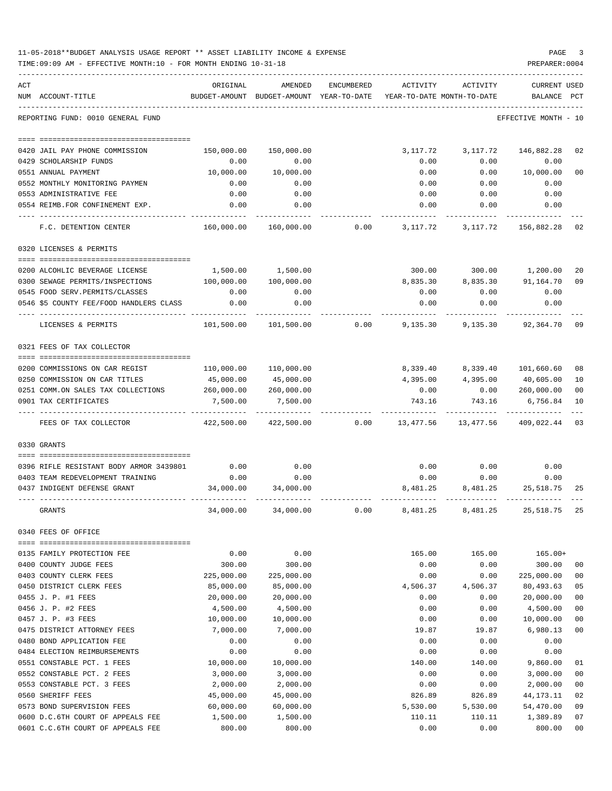|     | 11-05-2018**BUDGET ANALYSIS USAGE REPORT ** ASSET LIABILITY INCOME & EXPENSE<br>TIME: 09:09 AM - EFFECTIVE MONTH: 10 - FOR MONTH ENDING 10-31-18 |            |                                                                                |            |          |                                          | PAGE<br>PREPARER: 0004      | 3      |
|-----|--------------------------------------------------------------------------------------------------------------------------------------------------|------------|--------------------------------------------------------------------------------|------------|----------|------------------------------------------|-----------------------------|--------|
| ACT | NUM ACCOUNT-TITLE                                                                                                                                | ORIGINAL   | AMENDED<br>BUDGET-AMOUNT BUDGET-AMOUNT YEAR-TO-DATE YEAR-TO-DATE MONTH-TO-DATE | ENCUMBERED | ACTIVITY | ACTIVITY                                 | CURRENT USED<br>BALANCE PCT |        |
|     | REPORTING FUND: 0010 GENERAL FUND                                                                                                                |            |                                                                                |            |          |                                          | EFFECTIVE MONTH - 10        |        |
|     |                                                                                                                                                  |            |                                                                                |            |          |                                          |                             |        |
|     | 0420 JAIL PAY PHONE COMMISSION                                                                                                                   | 150,000.00 | 150,000.00                                                                     |            |          | 3,117.72 3,117.72                        | 146,882.28                  | 02     |
|     | 0429 SCHOLARSHIP FUNDS                                                                                                                           | 0.00       | 0.00                                                                           |            | 0.00     | 0.00                                     | 0.00                        |        |
|     | 0551 ANNUAL PAYMENT                                                                                                                              | 10,000.00  | 10,000.00                                                                      |            | 0.00     |                                          | $0.00$ 10,000.00            | 00     |
|     | 0552 MONTHLY MONITORING PAYMEN                                                                                                                   | 0.00       | 0.00                                                                           |            | 0.00     | 0.00                                     | 0.00                        |        |
|     | 0553 ADMINISTRATIVE FEE                                                                                                                          | 0.00       | 0.00                                                                           |            | 0.00     | 0.00                                     | 0.00                        |        |
|     | 0554 REIMB.FOR CONFINEMENT EXP.                                                                                                                  | 0.00       | 0.00                                                                           |            |          | $0.00$ $0.00$ $0.00$                     |                             |        |
|     | F.C. DETENTION CENTER                                                                                                                            |            | 160,000.00  160,000.00  0.00                                                   |            |          | 3, 117.72 3, 117.72 156, 882.28 02       |                             |        |
|     | 0320 LICENSES & PERMITS                                                                                                                          |            |                                                                                |            |          |                                          |                             |        |
|     | 0200 ALCOHLIC BEVERAGE LICENSE                                                                                                                   |            | 1,500.00 1,500.00                                                              |            |          | 300.00 300.00 1,200.00                   |                             | 20     |
|     | 0300 SEWAGE PERMITS/INSPECTIONS                                                                                                                  | 100,000.00 | 100,000.00                                                                     |            |          | 8,835.30 8,835.30 91,164.70              |                             | 09     |
|     | 0545 FOOD SERV. PERMITS/CLASSES                                                                                                                  | 0.00       | 0.00                                                                           |            | 0.00     | 0.00                                     | 0.00                        |        |
|     | 0546 \$5 COUNTY FEE/FOOD HANDLERS CLASS                                                                                                          | 0.00       | 0.00                                                                           |            | 0.00     | 0.00                                     | 0.00                        |        |
|     | LICENSES & PERMITS                                                                                                                               |            |                                                                                |            |          |                                          |                             |        |
|     | 0321 FEES OF TAX COLLECTOR                                                                                                                       |            |                                                                                |            |          |                                          |                             |        |
|     |                                                                                                                                                  |            |                                                                                |            |          |                                          |                             |        |
|     | 0200 COMMISSIONS ON CAR REGIST                                                                                                                   |            | 110,000.00 110,000.00                                                          |            |          | 8,339.40 8,339.40 101,660.60             |                             | 08     |
|     | 0250 COMMISSION ON CAR TITLES                                                                                                                    | 45,000.00  | 45,000.00                                                                      |            |          | 4,395.00 4,395.00 40,605.00              |                             | 10     |
|     | 0251 COMM.ON SALES TAX COLLECTIONS 260,000.00                                                                                                    |            | 260,000.00                                                                     |            |          | $0.00$ $0.00$ $260,000.00$               |                             | 00     |
|     | 0901 TAX CERTIFICATES                                                                                                                            | 7,500.00   | 7,500.00                                                                       |            | 743.16   | 743.16                                   | 6,756.84                    | 10     |
|     | FEES OF TAX COLLECTOR                                                                                                                            |            | 422,500.00 422,500.00                                                          |            |          | $0.00$ 13,477.56 13,477.56 409,022.44 03 |                             |        |
|     | 0330 GRANTS                                                                                                                                      |            |                                                                                |            |          |                                          |                             |        |
|     |                                                                                                                                                  |            |                                                                                |            |          |                                          |                             |        |
|     | 0396 RIFLE RESISTANT BODY ARMOR 3439801                                                                                                          | 0.00       | 0.00                                                                           |            | 0.00     | 0.00                                     | 0.00                        |        |
|     | 0403 TEAM REDEVELOPMENT TRAINING                                                                                                                 | 0.00       | 0.00                                                                           |            | 0.00     | 0.00                                     | 0.00<br>8,481.25 25,518.75  |        |
|     | 0437 INDIGENT DEFENSE GRANT                                                                                                                      | 34,000.00  | 34,000.00                                                                      |            | 8,481.25 |                                          |                             | 25     |
|     | GRANTS                                                                                                                                           | 34,000.00  | 34,000.00                                                                      | 0.00       | 8,481.25 |                                          | 8,481.25 25,518.75          | 25     |
|     | 0340 FEES OF OFFICE                                                                                                                              |            |                                                                                |            |          |                                          |                             |        |
|     | 0135 FAMILY PROTECTION FEE                                                                                                                       | 0.00       | 0.00                                                                           |            | 165.00   | 165.00                                   | $165.00+$                   |        |
|     | 0400 COUNTY JUDGE FEES                                                                                                                           | 300.00     | 300.00                                                                         |            | 0.00     | 0.00                                     | 300.00                      | 00     |
|     | 0403 COUNTY CLERK FEES                                                                                                                           | 225,000.00 | 225,000.00                                                                     |            | 0.00     | 0.00                                     | 225,000.00                  | $00\,$ |
|     | 0450 DISTRICT CLERK FEES                                                                                                                         | 85,000.00  | 85,000.00                                                                      |            | 4,506.37 | 4,506.37                                 | 80,493.63                   | 05     |
|     | 0455 J. P. #1 FEES                                                                                                                               | 20,000.00  | 20,000.00                                                                      |            | 0.00     | 0.00                                     | 20,000.00                   | $00\,$ |
|     | 0456 J. P. #2 FEES                                                                                                                               | 4,500.00   | 4,500.00                                                                       |            | 0.00     | 0.00                                     | 4,500.00                    | 00     |
|     | 0457 J. P. #3 FEES                                                                                                                               | 10,000.00  | 10,000.00                                                                      |            | 0.00     | 0.00                                     | 10,000.00                   | 00     |
|     | 0475 DISTRICT ATTORNEY FEES                                                                                                                      | 7,000.00   | 7,000.00                                                                       |            | 19.87    | 19.87                                    | 6,980.13                    | $00\,$ |
|     | 0480 BOND APPLICATION FEE                                                                                                                        | 0.00       | 0.00                                                                           |            | 0.00     | 0.00                                     | 0.00                        |        |
|     | 0484 ELECTION REIMBURSEMENTS                                                                                                                     | 0.00       | 0.00                                                                           |            | 0.00     | 0.00                                     | 0.00                        |        |
|     | 0551 CONSTABLE PCT. 1 FEES                                                                                                                       | 10,000.00  | 10,000.00                                                                      |            | 140.00   | 140.00                                   | 9,860.00                    | 01     |
|     | 0552 CONSTABLE PCT. 2 FEES                                                                                                                       | 3,000.00   | 3,000.00                                                                       |            | 0.00     | 0.00                                     | 3,000.00                    | 00     |
|     | 0553 CONSTABLE PCT. 3 FEES                                                                                                                       | 2,000.00   | 2,000.00                                                                       |            | 0.00     | 0.00                                     | 2,000.00                    | $00\,$ |
|     | 0560 SHERIFF FEES                                                                                                                                | 45,000.00  | 45,000.00                                                                      |            | 826.89   | 826.89                                   | 44, 173. 11                 | 02     |
|     | 0573 BOND SUPERVISION FEES                                                                                                                       | 60,000.00  | 60,000.00                                                                      |            | 5,530.00 | 5,530.00                                 | 54,470.00                   | 09     |
|     | 0600 D.C.6TH COURT OF APPEALS FEE                                                                                                                | 1,500.00   | 1,500.00                                                                       |            | 110.11   | 110.11                                   | 1,389.89                    | 07     |
|     | 0601 C.C.6TH COURT OF APPEALS FEE                                                                                                                | 800.00     | 800.00                                                                         |            | 0.00     | 0.00                                     | 800.00                      | 00     |
|     |                                                                                                                                                  |            |                                                                                |            |          |                                          |                             |        |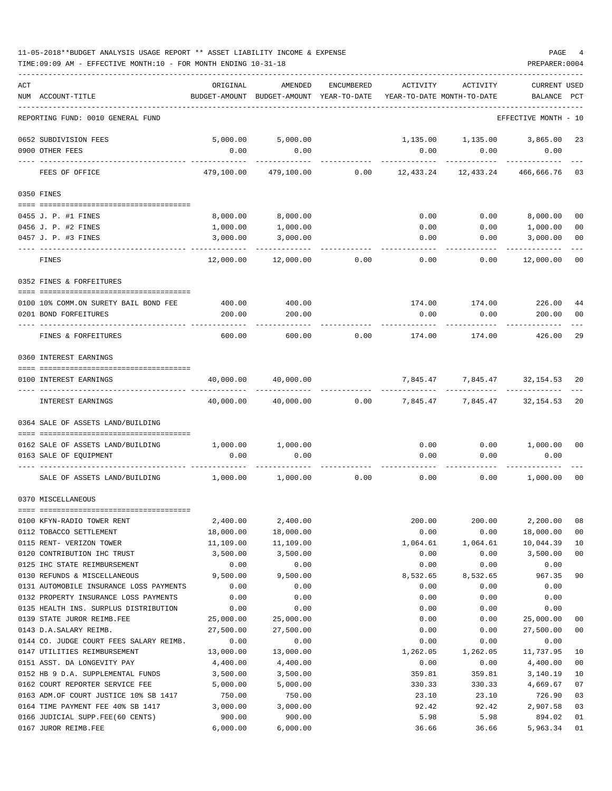| 11-05-2018**BUDGET ANALYSIS USAGE REPORT ** ASSET LIABILITY INCOME & EXPENSE | PAGE           |  |
|------------------------------------------------------------------------------|----------------|--|
| TIME:09:09 AM - EFFECTIVE MONTH:10 - FOR MONTH ENDING 10-31-18               | PREPARER: 0004 |  |

| ACT | NUM ACCOUNT-TITLE                                           | ORIGINAL              | AMENDED<br>BUDGET-AMOUNT BUDGET-AMOUNT YEAR-TO-DATE | ENCUMBERED | ACTIVITY<br>YEAR-TO-DATE MONTH-TO-DATE | <b>ACTIVITY</b>   | <b>CURRENT USED</b><br>BALANCE | PCT                  |
|-----|-------------------------------------------------------------|-----------------------|-----------------------------------------------------|------------|----------------------------------------|-------------------|--------------------------------|----------------------|
|     |                                                             |                       |                                                     |            |                                        |                   |                                |                      |
|     | REPORTING FUND: 0010 GENERAL FUND                           |                       |                                                     |            |                                        |                   | EFFECTIVE MONTH - 10           |                      |
|     | 0652 SUBDIVISION FEES                                       | 5,000.00              | 5,000.00                                            |            |                                        | 1,135.00 1,135.00 | 3,865.00                       | 23                   |
|     | 0900 OTHER FEES                                             | 0.00                  | 0.00                                                |            | 0.00                                   | 0.00              | 0.00                           |                      |
|     | FEES OF OFFICE                                              | 479,100.00            | 479,100.00                                          | 0.00       | 12,433.24                              | 12,433.24         | 466,666.76                     | 03                   |
|     | 0350 FINES                                                  |                       |                                                     |            |                                        |                   |                                |                      |
|     | 0455 J. P. #1 FINES                                         | 8,000.00              | 8,000.00                                            |            | 0.00                                   | 0.00              | 8,000.00                       | 00                   |
|     | 0456 J. P. #2 FINES                                         | 1,000.00              | 1,000.00                                            |            | 0.00                                   | 0.00              | 1,000.00                       | 00                   |
|     | 0457 J. P. #3 FINES                                         | 3,000.00              | 3,000.00                                            |            | 0.00                                   | 0.00              | 3,000.00                       | 00                   |
|     | FINES                                                       | 12,000.00             | 12,000.00                                           | 0.00       | 0.00                                   | 0.00              | 12,000.00                      | 00                   |
|     | 0352 FINES & FORFEITURES                                    |                       |                                                     |            |                                        |                   |                                |                      |
|     |                                                             |                       |                                                     |            |                                        |                   |                                |                      |
|     | 0100 10% COMM.ON SURETY BAIL BOND FEE                       | 400.00                | 400.00                                              |            | 174.00                                 | 174.00            | 226.00                         | 44                   |
|     | 0201 BOND FORFEITURES                                       | 200.00                | 200.00                                              |            | 0.00                                   | 0.00              | 200.00                         | 00                   |
|     | FINES & FORFEITURES                                         | 600.00                | 600.00                                              | 0.00       | 174.00                                 | 174.00            | 426.00                         | 29                   |
|     | 0360 INTEREST EARNINGS                                      |                       |                                                     |            |                                        |                   |                                |                      |
|     | 0100 INTEREST EARNINGS                                      | 40,000.00             | 40,000.00                                           |            | 7,845.47                               | 7,845.47          | 32,154.53 20                   |                      |
|     | INTEREST EARNINGS                                           | 40,000.00             | 40,000.00                                           | 0.00       | 7,845.47                               |                   | 7,845.47 32,154.53             | 20                   |
|     | 0364 SALE OF ASSETS LAND/BUILDING                           |                       |                                                     |            |                                        |                   |                                |                      |
|     |                                                             |                       |                                                     |            |                                        |                   |                                |                      |
|     | 0162 SALE OF ASSETS LAND/BUILDING<br>0163 SALE OF EQUIPMENT | 1,000.00<br>0.00      | 1,000.00<br>0.00                                    |            | 0.00<br>0.00                           | 0.00<br>0.00      | 1,000.00<br>0.00               | 00                   |
|     | SALE OF ASSETS LAND/BUILDING                                | 1,000.00              | 1,000.00                                            | 0.00       | 0.00                                   | 0.00              | 1,000.00                       | 00                   |
|     | 0370 MISCELLANEOUS                                          |                       |                                                     |            |                                        |                   |                                |                      |
|     | 0100 KFYN-RADIO TOWER RENT                                  | 2,400.00              | 2,400.00                                            |            | 200.00                                 | 200.00            | 2,200.00                       | 08                   |
|     | 0112 TOBACCO SETTLEMENT                                     | 18,000.00             | 18,000.00                                           |            | 0.00                                   | 0.00              | 18,000.00                      | 0 <sub>0</sub>       |
|     | 0115 RENT- VERIZON TOWER                                    | 11,109.00             | 11,109.00                                           |            | 1,064.61                               | 1,064.61          | 10,044.39                      | 10                   |
|     | 0120 CONTRIBUTION IHC TRUST                                 | 3,500.00              | 3,500.00                                            |            | 0.00                                   | 0.00              | 3,500.00                       | 00                   |
|     | 0125 IHC STATE REIMBURSEMENT                                | 0.00                  | 0.00                                                |            | 0.00                                   | 0.00              | 0.00                           |                      |
|     | 0130 REFUNDS & MISCELLANEOUS                                | 9,500.00              | 9,500.00                                            |            | 8,532.65                               | 8,532.65          | 967.35                         | 90                   |
|     | 0131 AUTOMOBILE INSURANCE LOSS PAYMENTS                     | 0.00                  | 0.00                                                |            | 0.00                                   | 0.00              | 0.00                           |                      |
|     | 0132 PROPERTY INSURANCE LOSS PAYMENTS                       | 0.00                  | 0.00                                                |            | 0.00                                   | 0.00              | 0.00                           |                      |
|     | 0135 HEALTH INS. SURPLUS DISTRIBUTION                       | 0.00                  | 0.00                                                |            | 0.00                                   | 0.00              | 0.00                           |                      |
|     | 0139 STATE JUROR REIMB.FEE                                  | 25,000.00             | 25,000.00                                           |            | 0.00                                   | 0.00              | 25,000.00                      | 00                   |
|     | 0143 D.A.SALARY REIMB.                                      | 27,500.00             | 27,500.00                                           |            | 0.00                                   | 0.00              | 27,500.00                      | 00                   |
|     | 0144 CO. JUDGE COURT FEES SALARY REIMB.                     | 0.00                  | 0.00                                                |            | 0.00                                   | 0.00              | 0.00<br>11,737.95              |                      |
|     | 0147 UTILITIES REIMBURSEMENT<br>0151 ASST. DA LONGEVITY PAY | 13,000.00<br>4,400.00 | 13,000.00<br>4,400.00                               |            | 1,262.05<br>0.00                       | 1,262.05<br>0.00  | 4,400.00                       | 10<br>0 <sub>0</sub> |
|     | 0152 HB 9 D.A. SUPPLEMENTAL FUNDS                           | 3,500.00              | 3,500.00                                            |            | 359.81                                 | 359.81            | 3,140.19                       | 10                   |
|     | 0162 COURT REPORTER SERVICE FEE                             | 5,000.00              | 5,000.00                                            |            | 330.33                                 | 330.33            | 4,669.67                       | 07                   |
|     | 0163 ADM.OF COURT JUSTICE 10% SB 1417                       | 750.00                | 750.00                                              |            | 23.10                                  | 23.10             | 726.90                         | 03                   |
|     | 0164 TIME PAYMENT FEE 40% SB 1417                           | 3,000.00              | 3,000.00                                            |            | 92.42                                  | 92.42             | 2,907.58                       | 03                   |
|     | 0166 JUDICIAL SUPP.FEE(60 CENTS)                            | 900.00                | 900.00                                              |            | 5.98                                   | 5.98              | 894.02                         | 01                   |
|     | 0167 JUROR REIMB.FEE                                        | 6,000.00              | 6,000.00                                            |            | 36.66                                  | 36.66             | 5,963.34                       | 01                   |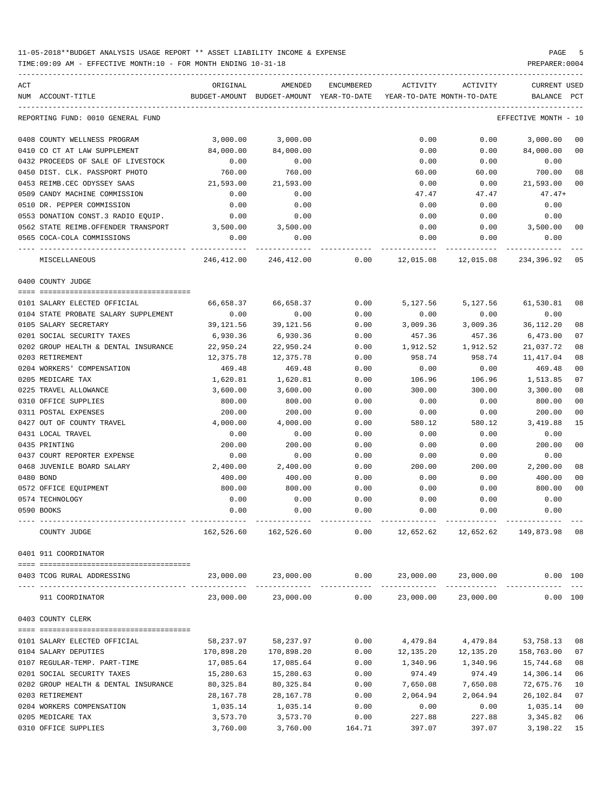| ACT                                  | ORIGINAL                    | AMENDED                                  | ENCUMBERED | ACTIVITY         | ACTIVITY                                 | CURRENT USED    |      |
|--------------------------------------|-----------------------------|------------------------------------------|------------|------------------|------------------------------------------|-----------------|------|
| NUM ACCOUNT-TITLE                    |                             | BUDGET-AMOUNT BUDGET-AMOUNT YEAR-TO-DATE |            |                  | YEAR-TO-DATE MONTH-TO-DATE               | BALANCE         | PCT  |
| REPORTING FUND: 0010 GENERAL FUND    |                             |                                          |            |                  |                                          | EFFECTIVE MONTH | - 10 |
| 0408 COUNTY WELLNESS PROGRAM         | 3,000.00                    | 3,000.00                                 |            | 0.00             | 0.00                                     | 3,000.00        | 00   |
| 0410 CO CT AT LAW SUPPLEMENT         | 84,000.00                   | 84,000.00                                |            | 0.00             | 0.00                                     | 84,000.00       | 00   |
| 0432 PROCEEDS OF SALE OF LIVESTOCK   | 0.00                        | 0.00                                     |            | 0.00             | 0.00                                     | 0.00            |      |
| 0450 DIST. CLK. PASSPORT PHOTO       | 760.00                      | 760.00                                   |            | 60.00            | 60.00                                    | 700.00          | 08   |
| 0453 REIMB.CEC ODYSSEY SAAS          | 21,593.00                   | 21,593.00                                |            | 0.00             | 0.00                                     | 21,593.00       | 00   |
| 0509 CANDY MACHINE COMMISSION        | 0.00                        | 0.00                                     |            | 47.47            | 47.47                                    | $47.47+$        |      |
| 0510 DR. PEPPER COMMISSION           | 0.00                        | 0.00                                     |            | 0.00             | 0.00                                     | 0.00            |      |
| 0553 DONATION CONST.3 RADIO EQUIP.   | 0.00                        | 0.00                                     |            | 0.00             | 0.00                                     | 0.00            |      |
| 0562 STATE REIMB.OFFENDER TRANSPORT  | 3,500.00                    | 3,500.00                                 |            | 0.00             | 0.00                                     | 3,500.00        | 00   |
| 0565 COCA-COLA COMMISSIONS           | 0.00                        | 0.00                                     |            | 0.00             | 0.00                                     | 0.00            |      |
| ---- -------------<br>MISCELLANEOUS  | _____________<br>246,412.00 | 246,412.00                               |            | $0.00$ 12,015.08 | 12,015.08                                | 234,396.92      | 05   |
| 0400 COUNTY JUDGE                    |                             |                                          |            |                  |                                          |                 |      |
| 0101 SALARY ELECTED OFFICIAL         | 66,658.37                   | 66,658.37                                | 0.00       | 5,127.56         | 5,127.56                                 | 61,530.81       | 08   |
| 0104 STATE PROBATE SALARY SUPPLEMENT | 0.00                        | 0.00                                     | 0.00       | 0.00             | 0.00                                     | 0.00            |      |
| 0105 SALARY SECRETARY                | 39,121.56                   | 39,121.56                                | 0.00       | 3,009.36         | 3,009.36                                 | 36, 112. 20     | 08   |
| 0201 SOCIAL SECURITY TAXES           | 6,930.36                    | 6,930.36                                 | 0.00       | 457.36           | 457.36                                   | 6,473.00        | 07   |
| 0202 GROUP HEALTH & DENTAL INSURANCE | 22,950.24                   | 22,950.24                                | 0.00       | 1,912.52         | 1,912.52                                 | 21,037.72       | 08   |
| 0203 RETIREMENT                      | 12,375.78                   | 12,375.78                                | 0.00       | 958.74           | 958.74                                   | 11,417.04       | 08   |
| 0204 WORKERS' COMPENSATION           | 469.48                      | 469.48                                   | 0.00       | 0.00             | 0.00                                     | 469.48          | 00   |
| 0205 MEDICARE TAX                    | 1,620.81                    | 1,620.81                                 | 0.00       | 106.96           | 106.96                                   | 1,513.85        | 07   |
| 0225 TRAVEL ALLOWANCE                | 3,600.00                    | 3,600.00                                 | 0.00       | 300.00           | 300.00                                   | 3,300.00        | 08   |
| 0310 OFFICE SUPPLIES                 | 800.00                      | 800.00                                   | 0.00       | 0.00             | 0.00                                     | 800.00          | 00   |
| 0311 POSTAL EXPENSES                 | 200.00                      | 200.00                                   | 0.00       | 0.00             | 0.00                                     | 200.00          | 00   |
| 0427 OUT OF COUNTY TRAVEL            | 4,000.00                    | 4,000.00                                 | 0.00       | 580.12           | 580.12                                   | 3,419.88        | 15   |
| 0431 LOCAL TRAVEL                    | 0.00                        | 0.00                                     | 0.00       | 0.00             | 0.00                                     | 0.00            |      |
| 0435 PRINTING                        | 200.00                      | 200.00                                   | 0.00       | 0.00             | 0.00                                     | 200.00          | 00   |
| 0437 COURT REPORTER EXPENSE          | 0.00                        | 0.00                                     | 0.00       | 0.00             | 0.00                                     | 0.00            |      |
| 0468 JUVENILE BOARD SALARY           | 2,400.00                    | 2,400.00                                 | 0.00       | 200.00           | 200.00                                   | 2,200.00        | 08   |
| 0480 BOND                            | 400.00                      | 400.00                                   | 0.00       | 0.00             | 0.00                                     | 400.00          | 00   |
| 0572 OFFICE EQUIPMENT                | 800.00                      | 800.00                                   | 0.00       | 0.00             | 0.00                                     | 800.00          | 00   |
| 0574 TECHNOLOGY                      | 0.00                        | 0.00                                     | 0.00       | 0.00             | 0.00                                     | 0.00            |      |
| 0590 BOOKS                           | 0.00                        | 0.00                                     | 0.00       | 0.00             | 0.00                                     | 0.00            |      |
|                                      |                             |                                          |            |                  |                                          |                 |      |
| COUNTY JUDGE                         | 162,526.60                  | 162,526.60                               | 0.00       | 12,652.62        | 12,652.62                                | 149,873.98 08   |      |
| 0401 911 COORDINATOR                 |                             |                                          |            |                  |                                          |                 |      |
| 0403 TCOG RURAL ADDRESSING           | 23,000.00                   | 23,000.00                                |            |                  | $0.00 \qquad 23,000.00 \qquad 23,000.00$ | 0.00 100        |      |
| 911 COORDINATOR                      | 23,000.00                   | 23,000.00                                |            |                  | $0.00$ $23,000.00$ $23,000.00$           | 0.00 100        |      |
| 0403 COUNTY CLERK                    |                             |                                          |            |                  |                                          |                 |      |
| 0101 SALARY ELECTED OFFICIAL         | 58,237.97                   | 58,237.97                                | 0.00       | 4,479.84         | 4,479.84                                 | 53,758.13       | 08   |
| 0104 SALARY DEPUTIES                 | 170,898.20                  | 170,898.20                               | 0.00       | 12,135.20        | 12,135.20                                | 158,763.00      | 07   |
| 0107 REGULAR-TEMP. PART-TIME         | 17,085.64                   | 17,085.64                                | 0.00       | 1,340.96         | 1,340.96                                 | 15,744.68       | 08   |
| 0201 SOCIAL SECURITY TAXES           | 15,280.63                   | 15,280.63                                | 0.00       | 974.49           | 974.49                                   | 14,306.14       | 06   |
| 0202 GROUP HEALTH & DENTAL INSURANCE | 80,325.84                   | 80, 325.84                               | 0.00       | 7,650.08         | 7,650.08                                 | 72,675.76       | 10   |
| 0203 RETIREMENT                      | 28,167.78                   | 28, 167. 78                              | 0.00       | 2,064.94         | 2,064.94                                 | 26,102.84       | 07   |
| 0204 WORKERS COMPENSATION            | 1,035.14                    | 1,035.14                                 | 0.00       | 0.00             | 0.00                                     | 1,035.14        | 00   |
| 0205 MEDICARE TAX                    | 3,573.70                    | 3,573.70                                 | 0.00       | 227.88           | 227.88                                   | 3,345.82        | 06   |
| 0310 OFFICE SUPPLIES                 | 3,760.00                    | 3,760.00                                 | 164.71     | 397.07           | 397.07                                   | 3,198.22        | 15   |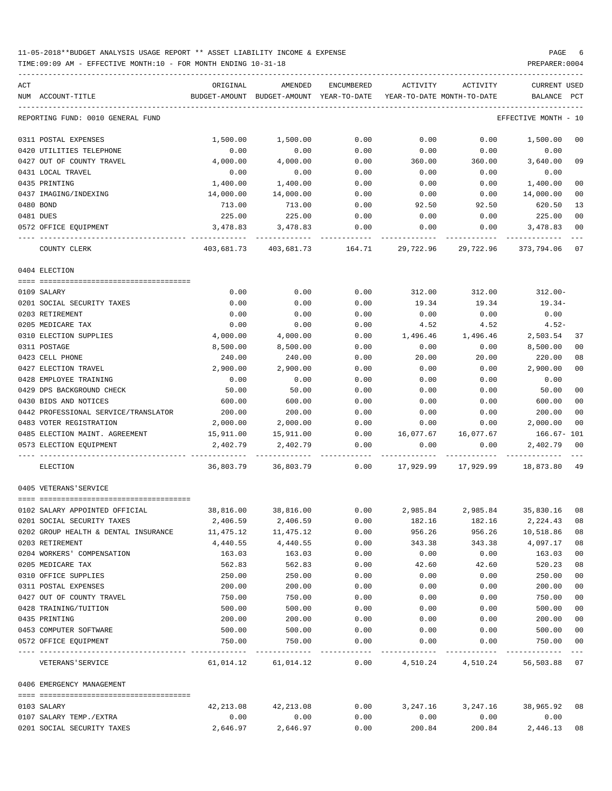TIME:09:09 AM - EFFECTIVE MONTH:10 - FOR MONTH ENDING 10-31-18 PREPARER:0004

| ACT                                                | ORIGINAL         | AMENDED                                                             | ENCUMBERED   |                            | ACTIVITY ACTIVITY   | CURRENT USED                       |                                  |
|----------------------------------------------------|------------------|---------------------------------------------------------------------|--------------|----------------------------|---------------------|------------------------------------|----------------------------------|
| NUM ACCOUNT-TITLE                                  |                  | BUDGET-AMOUNT BUDGET-AMOUNT YEAR-TO-DATE YEAR-TO-DATE MONTH-TO-DATE |              |                            |                     | BALANCE PCT                        |                                  |
| REPORTING FUND: 0010 GENERAL FUND                  |                  |                                                                     |              |                            |                     | EFFECTIVE MONTH - 10               |                                  |
| 0311 POSTAL EXPENSES                               | 1,500.00         | 1,500.00                                                            | 0.00         | 0.00                       | 0.00                | 1,500.00                           | 0 <sub>0</sub>                   |
| 0420 UTILITIES TELEPHONE                           | 0.00             | 0.00                                                                | 0.00         | 0.00                       | 0.00                | 0.00                               |                                  |
| 0427 OUT OF COUNTY TRAVEL                          | 4,000.00         | 4,000.00                                                            | 0.00         | 360.00                     | 360.00              | 3,640.00                           | 09                               |
| 0431 LOCAL TRAVEL                                  | 0.00             | 0.00                                                                | 0.00         | 0.00                       | 0.00                | 0.00                               |                                  |
| 0435 PRINTING                                      | 1,400.00         | 1,400.00                                                            | 0.00         | 0.00                       | 0.00                | 1,400.00                           | 0 <sub>0</sub>                   |
| 0437 IMAGING/INDEXING                              | 14,000.00        | 14,000.00                                                           | 0.00         | 0.00                       | 0.00                | 14,000.00                          | 0 <sub>0</sub>                   |
| 0480 BOND                                          | 713.00           | 713.00                                                              | 0.00         | 92.50                      | 92.50               | 620.50                             | 13                               |
| 0481 DUES                                          | 225.00           | 225.00                                                              | 0.00         | 0.00                       | 0.00                | 225.00                             | 0 <sub>0</sub>                   |
| 0572 OFFICE EQUIPMENT                              | 3,478.83         | 3,478.83                                                            | 0.00         | 0.00                       | 0.00                | 3,478.83                           | 0 <sub>0</sub>                   |
| COUNTY CLERK                                       | 403,681.73       |                                                                     |              |                            | 29,722.96           | 373,794.06                         | 07                               |
| 0404 ELECTION                                      |                  |                                                                     |              |                            |                     |                                    |                                  |
|                                                    |                  |                                                                     |              |                            |                     |                                    |                                  |
| 0109 SALARY                                        | 0.00             | 0.00                                                                | 0.00         | 312.00                     | 312.00              | $312.00 -$                         |                                  |
| 0201 SOCIAL SECURITY TAXES                         | 0.00             | 0.00                                                                | 0.00         | 19.34                      | 19.34               | 19.34-                             |                                  |
| 0203 RETIREMENT                                    | 0.00             | 0.00                                                                | 0.00         | 0.00                       | 0.00                | 0.00                               |                                  |
| 0205 MEDICARE TAX                                  | 0.00             | 0.00                                                                | 0.00         | 4.52                       | 4.52                | $4.52-$                            |                                  |
| 0310 ELECTION SUPPLIES                             | 4,000.00         | 4,000.00                                                            | 0.00         | 1,496.46                   | 1,496.46            | 2,503.54                           | 37                               |
| 0311 POSTAGE                                       | 8,500.00         | 8,500.00                                                            | 0.00         | 0.00                       | 0.00                | 8,500.00                           | 0 <sub>0</sub>                   |
| 0423 CELL PHONE                                    | 240.00           | 240.00                                                              | 0.00         | 20.00                      | 20.00               | 220.00                             | 08                               |
| 0427 ELECTION TRAVEL                               | 2,900.00         | 2,900.00                                                            | 0.00         | 0.00                       | 0.00                | 2,900.00                           | 0 <sub>0</sub>                   |
| 0428 EMPLOYEE TRAINING                             | 0.00             | 0.00                                                                | 0.00         | 0.00                       | 0.00                | 0.00                               |                                  |
| 0429 DPS BACKGROUND CHECK                          | 50.00            | 50.00                                                               | 0.00         | 0.00                       | 0.00                | 50.00                              | 0 <sup>0</sup>                   |
| 0430 BIDS AND NOTICES                              | 600.00           | 600.00                                                              | 0.00         | 0.00                       | 0.00                | 600.00                             | 0 <sub>0</sub>                   |
| 0442 PROFESSIONAL SERVICE/TRANSLATOR               | 200.00           | 200.00                                                              | 0.00         | 0.00                       | 0.00                | 200.00                             | 0 <sub>0</sub>                   |
| 0483 VOTER REGISTRATION                            | 2,000.00         | 2,000.00                                                            | 0.00         | 0.00                       | 0.00                | 2,000.00                           | 00                               |
| 0485 ELECTION MAINT. AGREEMENT 15,911.00 15,911.00 |                  |                                                                     |              | $0.00$ 16,077.67 16,077.67 |                     | 166.67- 101                        |                                  |
| 0573 ELECTION EQUIPMENT                            | 2,402.79         | 2,402.79                                                            | 0.00         | 0.00                       | 0.00                | 2,402.79                           | 0 <sub>0</sub>                   |
| ELECTION                                           | 36,803.79        | 36,803.79                                                           | 0.00         |                            | 17,929.99 17,929.99 | 18,873.80 49                       |                                  |
| 0405 VETERANS'SERVICE                              |                  |                                                                     |              |                            |                     |                                    |                                  |
|                                                    |                  |                                                                     |              |                            |                     |                                    |                                  |
| 0102 SALARY APPOINTED OFFICIAL                     |                  | 38,816.00 38,816.00                                                 |              |                            |                     | $0.00$ 2,985.84 2,985.84 35,830.16 | 08                               |
| 0201 SOCIAL SECURITY TAXES                         | 2,406.59         | 2,406.59                                                            | 0.00         | 182.16                     | 182.16              | 2,224.43                           | 08                               |
| 0202 GROUP HEALTH & DENTAL INSURANCE               | 11,475.12        | 11,475.12                                                           | 0.00         | 956.26                     | 956.26              | 10,518.86                          | 08                               |
| 0203 RETIREMENT                                    | 4,440.55         | 4,440.55                                                            | 0.00         | 343.38                     | 343.38              | 4,097.17                           | 08                               |
| 0204 WORKERS' COMPENSATION                         | 163.03           | 163.03                                                              | 0.00         | 0.00                       | 0.00                | 163.03                             | 0 <sub>0</sub>                   |
| 0205 MEDICARE TAX                                  | 562.83           | 562.83                                                              | 0.00         | 42.60                      | 42.60               | 520.23                             | 08                               |
| 0310 OFFICE SUPPLIES                               | 250.00           | 250.00                                                              | 0.00         | 0.00                       | 0.00                | 250.00                             | 0 <sub>0</sub>                   |
| 0311 POSTAL EXPENSES                               | 200.00           | 200.00                                                              | 0.00         | 0.00                       | 0.00                | 200.00                             | 0 <sub>0</sub>                   |
| 0427 OUT OF COUNTY TRAVEL                          | 750.00           | 750.00                                                              | 0.00         | 0.00                       | 0.00                | 750.00                             | 0 <sub>0</sub>                   |
| 0428 TRAINING/TUITION                              | 500.00           | 500.00                                                              | 0.00         | 0.00                       | 0.00                | 500.00                             | 0 <sub>0</sub>                   |
| 0435 PRINTING                                      | 200.00           | 200.00                                                              | 0.00         | 0.00                       | 0.00                | 200.00                             | 0 <sub>0</sub>                   |
| 0453 COMPUTER SOFTWARE<br>0572 OFFICE EQUIPMENT    | 500.00<br>750.00 | 500.00<br>750.00                                                    | 0.00<br>0.00 | 0.00<br>0.00               | 0.00<br>0.00        | 500.00<br>750.00                   | 0 <sub>0</sub><br>0 <sub>0</sub> |
|                                                    |                  |                                                                     |              |                            |                     |                                    | $---$                            |
| VETERANS ' SERVICE                                 |                  | 61,014.12 61,014.12                                                 | 0.00         |                            | 4,510.24 4,510.24   | 56,503.88                          | 07                               |
| 0406 EMERGENCY MANAGEMENT                          |                  |                                                                     |              |                            |                     |                                    |                                  |
| 0103 SALARY                                        | 42,213.08        | 42,213.08                                                           | 0.00         |                            | 3, 247.16 3, 247.16 | 38,965.92                          | 08                               |
| 0107 SALARY TEMP./EXTRA                            | 0.00             | 0.00                                                                | 0.00         | 0.00                       | 0.00                | 0.00                               |                                  |

0201 SOCIAL SECURITY TAXES 2,646.97 2,646.97 0.00 200.84 200.84 2,446.13 08

-----------------------------------------------------------------------------------------------------------------------------------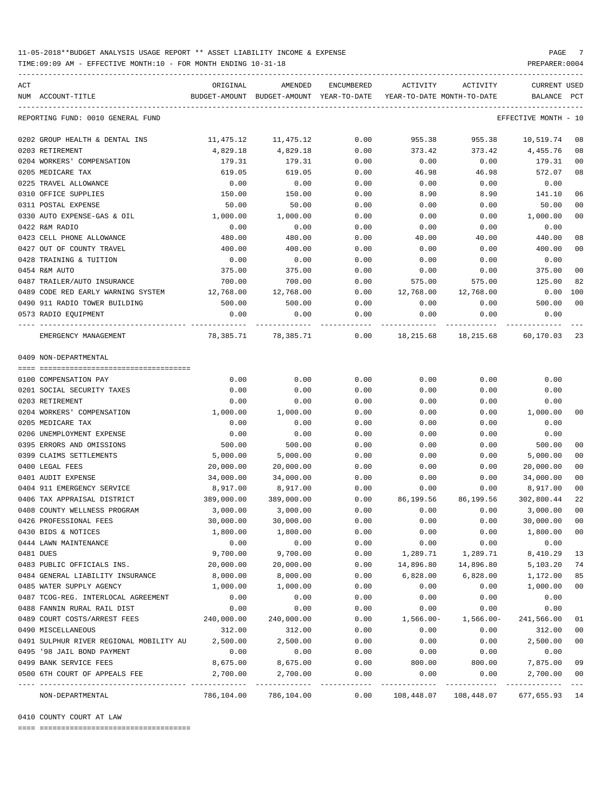TIME:09:09 AM - EFFECTIVE MONTH:10 - FOR MONTH ENDING 10-31-18 PREPARER:0004

| ACT | NUM ACCOUNT-TITLE                       | ORIGINAL   | AMENDED<br>BUDGET-AMOUNT BUDGET-AMOUNT YEAR-TO-DATE | ENCUMBERED | ACTIVITY<br>YEAR-TO-DATE MONTH-TO-DATE                 | ACTIVITY     | CURRENT USED<br>BALANCE PCT |                |
|-----|-----------------------------------------|------------|-----------------------------------------------------|------------|--------------------------------------------------------|--------------|-----------------------------|----------------|
|     |                                         |            |                                                     |            |                                                        |              |                             |                |
|     | REPORTING FUND: 0010 GENERAL FUND       |            |                                                     |            |                                                        |              | EFFECTIVE MONTH - 10        |                |
|     | 0202 GROUP HEALTH & DENTAL INS          | 11,475.12  | 11,475.12                                           | 0.00       | 955.38                                                 | 955.38       | 10,519.74                   | 08             |
|     | 0203 RETIREMENT                         | 4,829.18   | 4,829.18                                            | 0.00       | 373.42                                                 | 373.42       | 4,455.76                    | 08             |
|     | 0204 WORKERS' COMPENSATION              | 179.31     | 179.31                                              | 0.00       | 0.00                                                   | 0.00         | 179.31                      | 0 <sub>0</sub> |
|     | 0205 MEDICARE TAX                       | 619.05     | 619.05                                              | 0.00       | 46.98                                                  | 46.98        | 572.07                      | 08             |
|     | 0225 TRAVEL ALLOWANCE                   | 0.00       | 0.00                                                | 0.00       | 0.00                                                   | 0.00         | 0.00                        |                |
|     | 0310 OFFICE SUPPLIES                    | 150.00     | 150.00                                              | 0.00       | 8.90                                                   | 8.90         | 141.10                      | 06             |
|     | 0311 POSTAL EXPENSE                     | 50.00      | 50.00                                               | 0.00       | 0.00                                                   | 0.00         | 50.00                       | 0 <sub>0</sub> |
|     | 0330 AUTO EXPENSE-GAS & OIL             | 1,000.00   | 1,000.00                                            | 0.00       | 0.00                                                   | 0.00         | 1,000.00                    | 0 <sub>0</sub> |
|     | 0422 R&M RADIO                          | 0.00       | 0.00                                                | 0.00       | 0.00                                                   | 0.00         | 0.00                        |                |
|     | 0423 CELL PHONE ALLOWANCE               | 480.00     | 480.00                                              | 0.00       | 40.00                                                  | 40.00        | 440.00                      | 08             |
|     | 0427 OUT OF COUNTY TRAVEL               | 400.00     | 400.00                                              | 0.00       | 0.00                                                   | 0.00         | 400.00                      | 0 <sub>0</sub> |
|     | 0428 TRAINING & TUITION                 | 0.00       | 0.00                                                | 0.00       | 0.00                                                   | 0.00         | 0.00                        |                |
|     | 0454 R&M AUTO                           | 375.00     | 375.00                                              | 0.00       | 0.00                                                   | 0.00         | 375.00                      | 0 <sub>0</sub> |
|     | 0487 TRAILER/AUTO INSURANCE             | 700.00     | 700.00                                              | 0.00       | 575.00                                                 | 575.00       | 125.00                      | 82             |
|     | 0489 CODE RED EARLY WARNING SYSTEM      | 12,768.00  | 12,768.00                                           | 0.00       | 12,768.00                                              | 12,768.00    | 0.00                        | 100            |
|     | 0490 911 RADIO TOWER BUILDING           | 500.00     | 500.00                                              | 0.00       | 0.00                                                   | 0.00         | 500.00                      | 0 <sub>0</sub> |
|     | 0573 RADIO EQUIPMENT                    | 0.00       | 0.00                                                | 0.00       | 0.00                                                   | 0.00         | 0.00                        |                |
|     |                                         |            |                                                     |            |                                                        |              |                             |                |
|     | EMERGENCY MANAGEMENT                    |            |                                                     |            | 78,385.71 78,385.71 0.00 18,215.68 18,215.68 60,170.03 |              |                             | -23            |
|     | 0409 NON-DEPARTMENTAL                   |            |                                                     |            |                                                        |              |                             |                |
|     |                                         |            |                                                     |            |                                                        |              |                             |                |
|     | 0100 COMPENSATION PAY                   | 0.00       | 0.00                                                | 0.00       | 0.00                                                   | 0.00         | 0.00                        |                |
|     | 0201 SOCIAL SECURITY TAXES              | 0.00       | 0.00                                                | 0.00       | 0.00                                                   | 0.00         | 0.00                        |                |
|     | 0203 RETIREMENT                         | 0.00       | 0.00                                                | 0.00       | 0.00                                                   | 0.00         | 0.00                        |                |
|     | 0204 WORKERS' COMPENSATION              | 1,000.00   | 1,000.00                                            | 0.00       | 0.00                                                   | 0.00         | 1,000.00                    | 00             |
|     | 0205 MEDICARE TAX                       | 0.00       | 0.00                                                | 0.00       | 0.00                                                   | 0.00         | 0.00                        |                |
|     | 0206 UNEMPLOYMENT EXPENSE               | 0.00       | 0.00                                                | 0.00       | 0.00                                                   | 0.00         | 0.00                        |                |
|     | 0395 ERRORS AND OMISSIONS               | 500.00     | 500.00                                              | 0.00       | 0.00                                                   | 0.00         | 500.00                      | 0 <sub>0</sub> |
|     | 0399 CLAIMS SETTLEMENTS                 | 5,000.00   | 5,000.00                                            | 0.00       | 0.00                                                   | 0.00         | 5,000.00                    | 0 <sub>0</sub> |
|     | 0400 LEGAL FEES                         | 20,000.00  | 20,000.00                                           | 0.00       | 0.00                                                   | 0.00         | 20,000.00                   | 0 <sub>0</sub> |
|     | 0401 AUDIT EXPENSE                      | 34,000.00  | 34,000.00                                           | 0.00       | 0.00                                                   | 0.00         | 34,000.00                   | 0 <sub>0</sub> |
|     | 0404 911 EMERGENCY SERVICE              | 8,917.00   | 8,917.00                                            | 0.00       | 0.00                                                   | 0.00         | 8,917.00                    | 0 <sub>0</sub> |
|     | 0406 TAX APPRAISAL DISTRICT             | 389,000.00 | 389,000.00                                          | 0.00       | 86,199.56                                              | 86,199.56    | 302,800.44                  | 22             |
|     | 0408 COUNTY WELLNESS PROGRAM            | 3,000.00   | 3,000.00                                            | 0.00       | 0.00                                                   | 0.00         | 3,000.00                    | 0 <sub>0</sub> |
|     | 0426 PROFESSIONAL FEES                  | 30,000.00  | 30,000.00                                           | 0.00       | 0.00                                                   | 0.00         | 30,000.00                   | 0 <sub>0</sub> |
|     | 0430 BIDS & NOTICES                     | 1,800.00   | 1,800.00                                            | 0.00       | 0.00                                                   | 0.00         | 1,800.00                    | 0 <sub>0</sub> |
|     | 0444 LAWN MAINTENANCE                   | 0.00       | 0.00                                                | 0.00       | 0.00                                                   | 0.00         | 0.00                        |                |
|     | 0481 DUES                               | 9,700.00   | 9,700.00                                            | 0.00       | 1,289.71                                               | 1,289.71     | 8,410.29                    | 13             |
|     | 0483 PUBLIC OFFICIALS INS.              | 20,000.00  | 20,000.00                                           | 0.00       | 14,896.80                                              | 14,896.80    | 5,103.20                    | 74             |
|     | 0484 GENERAL LIABILITY INSURANCE        | 8,000.00   | 8,000.00                                            | 0.00       | 6,828.00                                               | 6,828.00     | 1,172.00                    | 85             |
|     | 0485 WATER SUPPLY AGENCY                | 1,000.00   | 1,000.00                                            | 0.00       | 0.00                                                   | 0.00         | 1,000.00                    | 0 <sub>0</sub> |
|     | 0487 TCOG-REG. INTERLOCAL AGREEMENT     | 0.00       | 0.00                                                | 0.00       | 0.00                                                   | 0.00         | 0.00                        |                |
|     | 0488 FANNIN RURAL RAIL DIST             | 0.00       | 0.00                                                | 0.00       | 0.00                                                   | 0.00         | 0.00                        |                |
|     | 0489 COURT COSTS/ARREST FEES            | 240,000.00 | 240,000.00                                          | 0.00       | $1,566.00 -$                                           | $1,566.00 -$ | 241,566.00                  | 01             |
|     | 0490 MISCELLANEOUS                      | 312.00     | 312.00                                              | 0.00       | 0.00                                                   | 0.00         | 312.00                      | 0 <sub>0</sub> |
|     | 0491 SULPHUR RIVER REGIONAL MOBILITY AU | 2,500.00   | 2,500.00                                            | 0.00       | 0.00                                                   | 0.00         | 2,500.00                    | 0 <sub>0</sub> |
|     | 0495 '98 JAIL BOND PAYMENT              | 0.00       | 0.00                                                | 0.00       | 0.00                                                   | 0.00         | 0.00                        |                |
|     | 0499 BANK SERVICE FEES                  | 8,675.00   | 8,675.00                                            | 0.00       | 800.00                                                 | 800.00       | 7,875.00                    | 09             |
|     | 0500 6TH COURT OF APPEALS FEE           | 2,700.00   | 2,700.00                                            | 0.00       | 0.00                                                   | 0.00         | 2,700.00                    | 0 <sub>0</sub> |
|     | NON-DEPARTMENTAL                        | 786,104.00 | 786,104.00                                          | 0.00       | 108,448.07                                             | 108,448.07   | 677,655.93                  | 14             |

0410 COUNTY COURT AT LAW

==== ===================================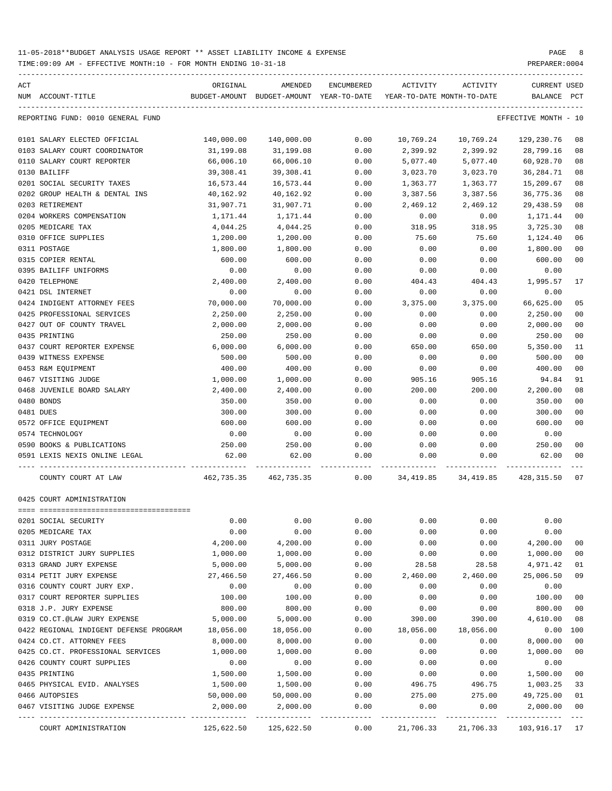TIME:09:09 AM - EFFECTIVE MONTH:10 - FOR MONTH ENDING 10-31-18 PREPARER:0004

| ACT<br>NUM ACCOUNT-TITLE               | ORIGINAL   | AMENDED<br>BUDGET-AMOUNT BUDGET-AMOUNT YEAR-TO-DATE YEAR-TO-DATE MONTH-TO-DATE | ENCUMBERED | ACTIVITY  | ACTIVITY  | <b>CURRENT USED</b><br>BALANCE | $_{\rm PCT}$   |
|----------------------------------------|------------|--------------------------------------------------------------------------------|------------|-----------|-----------|--------------------------------|----------------|
| REPORTING FUND: 0010 GENERAL FUND      |            |                                                                                |            |           |           | EFFECTIVE MONTH - 10           |                |
| 0101 SALARY ELECTED OFFICIAL           | 140,000.00 | 140,000.00                                                                     | 0.00       | 10,769.24 | 10,769.24 | 129,230.76                     | 08             |
| 0103 SALARY COURT COORDINATOR          | 31,199.08  | 31,199.08                                                                      | 0.00       | 2,399.92  | 2,399.92  | 28,799.16                      | 08             |
| 0110 SALARY COURT REPORTER             | 66,006.10  | 66,006.10                                                                      | 0.00       | 5,077.40  | 5,077.40  | 60,928.70                      | 08             |
| 0130 BAILIFF                           | 39,308.41  | 39,308.41                                                                      | 0.00       | 3,023.70  | 3,023.70  | 36,284.71                      | 08             |
| 0201 SOCIAL SECURITY TAXES             | 16,573.44  | 16,573.44                                                                      | 0.00       | 1,363.77  | 1,363.77  | 15,209.67                      | 08             |
| 0202 GROUP HEALTH & DENTAL INS         | 40,162.92  | 40,162.92                                                                      | 0.00       | 3,387.56  | 3,387.56  | 36,775.36                      | 08             |
| 0203 RETIREMENT                        | 31,907.71  | 31,907.71                                                                      | 0.00       | 2,469.12  | 2,469.12  | 29,438.59                      | 08             |
| 0204 WORKERS COMPENSATION              | 1,171.44   | 1,171.44                                                                       | 0.00       | 0.00      | 0.00      | 1,171.44                       | 00             |
| 0205 MEDICARE TAX                      | 4,044.25   | 4,044.25                                                                       | 0.00       | 318.95    | 318.95    | 3,725.30                       | 08             |
| 0310 OFFICE SUPPLIES                   | 1,200.00   | 1,200.00                                                                       | 0.00       | 75.60     | 75.60     | 1,124.40                       | 06             |
| 0311 POSTAGE                           | 1,800.00   | 1,800.00                                                                       | 0.00       | 0.00      | 0.00      | 1,800.00                       | 0 <sub>0</sub> |
| 0315 COPIER RENTAL                     | 600.00     | 600.00                                                                         | 0.00       | 0.00      | 0.00      | 600.00                         | 00             |
| 0395 BAILIFF UNIFORMS                  | 0.00       | 0.00                                                                           | 0.00       | 0.00      | 0.00      | 0.00                           |                |
| 0420 TELEPHONE                         | 2,400.00   | 2,400.00                                                                       | 0.00       | 404.43    | 404.43    | 1,995.57                       | 17             |
| 0421 DSL INTERNET                      | 0.00       | 0.00                                                                           | 0.00       | 0.00      | 0.00      | 0.00                           |                |
| 0424 INDIGENT ATTORNEY FEES            | 70,000.00  | 70,000.00                                                                      | 0.00       | 3,375.00  | 3,375.00  | 66,625.00                      | 05             |
| 0425 PROFESSIONAL SERVICES             | 2,250.00   | 2,250.00                                                                       | 0.00       | 0.00      | 0.00      | 2,250.00                       | 00             |
| 0427 OUT OF COUNTY TRAVEL              | 2,000.00   | 2,000.00                                                                       | 0.00       | 0.00      | 0.00      | 2,000.00                       | 00             |
| 0435 PRINTING                          | 250.00     | 250.00                                                                         | 0.00       | 0.00      | 0.00      | 250.00                         | 00             |
| 0437 COURT REPORTER EXPENSE            | 6,000.00   | 6,000.00                                                                       | 0.00       | 650.00    | 650.00    | 5,350.00                       | 11             |
| 0439 WITNESS EXPENSE                   | 500.00     |                                                                                | 0.00       |           | 0.00      |                                | 0 <sub>0</sub> |
|                                        |            | 500.00<br>400.00                                                               |            | 0.00      |           | 500.00                         | 0 <sub>0</sub> |
| 0453 R&M EQUIPMENT                     | 400.00     |                                                                                | 0.00       | 0.00      | 0.00      | 400.00                         |                |
| 0467 VISITING JUDGE                    | 1,000.00   | 1,000.00                                                                       | 0.00       | 905.16    | 905.16    | 94.84                          | 91             |
| 0468 JUVENILE BOARD SALARY             | 2,400.00   | 2,400.00                                                                       | 0.00       | 200.00    | 200.00    | 2,200.00                       | 08             |
| 0480 BONDS                             | 350.00     | 350.00                                                                         | 0.00       | 0.00      | 0.00      | 350.00                         | 00             |
| 0481 DUES                              | 300.00     | 300.00                                                                         | 0.00       | 0.00      | 0.00      | 300.00                         | 00             |
| 0572 OFFICE EQUIPMENT                  | 600.00     | 600.00                                                                         | 0.00       | 0.00      | 0.00      | 600.00                         | 00             |
| 0574 TECHNOLOGY                        | 0.00       | 0.00                                                                           | 0.00       | 0.00      | 0.00      | 0.00                           |                |
| 0590 BOOKS & PUBLICATIONS              | 250.00     | 250.00                                                                         | 0.00       | 0.00      | 0.00      | 250.00                         | 00             |
| 0591 LEXIS NEXIS ONLINE LEGAL          | 62.00      | 62.00                                                                          | 0.00       | 0.00      | 0.00      | 62.00                          | 00             |
| COUNTY COURT AT LAW                    |            | 462,735.35 462,735.35 0.00 34,419.85 34,419.85 428,315.50 07                   |            |           |           |                                |                |
| 0425 COURT ADMINISTRATION              |            |                                                                                |            |           |           |                                |                |
| 0201 SOCIAL SECURITY                   | 0.00       | 0.00                                                                           | 0.00       | 0.00      | 0.00      | 0.00                           |                |
| 0205 MEDICARE TAX                      | 0.00       | 0.00                                                                           | 0.00       | 0.00      | 0.00      | 0.00                           |                |
| 0311 JURY POSTAGE                      | 4,200.00   | 4,200.00                                                                       | 0.00       | 0.00      | 0.00      | 4,200.00                       | 00             |
| 0312 DISTRICT JURY SUPPLIES            | 1,000.00   | 1,000.00                                                                       | 0.00       | 0.00      | 0.00      | 1,000.00                       | 00             |
| 0313 GRAND JURY EXPENSE                | 5,000.00   | 5,000.00                                                                       | 0.00       | 28.58     | 28.58     | 4,971.42                       | 01             |
| 0314 PETIT JURY EXPENSE                | 27,466.50  | 27,466.50                                                                      | 0.00       | 2,460.00  | 2,460.00  | 25,006.50                      | 09             |
| 0316 COUNTY COURT JURY EXP.            | 0.00       | 0.00                                                                           | 0.00       | 0.00      | 0.00      | 0.00                           |                |
| 0317 COURT REPORTER SUPPLIES           | 100.00     | 100.00                                                                         | 0.00       | 0.00      | 0.00      | 100.00                         | 0 <sub>0</sub> |
| 0318 J.P. JURY EXPENSE                 | 800.00     | 800.00                                                                         | 0.00       | 0.00      | 0.00      | 800.00                         | 0 <sub>0</sub> |
| 0319 CO.CT.@LAW JURY EXPENSE           | 5,000.00   | 5,000.00                                                                       | 0.00       | 390.00    | 390.00    | 4,610.00                       | 08             |
| 0422 REGIONAL INDIGENT DEFENSE PROGRAM | 18,056.00  | 18,056.00                                                                      | 0.00       | 18,056.00 | 18,056.00 | 0.00                           | 100            |
| 0424 CO.CT. ATTORNEY FEES              | 8,000.00   | 8,000.00                                                                       | 0.00       | 0.00      | 0.00      | 8,000.00                       | 0 <sub>0</sub> |
| 0425 CO.CT. PROFESSIONAL SERVICES      | 1,000.00   | 1,000.00                                                                       | 0.00       | 0.00      | 0.00      | 1,000.00                       | 00             |
| 0426 COUNTY COURT SUPPLIES             | 0.00       | 0.00                                                                           | 0.00       | 0.00      | 0.00      | 0.00                           |                |
| 0435 PRINTING                          | 1,500.00   | 1,500.00                                                                       | 0.00       | 0.00      | 0.00      | 1,500.00                       | 00             |
| 0465 PHYSICAL EVID. ANALYSES           | 1,500.00   | 1,500.00                                                                       | 0.00       | 496.75    | 496.75    | 1,003.25                       | 33             |
| 0466 AUTOPSIES                         | 50,000.00  | 50,000.00                                                                      | 0.00       | 275.00    | 275.00    | 49,725.00                      | 01             |
|                                        | 2,000.00   |                                                                                |            | 0.00      | 0.00      |                                | 00             |
| 0467 VISITING JUDGE EXPENSE            |            | 2,000.00                                                                       | 0.00       |           |           | 2,000.00                       |                |

COURT ADMINISTRATION 125,622.50 125,622.50 0.00 21,706.33 21,706.33 103,916.17 17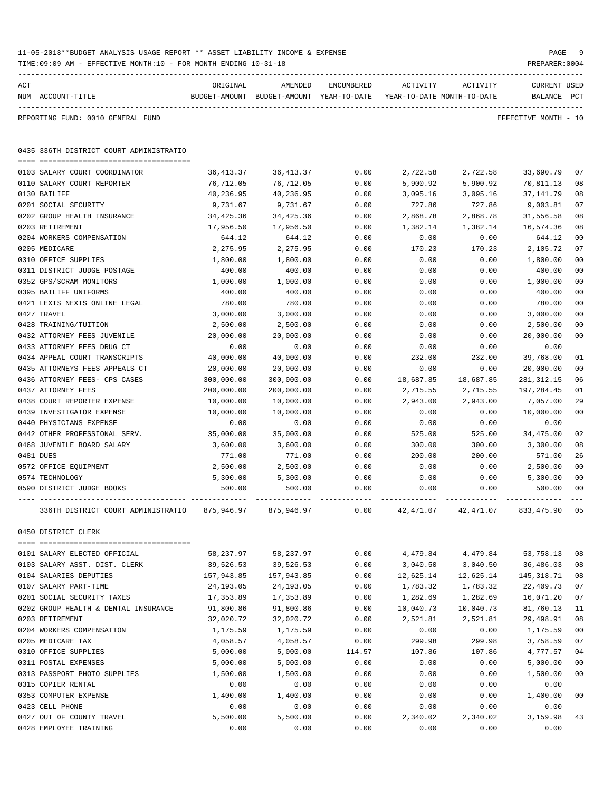|     | TIME: 09:09 AM - EFFECTIVE MONTH: 10 - FOR MONTH ENDING 10-31-18 |            |                                                                                |            |            |            | PREPARER: 0004                     |                |
|-----|------------------------------------------------------------------|------------|--------------------------------------------------------------------------------|------------|------------|------------|------------------------------------|----------------|
| ACT | NUM ACCOUNT-TITLE                                                | ORIGINAL   | AMENDED<br>BUDGET-AMOUNT BUDGET-AMOUNT YEAR-TO-DATE YEAR-TO-DATE MONTH-TO-DATE | ENCUMBERED | ACTIVITY   | ACTIVITY   | <b>CURRENT USED</b><br>BALANCE PCT |                |
|     | REPORTING FUND: 0010 GENERAL FUND                                |            |                                                                                |            |            |            | EFFECTIVE MONTH - 10               |                |
|     | 0435 336TH DISTRICT COURT ADMINISTRATIO                          |            |                                                                                |            |            |            |                                    |                |
|     | 0103 SALARY COURT COORDINATOR                                    | 36,413.37  | 36,413.37                                                                      | 0.00       | 2,722.58   | 2,722.58   | 33,690.79                          | 07             |
|     | 0110 SALARY COURT REPORTER                                       | 76,712.05  | 76,712.05                                                                      | 0.00       | 5,900.92   | 5,900.92   | 70,811.13                          | 08             |
|     | 0130 BAILIFF                                                     | 40,236.95  | 40,236.95                                                                      | 0.00       | 3,095.16   | 3,095.16   | 37, 141.79                         | 08             |
|     | 0201 SOCIAL SECURITY                                             | 9,731.67   | 9,731.67                                                                       | 0.00       | 727.86     | 727.86     | 9,003.81                           | 07             |
|     | 0202 GROUP HEALTH INSURANCE                                      | 34,425.36  | 34,425.36                                                                      | 0.00       | 2,868.78   | 2,868.78   | 31,556.58                          | 08             |
|     | 0203 RETIREMENT                                                  | 17,956.50  | 17,956.50                                                                      | 0.00       | 1,382.14   | 1,382.14   | 16,574.36                          | 08             |
|     | 0204 WORKERS COMPENSATION                                        | 644.12     | 644.12                                                                         | 0.00       | 0.00       | 0.00       | 644.12                             | 0 <sub>0</sub> |
|     | 0205 MEDICARE                                                    | 2,275.95   | 2,275.95                                                                       | 0.00       | 170.23     | 170.23     | 2,105.72                           | 07             |
|     | 0310 OFFICE SUPPLIES                                             | 1,800.00   | 1,800.00                                                                       | 0.00       | 0.00       | 0.00       | 1,800.00                           | 0 <sub>0</sub> |
|     | 0311 DISTRICT JUDGE POSTAGE                                      | 400.00     | 400.00                                                                         | 0.00       | 0.00       | 0.00       | 400.00                             | 0 <sub>0</sub> |
|     | 0352 GPS/SCRAM MONITORS                                          | 1,000.00   | 1,000.00                                                                       | 0.00       | 0.00       | 0.00       | 1,000.00                           | 0 <sub>0</sub> |
|     | 0395 BAILIFF UNIFORMS                                            | 400.00     | 400.00                                                                         | 0.00       | 0.00       | 0.00       | 400.00                             | 0 <sub>0</sub> |
|     | 0421 LEXIS NEXIS ONLINE LEGAL                                    | 780.00     | 780.00                                                                         | 0.00       | 0.00       | 0.00       | 780.00                             | 0 <sub>0</sub> |
|     | 0427 TRAVEL                                                      | 3,000.00   | 3,000.00                                                                       | 0.00       | 0.00       | 0.00       | 3,000.00                           | 0 <sub>0</sub> |
|     | 0428 TRAINING/TUITION                                            | 2,500.00   | 2,500.00                                                                       | 0.00       | 0.00       | 0.00       | 2,500.00                           | 0 <sub>0</sub> |
|     | 0432 ATTORNEY FEES JUVENILE                                      | 20,000.00  | 20,000.00                                                                      | 0.00       | 0.00       | 0.00       | 20,000.00                          | 0 <sub>0</sub> |
|     | 0433 ATTORNEY FEES DRUG CT                                       | 0.00       | 0.00                                                                           | 0.00       | 0.00       | 0.00       | 0.00                               |                |
|     | 0434 APPEAL COURT TRANSCRIPTS                                    | 40,000.00  | 40,000.00                                                                      | 0.00       | 232.00     | 232.00     | 39,768.00                          | 01             |
|     | 0435 ATTORNEYS FEES APPEALS CT                                   | 20,000.00  | 20,000.00                                                                      | 0.00       | 0.00       | 0.00       | 20,000.00                          | 00             |
|     | 0436 ATTORNEY FEES- CPS CASES                                    | 300,000.00 | 300,000.00                                                                     | 0.00       | 18,687.85  | 18,687.85  | 281, 312.15                        | 06             |
|     | 0437 ATTORNEY FEES                                               | 200,000.00 | 200,000.00                                                                     | 0.00       | 2,715.55   | 2,715.55   | 197,284.45                         | 01             |
|     | 0438 COURT REPORTER EXPENSE                                      | 10,000.00  | 10,000.00                                                                      | 0.00       | 2,943.00   | 2,943.00   | 7,057.00                           | 29             |
|     | 0439 INVESTIGATOR EXPENSE                                        | 10,000.00  | 10,000.00                                                                      | 0.00       | 0.00       | 0.00       | 10,000.00                          | 0 <sub>0</sub> |
|     | 0440 PHYSICIANS EXPENSE                                          | 0.00       | 0.00                                                                           | 0.00       | 0.00       | 0.00       | 0.00                               |                |
|     | 0442 OTHER PROFESSIONAL SERV.                                    | 35,000.00  | 35,000.00                                                                      | 0.00       | 525.00     | 525.00     | 34,475.00                          | 02             |
|     | 0468 JUVENILE BOARD SALARY                                       | 3,600.00   | 3,600.00                                                                       | 0.00       | 300.00     | 300.00     | 3,300.00                           | 08             |
|     | 0481 DUES                                                        | 771.00     | 771.00                                                                         | 0.00       | 200.00     | 200.00     | 571.00                             | 26             |
|     | 0572 OFFICE EQUIPMENT                                            | 2,500.00   | 2,500.00                                                                       | 0.00       | 0.00       | 0.00       | 2,500.00                           | 0 <sub>0</sub> |
|     | 0574 TECHNOLOGY                                                  | 5,300.00   | 5,300.00                                                                       | 0.00       | 0.00       | 0.00       | 5,300.00                           | 0 <sub>0</sub> |
|     | 0590 DISTRICT JUDGE BOOKS                                        | 500.00     | 500.00                                                                         | 0.00       | 0.00       | 0.00       | 500.00                             | 00             |
|     | 336TH DISTRICT COURT ADMINISTRATIO                               | 875,946.97 | 875,946.97                                                                     | 0.00       | 42, 471.07 | 42, 471.07 | 833, 475.90                        | 05             |
|     | 0450 DISTRICT CLERK                                              |            |                                                                                |            |            |            |                                    |                |
|     | 0101 SALARY ELECTED OFFICIAL                                     | 58,237.97  | 58,237.97                                                                      | 0.00       | 4,479.84   | 4,479.84   | 53,758.13                          | 08             |
|     | 0103 SALARY ASST. DIST. CLERK                                    | 39,526.53  | 39,526.53                                                                      | 0.00       | 3,040.50   | 3,040.50   | 36,486.03                          | 08             |
|     | 0104 SALARIES DEPUTIES                                           | 157,943.85 | 157,943.85                                                                     | 0.00       | 12,625.14  | 12,625.14  | 145, 318.71                        | 08             |
|     | 0107 SALARY PART-TIME                                            | 24,193.05  | 24, 193.05                                                                     | 0.00       | 1,783.32   | 1,783.32   | 22,409.73                          | 07             |
|     | 0201 SOCIAL SECURITY TAXES                                       | 17,353.89  | 17,353.89                                                                      | 0.00       | 1,282.69   | 1,282.69   | 16,071.20                          | 07             |
|     | 0202 GROUP HEALTH & DENTAL INSURANCE                             | 91,800.86  | 91,800.86                                                                      | 0.00       | 10,040.73  | 10,040.73  | 81,760.13                          | 11             |
|     | 0203 RETIREMENT                                                  | 32,020.72  | 32,020.72                                                                      | 0.00       | 2,521.81   | 2,521.81   | 29,498.91                          | 08             |
|     | 0204 WORKERS COMPENSATION                                        | 1,175.59   | 1,175.59                                                                       | 0.00       | 0.00       | 0.00       | 1,175.59                           | 00             |
|     | 0205 MEDICARE TAX                                                | 4,058.57   | 4,058.57                                                                       | 0.00       | 299.98     | 299.98     | 3,758.59                           | 07             |
|     | 0310 OFFICE SUPPLIES                                             | 5,000.00   | 5,000.00                                                                       | 114.57     | 107.86     | 107.86     | 4,777.57                           | 04             |
|     | 0311 POSTAL EXPENSES                                             | 5,000.00   | 5,000.00                                                                       | 0.00       | 0.00       | 0.00       | 5,000.00                           | 0 <sub>0</sub> |
|     | 0313 PASSPORT PHOTO SUPPLIES                                     | 1,500.00   | 1,500.00                                                                       | 0.00       | 0.00       | 0.00       | 1,500.00                           | 0 <sub>0</sub> |
|     | 0315 COPIER RENTAL                                               | 0.00       | 0.00                                                                           | 0.00       | 0.00       | 0.00       | 0.00                               |                |
|     | 0353 COMPUTER EXPENSE                                            | 1,400.00   | 1,400.00                                                                       | 0.00       | 0.00       | 0.00       | 1,400.00                           | 0 <sub>0</sub> |
|     | 0423 CELL PHONE                                                  | 0.00       | 0.00                                                                           | 0.00       | 0.00       | 0.00       | 0.00                               |                |
|     | 0427 OUT OF COUNTY TRAVEL                                        | 5,500.00   | 5,500.00                                                                       | 0.00       | 2,340.02   | 2,340.02   | 3,159.98                           | 43             |
|     | 0428 EMPLOYEE TRAINING                                           | 0.00       | 0.00                                                                           | 0.00       | 0.00       | 0.00       | 0.00                               |                |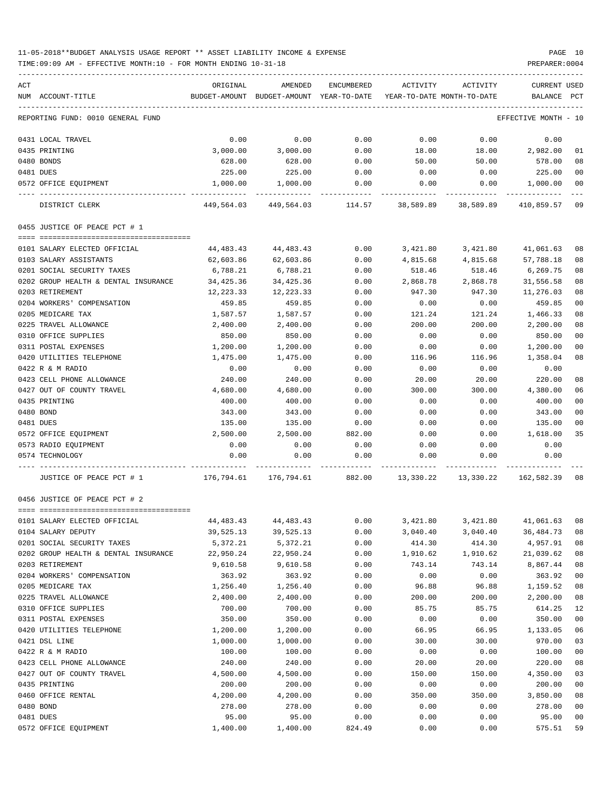TIME:09:09 AM - EFFECTIVE MONTH:10 - FOR MONTH ENDING 10-31-18 PREPARER:0004

| ACT |                                      | ORIGINAL                                                            | AMENDED                                          | ENCUMBERED | ACTIVITY ACTIVITY |                   | CURRENT USED                                                |                |
|-----|--------------------------------------|---------------------------------------------------------------------|--------------------------------------------------|------------|-------------------|-------------------|-------------------------------------------------------------|----------------|
|     | NUM ACCOUNT-TITLE                    | BUDGET-AMOUNT BUDGET-AMOUNT YEAR-TO-DATE YEAR-TO-DATE MONTH-TO-DATE |                                                  |            |                   |                   | BALANCE                                                     | PCT            |
|     | REPORTING FUND: 0010 GENERAL FUND    |                                                                     |                                                  |            |                   |                   | EFFECTIVE MONTH - 10                                        |                |
|     | 0431 LOCAL TRAVEL                    | 0.00                                                                | 0.00                                             | 0.00       | 0.00              | 0.00              | 0.00                                                        |                |
|     | 0435 PRINTING                        | 3,000.00                                                            | 3,000.00                                         | 0.00       | 18.00             | 18.00             | 2,982.00                                                    | 01             |
|     | 0480 BONDS                           | 628.00                                                              | 628.00                                           | 0.00       | 50.00             | 50.00             | 578.00                                                      | 08             |
|     | 0481 DUES                            | 225.00                                                              | 225.00                                           | 0.00       | 0.00              | 0.00              | 225.00                                                      | 00             |
|     | 0572 OFFICE EQUIPMENT                | 1,000.00                                                            | 1,000.00                                         | 0.00       | 0.00              | 0.00              | 1,000.00                                                    | 00             |
|     | DISTRICT CLERK                       |                                                                     | 449,564.03 449,564.03 114.57 38,589.89 38,589.89 |            |                   |                   | 410,859.57                                                  | 09             |
|     | 0455 JUSTICE OF PEACE PCT # 1        |                                                                     |                                                  |            |                   |                   |                                                             |                |
|     |                                      |                                                                     |                                                  |            |                   |                   |                                                             |                |
|     | 0101 SALARY ELECTED OFFICIAL         | 44,483.43                                                           | 44,483.43                                        | 0.00       |                   | 3,421.80 3,421.80 | 41,061.63                                                   | 08             |
|     | 0103 SALARY ASSISTANTS               | 62,603.86                                                           | 62,603.86                                        | 0.00       | 4,815.68          | 4,815.68          | 57,788.18                                                   | 08             |
|     | 0201 SOCIAL SECURITY TAXES           | 6,788.21                                                            | 6,788.21                                         | 0.00       | 518.46            | 518.46            | 6,269.75                                                    | 08             |
|     | 0202 GROUP HEALTH & DENTAL INSURANCE | 34,425.36                                                           | 34,425.36                                        | 0.00       | 2,868.78          | 2,868.78          | 31,556.58                                                   | 08             |
|     | 0203 RETIREMENT                      | 12,223.33                                                           | 12,223.33                                        | 0.00       | 947.30            | 947.30            | 11,276.03                                                   | 08             |
|     | 0204 WORKERS' COMPENSATION           | 459.85                                                              | 459.85                                           | 0.00       | 0.00              | 0.00              | 459.85                                                      | 00             |
|     | 0205 MEDICARE TAX                    | 1,587.57                                                            | 1,587.57                                         | 0.00       | 121.24            | 121.24            | 1,466.33                                                    | 08             |
|     | 0225 TRAVEL ALLOWANCE                | 2,400.00                                                            | 2,400.00                                         | 0.00       | 200.00            | 200.00            | 2,200.00                                                    | 08             |
|     | 0310 OFFICE SUPPLIES                 | 850.00                                                              | 850.00                                           | 0.00       | 0.00              | 0.00              | 850.00                                                      | 0 <sub>0</sub> |
|     | 0311 POSTAL EXPENSES                 | 1,200.00                                                            | 1,200.00                                         | 0.00       | 0.00              | 0.00              | 1,200.00                                                    | 0 <sub>0</sub> |
|     | 0420 UTILITIES TELEPHONE             | 1,475.00                                                            | 1,475.00                                         | 0.00       | 116.96            | 116.96            | 1,358.04                                                    | 08             |
|     | 0422 R & M RADIO                     | 0.00                                                                | 0.00                                             | 0.00       | 0.00              | 0.00              | 0.00                                                        |                |
|     | 0423 CELL PHONE ALLOWANCE            | 240.00                                                              | 240.00                                           | 0.00       | 20.00             | 20.00             | 220.00                                                      | 08             |
|     | 0427 OUT OF COUNTY TRAVEL            | 4,680.00                                                            | 4,680.00                                         | 0.00       | 300.00            | 300.00            | 4,380.00                                                    | 06             |
|     | 0435 PRINTING                        | 400.00                                                              | 400.00                                           | 0.00       | 0.00              | 0.00              | 400.00                                                      | 0 <sub>0</sub> |
|     | 0480 BOND                            | 343.00                                                              | 343.00                                           | 0.00       | 0.00              | 0.00              | 343.00                                                      | 0 <sub>0</sub> |
|     | 0481 DUES                            | 135.00                                                              | 135.00                                           | 0.00       | 0.00              | 0.00              | 135.00                                                      | 00             |
|     | 0572 OFFICE EQUIPMENT                | 2,500.00                                                            | 2,500.00                                         | 882.00     | 0.00              | 0.00              | 1,618.00                                                    | 35             |
|     | 0573 RADIO EQUIPMENT                 | 0.00                                                                | 0.00                                             | 0.00       | 0.00              | 0.00              | 0.00                                                        |                |
|     | 0574 TECHNOLOGY                      | 0.00                                                                | 0.00                                             | 0.00       | 0.00              | 0.00              | 0.00                                                        |                |
|     | JUSTICE OF PEACE PCT # 1             |                                                                     |                                                  |            |                   |                   | 176,794.61 176,794.61 882.00 13,330.22 13,330.22 162,582.39 | 08             |
|     | 0456 JUSTICE OF PEACE PCT # 2        |                                                                     |                                                  |            |                   |                   |                                                             |                |
|     | 0101 SATAKI ETECIED OFFICIAL         | 44,483.43                                                           | 44,483.43                                        | 0.00       | 3,421.80          | 3,421.80          | 41,061.63                                                   | 08             |
|     | 0104 SALARY DEPUTY                   | 39,525.13                                                           | 39,525.13                                        | 0.00       | 3,040.40          | 3,040.40          | 36, 484. 73                                                 | 08             |
|     | 0201 SOCIAL SECURITY TAXES           | 5,372.21                                                            | 5,372.21                                         | 0.00       | 414.30            | 414.30            | 4,957.91                                                    | 08             |
|     | 0202 GROUP HEALTH & DENTAL INSURANCE | 22,950.24                                                           | 22,950.24                                        | 0.00       | 1,910.62          | 1,910.62          | 21,039.62                                                   | 08             |
|     | 0203 RETIREMENT                      | 9,610.58                                                            | 9,610.58                                         | 0.00       | 743.14            | 743.14            | 8,867.44                                                    | 08             |
|     | 0204 WORKERS' COMPENSATION           | 363.92                                                              | 363.92                                           | 0.00       | 0.00              | 0.00              | 363.92                                                      | 0 <sub>0</sub> |
|     | 0205 MEDICARE TAX                    | 1,256.40                                                            | 1,256.40                                         | 0.00       | 96.88             | 96.88             | 1,159.52                                                    | 08             |
|     | 0225 TRAVEL ALLOWANCE                | 2,400.00                                                            | 2,400.00                                         | 0.00       | 200.00            | 200.00            | 2,200.00                                                    | 08             |
|     | 0310 OFFICE SUPPLIES                 | 700.00                                                              | 700.00                                           | 0.00       | 85.75             | 85.75             | 614.25                                                      | 12             |
|     | 0311 POSTAL EXPENSES                 | 350.00                                                              | 350.00                                           | 0.00       | 0.00              | 0.00              | 350.00                                                      | 0 <sub>0</sub> |
|     | 0420 UTILITIES TELEPHONE             | 1,200.00                                                            | 1,200.00                                         | 0.00       | 66.95             | 66.95             | 1,133.05                                                    | 06             |
|     | 0421 DSL LINE                        | 1,000.00                                                            | 1,000.00                                         | 0.00       | 30.00             | 30.00             | 970.00                                                      | 03             |
|     | 0422 R & M RADIO                     | 100.00                                                              | 100.00                                           | 0.00       | 0.00              | 0.00              | 100.00                                                      | 0 <sub>0</sub> |
|     | 0423 CELL PHONE ALLOWANCE            | 240.00                                                              | 240.00                                           | 0.00       | 20.00             | 20.00             | 220.00                                                      | 08             |
|     | 0427 OUT OF COUNTY TRAVEL            | 4,500.00                                                            | 4,500.00                                         | 0.00       | 150.00            | 150.00            | 4,350.00                                                    | 03             |
|     | 0435 PRINTING                        | 200.00                                                              | 200.00                                           | 0.00       | 0.00              | 0.00              | 200.00                                                      | 0 <sub>0</sub> |
|     | 0460 OFFICE RENTAL                   | 4,200.00                                                            | 4,200.00                                         | 0.00       | 350.00            | 350.00            | 3,850.00                                                    | 08             |
|     | 0480 BOND                            | 278.00                                                              | 278.00                                           | 0.00       | 0.00              | 0.00              | 278.00                                                      | 0 <sub>0</sub> |

0481 DUES 95.00 95.00 0.00 0.00 0.00 95.00 00 0572 OFFICE EQUIPMENT 1,400.00 1,400.00 824.49 0.00 0.00 575.51 59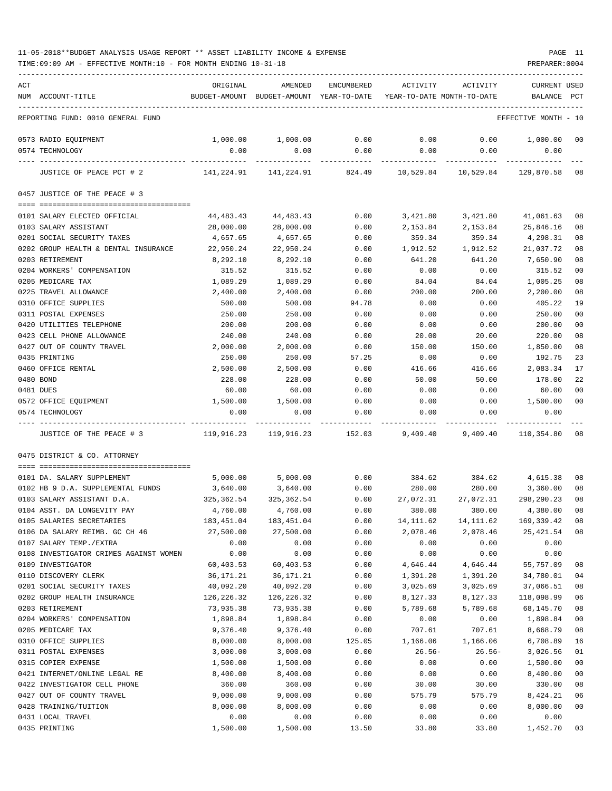TIME:09:09 AM - EFFECTIVE MONTH:10 - FOR MONTH ENDING 10-31-18 PREPARER:0004

| ACT |                                        | ORIGINAL     | AMENDED                                                             | ENCUMBERED   | ACTIVITY          | ACTIVITY            | CURRENT USED         |                |
|-----|----------------------------------------|--------------|---------------------------------------------------------------------|--------------|-------------------|---------------------|----------------------|----------------|
|     | NUM ACCOUNT-TITLE                      |              | BUDGET-AMOUNT BUDGET-AMOUNT YEAR-TO-DATE YEAR-TO-DATE MONTH-TO-DATE |              |                   |                     | BALANCE              | PCT            |
|     |                                        |              |                                                                     |              |                   |                     |                      |                |
|     | REPORTING FUND: 0010 GENERAL FUND      |              |                                                                     |              |                   |                     | EFFECTIVE MONTH - 10 |                |
|     | 0573 RADIO EQUIPMENT                   | 1,000.00     | 1,000.00                                                            | 0.00         | 0.00              | 0.00                | 1,000.00 00          |                |
|     | 0574 TECHNOLOGY                        | 0.00         | 0.00                                                                | 0.00         | 0.00              | 0.00                | 0.00                 |                |
|     |                                        | ____________ |                                                                     | ------------ |                   |                     |                      |                |
|     | JUSTICE OF PEACE PCT # 2               |              | $141,224.91$ $141,224.91$ $824.49$ $10,529.84$ $10,529.84$          |              |                   |                     | 129,870.58           | -08            |
|     | 0457 JUSTICE OF THE PEACE # 3          |              |                                                                     |              |                   |                     |                      |                |
|     | 0101 SALARY ELECTED OFFICIAL           | 44,483.43    | 44, 483. 43                                                         | 0.00         | 3,421.80 3,421.80 |                     | 41,061.63            | 08             |
|     | 0103 SALARY ASSISTANT                  | 28,000.00    | 28,000.00                                                           | 0.00         | 2,153.84          | 2,153.84            | 25,846.16            | 08             |
|     | 0201 SOCIAL SECURITY TAXES             | 4,657.65     | 4,657.65                                                            | 0.00         | 359.34            | 359.34              | 4,298.31             | 08             |
|     | 0202 GROUP HEALTH & DENTAL INSURANCE   | 22,950.24    | 22,950.24                                                           | 0.00         | 1,912.52          | 1,912.52            | 21,037.72            | 08             |
|     | 0203 RETIREMENT                        | 8,292.10     | 8,292.10                                                            | 0.00         | 641.20            | 641.20              | 7,650.90             | 08             |
|     | 0204 WORKERS' COMPENSATION             | 315.52       | 315.52                                                              | 0.00         | 0.00              | 0.00                | 315.52               | 00             |
|     | 0205 MEDICARE TAX                      | 1,089.29     | 1,089.29                                                            | 0.00         | 84.04             | 84.04               | 1,005.25             | 08             |
|     | 0225 TRAVEL ALLOWANCE                  | 2,400.00     | 2,400.00                                                            | 0.00         | 200.00            | 200.00              | 2,200.00             | 08             |
|     | 0310 OFFICE SUPPLIES                   | 500.00       | 500.00                                                              | 94.78        | 0.00              | 0.00                | 405.22               | 19             |
|     | 0311 POSTAL EXPENSES                   | 250.00       | 250.00                                                              | 0.00         | 0.00              | 0.00                | 250.00               | 0 <sub>0</sub> |
|     | 0420 UTILITIES TELEPHONE               | 200.00       | 200.00                                                              | 0.00         | 0.00              | 0.00                | 200.00               | 0 <sub>0</sub> |
|     | 0423 CELL PHONE ALLOWANCE              | 240.00       | 240.00                                                              | 0.00         | 20.00             | 20.00               | 220.00               | 08             |
|     | 0427 OUT OF COUNTY TRAVEL              | 2,000.00     | 2,000.00                                                            | 0.00         | 150.00            | 150.00              | 1,850.00             | 08             |
|     | 0435 PRINTING                          | 250.00       | 250.00                                                              | 57.25        | 0.00              | 0.00                | 192.75               | 23             |
|     | 0460 OFFICE RENTAL                     | 2,500.00     | 2,500.00                                                            | 0.00         | 416.66            | 416.66              | 2,083.34             | 17             |
|     |                                        |              |                                                                     |              |                   |                     |                      | 22             |
|     | 0480 BOND                              | 228.00       | 228.00                                                              | 0.00         | 50.00             | 50.00               | 178.00               |                |
|     | 0481 DUES                              | 60.00        | 60.00                                                               | 0.00         | 0.00              | 0.00                | 60.00                | 00             |
|     | 0572 OFFICE EQUIPMENT                  | 1,500.00     | 1,500.00                                                            | 0.00         | 0.00              | 0.00                | 1,500.00             | 00             |
|     | 0574 TECHNOLOGY                        | 0.00         | 0.00                                                                | 0.00         | 0.00              | 0.00                | 0.00                 |                |
|     | JUSTICE OF THE PEACE # 3               |              | 119,916.23 119,916.23 152.03                                        |              | 9,409.40          | 9,409.40            | 110,354.80 08        |                |
|     | 0475 DISTRICT & CO. ATTORNEY           |              |                                                                     |              |                   |                     |                      |                |
|     |                                        |              |                                                                     |              |                   |                     |                      |                |
|     | 0101 DA. SALARY SUPPLEMENT             | 5,000.00     | 5,000.00                                                            | 0.00         | 384.62            |                     | 384.62 4,615.38      | 08             |
|     | 0102 HB 9 D.A. SUPPLEMENTAL FUNDS      | 3,640.00     | 3,640.00                                                            | 0.00         | 280.00            | 280.00              | 3,360.00             | 08             |
|     | 0103 SALARY ASSISTANT D.A.             | 325,362.54   | 325,362.54                                                          | 0.00         |                   | 27,072.31 27,072.31 | 298,290.23           | 08             |
|     | 0104 ASST. DA LONGEVITY PAY            | 4,760.00     | 4,760.00                                                            | 0.00         | 380.00            | 380.00              | 4,380.00             | 08             |
|     | 0105 SALARIES SECRETARIES              | 183,451.04   | 183,451.04                                                          | 0.00         | 14, 111.62        | 14, 111.62          | 169,339.42           | 08             |
|     | 0106 DA SALARY REIMB. GC CH 46         | 27,500.00    | 27,500.00                                                           | 0.00         | 2,078.46          | 2,078.46            | 25, 421.54           | 08             |
|     | 0107 SALARY TEMP./EXTRA                | 0.00         | 0.00                                                                | 0.00         | 0.00              | 0.00                | 0.00                 |                |
|     | 0108 INVESTIGATOR CRIMES AGAINST WOMEN | 0.00         | 0.00                                                                | 0.00         | 0.00              | 0.00                | 0.00                 |                |
|     | 0109 INVESTIGATOR                      | 60,403.53    | 60,403.53                                                           | 0.00         | 4,646.44          | 4,646.44            | 55,757.09            | 08             |
|     | 0110 DISCOVERY CLERK                   | 36,171.21    | 36,171.21                                                           | 0.00         | 1,391.20          | 1,391.20            | 34,780.01            | 04             |
|     | 0201 SOCIAL SECURITY TAXES             | 40,092.20    | 40,092.20                                                           | 0.00         | 3,025.69          | 3,025.69            | 37,066.51            | 08             |
|     | 0202 GROUP HEALTH INSURANCE            | 126,226.32   | 126,226.32                                                          | 0.00         | 8,127.33          | 8,127.33            | 118,098.99           | 06             |
|     | 0203 RETIREMENT                        | 73,935.38    | 73,935.38                                                           | 0.00         | 5,789.68          | 5,789.68            | 68,145.70            | 08             |
|     | 0204 WORKERS' COMPENSATION             | 1,898.84     | 1,898.84                                                            | 0.00         | 0.00              | 0.00                | 1,898.84             | 0 <sub>0</sub> |
|     | 0205 MEDICARE TAX                      | 9,376.40     | 9,376.40                                                            | 0.00         | 707.61            | 707.61              | 8,668.79             | 08             |
|     | 0310 OFFICE SUPPLIES                   | 8,000.00     | 8,000.00                                                            | 125.05       | 1,166.06          | 1,166.06            | 6,708.89             | 16             |
|     | 0311 POSTAL EXPENSES                   | 3,000.00     | 3,000.00                                                            | 0.00         | $26.56-$          | $26.56-$            | 3,026.56             | 01             |
|     | 0315 COPIER EXPENSE                    | 1,500.00     | 1,500.00                                                            | 0.00         | 0.00              | 0.00                | 1,500.00             | 00             |
|     | 0421 INTERNET/ONLINE LEGAL RE          | 8,400.00     | 8,400.00                                                            | 0.00         | 0.00              | 0.00                | 8,400.00             | 0 <sub>0</sub> |
|     | 0422 INVESTIGATOR CELL PHONE           | 360.00       | 360.00                                                              | 0.00         | 30.00             | 30.00               | 330.00               | 08             |
|     | 0427 OUT OF COUNTY TRAVEL              | 9,000.00     | 9,000.00                                                            | 0.00         | 575.79            | 575.79              | 8,424.21             | 06             |
|     | 0428 TRAINING/TUITION                  | 8,000.00     | 8,000.00                                                            | 0.00         | 0.00              | 0.00                | 8,000.00             | $00\,$         |
|     | 0431 LOCAL TRAVEL                      | 0.00         | 0.00                                                                | 0.00         | 0.00              | 0.00                | 0.00                 |                |

0435 PRINTING 1,500.00 1,500.00 13.50 33.80 33.80 1,452.70 03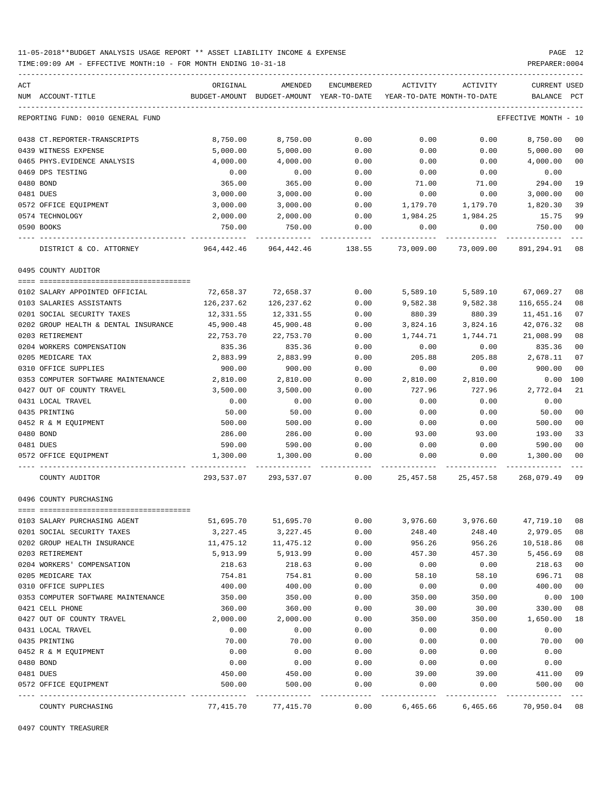TIME:09:09 AM - EFFECTIVE MONTH:10 - FOR MONTH ENDING 10-31-18 PREPARER:0004

| ACT |                                      | ORIGINAL           | AMENDED                                  | ENCUMBERED      | ACTIVITY                   | ACTIVITY     | CURRENT USED                          |                |
|-----|--------------------------------------|--------------------|------------------------------------------|-----------------|----------------------------|--------------|---------------------------------------|----------------|
|     | NUM ACCOUNT-TITLE                    |                    | BUDGET-AMOUNT BUDGET-AMOUNT YEAR-TO-DATE |                 | YEAR-TO-DATE MONTH-TO-DATE |              | BALANCE                               | PCT            |
|     | REPORTING FUND: 0010 GENERAL FUND    |                    |                                          |                 |                            |              | EFFECTIVE MONTH - 10                  |                |
|     | 0438 CT.REPORTER-TRANSCRIPTS         | 8,750.00           | 8,750.00                                 | 0.00            | 0.00                       | 0.00         | 8,750.00                              | 00             |
|     | 0439 WITNESS EXPENSE                 | 5,000.00           | 5,000.00                                 | 0.00            | 0.00                       | 0.00         | 5,000.00                              | 00             |
|     | 0465 PHYS. EVIDENCE ANALYSIS         | 4,000.00           | 4,000.00                                 | 0.00            | 0.00                       | 0.00         | 4,000.00                              | 0 <sub>0</sub> |
|     | 0469 DPS TESTING                     | 0.00               | 0.00                                     | 0.00            | 0.00                       | 0.00         | 0.00                                  |                |
|     | 0480 BOND                            | 365.00             | 365.00                                   | 0.00            | 71.00                      | 71.00        | 294.00                                | 19             |
|     | 0481 DUES                            | 3,000.00           | 3,000.00                                 | 0.00            | 0.00                       | 0.00         | 3,000.00                              | 0 <sub>0</sub> |
|     | 0572 OFFICE EQUIPMENT                | 3,000.00           | 3,000.00                                 | 0.00            | 1,179.70                   | 1,179.70     | 1,820.30                              | 39             |
|     | 0574 TECHNOLOGY                      | 2,000.00           | 2,000.00                                 | 0.00            | 1,984.25                   | 1,984.25     | 15.75                                 | 99             |
|     | 0590 BOOKS                           | 750.00             | 750.00                                   | 0.00            | 0.00                       | 0.00         | 750.00                                | 0 <sub>0</sub> |
|     | DISTRICT & CO. ATTORNEY              | 964,442.46         | 964,442.46                               | 138.55          | 73,009.00                  | 73,009.00    | 891,294.91                            | 08             |
|     | 0495 COUNTY AUDITOR                  |                    |                                          |                 |                            |              |                                       |                |
|     | 0102 SALARY APPOINTED OFFICIAL       | 72,658.37          | 72,658.37                                | 0.00            | 5,589.10                   | 5,589.10     | 67,069.27                             | 08             |
|     | 0103 SALARIES ASSISTANTS             | 126,237.62         | 126,237.62                               | 0.00            | 9,582.38                   | 9,582.38     | 116,655.24                            | 08             |
|     | 0201 SOCIAL SECURITY TAXES           | 12,331.55          | 12,331.55                                | 0.00            | 880.39                     | 880.39       | 11,451.16                             | 07             |
|     | 0202 GROUP HEALTH & DENTAL INSURANCE | 45,900.48          | 45,900.48                                | 0.00            | 3,824.16                   | 3,824.16     | 42,076.32                             | 08             |
|     | 0203 RETIREMENT                      | 22,753.70          | 22,753.70                                | 0.00            | 1,744.71                   | 1,744.71     | 21,008.99                             | 08             |
|     | 0204 WORKERS COMPENSATION            | 835.36             | 835.36                                   | 0.00            | 0.00                       | 0.00         | 835.36                                | 0 <sub>0</sub> |
|     | 0205 MEDICARE TAX                    | 2,883.99           | 2,883.99                                 | 0.00            | 205.88                     | 205.88       | 2,678.11                              | 07             |
|     | 0310 OFFICE SUPPLIES                 | 900.00             | 900.00                                   | 0.00            | 0.00                       | 0.00         | 900.00                                | 00             |
|     | 0353 COMPUTER SOFTWARE MAINTENANCE   |                    |                                          | 0.00            |                            |              |                                       | 100            |
|     | 0427 OUT OF COUNTY TRAVEL            | 2,810.00           | 2,810.00                                 | 0.00            | 2,810.00                   | 2,810.00     | 0.00                                  | 21             |
|     |                                      | 3,500.00           | 3,500.00<br>0.00                         |                 | 727.96                     | 727.96       | 2,772.04                              |                |
|     | 0431 LOCAL TRAVEL                    | 0.00               |                                          | 0.00            | 0.00                       | 0.00         | 0.00                                  | 0 <sub>0</sub> |
|     | 0435 PRINTING                        | 50.00              | 50.00                                    | 0.00            | 0.00                       | 0.00         | 50.00                                 |                |
|     | 0452 R & M EQUIPMENT<br>0480 BOND    | 500.00             | 500.00                                   | 0.00            | 0.00                       | 0.00         | 500.00                                | 00<br>33       |
|     |                                      | 286.00             | 286.00                                   | 0.00            | 93.00                      | 93.00        | 193.00                                | 0 <sub>0</sub> |
|     | 0481 DUES<br>0572 OFFICE EQUIPMENT   | 590.00<br>1,300.00 | 590.00<br>1,300.00                       | 0.00<br>0.00    | 0.00<br>0.00               | 0.00<br>0.00 | 590.00<br>1,300.00                    | 0 <sub>0</sub> |
|     | COUNTY AUDITOR                       |                    | 293,537.07 293,537.07                    |                 |                            |              | $0.00$ 25,457.58 25,457.58 268,079.49 | 09             |
|     | 0496 COUNTY PURCHASING               |                    |                                          |                 |                            |              |                                       |                |
|     |                                      |                    |                                          |                 |                            |              |                                       |                |
|     | 0103 SALARY PURCHASING AGENT         | 51,695.70          | 51,695.70                                | 0.00            | 3,976.60                   | 3,976.60     | 47,719.10                             | 08             |
|     | 0201 SOCIAL SECURITY TAXES           | 3,227.45           | 3,227.45                                 | 0.00            | 248.40                     | 248.40       | 2,979.05                              | 08             |
|     | 0202 GROUP HEALTH INSURANCE          | 11,475.12          | 11,475.12                                | 0.00            | 956.26                     | 956.26       | 10,518.86                             | 08             |
|     | 0203 RETIREMENT                      | 5,913.99           | 5,913.99                                 | 0.00            | 457.30                     | 457.30       | 5,456.69                              | 08             |
|     | 0204 WORKERS' COMPENSATION           | 218.63             | 218.63                                   | 0.00            | 0.00                       | 0.00         | 218.63                                | 0 <sub>0</sub> |
|     | 0205 MEDICARE TAX                    | 754.81             | 754.81                                   | 0.00            | 58.10                      | 58.10        | 696.71                                | 08             |
|     | 0310 OFFICE SUPPLIES                 | 400.00             | 400.00                                   | 0.00            | 0.00                       | 0.00         | 400.00                                | 0 <sub>0</sub> |
|     | 0353 COMPUTER SOFTWARE MAINTENANCE   | 350.00             | 350.00                                   | 0.00            | 350.00                     | 350.00       | 0.00                                  | 100            |
|     | 0421 CELL PHONE                      | 360.00             | 360.00                                   | 0.00            | 30.00                      | 30.00        | 330.00                                | 08             |
|     | 0427 OUT OF COUNTY TRAVEL            | 2,000.00           | 2,000.00                                 | 0.00            | 350.00                     | 350.00       | 1,650.00                              | 18             |
|     | 0431 LOCAL TRAVEL                    | 0.00               | 0.00                                     | 0.00            | 0.00                       | 0.00         | 0.00                                  |                |
|     | 0435 PRINTING                        | 70.00              | 70.00                                    | 0.00            | 0.00                       | 0.00         | 70.00                                 | 0 <sub>0</sub> |
|     | 0452 R & M EQUIPMENT                 | 0.00               | 0.00                                     | 0.00            | 0.00                       | 0.00         | 0.00                                  |                |
|     | 0480 BOND                            | 0.00               | 0.00                                     | 0.00            | 0.00                       | 0.00         | 0.00                                  |                |
|     | 0481 DUES                            | 450.00             | 450.00                                   | 0.00            | 39.00                      | 39.00        | 411.00                                | 09             |
|     | 0572 OFFICE EQUIPMENT                | 500.00             | 500.00                                   | 0.00<br>------- | 0.00                       | 0.00         | 500.00<br>----------                  | 0 <sub>0</sub> |
|     | COUNTY PURCHASING                    | 77,415.70          | 77,415.70                                | 0.00            | 6,465.66                   | 6,465.66     | 70,950.04 08                          |                |

0497 COUNTY TREASURER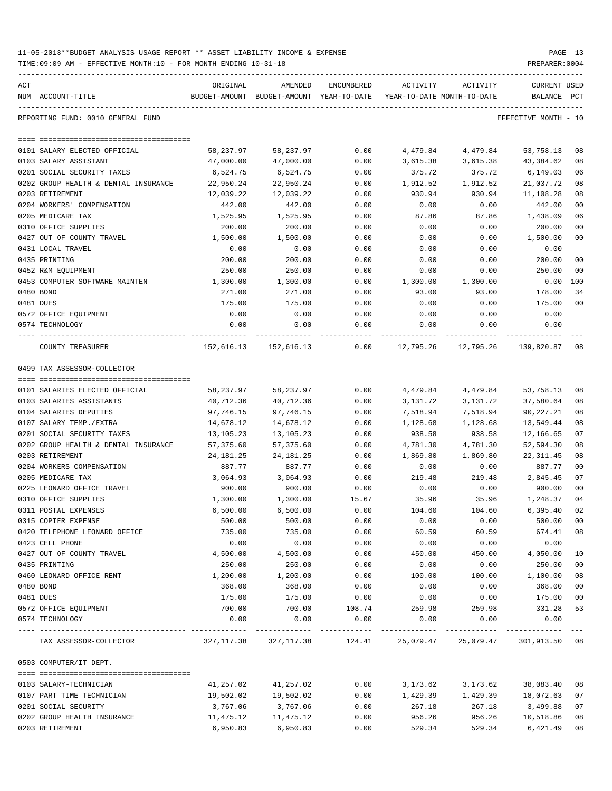| 11-05-2018**BUDGET ANALYSIS USAGE REPORT ** ASSET LIABILITY INCOME & EXPENSE |  |  |  | PAGE |  |
|------------------------------------------------------------------------------|--|--|--|------|--|
|                                                                              |  |  |  |      |  |

| ACT<br>NUM ACCOUNT-TITLE                   | ORIGINAL              | AMENDED<br>BUDGET-AMOUNT BUDGET-AMOUNT YEAR-TO-DATE | ENCUMBERED   | ACTIVITY               | ACTIVITY<br>YEAR-TO-DATE MONTH-TO-DATE                         | CURRENT USED<br>BALANCE | PCT                  |
|--------------------------------------------|-----------------------|-----------------------------------------------------|--------------|------------------------|----------------------------------------------------------------|-------------------------|----------------------|
| REPORTING FUND: 0010 GENERAL FUND          |                       |                                                     |              |                        |                                                                | EFFECTIVE MONTH - 10    |                      |
|                                            |                       |                                                     |              |                        |                                                                |                         |                      |
| 0101 SALARY ELECTED OFFICIAL               | 58,237.97             | 58,237.97                                           | 0.00         | 4,479.84               | 4,479.84                                                       | 53,758.13               | 08                   |
| 0103 SALARY ASSISTANT                      | 47,000.00             | 47,000.00                                           | 0.00         | 3,615.38               | 3,615.38                                                       | 43,384.62               | 08                   |
| 0201 SOCIAL SECURITY TAXES                 | 6,524.75              | 6,524.75                                            | 0.00         | 375.72                 | 375.72                                                         | 6,149.03                | 06                   |
| 0202 GROUP HEALTH & DENTAL INSURANCE       | 22,950.24             | 22,950.24                                           | 0.00         | 1,912.52               | 1,912.52                                                       | 21,037.72               | 08                   |
| 0203 RETIREMENT                            | 12,039.22             | 12,039.22                                           | 0.00         | 930.94                 | 930.94                                                         | 11,108.28               | 08                   |
| 0204 WORKERS' COMPENSATION                 | 442.00                | 442.00                                              | 0.00         | 0.00                   | 0.00                                                           | 442.00                  | 0 <sub>0</sub>       |
| 0205 MEDICARE TAX                          | 1,525.95              | 1,525.95                                            | 0.00         | 87.86                  | 87.86                                                          | 1,438.09                | 06                   |
| 0310 OFFICE SUPPLIES                       | 200.00                | 200.00                                              | 0.00         | 0.00                   | 0.00                                                           | 200.00                  | 0 <sub>0</sub>       |
| 0427 OUT OF COUNTY TRAVEL                  | 1,500.00              | 1,500.00                                            | 0.00         | 0.00                   | 0.00                                                           | 1,500.00                | 0 <sub>0</sub>       |
| 0431 LOCAL TRAVEL                          | 0.00                  | 0.00                                                | 0.00         | 0.00                   | 0.00                                                           | 0.00                    |                      |
| 0435 PRINTING                              | 200.00                | 200.00                                              | 0.00         | 0.00                   | 0.00                                                           | 200.00                  | 0 <sub>0</sub>       |
| 0452 R&M EQUIPMENT                         | 250.00                | 250.00                                              | 0.00         | 0.00                   | 0.00                                                           | 250.00                  | 0 <sub>0</sub>       |
| 0453 COMPUTER SOFTWARE MAINTEN             | 1,300.00              | 1,300.00                                            | 0.00         | 1,300.00               | 1,300.00                                                       | $0.00$ 100              |                      |
| 0480 BOND                                  | 271.00                | 271.00                                              | 0.00         | 93.00                  | 93.00                                                          | 178.00                  | 34                   |
| 0481 DUES                                  | 175.00                | 175.00                                              | 0.00         | 0.00                   | 0.00                                                           | 175.00                  | 0 <sub>0</sub>       |
| 0572 OFFICE EQUIPMENT<br>0574 TECHNOLOGY   | 0.00<br>0.00          | 0.00<br>0.00                                        | 0.00<br>0.00 | 0.00<br>0.00           | 0.00<br>0.00                                                   | 0.00<br>0.00            |                      |
|                                            | . _ _ _ _ _ _ _ _ _ _ | -------------                                       |              |                        | -----------                                                    |                         |                      |
| COUNTY TREASURER                           |                       |                                                     |              |                        | 152,616.13 152,616.13 0.00 12,795.26 12,795.26                 | 139,820.87 08           |                      |
| 0499 TAX ASSESSOR-COLLECTOR                |                       |                                                     |              |                        |                                                                |                         |                      |
|                                            |                       |                                                     |              |                        |                                                                |                         |                      |
| 0101 SALARIES ELECTED OFFICIAL             | 58,237.97             | 58,237.97                                           | 0.00         | 4,479.84               | 4,479.84                                                       | 53,758.13               | 08                   |
| 0103 SALARIES ASSISTANTS                   | 40,712.36             | 40,712.36                                           | 0.00         | 3,131.72               | 3,131.72                                                       | 37,580.64               | 08                   |
| 0104 SALARIES DEPUTIES                     | 97,746.15             | 97,746.15                                           | 0.00         | 7,518.94               | 7,518.94                                                       | 90,227.21               | 08                   |
| 0107 SALARY TEMP./EXTRA                    | 14,678.12             | 14,678.12                                           | 0.00         | 1,128.68               | 1,128.68                                                       | 13,549.44               | 08                   |
| 0201 SOCIAL SECURITY TAXES                 | 13,105.23             | 13,105.23                                           | 0.00         | 938.58                 | 938.58                                                         | 12,166.65               | 07                   |
| 0202 GROUP HEALTH & DENTAL INSURANCE       | 57,375.60             | 57,375.60                                           | 0.00         | 4,781.30               | 4,781.30                                                       | 52,594.30               | 08                   |
| 0203 RETIREMENT                            | 24,181.25             | 24,181.25                                           | 0.00         | 1,869.80               | 1,869.80                                                       | 22,311.45               | 08                   |
| 0204 WORKERS COMPENSATION                  | 887.77                | 887.77                                              | 0.00         | 0.00                   | 0.00                                                           | 887.77                  | 0 <sub>0</sub>       |
| 0205 MEDICARE TAX                          | 3,064.93              | 3,064.93                                            | 0.00         | 219.48                 | 219.48                                                         | 2,845.45                | 07                   |
| 0225 LEONARD OFFICE TRAVEL                 | 900.00                | 900.00                                              | 0.00         | 0.00                   | 0.00                                                           | 900.00                  | 0 <sub>0</sub>       |
| 0310 OFFICE SUPPLIES                       | 1,300.00              | 1,300.00                                            | 15.67        | 35.96                  | 35.96                                                          | 1,248.37                | 04                   |
| 0311 POSTAL EXPENSES                       | 6,500.00<br>500.00    | 6,500.00                                            | 0.00         | 104.60                 | 104.60                                                         | 6,395.40                | 02                   |
| 0315 COPIER EXPENSE                        |                       | 500.00                                              | 0.00         | 0.00                   | 0.00                                                           | 500.00 00               |                      |
| 0420 TELEPHONE LEONARD OFFICE              | 735.00                | 735.00                                              | 0.00         | 60.59                  | 60.59                                                          | 674.41                  | 08                   |
| 0423 CELL PHONE                            | 0.00                  | 0.00                                                | 0.00         | 0.00                   | 0.00                                                           | 0.00                    |                      |
| 0427 OUT OF COUNTY TRAVEL<br>0435 PRINTING | 4,500.00              | 4,500.00                                            | 0.00         | 450.00                 | 450.00                                                         | 4,050.00                | 10<br>0 <sub>0</sub> |
| 0460 LEONARD OFFICE RENT                   | 250.00<br>1,200.00    | 250.00                                              | 0.00<br>0.00 | 0.00<br>100.00         | 0.00<br>100.00                                                 | 250.00<br>1,100.00      | 08                   |
| 0480 BOND                                  | 368.00                | 1,200.00<br>368.00                                  | 0.00         | 0.00                   | 0.00                                                           | 368.00                  | 0 <sub>0</sub>       |
| 0481 DUES                                  |                       | 175.00                                              |              |                        |                                                                |                         |                      |
|                                            | 175.00                |                                                     | 0.00         | 0.00                   | 0.00                                                           | 175.00<br>331.28        | 0 <sub>0</sub>       |
| 0572 OFFICE EQUIPMENT                      | 700.00                | 700.00                                              | 108.74       | 259.98                 | 259.98                                                         | 0.00                    | 53                   |
| 0574 TECHNOLOGY                            | 0.00                  | 0.00                                                | 0.00         | 0.00<br>-------------- | 0.00<br>------------                                           | ------------            |                      |
| TAX ASSESSOR-COLLECTOR                     |                       |                                                     |              |                        | 327,117.38 327,117.38 124.41 25,079.47 25,079.47 301,913.50 08 |                         |                      |
| 0503 COMPUTER/IT DEPT.                     |                       |                                                     |              |                        |                                                                |                         |                      |
|                                            |                       |                                                     |              |                        |                                                                |                         |                      |
| 0103 SALARY-TECHNICIAN                     | 41,257.02             | 41,257.02                                           | 0.00         | 3,173.62               | 3,173.62                                                       | 38,083.40               | 08                   |
| 0107 PART TIME TECHNICIAN                  | 19,502.02             | 19,502.02                                           | 0.00         | 1,429.39               | 1,429.39                                                       | 18,072.63               | 07                   |
| 0201 SOCIAL SECURITY                       | 3,767.06              | 3,767.06                                            | 0.00         | 267.18                 | 267.18                                                         | 3,499.88                | 07                   |
| 0202 GROUP HEALTH INSURANCE                | 11,475.12             | 11,475.12                                           | 0.00         | 956.26                 | 956.26                                                         | 10,518.86               | 08                   |
| 0203 RETIREMENT                            | 6,950.83              | 6,950.83                                            | 0.00         | 529.34                 | 529.34                                                         | 6,421.49                | 08                   |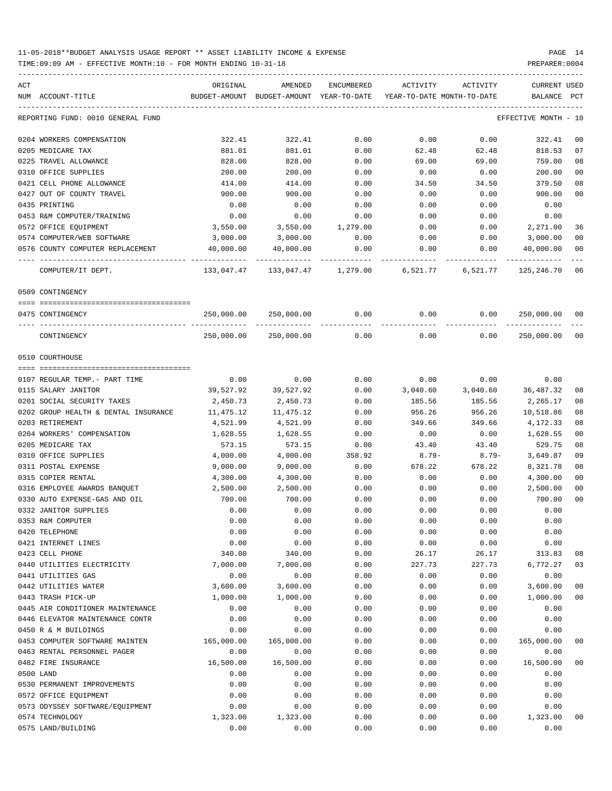| ACT<br>NUM ACCOUNT-TITLE             | ORIGINAL   | AMENDED<br>BUDGET-AMOUNT BUDGET-AMOUNT YEAR-TO-DATE | ENCUMBERED |               | ACTIVITY ACTIVITY<br>YEAR-TO-DATE MONTH-TO-DATE  | CURRENT USED<br>BALANCE PCT |                |
|--------------------------------------|------------|-----------------------------------------------------|------------|---------------|--------------------------------------------------|-----------------------------|----------------|
| REPORTING FUND: 0010 GENERAL FUND    |            |                                                     |            |               |                                                  | EFFECTIVE MONTH - 10        |                |
| 0204 WORKERS COMPENSATION            | 322.41     | 322.41                                              | 0.00       | 0.00          | 0.00                                             | 322.41                      | 00             |
| 0205 MEDICARE TAX                    | 881.01     | 881.01                                              | 0.00       | 62.48         | 62.48                                            | 818.53                      | 07             |
| 0225 TRAVEL ALLOWANCE                | 828.00     | 828.00                                              | 0.00       | 69.00         | 69.00                                            | 759.00                      | 08             |
| 0310 OFFICE SUPPLIES                 | 200.00     | 200.00                                              | 0.00       | 0.00          | 0.00                                             | 200.00                      | 0 <sub>0</sub> |
| 0421 CELL PHONE ALLOWANCE            | 414.00     | 414.00                                              | 0.00       | 34.50         | 34.50                                            | 379.50                      | 08             |
| 0427 OUT OF COUNTY TRAVEL            | 900.00     | 900.00                                              | 0.00       | 0.00          | 0.00                                             | 900.00                      | 0 <sub>0</sub> |
| 0435 PRINTING                        | 0.00       | 0.00                                                | 0.00       | 0.00          | 0.00                                             | 0.00                        |                |
| 0453 R&M COMPUTER/TRAINING           | 0.00       | 0.00                                                | 0.00       | 0.00          | 0.00                                             | 0.00                        |                |
| 0572 OFFICE EQUIPMENT                | 3,550.00   | 3,550.00 1,279.00                                   |            | 0.00          | 0.00                                             | 2,271.00                    | 36             |
| 0574 COMPUTER/WEB SOFTWARE           | 3,000.00   | 3,000.00                                            | 0.00       | 0.00          | 0.00                                             | 3,000.00                    | 0 <sub>0</sub> |
| 0576 COUNTY COMPUTER REPLACEMENT     | 40,000.00  | 40,000.00                                           | 0.00       | 0.00          | 0.00                                             | 40,000.00                   | 0 <sub>0</sub> |
| COMPUTER/IT DEPT.                    |            |                                                     |            | ------------- | 133,047.47 133,047.47 1,279.00 6,521.77 6,521.77 | 125,246.70                  | 06             |
| 0509 CONTINGENCY                     |            |                                                     |            |               |                                                  |                             |                |
| 0475 CONTINGENCY                     | 250,000.00 |                                                     |            |               | $250,000.00$ 0.00 0.00 0.00 0.00 250,000.00      |                             | 00             |
| CONTINGENCY                          | 250,000.00 | 250,000.00                                          | 0.00       | 0.00          | 0.00                                             | 250,000.00                  | 0 <sub>0</sub> |
| 0510 COURTHOUSE                      |            |                                                     |            |               |                                                  |                             |                |
|                                      |            |                                                     |            |               |                                                  |                             |                |
| 0107 REGULAR TEMP.- PART TIME        | 0.00       | 0.00                                                | 0.00       | 0.00          | 0.00                                             | 0.00                        |                |
| 0115 SALARY JANITOR                  | 39,527.92  | 39,527.92                                           | 0.00       |               | 3,040.60 3,040.60                                | 36,487.32                   | 08             |
| 0201 SOCIAL SECURITY TAXES           | 2,450.73   | 2,450.73                                            | 0.00       | 185.56        | 185.56                                           | 2,265.17                    | 08             |
| 0202 GROUP HEALTH & DENTAL INSURANCE | 11,475.12  | 11,475.12                                           | 0.00       | 956.26        | 956.26                                           | 10,518.86                   | 08             |
| 0203 RETIREMENT                      | 4,521.99   | 4,521.99                                            | 0.00       | 349.66        | 349.66                                           | 4,172.33                    | 08             |
| 0204 WORKERS' COMPENSATION           | 1,628.55   | 1,628.55                                            | 0.00       | 0.00          | 0.00                                             | 1,628.55                    | 0 <sub>0</sub> |
| 0205 MEDICARE TAX                    | 573.15     | 573.15                                              | 0.00       | 43.40         | 43.40                                            | 529.75                      | 08             |
| 0310 OFFICE SUPPLIES                 | 4,000.00   | 4,000.00                                            | 358.92     | $8.79-$       | $8.79-$                                          | 3,649.87                    | 09             |
| 0311 POSTAL EXPENSE                  | 9,000.00   | 9,000.00                                            | 0.00       | 678.22        | 678.22                                           | 8,321.78                    | 08             |
| 0315 COPIER RENTAL                   | 4,300.00   | 4,300.00                                            | 0.00       | 0.00          | 0.00                                             | 4,300.00                    | 0 <sub>0</sub> |
| 0316 EMPLOYEE AWARDS BANQUET         | 2,500.00   | 2,500.00                                            | 0.00       | 0.00          | 0.00                                             | 2,500.00                    | 0 <sub>0</sub> |
| 0330 AUTO EXPENSE-GAS AND OIL        | 700.00     | 700.00                                              | 0.00       | 0.00          | 0.00                                             | 700.00                      | 0 <sub>0</sub> |
| 0332 JANITOR SUPPLIES                | 0.00       | 0.00                                                | 0.00       | 0.00          | 0.00                                             | 0.00                        |                |
| 0353 R&M COMPUTER                    | 0.00       | 0.00                                                | 0.00       | 0.00          | 0.00                                             | 0.00                        |                |
| 0420 TELEPHONE                       | 0.00       | 0.00                                                | 0.00       | 0.00          | 0.00                                             | 0.00                        |                |
| 0421 INTERNET LINES                  | 0.00       | 0.00                                                | 0.00       | 0.00          | 0.00                                             | 0.00                        |                |
| 0423 CELL PHONE                      | 340.00     | 340.00                                              | 0.00       | 26.17         | 26.17                                            | 313.83                      | 08             |
| 0440 UTILITIES ELECTRICITY           | 7,000.00   | 7,000.00                                            | 0.00       | 227.73        | 227.73                                           | 6,772.27                    | 03             |
| 0441 UTILITIES GAS                   | 0.00       | 0.00                                                | 0.00       | 0.00          | 0.00                                             | 0.00                        |                |
| 0442 UTILITIES WATER                 | 3,600.00   | 3,600.00                                            | 0.00       | 0.00          | 0.00                                             | 3,600.00                    | 00             |
| 0443 TRASH PICK-UP                   | 1,000.00   | 1,000.00                                            | 0.00       | 0.00          | 0.00                                             | 1,000.00                    | 0 <sub>0</sub> |
| 0445 AIR CONDITIONER MAINTENANCE     | 0.00       | 0.00                                                | 0.00       | 0.00          | 0.00                                             | 0.00                        |                |
| 0446 ELEVATOR MAINTENANCE CONTR      | 0.00       | 0.00                                                | 0.00       | 0.00          | 0.00                                             | 0.00                        |                |
| 0450 R & M BUILDINGS                 | 0.00       | 0.00                                                | 0.00       | 0.00          | 0.00                                             | 0.00                        |                |
| 0453 COMPUTER SOFTWARE MAINTEN       | 165,000.00 | 165,000.00                                          | 0.00       | 0.00          | 0.00                                             | 165,000.00                  | 00             |
| 0463 RENTAL PERSONNEL PAGER          | 0.00       | 0.00                                                | 0.00       | 0.00          | 0.00                                             | 0.00                        |                |
| 0482 FIRE INSURANCE                  | 16,500.00  | 16,500.00                                           | 0.00       | 0.00          | 0.00                                             | 16,500.00                   | 00             |
| 0500 LAND                            | 0.00       | 0.00                                                | 0.00       | 0.00          | 0.00                                             | 0.00                        |                |
| 0530 PERMANENT IMPROVEMENTS          | 0.00       | 0.00                                                | 0.00       | 0.00          | 0.00                                             | 0.00                        |                |
| 0572 OFFICE EQUIPMENT                | 0.00       | 0.00                                                | 0.00       | 0.00          | 0.00                                             | 0.00                        |                |
| 0573 ODYSSEY SOFTWARE/EQUIPMENT      | 0.00       | 0.00                                                | 0.00       | 0.00          | 0.00                                             | 0.00                        |                |
| 0574 TECHNOLOGY                      | 1,323.00   | 1,323.00                                            | 0.00       | 0.00          | 0.00                                             | 1,323.00                    | 00             |
| 0575 LAND/BUILDING                   | 0.00       | 0.00                                                | 0.00       | 0.00          | 0.00                                             | 0.00                        |                |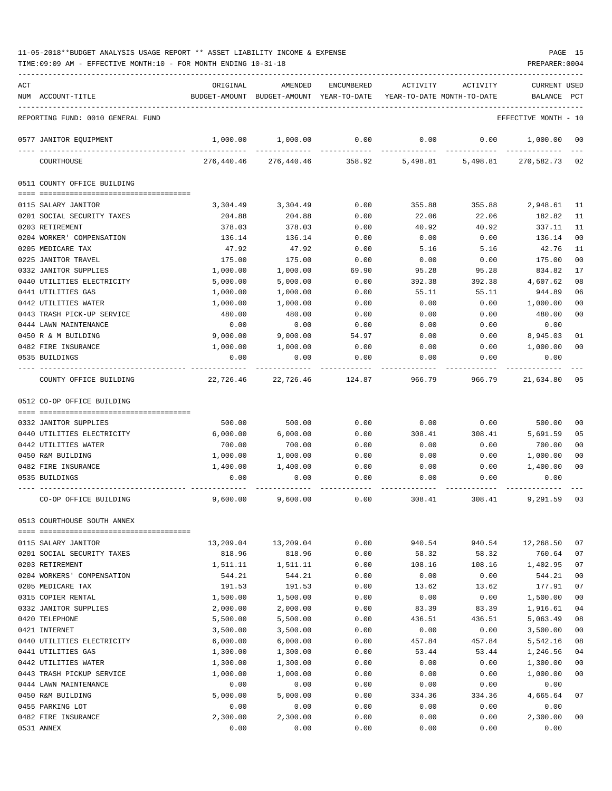TIME:09:09 AM - EFFECTIVE MONTH:10 - FOR MONTH ENDING 10-31-18 PREPARER:0004

| ACT |                                                     | ORIGINAL           | AMENDED                                  | ENCUMBERED | ACTIVITY                   | ACTIVITY | CURRENT USED         |                |
|-----|-----------------------------------------------------|--------------------|------------------------------------------|------------|----------------------------|----------|----------------------|----------------|
|     | NUM ACCOUNT-TITLE                                   |                    | BUDGET-AMOUNT BUDGET-AMOUNT YEAR-TO-DATE |            | YEAR-TO-DATE MONTH-TO-DATE |          | BALANCE              | PCT            |
|     | REPORTING FUND: 0010 GENERAL FUND                   |                    |                                          |            |                            |          | EFFECTIVE MONTH - 10 |                |
|     | 0577 JANITOR EQUIPMENT                              | 1,000.00           | 1,000.00                                 | 0.00       | 0.00                       | 0.00     | 1,000.00             | - 00           |
|     | COURTHOUSE                                          | 276,440.46         | 276,440.46                               | 358.92     | 5,498.81                   | 5,498.81 | 270,582.73 02        |                |
|     | 0511 COUNTY OFFICE BUILDING                         |                    |                                          |            |                            |          |                      |                |
|     | 0115 SALARY JANITOR                                 | 3,304.49           | 3,304.49                                 | 0.00       | 355.88                     | 355.88   | 2,948.61 11          |                |
|     | 0201 SOCIAL SECURITY TAXES                          | 204.88             | 204.88                                   | 0.00       | 22.06                      | 22.06    | 182.82               | 11             |
|     | 0203 RETIREMENT                                     | 378.03             | 378.03                                   | 0.00       | 40.92                      | 40.92    | 337.11               | 11             |
|     | 0204 WORKER' COMPENSATION                           | 136.14             | 136.14                                   | 0.00       | 0.00                       | 0.00     | 136.14               | 00             |
|     | 0205 MEDICARE TAX                                   | 47.92              | 47.92                                    | 0.00       | 5.16                       | 5.16     | 42.76                | 11             |
|     | 0225 JANITOR TRAVEL                                 | 175.00             | 175.00                                   | 0.00       | 0.00                       | 0.00     | 175.00               | 00             |
|     | 0332 JANITOR SUPPLIES                               | 1,000.00           | 1,000.00                                 | 69.90      | 95.28                      | 95.28    | 834.82               | 17             |
|     | 0440 UTILITIES ELECTRICITY                          | 5,000.00           | 5.000.00                                 | 0.00       | 392.38                     | 392.38   | 4,607.62             | 08             |
|     | 0441 UTILITIES GAS                                  | 1,000.00           | 1,000.00                                 | 0.00       | 55.11                      | 55.11    | 944.89               | 06             |
|     | 0442 UTILITIES WATER                                | 1,000.00           | 1,000.00                                 | 0.00       | 0.00                       | 0.00     | 1,000.00             | 0 <sub>0</sub> |
|     | 0443 TRASH PICK-UP SERVICE                          | 480.00             | 480.00                                   | 0.00       | 0.00                       | 0.00     | 480.00               | 00             |
|     | 0444 LAWN MAINTENANCE                               | 0.00               | 0.00                                     | 0.00       | 0.00                       | 0.00     | 0.00                 |                |
|     | 0450 R & M BUILDING                                 | 9,000.00           | 9,000.00                                 | 54.97      | 0.00                       | 0.00     | 8,945.03             | 01             |
|     | 0482 FIRE INSURANCE                                 | 1,000.00           | 1,000.00                                 | 0.00       | 0.00                       | 0.00     | 1,000.00             | 00             |
|     | 0535 BUILDINGS                                      | 0.00               | 0.00                                     | 0.00       | 0.00                       | 0.00     | 0.00                 |                |
|     | COUNTY OFFICE BUILDING                              | 22,726.46          | 22,726.46                                | 124.87     | 966.79                     | 966.79   | 21,634.80 05         |                |
|     | 0512 CO-OP OFFICE BUILDING                          |                    |                                          |            |                            |          |                      |                |
|     |                                                     |                    | 500.00                                   | 0.00       | 0.00                       | 0.00     | 500.00               |                |
|     | 0332 JANITOR SUPPLIES<br>0440 UTILITIES ELECTRICITY | 500.00<br>6,000.00 | 6,000.00                                 | 0.00       | 308.41                     | 308.41   | 5,691.59             | 00<br>05       |
|     | 0442 UTILITIES WATER                                | 700.00             | 700.00                                   | 0.00       | 0.00                       | 0.00     | 700.00               | 00             |
|     | 0450 R&M BUILDING                                   | 1,000.00           | 1,000.00                                 | 0.00       | 0.00                       | 0.00     | 1,000.00             | 00             |
|     | 0482 FIRE INSURANCE                                 | 1,400.00           | 1,400.00                                 | 0.00       | 0.00                       | 0.00     | 1,400.00             | 00             |
|     | 0535 BUILDINGS                                      | 0.00               | 0.00                                     | 0.00       | 0.00                       | 0.00     | 0.00                 |                |
|     |                                                     |                    |                                          |            |                            |          |                      |                |
|     | CO-OP OFFICE BUILDING                               | 9,600.00           | 9,600.00                                 | 0.00       | 308.41                     | 308.41   | 9,291.59 03          |                |
|     | 0513 COURTHOUSE SOUTH ANNEX                         |                    |                                          |            |                            |          |                      |                |
|     | 0115 SALARY JANITOR                                 | 13,209.04          | 13,209.04                                | 0.00       | 940.54                     | 940.54   | 12,268.50            | 07             |
|     | 0201 SOCIAL SECURITY TAXES                          | 818.96             | 818.96                                   | 0.00       | 58.32                      | 58.32    | 760.64               | 07             |
|     | 0203 RETIREMENT                                     | 1,511.11           | 1,511.11                                 | 0.00       | 108.16                     | 108.16   | 1,402.95             | 07             |
|     | 0204 WORKERS' COMPENSATION                          | 544.21             | 544.21                                   | 0.00       | 0.00                       | 0.00     | 544.21               | 0 <sub>0</sub> |
|     | 0205 MEDICARE TAX                                   | 191.53             | 191.53                                   | 0.00       | 13.62                      | 13.62    | 177.91               | 07             |
|     | 0315 COPIER RENTAL                                  | 1,500.00           | 1,500.00                                 | 0.00       | 0.00                       | 0.00     | 1,500.00             | 00             |
|     | 0332 JANITOR SUPPLIES                               | 2,000.00           | 2,000.00                                 | 0.00       | 83.39                      | 83.39    | 1,916.61             | 04             |
|     | 0420 TELEPHONE                                      | 5,500.00           | 5,500.00                                 | 0.00       | 436.51                     | 436.51   | 5,063.49             | 08             |
|     | 0421 INTERNET                                       | 3,500.00           | 3,500.00                                 | 0.00       | 0.00                       | 0.00     | 3,500.00             | 00             |
|     | 0440 UTILITIES ELECTRICITY                          | 6,000.00           | 6,000.00                                 | 0.00       | 457.84                     | 457.84   | 5,542.16             | 08             |
|     | 0441 UTILITIES GAS                                  | 1,300.00           | 1,300.00                                 | 0.00       | 53.44                      | 53.44    | 1,246.56             | 04             |
|     | 0442 UTILITIES WATER                                | 1,300.00           | 1,300.00                                 | 0.00       | 0.00                       | 0.00     | 1,300.00             | 00             |
|     | 0443 TRASH PICKUP SERVICE                           | 1,000.00           | 1,000.00                                 | 0.00       | 0.00                       | 0.00     | 1,000.00             | 00             |
|     | 0444 LAWN MAINTENANCE                               | 0.00               | 0.00                                     | 0.00       | 0.00                       | 0.00     | 0.00                 |                |
|     | 0450 R&M BUILDING                                   | 5,000.00           | 5,000.00                                 | 0.00       | 334.36                     | 334.36   | 4,665.64             | 07             |
|     | 0455 PARKING LOT                                    | 0.00               | 0.00                                     | 0.00       | 0.00                       | 0.00     | 0.00                 |                |
|     | 0482 FIRE INSURANCE                                 | 2,300.00           | 2,300.00                                 | 0.00       | 0.00                       | 0.00     | 2,300.00             | 00             |

0531 ANNEX 0.00 0.00 0.00 0.00 0.00 0.00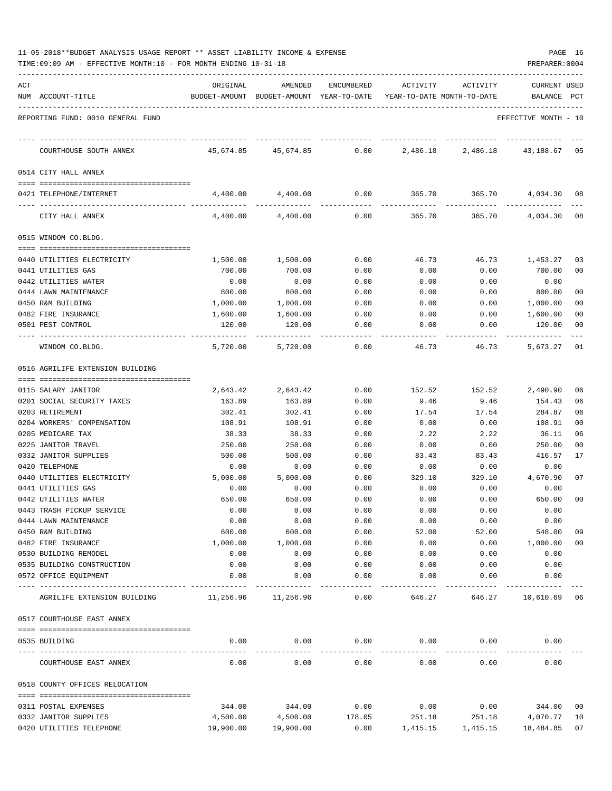|  | 11-05-2018**BUDGET ANALYSIS USAGE REPORT ** ASSET LIABILITY INCOME & EXPENSE |  |  |  | PAGE |  |
|--|------------------------------------------------------------------------------|--|--|--|------|--|
|  |                                                                              |  |  |  |      |  |

| ACT | NUM ACCOUNT-TITLE                             | ORIGINAL         | AMENDED<br>BUDGET-AMOUNT BUDGET-AMOUNT YEAR-TO-DATE YEAR-TO-DATE MONTH-TO-DATE | ENCUMBERED   | ACTIVITY      | ACTIVITY                 | <b>CURRENT USED</b><br>BALANCE PCT |                |
|-----|-----------------------------------------------|------------------|--------------------------------------------------------------------------------|--------------|---------------|--------------------------|------------------------------------|----------------|
|     | REPORTING FUND: 0010 GENERAL FUND             |                  |                                                                                |              |               |                          | EFFECTIVE MONTH - 10               |                |
|     |                                               |                  |                                                                                |              |               |                          |                                    |                |
|     | COURTHOUSE SOUTH ANNEX                        | 45,674.85        | 45,674.85                                                                      |              |               | $0.00$ 2,486.18 2,486.18 | 43,188.67                          | 05             |
|     | 0514 CITY HALL ANNEX                          |                  |                                                                                |              |               |                          |                                    |                |
|     | 0421 TELEPHONE/INTERNET                       |                  | 4,400.00 4,400.00                                                              | 0.00         | 365.70        |                          | 365.70 4,034.30                    | 08             |
|     | CITY HALL ANNEX                               | 4,400.00         | 4,400.00                                                                       | 0.00         | 365.70        | 365.70                   | 4,034.30 08                        |                |
|     | 0515 WINDOM CO.BLDG.                          |                  |                                                                                |              |               |                          |                                    |                |
|     |                                               |                  |                                                                                |              |               |                          |                                    |                |
|     | 0440 UTILITIES ELECTRICITY                    | 1,500.00         | 1,500.00<br>700.00                                                             | 0.00<br>0.00 | 46.73         | 46.73<br>0.00            | 1,453.27<br>700.00                 | 03<br>00       |
|     | 0441 UTILITIES GAS<br>0442 UTILITIES WATER    | 700.00<br>0.00   | 0.00                                                                           | 0.00         | 0.00<br>0.00  | 0.00                     | 0.00                               |                |
|     | 0444 LAWN MAINTENANCE                         | 800.00           | 800.00                                                                         | 0.00         | 0.00          | 0.00                     | 800.00                             | 00             |
|     | 0450 R&M BUILDING                             | 1,000.00         | 1,000.00                                                                       | 0.00         | 0.00          | 0.00                     | 1,000.00                           | 00             |
|     | 0482 FIRE INSURANCE                           | 1,600.00         | 1,600.00                                                                       | 0.00         | 0.00          | 0.00                     | 1,600.00                           | 00             |
|     | 0501 PEST CONTROL                             | 120.00           | 120.00                                                                         | 0.00         | 0.00          | 0.00                     | 120.00                             | 00             |
|     | WINDOM CO.BLDG.                               | 5,720.00         | 5,720.00                                                                       | 0.00         | 46.73         | 46.73                    | 5,673.27                           | $_{01}$        |
|     | 0516 AGRILIFE EXTENSION BUILDING              |                  |                                                                                |              |               |                          |                                    |                |
|     |                                               |                  |                                                                                |              |               |                          |                                    |                |
|     | 0115 SALARY JANITOR                           | 2,643.42         | 2,643.42                                                                       | 0.00         | 152.52        | 152.52                   | 2,490.90                           | 06             |
|     | 0201 SOCIAL SECURITY TAXES<br>0203 RETIREMENT | 163.89<br>302.41 | 163.89<br>302.41                                                               | 0.00<br>0.00 | 9.46          | 9.46                     | 154.43<br>284.87                   | 06<br>06       |
|     | 0204 WORKERS' COMPENSATION                    | 108.91           | 108.91                                                                         | 0.00         | 17.54<br>0.00 | 17.54<br>0.00            | 108.91                             | 00             |
|     | 0205 MEDICARE TAX                             | 38.33            | 38.33                                                                          | 0.00         | 2.22          | 2.22                     | 36.11                              | 06             |
|     | 0225 JANITOR TRAVEL                           | 250.00           | 250.00                                                                         | 0.00         | 0.00          | 0.00                     | 250.00                             | 00             |
|     | 0332 JANITOR SUPPLIES                         | 500.00           | 500.00                                                                         | 0.00         | 83.43         | 83.43                    | 416.57                             | 17             |
|     | 0420 TELEPHONE                                | 0.00             | 0.00                                                                           | 0.00         | 0.00          | 0.00                     | 0.00                               |                |
|     | 0440 UTILITIES ELECTRICITY                    | 5,000.00         | 5,000.00                                                                       | 0.00         | 329.10        | 329.10                   | 4,670.90                           | 07             |
|     | 0441 UTILITIES GAS                            | 0.00             | 0.00                                                                           | 0.00         | 0.00          | 0.00                     | 0.00                               |                |
|     | 0442 UTILITIES WATER                          | 650.00           | 650.00                                                                         | 0.00         | 0.00          | 0.00                     | 650.00                             | 0 <sup>0</sup> |
|     | 0443 TRASH PICKUP SERVICE                     | 0.00             | 0.00                                                                           | 0.00         | 0.00          | 0.00                     | 0.00                               |                |
|     | 0444 LAWN MAINTENANCE                         | 0.00             | 0.00                                                                           | 0.00         | 0.00          | 0.00                     | 0.00                               |                |
|     | 0450 R&M BUILDING                             | 600.00           | 600.00                                                                         | 0.00         | 52.00         | 52.00                    | 548.00                             | 09             |
|     | 0482 FIRE INSURANCE                           | 1,000.00         | 1,000.00                                                                       | 0.00         | 0.00          | 0.00                     | 1,000.00                           | 00             |
|     | 0530 BUILDING REMODEL                         | 0.00             | 0.00                                                                           | 0.00         | 0.00          | 0.00                     | 0.00                               |                |
|     | 0535 BUILDING CONSTRUCTION                    | 0.00             | 0.00                                                                           | 0.00         | 0.00          | 0.00                     | 0.00                               |                |
|     | 0572 OFFICE EQUIPMENT                         | 0.00             | 0.00                                                                           | 0.00         | 0.00          | 0.00                     | 0.00                               |                |
|     | AGRILIFE EXTENSION BUILDING                   | 11,256.96        | 11,256.96                                                                      | 0.00         | 646.27        | 646.27                   | 10,610.69 06                       |                |
|     | 0517 COURTHOUSE EAST ANNEX                    |                  |                                                                                |              |               |                          |                                    |                |
|     | 0535 BUILDING                                 | 0.00             | 0.00                                                                           | 0.00         | 0.00          | 0.00                     | 0.00                               |                |
|     | COURTHOUSE EAST ANNEX                         | 0.00             | 0.00                                                                           | 0.00         | 0.00          | 0.00                     | 0.00                               |                |
|     | 0518 COUNTY OFFICES RELOCATION                |                  |                                                                                |              |               |                          |                                    |                |
|     | 0311 POSTAL EXPENSES                          | 344.00           | 344.00                                                                         | 0.00         | 0.00          | 0.00                     | 344.00 00                          |                |
|     | 0332 JANITOR SUPPLIES                         | 4,500.00         | 4,500.00                                                                       | 178.05       | 251.18        | 251.18                   | 4,070.77                           | 10             |
|     | 0420 UTILITIES TELEPHONE                      | 19,900.00        | 19,900.00                                                                      | 0.00         | 1,415.15      | 1,415.15                 | 18,484.85                          | 07             |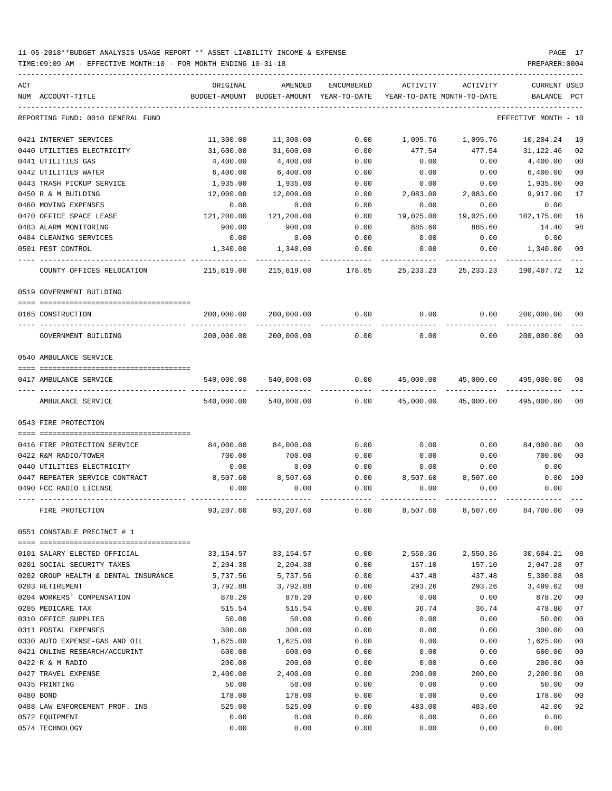TIME:09:09 AM - EFFECTIVE MONTH:10 - FOR MONTH ENDING 10-31-18 PREPARER:0004

| ACT                                  | ORIGINAL      | AMENDED                    | <b>ENCUMBERED</b> | <b>ACTIVITY</b> | ACTIVITY                   | <b>CURRENT USED</b>  |                |
|--------------------------------------|---------------|----------------------------|-------------------|-----------------|----------------------------|----------------------|----------------|
| NUM ACCOUNT-TITLE                    | BUDGET-AMOUNT | BUDGET-AMOUNT YEAR-TO-DATE |                   |                 | YEAR-TO-DATE MONTH-TO-DATE | BALANCE              | PCT            |
| REPORTING FUND: 0010 GENERAL FUND    |               |                            |                   |                 |                            | EFFECTIVE MONTH - 10 |                |
| 0421 INTERNET SERVICES               | 11,300.00     | 11,300.00                  | 0.00              | 1,095.76        | 1,095.76                   | 10,204.24            | 10             |
| 0440 UTILITIES ELECTRICITY           | 31,600.00     | 31,600.00                  | 0.00              | 477.54          | 477.54                     | 31,122.46            | 02             |
| 0441 UTILITIES GAS                   | 4,400.00      | 4,400.00                   | 0.00              | 0.00            | 0.00                       | 4,400.00             | 0 <sub>0</sub> |
| 0442 UTILITIES WATER                 | 6,400.00      | 6,400.00                   | 0.00              | 0.00            | 0.00                       | 6,400.00             | 0 <sub>0</sub> |
| 0443 TRASH PICKUP SERVICE            | 1,935.00      | 1,935.00                   | 0.00              | 0.00            | 0.00                       | 1,935.00             | 0 <sub>0</sub> |
| 0450 R & M BUILDING                  | 12,000.00     | 12,000.00                  | 0.00              | 2,083.00        | 2,083.00                   | 9,917.00             | 17             |
| 0460 MOVING EXPENSES                 | 0.00          | 0.00                       | 0.00              | 0.00            | 0.00                       | 0.00                 |                |
| 0470 OFFICE SPACE LEASE              | 121,200.00    | 121,200.00                 | 0.00              | 19,025.00       | 19,025.00                  | 102,175.00           | 16             |
| 0483 ALARM MONITORING                | 900.00        | 900.00                     | 0.00              | 885.60          | 885.60                     | 14.40                | 98             |
| 0484 CLEANING SERVICES               | 0.00          | 0.00                       | 0.00              | 0.00            | 0.00                       | 0.00                 |                |
| 0501 PEST CONTROL                    | 1,340.00      | 1,340.00                   | 0.00              | 0.00            | 0.00                       | 1,340.00             | 0 <sub>0</sub> |
| COUNTY OFFICES RELOCATION            | 215,819.00    | 215,819.00                 | 178.05            | 25, 233. 23     | 25, 233. 23                | 190,407.72           | 12             |
| 0519 GOVERNMENT BUILDING             |               |                            |                   |                 |                            |                      |                |
| 0165 CONSTRUCTION                    | 200,000.00    | 200,000.00                 | 0.00              | 0.00            | 0.00                       | 200,000.00           | 00             |
| GOVERNMENT BUILDING                  | 200,000.00    | 200,000.00                 | 0.00              | 0.00            | 0.00                       | 200,000.00           | 0 <sub>0</sub> |
| 0540 AMBULANCE SERVICE               |               |                            |                   |                 |                            |                      |                |
|                                      |               |                            |                   |                 |                            |                      |                |
| 0417 AMBULANCE SERVICE               | 540,000.00    | 540,000.00                 | 0.00              | 45,000.00       | 45,000.00                  | 495,000.00           | 08             |
| AMBULANCE SERVICE                    | 540,000.00    | 540,000.00                 | 0.00              | 45,000.00       | 45,000.00                  | 495,000.00           | 08             |
| 0543 FIRE PROTECTION                 |               |                            |                   |                 |                            |                      |                |
| 0416 FIRE PROTECTION SERVICE         | 84,000.00     | 84,000.00                  | 0.00              | 0.00            | 0.00                       | 84,000.00            | 00             |
| 0422 R&M RADIO/TOWER                 | 700.00        | 700.00                     | 0.00              | 0.00            | 0.00                       | 700.00               | 0 <sub>0</sub> |
| 0440 UTILITIES ELECTRICITY           | 0.00          | 0.00                       | 0.00              | 0.00            | 0.00                       | 0.00                 |                |
| 0447 REPEATER SERVICE CONTRACT       | 8,507.60      | 8,507.60                   | 0.00              | 8,507.60        | 8,507.60                   | 0.00                 | 100            |
| 0490 FCC RADIO LICENSE               | 0.00          | 0.00                       | 0.00              | 0.00            | 0.00                       | 0.00                 |                |
| FIRE PROTECTION                      | 93,207.60     | 93,207.60                  | 0.00              | 8,507.60        | 8,507.60                   | 84,700.00            | 09             |
| 0551 CONSTABLE PRECINCT # 1          |               |                            |                   |                 |                            |                      |                |
| 0101 SALARY ELECTED OFFICIAL         | 33,154.57     | 33, 154.57                 | 0.00              | 2,550.36        | 2,550.36                   | 30,604.21            | 08             |
| 0201 SOCIAL SECURITY TAXES           | 2,204.38      | 2,204.38                   | 0.00              | 157.10          | 157.10                     | 2,047.28             | 07             |
| 0202 GROUP HEALTH & DENTAL INSURANCE | 5,737.56      | 5,737.56                   | 0.00              | 437.48          | 437.48                     | 5,300.08             | 08             |
| 0203 RETIREMENT                      | 3,792.88      | 3,792.88                   | 0.00              | 293.26          | 293.26                     | 3,499.62             | 08             |
| 0204 WORKERS' COMPENSATION           | 878.20        | 878.20                     | 0.00              | 0.00            | 0.00                       | 878.20               | 0 <sub>0</sub> |
| 0205 MEDICARE TAX                    | 515.54        | 515.54                     | 0.00              | 36.74           | 36.74                      | 478.80               | 07             |
| 0310 OFFICE SUPPLIES                 | 50.00         | 50.00                      | 0.00              | 0.00            | 0.00                       | 50.00                | 00             |
| 0311 POSTAL EXPENSES                 | 300.00        | 300.00                     | 0.00              | 0.00            | 0.00                       | 300.00               | 00             |
| 0330 AUTO EXPENSE-GAS AND OIL        | 1,625.00      | 1,625.00                   | 0.00              | 0.00            | 0.00                       | 1,625.00             | 00             |
| 0421 ONLINE RESEARCH/ACCURINT        | 600.00        | 600.00                     | 0.00              | 0.00            | 0.00                       | 600.00               | 0 <sub>0</sub> |
| 0422 R & M RADIO                     | 200.00        | 200.00                     | 0.00              | 0.00            | 0.00                       | 200.00               | 0 <sub>0</sub> |
| 0427 TRAVEL EXPENSE                  | 2,400.00      | 2,400.00                   | 0.00              | 200.00          | 200.00                     | 2,200.00             | 08             |
| 0435 PRINTING                        | 50.00         | 50.00                      | 0.00              | 0.00            | 0.00                       | 50.00                | 00             |
| 0480 BOND                            | 178.00        | 178.00                     | 0.00              | 0.00            | 0.00                       | 178.00               | 0 <sub>0</sub> |
| 0488 LAW ENFORCEMENT PROF. INS       | 525.00        | 525.00                     | 0.00              | 483.00          | 483.00                     | 42.00                | 92             |
| 0572 EQUIPMENT                       | 0.00          | 0.00                       | 0.00              | 0.00            | 0.00                       | 0.00                 |                |

0574 TECHNOLOGY 0.00 0.00 0.00 0.00 0.00 0.00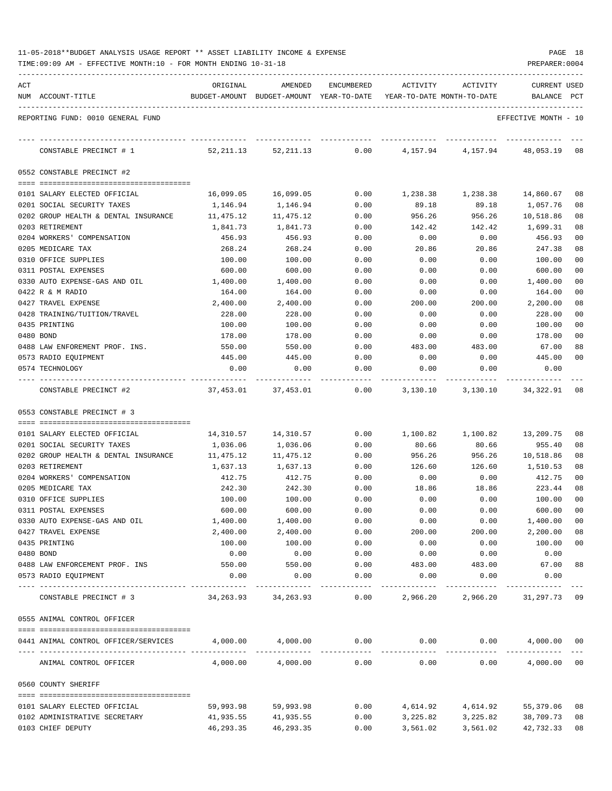| 11-05-2018**BUDGET ANALYSIS USAGE REPORT ** ASSET LIABILITY INCOME & EXPENSE |  |  |  | PAGE | 18 |
|------------------------------------------------------------------------------|--|--|--|------|----|
|                                                                              |  |  |  |      |    |

| ACT | NUM ACCOUNT-TITLE                                          | ORIGINAL              | AMENDED<br>BUDGET-AMOUNT BUDGET-AMOUNT YEAR-TO-DATE | ENCUMBERED            | ACTIVITY<br>YEAR-TO-DATE MONTH-TO-DATE | ACTIVITY                       | <b>CURRENT USED</b><br><b>BALANCE</b> | PCT            |
|-----|------------------------------------------------------------|-----------------------|-----------------------------------------------------|-----------------------|----------------------------------------|--------------------------------|---------------------------------------|----------------|
|     | REPORTING FUND: 0010 GENERAL FUND                          |                       |                                                     |                       |                                        |                                | EFFECTIVE MONTH - 10                  |                |
|     | CONSTABLE PRECINCT # 1                                     | 52,211.13             | 52, 211.13                                          | 0.00                  | 4,157.94                               | 4,157.94                       | 48,053.19                             | 08             |
|     | 0552 CONSTABLE PRECINCT #2                                 |                       |                                                     |                       |                                        |                                |                                       |                |
|     |                                                            |                       |                                                     |                       |                                        |                                |                                       |                |
|     | 0101 SALARY ELECTED OFFICIAL<br>0201 SOCIAL SECURITY TAXES | 16,099.05             | 16,099.05                                           | 0.00                  | 1,238.38<br>89.18                      | 1,238.38                       | 14,860.67                             | 08             |
|     | 0202 GROUP HEALTH & DENTAL INSURANCE                       | 1,146.94<br>11,475.12 | 1,146.94<br>11,475.12                               | 0.00<br>0.00          | 956.26                                 | 89.18<br>956.26                | 1,057.76<br>10,518.86                 | 08<br>08       |
|     | 0203 RETIREMENT                                            | 1,841.73              | 1,841.73                                            | 0.00                  | 142.42                                 | 142.42                         | 1,699.31                              | 08             |
|     | 0204 WORKERS' COMPENSATION                                 | 456.93                | 456.93                                              | 0.00                  | 0.00                                   | 0.00                           | 456.93                                | 0 <sub>0</sub> |
|     | 0205 MEDICARE TAX                                          | 268.24                | 268.24                                              | 0.00                  | 20.86                                  | 20.86                          | 247.38                                | 08             |
|     | 0310 OFFICE SUPPLIES                                       | 100.00                | 100.00                                              | 0.00                  | 0.00                                   | 0.00                           | 100.00                                | 00             |
|     | 0311 POSTAL EXPENSES                                       | 600.00                | 600.00                                              | 0.00                  | 0.00                                   | 0.00                           | 600.00                                | 00             |
|     | 0330 AUTO EXPENSE-GAS AND OIL                              | 1,400.00              | 1,400.00                                            | 0.00                  | 0.00                                   | 0.00                           | 1,400.00                              | 00             |
|     | 0422 R & M RADIO                                           | 164.00                | 164.00                                              | 0.00                  | 0.00                                   | 0.00                           | 164.00                                | 00             |
|     | 0427 TRAVEL EXPENSE                                        | 2,400.00              | 2,400.00                                            | 0.00                  | 200.00                                 | 200.00                         | 2,200.00                              | 08             |
|     | 0428 TRAINING/TUITION/TRAVEL                               | 228.00                | 228.00                                              | 0.00                  | 0.00                                   | 0.00                           | 228.00                                | 00             |
|     | 0435 PRINTING                                              | 100.00                | 100.00                                              | 0.00                  | 0.00                                   | 0.00                           | 100.00                                | 00             |
|     | 0480 BOND                                                  | 178.00                | 178.00                                              | 0.00                  | 0.00                                   | 0.00                           | 178.00                                | 00             |
|     | 0488 LAW ENFOREMENT PROF. INS.                             | 550.00                | 550.00                                              | 0.00                  | 483.00                                 | 483.00                         | 67.00                                 | 88             |
|     | 0573 RADIO EQUIPMENT                                       | 445.00                | 445.00                                              | 0.00                  | 0.00                                   | 0.00                           | 445.00                                | 00             |
|     | 0574 TECHNOLOGY                                            | 0.00                  | 0.00                                                | 0.00                  | 0.00                                   | 0.00                           | 0.00                                  |                |
|     | CONSTABLE PRECINCT #2                                      | 37,453.01             | 37,453.01                                           | 0.00                  | 3,130.10                               | 3,130.10                       | 34,322.91                             | 08             |
|     | 0553 CONSTABLE PRECINCT # 3                                |                       |                                                     |                       |                                        |                                |                                       |                |
|     |                                                            |                       |                                                     |                       |                                        |                                |                                       |                |
|     | 0101 SALARY ELECTED OFFICIAL                               | 14,310.57             | 14,310.57                                           | 0.00                  | 1,100.82                               | 1,100.82                       | 13,209.75                             | 08             |
|     | 0201 SOCIAL SECURITY TAXES                                 | 1,036.06              | 1,036.06                                            | 0.00                  | 80.66                                  | 80.66                          | 955.40                                | 08             |
|     | 0202 GROUP HEALTH & DENTAL INSURANCE<br>0203 RETIREMENT    | 11,475.12<br>1,637.13 | 11,475.12<br>1,637.13                               | 0.00<br>0.00          | 956.26<br>126.60                       | 956.26<br>126.60               | 10,518.86<br>1,510.53                 | 08<br>08       |
|     | 0204 WORKERS' COMPENSATION                                 | 412.75                | 412.75                                              | 0.00                  | 0.00                                   | 0.00                           | 412.75                                | 00             |
|     | 0205 MEDICARE TAX                                          | 242.30                | 242.30                                              | 0.00                  | 18.86                                  | 18.86                          | 223.44                                | 08             |
|     | 0310 OFFICE SUPPLIES                                       | 100.00                | 100.00                                              | 0.00                  | 0.00                                   | 0.00                           | 100.00                                | 00             |
|     | 0311 POSTAL EXPENSES                                       | 600.00                | 600.00                                              | 0.00                  | 0.00                                   | 0.00                           | 600.00                                | 00             |
|     | 0330 AUTO EXPENSE-GAS AND OIL                              | 1,400.00              | 1,400.00                                            | 0.00                  | 0.00                                   | 0.00                           | 1,400.00                              | 00             |
|     | 0427 TRAVEL EXPENSE                                        | 2,400.00              | 2,400.00                                            | 0.00                  | 200.00                                 | 200.00                         | 2,200.00                              | 08             |
|     | 0435 PRINTING                                              | 100.00                | 100.00                                              | 0.00                  | 0.00                                   | 0.00                           | 100.00                                | $00\,$         |
|     | 0480 BOND                                                  | 0.00                  | 0.00                                                | 0.00                  | 0.00                                   | 0.00                           | 0.00                                  |                |
|     | 0488 LAW ENFORCEMENT PROF. INS                             | 550.00                | 550.00                                              | 0.00                  | 483.00                                 | 483.00                         | 67.00                                 | 88             |
|     | 0573 RADIO EQUIPMENT                                       | 0.00                  | 0.00                                                | 0.00<br>------------  | 0.00                                   | 0.00                           | 0.00                                  |                |
|     | CONSTABLE PRECINCT # 3                                     |                       | 34, 263.93 34, 263.93                               | 0.00                  |                                        | 2,966.20 2,966.20 31,297.73 09 |                                       |                |
|     | 0555 ANIMAL CONTROL OFFICER                                |                       |                                                     |                       |                                        |                                |                                       |                |
|     | 0441 ANIMAL CONTROL OFFICER/SERVICES                       | $4,000.00$ $4,000.00$ |                                                     | 0.00                  |                                        | $0.00$ 0.00                    | 4,000.00 00                           |                |
|     | ANIMAL CONTROL OFFICER                                     |                       | 4,000.00 4,000.00                                   | -------------<br>0.00 | 0.00                                   | 0.00                           | 4,000.00 00                           |                |
|     | 0560 COUNTY SHERIFF                                        |                       |                                                     |                       |                                        |                                |                                       |                |
|     |                                                            |                       |                                                     |                       |                                        |                                |                                       |                |
|     | 0101 SALARY ELECTED OFFICIAL                               | 59,993.98             | 59,993.98                                           | 0.00                  |                                        | 4,614.92 4,614.92              | 55,379.06 08                          |                |
|     | 0102 ADMINISTRATIVE SECRETARY                              | 41,935.55             | 41,935.55                                           | 0.00                  | 3,225.82                               | 3,225.82                       | 38,709.73                             | 08             |
|     | 0103 CHIEF DEPUTY                                          | 46,293.35             | 46,293.35                                           | 0.00                  |                                        | 3,561.02 3,561.02 42,732.33 08 |                                       |                |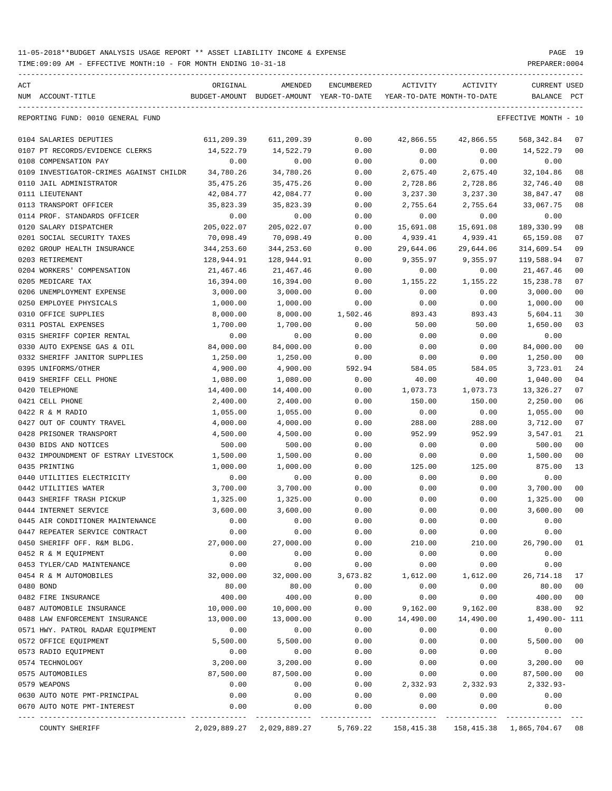| ACT | NUM ACCOUNT-TITLE                                    | ORIGINAL             | AMENDED<br>BUDGET-AMOUNT BUDGET-AMOUNT YEAR-TO-DATE | ENCUMBERED   | ACTIVITY       | ACTIVITY<br>YEAR-TO-DATE MONTH-TO-DATE | <b>CURRENT USED</b><br>BALANCE           | PCT            |
|-----|------------------------------------------------------|----------------------|-----------------------------------------------------|--------------|----------------|----------------------------------------|------------------------------------------|----------------|
|     | REPORTING FUND: 0010 GENERAL FUND                    |                      |                                                     |              |                |                                        | EFFECTIVE MONTH - 10                     |                |
|     |                                                      |                      |                                                     |              |                |                                        |                                          |                |
|     | 0104 SALARIES DEPUTIES                               | 611,209.39           | 611,209.39                                          | 0.00         | 42,866.55      | 42,866.55                              | 568,342.84                               | 07             |
|     | 0107 PT RECORDS/EVIDENCE CLERKS                      | 14,522.79            | 14,522.79                                           | 0.00         | 0.00           | 0.00                                   | 14,522.79                                | 00             |
|     | 0108 COMPENSATION PAY                                | 0.00                 | 0.00                                                | 0.00         | 0.00           | 0.00                                   | 0.00                                     |                |
|     | 0109 INVESTIGATOR-CRIMES AGAINST CHILDR              | 34,780.26            | 34,780.26                                           | 0.00         | 2,675.40       | 2,675.40                               | 32,104.86                                | 08             |
|     | 0110 JAIL ADMINISTRATOR                              | 35,475.26            | 35, 475. 26                                         | 0.00         | 2,728.86       | 2,728.86                               | 32,746.40                                | 08             |
|     | 0111 LIEUTENANT                                      | 42,084.77            | 42,084.77                                           | 0.00         | 3,237.30       | 3,237.30                               | 38,847.47                                | 08             |
|     | 0113 TRANSPORT OFFICER                               | 35,823.39            | 35,823.39                                           | 0.00         | 2,755.64       | 2,755.64                               | 33,067.75                                | 08             |
|     | 0114 PROF. STANDARDS OFFICER                         | 0.00                 | 0.00                                                | 0.00         | 0.00           | 0.00                                   | 0.00                                     |                |
|     | 0120 SALARY DISPATCHER                               | 205,022.07           | 205,022.07                                          | 0.00         | 15,691.08      | 15,691.08                              | 189,330.99                               | 08             |
|     | 0201 SOCIAL SECURITY TAXES                           | 70,098.49            | 70,098.49                                           | 0.00         | 4,939.41       | 4,939.41                               | 65,159.08                                | 07             |
|     | 0202 GROUP HEALTH INSURANCE                          | 344,253.60           | 344,253.60                                          | 0.00         | 29,644.06      | 29,644.06                              | 314,609.54                               | 09             |
|     | 0203 RETIREMENT                                      | 128,944.91           | 128,944.91                                          | 0.00         | 9,355.97       | 9,355.97                               | 119,588.94                               | 07             |
|     | 0204 WORKERS' COMPENSATION                           | 21,467.46            | 21,467.46                                           | 0.00         | 0.00           | 0.00<br>1,155.22                       | 21,467.46                                | 00<br>07       |
|     | 0205 MEDICARE TAX                                    | 16,394.00            | 16,394.00<br>3,000.00                               | 0.00         | 1,155.22       |                                        | 15,238.78<br>3,000.00                    | 00             |
|     | 0206 UNEMPLOYMENT EXPENSE<br>0250 EMPLOYEE PHYSICALS | 3,000.00             | 1,000.00                                            | 0.00<br>0.00 | 0.00           | 0.00                                   | 1,000.00                                 | 00             |
|     | 0310 OFFICE SUPPLIES                                 | 1,000.00<br>8,000.00 | 8,000.00                                            | 1,502.46     | 0.00<br>893.43 | 0.00<br>893.43                         | 5,604.11                                 | 30             |
|     | 0311 POSTAL EXPENSES                                 | 1,700.00             | 1,700.00                                            | 0.00         | 50.00          | 50.00                                  | 1,650.00                                 | 03             |
|     | 0315 SHERIFF COPIER RENTAL                           | 0.00                 | 0.00                                                | 0.00         | 0.00           | 0.00                                   | 0.00                                     |                |
|     | 0330 AUTO EXPENSE GAS & OIL                          | 84,000.00            | 84,000.00                                           | 0.00         | 0.00           | 0.00                                   | 84,000.00                                | 00             |
|     | 0332 SHERIFF JANITOR SUPPLIES                        | 1,250.00             | 1,250.00                                            | 0.00         | 0.00           | 0.00                                   | 1,250.00                                 | 00             |
|     | 0395 UNIFORMS/OTHER                                  | 4,900.00             | 4,900.00                                            | 592.94       | 584.05         | 584.05                                 | 3,723.01                                 | 24             |
|     | 0419 SHERIFF CELL PHONE                              | 1,080.00             | 1,080.00                                            | 0.00         | 40.00          | 40.00                                  | 1,040.00                                 | 04             |
|     | 0420 TELEPHONE                                       | 14,400.00            | 14,400.00                                           | 0.00         | 1,073.73       | 1,073.73                               | 13,326.27                                | 07             |
|     | 0421 CELL PHONE                                      | 2,400.00             | 2,400.00                                            | 0.00         | 150.00         | 150.00                                 | 2,250.00                                 | 06             |
|     | 0422 R & M RADIO                                     | 1,055.00             | 1,055.00                                            | 0.00         | 0.00           | 0.00                                   | 1,055.00                                 | 00             |
|     | 0427 OUT OF COUNTY TRAVEL                            | 4,000.00             | 4,000.00                                            | 0.00         | 288.00         | 288.00                                 | 3,712.00                                 | 07             |
|     | 0428 PRISONER TRANSPORT                              | 4,500.00             | 4,500.00                                            | 0.00         | 952.99         | 952.99                                 | 3,547.01                                 | 21             |
|     | 0430 BIDS AND NOTICES                                | 500.00               | 500.00                                              | 0.00         | 0.00           | 0.00                                   | 500.00                                   | 0 <sub>0</sub> |
|     | 0432 IMPOUNDMENT OF ESTRAY LIVESTOCK                 | 1,500.00             | 1,500.00                                            | 0.00         | 0.00           | 0.00                                   | 1,500.00                                 | 00             |
|     | 0435 PRINTING                                        | 1,000.00             | 1,000.00                                            | 0.00         | 125.00         | 125.00                                 | 875.00                                   | 13             |
|     | 0440 UTILITIES ELECTRICITY                           | 0.00                 | 0.00                                                | 0.00         | 0.00           | 0.00                                   | 0.00                                     |                |
|     | 0442 UTILITIES WATER                                 | 3,700.00             | 3,700.00                                            | 0.00         | 0.00           | 0.00                                   | 3,700.00                                 | 00             |
|     | 0443 SHERIFF TRASH PICKUP                            | 1,325.00             | 1,325.00                                            | 0.00         | 0.00           | 0.00                                   | 1,325.00                                 | 0 <sub>0</sub> |
|     | 0444 INTERNET SERVICE                                | 3,600.00             | 3,600.00                                            | 0.00         | 0.00           | 0.00                                   | 3,600.00                                 | 0 <sup>0</sup> |
|     | 0445 AIR CONDITIONER MAINTENANCE                     | 0.00                 | 0.00                                                | 0.00         | 0.00           | 0.00                                   | 0.00                                     |                |
|     | 0447 REPEATER SERVICE CONTRACT                       | 0.00                 | 0.00                                                | 0.00         | 0.00           | 0.00                                   | 0.00                                     |                |
|     | 0450 SHERIFF OFF. R&M BLDG.                          | 27,000.00            | 27,000.00                                           | 0.00         | 210.00         | 210.00                                 | 26,790.00                                | 01             |
|     | 0452 R & M EQUIPMENT                                 | 0.00                 | 0.00                                                | 0.00         | 0.00           | 0.00                                   | 0.00                                     |                |
|     | 0453 TYLER/CAD MAINTENANCE                           | 0.00                 | 0.00                                                | 0.00         | 0.00           | 0.00                                   | 0.00                                     |                |
|     | 0454 R & M AUTOMOBILES                               | 32,000.00            | 32,000.00                                           | 3,673.82     | 1,612.00       | 1,612.00                               | 26,714.18                                | 17             |
|     | 0480 BOND                                            | 80.00                | 80.00                                               | 0.00         | 0.00           | 0.00                                   | 80.00                                    | 00             |
|     | 0482 FIRE INSURANCE                                  | 400.00               | 400.00                                              | 0.00         | 0.00           | 0.00                                   | 400.00                                   | 00             |
|     | 0487 AUTOMOBILE INSURANCE                            | 10,000.00            | 10,000.00                                           | 0.00         | 9,162.00       | 9,162.00                               | 838.00                                   | 92             |
|     | 0488 LAW ENFORCEMENT INSURANCE                       | 13,000.00            | 13,000.00                                           | 0.00         | 14,490.00      | 14,490.00                              | 1,490.00- 111                            |                |
|     | 0571 HWY. PATROL RADAR EQUIPMENT                     | 0.00                 | 0.00                                                | 0.00         | 0.00           | 0.00                                   | 0.00                                     |                |
|     | 0572 OFFICE EQUIPMENT                                | 5,500.00             | 5,500.00                                            | 0.00         | 0.00           | 0.00                                   | 5,500.00                                 | 00             |
|     | 0573 RADIO EQUIPMENT                                 | 0.00                 | 0.00                                                | 0.00         | 0.00           | 0.00                                   | 0.00                                     |                |
|     | 0574 TECHNOLOGY                                      | 3,200.00             | 3,200.00                                            | 0.00         | 0.00           | 0.00                                   | 3,200.00                                 | 00             |
|     | 0575 AUTOMOBILES                                     | 87,500.00            | 87,500.00                                           | 0.00         | 0.00           | 0.00                                   | 87,500.00                                | 00             |
|     | 0579 WEAPONS                                         | 0.00                 | 0.00                                                | 0.00         | 2,332.93       | 2,332.93                               | $2,332.93-$                              |                |
|     | 0630 AUTO NOTE PMT-PRINCIPAL                         | 0.00                 | 0.00                                                | 0.00         | 0.00           | 0.00                                   | 0.00                                     |                |
|     | 0670 AUTO NOTE PMT-INTEREST                          | 0.00                 | 0.00                                                | 0.00         | 0.00           | 0.00                                   | 0.00                                     |                |
|     | COUNTY SHERIFF                                       |                      | 2,029,889.27 2,029,889.27                           | 5,769.22     |                |                                        | 158,415.38  158,415.38  1,865,704.67  08 |                |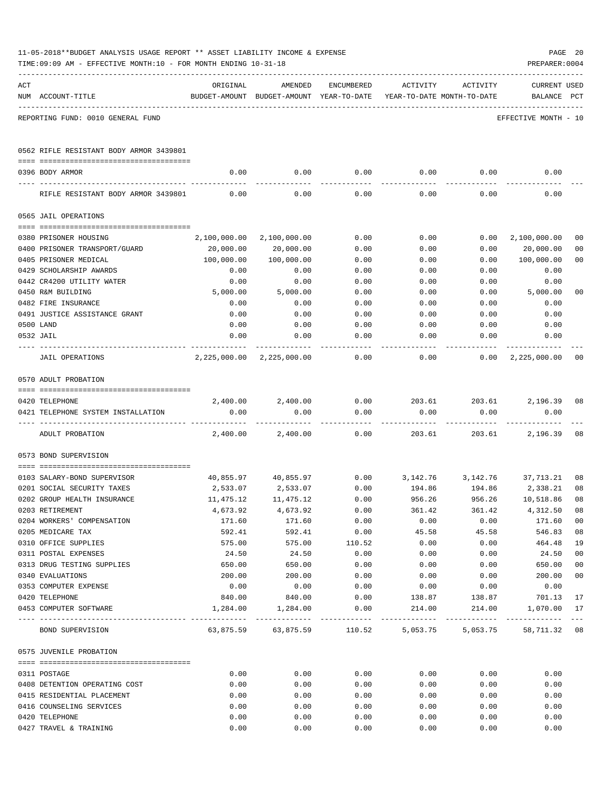|     | TIME:09:09 AM - EFFECTIVE MONTH:10 - FOR MONTH ENDING 10-31-18 |                       |                                                                  |              |                  |                                        | PREPARER: 0004                     |                      |
|-----|----------------------------------------------------------------|-----------------------|------------------------------------------------------------------|--------------|------------------|----------------------------------------|------------------------------------|----------------------|
| ACT | NUM ACCOUNT-TITLE                                              | ORIGINAL              | AMENDED<br>BUDGET-AMOUNT BUDGET-AMOUNT YEAR-TO-DATE              | ENCUMBERED   | ACTIVITY         | ACTIVITY<br>YEAR-TO-DATE MONTH-TO-DATE | <b>CURRENT USED</b><br>BALANCE PCT |                      |
|     | REPORTING FUND: 0010 GENERAL FUND                              |                       |                                                                  |              |                  |                                        | EFFECTIVE MONTH - 10               |                      |
|     | 0562 RIFLE RESISTANT BODY ARMOR 3439801                        |                       |                                                                  |              |                  |                                        |                                    |                      |
|     | 0396 BODY ARMOR                                                | 0.00                  |                                                                  | $0.00$ 0.00  |                  | 0.00                                   | 0.00<br>0.00                       |                      |
|     | RIFLE RESISTANT BODY ARMOR 3439801                             | 0.00                  | 0.00                                                             | 0.00         | 0.00             | 0.00                                   | 0.00                               |                      |
|     | 0565 JAIL OPERATIONS                                           |                       |                                                                  |              |                  |                                        |                                    |                      |
|     |                                                                |                       |                                                                  |              |                  |                                        |                                    |                      |
|     | 0380 PRISONER HOUSING<br>0400 PRISONER TRANSPORT/GUARD         | 20,000.00             | 2,100,000.00 2,100,000.00<br>20,000.00                           | 0.00<br>0.00 | 0.00<br>0.00     | 0.00<br>0.00                           | 2,100,000.00<br>20,000.00          | 00<br>0 <sub>0</sub> |
|     | 0405 PRISONER MEDICAL                                          | 100,000.00            | 100,000.00                                                       | 0.00         | 0.00             | 0.00                                   | 100,000.00                         | 0 <sub>0</sub>       |
|     | 0429 SCHOLARSHIP AWARDS                                        | 0.00                  | 0.00                                                             | 0.00         | 0.00             | 0.00                                   | 0.00                               |                      |
|     | 0442 CR4200 UTILITY WATER                                      | 0.00                  | 0.00                                                             | 0.00         | 0.00             | 0.00                                   | 0.00                               |                      |
|     | 0450 R&M BUILDING                                              | 5,000.00              | 5,000.00                                                         | 0.00         | 0.00             | 0.00                                   | 5,000.00                           | 0 <sub>0</sub>       |
|     | 0482 FIRE INSURANCE                                            | 0.00                  | 0.00                                                             | 0.00         | 0.00             | 0.00                                   | 0.00                               |                      |
|     | 0491 JUSTICE ASSISTANCE GRANT                                  | 0.00                  | 0.00                                                             | 0.00         | 0.00             | 0.00                                   | 0.00                               |                      |
|     | 0500 LAND                                                      | 0.00                  | 0.00                                                             | 0.00         | 0.00             | 0.00                                   | 0.00                               |                      |
|     | 0532 JAIL                                                      | 0.00                  | 0.00                                                             | 0.00         | 0.00             | 0.00                                   | 0.00                               |                      |
|     | JAIL OPERATIONS                                                |                       | 2,225,000.00 2,225,000.00                                        | 0.00         | 0.00             |                                        | $0.00 \quad 2,225,000.00$          | 00                   |
|     | 0570 ADULT PROBATION                                           |                       |                                                                  |              |                  |                                        |                                    |                      |
|     | 0420 TELEPHONE                                                 |                       | $2,400.00$ $2,400.00$ $0.00$ $203.61$ $203.61$                   |              |                  |                                        | 2,196.39 08                        |                      |
|     | 0421 TELEPHONE SYSTEM INSTALLATION                             | 0.00                  | 0.00                                                             | 0.00         | 0.00             | 0.00                                   | 0.00                               |                      |
|     | ADULT PROBATION                                                | 2,400.00              | 2,400.00                                                         | 0.00         |                  | 203.61 203.61                          | 2,196.39                           | 08                   |
|     | 0573 BOND SUPERVISION                                          |                       |                                                                  |              |                  |                                        |                                    |                      |
|     |                                                                |                       |                                                                  |              |                  |                                        |                                    |                      |
|     | 0103 SALARY-BOND SUPERVISOR                                    |                       | $40,855.97$ $40,855.97$ $0.00$ $3,142.76$ $3,142.76$ $37,713.21$ |              |                  |                                        |                                    | 08                   |
|     | 0201 SOCIAL SECURITY TAXES<br>0202 GROUP HEALTH INSURANCE      | 2,533.07<br>11,475.12 | 2,533.07<br>11,475.12                                            | 0.00<br>0.00 | 194.86<br>956.26 | 194.86<br>956.26                       | 2,338.21<br>10,518.86 08           | 08                   |
|     | 0203 RETIREMENT                                                | 4,673.92              | 4,673.92                                                         | 0.00         | 361.42           | 361.42                                 | 4,312.50                           | 08                   |
|     | 0204 WORKERS' COMPENSATION                                     | 171.60                | 171.60                                                           | 0.00         | 0.00             | 0.00                                   | 171.60                             | 0 <sub>0</sub>       |
|     | 0205 MEDICARE TAX                                              | 592.41                | 592.41                                                           | 0.00         | 45.58            | 45.58                                  | 546.83                             | 08                   |
|     | 0310 OFFICE SUPPLIES                                           | 575.00                | 575.00                                                           | 110.52       | 0.00             | 0.00                                   | 464.48                             | 19                   |
|     | 0311 POSTAL EXPENSES                                           | 24.50                 | 24.50                                                            | 0.00         | 0.00             | 0.00                                   | 24.50                              | 0 <sub>0</sub>       |
|     | 0313 DRUG TESTING SUPPLIES                                     | 650.00                | 650.00                                                           | 0.00         | 0.00             | 0.00                                   | 650.00                             | 0 <sub>0</sub>       |
|     | 0340 EVALUATIONS                                               | 200.00                | 200.00                                                           | 0.00         | 0.00             | 0.00                                   | 200.00                             | 0 <sub>0</sub>       |
|     | 0353 COMPUTER EXPENSE                                          | 0.00                  | 0.00                                                             | 0.00         | 0.00             | 0.00                                   | 0.00                               |                      |
|     | 0420 TELEPHONE                                                 | 840.00                | 840.00                                                           | 0.00         |                  |                                        | 138.87 138.87 701.13               | 17                   |
|     | 0453 COMPUTER SOFTWARE                                         |                       | 1,284.00 1,284.00                                                | 0.00         | 214.00           | 214.00                                 | 1,070.00 17                        |                      |
|     | BOND SUPERVISION                                               |                       |                                                                  |              |                  |                                        |                                    |                      |
|     | 0575 JUVENILE PROBATION                                        |                       |                                                                  |              |                  |                                        |                                    |                      |
|     | 0311 POSTAGE                                                   | 0.00                  | 0.00                                                             | 0.00         | 0.00             | 0.00                                   | 0.00                               |                      |
|     | 0408 DETENTION OPERATING COST                                  | 0.00                  | 0.00                                                             | 0.00         | 0.00             | 0.00                                   | 0.00                               |                      |
|     | 0415 RESIDENTIAL PLACEMENT                                     | 0.00                  | 0.00                                                             | 0.00         | 0.00             | 0.00                                   | 0.00                               |                      |
|     | 0416 COUNSELING SERVICES                                       | 0.00                  | 0.00                                                             | 0.00         | 0.00             | 0.00                                   | 0.00                               |                      |
|     | 0420 TELEPHONE                                                 | 0.00                  | 0.00                                                             | 0.00         | 0.00             | 0.00                                   | 0.00                               |                      |
|     | 0427 TRAVEL & TRAINING                                         | 0.00                  | 0.00                                                             | 0.00         | 0.00             | 0.00                                   | 0.00                               |                      |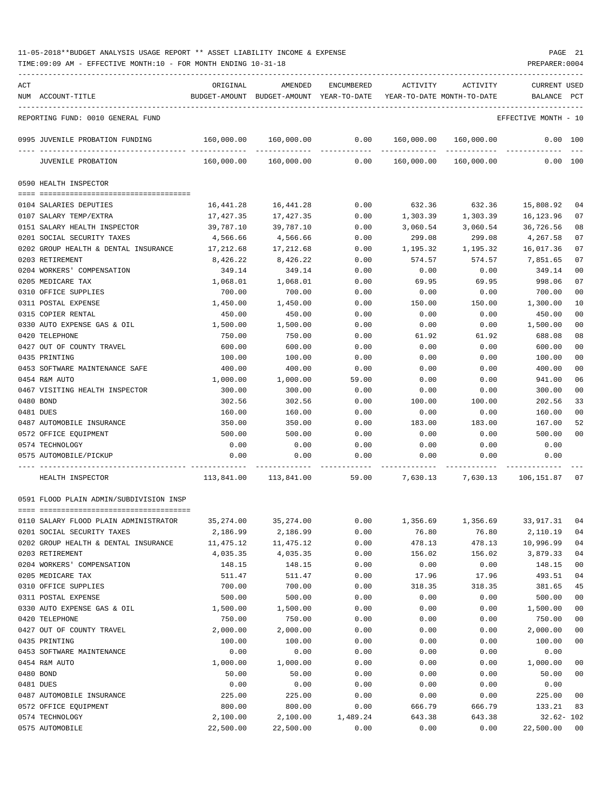TIME:09:09 AM - EFFECTIVE MONTH:10 - FOR MONTH ENDING 10-31-18 PREPARER:0004

| ACT |                                                                     | ORIGINAL                                                            | AMENDED                                                     | ENCUMBERED  | ACTIVITY | ACTIVITY                         | <b>CURRENT USED</b>  |                |
|-----|---------------------------------------------------------------------|---------------------------------------------------------------------|-------------------------------------------------------------|-------------|----------|----------------------------------|----------------------|----------------|
|     | NUM ACCOUNT-TITLE                                                   | BUDGET-AMOUNT BUDGET-AMOUNT YEAR-TO-DATE YEAR-TO-DATE MONTH-TO-DATE |                                                             |             |          |                                  | BALANCE              | PCT            |
|     |                                                                     |                                                                     |                                                             |             |          |                                  |                      |                |
|     | REPORTING FUND: 0010 GENERAL FUND                                   |                                                                     |                                                             |             |          |                                  | EFFECTIVE MONTH - 10 |                |
|     | 0995 JUVENILE PROBATION FUNDING                                     |                                                                     | 160,000.00 160,000.00                                       | 0.00        |          | 160,000.00 160,000.00            | 0.00 100             |                |
|     | JUVENILE PROBATION                                                  | 160,000.00                                                          | 160,000.00                                                  | ----------- |          | $0.00$ $160,000.00$ $160,000.00$ | 0.00 100             |                |
|     | 0590 HEALTH INSPECTOR                                               |                                                                     |                                                             |             |          |                                  |                      |                |
|     |                                                                     |                                                                     |                                                             |             |          |                                  |                      |                |
|     | 0104 SALARIES DEPUTIES                                              | 16,441.28                                                           | 16,441.28                                                   | 0.00        | 632.36   | 632.36                           | 15,808.92            | 04             |
|     | 0107 SALARY TEMP/EXTRA                                              | 17,427.35                                                           | 17,427.35                                                   | 0.00        | 1,303.39 | 1,303.39                         | 16,123.96            | 07             |
|     | 0151 SALARY HEALTH INSPECTOR                                        | 39,787.10                                                           | 39,787.10                                                   | 0.00        | 3,060.54 | 3,060.54                         | 36,726.56            | 08             |
|     | 0201 SOCIAL SECURITY TAXES                                          | 4,566.66                                                            | 4,566.66                                                    | 0.00        | 299.08   | 299.08                           | 4,267.58             | 07             |
|     | 0202 GROUP HEALTH & DENTAL INSURANCE                                | 17,212.68                                                           | 17,212.68                                                   | 0.00        | 1,195.32 | 1,195.32                         | 16,017.36            | 07             |
|     | 0203 RETIREMENT                                                     | 8,426.22                                                            | 8,426.22                                                    | 0.00        | 574.57   | 574.57                           | 7,851.65             | 07             |
|     | 0204 WORKERS' COMPENSATION                                          | 349.14                                                              | 349.14                                                      | 0.00        | 0.00     | 0.00                             | 349.14               | 00             |
|     | 0205 MEDICARE TAX                                                   | 1,068.01                                                            | 1,068.01                                                    | 0.00        | 69.95    | 69.95                            | 998.06               | 07             |
|     | 0310 OFFICE SUPPLIES                                                | 700.00                                                              | 700.00                                                      | 0.00        | 0.00     | 0.00                             | 700.00               | 00             |
|     | 0311 POSTAL EXPENSE                                                 | 1,450.00                                                            | 1,450.00                                                    | 0.00        | 150.00   | 150.00                           | 1,300.00             | 10             |
|     | 0315 COPIER RENTAL                                                  | 450.00                                                              | 450.00                                                      | 0.00        | 0.00     | 0.00                             | 450.00               | 00             |
|     | 0330 AUTO EXPENSE GAS & OIL                                         | 1,500.00                                                            | 1,500.00                                                    | 0.00        | 0.00     | 0.00                             | 1,500.00             | 00             |
|     | 0420 TELEPHONE                                                      | 750.00                                                              | 750.00<br>600.00                                            | 0.00        | 61.92    | 61.92                            | 688.08               | 08             |
|     | 0427 OUT OF COUNTY TRAVEL                                           | 600.00                                                              |                                                             | 0.00        | 0.00     | 0.00                             | 600.00               | 00             |
|     | 0435 PRINTING                                                       | 100.00                                                              | 100.00                                                      | 0.00        | 0.00     | 0.00                             | 100.00               | 00             |
|     | 0453 SOFTWARE MAINTENANCE SAFE                                      | 400.00                                                              | 400.00                                                      | 0.00        | 0.00     | 0.00                             | 400.00               | 00             |
|     | 0454 R&M AUTO                                                       | 1,000.00                                                            | 1,000.00                                                    | 59.00       | 0.00     | 0.00                             | 941.00               | 06             |
|     | 0467 VISITING HEALTH INSPECTOR                                      | 300.00                                                              | 300.00                                                      | 0.00        | 0.00     | 0.00                             | 300.00               | 00             |
|     | 0480 BOND                                                           | 302.56                                                              | 302.56                                                      | 0.00        | 100.00   | 100.00                           | 202.56               | 33             |
|     | 0481 DUES                                                           | 160.00                                                              | 160.00                                                      | 0.00        | 0.00     | 0.00                             | 160.00               | 00             |
|     | 0487 AUTOMOBILE INSURANCE                                           | 350.00                                                              | 350.00                                                      | 0.00        | 183.00   | 183.00                           | 167.00               | 52             |
|     | 0572 OFFICE EQUIPMENT                                               | 500.00                                                              | 500.00                                                      | 0.00        | 0.00     | 0.00                             | 500.00               | 00             |
|     | 0574 TECHNOLOGY                                                     | 0.00                                                                | 0.00                                                        | 0.00        | 0.00     | 0.00                             | 0.00                 |                |
|     | 0575 AUTOMOBILE/PICKUP                                              | 0.00                                                                | 0.00                                                        | 0.00        | 0.00     | 0.00                             | 0.00                 |                |
|     | HEALTH INSPECTOR                                                    |                                                                     | 113,841.00 113,841.00 59.00 7,630.13 7,630.13 106,151.87 07 |             |          |                                  |                      |                |
|     | 0591 FLOOD PLAIN ADMIN/SUBDIVISION INSP                             |                                                                     |                                                             |             |          |                                  |                      |                |
|     |                                                                     | 35,274.00                                                           | 35, 274.00                                                  | 0.00        | 1,356.69 | 1,356.69                         | 33, 917.31           | 04             |
|     | 0110 SALARY FLOOD PLAIN ADMINISTRATOR<br>0201 SOCIAL SECURITY TAXES | 2,186.99                                                            | 2,186.99                                                    | 0.00        | 76.80    | 76.80                            | 2,110.19             | 04             |
|     | 0202 GROUP HEALTH & DENTAL INSURANCE                                | 11,475.12                                                           | 11, 475.12                                                  | 0.00        | 478.13   | 478.13                           | 10,996.99            | 04             |
|     | 0203 RETIREMENT                                                     | 4,035.35                                                            | 4,035.35                                                    | 0.00        | 156.02   | 156.02                           | 3,879.33             | 04             |
|     | 0204 WORKERS' COMPENSATION                                          | 148.15                                                              | 148.15                                                      | 0.00        | 0.00     | 0.00                             | 148.15               | 0 <sub>0</sub> |
|     | 0205 MEDICARE TAX                                                   | 511.47                                                              | 511.47                                                      | 0.00        | 17.96    | 17.96                            | 493.51               | 04             |
|     | 0310 OFFICE SUPPLIES                                                | 700.00                                                              | 700.00                                                      | 0.00        | 318.35   | 318.35                           | 381.65               | 45             |
|     | 0311 POSTAL EXPENSE                                                 | 500.00                                                              | 500.00                                                      | 0.00        | 0.00     | 0.00                             | 500.00               | 00             |
|     | 0330 AUTO EXPENSE GAS & OIL                                         | 1,500.00                                                            | 1,500.00                                                    | 0.00        | 0.00     | 0.00                             | 1,500.00             | 00             |
|     | 0420 TELEPHONE                                                      | 750.00                                                              | 750.00                                                      | 0.00        | 0.00     | 0.00                             | 750.00               | 00             |
|     | 0427 OUT OF COUNTY TRAVEL                                           | 2,000.00                                                            | 2,000.00                                                    | 0.00        | 0.00     | 0.00                             | 2,000.00             | 00             |
|     | 0435 PRINTING                                                       | 100.00                                                              | 100.00                                                      | 0.00        | 0.00     | 0.00                             | 100.00               | 0 <sub>0</sub> |
|     | 0453 SOFTWARE MAINTENANCE                                           | 0.00                                                                | 0.00                                                        | 0.00        | 0.00     | 0.00                             | 0.00                 |                |
|     | 0454 R&M AUTO                                                       | 1,000.00                                                            | 1,000.00                                                    | 0.00        | 0.00     | 0.00                             | 1,000.00             | 0 <sub>0</sub> |
|     | 0480 BOND                                                           | 50.00                                                               | 50.00                                                       | 0.00        | 0.00     | 0.00                             | 50.00                | 0 <sub>0</sub> |
|     | 0481 DUES                                                           | 0.00                                                                | 0.00                                                        | 0.00        | 0.00     | 0.00                             | 0.00                 |                |
|     | 0487 AUTOMOBILE INSURANCE                                           | 225.00                                                              | 225.00                                                      | 0.00        | 0.00     | 0.00                             | 225.00               | 00             |
|     | 0572 OFFICE EQUIPMENT                                               | 800.00                                                              | 800.00                                                      | 0.00        | 666.79   | 666.79                           | 133.21               | 83             |
|     | 0574 TECHNOLOGY                                                     | 2,100.00                                                            | 2,100.00                                                    | 1,489.24    | 643.38   | 643.38                           | $32.62 - 102$        |                |

0575 AUTOMOBILE 22,500.00 22,500.00 0.00 0.00 0.00 22,500.00 00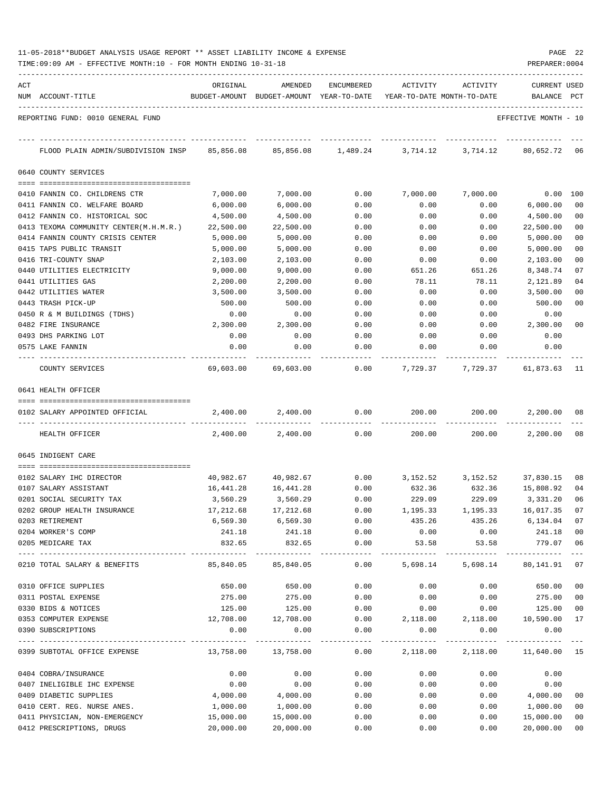| 11-05-2018**BUDGET ANALYSIS USAGE REPORT ** ASSET LIABILITY INCOME & EXPENSE |  |  |  | PAGE | 22 |
|------------------------------------------------------------------------------|--|--|--|------|----|
|                                                                              |  |  |  |      |    |

| ACT | NUM ACCOUNT-TITLE                       | ORIGINAL         | AMENDED                    | ENCUMBERED           | ACTIVITY<br>BUDGET-AMOUNT BUDGET-AMOUNT YEAR-TO-DATE YEAR-TO-DATE MONTH-TO-DATE | ACTIVITY                       | CURRENT USED<br>BALANCE | PCT     |
|-----|-----------------------------------------|------------------|----------------------------|----------------------|---------------------------------------------------------------------------------|--------------------------------|-------------------------|---------|
|     | REPORTING FUND: 0010 GENERAL FUND       |                  |                            |                      |                                                                                 |                                | EFFECTIVE MONTH - 10    |         |
|     | FLOOD PLAIN ADMIN/SUBDIVISION INSP      | 85,856.08        | 85,856.08                  | 1,489.24             | 3,714.12                                                                        | 3,714.12                       | 80,652.72               | -06     |
|     | 0640 COUNTY SERVICES                    |                  |                            |                      |                                                                                 |                                |                         |         |
|     | 0410 FANNIN CO. CHILDRENS CTR           | 7,000.00         | 7,000.00                   | 0.00                 | 7,000.00                                                                        | 7,000.00                       | 0.00                    | 100     |
|     | 0411 FANNIN CO. WELFARE BOARD           | 6,000.00         | 6,000.00                   | 0.00                 | 0.00                                                                            | 0.00                           | 6,000.00                | 00      |
|     | 0412 FANNIN CO. HISTORICAL SOC          | 4,500.00         | 4,500.00                   | 0.00                 | 0.00                                                                            | 0.00                           | 4,500.00                | 00      |
|     | 0413 TEXOMA COMMUNITY CENTER(M.H.M.R.)  | 22,500.00        | 22,500.00                  | 0.00                 | 0.00                                                                            | 0.00                           | 22,500.00               | 00      |
|     | 0414 FANNIN COUNTY CRISIS CENTER        | 5,000.00         | 5,000.00                   | 0.00                 | 0.00                                                                            | 0.00                           | 5,000.00                | 00      |
|     | 0415 TAPS PUBLIC TRANSIT                | 5,000.00         | 5,000.00                   | 0.00                 | 0.00                                                                            | 0.00                           | 5,000.00                | 00      |
|     | 0416 TRI-COUNTY SNAP                    | 2,103.00         | 2,103.00                   | 0.00                 | 0.00                                                                            | 0.00                           | 2,103.00                | 00      |
|     | 0440 UTILITIES ELECTRICITY              | 9,000.00         | 9,000.00                   | 0.00                 | 651.26                                                                          | 651.26                         | 8,348.74                | 07      |
|     | 0441 UTILITIES GAS                      | 2,200.00         | 2,200.00                   | 0.00                 | 78.11                                                                           | 78.11                          | 2,121.89                | 04      |
|     | 0442 UTILITIES WATER                    | 3,500.00         | 3,500.00                   | 0.00                 | 0.00                                                                            | 0.00                           | 3,500.00                | 00      |
|     | 0443 TRASH PICK-UP                      | 500.00           | 500.00                     | 0.00                 | 0.00                                                                            | 0.00                           | 500.00                  | 00      |
|     | 0450 R & M BUILDINGS (TDHS)             | 0.00             | 0.00                       | 0.00                 | 0.00                                                                            | 0.00                           | 0.00                    |         |
|     | 0482 FIRE INSURANCE                     | 2,300.00         | 2,300.00                   | 0.00                 | 0.00                                                                            | 0.00                           | 2,300.00                | 00      |
|     | 0493 DHS PARKING LOT                    | 0.00             | 0.00                       | 0.00                 | 0.00                                                                            | 0.00                           | 0.00                    |         |
|     | 0575 LAKE FANNIN                        | 0.00             | 0.00                       | 0.00                 | 0.00                                                                            | 0.00                           | 0.00                    |         |
|     | COUNTY SERVICES                         | 69,603.00        | 69,603.00                  | 0.00                 | 7,729.37                                                                        | 7,729.37                       | 61,873.63               | 11      |
|     | 0641 HEALTH OFFICER                     |                  |                            |                      |                                                                                 |                                |                         |         |
|     |                                         |                  |                            |                      |                                                                                 |                                |                         |         |
|     | 0102 SALARY APPOINTED OFFICIAL          | 2,400.00         | 2,400.00                   | 0.00                 | 200.00                                                                          | 200.00                         | 2,200.00                | -08     |
|     | HEALTH OFFICER                          | 2,400.00         | 2,400.00                   | 0.00                 | 200.00                                                                          | 200.00                         | 2,200.00                | 08      |
|     | 0645 INDIGENT CARE                      |                  |                            |                      |                                                                                 |                                |                         |         |
|     |                                         |                  |                            |                      |                                                                                 |                                |                         |         |
|     | 0102 SALARY IHC DIRECTOR                | 40,982.67        | 40,982.67                  | 0.00                 | 3, 152. 52 3, 152. 52                                                           |                                | 37,830.15               | 08      |
|     | 0107 SALARY ASSISTANT                   | 16,441.28        | 16,441.28                  | 0.00                 | 632.36                                                                          | 632.36                         | 15,808.92               | 04      |
|     | 0201 SOCIAL SECURITY TAX                | 3,560.29         | 3,560.29                   | 0.00                 | 229.09                                                                          | 229.09                         | 3,331.20                | 06      |
|     | 0202 GROUP HEALTH INSURANCE             | 17,212.68        | 17,212.68                  | 0.00                 | 1,195.33                                                                        | 1,195.33                       | 16,017.35               | 07      |
|     | 0203 RETIREMENT                         | 6,569.30         | 6,569.30                   | 0.00                 | 435.26                                                                          | 435.26                         | 6,134.04 07             |         |
|     | 0204 WORKER'S COMP<br>0205 MEDICARE TAX | 241.18<br>832.65 | 241.18<br>832.65           | 0.00<br>0.00         | 0.00<br>53.58                                                                   | 0.00<br>53.58                  | 241.18<br>779.07 06     | 00      |
|     | 0210 TOTAL SALARY & BENEFITS            | 85,840.05        | -------------<br>85,840.05 | 0.00                 |                                                                                 | 5,698.14 5,698.14 80,141.91 07 |                         | $- - -$ |
|     |                                         |                  |                            |                      |                                                                                 |                                |                         |         |
|     | 0310 OFFICE SUPPLIES                    | 650.00           | 650.00                     | 0.00                 | 0.00                                                                            | 0.00                           | 650.00 00               |         |
|     | 0311 POSTAL EXPENSE                     | 275.00           | 275.00                     | 0.00                 | 0.00                                                                            | 0.00                           | 275.00                  | 00      |
|     | 0330 BIDS & NOTICES                     | 125.00           | 125.00                     | 0.00                 | 0.00                                                                            | 0.00                           | 125.00                  | 00      |
|     | 0353 COMPUTER EXPENSE                   | 12,708.00        | 12,708.00                  | 0.00                 | 2,118.00 2,118.00                                                               |                                | 10,590.00               | 17      |
|     | 0390 SUBSCRIPTIONS                      | 0.00             | 0.00                       | 0.00<br>. <u>.</u> . | 0.00                                                                            | 0.00                           | 0.00                    |         |
|     | 0399 SUBTOTAL OFFICE EXPENSE            |                  |                            |                      | $13,758.00$ $13,758.00$ $0.00$ $2,118.00$ $2,118.00$ $11,640.00$ $15$           |                                |                         |         |
|     | 0404 COBRA/INSURANCE                    | 0.00             | 0.00                       | 0.00                 | 0.00                                                                            | 0.00                           | 0.00                    |         |
|     | 0407 INELIGIBLE IHC EXPENSE             | 0.00             | 0.00                       | 0.00                 | 0.00                                                                            | 0.00                           | 0.00                    |         |
|     | 0409 DIABETIC SUPPLIES                  | 4,000.00         | 4,000.00                   | 0.00                 | 0.00                                                                            | 0.00                           | 4,000.00                | 00      |
|     | 0410 CERT. REG. NURSE ANES.             | 1,000.00         | 1,000.00                   | 0.00                 | 0.00                                                                            | 0.00                           | 1,000.00                | 00      |
|     | 0411 PHYSICIAN, NON-EMERGENCY           | 15,000.00        | 15,000.00                  | 0.00                 | 0.00                                                                            | 0.00                           | 15,000.00               | 00      |

0412 PRESCRIPTIONS, DRUGS 20,000.00 20,000.00 0.00 0.00 0.00 20,000.00 00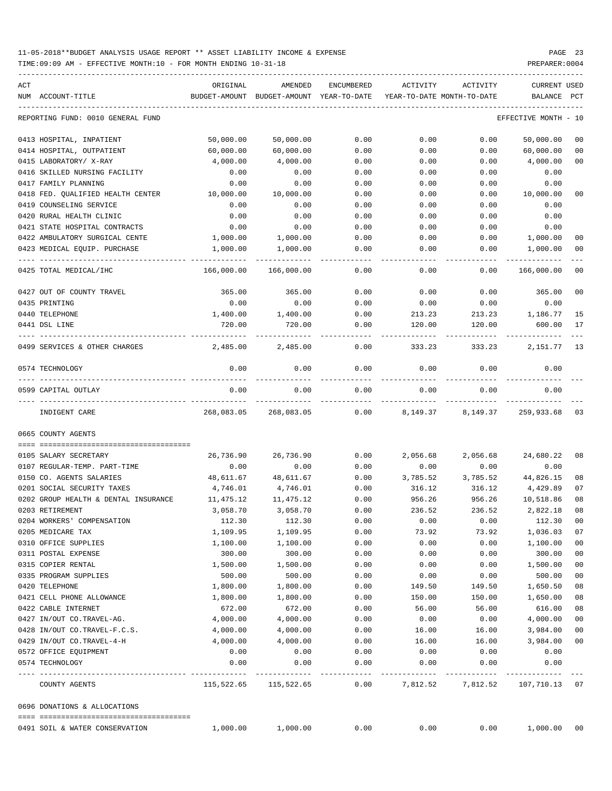| ACT |                                                        | ORIGINAL      | AMENDED       | ENCUMBERED   | ACTIVITY                   | ACTIVITY | CURRENT USED    |                |
|-----|--------------------------------------------------------|---------------|---------------|--------------|----------------------------|----------|-----------------|----------------|
|     | NUM ACCOUNT-TITLE                                      | BUDGET-AMOUNT | BUDGET-AMOUNT | YEAR-TO-DATE | YEAR-TO-DATE MONTH-TO-DATE |          | BALANCE         | PCT            |
|     | REPORTING FUND: 0010 GENERAL FUND                      |               |               |              |                            |          | EFFECTIVE MONTH | - 10           |
|     | 0413 HOSPITAL, INPATIENT                               | 50,000.00     | 50,000.00     | 0.00         | 0.00                       | 0.00     | 50,000.00       | 00             |
|     | 0414 HOSPITAL, OUTPATIENT                              | 60,000.00     | 60,000.00     | 0.00         | 0.00                       | 0.00     | 60,000.00       | 00             |
|     | 0415 LABORATORY/ X-RAY                                 | 4,000.00      | 4,000.00      | 0.00         | 0.00                       | 0.00     | 4,000.00        | 00             |
|     | 0416 SKILLED NURSING FACILITY                          | 0.00          | 0.00          | 0.00         | 0.00                       | 0.00     | 0.00            |                |
|     | 0417 FAMILY PLANNING                                   | 0.00          | 0.00          | 0.00         | 0.00                       | 0.00     | 0.00            |                |
|     | 0418 FED. QUALIFIED HEALTH CENTER                      | 10,000.00     | 10,000.00     | 0.00         | 0.00                       | 0.00     | 10,000.00       | 00             |
|     | 0419 COUNSELING SERVICE                                | 0.00          | 0.00          | 0.00         | 0.00                       | 0.00     | 0.00            |                |
|     | 0420 RURAL HEALTH CLINIC                               | 0.00          | 0.00          | 0.00         | 0.00                       | 0.00     | 0.00            |                |
|     | 0421 STATE HOSPITAL CONTRACTS                          | 0.00          | 0.00          | 0.00         | 0.00                       | 0.00     | 0.00            |                |
|     | 0422 AMBULATORY SURGICAL CENTE                         | 1,000.00      | 1,000.00      | 0.00         | 0.00                       | 0.00     | 1,000.00        | 00             |
|     | 0423 MEDICAL EQUIP. PURCHASE                           | 1,000.00      | 1,000.00      | 0.00         | 0.00                       | 0.00     | 1,000.00        | 00             |
|     | ---- -----------------------<br>0425 TOTAL MEDICAL/IHC | 166,000.00    | 166,000.00    | 0.00         | 0.00                       | 0.00     | 166,000.00      | 0 <sub>0</sub> |
|     | 0427 OUT OF COUNTY TRAVEL                              | 365.00        | 365.00        | 0.00         | 0.00                       | 0.00     | 365.00          | 00             |
|     | 0435 PRINTING                                          | 0.00          | 0.00          | 0.00         | 0.00                       | 0.00     | 0.00            |                |
|     | 0440 TELEPHONE                                         | 1,400.00      | 1,400.00      | 0.00         | 213.23                     | 213.23   | 1,186.77        | 15             |
|     | 0441 DSL LINE                                          | 720.00        | 720.00        | 0.00         | 120.00                     | 120.00   | 600.00          | 17             |
|     | 0499 SERVICES & OTHER CHARGES                          | 2,485.00      | 2,485.00      | 0.00         | 333.23                     | 333.23   | 2,151.77        | 13             |
|     | 0574 TECHNOLOGY                                        | 0.00          | 0.00          | 0.00         | 0.00                       | 0.00     | 0.00            |                |
|     | 0599 CAPITAL OUTLAY                                    | 0.00          | 0.00          | 0.00         | 0.00                       | 0.00     | 0.00            |                |
|     | INDIGENT CARE                                          | 268,083.05    | 268,083.05    | 0.00         | 8,149.37                   | 8,149.37 | 259,933.68      | 03             |
|     | 0665 COUNTY AGENTS                                     |               |               |              |                            |          |                 |                |
|     | 0105 SALARY SECRETARY                                  | 26,736.90     | 26,736.90     | 0.00         | 2,056.68                   | 2,056.68 | 24,680.22       | 08             |
|     | 0107 REGULAR-TEMP. PART-TIME                           | 0.00          | 0.00          | 0.00         | 0.00                       | 0.00     | 0.00            |                |
|     | 0150 CO. AGENTS SALARIES                               | 48,611.67     | 48,611.67     | 0.00         | 3,785.52                   | 3,785.52 | 44,826.15       | 08             |
|     | 0201 SOCIAL SECURITY TAXES                             | 4,746.01      | 4,746.01      | 0.00         | 316.12                     | 316.12   | 4,429.89        | 07             |
|     | 0202 GROUP HEALTH & DENTAL INSURANCE                   | 11,475.12     | 11,475.12     | 0.00         | 956.26                     | 956.26   | 10,518.86       | 08             |
|     | 0203 RETIREMENT                                        | 3,058.70      | 3,058.70      | 0.00         | 236.52                     | 236.52   | 2,822.18        | 08             |
|     | 0204 WORKERS' COMPENSATION                             | 112.30        | 112.30        | 0.00         | 0.00                       | 0.00     | 112.30          | 00             |
|     | 0205 MEDICARE TAX                                      | 1,109.95      | 1,109.95      | 0.00         | 73.92                      | 73.92    | 1,036.03        | 07             |
|     | 0310 OFFICE SUPPLIES                                   | 1,100.00      | 1,100.00      | 0.00         | 0.00                       | 0.00     | 1,100.00        | $00\,$         |
|     | 0311 POSTAL EXPENSE                                    | 300.00        | 300.00        | 0.00         | 0.00                       | 0.00     | 300.00          | 00             |
|     | 0315 COPIER RENTAL                                     | 1,500.00      | 1,500.00      | 0.00         | 0.00                       | 0.00     | 1,500.00        | 00             |
|     | 0335 PROGRAM SUPPLIES                                  | 500.00        | 500.00        | 0.00         | 0.00                       | 0.00     | 500.00          | 00             |
|     | 0420 TELEPHONE                                         | 1,800.00      | 1,800.00      | 0.00         | 149.50                     | 149.50   | 1,650.50        | 08             |
|     | 0421 CELL PHONE ALLOWANCE                              | 1,800.00      | 1,800.00      | 0.00         | 150.00                     | 150.00   | 1,650.00        | 08             |
|     | 0422 CABLE INTERNET                                    | 672.00        | 672.00        | 0.00         | 56.00                      | 56.00    | 616.00          | 08             |
|     | 0427 IN/OUT CO.TRAVEL-AG.                              | 4,000.00      | 4,000.00      | 0.00         | 0.00                       | 0.00     | 4,000.00        | 00             |
|     | 0428 IN/OUT CO.TRAVEL-F.C.S.                           | 4,000.00      | 4,000.00      | 0.00         | 16.00                      | 16.00    | 3,984.00        | 00             |
|     | 0429 IN/OUT CO.TRAVEL-4-H                              | 4,000.00      | 4,000.00      | 0.00         | 16.00                      | 16.00    | 3,984.00        | 00             |
|     | 0572 OFFICE EQUIPMENT                                  | 0.00          | 0.00          | 0.00         | 0.00                       | 0.00     | 0.00            |                |
|     | 0574 TECHNOLOGY                                        | 0.00          | 0.00          | 0.00         | 0.00                       | 0.00     | 0.00            |                |
|     | COUNTY AGENTS                                          | 115,522.65    | 115,522.65    | 0.00         | 7,812.52                   | 7,812.52 | 107,710.13 07   |                |
|     | 0696 DONATIONS & ALLOCATIONS                           |               |               |              |                            |          |                 |                |
|     |                                                        |               |               |              |                            |          |                 |                |
|     | 0491 SOIL & WATER CONSERVATION                         | 1,000.00      | 1,000.00      | 0.00         | 0.00                       | 0.00     | 1,000.00        | 00             |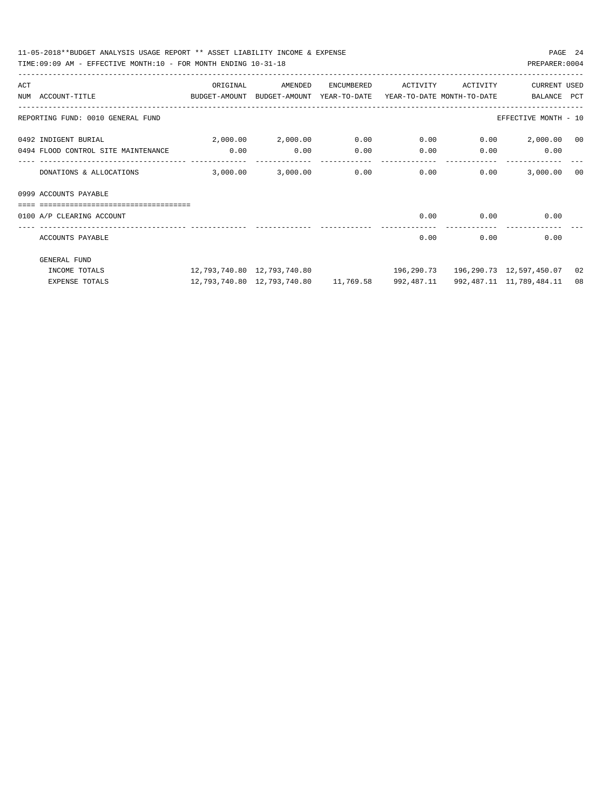|     | 11-05-2018**BUDGET ANALYSIS USAGE REPORT ** ASSET LIABILITY INCOME & EXPENSE<br>TIME:09:09 AM - EFFECTIVE MONTH:10 - FOR MONTH ENDING 10-31-18 |                                     |                                                                              |      |                                |             | PREPARER: 0004                               | PAGE 24 |
|-----|------------------------------------------------------------------------------------------------------------------------------------------------|-------------------------------------|------------------------------------------------------------------------------|------|--------------------------------|-------------|----------------------------------------------|---------|
| ACT |                                                                                                                                                |                                     |                                                                              |      |                                |             |                                              |         |
|     | BUDGET-AMOUNT BUDGET-AMOUNT YEAR-TO-DATE YEAR-TO-DATE MONTH-TO-DATE BALANCE PCT<br>NUM ACCOUNT-TITLE                                           |                                     |                                                                              |      |                                |             |                                              |         |
|     | REPORTING FUND: 0010 GENERAL FUND                                                                                                              |                                     |                                                                              |      |                                |             | EFFECTIVE MONTH - 10                         |         |
|     | $2,000.00$ $2,000.00$ $0.00$ $0.00$ $0.00$ $2,000.00$ $00$<br>0492 INDIGENT BURIAL                                                             |                                     |                                                                              |      |                                |             |                                              |         |
|     | 0494 FLOOD CONTROL SITE MAINTENANCE 0.00                                                                                                       |                                     | 0.00                                                                         | 0.00 | $0.00$ 0.00                    |             | 0.00                                         |         |
|     | DONATIONS & ALLOCATIONS                                                                                                                        | 3,000.00                            |                                                                              |      | $3.000.00$ 0.00 0.00 0.00 0.00 |             | 3,000.00 00                                  |         |
|     | 0999 ACCOUNTS PAYABLE                                                                                                                          |                                     |                                                                              |      |                                |             |                                              |         |
|     |                                                                                                                                                |                                     |                                                                              |      |                                |             |                                              |         |
|     | 0100 A/P CLEARING ACCOUNT                                                                                                                      |                                     |                                                                              |      |                                |             | $0.00$ $0.00$ $0.00$                         |         |
|     | ACCOUNTS PAYABLE                                                                                                                               |                                     |                                                                              |      |                                | $0.00$ 0.00 | 0.00                                         |         |
|     | <b>GENERAL FUND</b>                                                                                                                            |                                     |                                                                              |      |                                |             |                                              |         |
|     | INCOME TOTALS                                                                                                                                  | $12.793.740.80 \quad 12.793.740.80$ |                                                                              |      |                                |             | 196,290.73   196,290.73   12,597,450.07   02 |         |
|     | <b>EXPENSE TOTALS</b>                                                                                                                          |                                     | 12,793,740.80 12,793,740.80 11,769.58 992,487.11 992,487.11 11,789,484.11 08 |      |                                |             |                                              |         |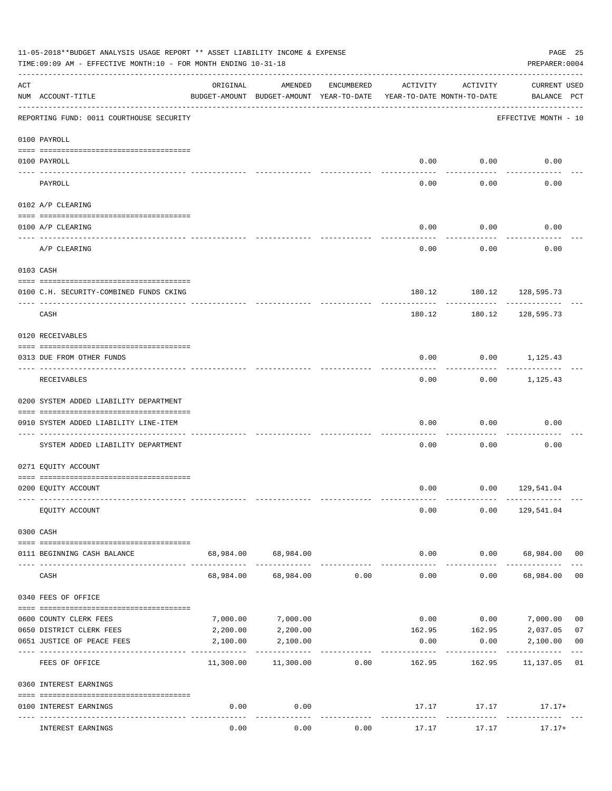| 11-05-2018**BUDGET ANALYSIS USAGE REPORT ** ASSET LIABILITY INCOME & EXPENSE<br>TIME: 09:09 AM - EFFECTIVE MONTH: 10 - FOR MONTH ENDING 10-31-18<br>PREPARER: 0004 |                                                                                |           |                                                     |            |                                        |                            |                                         |                |  |  |
|--------------------------------------------------------------------------------------------------------------------------------------------------------------------|--------------------------------------------------------------------------------|-----------|-----------------------------------------------------|------------|----------------------------------------|----------------------------|-----------------------------------------|----------------|--|--|
| ACT                                                                                                                                                                | NUM ACCOUNT-TITLE                                                              | ORIGINAL  | AMENDED<br>BUDGET-AMOUNT BUDGET-AMOUNT YEAR-TO-DATE | ENCUMBERED | ACTIVITY<br>YEAR-TO-DATE MONTH-TO-DATE | ACTIVITY                   | <b>CURRENT USED</b><br>BALANCE PCT      |                |  |  |
|                                                                                                                                                                    | ----------------------------------<br>REPORTING FUND: 0011 COURTHOUSE SECURITY |           |                                                     |            |                                        |                            | EFFECTIVE MONTH - 10                    |                |  |  |
|                                                                                                                                                                    | 0100 PAYROLL                                                                   |           |                                                     |            |                                        |                            |                                         |                |  |  |
|                                                                                                                                                                    | 0100 PAYROLL                                                                   |           |                                                     |            | 0.00                                   | 0.00                       | 0.00                                    |                |  |  |
|                                                                                                                                                                    | ---- ----<br>PAYROLL                                                           |           |                                                     |            | 0.00                                   | -------<br>0.00            | 0.00                                    |                |  |  |
|                                                                                                                                                                    | 0102 A/P CLEARING                                                              |           |                                                     |            |                                        |                            |                                         |                |  |  |
|                                                                                                                                                                    |                                                                                |           |                                                     |            |                                        |                            |                                         |                |  |  |
|                                                                                                                                                                    | 0100 A/P CLEARING                                                              |           |                                                     |            | 0.00                                   | 0.00                       | 0.00                                    |                |  |  |
|                                                                                                                                                                    | A/P CLEARING                                                                   |           |                                                     |            | 0.00                                   | 0.00                       | 0.00                                    |                |  |  |
|                                                                                                                                                                    | 0103 CASH                                                                      |           |                                                     |            |                                        |                            |                                         |                |  |  |
|                                                                                                                                                                    | 0100 C.H. SECURITY-COMBINED FUNDS CKING                                        |           |                                                     |            |                                        | 180.12 180.12 128,595.73   |                                         |                |  |  |
|                                                                                                                                                                    | CASH                                                                           |           |                                                     |            | 180.12                                 | 180.12                     | ---------<br>128,595.73                 |                |  |  |
|                                                                                                                                                                    | 0120 RECEIVABLES                                                               |           |                                                     |            |                                        |                            |                                         |                |  |  |
|                                                                                                                                                                    | 0313 DUE FROM OTHER FUNDS                                                      |           |                                                     |            | 0.00                                   |                            | $0.00$ 1,125.43                         |                |  |  |
|                                                                                                                                                                    | RECEIVABLES                                                                    |           |                                                     |            | 0.00                                   | ---------                  | -----------<br>$0.00$ 1,125.43          |                |  |  |
|                                                                                                                                                                    | 0200 SYSTEM ADDED LIABILITY DEPARTMENT                                         |           |                                                     |            |                                        |                            |                                         |                |  |  |
|                                                                                                                                                                    | 0910 SYSTEM ADDED LIABILITY LINE-ITEM                                          |           |                                                     |            | 0.00                                   | 0.00                       | 0.00                                    |                |  |  |
|                                                                                                                                                                    | SYSTEM ADDED LIABILITY DEPARTMENT                                              |           |                                                     |            | 0.00                                   | 0.00                       | 0.00                                    |                |  |  |
|                                                                                                                                                                    | 0271 EQUITY ACCOUNT                                                            |           |                                                     |            |                                        |                            |                                         |                |  |  |
|                                                                                                                                                                    | 0200 EQUITY ACCOUNT                                                            |           |                                                     |            |                                        | $0.00$ $0.00$ $129,541.04$ |                                         |                |  |  |
|                                                                                                                                                                    | EQUITY ACCOUNT                                                                 |           |                                                     |            | 0.00                                   |                            | $0.00$ 129,541.04                       |                |  |  |
|                                                                                                                                                                    | 0300 CASH                                                                      |           |                                                     |            |                                        |                            |                                         |                |  |  |
|                                                                                                                                                                    |                                                                                |           |                                                     |            |                                        |                            |                                         |                |  |  |
|                                                                                                                                                                    | 0111 BEGINNING CASH BALANCE                                                    |           | 68,984.00 68,984.00<br>-------------                |            | 0.00<br>-------------                  | ----------                 | $0.00$ 68,984.00 00                     |                |  |  |
|                                                                                                                                                                    | CASH                                                                           | 68,984.00 | 68,984.00                                           | 0.00       | 0.00                                   |                            | 0.00 68,984.00                          | 0 <sub>0</sub> |  |  |
|                                                                                                                                                                    | 0340 FEES OF OFFICE                                                            |           |                                                     |            |                                        |                            |                                         |                |  |  |
|                                                                                                                                                                    | 0600 COUNTY CLERK FEES                                                         | 7,000.00  | 7,000.00                                            |            | 0.00                                   |                            | $0.00$ 7,000.00                         | 0 <sub>0</sub> |  |  |
|                                                                                                                                                                    | 0650 DISTRICT CLERK FEES                                                       | 2,200.00  | 2,200.00                                            |            |                                        |                            | 162.95 162.95 2,037.05                  | 07             |  |  |
|                                                                                                                                                                    | 0651 JUSTICE OF PEACE FEES                                                     | 2,100.00  | 2,100.00                                            |            | 0.00                                   | 0.00                       | 2,100.00                                | 0 <sub>0</sub> |  |  |
|                                                                                                                                                                    | FEES OF OFFICE                                                                 |           | $11,300.00$ $11,300.00$ 0.00                        |            | 162.95                                 | 162.95                     | 11,137.05 01                            |                |  |  |
|                                                                                                                                                                    | 0360 INTEREST EARNINGS                                                         |           |                                                     |            |                                        |                            |                                         |                |  |  |
|                                                                                                                                                                    | 0100 INTEREST EARNINGS                                                         | 0.00      | 0.00<br>$- - - - -$                                 |            | -------------                          | ------------               | $17.17$ $17.17$ $17.17+$<br>----------- |                |  |  |
|                                                                                                                                                                    | INTEREST EARNINGS                                                              | 0.00      | 0.00                                                | 0.00       | 17.17                                  | 17.17                      | $17.17+$                                |                |  |  |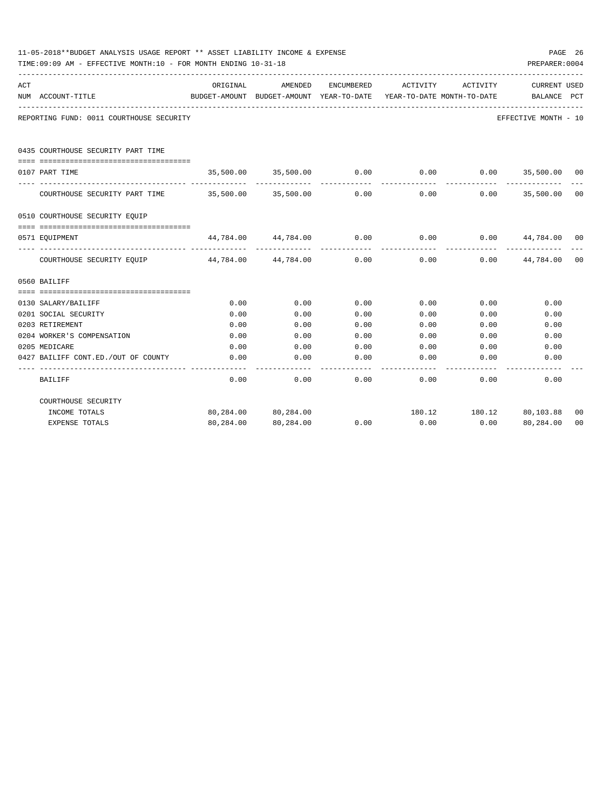| 11-05-2018**BUDGET ANALYSIS USAGE REPORT ** ASSET LIABILITY INCOME & EXPENSE<br>TIME:09:09 AM - EFFECTIVE MONTH:10 - FOR MONTH ENDING 10-31-18<br>PREPARER: 0004 |                                                                        |                                                                     |                                                               |            |               |              |                                            |                |  |  |
|------------------------------------------------------------------------------------------------------------------------------------------------------------------|------------------------------------------------------------------------|---------------------------------------------------------------------|---------------------------------------------------------------|------------|---------------|--------------|--------------------------------------------|----------------|--|--|
| ACT                                                                                                                                                              |                                                                        | ORIGINAL                                                            | AMENDED                                                       | ENCUMBERED | ACTIVITY      | ACTIVITY     | <b>CURRENT USED</b>                        |                |  |  |
|                                                                                                                                                                  | NUM ACCOUNT-TITLE                                                      | BUDGET-AMOUNT BUDGET-AMOUNT YEAR-TO-DATE YEAR-TO-DATE MONTH-TO-DATE |                                                               |            |               |              | BALANCE PCT                                |                |  |  |
|                                                                                                                                                                  | REPORTING FUND: 0011 COURTHOUSE SECURITY                               |                                                                     |                                                               |            |               |              | EFFECTIVE MONTH - 10                       |                |  |  |
|                                                                                                                                                                  | 0435 COURTHOUSE SECURITY PART TIME                                     |                                                                     |                                                               |            |               |              |                                            |                |  |  |
|                                                                                                                                                                  | 0107 PART TIME                                                         |                                                                     | $35,500.00$ $35,500.00$ $0.00$ $0.00$ $0.00$ $35,500.00$ $00$ |            |               |              |                                            |                |  |  |
|                                                                                                                                                                  | COURTHOUSE SECURITY PART TIME $35,500.00$ $35,500.00$ 0.00             |                                                                     |                                                               |            |               |              | -------------<br>$0.00$ $0.00$ $35,500.00$ | 0 <sup>0</sup> |  |  |
|                                                                                                                                                                  | 0510 COURTHOUSE SECURITY EQUIP                                         |                                                                     |                                                               |            |               |              |                                            |                |  |  |
|                                                                                                                                                                  | 0571 EQUIPMENT                                                         |                                                                     | $44,784.00$ $44,784.00$ $0.00$ $0.00$ $0.00$ $44,784.00$ 00   |            |               |              |                                            |                |  |  |
|                                                                                                                                                                  | COURTHOUSE SECURITY EQUIP 44,784.00 44,784.00 0.00 0.00 0.00 44,784.00 |                                                                     |                                                               |            | ------------- | ------------ | -------------                              | 00             |  |  |
|                                                                                                                                                                  | 0560 BAILIFF                                                           |                                                                     |                                                               |            |               |              |                                            |                |  |  |
|                                                                                                                                                                  |                                                                        |                                                                     |                                                               |            |               |              |                                            |                |  |  |
|                                                                                                                                                                  | 0130 SALARY/BAILIFF                                                    | 0.00                                                                | 0.00                                                          | 0.00       | 0.00          | 0.00         | 0.00                                       |                |  |  |
|                                                                                                                                                                  | 0201 SOCIAL SECURITY                                                   | 0.00                                                                | 0.00                                                          | 0.00       | 0.00          | 0.00         | 0.00                                       |                |  |  |
|                                                                                                                                                                  | 0203 RETIREMENT                                                        | 0.00                                                                | 0.00                                                          | 0.00       | 0.00          | 0.00         | 0.00                                       |                |  |  |
|                                                                                                                                                                  | 0204 WORKER'S COMPENSATION                                             | 0.00                                                                | 0.00                                                          | 0.00       | 0.00          | 0.00         | 0.00                                       |                |  |  |
|                                                                                                                                                                  | 0205 MEDICARE                                                          | 0.00                                                                | 0.00                                                          | 0.00       | 0.00          | 0.00         | 0.00                                       |                |  |  |
|                                                                                                                                                                  | 0427 BAILIFF CONT.ED./OUT OF COUNTY                                    | 0.00<br>------                                                      | 0.00<br>----------                                            | 0.00       | 0.00          | 0.00         | 0.00                                       |                |  |  |
|                                                                                                                                                                  | BAILIFF                                                                | 0.00                                                                | 0.00                                                          | 0.00       |               | 0.00<br>0.00 | 0.00                                       |                |  |  |
|                                                                                                                                                                  | COURTHOUSE SECURITY                                                    |                                                                     |                                                               |            |               |              |                                            |                |  |  |
|                                                                                                                                                                  | INCOME TOTALS                                                          |                                                                     | 80,284.00 80,284.00                                           |            |               |              | 180.12   180.12   80,103.88                | 00             |  |  |
|                                                                                                                                                                  | <b>EXPENSE TOTALS</b>                                                  | 80,284.00                                                           | 80,284.00                                                     | 0.00       | 0.00          | 0.00         | 80,284.00                                  | 0 <sub>0</sub> |  |  |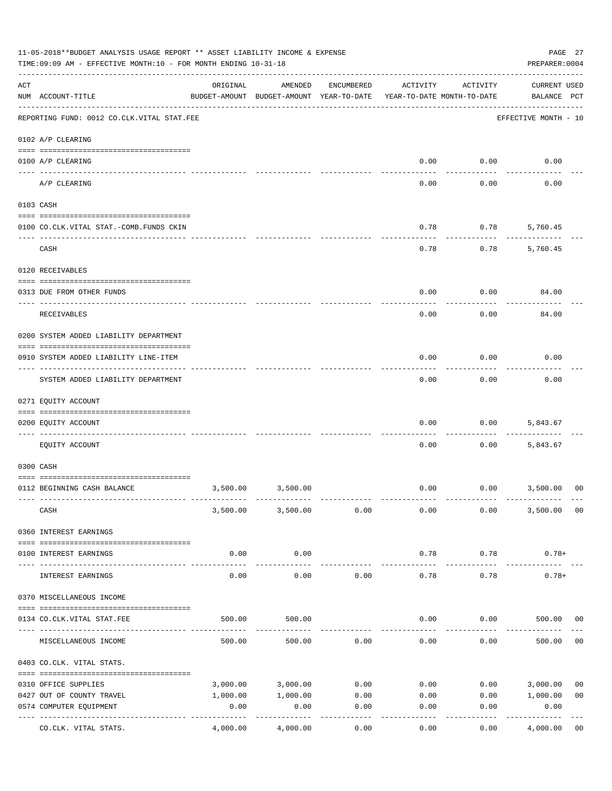|     | 11-05-2018**BUDGET ANALYSIS USAGE REPORT ** ASSET LIABILITY INCOME & EXPENSE<br>TIME: 09:09 AM - EFFECTIVE MONTH: 10 - FOR MONTH ENDING 10-31-18 |          |                                                     |            |                                        |                          |                                    |                |  |  |
|-----|--------------------------------------------------------------------------------------------------------------------------------------------------|----------|-----------------------------------------------------|------------|----------------------------------------|--------------------------|------------------------------------|----------------|--|--|
| ACT | NUM ACCOUNT-TITLE                                                                                                                                | ORIGINAL | AMENDED<br>BUDGET-AMOUNT BUDGET-AMOUNT YEAR-TO-DATE | ENCUMBERED | ACTIVITY<br>YEAR-TO-DATE MONTH-TO-DATE | ACTIVITY                 | <b>CURRENT USED</b><br>BALANCE PCT |                |  |  |
|     | REPORTING FUND: 0012 CO.CLK.VITAL STAT.FEE                                                                                                       |          |                                                     |            |                                        |                          | EFFECTIVE MONTH - 10               |                |  |  |
|     | 0102 A/P CLEARING                                                                                                                                |          |                                                     |            |                                        |                          |                                    |                |  |  |
|     | 0100 A/P CLEARING                                                                                                                                |          |                                                     |            | 0.00                                   | 0.00                     | 0.00                               |                |  |  |
|     | A/P CLEARING                                                                                                                                     |          |                                                     |            | 0.00                                   | 0.00                     | 0.00                               |                |  |  |
|     | 0103 CASH                                                                                                                                        |          |                                                     |            |                                        |                          |                                    |                |  |  |
|     | 0100 CO.CLK.VITAL STAT.-COMB.FUNDS CKIN                                                                                                          |          |                                                     |            | 0.78                                   | 0.78                     | 5,760.45                           |                |  |  |
|     | CASH                                                                                                                                             |          |                                                     |            | 0.78                                   | 0.78                     | 5,760.45                           |                |  |  |
|     | 0120 RECEIVABLES                                                                                                                                 |          |                                                     |            |                                        |                          |                                    |                |  |  |
|     | 0313 DUE FROM OTHER FUNDS                                                                                                                        |          |                                                     |            | 0.00                                   | 0.00                     | 84.00                              |                |  |  |
|     | RECEIVABLES                                                                                                                                      |          |                                                     |            | 0.00                                   | 0.00                     | 84.00                              |                |  |  |
|     | 0200 SYSTEM ADDED LIABILITY DEPARTMENT                                                                                                           |          |                                                     |            |                                        |                          |                                    |                |  |  |
|     | 0910 SYSTEM ADDED LIABILITY LINE-ITEM<br>------------------------                                                                                |          |                                                     |            | 0.00                                   | 0.00                     | 0.00                               |                |  |  |
|     | SYSTEM ADDED LIABILITY DEPARTMENT                                                                                                                |          |                                                     |            | 0.00                                   | 0.00                     | 0.00                               |                |  |  |
|     | 0271 EQUITY ACCOUNT                                                                                                                              |          |                                                     |            |                                        |                          |                                    |                |  |  |
|     | 0200 EQUITY ACCOUNT                                                                                                                              |          |                                                     |            | 0.00                                   | 0.00                     | 5,843.67                           |                |  |  |
|     | EQUITY ACCOUNT                                                                                                                                   |          |                                                     |            | 0.00                                   | 0.00                     | 5,843.67                           |                |  |  |
|     | 0300 CASH                                                                                                                                        |          |                                                     |            |                                        |                          |                                    |                |  |  |
|     | 0112 BEGINNING CASH BALANCE                                                                                                                      | 3,500.00 | 3,500.00                                            |            |                                        | $0.00$ $0.00$ $3,500.00$ |                                    | 00             |  |  |
|     | CASH                                                                                                                                             |          | 3,500.00 3,500.00                                   | 0.00       | 0.00                                   | 0.00                     | 3,500.00                           | 00             |  |  |
|     | 0360 INTEREST EARNINGS                                                                                                                           |          |                                                     |            |                                        |                          |                                    |                |  |  |
|     | 0100 INTEREST EARNINGS                                                                                                                           | 0.00     | 0.00                                                |            | 0.78                                   | 0.78                     | $0.78+$                            |                |  |  |
|     | INTEREST EARNINGS                                                                                                                                | 0.00     | 0.00                                                | 0.00       | 0.78                                   | 0.78                     | $0.78+$                            |                |  |  |
|     | 0370 MISCELLANEOUS INCOME                                                                                                                        |          |                                                     |            |                                        |                          |                                    |                |  |  |
|     | 0134 CO.CLK.VITAL STAT.FEE                                                                                                                       | 500.00   | 500.00                                              |            | 0.00                                   | 0.00                     | 500.00                             | 00             |  |  |
|     | MISCELLANEOUS INCOME                                                                                                                             | 500.00   | 500.00                                              | 0.00       | 0.00                                   | 0.00                     | 500.00                             | 0 <sub>0</sub> |  |  |
|     | 0403 CO.CLK. VITAL STATS.                                                                                                                        |          |                                                     |            |                                        |                          |                                    |                |  |  |
|     | 0310 OFFICE SUPPLIES                                                                                                                             | 3,000.00 | 3,000.00                                            | 0.00       | 0.00                                   | 0.00                     | 3,000.00                           | 0 <sub>0</sub> |  |  |
|     | 0427 OUT OF COUNTY TRAVEL                                                                                                                        | 1,000.00 | 1,000.00                                            | 0.00       | 0.00                                   | 0.00                     | 1,000.00                           | 0 <sub>0</sub> |  |  |
|     | 0574 COMPUTER EQUIPMENT<br>---------------                                                                                                       | 0.00     | 0.00                                                | 0.00       | 0.00                                   | 0.00                     | 0.00                               |                |  |  |
|     | CO.CLK. VITAL STATS.                                                                                                                             | 4,000.00 | 4,000.00                                            | 0.00       | 0.00                                   | 0.00                     | 4,000.00                           | 0 <sub>0</sub> |  |  |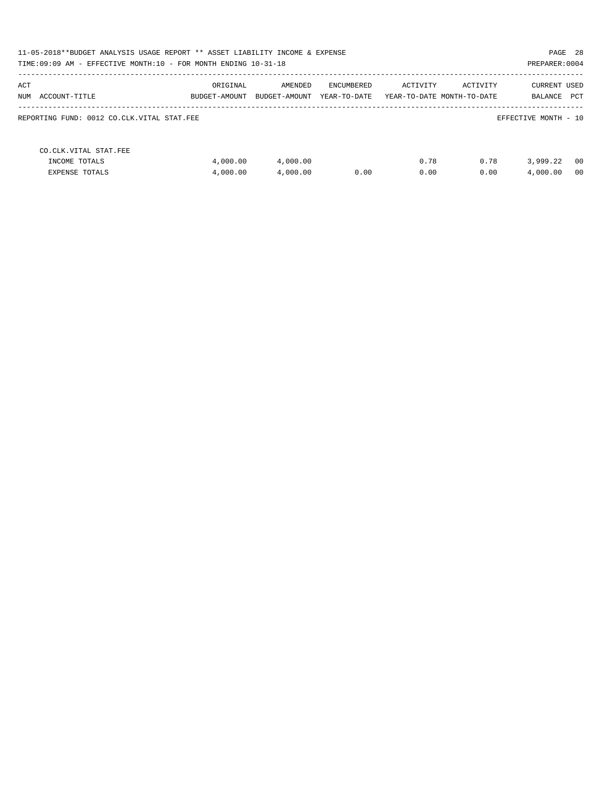| PAGE 28<br>11-05-2018**BUDGET ANALYSIS USAGE REPORT ** ASSET LIABILITY INCOME & EXPENSE<br>TIME: 09:09 AM - EFFECTIVE MONTH: 10 - FOR MONTH ENDING 10-31-18<br>PREPARER: 0004 |               |               |              |                            |          |                      |     |  |  |
|-------------------------------------------------------------------------------------------------------------------------------------------------------------------------------|---------------|---------------|--------------|----------------------------|----------|----------------------|-----|--|--|
|                                                                                                                                                                               |               |               |              |                            |          |                      |     |  |  |
| ACT                                                                                                                                                                           | ORIGINAL      | AMENDED       | ENCUMBERED   | ACTIVITY                   | ACTIVITY | <b>CURRENT USED</b>  |     |  |  |
| NUM ACCOUNT-TITLE                                                                                                                                                             | BUDGET-AMOUNT | BUDGET-AMOUNT | YEAR-TO-DATE | YEAR-TO-DATE MONTH-TO-DATE |          | BALANCE              | PCT |  |  |
| REPORTING FUND: 0012 CO.CLK.VITAL STAT.FEE                                                                                                                                    |               |               |              |                            |          | EFFECTIVE MONTH - 10 |     |  |  |
| CO. CLK. VITAL STAT. FEE                                                                                                                                                      |               |               |              |                            |          |                      |     |  |  |
| INCOME TOTALS                                                                                                                                                                 | 4,000.00      | 4,000.00      |              | 0.78                       | 0.78     | 3,999.22             | 00  |  |  |
| <b>EXPENSE TOTALS</b>                                                                                                                                                         | 4,000.00      | 4,000.00      | 0.00         | 0.00                       | 0.00     | 4,000.00             | 00  |  |  |
|                                                                                                                                                                               |               |               |              |                            |          |                      |     |  |  |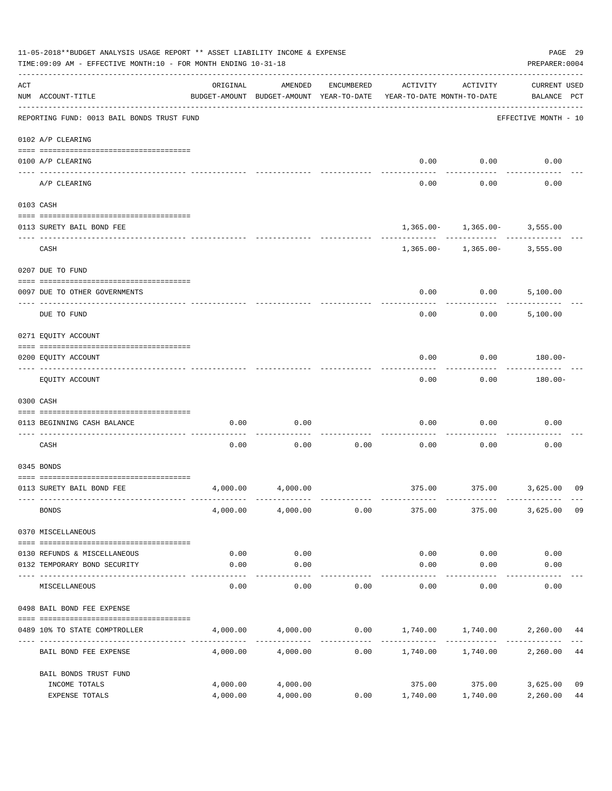| 11-05-2018**BUDGET ANALYSIS USAGE REPORT ** ASSET LIABILITY INCOME & EXPENSE<br>TIME: 09:09 AM - EFFECTIVE MONTH: 10 - FOR MONTH ENDING 10-31-18 |                                            |                      |                                                     |            |                                         |                                                 |                                    |          |  |
|--------------------------------------------------------------------------------------------------------------------------------------------------|--------------------------------------------|----------------------|-----------------------------------------------------|------------|-----------------------------------------|-------------------------------------------------|------------------------------------|----------|--|
| ACT                                                                                                                                              | NUM ACCOUNT-TITLE                          | ORIGINAL             | AMENDED<br>BUDGET-AMOUNT BUDGET-AMOUNT YEAR-TO-DATE | ENCUMBERED | ACTIVITY<br>YEAR-TO-DATE MONTH-TO-DATE  | ACTIVITY                                        | <b>CURRENT USED</b><br>BALANCE PCT |          |  |
|                                                                                                                                                  | REPORTING FUND: 0013 BAIL BONDS TRUST FUND |                      |                                                     |            |                                         |                                                 | EFFECTIVE MONTH - 10               |          |  |
|                                                                                                                                                  | 0102 A/P CLEARING                          |                      |                                                     |            |                                         |                                                 |                                    |          |  |
|                                                                                                                                                  | 0100 A/P CLEARING                          |                      |                                                     |            | 0.00                                    | 0.00                                            | 0.00                               |          |  |
|                                                                                                                                                  | ----- ------<br>A/P CLEARING               |                      |                                                     |            | 0.00                                    | 0.00                                            | 0.00                               |          |  |
|                                                                                                                                                  | 0103 CASH                                  |                      |                                                     |            |                                         |                                                 |                                    |          |  |
|                                                                                                                                                  | 0113 SURETY BAIL BOND FEE                  |                      |                                                     |            |                                         | $1,365.00 - 1,365.00 - 3,555.00$                |                                    |          |  |
|                                                                                                                                                  | CASH                                       |                      |                                                     |            |                                         | -----------<br>$1,365.00 - 1,365.00 - 3,555.00$ |                                    |          |  |
|                                                                                                                                                  | 0207 DUE TO FUND                           |                      |                                                     |            |                                         |                                                 |                                    |          |  |
|                                                                                                                                                  | 0097 DUE TO OTHER GOVERNMENTS              |                      |                                                     |            | 0.00                                    | 0.00                                            | 5,100.00                           |          |  |
|                                                                                                                                                  | DUE TO FUND                                |                      |                                                     |            | 0.00                                    | 0.00                                            | 5,100.00                           |          |  |
|                                                                                                                                                  | 0271 EQUITY ACCOUNT                        |                      |                                                     |            |                                         |                                                 |                                    |          |  |
|                                                                                                                                                  | 0200 EQUITY ACCOUNT                        |                      |                                                     |            | 0.00                                    | 0.00                                            | 180.00-                            |          |  |
|                                                                                                                                                  | EQUITY ACCOUNT                             |                      |                                                     |            | 0.00                                    | 0.00                                            | $180.00 -$                         |          |  |
|                                                                                                                                                  | 0300 CASH                                  |                      |                                                     |            |                                         |                                                 |                                    |          |  |
|                                                                                                                                                  | 0113 BEGINNING CASH BALANCE                | 0.00                 | 0.00                                                |            | 0.00                                    | 0.00                                            | 0.00                               |          |  |
|                                                                                                                                                  | CASH                                       | 0.00                 | 0.00                                                | 0.00       | 0.00                                    | 0.00                                            | 0.00                               |          |  |
|                                                                                                                                                  | 0345 BONDS                                 |                      |                                                     |            |                                         |                                                 |                                    |          |  |
|                                                                                                                                                  | 0113 SURETY BAIL BOND FEE                  | 4,000.00             | 4,000.00                                            |            |                                         | 375.00 375.00 3,625.00                          |                                    | 09       |  |
|                                                                                                                                                  | <b>BONDS</b>                               | 4,000.00             | 4,000.00                                            | 0.00       | 375.00                                  | 375.00                                          | 3,625.00                           | 09       |  |
|                                                                                                                                                  | 0370 MISCELLANEOUS                         |                      |                                                     |            |                                         |                                                 |                                    |          |  |
|                                                                                                                                                  | 0130 REFUNDS & MISCELLANEOUS               | 0.00                 | 0.00                                                |            | 0.00                                    | 0.00                                            | 0.00                               |          |  |
|                                                                                                                                                  | 0132 TEMPORARY BOND SECURITY               | 0.00                 | 0.00                                                |            | 0.00                                    | 0.00                                            | 0.00                               |          |  |
|                                                                                                                                                  | MISCELLANEOUS                              | 0.00                 | ----------<br>0.00                                  | 0.00       | 0.00                                    | 0.00                                            | 0.00                               |          |  |
|                                                                                                                                                  | 0498 BAIL BOND FEE EXPENSE                 |                      |                                                     |            |                                         |                                                 |                                    |          |  |
|                                                                                                                                                  | 0489 10% TO STATE COMPTROLLER              |                      | 4,000.00 4,000.00                                   |            | $0.00$ $1,740.00$ $1,740.00$ $2,260.00$ |                                                 |                                    | 44       |  |
|                                                                                                                                                  | BAIL BOND FEE EXPENSE                      | 4,000.00             | 4,000.00                                            | 0.00       | 1,740.00    1,740.00                    |                                                 | 2,260.00                           | 44       |  |
|                                                                                                                                                  | BAIL BONDS TRUST FUND                      |                      |                                                     |            |                                         |                                                 |                                    |          |  |
|                                                                                                                                                  | INCOME TOTALS<br>EXPENSE TOTALS            | 4,000.00<br>4,000.00 | 4,000.00<br>4,000.00                                | 0.00       | 1,740.00                                | 375.00 375.00<br>1,740.00                       | 3,625.00<br>2,260.00               | 09<br>44 |  |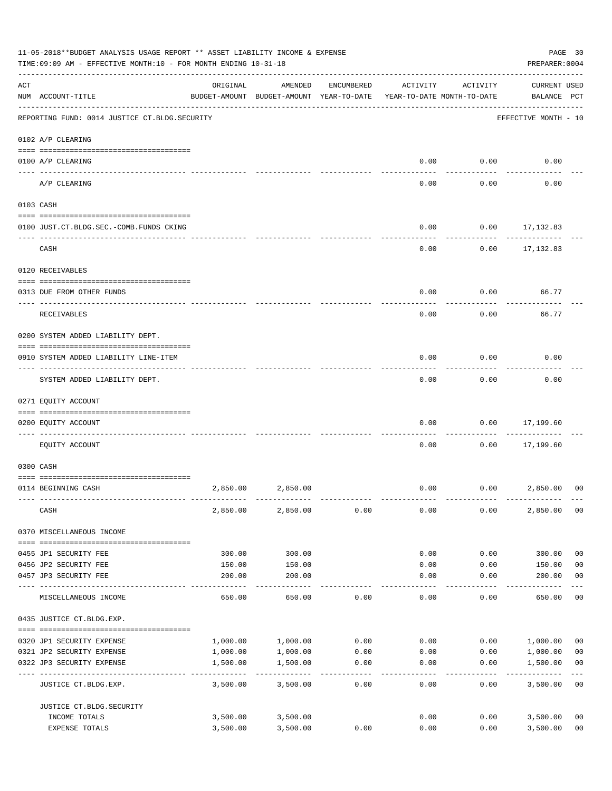|     | 11-05-2018**BUDGET ANALYSIS USAGE REPORT ** ASSET LIABILITY INCOME & EXPENSE<br>TIME: 09:09 AM - EFFECTIVE MONTH: 10 - FOR MONTH ENDING 10-31-18 |                           |                                                     |            |                                        |                     |                                    |                         |  |  |
|-----|--------------------------------------------------------------------------------------------------------------------------------------------------|---------------------------|-----------------------------------------------------|------------|----------------------------------------|---------------------|------------------------------------|-------------------------|--|--|
| ACT | NUM ACCOUNT-TITLE                                                                                                                                | ORIGINAL                  | AMENDED<br>BUDGET-AMOUNT BUDGET-AMOUNT YEAR-TO-DATE | ENCUMBERED | ACTIVITY<br>YEAR-TO-DATE MONTH-TO-DATE | ACTIVITY            | <b>CURRENT USED</b><br>BALANCE PCT |                         |  |  |
|     | REPORTING FUND: 0014 JUSTICE CT. BLDG. SECURITY                                                                                                  |                           |                                                     |            |                                        |                     | EFFECTIVE MONTH - 10               |                         |  |  |
|     | 0102 A/P CLEARING                                                                                                                                |                           |                                                     |            |                                        |                     |                                    |                         |  |  |
|     | 0100 A/P CLEARING                                                                                                                                |                           |                                                     |            | 0.00                                   | 0.00                | 0.00                               |                         |  |  |
|     | ---- ---------<br>A/P CLEARING                                                                                                                   |                           |                                                     |            | 0.00                                   | 0.00                | 0.00                               |                         |  |  |
|     | 0103 CASH                                                                                                                                        |                           |                                                     |            |                                        |                     |                                    |                         |  |  |
|     | 0100 JUST.CT.BLDG.SEC.-COMB.FUNDS CKING                                                                                                          |                           |                                                     |            | 0.00                                   |                     | $0.00$ 17,132.83                   |                         |  |  |
|     | CASH                                                                                                                                             |                           |                                                     |            | 0.00                                   | 0.00                | 17,132.83                          |                         |  |  |
|     | 0120 RECEIVABLES                                                                                                                                 |                           |                                                     |            |                                        |                     |                                    |                         |  |  |
|     | 0313 DUE FROM OTHER FUNDS                                                                                                                        |                           |                                                     |            | 0.00                                   | 0.00                | 66.77                              |                         |  |  |
|     | RECEIVABLES                                                                                                                                      |                           |                                                     |            | 0.00                                   | 0.00                | 66.77                              |                         |  |  |
|     | 0200 SYSTEM ADDED LIABILITY DEPT.                                                                                                                |                           |                                                     |            |                                        |                     |                                    |                         |  |  |
|     | 0910 SYSTEM ADDED LIABILITY LINE-ITEM                                                                                                            |                           |                                                     |            | 0.00                                   | 0.00                | 0.00                               |                         |  |  |
|     | SYSTEM ADDED LIABILITY DEPT.                                                                                                                     |                           |                                                     |            | 0.00                                   | 0.00                | 0.00                               |                         |  |  |
|     | 0271 EQUITY ACCOUNT                                                                                                                              |                           |                                                     |            |                                        |                     |                                    |                         |  |  |
|     | 0200 EQUITY ACCOUNT                                                                                                                              |                           |                                                     |            | 0.00                                   | 0.00                | 17,199.60<br>.                     |                         |  |  |
|     | EQUITY ACCOUNT                                                                                                                                   |                           |                                                     |            | 0.00                                   | 0.00                | 17,199.60                          |                         |  |  |
|     | 0300 CASH                                                                                                                                        |                           |                                                     |            |                                        |                     |                                    |                         |  |  |
|     | 0114 BEGINNING CASH                                                                                                                              | 2,850.00                  | 2,850.00                                            |            | 0.00                                   |                     | 0.00<br>2,850.00                   | 0 <sup>0</sup>          |  |  |
|     | CASH                                                                                                                                             | 2,850.00                  | 2,850.00                                            | 0.00       | 0.00                                   | 0.00                | 2,850.00                           | 00                      |  |  |
|     | 0370 MISCELLANEOUS INCOME                                                                                                                        |                           |                                                     |            |                                        |                     |                                    |                         |  |  |
|     | 0455 JP1 SECURITY FEE                                                                                                                            | 300.00                    | 300.00                                              |            | 0.00                                   | 0.00                | 300.00                             | 0 <sub>0</sub>          |  |  |
|     | 0456 JP2 SECURITY FEE                                                                                                                            | 150.00                    | 150.00                                              |            | 0.00                                   | 0.00                | 150.00                             | 0 <sub>0</sub>          |  |  |
|     | 0457 JP3 SECURITY FEE                                                                                                                            | 200.00                    | 200.00<br>-----------                               |            | 0.00<br>-----                          | 0.00<br>$- - - - -$ | 200.00<br>-------                  | 0 <sub>0</sub>          |  |  |
|     | MISCELLANEOUS INCOME                                                                                                                             | 650.00                    | 650.00                                              | 0.00       | 0.00                                   | 0.00                | 650.00                             | 0 <sub>0</sub>          |  |  |
|     | 0435 JUSTICE CT.BLDG.EXP.                                                                                                                        |                           |                                                     |            |                                        |                     |                                    |                         |  |  |
|     | 0320 JP1 SECURITY EXPENSE                                                                                                                        | 1,000.00                  | 1,000.00                                            | 0.00       | 0.00                                   |                     | 0.00 1,000.00                      | 0 <sub>0</sub>          |  |  |
|     | 0321 JP2 SECURITY EXPENSE                                                                                                                        | 1,000.00                  | 1,000.00                                            | 0.00       | 0.00                                   | 0.00                | 1,000.00                           | 0 <sub>0</sub>          |  |  |
|     | 0322 JP3 SECURITY EXPENSE                                                                                                                        | 1,500.00<br>------------- | 1,500.00<br>----------                              | 0.00       | 0.00                                   | 0.00                | 1,500.00                           | 0 <sub>0</sub><br>$---$ |  |  |
|     | JUSTICE CT.BLDG.EXP.                                                                                                                             | 3,500.00                  | 3,500.00                                            | 0.00       | 0.00                                   | 0.00                | 3,500.00                           | 0 <sub>0</sub>          |  |  |
|     | JUSTICE CT. BLDG. SECURITY                                                                                                                       |                           |                                                     |            |                                        |                     |                                    |                         |  |  |
|     | INCOME TOTALS                                                                                                                                    | 3,500.00                  | 3,500.00                                            |            | 0.00                                   | 0.00                | 3,500.00                           | 0 <sub>0</sub>          |  |  |
|     | EXPENSE TOTALS                                                                                                                                   | 3,500.00                  | 3,500.00                                            | 0.00       | 0.00                                   | 0.00                | 3,500.00                           | 0 <sub>0</sub>          |  |  |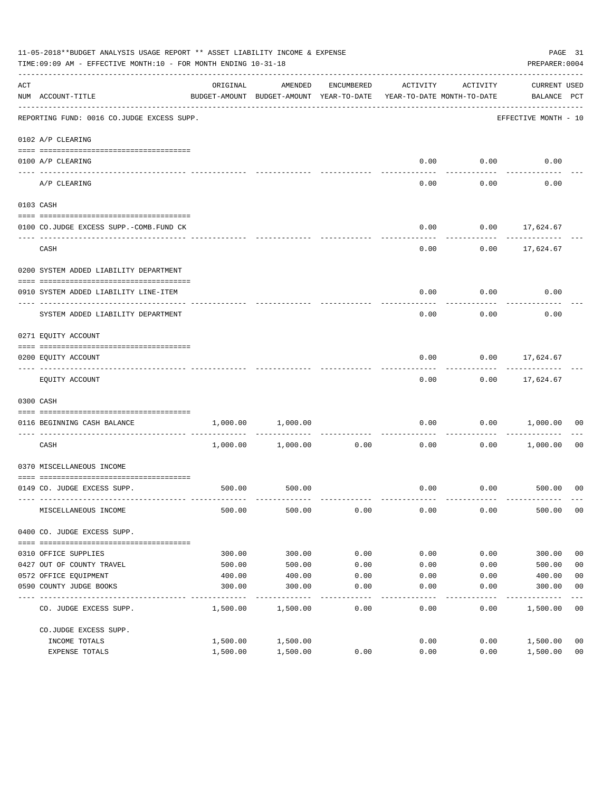|                    | 11-05-2018**BUDGET ANALYSIS USAGE REPORT ** ASSET LIABILITY INCOME & EXPENSE<br>PAGE 31<br>PREPARER: 0004<br>TIME:09:09 AM - EFFECTIVE MONTH:10 - FOR MONTH ENDING 10-31-18 |          |                                                     |                    |                                        |             |                                    |                |  |  |
|--------------------|-----------------------------------------------------------------------------------------------------------------------------------------------------------------------------|----------|-----------------------------------------------------|--------------------|----------------------------------------|-------------|------------------------------------|----------------|--|--|
| $\mathop{\rm ACT}$ | NUM ACCOUNT-TITLE                                                                                                                                                           | ORIGINAL | AMENDED<br>BUDGET-AMOUNT BUDGET-AMOUNT YEAR-TO-DATE | ENCUMBERED         | ACTIVITY<br>YEAR-TO-DATE MONTH-TO-DATE | ACTIVITY    | <b>CURRENT USED</b><br>BALANCE PCT |                |  |  |
|                    | REPORTING FUND: 0016 CO.JUDGE EXCESS SUPP.                                                                                                                                  |          |                                                     |                    |                                        |             | EFFECTIVE MONTH - 10               |                |  |  |
|                    | 0102 A/P CLEARING                                                                                                                                                           |          |                                                     |                    |                                        |             |                                    |                |  |  |
|                    | 0100 A/P CLEARING                                                                                                                                                           |          |                                                     |                    |                                        | $0.00$ 0.00 | 0.00                               |                |  |  |
|                    | ---- ---------<br>A/P CLEARING                                                                                                                                              |          |                                                     |                    | 0.00                                   | 0.00        | 0.00                               |                |  |  |
|                    | 0103 CASH                                                                                                                                                                   |          |                                                     |                    |                                        |             |                                    |                |  |  |
|                    | 0100 CO.JUDGE EXCESS SUPP.-COMB.FUND CK                                                                                                                                     |          |                                                     |                    | 0.00                                   |             | $0.00$ 17,624.67                   |                |  |  |
|                    | CASH                                                                                                                                                                        |          |                                                     |                    | 0.00                                   |             | $0.00$ 17,624.67                   |                |  |  |
|                    | 0200 SYSTEM ADDED LIABILITY DEPARTMENT                                                                                                                                      |          |                                                     |                    |                                        |             |                                    |                |  |  |
|                    | 0910 SYSTEM ADDED LIABILITY LINE-ITEM                                                                                                                                       |          |                                                     |                    | 0.00                                   | 0.00        | 0.00                               |                |  |  |
|                    | SYSTEM ADDED LIABILITY DEPARTMENT                                                                                                                                           |          |                                                     |                    | 0.00                                   | 0.00        | 0.00                               |                |  |  |
|                    | 0271 EQUITY ACCOUNT                                                                                                                                                         |          |                                                     |                    |                                        |             |                                    |                |  |  |
|                    | 0200 EQUITY ACCOUNT                                                                                                                                                         |          |                                                     |                    | 0.00                                   |             | $0.00$ 17,624.67                   |                |  |  |
|                    | EQUITY ACCOUNT                                                                                                                                                              |          |                                                     |                    | 0.00                                   |             | $0.00$ 17,624.67                   |                |  |  |
|                    | 0300 CASH                                                                                                                                                                   |          |                                                     |                    |                                        |             |                                    |                |  |  |
|                    | 0116 BEGINNING CASH BALANCE                                                                                                                                                 | 1,000.00 | 1,000.00                                            |                    | 0.00                                   | 0.00        | 1,000.00                           | 00             |  |  |
|                    | ---------------------------- ---<br>CASH                                                                                                                                    |          | 1,000.00 1,000.00                                   | . <u>.</u><br>0.00 | 0.00                                   | 0.00        | 1,000.00                           | 00             |  |  |
|                    | 0370 MISCELLANEOUS INCOME                                                                                                                                                   |          |                                                     |                    |                                        |             |                                    |                |  |  |
|                    | 0149 CO. JUDGE EXCESS SUPP.                                                                                                                                                 |          | 500.00 500.00                                       |                    |                                        |             | $0.00$ $0.00$ $500.00$ 00          |                |  |  |
|                    | MISCELLANEOUS INCOME                                                                                                                                                        | 500.00   | 500.00                                              | 0.00               | 0.00                                   | 0.00        | 500.00                             | 0 <sub>0</sub> |  |  |
|                    | 0400 CO. JUDGE EXCESS SUPP.                                                                                                                                                 |          |                                                     |                    |                                        |             |                                    |                |  |  |
|                    | 0310 OFFICE SUPPLIES                                                                                                                                                        | 300.00   | 300.00                                              | 0.00               | 0.00                                   | 0.00        | 300.00                             | 0 <sub>0</sub> |  |  |
|                    | 0427 OUT OF COUNTY TRAVEL                                                                                                                                                   | 500.00   | 500.00                                              | 0.00               | 0.00                                   | 0.00        | 500.00                             | 0 <sub>0</sub> |  |  |
|                    | 0572 OFFICE EQUIPMENT                                                                                                                                                       | 400.00   | 400.00                                              | 0.00               | 0.00                                   | 0.00        | 400.00                             | 0 <sub>0</sub> |  |  |
|                    | 0590 COUNTY JUDGE BOOKS                                                                                                                                                     | 300.00   | 300.00                                              | 0.00               | 0.00                                   | 0.00        | 300.00                             | 0 <sub>0</sub> |  |  |
|                    | CO. JUDGE EXCESS SUPP.                                                                                                                                                      | 1,500.00 | 1,500.00                                            | 0.00               | 0.00                                   | 0.00        | 1,500.00                           | 0 <sub>0</sub> |  |  |
|                    | CO.JUDGE EXCESS SUPP.                                                                                                                                                       |          |                                                     |                    |                                        |             |                                    |                |  |  |
|                    | INCOME TOTALS                                                                                                                                                               | 1,500.00 | 1,500.00                                            |                    | 0.00                                   | 0.00        | 1,500.00                           | 0 <sub>0</sub> |  |  |
|                    | EXPENSE TOTALS                                                                                                                                                              | 1,500.00 | 1,500.00                                            | 0.00               | 0.00                                   | 0.00        | 1,500.00                           | 0 <sub>0</sub> |  |  |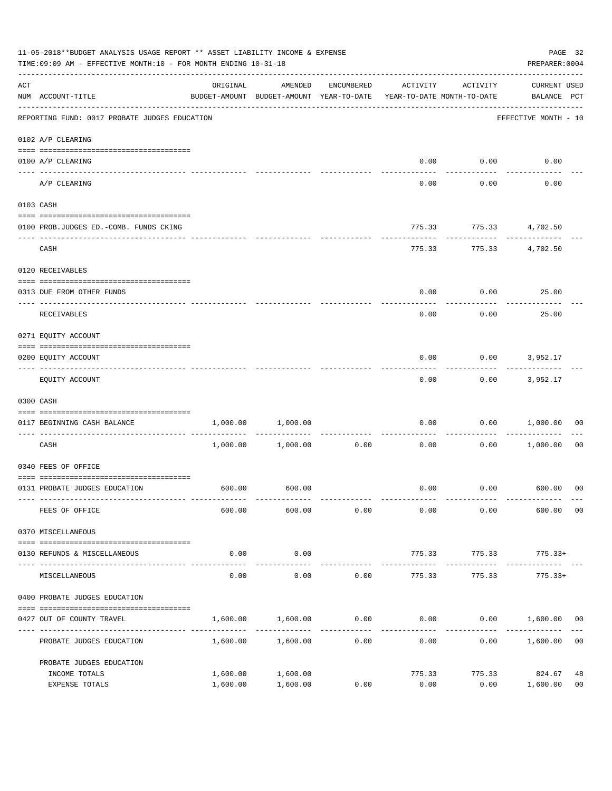| 11-05-2018**BUDGET ANALYSIS USAGE REPORT ** ASSET LIABILITY INCOME & EXPENSE<br>TIME: 09:09 AM - EFFECTIVE MONTH: 10 - FOR MONTH ENDING 10-31-18 |                                               |                                                                                 |                       |                     |                          |                        | PREPARER: 0004                     | PAGE 32              |
|--------------------------------------------------------------------------------------------------------------------------------------------------|-----------------------------------------------|---------------------------------------------------------------------------------|-----------------------|---------------------|--------------------------|------------------------|------------------------------------|----------------------|
| ACT                                                                                                                                              | NUM ACCOUNT-TITLE                             | ORIGINAL<br>BUDGET-AMOUNT BUDGET-AMOUNT YEAR-TO-DATE YEAR-TO-DATE MONTH-TO-DATE | AMENDED               | ENCUMBERED          | ACTIVITY                 | ACTIVITY               | <b>CURRENT USED</b><br>BALANCE PCT |                      |
|                                                                                                                                                  | REPORTING FUND: 0017 PROBATE JUDGES EDUCATION |                                                                                 |                       |                     |                          |                        | EFFECTIVE MONTH - 10               |                      |
|                                                                                                                                                  | 0102 A/P CLEARING                             |                                                                                 |                       |                     |                          |                        |                                    |                      |
|                                                                                                                                                  | 0100 A/P CLEARING                             |                                                                                 |                       |                     | 0.00                     | 0.00                   | 0.00                               |                      |
|                                                                                                                                                  | ---- --------<br>A/P CLEARING                 |                                                                                 |                       |                     | 0.00                     | 0.00                   | 0.00                               |                      |
|                                                                                                                                                  | 0103 CASH                                     |                                                                                 |                       |                     |                          |                        |                                    |                      |
|                                                                                                                                                  | 0100 PROB.JUDGES ED. - COMB. FUNDS CKING      |                                                                                 |                       |                     | 775.33                   |                        | 775.33 4,702.50                    |                      |
|                                                                                                                                                  | CASH                                          |                                                                                 |                       |                     | 775.33                   |                        | 775.33 4,702.50                    |                      |
|                                                                                                                                                  | 0120 RECEIVABLES                              |                                                                                 |                       |                     |                          |                        |                                    |                      |
|                                                                                                                                                  | 0313 DUE FROM OTHER FUNDS                     |                                                                                 |                       |                     | 0.00                     | 0.00                   | 25.00                              |                      |
|                                                                                                                                                  | RECEIVABLES                                   |                                                                                 |                       |                     | 0.00                     | 0.00                   | 25.00                              |                      |
|                                                                                                                                                  | 0271 EQUITY ACCOUNT                           |                                                                                 |                       |                     |                          |                        |                                    |                      |
|                                                                                                                                                  | 0200 EQUITY ACCOUNT                           |                                                                                 |                       |                     | 0.00                     |                        | $0.00$ 3,952.17                    |                      |
|                                                                                                                                                  | EQUITY ACCOUNT                                |                                                                                 |                       |                     | 0.00                     | 0.00                   | 3,952.17                           |                      |
|                                                                                                                                                  | 0300 CASH                                     |                                                                                 |                       |                     |                          |                        |                                    |                      |
|                                                                                                                                                  | 0117 BEGINNING CASH BALANCE                   |                                                                                 | 1,000.00 1,000.00     | ------------        | 0.00                     | 0.00                   | 1,000.00                           | 00                   |
|                                                                                                                                                  | CASH                                          |                                                                                 | $1,000.00$ $1,000.00$ | 0.00                | 0.00                     | 0.00                   | 1,000.00                           | 00                   |
|                                                                                                                                                  | 0340 FEES OF OFFICE                           |                                                                                 |                       |                     |                          |                        |                                    |                      |
|                                                                                                                                                  | 0131 PROBATE JUDGES EDUCATION                 |                                                                                 | 600.00 600.00         |                     |                          |                        | $0.00$ $0.00$ $600.00$ 00          |                      |
|                                                                                                                                                  | FEES OF OFFICE                                | 600.00                                                                          | 600.00                | 0.00                | 0.00                     | 0.00                   | 600.00                             | 00                   |
|                                                                                                                                                  | 0370 MISCELLANEOUS                            |                                                                                 |                       |                     |                          |                        |                                    |                      |
|                                                                                                                                                  | 0130 REFUNDS & MISCELLANEOUS                  | 0.00                                                                            | 0.00                  |                     | 775.33                   | 775.33                 | $775.33+$                          |                      |
|                                                                                                                                                  | MISCELLANEOUS                                 | 0.00                                                                            | -----------<br>0.00   | 0.00                | --------------<br>775.33 | ------------<br>775.33 | --------------<br>$775.33+$        |                      |
|                                                                                                                                                  | 0400 PROBATE JUDGES EDUCATION                 |                                                                                 |                       |                     |                          |                        |                                    |                      |
|                                                                                                                                                  | 0427 OUT OF COUNTY TRAVEL                     | 1,600.00                                                                        | 1,600.00              | 0.00                |                          |                        | $0.00$ $0.00$ $1,600.00$ $00$      |                      |
|                                                                                                                                                  | PROBATE JUDGES EDUCATION                      |                                                                                 | 1,600.00 1,600.00     | -----------<br>0.00 | 0.00                     |                        | 0.00 1,600.00                      | 0 <sub>0</sub>       |
|                                                                                                                                                  | PROBATE JUDGES EDUCATION                      |                                                                                 |                       |                     |                          |                        |                                    |                      |
|                                                                                                                                                  | INCOME TOTALS<br>EXPENSE TOTALS               | 1,600.00<br>1,600.00                                                            | 1,600.00<br>1,600.00  | 0.00                | 775.33<br>0.00           | 775.33<br>0.00         | 824.67<br>1,600.00                 | 48<br>0 <sub>0</sub> |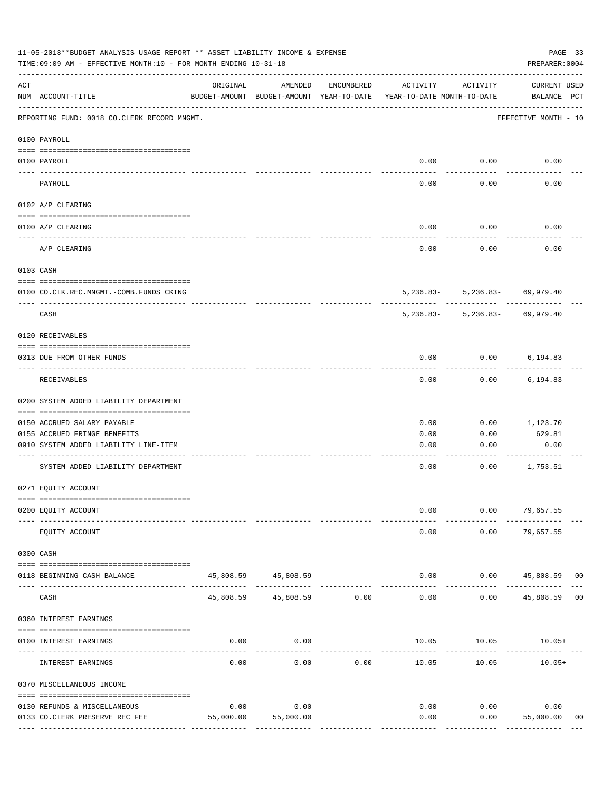|     | 11-05-2018**BUDGET ANALYSIS USAGE REPORT ** ASSET LIABILITY INCOME & EXPENSE<br>TIME: 09:09 AM - EFFECTIVE MONTH: 10 - FOR MONTH ENDING 10-31-18 |           |                                                     |              |                                        |                                                  | PAGE 33<br>PREPARER: 0004                   |
|-----|--------------------------------------------------------------------------------------------------------------------------------------------------|-----------|-----------------------------------------------------|--------------|----------------------------------------|--------------------------------------------------|---------------------------------------------|
| ACT | NUM ACCOUNT-TITLE                                                                                                                                | ORIGINAL  | AMENDED<br>BUDGET-AMOUNT BUDGET-AMOUNT YEAR-TO-DATE | ENCUMBERED   | ACTIVITY<br>YEAR-TO-DATE MONTH-TO-DATE | ACTIVITY                                         | CURRENT USED<br>BALANCE PCT                 |
|     | REPORTING FUND: 0018 CO.CLERK RECORD MNGMT.                                                                                                      |           |                                                     |              |                                        |                                                  | EFFECTIVE MONTH - 10                        |
|     | 0100 PAYROLL                                                                                                                                     |           |                                                     |              |                                        |                                                  |                                             |
|     | 0100 PAYROLL                                                                                                                                     |           |                                                     |              |                                        | $0.00$ 0.00                                      | 0.00                                        |
|     | PAYROLL                                                                                                                                          |           |                                                     |              | 0.00                                   | 0.00                                             | 0.00                                        |
|     | 0102 A/P CLEARING                                                                                                                                |           |                                                     |              |                                        |                                                  |                                             |
|     | 0100 A/P CLEARING                                                                                                                                |           |                                                     |              | 0.00                                   | 0.00                                             | 0.00                                        |
|     | A/P CLEARING                                                                                                                                     |           |                                                     |              | 0.00                                   | 0.00                                             | 0.00                                        |
|     | 0103 CASH                                                                                                                                        |           |                                                     |              |                                        |                                                  |                                             |
|     | 0100 CO.CLK.REC.MNGMT.-COMB.FUNDS CKING                                                                                                          |           |                                                     |              |                                        | 5, 236.83 - 5, 236.83 - 69, 979.40               |                                             |
|     | ------------------------------<br>CASH                                                                                                           |           |                                                     |              |                                        | -----------<br>$5,236.83 - 5,236.83 - 69,979.40$ |                                             |
|     | 0120 RECEIVABLES                                                                                                                                 |           |                                                     |              |                                        |                                                  |                                             |
|     | 0313 DUE FROM OTHER FUNDS                                                                                                                        |           |                                                     |              | 0.00                                   | $0.00$ 6,194.83                                  |                                             |
|     | RECEIVABLES                                                                                                                                      |           |                                                     |              | 0.00                                   | 0.00                                             | 6,194.83                                    |
|     | 0200 SYSTEM ADDED LIABILITY DEPARTMENT                                                                                                           |           |                                                     |              |                                        |                                                  |                                             |
|     | 0150 ACCRUED SALARY PAYABLE                                                                                                                      |           |                                                     |              | 0.00                                   | 0.00                                             | 1,123.70                                    |
|     | 0155 ACCRUED FRINGE BENEFITS<br>0910 SYSTEM ADDED LIABILITY LINE-ITEM                                                                            |           |                                                     |              | 0.00<br>0.00                           | 0.00<br>0.00                                     | 629.81<br>0.00                              |
|     |                                                                                                                                                  |           |                                                     |              |                                        |                                                  |                                             |
|     | SYSTEM ADDED LIABILITY DEPARTMENT                                                                                                                |           |                                                     |              | 0.00                                   | 0.00                                             | 1,753.51                                    |
|     | 0271 EQUITY ACCOUNT                                                                                                                              |           |                                                     |              |                                        |                                                  |                                             |
|     | 0200 EQUITY ACCOUNT                                                                                                                              |           |                                                     |              | 0.00                                   |                                                  | $0.00$ 79,657.55                            |
|     | EQUITY ACCOUNT                                                                                                                                   |           |                                                     |              | 0.00                                   | 0.00                                             | 79,657.55                                   |
|     | 0300 CASH                                                                                                                                        |           |                                                     |              |                                        |                                                  |                                             |
|     | 0118 BEGINNING CASH BALANCE<br>-------------------------- ----------                                                                             |           | 45,808.59 45,808.59<br>--------------               | ------------ |                                        | ----------                                       | $0.00$ $0.00$ $45,808.59$<br>0 <sub>0</sub> |
|     | CASH                                                                                                                                             |           | 45,808.59 45,808.59 0.00                            |              | 0.00                                   |                                                  | $0.00$ 45,808.59 00                         |
|     | 0360 INTEREST EARNINGS                                                                                                                           |           |                                                     |              |                                        |                                                  |                                             |
|     | 0100 INTEREST EARNINGS                                                                                                                           | 0.00      | 0.00                                                |              |                                        | $10.05$ $10.05$ $10.05+$                         |                                             |
|     | INTEREST EARNINGS                                                                                                                                | 0.00      | 0.00                                                | 0.00         | 10.05                                  | 10.05                                            | 10.05+                                      |
|     | 0370 MISCELLANEOUS INCOME                                                                                                                        |           |                                                     |              |                                        |                                                  |                                             |
|     | 0130 REFUNDS & MISCELLANEOUS                                                                                                                     | 0.00      | 0.00                                                |              | 0.00                                   | 0.00                                             | 0.00                                        |
|     | 0133 CO.CLERK PRESERVE REC FEE                                                                                                                   | 55,000.00 | 55,000.00                                           |              | 0.00                                   | 0.00                                             | 55,000.00<br>00                             |
|     |                                                                                                                                                  |           |                                                     |              |                                        |                                                  |                                             |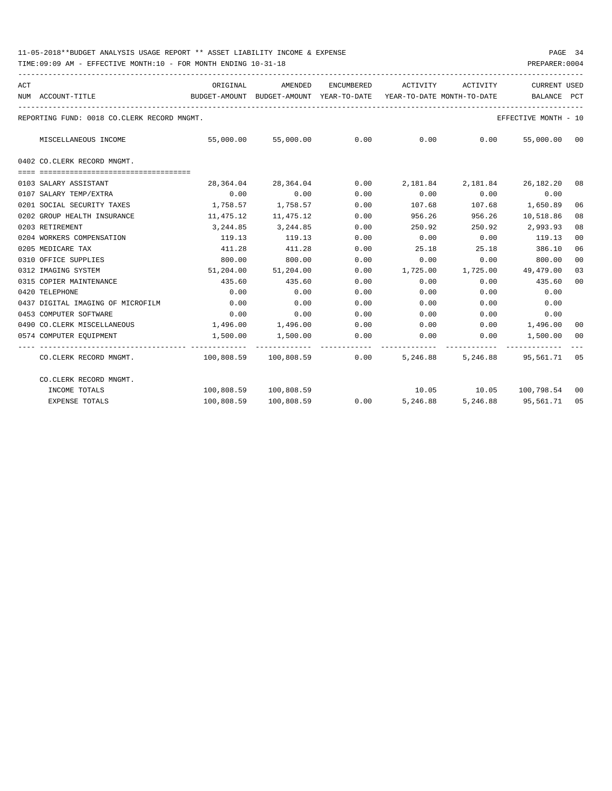| ACT                                         | ORIGINAL                                                               | AMENDED                  | ENCUMBERED | ACTIVITY                                             | ACTIVITY                  | <b>CURRENT USED</b>  |    |
|---------------------------------------------|------------------------------------------------------------------------|--------------------------|------------|------------------------------------------------------|---------------------------|----------------------|----|
| NUM ACCOUNT-TITLE                           | BUDGET-AMOUNT BUDGET-AMOUNT YEAR-TO-DATE YEAR-TO-DATE MONTH-TO-DATE    |                          |            |                                                      |                           | BALANCE PCT          |    |
| REPORTING FUND: 0018 CO.CLERK RECORD MNGMT. |                                                                        |                          |            |                                                      |                           | EFFECTIVE MONTH - 10 |    |
| MISCELLANEOUS INCOME                        |                                                                        | 55,000.00 55,000.00 0.00 |            |                                                      | $0.00$ 0.00               | 55,000.00 00         |    |
| 0402 CO.CLERK RECORD MNGMT.                 |                                                                        |                          |            |                                                      |                           |                      |    |
|                                             |                                                                        |                          |            |                                                      |                           |                      |    |
| 0103 SALARY ASSISTANT                       |                                                                        |                          |            | 28,364.04 28,364.04 0.00 2,181.84 2,181.84 26,182.20 |                           |                      | 08 |
| 0107 SALARY TEMP/EXTRA                      | 0.00                                                                   | 0.00                     | 0.00       | 0.00                                                 | 0.00                      | 0.00                 |    |
| 0201 SOCIAL SECURITY TAXES                  | $1,758.57$ $1,758.57$ 0.00                                             |                          |            |                                                      | 107.68 107.68 1,650.89    |                      | 06 |
| 0202 GROUP HEALTH INSURANCE                 | 11,475.12                                                              | 11,475.12                | 0.00       | 956.26                                               |                           | 956.26 10,518.86     | 08 |
| 0203 RETIREMENT                             | 3,244.85                                                               | 3,244.85                 | 0.00       | 250.92                                               |                           | 250.92 2,993.93      | 08 |
| 0204 WORKERS COMPENSATION                   | 119.13                                                                 | 119.13                   | 0.00       | 0.00                                                 | $0.00$ 119.13             |                      | 00 |
| 0205 MEDICARE TAX                           | 411.28                                                                 | 411.28                   | 0.00       | 25.18                                                | 25.18                     | 386.10               | 06 |
| 0310 OFFICE SUPPLIES                        | 800.00                                                                 | 800.00                   | 0.00       | 0.00                                                 | 0.00                      | 800.00               | 00 |
| 0312 IMAGING SYSTEM                         | 51,204.00                                                              | 51,204.00                | 0.00       | 1,725.00                                             | 1,725.00 49,479.00        |                      | 03 |
| 0315 COPIER MAINTENANCE                     | 435.60                                                                 | 435.60                   | 0.00       | 0.00                                                 | 0.00                      | 435.60               | 00 |
| 0420 TELEPHONE                              | 0.00                                                                   | 0.00                     | 0.00       | 0.00                                                 | 0.00                      | 0.00                 |    |
| 0437 DIGITAL IMAGING OF MICROFILM           | 0.00                                                                   | 0.00                     | 0.00       | 0.00                                                 | 0.00                      | 0.00                 |    |
| 0453 COMPUTER SOFTWARE                      | 0.00                                                                   | 0.00                     | 0.00       | 0.00                                                 | 0.00                      | 0.00                 |    |
| 0490 CO.CLERK MISCELLANEOUS                 |                                                                        | 1,496.00 1,496.00 0.00   |            | $0.00$ $0.00$ $1,496.00$                             |                           |                      | 00 |
| 0574 COMPUTER EQUIPMENT                     | 1,500.00                                                               | 1,500.00                 | 0.00       | $0.00$ $0.00$ $1,500.00$                             |                           |                      | 00 |
| CO.CLERK RECORD MNGMT.                      | 100,808.59   100,808.59      0.00    5,246.88    5,246.88    95,561.71 |                          |            |                                                      |                           |                      | 05 |
| CO.CLERK RECORD MNGMT.                      |                                                                        |                          |            |                                                      |                           |                      |    |
| INCOME TOTALS                               |                                                                        | 100,808.59 100,808.59    |            |                                                      | 10.05 10.05 100.798.54 00 |                      |    |
| <b>EXPENSE TOTALS</b>                       | 100,808.59                                                             | 100,808.59               |            | $0.00$ 5,246.88                                      |                           | 5,246.88 95,561.71   | 05 |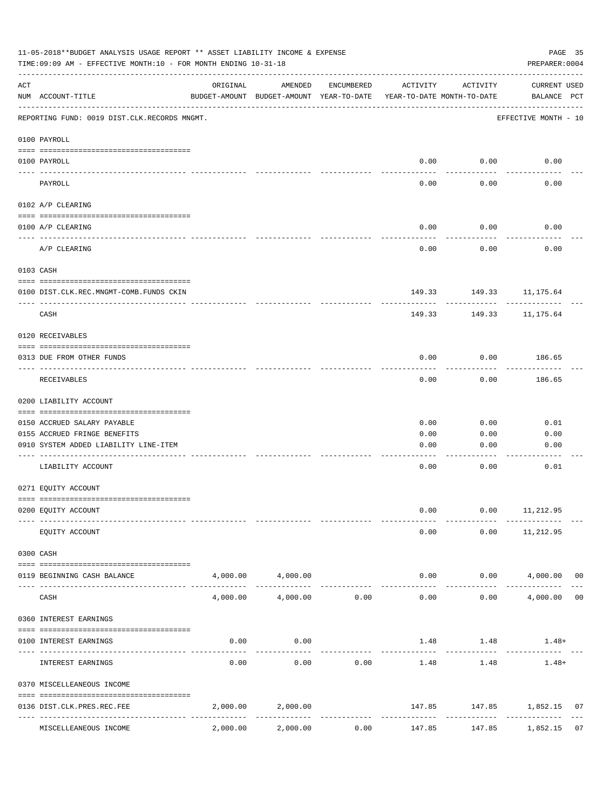| 11-05-2018**BUDGET ANALYSIS USAGE REPORT ** ASSET LIABILITY INCOME & EXPENSE<br>TIME: 09:09 AM - EFFECTIVE MONTH: 10 - FOR MONTH ENDING 10-31-18 |                                              |                               |                                                     |             |                                        |                         | PAGE 35<br>PREPARER: 0004   |                |
|--------------------------------------------------------------------------------------------------------------------------------------------------|----------------------------------------------|-------------------------------|-----------------------------------------------------|-------------|----------------------------------------|-------------------------|-----------------------------|----------------|
| ACT                                                                                                                                              | NUM ACCOUNT-TITLE                            | ORIGINAL                      | AMENDED<br>BUDGET-AMOUNT BUDGET-AMOUNT YEAR-TO-DATE | ENCUMBERED  | ACTIVITY<br>YEAR-TO-DATE MONTH-TO-DATE | ACTIVITY                | CURRENT USED<br>BALANCE PCT |                |
|                                                                                                                                                  | REPORTING FUND: 0019 DIST.CLK.RECORDS MNGMT. |                               |                                                     |             |                                        |                         | EFFECTIVE MONTH - 10        |                |
|                                                                                                                                                  | 0100 PAYROLL                                 |                               |                                                     |             |                                        |                         |                             |                |
|                                                                                                                                                  | 0100 PAYROLL<br>---- -------                 |                               |                                                     |             | 0.00                                   | 0.00                    | 0.00                        |                |
|                                                                                                                                                  | PAYROLL                                      |                               |                                                     |             | 0.00                                   | -------<br>0.00         | 0.00                        |                |
|                                                                                                                                                  | 0102 A/P CLEARING                            |                               |                                                     |             |                                        |                         |                             |                |
|                                                                                                                                                  | 0100 A/P CLEARING                            |                               |                                                     |             | 0.00                                   | 0.00                    | 0.00                        |                |
|                                                                                                                                                  | A/P CLEARING                                 |                               |                                                     |             | 0.00                                   | 0.00                    | 0.00                        |                |
|                                                                                                                                                  | 0103 CASH                                    |                               |                                                     |             |                                        |                         |                             |                |
|                                                                                                                                                  | 0100 DIST.CLK.REC.MNGMT-COMB.FUNDS CKIN      |                               |                                                     |             |                                        | 149.33 149.33 11,175.64 |                             |                |
|                                                                                                                                                  | CASH                                         |                               |                                                     |             | 149.33                                 | ---------<br>149.33     | 11,175.64                   |                |
|                                                                                                                                                  | 0120 RECEIVABLES                             |                               |                                                     |             |                                        |                         |                             |                |
|                                                                                                                                                  | 0313 DUE FROM OTHER FUNDS                    |                               |                                                     |             | 0.00                                   | 0.00                    | 186.65                      |                |
|                                                                                                                                                  | RECEIVABLES                                  |                               |                                                     |             | 0.00                                   | .<br>0.00               | ---------<br>186.65         |                |
|                                                                                                                                                  | 0200 LIABILITY ACCOUNT                       |                               |                                                     |             |                                        |                         |                             |                |
|                                                                                                                                                  | 0150 ACCRUED SALARY PAYABLE                  |                               |                                                     |             | 0.00                                   | 0.00                    | 0.01                        |                |
|                                                                                                                                                  | 0155 ACCRUED FRINGE BENEFITS                 |                               |                                                     |             | 0.00                                   | 0.00                    | 0.00                        |                |
|                                                                                                                                                  | 0910 SYSTEM ADDED LIABILITY LINE-ITEM        |                               |                                                     |             | 0.00                                   | 0.00                    | 0.00                        |                |
|                                                                                                                                                  | LIABILITY ACCOUNT                            |                               |                                                     |             | 0.00                                   | 0.00                    | 0.01                        |                |
|                                                                                                                                                  | 0271 EQUITY ACCOUNT                          |                               |                                                     |             |                                        |                         |                             |                |
|                                                                                                                                                  | 0200 EQUITY ACCOUNT                          |                               |                                                     |             | 0.00                                   |                         | $0.00$ 11, 212.95           |                |
|                                                                                                                                                  | EQUITY ACCOUNT                               |                               |                                                     |             | 0.00                                   | 0.00                    | 11,212.95                   |                |
|                                                                                                                                                  | 0300 CASH                                    |                               |                                                     |             |                                        |                         |                             |                |
|                                                                                                                                                  | 0119 BEGINNING CASH BALANCE                  |                               | 4,000.00 4,000.00<br>-----------                    |             |                                        | 0.00<br>---------       | $0.00$ $4,000.00$ 00        |                |
|                                                                                                                                                  | CASH                                         | 4,000.00                      | 4,000.00                                            | 0.00        | 0.00                                   | 0.00                    | 4,000.00                    | 0 <sub>0</sub> |
|                                                                                                                                                  | 0360 INTEREST EARNINGS                       |                               |                                                     |             |                                        |                         |                             |                |
|                                                                                                                                                  | 0100 INTEREST EARNINGS                       | 0.00                          | 0.00                                                |             |                                        | 1.48 1.48               | $1.48+$                     |                |
|                                                                                                                                                  | INTEREST EARNINGS                            | 0.00                          | 0.00                                                | 0.00        | 1.48                                   | 1.48                    | $1.48+$                     |                |
|                                                                                                                                                  | 0370 MISCELLEANEOUS INCOME                   |                               |                                                     |             |                                        |                         |                             |                |
|                                                                                                                                                  | 0136 DIST.CLK.PRES.REC.FEE                   | 2,000.00                      | 2,000.00                                            |             |                                        |                         | 147.85 147.85 1,852.15      | 07             |
|                                                                                                                                                  | ----------------                             | -------------- -------------- |                                                     | ----------- | -------------                          |                         |                             |                |
|                                                                                                                                                  | MISCELLEANEOUS INCOME                        | 2,000.00                      | 2,000.00                                            | 0.00        | 147.85                                 | 147.85                  | 1,852.15                    | 07             |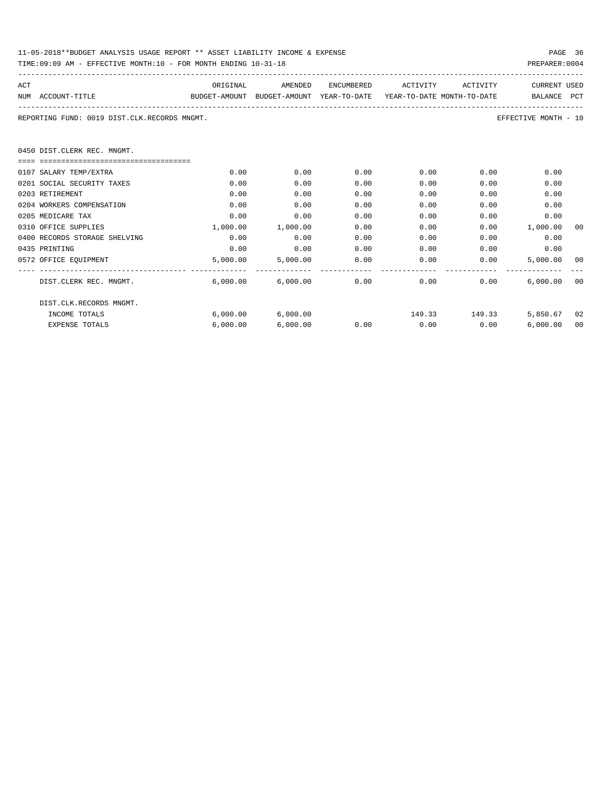| 11-05-2018**BUDGET ANALYSIS USAGE REPORT ** ASSET LIABILITY INCOME & EXPENSE | PAGE 36        |
|------------------------------------------------------------------------------|----------------|
| TIME:09:09 AM - EFFECTIVE MONTH:10 - FOR MONTH ENDING 10-31-18               | PREPARER: 0004 |

| ACT |                                                                | ORIGINAL                                                            | AMENDED                |      | ENCUMBERED ACTIVITY ACTIVITY                      |               | <b>CURRENT USED</b>  |    |
|-----|----------------------------------------------------------------|---------------------------------------------------------------------|------------------------|------|---------------------------------------------------|---------------|----------------------|----|
|     | NUM ACCOUNT-TITLE                                              | BUDGET-AMOUNT BUDGET-AMOUNT YEAR-TO-DATE YEAR-TO-DATE MONTH-TO-DATE |                        |      |                                                   |               | BALANCE PCT          |    |
|     | REPORTING FUND: 0019 DIST.CLK.RECORDS MNGMT.                   |                                                                     |                        |      |                                                   |               | EFFECTIVE MONTH - 10 |    |
|     | 0450 DIST.CLERK REC. MNGMT.                                    |                                                                     |                        |      |                                                   |               |                      |    |
|     | ====================================<br>0107 SALARY TEMP/EXTRA | 0.00                                                                | 0.00                   | 0.00 | 0.00                                              | 0.00          | 0.00                 |    |
|     | 0201 SOCIAL SECURITY TAXES                                     | 0.00                                                                | 0.00                   | 0.00 | 0.00                                              | 0.00          | 0.00                 |    |
|     | 0203 RETIREMENT                                                | 0.00                                                                | 0.00                   | 0.00 | 0.00                                              | 0.00          | 0.00                 |    |
|     | 0204 WORKERS COMPENSATION                                      | 0.00                                                                | 0.00                   | 0.00 | 0.00                                              | 0.00          | 0.00                 |    |
|     | 0205 MEDICARE TAX                                              | 0.00                                                                | 0.00                   | 0.00 | 0.00                                              | 0.00          | 0.00                 |    |
|     | 0310 OFFICE SUPPLIES                                           | 1,000.00                                                            | 1,000.00               | 0.00 | 0.00                                              |               | $0.00$ 1,000.00      | 00 |
|     | 0400 RECORDS STORAGE SHELVING                                  | 0.00                                                                | 0.00                   | 0.00 | 0.00                                              | 0.00          | 0.00                 |    |
|     | 0435 PRINTING                                                  | 0.00                                                                | 0.00                   | 0.00 | 0.00                                              | 0.00          | 0.00                 |    |
|     | 0572 OFFICE EQUIPMENT                                          |                                                                     | 5,000.00 5,000.00 0.00 |      | $0.00$ 0.00                                       |               | 5,000.00 00          |    |
|     | DIST.CLERK REC. MNGMT.                                         |                                                                     |                        |      | $6.000.00$ $6.000.00$ $0.00$ $0.00$ $0.00$ $0.00$ |               | 6.000.00000          |    |
|     | DIST.CLK.RECORDS MNGMT.                                        |                                                                     |                        |      |                                                   |               |                      |    |
|     | INCOME TOTALS                                                  |                                                                     | 6,000.00 6,000.00      |      |                                                   | 149.33 149.33 | 5,850.67 02          |    |
|     | <b>EXPENSE TOTALS</b>                                          | 6,000.00                                                            | 6,000.00               | 0.00 | $0.00$ 0.00                                       |               | 6,000.00             | 00 |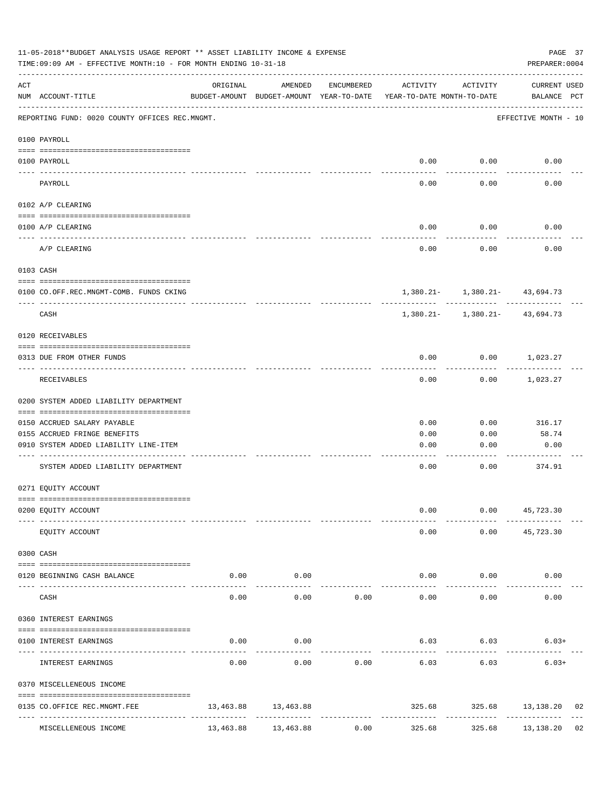|         | 11-05-2018**BUDGET ANALYSIS USAGE REPORT ** ASSET LIABILITY INCOME & EXPENSE<br>TIME: 09:09 AM - EFFECTIVE MONTH: 10 - FOR MONTH ENDING 10-31-18 |          |                                                                                |               |                         |              | PAGE 37<br>PREPARER: 0004               |    |
|---------|--------------------------------------------------------------------------------------------------------------------------------------------------|----------|--------------------------------------------------------------------------------|---------------|-------------------------|--------------|-----------------------------------------|----|
| ACT     | NUM ACCOUNT-TITLE                                                                                                                                | ORIGINAL | AMENDED<br>BUDGET-AMOUNT BUDGET-AMOUNT YEAR-TO-DATE YEAR-TO-DATE MONTH-TO-DATE | ENCUMBERED    | ACTIVITY                | ACTIVITY     | CURRENT USED<br>BALANCE PCT             |    |
|         | REPORTING FUND: 0020 COUNTY OFFICES REC.MNGMT.                                                                                                   |          |                                                                                |               |                         |              | EFFECTIVE MONTH - 10                    |    |
|         | 0100 PAYROLL                                                                                                                                     |          |                                                                                |               |                         |              |                                         |    |
|         | 0100 PAYROLL                                                                                                                                     |          |                                                                                |               |                         | $0.00$ 0.00  | 0.00                                    |    |
|         | ---- ----<br>-------------------------- --------<br>PAYROLL                                                                                      |          |                                                                                |               | 0.00                    | 0.00         | 0.00                                    |    |
|         | 0102 A/P CLEARING                                                                                                                                |          |                                                                                |               |                         |              |                                         |    |
|         | 0100 A/P CLEARING                                                                                                                                |          |                                                                                |               | 0.00                    | 0.00         | 0.00                                    |    |
|         | -------------------------------------<br>A/P CLEARING                                                                                            |          |                                                                                |               | 0.00                    | 0.00         | 0.00                                    |    |
|         | 0103 CASH                                                                                                                                        |          |                                                                                |               |                         |              |                                         |    |
|         | 0100 CO.OFF.REC.MNGMT-COMB. FUNDS CKING                                                                                                          |          |                                                                                |               |                         |              | $1,380.21 - 1,380.21 - 43,694.73$       |    |
|         | CASH                                                                                                                                             |          |                                                                                |               |                         |              | $1,380.21 - 1,380.21 - 43,694.73$       |    |
|         | 0120 RECEIVABLES                                                                                                                                 |          |                                                                                |               |                         |              |                                         |    |
|         | 0313 DUE FROM OTHER FUNDS                                                                                                                        |          |                                                                                |               | 0.00                    |              | $0.00$ 1,023.27                         |    |
|         | RECEIVABLES                                                                                                                                      |          |                                                                                |               | 0.00                    | 0.00         | 1,023.27                                |    |
|         | 0200 SYSTEM ADDED LIABILITY DEPARTMENT                                                                                                           |          |                                                                                |               |                         |              |                                         |    |
|         | 0150 ACCRUED SALARY PAYABLE                                                                                                                      |          |                                                                                |               | 0.00                    | 0.00         | 316.17                                  |    |
|         | 0155 ACCRUED FRINGE BENEFITS                                                                                                                     |          |                                                                                |               | 0.00                    | 0.00         | 58.74                                   |    |
|         | 0910 SYSTEM ADDED LIABILITY LINE-ITEM                                                                                                            |          |                                                                                |               | 0.00                    | 0.00         | 0.00                                    |    |
|         | SYSTEM ADDED LIABILITY DEPARTMENT                                                                                                                |          |                                                                                |               | 0.00                    | 0.00         | 374.91                                  |    |
|         | 0271 EQUITY ACCOUNT                                                                                                                              |          |                                                                                |               |                         |              |                                         |    |
|         | 0200 EQUITY ACCOUNT                                                                                                                              |          |                                                                                |               | 0.00                    | ---------    | $0.00$ 45,723.30<br>---------           |    |
|         | EQUITY ACCOUNT                                                                                                                                   |          |                                                                                |               | 0.00                    |              | $0.00$ 45,723.30                        |    |
|         | 0300 CASH                                                                                                                                        |          |                                                                                |               |                         |              |                                         |    |
| ---- -- | 0120 BEGINNING CASH BALANCE<br>--------------------------- -------                                                                               | 0.00     | 0.00<br>-----------                                                            |               |                         | 0.00<br>0.00 | 0.00                                    |    |
|         | CASH                                                                                                                                             | 0.00     | 0.00                                                                           | 0.00          | 0.00                    | 0.00         | 0.00                                    |    |
|         | 0360 INTEREST EARNINGS                                                                                                                           |          |                                                                                |               |                         |              |                                         |    |
|         | 0100 INTEREST EARNINGS                                                                                                                           | 0.00     | 0.00                                                                           |               |                         | 6.03 6.03    | $6.03+$                                 |    |
|         | INTEREST EARNINGS                                                                                                                                | 0.00     | 0.00                                                                           | 0.00          | 6.03                    | 6.03         | $6.03+$                                 |    |
|         | 0370 MISCELLENEOUS INCOME                                                                                                                        |          |                                                                                |               |                         |              |                                         |    |
|         | 0135 CO.OFFICE REC.MNGMT.FEE                                                                                                                     |          | 13,463.88 13,463.88                                                            | ------------- | 325.68<br>------------- |              | 325.68 13,138.20<br>------------------- | 02 |
|         | MISCELLENEOUS INCOME                                                                                                                             |          | 13,463.88 13,463.88                                                            | 0.00          | 325.68                  | 325.68       | 13,138.20 02                            |    |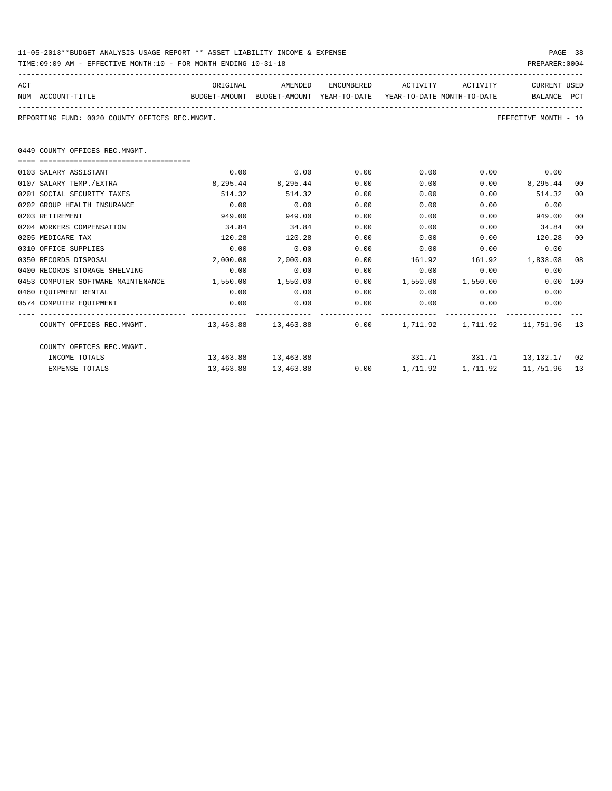| 11-05-2018**BUDGET ANALYSIS USAGE REPORT ** ASSET LIABILITY INCOME & EXPENSE | PAGE 38        |  |
|------------------------------------------------------------------------------|----------------|--|
| TIME:09:09 AM - EFFECTIVE MONTH:10 - FOR MONTH ENDING 10-31-18               | PREPARER: 0004 |  |

| ACT |                   | ORIGINAL | AMENDED                                                             | <b>ENCUMBERED</b> | ACTIVITY | ACTIVITY | CURRENT USED |  |
|-----|-------------------|----------|---------------------------------------------------------------------|-------------------|----------|----------|--------------|--|
|     | NUM ACCOUNT-TITLE |          | BUDGET-AMOUNT BUDGET-AMOUNT YEAR-TO-DATE YEAR-TO-DATE MONTH-TO-DATE |                   |          |          | BALANCE PCT  |  |
|     |                   |          |                                                                     |                   |          |          |              |  |

REPORTING FUND: 0020 COUNTY OFFICES REC.MNGMT. EFFECTIVE MONTH - 10

0449 COUNTY OFFICES REC.MNGMT.

| 0103 SALARY ASSISTANT              | 0.00                                                    | 0.00                | 0.00 | 0.00                               | 0.00                       | 0.00        |    |
|------------------------------------|---------------------------------------------------------|---------------------|------|------------------------------------|----------------------------|-------------|----|
| 0107 SALARY TEMP./EXTRA            | 8,295.44                                                | 8,295.44            | 0.00 | 0.00                               | 0.00                       | 8,295.44    | 00 |
| 0201 SOCIAL SECURITY TAXES         | 514.32                                                  | 514.32              | 0.00 | 0.00                               | 0.00                       | 514.32      | 00 |
| 0202 GROUP HEALTH INSURANCE        | 0.00                                                    | 0.00                | 0.00 | 0.00                               | 0.00                       | 0.00        |    |
| 0203 RETIREMENT                    | 949.00                                                  | 949.00              | 0.00 | 0.00                               | 0.00                       | 949.00      | 00 |
| 0204 WORKERS COMPENSATION          | 34.84                                                   | 34.84               | 0.00 | 0.00                               | 0.00                       | 34.84       | 00 |
| 0205 MEDICARE TAX                  | 120.28                                                  | 120.28              | 0.00 | 0.00                               | 0.00                       | 120.28      | 00 |
| 0310 OFFICE SUPPLIES               | 0.00                                                    | 0.00                | 0.00 | 0.00                               | 0.00                       | 0.00        |    |
| 0350 RECORDS DISPOSAL              | 2,000.00                                                | 2,000.00            | 0.00 | 161.92                             | 161.92                     | 1,838.08 08 |    |
| 0400 RECORDS STORAGE SHELVING      | 0.00                                                    | 0.00                | 0.00 | 0.00                               | 0.00                       | 0.00        |    |
| 0453 COMPUTER SOFTWARE MAINTENANCE | 1,550.00                                                | 1,550.00            | 0.00 | 1,550.00                           | 1,550.00                   | 0.00 100    |    |
| 0460 EQUIPMENT RENTAL              | 0.00                                                    | 0.00                | 0.00 | 0.00                               | 0.00                       | 0.00        |    |
| 0574 COMPUTER EQUIPMENT            | 0.00                                                    | 0.00                | 0.00 | 0.00                               | 0.00                       | 0.00        |    |
|                                    |                                                         |                     |      |                                    |                            |             |    |
| COUNTY OFFICES REC.MNGMT.          | 13,463.88 13,463.88 0.00 1,711.92 1,711.92 11,751.96 13 |                     |      |                                    |                            |             |    |
| COUNTY OFFICES REC.MNGMT.          |                                                         |                     |      |                                    |                            |             |    |
| INCOME TOTALS                      | 13,463.88 13,463.88                                     |                     |      |                                    | 331.71 331.71 13,132.17 02 |             |    |
| <b>EXPENSE TOTALS</b>              |                                                         | 13,463.88 13,463.88 |      | $0.00$ 1,711.92 1,711.92 11,751.96 |                            |             | 13 |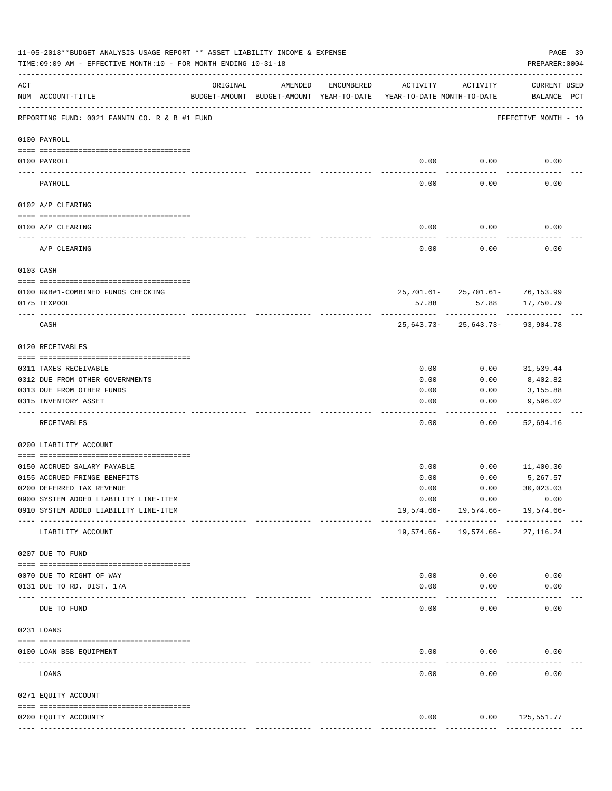|     | 11-05-2018**BUDGET ANALYSIS USAGE REPORT ** ASSET LIABILITY INCOME & EXPENSE<br>TIME:09:09 AM - EFFECTIVE MONTH:10 - FOR MONTH ENDING 10-31-18 |                        |                                                     |            |                                        |                                                    | PAGE 39<br>PREPARER: 0004          |
|-----|------------------------------------------------------------------------------------------------------------------------------------------------|------------------------|-----------------------------------------------------|------------|----------------------------------------|----------------------------------------------------|------------------------------------|
| ACT | NUM ACCOUNT-TITLE                                                                                                                              | ORIGINAL               | AMENDED<br>BUDGET-AMOUNT BUDGET-AMOUNT YEAR-TO-DATE | ENCUMBERED | ACTIVITY<br>YEAR-TO-DATE MONTH-TO-DATE | ACTIVITY                                           | <b>CURRENT USED</b><br>BALANCE PCT |
|     | REPORTING FUND: 0021 FANNIN CO. R & B #1 FUND                                                                                                  |                        |                                                     |            |                                        |                                                    | EFFECTIVE MONTH - 10               |
|     | 0100 PAYROLL                                                                                                                                   |                        |                                                     |            |                                        |                                                    |                                    |
|     | 0100 PAYROLL<br>----- ----                                                                                                                     |                        |                                                     |            | 0.00                                   | 0.00                                               | 0.00                               |
|     | PAYROLL                                                                                                                                        |                        |                                                     |            | 0.00                                   | 0.00                                               | 0.00                               |
|     | 0102 A/P CLEARING                                                                                                                              |                        |                                                     |            |                                        |                                                    |                                    |
|     | 0100 A/P CLEARING                                                                                                                              |                        |                                                     |            | 0.00                                   | 0.00                                               | 0.00                               |
|     | A/P CLEARING                                                                                                                                   |                        |                                                     |            | 0.00                                   | 0.00                                               | 0.00                               |
|     | 0103 CASH                                                                                                                                      |                        |                                                     |            |                                        |                                                    |                                    |
|     | 0100 R&B#1-COMBINED FUNDS CHECKING                                                                                                             |                        |                                                     |            |                                        | 25, 701.61 - 25, 701.61 - 76, 153.99               |                                    |
|     | 0175 TEXPOOL                                                                                                                                   |                        |                                                     |            | 57.88                                  | 57.88                                              | 17,750.79                          |
|     | CASH                                                                                                                                           |                        |                                                     |            |                                        | -----------<br>$25,643.73 - 25,643.73 - 93,904.78$ |                                    |
|     | 0120 RECEIVABLES                                                                                                                               |                        |                                                     |            |                                        |                                                    |                                    |
|     | 0311 TAXES RECEIVABLE                                                                                                                          |                        |                                                     |            | 0.00                                   | 0.00                                               | 31,539.44                          |
|     | 0312 DUE FROM OTHER GOVERNMENTS                                                                                                                |                        |                                                     |            | 0.00                                   | 0.00                                               | 8,402.82                           |
|     | 0313 DUE FROM OTHER FUNDS                                                                                                                      |                        |                                                     |            | 0.00                                   | 0.00                                               | 3,155.88                           |
|     | 0315 INVENTORY ASSET                                                                                                                           |                        |                                                     |            | 0.00                                   | 0.00                                               | 9,596.02                           |
|     | RECEIVABLES                                                                                                                                    |                        |                                                     |            | 0.00                                   | 0.00                                               | 52,694.16                          |
|     | 0200 LIABILITY ACCOUNT                                                                                                                         |                        |                                                     |            |                                        |                                                    |                                    |
|     | 0150 ACCRUED SALARY PAYABLE                                                                                                                    |                        |                                                     |            | 0.00                                   | 0.00                                               | 11,400.30                          |
|     | 0155 ACCRUED FRINGE BENEFITS                                                                                                                   |                        |                                                     |            | 0.00                                   | 0.00                                               | 5,267.57                           |
|     | 0200 DEFERRED TAX REVENUE                                                                                                                      |                        |                                                     |            | 0.00                                   | 0.00                                               | 30,023.03                          |
|     | 0900 SYSTEM ADDED LIABILITY LINE-ITEM                                                                                                          |                        |                                                     |            | 0.00                                   | 0.00                                               | 0.00                               |
|     | 0910 SYSTEM ADDED LIABILITY LINE-ITEM                                                                                                          | -------- ------------- |                                                     |            | 19,574.66-                             | 19,574.66-<br>----------                           | 19,574.66-                         |
|     | LIABILITY ACCOUNT                                                                                                                              |                        |                                                     |            | 19,574.66-                             | 19,574.66-                                         | 27, 116.24                         |
|     | 0207 DUE TO FUND                                                                                                                               |                        |                                                     |            |                                        |                                                    |                                    |
|     | 0070 DUE TO RIGHT OF WAY                                                                                                                       |                        |                                                     |            | 0.00                                   | 0.00                                               | 0.00                               |
|     | 0131 DUE TO RD. DIST. 17A                                                                                                                      |                        |                                                     |            | 0.00                                   | 0.00                                               | 0.00                               |
|     | ----------------------- -----------<br>DUE TO FUND                                                                                             |                        |                                                     |            | 0.00                                   | 0.00                                               | 0.00                               |
|     | 0231 LOANS                                                                                                                                     |                        |                                                     |            |                                        |                                                    |                                    |
|     | 0100 LOAN BSB EQUIPMENT                                                                                                                        |                        |                                                     |            | 0.00                                   | 0.00                                               | 0.00                               |
|     | LOANS                                                                                                                                          |                        |                                                     |            | 0.00                                   | ---------<br>0.00                                  | 0.00                               |
|     | 0271 EQUITY ACCOUNT                                                                                                                            |                        |                                                     |            |                                        |                                                    |                                    |
|     |                                                                                                                                                |                        |                                                     |            |                                        |                                                    |                                    |
|     | 0200 EQUITY ACCOUNTY                                                                                                                           |                        |                                                     |            | 0.00                                   |                                                    | $0.00$ 125,551.77                  |
|     |                                                                                                                                                |                        |                                                     |            |                                        | -------------                                      | --------------                     |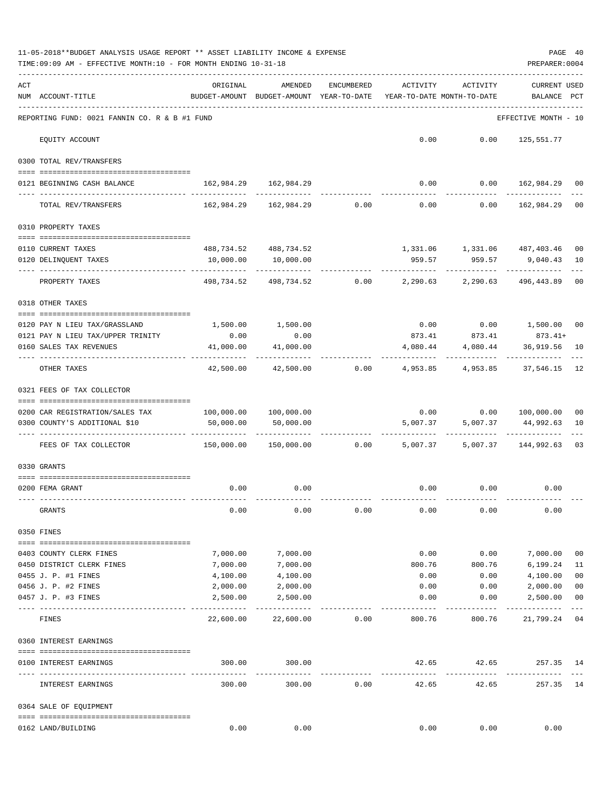|     | 11-05-2018**BUDGET ANALYSIS USAGE REPORT ** ASSET LIABILITY INCOME & EXPENSE<br>TIME:09:09 AM - EFFECTIVE MONTH:10 - FOR MONTH ENDING 10-31-18 |                                                            |                                                                                      |                  |                                        |                                                            | PREPARER: 0004                 | PAGE 40     |
|-----|------------------------------------------------------------------------------------------------------------------------------------------------|------------------------------------------------------------|--------------------------------------------------------------------------------------|------------------|----------------------------------------|------------------------------------------------------------|--------------------------------|-------------|
| ACT | NUM ACCOUNT-TITLE                                                                                                                              | ORIGINAL<br>BUDGET-AMOUNT BUDGET-AMOUNT YEAR-TO-DATE       | AMENDED                                                                              | ENCUMBERED       | ACTIVITY<br>YEAR-TO-DATE MONTH-TO-DATE | ACTIVITY                                                   | <b>CURRENT USED</b><br>BALANCE | PCT         |
|     | REPORTING FUND: 0021 FANNIN CO. R & B #1 FUND                                                                                                  |                                                            |                                                                                      |                  |                                        |                                                            | EFFECTIVE MONTH - 10           |             |
|     | EQUITY ACCOUNT                                                                                                                                 |                                                            |                                                                                      |                  |                                        | $0.00$ $0.00$ $125,551.77$                                 |                                |             |
|     | 0300 TOTAL REV/TRANSFERS                                                                                                                       |                                                            |                                                                                      |                  |                                        |                                                            |                                |             |
|     | 0121 BEGINNING CASH BALANCE                                                                                                                    | 162,984.29 162,984.29                                      |                                                                                      |                  |                                        | $0.00$ $0.00$ $162,984.29$ 00                              |                                |             |
|     | TOTAL REV/TRANSFERS                                                                                                                            |                                                            | $162,984.29$ $162,984.29$ $0.00$ $0.00$ $0.00$ $162,984.29$                          |                  |                                        |                                                            |                                | 00          |
|     | 0310 PROPERTY TAXES                                                                                                                            |                                                            |                                                                                      |                  |                                        |                                                            |                                |             |
|     |                                                                                                                                                |                                                            |                                                                                      |                  |                                        |                                                            |                                |             |
|     | 0110 CURRENT TAXES<br>0120 DELINQUENT TAXES                                                                                                    | 10,000.00                                                  | 488,734.52 488,734.52<br>10,000.00                                                   |                  | 959.57                                 | 1,331.06 1,331.06 487,403.46                               | 959.57 9,040.43 10             | 00          |
|     | PROPERTY TAXES                                                                                                                                 |                                                            | <u>Liste is de les de</u><br>498,734.52 498,734.52 0.00 2,290.63 2,290.63 496,443.89 |                  |                                        | -----------                                                |                                | 00          |
|     | 0318 OTHER TAXES                                                                                                                               |                                                            |                                                                                      |                  |                                        |                                                            |                                |             |
|     |                                                                                                                                                |                                                            |                                                                                      |                  |                                        |                                                            |                                |             |
|     | 0120 PAY N LIEU TAX/GRASSLAND<br>0121 PAY N LIEU TAX/UPPER TRINITY                                                                             | 0.00                                                       | 1,500.00 1,500.00<br>0.00                                                            |                  |                                        | $0.00$ $0.00$ $1,500.00$ $00$                              |                                |             |
|     | 0160 SALES TAX REVENUES                                                                                                                        | 41,000.00                                                  | 41,000.00                                                                            |                  |                                        | $873.41$ $873.41$ $873.41+$<br>4,080.44 4,080.44 36,919.56 |                                | 10          |
|     | OTHER TAXES                                                                                                                                    | 42,500.00                                                  |                                                                                      | $42,500.00$ 0.00 |                                        | 4,953.85 4,953.85 37,546.15                                |                                | 12          |
|     | 0321 FEES OF TAX COLLECTOR                                                                                                                     |                                                            |                                                                                      |                  |                                        |                                                            |                                |             |
|     | 0200 CAR REGISTRATION/SALES TAX                                                                                                                | 100,000.00 100,000.00                                      |                                                                                      |                  |                                        | $0.00$ $0.00$ $100,000.00$                                 |                                | 00          |
|     | 0300 COUNTY'S ADDITIONAL \$10                                                                                                                  | 50,000.00                                                  | 50,000.00                                                                            |                  |                                        | 5,007.37 5,007.37                                          | 44,992.63                      | 10          |
|     |                                                                                                                                                |                                                            |                                                                                      |                  |                                        | ------------                                               |                                |             |
|     | FEES OF TAX COLLECTOR                                                                                                                          | 150,000.00   150,000.00      0.00     5,007.37    5,007.37 |                                                                                      |                  |                                        |                                                            | 144,992.63                     | 03          |
|     | 0330 GRANTS                                                                                                                                    |                                                            |                                                                                      |                  |                                        |                                                            |                                |             |
|     | 0200 FEMA GRANT                                                                                                                                |                                                            | $0.00$ 0.00                                                                          |                  |                                        | $0.00$ $0.00$ $0.00$                                       |                                |             |
|     | GRANTS                                                                                                                                         | 0.00                                                       | 0.00                                                                                 | 0.00             | 0.00                                   | 0.00                                                       | 0.00                           |             |
|     | 0350 FINES                                                                                                                                     |                                                            |                                                                                      |                  |                                        |                                                            |                                |             |
|     |                                                                                                                                                |                                                            |                                                                                      |                  |                                        |                                                            |                                |             |
|     | 0403 COUNTY CLERK FINES<br>0450 DISTRICT CLERK FINES                                                                                           | 7,000.00<br>7,000.00                                       | 7,000.00<br>7,000.00                                                                 |                  | 0.00<br>800.76                         | 0.00<br>800.76                                             | 7,000.00                       | 00<br>11    |
|     | 0455 J. P. #1 FINES                                                                                                                            | 4,100.00                                                   | 4,100.00                                                                             |                  | 0.00                                   | 0.00                                                       | 6,199.24<br>4,100.00           | 00          |
|     | 0456 J. P. #2 FINES                                                                                                                            | 2,000.00                                                   | 2,000.00                                                                             |                  | 0.00                                   | 0.00                                                       | 2,000.00                       | 00          |
|     | 0457 J. P. #3 FINES                                                                                                                            | 2,500.00                                                   | 2,500.00                                                                             |                  | 0.00                                   | 0.00                                                       | 2,500.00                       | 00          |
|     | FINES                                                                                                                                          | 22,600.00                                                  | 22,600.00                                                                            | 0.00             | 800.76                                 | 800.76                                                     | 21,799.24                      | $---$<br>04 |
|     | 0360 INTEREST EARNINGS                                                                                                                         |                                                            |                                                                                      |                  |                                        |                                                            |                                |             |
|     |                                                                                                                                                |                                                            |                                                                                      |                  |                                        |                                                            |                                |             |
|     | 0100 INTEREST EARNINGS                                                                                                                         | 300.00<br>-----------------------------                    | 300.00<br>-------------                                                              |                  | 42.65<br>-------------                 | 42.65<br>.                                                 | 257.35 14                      |             |
|     | INTEREST EARNINGS                                                                                                                              | 300.00                                                     | 300.00                                                                               | 0.00             | 42.65                                  | 42.65                                                      | 257.35 14                      |             |
|     | 0364 SALE OF EQUIPMENT                                                                                                                         |                                                            |                                                                                      |                  |                                        |                                                            |                                |             |
|     | 0162 LAND/BUILDING                                                                                                                             | 0.00                                                       | 0.00                                                                                 |                  | 0.00                                   | 0.00                                                       | 0.00                           |             |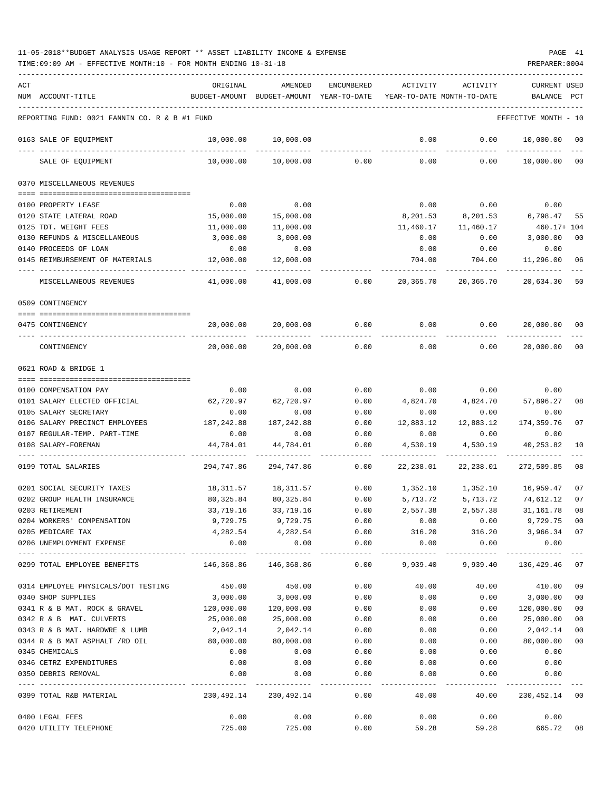| ACT<br>NUM ACCOUNT-TITLE                      | ORIGINAL              | AMENDED<br>BUDGET-AMOUNT BUDGET-AMOUNT YEAR-TO-DATE | ENCUMBERED                          | ACTIVITY          | ACTIVITY<br>YEAR-TO-DATE MONTH-TO-DATE | <b>CURRENT USED</b><br>BALANCE | PCT     |
|-----------------------------------------------|-----------------------|-----------------------------------------------------|-------------------------------------|-------------------|----------------------------------------|--------------------------------|---------|
|                                               |                       |                                                     |                                     |                   |                                        |                                |         |
| REPORTING FUND: 0021 FANNIN CO. R & B #1 FUND |                       |                                                     |                                     |                   |                                        | EFFECTIVE MONTH - 10           |         |
| 0163 SALE OF EQUIPMENT                        | 10,000.00             | 10,000.00                                           |                                     | 0.00              | 0.00                                   | 10,000.00                      | $_{00}$ |
| SALE OF EQUIPMENT                             | 10,000.00             |                                                     | $10,000.00$ 0.00                    | 0.00              | 0.00                                   | 10,000.00                      | 00      |
| 0370 MISCELLANEOUS REVENUES                   |                       |                                                     |                                     |                   |                                        |                                |         |
| 0100 PROPERTY LEASE                           | 0.00                  | 0.00                                                |                                     | 0.00              | 0.00                                   | 0.00                           |         |
| 0120 STATE LATERAL ROAD                       | 15,000.00             | 15,000.00                                           |                                     |                   | 8,201.53 8,201.53                      | 6,798.47                       | 55      |
| 0125 TDT. WEIGHT FEES                         | 11,000.00             | 11,000.00                                           |                                     | 11,460.17         | 11,460.17                              | 460.17+ 104                    |         |
| 0130 REFUNDS & MISCELLANEOUS                  | 3,000.00              | 3,000.00                                            |                                     | 0.00              | 0.00                                   | 3,000.00                       | 00      |
| 0140 PROCEEDS OF LOAN                         | 0.00                  | 0.00                                                |                                     | 0.00              | 0.00                                   | 0.00                           |         |
| 0145 REIMBURSEMENT OF MATERIALS               | 12,000.00             | 12,000.00                                           |                                     | 704.00            | 704.00                                 | 11,296.00                      | 06      |
| MISCELLANEOUS REVENUES                        | 41,000.00             |                                                     | 41,000.00 0.00                      | 20,365.70         | 20,365.70                              | 20,634.30                      | 50      |
| 0509 CONTINGENCY                              |                       |                                                     |                                     |                   |                                        |                                |         |
| 0475 CONTINGENCY                              | 20,000.00             | 20,000.00                                           | 0.00                                | 0.00              | 0.00                                   | 20,000.00                      | 00      |
| CONTINGENCY                                   | 20,000.00             | 20,000.00                                           | 0.00                                | 0.00              | 0.00                                   | 20,000.00                      | 00      |
| 0621 ROAD & BRIDGE 1                          |                       |                                                     |                                     |                   |                                        |                                |         |
|                                               |                       |                                                     |                                     |                   |                                        |                                |         |
| 0100 COMPENSATION PAY                         | 0.00                  | 0.00                                                | 0.00                                |                   | $0.00$ 0.00                            | 0.00                           |         |
| 0101 SALARY ELECTED OFFICIAL                  | 62,720.97             | 62,720.97                                           | 0.00                                | 4,824.70          | 4,824.70                               | 57,896.27                      | 08      |
| 0105 SALARY SECRETARY                         | 0.00                  | 0.00                                                | 0.00                                | 0.00              | 0.00                                   | 0.00                           |         |
| 0106 SALARY PRECINCT EMPLOYEES                | 187,242.88            | 187,242.88                                          | 0.00                                | 12,883.12         | 12,883.12                              | 174,359.76                     | 07      |
| 0107 REGULAR-TEMP. PART-TIME                  | 0.00                  | 0.00                                                | 0.00                                | 0.00              | 0.00                                   | 0.00                           |         |
| 0108 SALARY-FOREMAN                           | 44,784.01             | 44,784.01                                           | 0.00                                | 4,530.19          | 4,530.19                               | 40,253.82                      | 10      |
| 0199 TOTAL SALARIES                           | 294,747.86            | 294,747.86                                          | 0.00                                | 22,238.01         | 22,238.01                              | 272,509.85                     | 08      |
| 0201 SOCIAL SECURITY TAXES                    | 18,311.57             | 18,311.57                                           | 0.00                                |                   | 1,352.10 1,352.10 16,959.47            |                                | 07      |
| 0202 GROUP HEALTH INSURANCE                   | 80,325.84             | 80,325.84                                           | 0.00                                | 5,713.72          | 5,713.72                               | 74,612.12                      | 07      |
| 0203 RETIREMENT                               | 33,719.16             | 33,719.16                                           | 0.00                                | 2,557.38          | 2,557.38                               | 31, 161.78                     | 08      |
| 0204 WORKERS' COMPENSATION                    |                       | 9,729.75 9,729.75                                   | 0.00                                | 0.00              | 0.00                                   | 9,729.75 00                    |         |
| 0205 MEDICARE TAX                             | 4,282.54              | 4,282.54                                            | 0.00                                | 316.20            | 316.20                                 | 3,966.34 07                    |         |
| 0206 UNEMPLOYMENT EXPENSE                     | 0.00<br>_____________ | 0.00<br>-------------                               | 0.00<br>------------                | 0.00<br>--------- | 0.00<br>---------                      | 0.00<br>-----------            |         |
| 0299 TOTAL EMPLOYEE BENEFITS                  | 146,368.86 146,368.86 |                                                     |                                     |                   | $0.00$ 9,939.40 9,939.40               | 136,429.46                     | 07      |
| 0314 EMPLOYEE PHYSICALS/DOT TESTING           | 450.00                | 450.00                                              | 0.00                                | 40.00             | 40.00                                  | 410.00                         | 09      |
| 0340 SHOP SUPPLIES                            | 3,000.00              | 3,000.00                                            | 0.00                                | 0.00              | 0.00                                   | 3,000.00                       | 00      |
| 0341 R & B MAT. ROCK & GRAVEL 120,000.00      |                       | 120,000.00                                          | 0.00                                | 0.00              | 0.00                                   | 120,000.00                     | 00      |
| 0342 R & B MAT. CULVERTS                      | 25,000.00             | 25,000.00                                           | 0.00                                | 0.00              | 0.00                                   | 25,000.00                      | 00      |
| 0343 R & B MAT. HARDWRE & LUMB                | 2,042.14              | 2,042.14                                            | 0.00                                | 0.00              | 0.00                                   | 2,042.14                       | $00\,$  |
| 0344 R & B MAT ASPHALT /RD OIL                | 80,000.00             | 80,000.00                                           | 0.00                                | 0.00              | 0.00                                   | 80,000.00                      | $00\,$  |
| 0345 CHEMICALS                                | 0.00                  | 0.00                                                | 0.00                                | 0.00              | 0.00                                   | 0.00                           |         |
| 0346 CETRZ EXPENDITURES                       | 0.00                  | 0.00                                                | 0.00                                | 0.00              | 0.00                                   | 0.00                           |         |
| 0350 DEBRIS REMOVAL                           | 0.00                  | 0.00                                                | 0.00<br>--------------------------- | 0.00<br>--------- | 0.00<br>---------                      | 0.00<br>-----------            |         |
| 0399 TOTAL R&B MATERIAL                       |                       | 230,492.14 230,492.14                               | 0.00                                | 40.00             |                                        | 40.00 230,452.14 00            |         |
| 0400 LEGAL FEES                               | 0.00                  | 0.00                                                | 0.00                                | 0.00              | 0.00                                   | 0.00                           |         |
| 0420 UTILITY TELEPHONE                        | 725.00                | 725.00                                              | 0.00                                | 59.28             |                                        | 59.28 665.72 08                |         |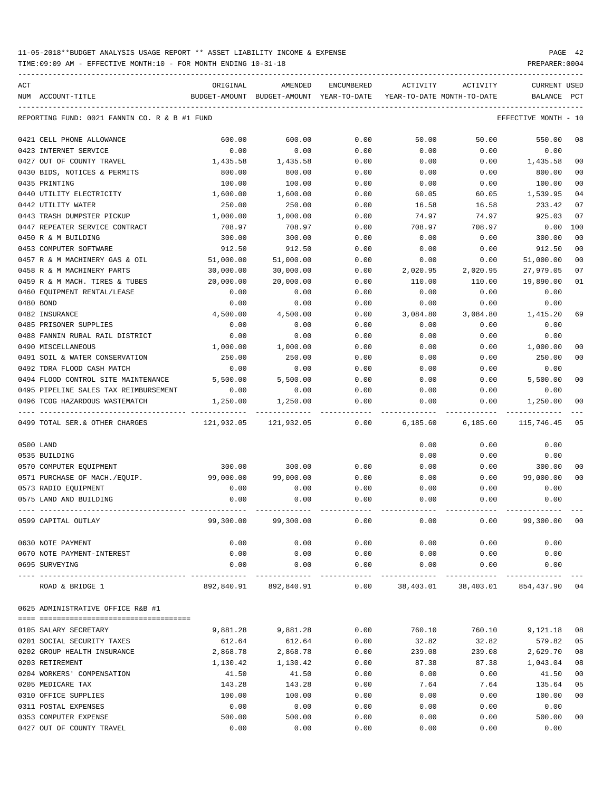| ACT |                                               | ORIGINAL      | AMENDED                               | ENCUMBERED           | ACTIVITY                   | ACTIVITY                            | <b>CURRENT USED</b>  |                |
|-----|-----------------------------------------------|---------------|---------------------------------------|----------------------|----------------------------|-------------------------------------|----------------------|----------------|
|     | NUM ACCOUNT-TITLE                             | BUDGET-AMOUNT | BUDGET-AMOUNT YEAR-TO-DATE            |                      | YEAR-TO-DATE MONTH-TO-DATE |                                     | BALANCE              | PCT            |
|     | REPORTING FUND: 0021 FANNIN CO. R & B #1 FUND |               |                                       |                      |                            |                                     | EFFECTIVE MONTH - 10 |                |
|     | 0421 CELL PHONE ALLOWANCE                     | 600.00        | 600.00                                | 0.00                 | 50.00                      | 50.00                               | 550.00               | 08             |
|     | 0423 INTERNET SERVICE                         | 0.00          | 0.00                                  | 0.00                 | 0.00                       | 0.00                                | 0.00                 |                |
|     | 0427 OUT OF COUNTY TRAVEL                     | 1,435.58      | 1,435.58                              | 0.00                 | 0.00                       | 0.00                                | 1,435.58             | 0 <sub>0</sub> |
|     | 0430 BIDS, NOTICES & PERMITS                  | 800.00        | 800.00                                | 0.00                 | 0.00                       | 0.00                                | 800.00               | 0 <sub>0</sub> |
|     | 0435 PRINTING                                 | 100.00        | 100.00                                | 0.00                 | 0.00                       | 0.00                                | 100.00               | 0 <sub>0</sub> |
|     | 0440 UTILITY ELECTRICITY                      | 1,600.00      | 1,600.00                              | 0.00                 | 60.05                      | 60.05                               | 1,539.95             | 04             |
|     | 0442 UTILITY WATER                            | 250.00        | 250.00                                | 0.00                 | 16.58                      | 16.58                               | 233.42               | 07             |
|     | 0443 TRASH DUMPSTER PICKUP                    | 1,000.00      | 1,000.00                              | 0.00                 | 74.97                      | 74.97                               | 925.03               | 07             |
|     | 0447 REPEATER SERVICE CONTRACT                | 708.97        | 708.97                                | 0.00                 | 708.97                     | 708.97                              | 0.00                 | 100            |
|     | 0450 R & M BUILDING                           | 300.00        | 300.00                                | 0.00                 | 0.00                       | 0.00                                | 300.00               | 0 <sub>0</sub> |
|     | 0453 COMPUTER SOFTWARE                        | 912.50        | 912.50                                | 0.00                 | 0.00                       | 0.00                                | 912.50               | 0 <sub>0</sub> |
|     | 0457 R & M MACHINERY GAS & OIL                | 51,000.00     | 51,000.00                             | 0.00                 | 0.00                       | 0.00                                | 51,000.00            | 0 <sub>0</sub> |
|     | 0458 R & M MACHINERY PARTS                    | 30,000.00     | 30,000.00                             | 0.00                 | 2,020.95                   | 2,020.95                            | 27,979.05            | 07             |
|     | 0459 R & M MACH. TIRES & TUBES                | 20,000.00     | 20,000.00                             | 0.00                 | 110.00                     | 110.00                              | 19,890.00            | 01             |
|     | 0460 EOUIPMENT RENTAL/LEASE                   | 0.00          | 0.00                                  | 0.00                 | 0.00                       | 0.00                                | 0.00                 |                |
|     | 0480 BOND                                     | 0.00          | 0.00                                  | 0.00                 | 0.00                       | 0.00                                | 0.00                 |                |
|     | 0482 INSURANCE                                | 4,500.00      | 4,500.00                              | 0.00                 | 3,084.80                   | 3,084.80                            | 1,415.20             | 69             |
|     | 0485 PRISONER SUPPLIES                        | 0.00          | 0.00                                  | 0.00                 | 0.00                       | 0.00                                | 0.00                 |                |
|     | 0488 FANNIN RURAL RAIL DISTRICT               | 0.00          | 0.00                                  | 0.00                 | 0.00                       | 0.00                                | 0.00                 |                |
|     | 0490 MISCELLANEOUS                            | 1,000.00      | 1,000.00                              | 0.00                 | 0.00                       | 0.00                                | 1,000.00             | 00             |
|     | 0491 SOIL & WATER CONSERVATION                | 250.00        | 250.00                                | 0.00                 | 0.00                       | 0.00                                | 250.00               | 0 <sub>0</sub> |
|     | 0492 TDRA FLOOD CASH MATCH                    | 0.00          | 0.00                                  | 0.00                 | 0.00                       | 0.00                                | 0.00                 |                |
|     | 0494 FLOOD CONTROL SITE MAINTENANCE           | 5,500.00      | 5,500.00                              | 0.00                 | 0.00                       | 0.00                                | 5,500.00             | 0 <sub>0</sub> |
|     | 0495 PIPELINE SALES TAX REIMBURSEMENT         | 0.00          | 0.00                                  | 0.00                 | 0.00                       | 0.00                                | 0.00                 |                |
|     | 0496 TCOG HAZARDOUS WASTEMATCH                | 1,250.00      | 1,250.00                              | 0.00                 | 0.00                       | 0.00                                | 1,250.00             | 0 <sub>0</sub> |
|     | 0499 TOTAL SER. & OTHER CHARGES               | 121,932.05    | 121,932.05                            | 0.00                 | 6,185.60                   | 6,185.60                            | 115,746.45           | 05             |
|     | 0500 LAND                                     |               |                                       |                      | 0.00                       | 0.00                                | 0.00                 |                |
|     | 0535 BUILDING                                 |               |                                       |                      | 0.00                       | 0.00                                | 0.00                 |                |
|     | 0570 COMPUTER EQUIPMENT                       | 300.00        | 300.00                                | 0.00                 | 0.00                       | 0.00                                | 300.00               | 00             |
|     | 0571 PURCHASE OF MACH./EQUIP.                 | 99,000.00     | 99,000.00                             | 0.00                 | 0.00                       | 0.00                                | 99,000.00            | 0 <sub>0</sub> |
|     | 0573 RADIO EQUIPMENT                          | 0.00          | 0.00                                  | 0.00                 | 0.00                       | 0.00                                | 0.00                 |                |
|     | 0575 LAND AND BUILDING                        | 0.00          | 0.00                                  | 0.00                 | 0.00                       | 0.00                                | 0.00                 |                |
|     | 0599 CAPITAL OUTLAY                           | 99,300.00     | 99,300.00                             | 0.00                 | 0.00                       | 0.00                                | 99,300.00            | 0 <sub>0</sub> |
|     | 0630 NOTE PAYMENT                             | 0.00          | 0.00                                  | 0.00                 | 0.00                       | 0.00                                | 0.00                 |                |
|     | 0670 NOTE PAYMENT-INTEREST                    | 0.00          | 0.00                                  | 0.00                 | 0.00                       | 0.00                                | 0.00                 |                |
|     | 0695 SURVEYING                                | 0.00          | 0.00                                  | 0.00                 | 0.00                       | 0.00                                | 0.00                 |                |
|     | ROAD & BRIDGE 1                               |               | ------------<br>892,840.91 892,840.91 | ------------<br>0.00 | ------------               | ------------<br>38,403.01 38,403.01 | 854,437.90           | 04             |
|     | 0625 ADMINISTRATIVE OFFICE R&B #1             |               |                                       |                      |                            |                                     |                      |                |
|     |                                               |               |                                       |                      |                            |                                     |                      |                |
|     | 0105 SALARY SECRETARY                         | 9,881.28      | 9,881.28                              | 0.00                 | 760.10                     | 760.10                              | 9,121.18             | 08             |
|     | 0201 SOCIAL SECURITY TAXES                    | 612.64        | 612.64                                | 0.00                 | 32.82                      | 32.82                               | 579.82               | 05             |
|     | 0202 GROUP HEALTH INSURANCE                   | 2,868.78      | 2,868.78                              | 0.00                 | 239.08                     | 239.08                              | 2,629.70             | 08             |
|     | 0203 RETIREMENT                               | 1,130.42      | 1,130.42                              | 0.00                 | 87.38                      | 87.38                               | 1,043.04             | 08             |
|     | 0204 WORKERS' COMPENSATION                    | 41.50         | 41.50                                 | 0.00                 | 0.00                       | 0.00                                | 41.50                | 0 <sub>0</sub> |
|     | 0205 MEDICARE TAX                             | 143.28        | 143.28                                | 0.00                 | 7.64                       | 7.64                                | 135.64               | 05             |
|     | 0310 OFFICE SUPPLIES                          | 100.00        | 100.00                                | 0.00                 | 0.00                       | 0.00                                | 100.00               | 0 <sub>0</sub> |
|     | 0311 POSTAL EXPENSES                          | 0.00          | 0.00                                  | 0.00                 | 0.00                       | 0.00                                | 0.00                 |                |
|     | 0353 COMPUTER EXPENSE                         | 500.00        | 500.00                                | 0.00                 | 0.00                       | 0.00                                | 500.00               | 0 <sub>0</sub> |
|     | 0427 OUT OF COUNTY TRAVEL                     | 0.00          | 0.00                                  | 0.00                 | 0.00                       | 0.00                                | 0.00                 |                |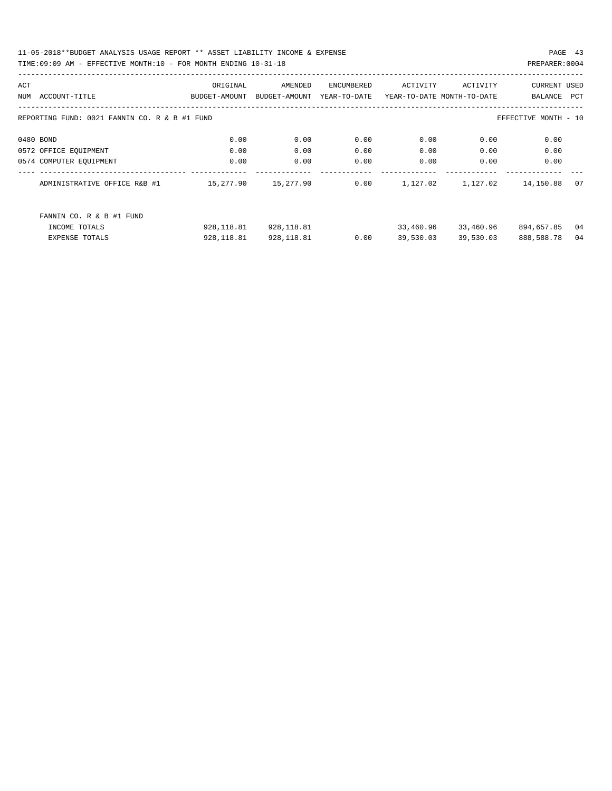| ACT                                           | ORIGINAL      | AMENDED       | <b>ENCUMBERED</b> | ACTIVITY  | ACTIVITY                   | <b>CURRENT USED</b>  |     |
|-----------------------------------------------|---------------|---------------|-------------------|-----------|----------------------------|----------------------|-----|
| ACCOUNT-TITLE<br>NUM                          | BUDGET-AMOUNT | BUDGET-AMOUNT | YEAR-TO-DATE      |           | YEAR-TO-DATE MONTH-TO-DATE | BALANCE              | PCT |
|                                               |               |               |                   |           |                            |                      |     |
| REPORTING FUND: 0021 FANNIN CO. R & B #1 FUND |               |               |                   |           |                            | EFFECTIVE MONTH - 10 |     |
|                                               |               |               |                   |           |                            |                      |     |
| 0480 BOND                                     | 0.00          | 0.00          | 0.00              | 0.00      | 0.00                       | 0.00                 |     |
| 0572 OFFICE EQUIPMENT                         | 0.00          | 0.00          | 0.00              | 0.00      | 0.00                       | 0.00                 |     |
| 0574 COMPUTER EOUIPMENT                       | 0.00          | 0.00          | 0.00              | 0.00      | 0.00                       | 0.00                 |     |
|                                               |               |               |                   |           |                            |                      |     |
| ADMINISTRATIVE OFFICE R&B #1                  | 15,277.90     | 15,277.90     | 0.00              | 1,127.02  | 1,127.02                   | 14,150.88            | 07  |
|                                               |               |               |                   |           |                            |                      |     |
| FANNIN CO. R & B #1 FUND                      |               |               |                   |           |                            |                      |     |
| INCOME TOTALS                                 | 928,118.81    | 928,118.81    |                   | 33,460.96 | 33,460.96                  | 894,657.85           | 04  |
| <b>EXPENSE TOTALS</b>                         | 928,118.81    | 928, 118.81   | 0.00              | 39,530.03 | 39,530.03                  | 888,588.78           | 04  |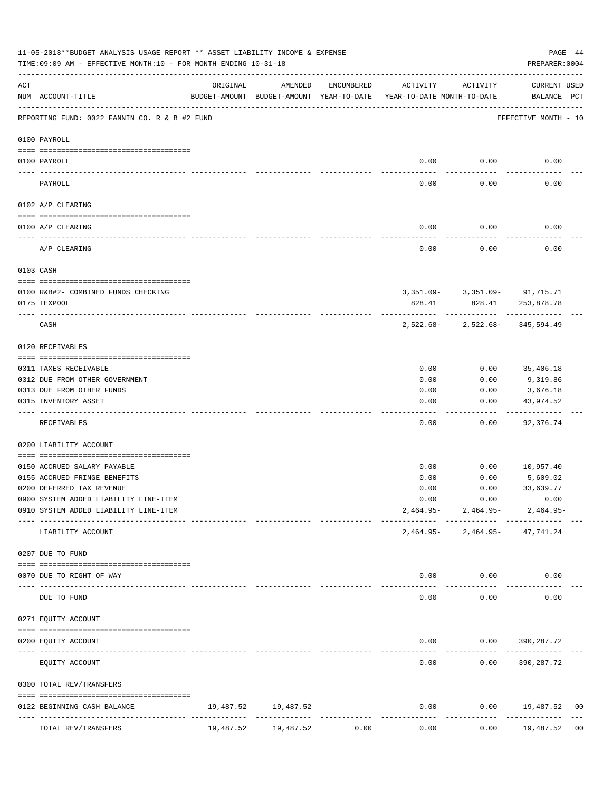|     | 11-05-2018**BUDGET ANALYSIS USAGE REPORT ** ASSET LIABILITY INCOME & EXPENSE<br>TIME: 09:09 AM - EFFECTIVE MONTH: 10 - FOR MONTH ENDING 10-31-18 |           |                                                     |            |                                        |                                                        | PAGE 44<br>PREPARER: 0004   |    |
|-----|--------------------------------------------------------------------------------------------------------------------------------------------------|-----------|-----------------------------------------------------|------------|----------------------------------------|--------------------------------------------------------|-----------------------------|----|
| ACT | NUM ACCOUNT-TITLE                                                                                                                                | ORIGINAL  | AMENDED<br>BUDGET-AMOUNT BUDGET-AMOUNT YEAR-TO-DATE | ENCUMBERED | ACTIVITY<br>YEAR-TO-DATE MONTH-TO-DATE | ACTIVITY                                               | CURRENT USED<br>BALANCE PCT |    |
|     | REPORTING FUND: 0022 FANNIN CO. R & B #2 FUND                                                                                                    |           |                                                     |            |                                        |                                                        | EFFECTIVE MONTH - 10        |    |
|     | 0100 PAYROLL                                                                                                                                     |           |                                                     |            |                                        |                                                        |                             |    |
|     | 0100 PAYROLL                                                                                                                                     |           |                                                     |            | 0.00                                   | 0.00                                                   | 0.00                        |    |
|     | PAYROLL                                                                                                                                          |           |                                                     |            | 0.00                                   | 0.00                                                   | 0.00                        |    |
|     | 0102 A/P CLEARING                                                                                                                                |           |                                                     |            |                                        |                                                        |                             |    |
|     | 0100 A/P CLEARING                                                                                                                                |           |                                                     |            | 0.00                                   | 0.00                                                   | 0.00                        |    |
|     | A/P CLEARING                                                                                                                                     |           |                                                     |            | 0.00                                   | 0.00                                                   | 0.00                        |    |
|     | 0103 CASH                                                                                                                                        |           |                                                     |            |                                        |                                                        |                             |    |
|     |                                                                                                                                                  |           |                                                     |            |                                        |                                                        |                             |    |
|     | 0100 R&B#2- COMBINED FUNDS CHECKING<br>0175 TEXPOOL                                                                                              |           |                                                     |            | 828.41                                 | 3, 351.09- 3, 351.09- 91, 715.71                       | 828.41 253,878.78           |    |
|     | CASH                                                                                                                                             |           |                                                     |            |                                        | -----------<br>$2,522.68 - 2,522.68 - 345,594.49$      | -------------               |    |
|     | 0120 RECEIVABLES                                                                                                                                 |           |                                                     |            |                                        |                                                        |                             |    |
|     | 0311 TAXES RECEIVABLE                                                                                                                            |           |                                                     |            | 0.00                                   | 0.00                                                   | 35,406.18                   |    |
|     | 0312 DUE FROM OTHER GOVERNMENT                                                                                                                   |           |                                                     |            | 0.00                                   | 0.00                                                   | 9,319.86                    |    |
|     | 0313 DUE FROM OTHER FUNDS                                                                                                                        |           |                                                     |            | 0.00                                   | 0.00                                                   | 3,676.18                    |    |
|     | 0315 INVENTORY ASSET                                                                                                                             |           |                                                     |            | 0.00                                   | 0.00<br>-----                                          | 43,974.52<br>----------     |    |
|     | RECEIVABLES                                                                                                                                      |           |                                                     |            | 0.00                                   | 0.00                                                   | 92,376.74                   |    |
|     | 0200 LIABILITY ACCOUNT                                                                                                                           |           |                                                     |            |                                        |                                                        |                             |    |
|     | 0150 ACCRUED SALARY PAYABLE                                                                                                                      |           |                                                     |            | 0.00                                   | 0.00                                                   | 10,957.40                   |    |
|     | 0155 ACCRUED FRINGE BENEFITS                                                                                                                     |           |                                                     |            | 0.00                                   | 0.00                                                   | 5,609.02                    |    |
|     | 0200 DEFERRED TAX REVENUE                                                                                                                        |           |                                                     |            | 0.00                                   | 0.00                                                   | 33,639.77                   |    |
|     | 0900 SYSTEM ADDED LIABILITY LINE-ITEM                                                                                                            |           |                                                     |            | 0.00                                   | 0.00                                                   | 0.00                        |    |
|     | 0910 SYSTEM ADDED LIABILITY LINE-ITEM                                                                                                            |           |                                                     |            |                                        | $2,464.95 - 2,464.95 -$<br>------------- ------------- | $2,464.95-$                 |    |
|     | LIABILITY ACCOUNT                                                                                                                                |           |                                                     |            |                                        | 2,464.95 - 2,464.95 - 47,741.24                        |                             |    |
|     | 0207 DUE TO FUND                                                                                                                                 |           |                                                     |            |                                        |                                                        |                             |    |
|     | 0070 DUE TO RIGHT OF WAY                                                                                                                         |           |                                                     |            |                                        | $0.00$ $0.00$<br>.                                     | 0.00                        |    |
|     | DUE TO FUND                                                                                                                                      |           |                                                     |            | $- - - - -$<br>0.00                    | 0.00                                                   | 0.00                        |    |
|     | 0271 EQUITY ACCOUNT                                                                                                                              |           |                                                     |            |                                        |                                                        |                             |    |
|     | 0200 EQUITY ACCOUNT                                                                                                                              |           |                                                     |            |                                        | $0.00$ $0.00$ $390,287.72$                             |                             |    |
|     | EQUITY ACCOUNT                                                                                                                                   |           |                                                     |            | -----<br>0.00                          | ---------                                              | $0.00$ 390, 287.72          |    |
|     | 0300 TOTAL REV/TRANSFERS                                                                                                                         |           |                                                     |            |                                        |                                                        |                             |    |
|     | 0122 BEGINNING CASH BALANCE                                                                                                                      |           | 19,487.52 19,487.52                                 |            | 0.00                                   |                                                        | $0.00$ 19,487.52            | 00 |
|     | TOTAL REV/TRANSFERS                                                                                                                              | 19,487.52 | 19,487.52                                           | 0.00       | 0.00                                   | 0.00                                                   | 19,487.52                   | 00 |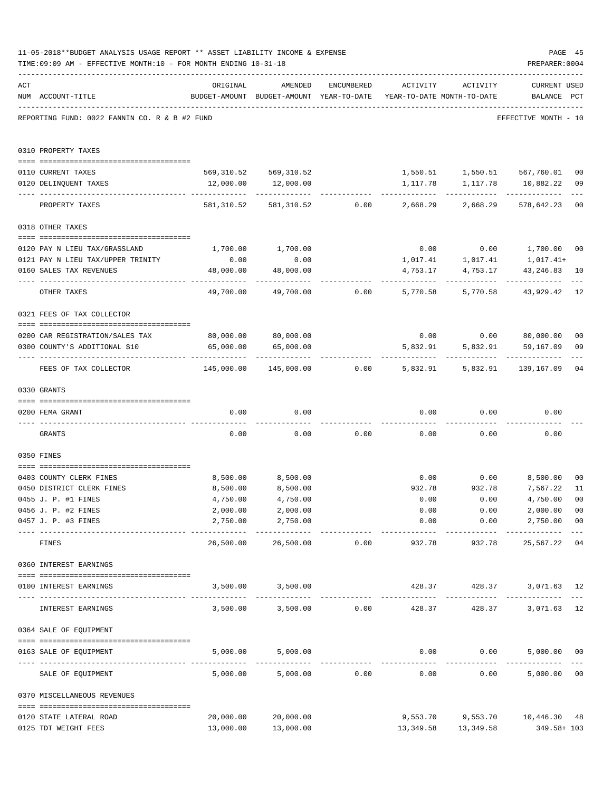|     | 11-05-2018**BUDGET ANALYSIS USAGE REPORT ** ASSET LIABILITY INCOME & EXPENSE<br>TIME: 09:09 AM - EFFECTIVE MONTH: 10 - FOR MONTH ENDING 10-31-18 |                                             |                                                                                |                |             |                               | PAGE 45<br>PREPARER: 0004                                            |                           |
|-----|--------------------------------------------------------------------------------------------------------------------------------------------------|---------------------------------------------|--------------------------------------------------------------------------------|----------------|-------------|-------------------------------|----------------------------------------------------------------------|---------------------------|
| ACT | NUM ACCOUNT-TITLE                                                                                                                                | ORIGINAL                                    | AMENDED<br>BUDGET-AMOUNT BUDGET-AMOUNT YEAR-TO-DATE YEAR-TO-DATE MONTH-TO-DATE | ENCUMBERED     | ACTIVITY    | ACTIVITY                      | <b>CURRENT USED</b><br>BALANCE PCT                                   |                           |
|     | REPORTING FUND: 0022 FANNIN CO. R & B #2 FUND                                                                                                    |                                             |                                                                                |                |             |                               | EFFECTIVE MONTH - 10                                                 |                           |
|     | 0310 PROPERTY TAXES                                                                                                                              |                                             |                                                                                |                |             |                               |                                                                      |                           |
|     | 0110 CURRENT TAXES                                                                                                                               |                                             | 569,310.52 569,310.52                                                          |                |             |                               | $1,550.51$ $1,550.51$ $567,760.01$                                   | 0 <sub>0</sub>            |
|     | 0120 DELINQUENT TAXES                                                                                                                            | 12,000.00                                   | 12,000.00                                                                      |                |             |                               |                                                                      | 09                        |
|     | PROPERTY TAXES                                                                                                                                   |                                             | 581,310.52 581,310.52 0.00 2,668.29                                            |                |             |                               | 2,668.29 578,642.23                                                  | $- - -$<br>0 <sub>0</sub> |
|     | 0318 OTHER TAXES                                                                                                                                 |                                             |                                                                                |                |             |                               |                                                                      |                           |
|     |                                                                                                                                                  |                                             |                                                                                |                |             |                               |                                                                      |                           |
|     | 0120 PAY N LIEU TAX/GRASSLAND<br>0121 PAY N LIEU TAX/UPPER TRINITY                                                                               | 0.00                                        | 1,700.00 1,700.00<br>0.00                                                      |                |             |                               | $0.00$ $0.00$ $1,700.00$ $00$<br>1,017.41+                           |                           |
|     | 0160 SALES TAX REVENUES                                                                                                                          | 48,000.00                                   | 48,000.00                                                                      |                | 4,753.17    | 1,017.41 1,017.41<br>4,753.17 | 43,246.83                                                            | 10                        |
|     | OTHER TAXES                                                                                                                                      | -------------- ------------- -<br>49,700.00 |                                                                                | 49,700.00 0.00 | 5,770.58    |                               | -----------<br>5,770.58 43,929.42                                    | 12                        |
|     | 0321 FEES OF TAX COLLECTOR                                                                                                                       |                                             |                                                                                |                |             |                               |                                                                      |                           |
|     |                                                                                                                                                  |                                             |                                                                                |                |             |                               |                                                                      |                           |
|     | 0200 CAR REGISTRATION/SALES TAX                                                                                                                  |                                             | 80,000.00 80,000.00<br>65,000.00                                               |                | 5,832.91    | 5,832.91                      | $0.00$ $0.00$ $80,000.00$                                            | 0 <sub>0</sub>            |
|     | 0300 COUNTY'S ADDITIONAL \$10                                                                                                                    | 65,000.00<br>--------------- -------------- | ------------                                                                   |                | ----------- | ------------                  | 59,167.09<br>. <u>.</u> .                                            | 09                        |
|     | FEES OF TAX COLLECTOR                                                                                                                            | 145,000.00                                  |                                                                                |                |             |                               | 145,000.00        0.00        5,832.91      5,832.91      139,167.09 | 04                        |
|     | 0330 GRANTS                                                                                                                                      |                                             |                                                                                |                |             |                               |                                                                      |                           |
|     | 0200 FEMA GRANT                                                                                                                                  | 0.00                                        | 0.00                                                                           |                |             | $0.00$ $0.00$                 | 0.00                                                                 |                           |
|     | GRANTS                                                                                                                                           | 0.00                                        |                                                                                | $0.00$ 0.00    |             | 0.00                          | 0.00<br>0.00                                                         |                           |
|     | 0350 FINES                                                                                                                                       |                                             |                                                                                |                |             |                               |                                                                      |                           |
|     | 0403 COUNTY CLERK FINES                                                                                                                          | 8,500.00                                    | 8,500.00                                                                       |                |             |                               | $0.00$ $0.00$ $8,500.00$                                             | 0 <sub>0</sub>            |
|     | 0450 DISTRICT CLERK FINES                                                                                                                        | 8,500.00                                    | 8,500.00                                                                       |                | 932.78      | 932.78                        | 7,567.22                                                             | 11                        |
|     | 0455 J. P. #1 FINES                                                                                                                              | 4,750.00                                    | 4,750.00                                                                       |                | 0.00        | 0.00                          | 4,750.00 00                                                          |                           |
|     | 0456 J. P. #2 FINES                                                                                                                              | 2,000.00                                    | 2,000.00                                                                       |                | 0.00        | 0.00                          | 2,000.00                                                             | 0 <sub>0</sub>            |
|     | 0457 J. P. #3 FINES                                                                                                                              | 2,750.00                                    | 2,750.00<br>-----------                                                        |                | 0.00        |                               | 0.00<br>2,750.00<br>-------------                                    | 0 <sub>0</sub>            |
|     | FINES                                                                                                                                            | 26,500.00                                   |                                                                                | 26,500.00 0.00 | 932.78      | 932.78                        | 25,567.22                                                            | 04                        |
|     | 0360 INTEREST EARNINGS                                                                                                                           |                                             |                                                                                |                |             |                               |                                                                      |                           |
|     | 0100 INTEREST EARNINGS<br>---------------------------------- --                                                                                  |                                             | 3,500.00 3,500.00                                                              |                |             | 428.37 428.37<br>------------ | 3,071.63 12                                                          | $---$                     |
|     | INTEREST EARNINGS                                                                                                                                |                                             | 3,500.00 3,500.00 0.00                                                         |                | 428.37      | 428.37                        | 3,071.63                                                             | 12                        |
|     | 0364 SALE OF EQUIPMENT                                                                                                                           |                                             |                                                                                |                |             |                               |                                                                      |                           |
|     | 0163 SALE OF EQUIPMENT                                                                                                                           | 5,000.00                                    | 5,000.00                                                                       |                |             | $0.00$ $0.00$                 | 5,000.00 00                                                          |                           |
|     | SALE OF EQUIPMENT                                                                                                                                | 5,000.00                                    |                                                                                | 5,000.00 0.00  | 0.00        |                               | 0.00<br>5,000.00                                                     | 0 <sub>0</sub>            |
|     | 0370 MISCELLANEOUS REVENUES                                                                                                                      |                                             |                                                                                |                |             |                               |                                                                      |                           |
|     | 0120 STATE LATERAL ROAD                                                                                                                          | 20,000.00                                   | 20,000.00                                                                      |                |             |                               | 9,553.70 9,553.70 10,446.30 48                                       |                           |
|     | 0125 TDT WEIGHT FEES                                                                                                                             | 13,000.00                                   | 13,000.00                                                                      |                |             | 13,349.58 13,349.58           | 349.58+ 103                                                          |                           |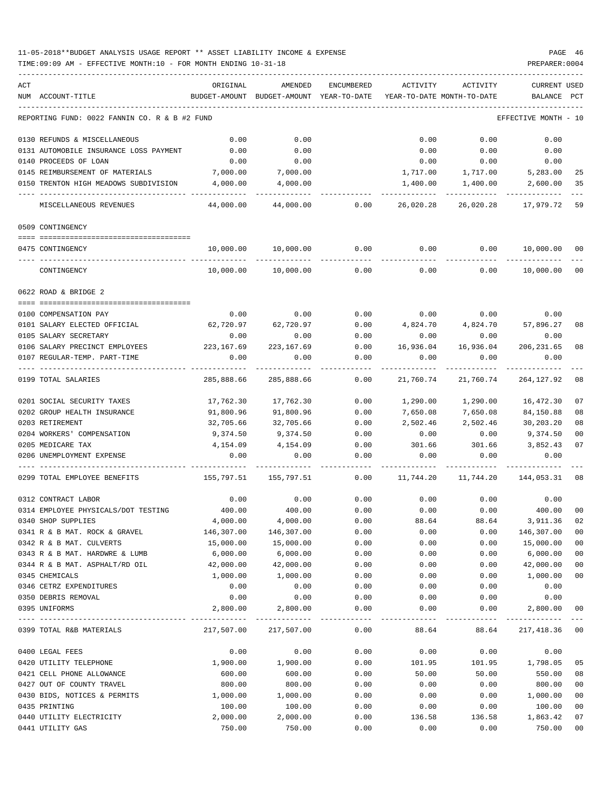| ACT<br>NUM ACCOUNT-TITLE                      | ORIGINAL<br>BUDGET-AMOUNT | AMENDED<br>BUDGET-AMOUNT | <b>ENCUMBERED</b><br>YEAR-TO-DATE | ACTIVITY<br>YEAR-TO-DATE MONTH-TO-DATE | ACTIVITY    | <b>CURRENT USED</b><br>BALANCE | PCT    |
|-----------------------------------------------|---------------------------|--------------------------|-----------------------------------|----------------------------------------|-------------|--------------------------------|--------|
|                                               |                           |                          |                                   |                                        |             |                                |        |
| REPORTING FUND: 0022 FANNIN CO. R & B #2 FUND |                           |                          |                                   |                                        |             | EFFECTIVE MONTH - 10           |        |
| 0130 REFUNDS & MISCELLANEOUS                  | 0.00                      | 0.00                     |                                   | 0.00                                   | 0.00        | 0.00                           |        |
| 0131 AUTOMOBILE INSURANCE LOSS PAYMENT        | 0.00                      | 0.00                     |                                   | 0.00                                   | 0.00        | 0.00                           |        |
| 0140 PROCEEDS OF LOAN                         | 0.00                      | 0.00                     |                                   | 0.00                                   | 0.00        | 0.00                           |        |
| 0145 REIMBURSEMENT OF MATERIALS               | 7,000.00                  | 7,000.00                 |                                   | 1,717.00                               | 1,717.00    | 5,283.00                       | 25     |
| 0150 TRENTON HIGH MEADOWS SUBDIVISION         | 4,000.00                  | 4,000.00                 |                                   | 1,400.00                               | 1,400.00    | 2,600.00                       | 35     |
| MISCELLANEOUS REVENUES                        | 44,000.00                 | 44,000.00                | 0.00                              | 26,020.28                              | 26,020.28   | 17,979.72                      | 59     |
| 0509 CONTINGENCY                              |                           |                          |                                   |                                        |             |                                |        |
|                                               |                           |                          | 0.00                              | 0.00                                   | 0.00        | 10,000.00                      | 00     |
| 0475 CONTINGENCY                              | 10,000.00                 | 10,000.00                |                                   |                                        |             |                                |        |
| CONTINGENCY                                   | 10,000.00                 | 10,000.00                | 0.00                              | 0.00                                   | 0.00        | 10,000.00                      | 00     |
| 0622 ROAD & BRIDGE 2                          |                           |                          |                                   |                                        |             |                                |        |
| 0100 COMPENSATION PAY                         | 0.00                      | 0.00                     | 0.00                              |                                        | $0.00$ 0.00 | 0.00                           |        |
| 0101 SALARY ELECTED OFFICIAL                  | 62,720.97                 | 62,720.97                | 0.00                              | 4,824.70                               | 4,824.70    | 57,896.27                      | 08     |
| 0105 SALARY SECRETARY                         | 0.00                      | 0.00                     | 0.00                              | 0.00                                   | 0.00        | 0.00                           |        |
| 0106 SALARY PRECINCT EMPLOYEES                | 223,167.69                | 223, 167.69              | 0.00                              | 16,936.04                              | 16,936.04   | 206, 231.65                    | 08     |
| 0107 REGULAR-TEMP. PART-TIME                  | 0.00                      | 0.00                     | 0.00                              | 0.00                                   | 0.00        | 0.00                           |        |
| 0199 TOTAL SALARIES                           | 285,888.66                | 285,888.66               | 0.00                              | 21,760.74                              | 21,760.74   | 264, 127.92                    | 08     |
| 0201 SOCIAL SECURITY TAXES                    | 17,762.30                 | 17,762.30                | 0.00                              | 1,290.00                               | 1,290.00    | 16,472.30                      | 07     |
| 0202 GROUP HEALTH INSURANCE                   | 91,800.96                 | 91,800.96                | 0.00                              | 7,650.08                               | 7,650.08    | 84,150.88                      | 08     |
| 0203 RETIREMENT                               | 32,705.66                 | 32,705.66                | 0.00                              | 2,502.46                               | 2,502.46    | 30,203.20                      | 08     |
| 0204 WORKERS' COMPENSATION                    | 9,374.50                  | 9,374.50                 | 0.00                              | 0.00                                   | 0.00        | 9,374.50                       | 00     |
| 0205 MEDICARE TAX                             | 4,154.09                  | 4,154.09                 | 0.00                              | 301.66                                 | 301.66      | 3,852.43                       | 07     |
| 0206 UNEMPLOYMENT EXPENSE                     | 0.00                      | 0.00                     | 0.00                              | 0.00                                   | 0.00        | 0.00                           |        |
| 0299 TOTAL EMPLOYEE BENEFITS                  | 155,797.51                | 155,797.51               | 0.00                              | 11,744.20                              | 11,744.20   | 144,053.31                     | 08     |
| 0312 CONTRACT LABOR                           | 0.00                      | 0.00                     | 0.00                              | 0.00                                   | 0.00        | 0.00                           |        |
| 0314 EMPLOYEE PHYSICALS/DOT TESTING           | 400.00                    | 400.00                   | 0.00                              | 0.00                                   | 0.00        | 400.00                         | 00     |
| 0340 SHOP SUPPLIES                            | 4,000.00                  | 4,000.00                 | 0.00                              | 88.64                                  | 88.64       | 3,911.36                       | 02     |
| 0341 R & B MAT. ROCK & GRAVEL                 | 146,307.00                | 146,307.00               | 0.00                              | 0.00                                   | 0.00        | 146,307.00                     | 00     |
| 0342 R & B MAT. CULVERTS                      | 15,000.00                 | 15,000.00                | 0.00                              | 0.00                                   | 0.00        | 15,000.00                      | 00     |
| 0343 R & B MAT. HARDWRE & LUMB                | 6,000.00                  | 6,000.00                 | 0.00                              | 0.00                                   | 0.00        | 6,000.00                       | 00     |
| 0344 R & B MAT. ASPHALT/RD OIL                | 42,000.00                 | 42,000.00                | 0.00                              | 0.00                                   | 0.00        | 42,000.00                      | $00\,$ |
| 0345 CHEMICALS                                | 1,000.00                  | 1,000.00                 | 0.00                              | 0.00                                   | 0.00        | 1,000.00                       | $00\,$ |
| 0346 CETRZ EXPENDITURES                       | 0.00                      | 0.00                     | 0.00                              | 0.00                                   | 0.00        | 0.00                           |        |
| 0350 DEBRIS REMOVAL                           | 0.00                      | 0.00                     | 0.00                              | 0.00                                   | 0.00        | 0.00                           |        |
| 0395 UNIFORMS                                 | 2,800.00                  | 2,800.00                 | 0.00                              | 0.00                                   | 0.00        | 2,800.00                       | 00     |
| 0399 TOTAL R&B MATERIALS                      | 217,507.00                | 217,507.00               | 0.00                              | 88.64                                  | 88.64       | -----------<br>217,418.36 00   |        |
| 0400 LEGAL FEES                               | 0.00                      | 0.00                     | 0.00                              | 0.00                                   | 0.00        | 0.00                           |        |
| 0420 UTILITY TELEPHONE                        | 1,900.00                  | 1,900.00                 | 0.00                              | 101.95                                 | 101.95      | 1,798.05                       | 05     |
| 0421 CELL PHONE ALLOWANCE                     | 600.00                    | 600.00                   | 0.00                              | 50.00                                  | 50.00       | 550.00                         | 08     |
| 0427 OUT OF COUNTY TRAVEL                     | 800.00                    | 800.00                   | 0.00                              | 0.00                                   | 0.00        | 800.00                         | 00     |
| 0430 BIDS, NOTICES & PERMITS                  | 1,000.00                  | 1,000.00                 | 0.00                              | 0.00                                   | 0.00        | 1,000.00                       | 00     |
| 0435 PRINTING                                 | 100.00                    | 100.00                   | 0.00                              | 0.00                                   | 0.00        | 100.00                         | 00     |
| 0440 UTILITY ELECTRICITY                      | 2,000.00                  | 2,000.00                 | 0.00                              | 136.58                                 | 136.58      | 1,863.42                       | 07     |
| 0441 UTILITY GAS                              | 750.00                    | 750.00                   | 0.00                              | 0.00                                   | 0.00        | 750.00                         | $00\,$ |
|                                               |                           |                          |                                   |                                        |             |                                |        |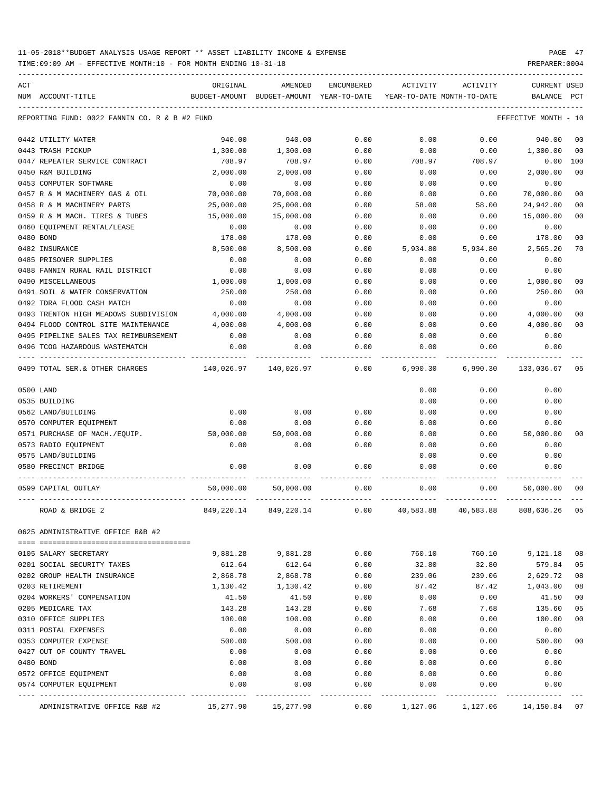TIME:09:09 AM - EFFECTIVE MONTH:10 - FOR MONTH ENDING 10-31-18 PREPARER:0004

| ACT |                                               | ORIGINAL      | AMENDED                    | ENCUMBERED | ACTIVITY  | ACTIVITY                   | <b>CURRENT USED</b> |                |
|-----|-----------------------------------------------|---------------|----------------------------|------------|-----------|----------------------------|---------------------|----------------|
|     | NUM ACCOUNT-TITLE                             | BUDGET-AMOUNT | BUDGET-AMOUNT YEAR-TO-DATE |            |           | YEAR-TO-DATE MONTH-TO-DATE | BALANCE             | PCT            |
|     |                                               |               |                            |            |           |                            |                     |                |
|     | REPORTING FUND: 0022 FANNIN CO. R & B #2 FUND |               |                            |            |           |                            | EFFECTIVE MONTH     | - 10           |
|     | 0442 UTILITY WATER                            | 940.00        | 940.00                     | 0.00       | 0.00      | 0.00                       | 940.00              | 00             |
|     | 0443 TRASH PICKUP                             | 1,300.00      | 1,300.00                   | 0.00       | 0.00      | 0.00                       | 1,300.00            | 00             |
|     | 0447 REPEATER SERVICE CONTRACT                | 708.97        | 708.97                     | 0.00       | 708.97    | 708.97                     | 0.00                | 100            |
|     | 0450 R&M BUILDING                             | 2,000.00      | 2,000.00                   | 0.00       | 0.00      | 0.00                       | 2,000.00            | 00             |
|     | 0453 COMPUTER SOFTWARE                        | 0.00          | 0.00                       | 0.00       | 0.00      | 0.00                       | 0.00                |                |
|     | 0457 R & M MACHINERY GAS & OIL                | 70,000.00     | 70,000.00                  | 0.00       | 0.00      | 0.00                       | 70,000.00           | 00             |
|     | 0458 R & M MACHINERY PARTS                    | 25,000.00     | 25,000.00                  | 0.00       | 58.00     | 58.00                      | 24,942.00           | 0 <sup>0</sup> |
|     | 0459 R & M MACH. TIRES & TUBES                | 15,000.00     | 15,000.00                  | 0.00       | 0.00      | 0.00                       | 15,000.00           | 00             |
|     | 0460 EQUIPMENT RENTAL/LEASE                   | 0.00          | 0.00                       | 0.00       | 0.00      | 0.00                       | 0.00                |                |
|     | 0480 BOND                                     | 178.00        | 178.00                     | 0.00       | 0.00      | 0.00                       | 178.00              | 0 <sub>0</sub> |
|     | 0482 INSURANCE                                | 8,500.00      | 8,500.00                   | 0.00       | 5,934.80  | 5,934.80                   | 2,565.20            | 70             |
|     | 0485 PRISONER SUPPLIES                        | 0.00          | 0.00                       | 0.00       | 0.00      | 0.00                       | 0.00                |                |
|     | 0488 FANNIN RURAL RAIL DISTRICT               | 0.00          | 0.00                       | 0.00       | 0.00      | 0.00                       | 0.00                |                |
|     | 0490 MISCELLANEOUS                            | 1,000.00      | 1,000.00                   | 0.00       | 0.00      | 0.00                       | 1,000.00            | 00             |
|     | 0491 SOIL & WATER CONSERVATION                | 250.00        | 250.00                     | 0.00       | 0.00      | 0.00                       | 250.00              | 00             |
|     | 0492 TDRA FLOOD CASH MATCH                    | 0.00          | 0.00                       | 0.00       | 0.00      | 0.00                       | 0.00                |                |
|     | 0493 TRENTON HIGH MEADOWS SUBDIVISION         | 4,000.00      | 4,000.00                   | 0.00       | 0.00      | 0.00                       | 4,000.00            | 00             |
|     | 0494 FLOOD CONTROL SITE MAINTENANCE           | 4,000.00      | 4,000.00                   | 0.00       | 0.00      | 0.00                       | 4,000.00            | 0 <sup>0</sup> |
|     | 0495 PIPELINE SALES TAX REIMBURSEMENT         | 0.00          | 0.00                       | 0.00       | 0.00      | 0.00                       | 0.00                |                |
|     | 0496 TCOG HAZARDOUS WASTEMATCH                | 0.00          | 0.00                       | 0.00       | 0.00      | 0.00                       | 0.00                |                |
|     | 0499 TOTAL SER.& OTHER CHARGES                | 140,026.97    | 140,026.97                 | 0.00       | 6,990.30  | 6,990.30                   | 133,036.67          | 05             |
|     | 0500 LAND                                     |               |                            |            | 0.00      | 0.00                       | 0.00                |                |
|     | 0535 BUILDING                                 |               |                            |            | 0.00      | 0.00                       | 0.00                |                |
|     | 0562 LAND/BUILDING                            | 0.00          | 0.00                       | 0.00       | 0.00      | 0.00                       | 0.00                |                |
|     | 0570 COMPUTER EQUIPMENT                       | 0.00          | 0.00                       | 0.00       | 0.00      | 0.00                       | 0.00                |                |
|     | 0571 PURCHASE OF MACH./EQUIP.                 | 50,000.00     | 50,000.00                  | 0.00       | 0.00      | 0.00                       | 50,000.00           | 00             |
|     | 0573 RADIO EQUIPMENT                          | 0.00          | 0.00                       | 0.00       | 0.00      | 0.00                       | 0.00                |                |
|     | 0575 LAND/BUILDING                            |               |                            |            | 0.00      | 0.00                       | 0.00                |                |
|     | 0580 PRECINCT BRIDGE                          | 0.00          | 0.00                       | 0.00       | 0.00      | 0.00                       | 0.00                |                |
|     | 0599 CAPITAL OUTLAY                           | 50,000.00     | 50,000.00                  | 0.00       | 0.00      | 0.00                       | 50,000.00           | 00             |
|     | ROAD & BRIDGE 2                               | 849,220.14    | 849, 220.14                | 0.00       | 40,583.88 | 40,583.88                  | 808,636.26          | 05             |
|     | 0625 ADMINISTRATIVE OFFICE R&B #2             |               |                            |            |           |                            |                     |                |
|     | 0105 SALARY SECRETARY                         | 9,881.28      | 9,881.28                   | 0.00       | 760.10    | 760.10                     | 9,121.18            | 08             |
|     | 0201 SOCIAL SECURITY TAXES                    | 612.64        | 612.64                     | 0.00       | 32.80     | 32.80                      | 579.84              | 05             |
|     | 0202 GROUP HEALTH INSURANCE                   | 2,868.78      | 2,868.78                   | 0.00       | 239.06    | 239.06                     | 2,629.72            | 08             |
|     | 0203 RETIREMENT                               | 1,130.42      | 1,130.42                   | 0.00       | 87.42     | 87.42                      | 1,043.00            | 08             |
|     | 0204 WORKERS' COMPENSATION                    | 41.50         | 41.50                      | 0.00       | 0.00      | 0.00                       | 41.50               | 0 <sub>0</sub> |
|     | 0205 MEDICARE TAX                             | 143.28        | 143.28                     | 0.00       | 7.68      | 7.68                       | 135.60              | 05             |
|     | 0310 OFFICE SUPPLIES                          | 100.00        | 100.00                     | 0.00       | 0.00      | 0.00                       | 100.00              | 0 <sub>0</sub> |
|     | 0311 POSTAL EXPENSES                          | 0.00          | 0.00                       | 0.00       | 0.00      | 0.00                       | 0.00                |                |
|     | 0353 COMPUTER EXPENSE                         | 500.00        | 500.00                     | 0.00       | 0.00      | 0.00                       | 500.00              | 00             |
|     | 0427 OUT OF COUNTY TRAVEL                     | 0.00          | 0.00                       | 0.00       | 0.00      | 0.00                       | 0.00                |                |
|     | 0480 BOND                                     | 0.00          | 0.00                       | 0.00       | 0.00      | 0.00                       | 0.00                |                |
|     | 0572 OFFICE EQUIPMENT                         | 0.00          | 0.00                       | 0.00       | 0.00      | 0.00                       | 0.00                |                |
|     | 0574 COMPUTER EQUIPMENT                       | 0.00          | 0.00                       | 0.00       | 0.00      | 0.00                       | 0.00                |                |
|     |                                               |               |                            |            |           |                            |                     |                |

ADMINISTRATIVE OFFICE R&B #2 15,277.90 15,277.90 0.00 1,127.06 1,127.06 14,150.84 07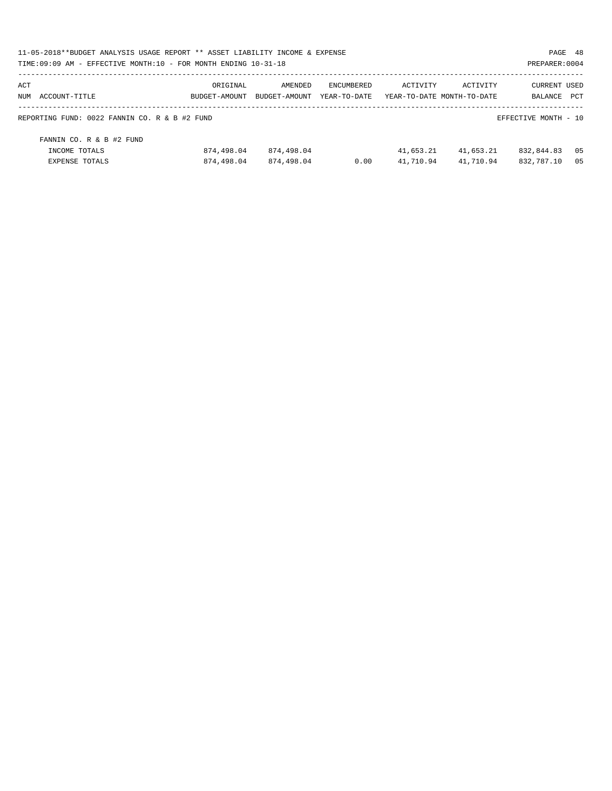|                   | 11-05-2018**BUDGET ANALYSIS USAGE REPORT ** ASSET LIABILITY INCOME & EXPENSE |            |                             |                                         |           |           |                      | PAGE 48 |
|-------------------|------------------------------------------------------------------------------|------------|-----------------------------|-----------------------------------------|-----------|-----------|----------------------|---------|
|                   | TIME: 09:09 AM - EFFECTIVE MONTH: 10 - FOR MONTH ENDING 10-31-18             |            |                             |                                         |           |           | PREPARER: 0004       |         |
| ACT               |                                                                              | ORIGINAL   | AMENDED                     | ENCUMBERED                              | ACTIVITY  | ACTIVITY  | <b>CURRENT USED</b>  |         |
| NUM ACCOUNT-TITLE |                                                                              |            | BUDGET-AMOUNT BUDGET-AMOUNT | YEAR-TO-DATE YEAR-TO-DATE MONTH-TO-DATE |           |           | <b>BALANCE</b>       | PCT     |
|                   | REPORTING FUND: 0022 FANNIN CO. R & B #2 FUND                                |            |                             |                                         |           |           | EFFECTIVE MONTH - 10 |         |
|                   | FANNIN CO. R & B #2 FUND                                                     |            |                             |                                         |           |           |                      |         |
|                   | INCOME TOTALS                                                                | 874,498.04 | 874,498.04                  |                                         | 41,653.21 | 41,653.21 | 832,844.83           | 05      |
|                   | EXPENSE TOTALS                                                               | 874,498.04 | 874,498.04                  | 0.00                                    | 41,710.94 | 41,710.94 | 832,787.10           | 0.5     |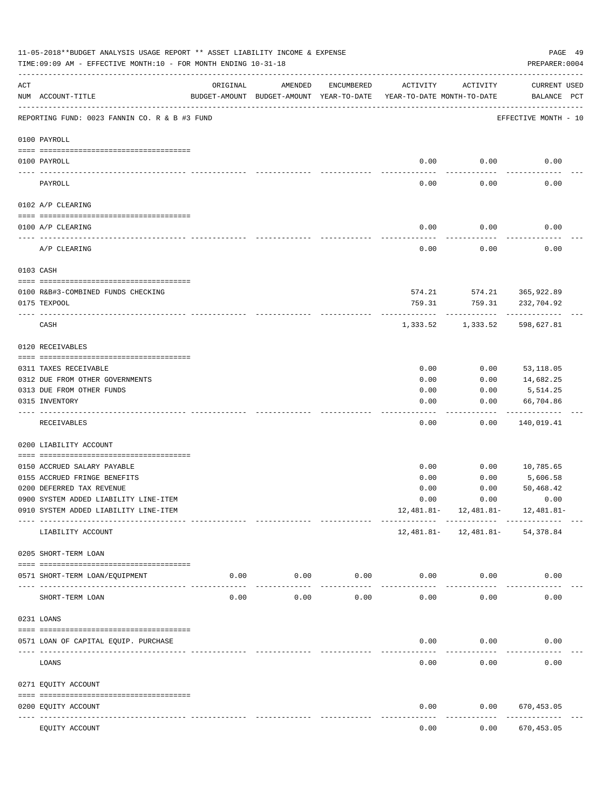|           | 11-05-2018**BUDGET ANALYSIS USAGE REPORT ** ASSET LIABILITY INCOME & EXPENSE<br>TIME: 09:09 AM - EFFECTIVE MONTH: 10 - FOR MONTH ENDING 10-31-18 |                                                      |                     |                    |                                        |              | PAGE 49<br>PREPARER: 0004                                                  |  |
|-----------|--------------------------------------------------------------------------------------------------------------------------------------------------|------------------------------------------------------|---------------------|--------------------|----------------------------------------|--------------|----------------------------------------------------------------------------|--|
| ACT       | NUM ACCOUNT-TITLE                                                                                                                                | ORIGINAL<br>BUDGET-AMOUNT BUDGET-AMOUNT YEAR-TO-DATE | AMENDED             | ENCUMBERED         | ACTIVITY<br>YEAR-TO-DATE MONTH-TO-DATE | ACTIVITY     | CURRENT USED<br>BALANCE PCT                                                |  |
|           | REPORTING FUND: 0023 FANNIN CO. R & B #3 FUND                                                                                                    |                                                      |                     |                    |                                        |              | EFFECTIVE MONTH - 10                                                       |  |
|           | 0100 PAYROLL                                                                                                                                     |                                                      |                     |                    |                                        |              |                                                                            |  |
|           | 0100 PAYROLL                                                                                                                                     |                                                      |                     |                    | 0.00                                   | 0.00         | 0.00                                                                       |  |
| ---- ---- | PAYROLL                                                                                                                                          |                                                      |                     |                    | 0.00                                   | 0.00         | 0.00                                                                       |  |
|           | 0102 A/P CLEARING                                                                                                                                |                                                      |                     |                    |                                        |              |                                                                            |  |
|           | 0100 A/P CLEARING                                                                                                                                |                                                      |                     |                    | 0.00                                   | 0.00         | 0.00                                                                       |  |
|           | -------------------------------<br>A/P CLEARING                                                                                                  |                                                      |                     |                    | 0.00                                   | 0.00         | 0.00                                                                       |  |
|           | 0103 CASH                                                                                                                                        |                                                      |                     |                    |                                        |              |                                                                            |  |
|           |                                                                                                                                                  |                                                      |                     |                    |                                        |              |                                                                            |  |
|           | 0100 R&B#3-COMBINED FUNDS CHECKING                                                                                                               |                                                      |                     |                    |                                        |              | 574.21 574.21 365,922.89                                                   |  |
|           | 0175 TEXPOOL                                                                                                                                     |                                                      |                     |                    | 759.31                                 | 759.31       | 232,704.92                                                                 |  |
|           | CASH                                                                                                                                             |                                                      |                     |                    | 1,333.52                               | 1,333.52     | 598,627.81                                                                 |  |
|           | 0120 RECEIVABLES                                                                                                                                 |                                                      |                     |                    |                                        |              |                                                                            |  |
|           | 0311 TAXES RECEIVABLE                                                                                                                            |                                                      |                     |                    | 0.00                                   | 0.00         | 53,118.05                                                                  |  |
|           | 0312 DUE FROM OTHER GOVERNMENTS                                                                                                                  |                                                      |                     |                    | 0.00                                   | 0.00         | 14,682.25                                                                  |  |
|           | 0313 DUE FROM OTHER FUNDS                                                                                                                        |                                                      |                     |                    | 0.00                                   | 0.00         | 5,514.25                                                                   |  |
|           | 0315 INVENTORY                                                                                                                                   |                                                      |                     |                    | 0.00                                   | 0.00         | 66,704.86                                                                  |  |
|           | RECEIVABLES                                                                                                                                      |                                                      |                     |                    | 0.00                                   | 0.00         | .<br>140,019.41                                                            |  |
|           | 0200 LIABILITY ACCOUNT                                                                                                                           |                                                      |                     |                    |                                        |              |                                                                            |  |
|           |                                                                                                                                                  |                                                      |                     |                    |                                        |              |                                                                            |  |
|           | 0150 ACCRUED SALARY PAYABLE                                                                                                                      |                                                      |                     |                    | 0.00                                   | 0.00         | 10,785.65                                                                  |  |
|           | 0155 ACCRUED FRINGE BENEFITS<br>0200 DEFERRED TAX REVENUE                                                                                        |                                                      |                     |                    | 0.00                                   | 0.00<br>0.00 | 5,606.58                                                                   |  |
|           | 0900 SYSTEM ADDED LIABILITY LINE-ITEM                                                                                                            |                                                      |                     |                    | 0.00<br>0.00                           | 0.00         | 50,468.42<br>0.00                                                          |  |
|           | 0910 SYSTEM ADDED LIABILITY LINE-ITEM                                                                                                            |                                                      |                     |                    | 12,481.81-                             |              | $12,481.81 - 12,481.81 -$                                                  |  |
|           | LIABILITY ACCOUNT                                                                                                                                |                                                      |                     |                    |                                        |              | -------- ------------ ------------<br>12, 481.81 - 12, 481.81 - 54, 378.84 |  |
|           | 0205 SHORT-TERM LOAN                                                                                                                             |                                                      |                     |                    |                                        |              |                                                                            |  |
|           | 0571 SHORT-TERM LOAN/EQUIPMENT                                                                                                                   | 0.00                                                 | 0.00<br>----------- | 0.00<br>. <u>.</u> |                                        | 0.00<br>0.00 | 0.00                                                                       |  |
|           | SHORT-TERM LOAN                                                                                                                                  | 0.00                                                 | 0.00                | 0.00               | 0.00                                   | 0.00         | 0.00                                                                       |  |
|           | 0231 LOANS                                                                                                                                       |                                                      |                     |                    |                                        |              |                                                                            |  |
|           | 0571 LOAN OF CAPITAL EQUIP. PURCHASE                                                                                                             |                                                      |                     |                    | 0.00                                   | 0.00         | 0.00                                                                       |  |
|           | -------------------------- -----------<br>LOANS                                                                                                  |                                                      |                     |                    | 0.00                                   | 0.00         | 0.00                                                                       |  |
|           | 0271 EQUITY ACCOUNT                                                                                                                              |                                                      |                     |                    |                                        |              |                                                                            |  |
|           | 0200 EQUITY ACCOUNT                                                                                                                              |                                                      |                     |                    | 0.00                                   | 0.00         | 670,453.05                                                                 |  |
|           | --- ------------<br>-------------------- --------------<br>EQUITY ACCOUNT                                                                        |                                                      |                     |                    | 0.00                                   | 0.00         | -----------<br>670,453.05                                                  |  |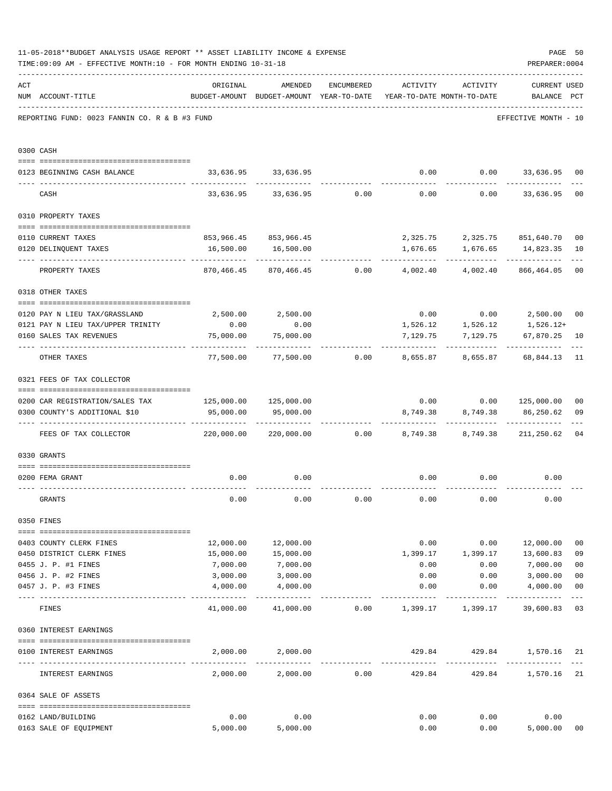|     | 11-05-2018**BUDGET ANALYSIS USAGE REPORT ** ASSET LIABILITY INCOME & EXPENSE<br>TIME: 09:09 AM - EFFECTIVE MONTH: 10 - FOR MONTH ENDING 10-31-18 |            |                                                          |                 |                                        |                         | PREPARER: 0004                     | PAGE 50        |
|-----|--------------------------------------------------------------------------------------------------------------------------------------------------|------------|----------------------------------------------------------|-----------------|----------------------------------------|-------------------------|------------------------------------|----------------|
| ACT | NUM ACCOUNT-TITLE                                                                                                                                | ORIGINAL   | AMENDED<br>BUDGET-AMOUNT BUDGET-AMOUNT YEAR-TO-DATE      | ENCUMBERED      | ACTIVITY<br>YEAR-TO-DATE MONTH-TO-DATE | ACTIVITY                | <b>CURRENT USED</b><br>BALANCE PCT |                |
|     | REPORTING FUND: 0023 FANNIN CO. R & B #3 FUND                                                                                                    |            |                                                          |                 |                                        |                         | EFFECTIVE MONTH - 10               |                |
|     | 0300 CASH                                                                                                                                        |            |                                                          |                 |                                        |                         |                                    |                |
|     | 0123 BEGINNING CASH BALANCE                                                                                                                      |            | 33,636.95 33,636.95                                      |                 |                                        |                         | $0.00$ $0.00$ $33,636.95$          | 00             |
|     | CASH                                                                                                                                             |            | $33,636.95$ $33,636.95$ $0.00$ $0.00$ $0.00$ $33,636.95$ |                 |                                        |                         |                                    | 0 <sub>0</sub> |
|     | 0310 PROPERTY TAXES                                                                                                                              |            |                                                          |                 |                                        |                         |                                    |                |
|     |                                                                                                                                                  |            |                                                          |                 |                                        |                         |                                    |                |
|     | 0110 CURRENT TAXES                                                                                                                               |            | 853,966.45 853,966.45                                    |                 | 2,325.75                               |                         | 2,325.75 851,640.70                | 0 <sub>0</sub> |
|     | 0120 DELINQUENT TAXES                                                                                                                            | 16,500.00  | 16,500.00                                                |                 | 1,676.65<br>---------                  | 1,676.65<br>----------- | 14,823.35                          | 10             |
|     | PROPERTY TAXES                                                                                                                                   | 870,466.45 |                                                          | 870,466.45 0.00 | 4,002.40                               | 4,002.40                | 866,464.05                         | 0 <sub>0</sub> |
|     | 0318 OTHER TAXES                                                                                                                                 |            |                                                          |                 |                                        |                         |                                    |                |
|     | 0120 PAY N LIEU TAX/GRASSLAND                                                                                                                    |            | 2,500.00 2,500.00                                        |                 |                                        |                         | $0.00$ $0.00$ $2,500.00$           | 0 <sub>0</sub> |
|     | 0121 PAY N LIEU TAX/UPPER TRINITY                                                                                                                | 0.00       | 0.00                                                     |                 |                                        |                         | 1,526.12 1,526.12 1,526.12+        |                |
|     | 0160 SALES TAX REVENUES                                                                                                                          | 75,000.00  | 75,000.00                                                |                 | 7,129.75                               | 7,129.75                | 67,870.25                          | 10             |
|     | OTHER TAXES                                                                                                                                      | 77,500.00  | 77,500.00                                                | 0.00            | 8,655.87                               | 8,655.87                | 68,844.13                          | 11             |
|     | 0321 FEES OF TAX COLLECTOR                                                                                                                       |            |                                                          |                 |                                        |                         |                                    |                |
|     | 0200 CAR REGISTRATION/SALES TAX                                                                                                                  |            | 125,000.00 125,000.00                                    |                 |                                        |                         | $0.00$ $0.00$ $125,000.00$         | 0 <sub>0</sub> |
|     | 0300 COUNTY'S ADDITIONAL \$10                                                                                                                    | 95,000.00  | 95,000.00                                                |                 | 8,749.38                               | 8,749.38                | 86,250.62                          | 09             |
|     | FEES OF TAX COLLECTOR                                                                                                                            | 220,000.00 |                                                          | 220,000.00 0.00 | 8,749.38                               | 8,749.38                | 211,250.62                         | 0 <sub>4</sub> |
|     | 0330 GRANTS                                                                                                                                      |            |                                                          |                 |                                        |                         |                                    |                |
|     |                                                                                                                                                  |            |                                                          |                 |                                        |                         |                                    |                |
|     | 0200 FEMA GRANT                                                                                                                                  | 0.00       | 0.00                                                     |                 | 0.00                                   |                         | $0.00$ $0.00$                      |                |
|     | GRANTS                                                                                                                                           | 0.00       | 0.00                                                     | 0.00            | 0.00                                   | 0.00                    | 0.00                               |                |
|     | 0350 FINES                                                                                                                                       |            |                                                          |                 |                                        |                         |                                    |                |
|     | 0403 COUNTY CLERK FINES                                                                                                                          | 12,000.00  | 12,000.00                                                |                 |                                        | $0.00$ $0.00$           | 12,000.00                          | 0 <sub>0</sub> |
|     | 0450 DISTRICT CLERK FINES                                                                                                                        | 15,000.00  | 15,000.00                                                |                 |                                        |                         | 1,399.17 1,399.17 13,600.83        | 09             |
|     | 0455 J. P. #1 FINES                                                                                                                              | 7,000.00   | 7,000.00                                                 |                 | 0.00                                   | 0.00                    | 7,000.00                           | 0 <sub>0</sub> |
|     | 0456 J. P. #2 FINES                                                                                                                              | 3,000.00   | 3,000.00                                                 |                 | 0.00                                   | 0.00                    | 3,000.00                           | 0 <sub>0</sub> |
|     | 0457 J. P. #3 FINES                                                                                                                              | 4,000.00   | 4,000.00                                                 |                 | 0.00                                   | 0.00                    | 4,000.00                           | 0 <sub>0</sub> |
|     | FINES                                                                                                                                            |            | 41,000.00 41,000.00                                      |                 | $0.00$ 1,399.17 1,399.17               |                         | 39,600.83                          | 03             |
|     | 0360 INTEREST EARNINGS                                                                                                                           |            |                                                          |                 |                                        |                         |                                    |                |
|     | 0100 INTEREST EARNINGS                                                                                                                           | 2,000.00   | 2,000.00                                                 |                 | 429.84                                 |                         | 429.84 1,570.16 21                 |                |
|     | INTEREST EARNINGS                                                                                                                                |            | 2,000.00 2,000.00                                        | 0.00            | 429.84                                 |                         | 429.84 1,570.16                    | 21             |
|     | 0364 SALE OF ASSETS                                                                                                                              |            |                                                          |                 |                                        |                         |                                    |                |
|     |                                                                                                                                                  |            |                                                          |                 |                                        |                         |                                    |                |
|     | 0162 LAND/BUILDING                                                                                                                               | 0.00       | 0.00                                                     |                 | 0.00                                   | 0.00                    | 0.00                               |                |
|     | 0163 SALE OF EQUIPMENT                                                                                                                           | 5,000.00   | 5,000.00                                                 |                 | 0.00                                   | 0.00                    | 5,000.00                           | 00             |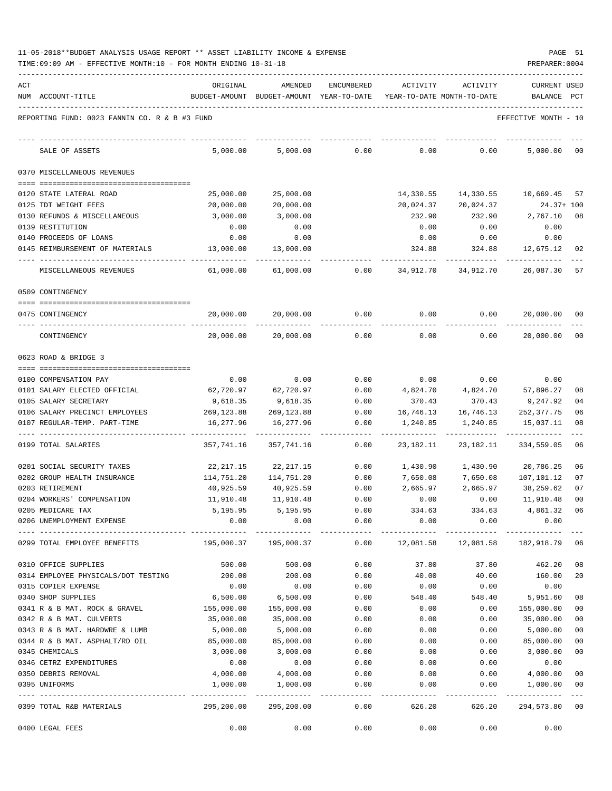|  |  |  |  | 11-05-2018**BUDGET ANALYSIS USAGE REPORT ** ASSET LIABILITY INCOME & EXPENSE |  | PAGE |  |
|--|--|--|--|------------------------------------------------------------------------------|--|------|--|
|  |  |  |  |                                                                              |  |      |  |

|     | TIME: 09:09 AM - EFFECTIVE MONTH: 10 - FOR MONTH ENDING 10-31-18 |                         |                                                     |                       |                       |                                                | PREPARER: 0004                 |                |
|-----|------------------------------------------------------------------|-------------------------|-----------------------------------------------------|-----------------------|-----------------------|------------------------------------------------|--------------------------------|----------------|
| ACT | NUM ACCOUNT-TITLE                                                | ORIGINAL                | AMENDED<br>BUDGET-AMOUNT BUDGET-AMOUNT YEAR-TO-DATE | <b>ENCUMBERED</b>     | <b>ACTIVITY</b>       | ACTIVITY<br>YEAR-TO-DATE MONTH-TO-DATE         | <b>CURRENT USED</b><br>BALANCE | $_{\rm PCT}$   |
|     | REPORTING FUND: 0023 FANNIN CO. R & B #3 FUND                    |                         |                                                     |                       |                       |                                                | EFFECTIVE MONTH - 10           |                |
|     | SALE OF ASSETS                                                   | 5,000.00                | 5,000.00                                            | 0.00                  | 0.00                  | 0.00                                           | 5,000.00                       | $_{00}$        |
|     | 0370 MISCELLANEOUS REVENUES                                      |                         |                                                     |                       |                       |                                                |                                |                |
|     | 0120 STATE LATERAL ROAD                                          | 25,000.00               | 25,000.00                                           |                       | 14,330.55             | 14,330.55                                      | 10,669.45                      | -57            |
|     | 0125 TDT WEIGHT FEES                                             | 20,000.00               | 20,000.00                                           |                       | 20,024.37             | 20,024.37                                      | $24.37 + 100$                  |                |
|     | 0130 REFUNDS & MISCELLANEOUS                                     | 3,000.00                | 3,000.00                                            |                       | 232.90                | 232.90                                         | 2,767.10                       | 08             |
|     | 0139 RESTITUTION                                                 | 0.00                    | 0.00                                                |                       | 0.00                  | 0.00                                           | 0.00                           |                |
|     | 0140 PROCEEDS OF LOANS                                           | 0.00                    | 0.00                                                |                       | 0.00                  | 0.00                                           | 0.00                           |                |
|     | 0145 REIMBURSEMENT OF MATERIALS                                  | 13,000.00               | 13,000.00                                           |                       | 324.88                | 324.88                                         | 12,675.12                      | 02             |
|     | MISCELLANEOUS REVENUES                                           | 61,000.00               | 61,000.00                                           | 0.00                  | 34,912.70             | 34,912.70                                      | 26,087.30                      | 57             |
|     | 0509 CONTINGENCY                                                 |                         |                                                     |                       |                       |                                                |                                |                |
|     | 0475 CONTINGENCY                                                 | 20,000.00               | 20,000.00                                           | 0.00                  | 0.00                  | 0.00                                           | 20,000.00 00                   |                |
|     | CONTINGENCY                                                      | 20,000.00               | 20,000.00                                           | 0.00                  | 0.00                  | 0.00                                           | 20,000.00                      | 00             |
|     | 0623 ROAD & BRIDGE 3                                             |                         |                                                     |                       |                       |                                                |                                |                |
|     |                                                                  |                         |                                                     |                       |                       |                                                |                                |                |
|     | 0100 COMPENSATION PAY                                            | 0.00                    | 0.00                                                | 0.00                  | 0.00                  | 0.00                                           | 0.00                           |                |
|     | 0101 SALARY ELECTED OFFICIAL                                     | 62,720.97               | 62,720.97                                           | 0.00                  | 4,824.70              | 4,824.70                                       | 57,896.27                      | 08             |
|     | 0105 SALARY SECRETARY<br>0106 SALARY PRECINCT EMPLOYEES          | 9,618.35                | 9,618.35                                            | 0.00<br>0.00          | 370.43                | 370.43                                         | 9,247.92                       | 04<br>06       |
|     | 0107 REGULAR-TEMP. PART-TIME                                     | 269,123.88<br>16,277.96 | 269,123.88<br>16,277.96                             | 0.00                  | 16,746.13<br>1,240.85 | 16,746.13<br>1,240.85                          | 252,377.75<br>15,037.11        | 08             |
|     | 0199 TOTAL SALARIES                                              | 357,741.16              | 357,741.16                                          | 0.00                  | 23, 182. 11           | 23, 182. 11                                    | 334,559.05                     | 06             |
|     | 0201 SOCIAL SECURITY TAXES                                       | 22,217.15               | 22,217.15                                           | 0.00                  | 1,430.90              | 1,430.90                                       | 20,786.25                      | 06             |
|     | 0202 GROUP HEALTH INSURANCE                                      | 114,751.20              | 114,751.20                                          | 0.00                  | 7,650.08              | 7,650.08                                       | 107,101.12                     | 07             |
|     | 0203 RETIREMENT                                                  | 40,925.59               | 40,925.59                                           | 0.00                  | 2,665.97              | 2,665.97                                       | 38,259.62                      | 07             |
|     | 0204 WORKERS' COMPENSATION                                       | 11,910.48               | 11,910.48                                           | 0.00                  | 0.00                  | 0.00                                           | 11,910.48                      | 00             |
|     | 0205 MEDICARE TAX                                                | 5,195.95                | 5,195.95                                            | 0.00                  | 334.63                | 334.63                                         | 4,861.32                       | 06             |
|     | 0206 UNEMPLOYMENT EXPENSE                                        | 0.00                    | 0.00<br>-------------                               | 0.00<br>------------- | 0.00                  | 0.00<br>------------- ------------ ----------- | 0.00                           |                |
|     | 0299 TOTAL EMPLOYEE BENEFITS                                     | 195,000.37              | 195,000.37                                          | 0.00                  | 12,081.58             |                                                | 12,081.58 182,918.79           | 06             |
|     | 0310 OFFICE SUPPLIES                                             | 500.00                  | 500.00                                              | 0.00                  | 37.80                 | 37.80                                          | 462.20                         | 08             |
|     | 0314 EMPLOYEE PHYSICALS/DOT TESTING                              | 200.00                  | 200.00                                              | 0.00                  | 40.00                 | 40.00                                          | 160.00                         | 20             |
|     | 0315 COPIER EXPENSE                                              | 0.00                    | 0.00                                                | 0.00                  | 0.00                  | 0.00                                           | 0.00                           |                |
|     | 0340 SHOP SUPPLIES                                               | 6,500.00                | 6,500.00                                            | 0.00                  | 548.40                | 548.40                                         | 5,951.60                       | 08             |
|     | 0341 R & B MAT. ROCK & GRAVEL                                    | 155,000.00              | 155,000.00                                          | 0.00                  | 0.00                  | 0.00                                           | 155,000.00                     | 00             |
|     | 0342 R & B MAT. CULVERTS                                         | 35,000.00               | 35,000.00                                           | 0.00                  | 0.00                  | 0.00                                           | 35,000.00                      | 0 <sub>0</sub> |
|     | 0343 R & B MAT. HARDWRE & LUMB                                   | 5,000.00                | 5,000.00                                            | 0.00                  | 0.00                  | 0.00                                           | 5,000.00                       | 0 <sub>0</sub> |
|     | 0344 R & B MAT. ASPHALT/RD OIL                                   | 85,000.00               | 85,000.00                                           | 0.00                  | 0.00                  | 0.00                                           | 85,000.00                      | 0 <sub>0</sub> |
|     | 0345 CHEMICALS                                                   | 3,000.00                | 3,000.00                                            | 0.00                  | 0.00                  | 0.00                                           | 3,000.00                       | 0 <sub>0</sub> |
|     | 0346 CETRZ EXPENDITURES                                          | 0.00                    | 0.00                                                | 0.00                  | 0.00                  | 0.00                                           | 0.00                           |                |
|     | 0350 DEBRIS REMOVAL                                              | 4,000.00                | 4,000.00                                            | 0.00                  | 0.00                  | 0.00                                           | 4,000.00                       | 00             |
|     | 0395 UNIFORMS                                                    | 1,000.00                | 1,000.00                                            | 0.00                  | 0.00<br>------------  | 0.00<br>------------                           | 1,000.00<br>-------------      | 00<br>$- - -$  |
|     | 0399 TOTAL R&B MATERIALS                                         | 295,200.00              | 295,200.00                                          | 0.00                  | 626.20                | 626.20                                         | 294,573.80                     | 00             |
|     | 0400 LEGAL FEES                                                  | 0.00                    | 0.00                                                | 0.00                  | 0.00                  | 0.00                                           | 0.00                           |                |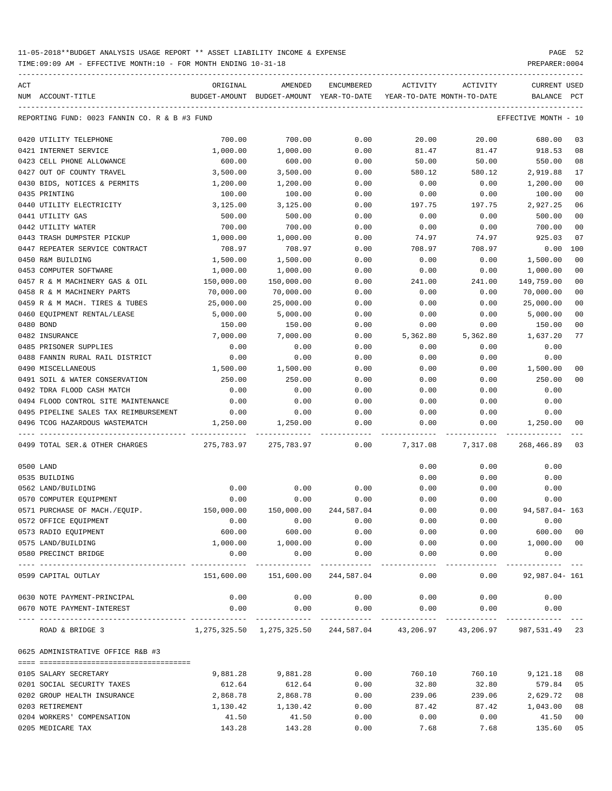TIME:09:09 AM - EFFECTIVE MONTH:10 - FOR MONTH ENDING 10-31-18 PREPARER:0004

| ACT | NUM ACCOUNT-TITLE                             | ORIGINAL           | AMENDED<br>BUDGET-AMOUNT BUDGET-AMOUNT YEAR-TO-DATE      | ENCUMBERED | ACTIVITY<br>YEAR-TO-DATE MONTH-TO-DATE | ACTIVITY              | <b>CURRENT USED</b><br>BALANCE PCT |                |
|-----|-----------------------------------------------|--------------------|----------------------------------------------------------|------------|----------------------------------------|-----------------------|------------------------------------|----------------|
|     |                                               |                    |                                                          |            |                                        |                       |                                    |                |
|     | REPORTING FUND: 0023 FANNIN CO. R & B #3 FUND |                    |                                                          |            |                                        |                       | EFFECTIVE MONTH - 10               |                |
|     | 0420 UTILITY TELEPHONE                        | 700.00             | 700.00                                                   | 0.00       | 20.00                                  | 20.00                 | 680.00                             | 03             |
|     | 0421 INTERNET SERVICE                         | 1,000.00           | 1,000.00                                                 | 0.00       | 81.47                                  | 81.47                 | 918.53                             | 08             |
|     | 0423 CELL PHONE ALLOWANCE                     | 600.00             | 600.00                                                   | 0.00       | 50.00                                  | 50.00                 | 550.00                             | 08             |
|     | 0427 OUT OF COUNTY TRAVEL                     | 3,500.00           | 3,500.00                                                 | 0.00       | 580.12                                 | 580.12                | 2,919.88                           | 17             |
|     | 0430 BIDS, NOTICES & PERMITS                  | 1,200.00           | 1,200.00                                                 | 0.00       | 0.00                                   | 0.00                  | 1,200.00                           | 0 <sub>0</sub> |
|     | 0435 PRINTING                                 | 100.00             | 100.00                                                   | 0.00       | 0.00                                   | 0.00                  | 100.00                             | 0 <sub>0</sub> |
|     | 0440 UTILITY ELECTRICITY                      | 3,125.00           | 3,125.00                                                 | 0.00       | 197.75                                 | 197.75                | 2,927.25                           | 06             |
|     | 0441 UTILITY GAS                              | 500.00             | 500.00                                                   | 0.00       | 0.00                                   | 0.00                  | 500.00                             | 0 <sub>0</sub> |
|     | 0442 UTILITY WATER                            | 700.00             | 700.00                                                   | 0.00       | 0.00                                   | 0.00                  | 700.00                             | 0 <sub>0</sub> |
|     | 0443 TRASH DUMPSTER PICKUP                    | 1,000.00           | 1,000.00                                                 | 0.00       | 74.97                                  | 74.97                 | 925.03                             | 07             |
|     | 0447 REPEATER SERVICE CONTRACT                | 708.97             | 708.97                                                   | 0.00       | 708.97                                 | 708.97                | 0.00                               | 100            |
|     | 0450 R&M BUILDING                             | 1,500.00           | 1,500.00                                                 | 0.00       | 0.00                                   | 0.00                  | 1,500.00                           | 0 <sub>0</sub> |
|     | 0453 COMPUTER SOFTWARE                        | 1,000.00           | 1,000.00                                                 | 0.00       | 0.00                                   | 0.00                  | 1,000.00                           | 0 <sub>0</sub> |
|     | 0457 R & M MACHINERY GAS & OIL                | 150,000.00         | 150,000.00                                               | 0.00       | 241.00                                 | 241.00                | 149,759.00                         | 0 <sub>0</sub> |
|     | 0458 R & M MACHINERY PARTS                    | 70,000.00          | 70,000.00                                                | 0.00       | 0.00                                   | 0.00                  | 70,000.00                          | 0 <sub>0</sub> |
|     | 0459 R & M MACH. TIRES & TUBES                | 25,000.00          | 25,000.00                                                | 0.00       | 0.00                                   | 0.00                  | 25,000.00                          | 0 <sub>0</sub> |
|     | 0460 EQUIPMENT RENTAL/LEASE                   | 5,000.00           | 5,000.00                                                 | 0.00       | 0.00                                   | 0.00                  | 5,000.00                           | 0 <sub>0</sub> |
|     | 0480 BOND                                     | 150.00             | 150.00                                                   | 0.00       | 0.00                                   | 0.00                  | 150.00                             | 00             |
|     | 0482 INSURANCE                                | 7,000.00           | 7,000.00                                                 | 0.00       | 5,362.80                               | 5,362.80              | 1,637.20                           | 77             |
|     | 0485 PRISONER SUPPLIES                        | 0.00               | 0.00                                                     | 0.00       | 0.00                                   | 0.00                  | 0.00                               |                |
|     | 0488 FANNIN RURAL RAIL DISTRICT               | 0.00               | 0.00                                                     | 0.00       | 0.00                                   | 0.00                  | 0.00                               |                |
|     | 0490 MISCELLANEOUS                            | 1,500.00           | 1,500.00                                                 | 0.00       | 0.00                                   | 0.00                  | 1,500.00                           | 0 <sub>0</sub> |
|     | 0491 SOIL & WATER CONSERVATION                | 250.00             | 250.00                                                   | 0.00       | 0.00                                   | 0.00                  | 250.00                             | 0 <sub>0</sub> |
|     | 0492 TDRA FLOOD CASH MATCH                    | 0.00               | 0.00                                                     | 0.00       | 0.00                                   | 0.00                  | 0.00                               |                |
|     | 0494 FLOOD CONTROL SITE MAINTENANCE           | 0.00               | 0.00                                                     | 0.00       | 0.00                                   | 0.00                  | 0.00                               |                |
|     | 0495 PIPELINE SALES TAX REIMBURSEMENT         | 0.00               | 0.00                                                     | 0.00       | 0.00                                   | 0.00                  | 0.00                               |                |
|     | 0496 TCOG HAZARDOUS WASTEMATCH                | 1,250.00           | 1,250.00                                                 | 0.00       | 0.00                                   | 0.00                  | 1,250.00                           | 00             |
|     | 0499 TOTAL SER. & OTHER CHARGES               | 275,783.97         | 275,783.97                                               | 0.00       | 7,317.08                               | 7,317.08              | 268,466.89                         | 03             |
|     |                                               |                    |                                                          |            |                                        |                       |                                    |                |
|     | 0500 LAND                                     |                    |                                                          |            | 0.00                                   | 0.00                  | 0.00                               |                |
|     | 0535 BUILDING                                 |                    |                                                          |            | 0.00                                   | 0.00                  | 0.00                               |                |
|     | 0562 LAND/BUILDING                            | 0.00               | 0.00                                                     | 0.00       | 0.00                                   | 0.00                  | 0.00                               |                |
|     | 0570 COMPUTER EQUIPMENT                       | 0.00               | 0.00                                                     | 0.00       | 0.00                                   | 0.00                  | 0.00                               |                |
|     | 0571 PURCHASE OF MACH./EQUIP.                 | 150,000.00         | 150,000.00                                               | 244,587.04 | 0.00                                   | 0.00                  | 94,587.04- 163                     |                |
|     | 0572 OFFICE EQUIPMENT                         | 0.00               | 0.00                                                     | 0.00       | 0.00                                   | 0.00                  | 0.00                               |                |
|     | 0573 RADIO EQUIPMENT                          | 600.00             | 600.00                                                   | 0.00       | 0.00                                   | 0.00                  | 600.00                             | 00             |
|     | 0575 LAND/BUILDING                            | 1,000.00           | 1,000.00                                                 | 0.00       | 0.00                                   | 0.00                  | 1,000.00                           | 0 <sub>0</sub> |
|     | 0580 PRECINCT BRIDGE                          | 0.00<br>---------- | 0.00<br>-----------                                      | 0.00       | 0.00                                   | 0.00<br>$- - - - - -$ | 0.00<br>.                          |                |
|     | 0599 CAPITAL OUTLAY                           | 151,600.00         | 151,600.00                                               | 244,587.04 | 0.00                                   | 0.00                  | 92,987.04- 161                     |                |
|     | 0630 NOTE PAYMENT-PRINCIPAL                   | 0.00               | 0.00                                                     | 0.00       | 0.00                                   | 0.00                  | 0.00                               |                |
|     | 0670 NOTE PAYMENT-INTEREST                    | 0.00               | 0.00                                                     | 0.00       | 0.00                                   | 0.00                  | 0.00                               |                |
|     | ROAD & BRIDGE 3                               |                    | 1,275,325.50 1,275,325.50 244,587.04 43,206.97 43,206.97 |            |                                        |                       | 987,531.49                         | 23             |
|     | 0625 ADMINISTRATIVE OFFICE R&B #3             |                    |                                                          |            |                                        |                       |                                    |                |
|     | 0105 SALARY SECRETARY                         | 9,881.28           | 9,881.28                                                 | 0.00       | 760.10                                 | 760.10                | 9,121.18                           | 08             |
|     | 0201 SOCIAL SECURITY TAXES                    | 612.64             | 612.64                                                   | 0.00       | 32.80                                  | 32.80                 | 579.84                             | 05             |
|     | 0202 GROUP HEALTH INSURANCE                   | 2,868.78           | 2,868.78                                                 | 0.00       | 239.06                                 | 239.06                | 2,629.72                           | 08             |
|     | 0203 RETIREMENT                               | 1,130.42           | 1,130.42                                                 | 0.00       | 87.42                                  | 87.42                 | 1,043.00                           | 08             |
|     | 0204 WORKERS' COMPENSATION                    | 41.50              | 41.50                                                    | 0.00       | 0.00                                   | 0.00                  | 41.50                              | 0 <sub>0</sub> |
|     |                                               |                    |                                                          |            |                                        |                       |                                    |                |

0205 MEDICARE TAX 143.28 143.28 0.00 7.68 7.68 135.60 05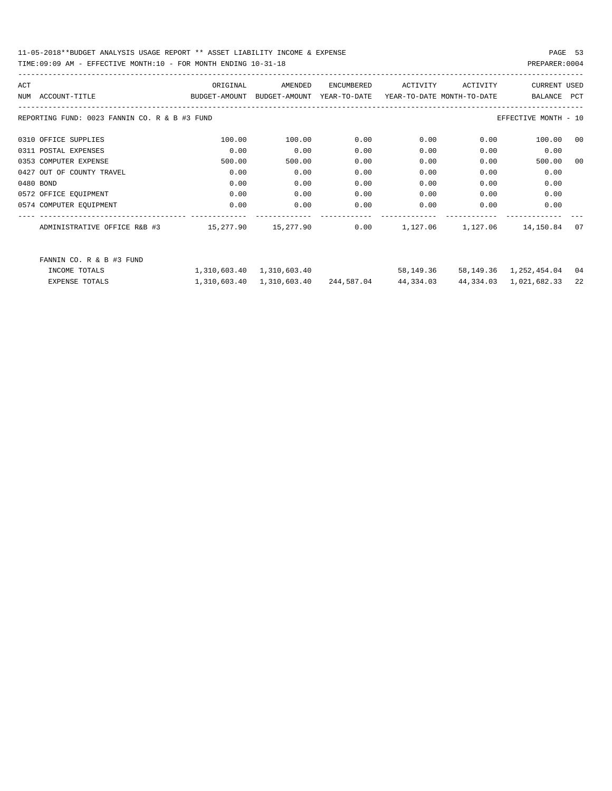| ACT |                                               | ORIGINAL                                  | AMENDED                   | ENCUMBERED              | ACTIVITY                   | ACTIVITY | <b>CURRENT USED</b>         |            |
|-----|-----------------------------------------------|-------------------------------------------|---------------------------|-------------------------|----------------------------|----------|-----------------------------|------------|
|     | NUM ACCOUNT-TITLE                             | BUDGET-AMOUNT BUDGET-AMOUNT               |                           | YEAR-TO-DATE            | YEAR-TO-DATE MONTH-TO-DATE |          | BALANCE                     | <b>PCT</b> |
|     |                                               |                                           |                           |                         |                            |          |                             |            |
|     | REPORTING FUND: 0023 FANNIN CO. R & B #3 FUND |                                           |                           |                         |                            |          | EFFECTIVE MONTH - 10        |            |
|     | 0310 OFFICE SUPPLIES                          | 100.00                                    | 100.00                    | 0.00                    | 0.00                       | 0.00     |                             | 00         |
|     |                                               |                                           |                           |                         |                            |          | 100.00                      |            |
|     | 0311 POSTAL EXPENSES                          | 0.00                                      | 0.00                      | 0.00                    | 0.00                       | 0.00     | 0.00                        |            |
|     | 0353 COMPUTER EXPENSE                         | 500.00                                    | 500.00                    | 0.00                    | 0.00                       | 0.00     | 500.00                      | 00         |
|     | 0427 OUT OF COUNTY TRAVEL                     | 0.00                                      | 0.00                      | 0.00                    | 0.00                       | 0.00     | 0.00                        |            |
|     | 0480 BOND                                     | 0.00                                      | 0.00                      | 0.00                    | 0.00                       | 0.00     | 0.00                        |            |
|     | 0572 OFFICE EQUIPMENT                         | 0.00                                      | 0.00                      | 0.00                    | 0.00                       | 0.00     | 0.00                        |            |
|     | 0574 COMPUTER EQUIPMENT                       | 0.00                                      | 0.00                      | 0.00                    | 0.00                       | 0.00     | 0.00                        |            |
|     |                                               |                                           |                           |                         |                            |          |                             |            |
|     | ADMINISTRATIVE OFFICE R&B #3                  | $15,277.90$ $15,277.90$ $0.00$ $1,127.06$ |                           |                         |                            | 1,127.06 | 14,150.84                   | 07         |
|     |                                               |                                           |                           |                         |                            |          |                             |            |
|     | FANNIN CO. R & B #3 FUND                      |                                           |                           |                         |                            |          |                             |            |
|     | INCOME TOTALS                                 |                                           | 1,310,603.40 1,310,603.40 |                         | 58,149.36                  |          | 58, 149. 36 1, 252, 454. 04 | 04         |
|     | <b>EXPENSE TOTALS</b>                         | 1,310,603.40                              |                           | 1,310,603.40 244,587.04 | 44,334.03                  |          | 44, 334.03 1, 021, 682.33   | 22         |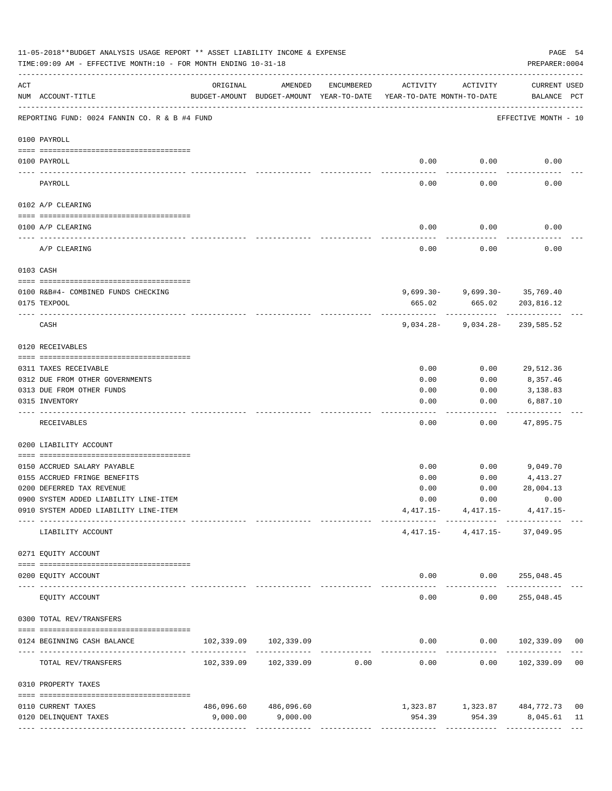|          | 11-05-2018**BUDGET ANALYSIS USAGE REPORT ** ASSET LIABILITY INCOME & EXPENSE<br>TIME: 09:09 AM - EFFECTIVE MONTH: 10 - FOR MONTH ENDING 10-31-18 |                                                      |                                  |                                |                                        |                                                 | PAGE 54<br>PREPARER: 0004          |                |
|----------|--------------------------------------------------------------------------------------------------------------------------------------------------|------------------------------------------------------|----------------------------------|--------------------------------|----------------------------------------|-------------------------------------------------|------------------------------------|----------------|
| ACT      | NUM ACCOUNT-TITLE                                                                                                                                | ORIGINAL<br>BUDGET-AMOUNT BUDGET-AMOUNT YEAR-TO-DATE | AMENDED                          | ENCUMBERED                     | ACTIVITY<br>YEAR-TO-DATE MONTH-TO-DATE | ACTIVITY                                        | <b>CURRENT USED</b><br>BALANCE PCT |                |
|          | REPORTING FUND: 0024 FANNIN CO. R & B #4 FUND                                                                                                    |                                                      |                                  |                                |                                        |                                                 | EFFECTIVE MONTH - 10               |                |
|          | 0100 PAYROLL                                                                                                                                     |                                                      |                                  |                                |                                        |                                                 |                                    |                |
|          | 0100 PAYROLL                                                                                                                                     |                                                      |                                  |                                |                                        | $0.00$ 0.00                                     | 0.00                               |                |
| -------- | PAYROLL                                                                                                                                          |                                                      |                                  |                                | 0.00                                   | 0.00                                            | 0.00                               |                |
|          | 0102 A/P CLEARING                                                                                                                                |                                                      |                                  |                                |                                        |                                                 |                                    |                |
|          | 0100 A/P CLEARING                                                                                                                                |                                                      |                                  |                                | 0.00                                   | 0.00                                            | 0.00                               |                |
|          | A/P CLEARING                                                                                                                                     |                                                      |                                  |                                | 0.00                                   | 0.00                                            | 0.00                               |                |
|          | 0103 CASH                                                                                                                                        |                                                      |                                  |                                |                                        |                                                 |                                    |                |
|          | 0100 R&B#4- COMBINED FUNDS CHECKING<br>0175 TEXPOOL                                                                                              |                                                      |                                  |                                | 665.02                                 | $9,699.30 - 9,699.30 - 35,769.40$<br>665.02     | 203,816.12                         |                |
|          | CASH                                                                                                                                             |                                                      |                                  |                                |                                        | ---------<br>$9,034.28 - 9,034.28 - 239,585.52$ |                                    |                |
|          | 0120 RECEIVABLES                                                                                                                                 |                                                      |                                  |                                |                                        |                                                 |                                    |                |
|          | 0311 TAXES RECEIVABLE                                                                                                                            |                                                      |                                  |                                | 0.00                                   | 0.00                                            | 29,512.36                          |                |
|          | 0312 DUE FROM OTHER GOVERNMENTS                                                                                                                  |                                                      |                                  |                                | 0.00                                   | 0.00                                            | 8,357.46                           |                |
|          | 0313 DUE FROM OTHER FUNDS                                                                                                                        |                                                      |                                  |                                | 0.00                                   | 0.00                                            | 3,138.83                           |                |
|          | 0315 INVENTORY                                                                                                                                   |                                                      |                                  |                                | 0.00                                   | 0.00                                            | 6,887.10                           |                |
|          | RECEIVABLES                                                                                                                                      |                                                      |                                  |                                | 0.00                                   | 0.00                                            | 47,895.75                          |                |
|          | 0200 LIABILITY ACCOUNT                                                                                                                           |                                                      |                                  |                                |                                        |                                                 |                                    |                |
|          | 0150 ACCRUED SALARY PAYABLE                                                                                                                      |                                                      |                                  |                                | 0.00                                   |                                                 | $0.00$ 9,049.70                    |                |
|          | 0155 ACCRUED FRINGE BENEFITS                                                                                                                     |                                                      |                                  |                                | 0.00                                   | 0.00                                            | 4,413.27                           |                |
|          | 0200 DEFERRED TAX REVENUE                                                                                                                        |                                                      |                                  |                                | 0.00                                   | 0.00                                            | 28,004.13                          |                |
|          | 0900 SYSTEM ADDED LIABILITY LINE-ITEM                                                                                                            |                                                      |                                  |                                |                                        | $0.00$ $0.00$                                   | 0.00                               |                |
|          | 0910 SYSTEM ADDED LIABILITY LINE-ITEM                                                                                                            |                                                      |                                  |                                |                                        | $4,417.15 4,417.15 4,417.15-$                   |                                    |                |
|          | LIABILITY ACCOUNT                                                                                                                                |                                                      |                                  |                                |                                        | $4,417.15 - 4,417.15 - 37,049.95$               |                                    |                |
|          | 0271 EQUITY ACCOUNT                                                                                                                              |                                                      |                                  |                                |                                        |                                                 |                                    |                |
|          | 0200 EQUITY ACCOUNT                                                                                                                              |                                                      | <u>. Bergeraanse par</u>         |                                | -----                                  | $0.00$ $0.00$ $255,048.45$<br>-----------       | -------------                      |                |
|          | EQUITY ACCOUNT                                                                                                                                   |                                                      |                                  |                                | 0.00                                   | 0.00                                            | 255,048.45                         |                |
|          | 0300 TOTAL REV/TRANSFERS                                                                                                                         |                                                      |                                  |                                |                                        |                                                 |                                    |                |
|          | 0124 BEGINNING CASH BALANCE                                                                                                                      |                                                      | 102,339.09 102,339.09            |                                |                                        |                                                 | $0.00$ $0.00$ $102,339.09$ 00      |                |
|          | TOTAL REV/TRANSFERS                                                                                                                              |                                                      | 102,339.09    102,339.09    0.00 | ------------------------------ | 0.00                                   |                                                 | $0.00$ $102,339.09$ 00             |                |
|          | 0310 PROPERTY TAXES                                                                                                                              |                                                      |                                  |                                |                                        |                                                 |                                    |                |
|          | 0110 CURRENT TAXES                                                                                                                               |                                                      | 486,096.60 486,096.60            |                                |                                        |                                                 |                                    | 0 <sub>0</sub> |
|          | 0120 DELINQUENT TAXES                                                                                                                            | 9,000.00                                             | 9,000.00                         |                                |                                        |                                                 | 954.39 954.39 8,045.61             | - 11           |
|          |                                                                                                                                                  |                                                      |                                  |                                |                                        |                                                 |                                    |                |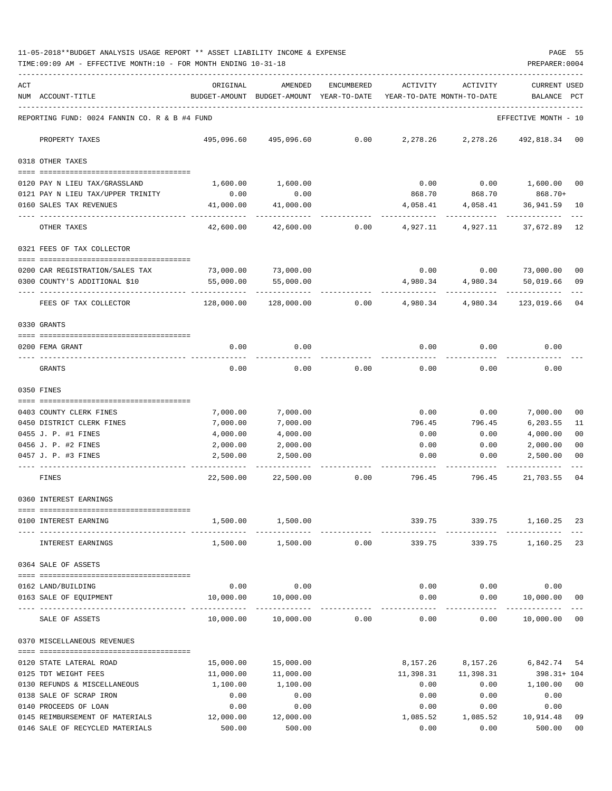11-05-2018\*\*BUDGET ANALYSIS USAGE REPORT \*\* ASSET LIABILITY INCOME & EXPENSE PAGE 55 TIME:09:09 AM - EFFECTIVE MONTH:10 - FOR MONTH ENDING 10-31-18 PREPARER:0004

| ACT | NUM ACCOUNT-TITLE                                               | ORIGINAL                                          | AMENDED<br>BUDGET-AMOUNT BUDGET-AMOUNT YEAR-TO-DATE | ENCUMBERED | ACTIVITY  | ACTIVITY<br>YEAR-TO-DATE MONTH-TO-DATE | <b>CURRENT USED</b><br>BALANCE | $_{\rm PCT}$   |
|-----|-----------------------------------------------------------------|---------------------------------------------------|-----------------------------------------------------|------------|-----------|----------------------------------------|--------------------------------|----------------|
|     | REPORTING FUND: 0024 FANNIN CO. R & B #4 FUND                   |                                                   |                                                     |            |           |                                        | EFFECTIVE MONTH - 10           |                |
|     | PROPERTY TAXES                                                  | 495,096.60                                        | 495,096.60                                          | 0.00       | 2,278.26  | 2,278.26                               | 492,818.34 00                  |                |
|     | 0318 OTHER TAXES                                                |                                                   |                                                     |            |           |                                        |                                |                |
|     | 0120 PAY N LIEU TAX/GRASSLAND                                   | 1,600.00                                          | 1,600.00                                            |            | 0.00      | 0.00                                   | 1,600.00                       | 00             |
|     | 0121 PAY N LIEU TAX/UPPER TRINITY                               | 0.00                                              | 0.00                                                |            | 868.70    | 868.70                                 | 868.70+                        |                |
|     | 0160 SALES TAX REVENUES                                         | 41,000.00                                         | 41,000.00                                           |            | 4,058.41  | 4,058.41                               | 36,941.59                      | 10             |
|     | OTHER TAXES                                                     | 42,600.00                                         | 42,600.00                                           | 0.00       | 4,927.11  | 4,927.11                               | ---------<br>37,672.89         | 12             |
|     | 0321 FEES OF TAX COLLECTOR                                      |                                                   |                                                     |            |           |                                        |                                |                |
|     | 0200 CAR REGISTRATION/SALES TAX                                 | 73,000.00                                         | 73,000.00                                           |            | 0.00      | 0.00                                   | 73,000.00                      | 00             |
|     | 0300 COUNTY'S ADDITIONAL \$10                                   | 55,000.00                                         | 55,000.00                                           |            | 4,980.34  | 4,980.34                               | 50,019.66                      | 09             |
|     | FEES OF TAX COLLECTOR                                           | 128,000.00                                        | 128,000.00                                          | 0.00       | 4,980.34  | 4,980.34                               | 123,019.66                     | 04             |
|     | 0330 GRANTS                                                     |                                                   |                                                     |            |           |                                        |                                |                |
|     |                                                                 |                                                   |                                                     |            |           |                                        |                                |                |
|     | 0200 FEMA GRANT                                                 | 0.00                                              | 0.00                                                |            | 0.00      | 0.00                                   | 0.00                           |                |
|     | GRANTS                                                          | 0.00                                              | 0.00                                                | 0.00       | 0.00      | 0.00                                   | 0.00                           |                |
|     | 0350 FINES                                                      |                                                   |                                                     |            |           |                                        |                                |                |
|     | 0403 COUNTY CLERK FINES                                         | 7,000.00                                          | 7,000.00                                            |            | 0.00      | 0.00                                   | 7,000.00                       | 00             |
|     | 0450 DISTRICT CLERK FINES                                       | 7,000.00                                          | 7,000.00                                            |            | 796.45    | 796.45                                 | 6,203.55                       | 11             |
|     | 0455 J. P. #1 FINES                                             | 4,000.00                                          | 4,000.00                                            |            | 0.00      | 0.00                                   | 4,000.00                       | 0 <sub>0</sub> |
|     | 0456 J. P. #2 FINES                                             | 2,000.00                                          | 2,000.00                                            |            | 0.00      | 0.00                                   | 2,000.00                       | 0 <sub>0</sub> |
|     | 0457 J. P. #3 FINES                                             | 2,500.00                                          | 2,500.00                                            |            | 0.00      | 0.00                                   | 2,500.00                       | 00             |
|     | FINES                                                           | 22,500.00                                         | 22,500.00                                           | 0.00       | 796.45    | 796.45                                 | 21,703.55                      | 04             |
|     | 0360 INTEREST EARNINGS                                          |                                                   |                                                     |            |           |                                        |                                |                |
|     | -0000000000000000000000000000000000000<br>0100 INTEREST EARNING | 1,500.00                                          | 1,500.00                                            |            | 339.75    | 339.75                                 | 1,160.25                       | 23             |
|     | INTEREST EARNINGS                                               |                                                   | 1,500.00 1,500.00                                   | 0.00       | 339.75    | 339.75                                 | 1,160.25 23                    |                |
|     | 0364 SALE OF ASSETS                                             |                                                   |                                                     |            |           |                                        |                                |                |
|     |                                                                 |                                                   |                                                     |            |           |                                        |                                |                |
|     | 0162 LAND/BUILDING                                              | 0.00                                              | 0.00                                                |            | 0.00      | 0.00                                   | 0.00                           |                |
|     | 0163 SALE OF EQUIPMENT<br><u>uudi oodudeeddaadad</u>            | 10,000.00<br>--------------------- -------------- | 10,000.00<br>-------------                          |            | 0.00      | 0.00<br>$- - - - -$                    | 10,000.00<br>-----------       | 00             |
|     | SALE OF ASSETS                                                  | 10,000.00                                         | 10,000.00                                           | 0.00       | 0.00      | 0.00                                   | 10,000.00                      | 00             |
|     | 0370 MISCELLANEOUS REVENUES                                     |                                                   |                                                     |            |           |                                        |                                |                |
|     | 0120 STATE LATERAL ROAD                                         | 15,000.00                                         | 15,000.00                                           |            | 8,157.26  | 8,157.26                               | 6,842.74                       | 54             |
|     | 0125 TDT WEIGHT FEES                                            | 11,000.00                                         | 11,000.00                                           |            | 11,398.31 | 11,398.31                              | 398.31+ 104                    |                |
|     | 0130 REFUNDS & MISCELLANEOUS                                    | 1,100.00                                          | 1,100.00                                            |            | 0.00      | 0.00                                   | 1,100.00                       | 00             |
|     | 0138 SALE OF SCRAP IRON                                         | 0.00                                              | 0.00                                                |            | 0.00      | 0.00                                   | 0.00                           |                |
|     | 0140 PROCEEDS OF LOAN                                           | 0.00                                              | 0.00                                                |            | 0.00      | 0.00                                   | 0.00                           |                |
|     | 0145 REIMBURSEMENT OF MATERIALS                                 | 12,000.00                                         | 12,000.00                                           |            | 1,085.52  | 1,085.52                               | 10,914.48                      | 09             |
|     | 0146 SALE OF RECYCLED MATERIALS                                 | 500.00                                            | 500.00                                              |            | 0.00      | 0.00                                   | 500.00                         | $00\,$         |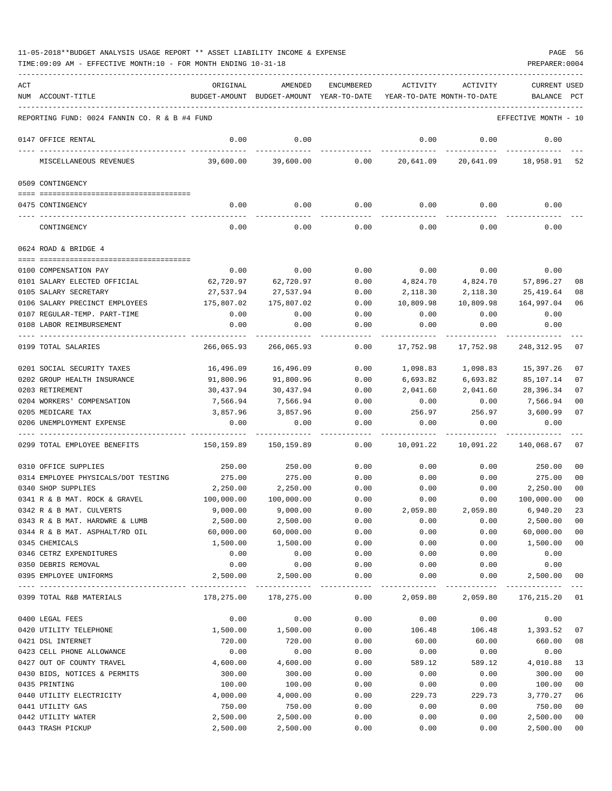| ACT<br>NUM ACCOUNT-TITLE                                  | ORIGINAL               | AMENDED<br>BUDGET-AMOUNT BUDGET-AMOUNT YEAR-TO-DATE | ENCUMBERED          | ACTIVITY         | ACTIVITY<br>YEAR-TO-DATE MONTH-TO-DATE | <b>CURRENT USED</b><br>BALANCE | PCT      |
|-----------------------------------------------------------|------------------------|-----------------------------------------------------|---------------------|------------------|----------------------------------------|--------------------------------|----------|
| REPORTING FUND: 0024 FANNIN CO. R & B #4 FUND             |                        |                                                     |                     |                  |                                        | EFFECTIVE MONTH - 10           |          |
| 0147 OFFICE RENTAL                                        | 0.00                   | 0.00                                                |                     | 0.00             | 0.00                                   | 0.00                           |          |
| MISCELLANEOUS REVENUES                                    | 39,600.00              | 39,600.00                                           | 0.00                | 20,641.09        |                                        | 20,641.09 18,958.91            | 52       |
| 0509 CONTINGENCY                                          |                        |                                                     |                     |                  |                                        |                                |          |
| 0475 CONTINGENCY                                          | 0.00                   | 0.00                                                | 0.00                | 0.00             | 0.00                                   | 0.00                           |          |
| CONTINGENCY                                               | 0.00                   | 0.00                                                | 0.00                | 0.00             | 0.00                                   | 0.00                           |          |
| 0624 ROAD & BRIDGE 4                                      |                        |                                                     |                     |                  |                                        |                                |          |
|                                                           |                        |                                                     |                     |                  |                                        |                                |          |
| 0100 COMPENSATION PAY<br>0101 SALARY ELECTED OFFICIAL     | 0.00                   | 0.00                                                | 0.00                | 0.00<br>4,824.70 | 0.00                                   | 0.00                           |          |
| 0105 SALARY SECRETARY                                     | 62,720.97<br>27,537.94 | 62,720.97                                           | 0.00<br>0.00        | 2,118.30         | 4,824.70<br>2,118.30                   | 57,896.27<br>25,419.64         | 08<br>08 |
| 0106 SALARY PRECINCT EMPLOYEES                            | 175,807.02             | 27,537.94<br>175,807.02                             | 0.00                | 10,809.98        | 10,809.98                              | 164,997.04                     | 06       |
| 0107 REGULAR-TEMP. PART-TIME                              | 0.00                   | 0.00                                                | 0.00                | 0.00             | 0.00                                   | 0.00                           |          |
| 0108 LABOR REIMBURSEMENT                                  | 0.00                   | 0.00                                                | 0.00                | 0.00             | 0.00                                   | 0.00                           |          |
|                                                           |                        |                                                     |                     |                  |                                        |                                |          |
| 0199 TOTAL SALARIES                                       | 266,065.93             | 266,065.93                                          | 0.00                | 17,752.98        | 17,752.98                              | 248, 312.95                    | 07       |
| 0201 SOCIAL SECURITY TAXES                                | 16,496.09              | 16,496.09                                           | 0.00                | 1,098.83         | 1,098.83                               | 15,397.26                      | 07       |
| 0202 GROUP HEALTH INSURANCE                               | 91,800.96              | 91,800.96                                           | 0.00                | 6,693.82         | 6,693.82                               | 85,107.14                      | 07       |
| 0203 RETIREMENT                                           | 30,437.94              | 30,437.94                                           | 0.00                | 2,041.60         | 2,041.60                               | 28,396.34                      | 07       |
| 0204 WORKERS' COMPENSATION                                | 7,566.94               | 7,566.94                                            | 0.00                | 0.00             | 0.00                                   | 7,566.94                       | 00       |
| 0205 MEDICARE TAX                                         | 3,857.96               | 3,857.96                                            | 0.00                | 256.97           | 256.97                                 | 3,600.99                       | 07       |
| 0206 UNEMPLOYMENT EXPENSE                                 | 0.00                   | 0.00                                                | 0.00                | 0.00             | 0.00                                   | 0.00                           |          |
| 0299 TOTAL EMPLOYEE BENEFITS                              | 150,159.89             | 150,159.89                                          | 0.00                | 10,091.22        | 10,091.22                              | 140,068.67                     | 07       |
| 0310 OFFICE SUPPLIES                                      | 250.00                 | 250.00                                              | 0.00                | 0.00             | 0.00                                   | 250.00                         | 00       |
| 0314 EMPLOYEE PHYSICALS/DOT TESTING                       | 275.00                 | 275.00                                              | 0.00                | 0.00             | 0.00                                   | 275.00                         | 00       |
| 0340 SHOP SUPPLIES                                        | 2,250.00               | 2,250.00                                            | 0.00                | 0.00             | 0.00                                   | 2,250.00                       | 00       |
| 0341 R & B MAT. ROCK & GRAVEL                             | 100,000.00             | 100,000.00                                          | 0.00                | 0.00             | 0.00                                   | 100,000.00                     | 00       |
| 0342 R & B MAT. CULVERTS                                  | 9,000.00               | 9,000.00                                            | 0.00                | 2,059.80         | 2,059.80                               | 6,940.20                       | 23       |
| 0343 R & B MAT. HARDWRE & LUMB                            | 2,500.00               | 2,500.00                                            | 0.00                | 0.00             | 0.00                                   | 2,500.00                       | 00       |
| 0344 R & B MAT. ASPHALT/RD OIL                            | 60,000.00              | 60,000.00                                           | 0.00                | 0.00             | 0.00                                   | 60,000.00                      | 00       |
| 0345 CHEMICALS                                            | 1,500.00               | 1,500.00                                            | 0.00                | 0.00             | 0.00                                   | 1,500.00                       | 00       |
| 0346 CETRZ EXPENDITURES                                   | 0.00                   | 0.00                                                | 0.00                | 0.00             | 0.00                                   | 0.00                           |          |
| 0350 DEBRIS REMOVAL<br>0395 EMPLOYEE UNIFORMS             | 0.00<br>2,500.00       | 0.00<br>2,500.00                                    | 0.00<br>0.00        | 0.00<br>0.00     | 0.00<br>0.00                           | 0.00<br>2,500.00               | 00       |
| 0399 TOTAL R&B MATERIALS                                  | 178,275.00             | ----------<br>178,275.00                            | $- - - - -$<br>0.00 | 2,059.80         | 2,059.80                               | -----------<br>176,215.20      | 01       |
|                                                           |                        |                                                     |                     |                  |                                        |                                |          |
| 0400 LEGAL FEES                                           | 0.00                   | 0.00                                                | 0.00                | 0.00             | 0.00                                   | 0.00                           |          |
| 0420 UTILITY TELEPHONE                                    | 1,500.00               | 1,500.00                                            | 0.00                | 106.48           | 106.48                                 | 1,393.52                       | 07       |
| 0421 DSL INTERNET                                         | 720.00                 | 720.00                                              | 0.00                | 60.00            | 60.00                                  | 660.00                         | 08       |
| 0423 CELL PHONE ALLOWANCE                                 | 0.00                   | 0.00                                                | 0.00                | 0.00             | 0.00                                   | 0.00                           |          |
| 0427 OUT OF COUNTY TRAVEL<br>0430 BIDS, NOTICES & PERMITS | 4,600.00<br>300.00     | 4,600.00<br>300.00                                  | 0.00<br>0.00        | 589.12<br>0.00   | 589.12<br>0.00                         | 4,010.88<br>300.00             | 13<br>00 |
| 0435 PRINTING                                             | 100.00                 | 100.00                                              | 0.00                | 0.00             | 0.00                                   | 100.00                         | 00       |
| 0440 UTILITY ELECTRICITY                                  | 4,000.00               | 4,000.00                                            | 0.00                | 229.73           | 229.73                                 | 3,770.27                       | 06       |
| 0441 UTILITY GAS                                          | 750.00                 | 750.00                                              | 0.00                | 0.00             | 0.00                                   | 750.00                         | 00       |
| 0442 UTILITY WATER                                        | 2,500.00               | 2,500.00                                            | 0.00                | 0.00             | 0.00                                   | 2,500.00                       | 00       |
| 0443 TRASH PICKUP                                         | 2,500.00               | 2,500.00                                            | 0.00                | 0.00             | 0.00                                   | 2,500.00                       | 00       |
|                                                           |                        |                                                     |                     |                  |                                        |                                |          |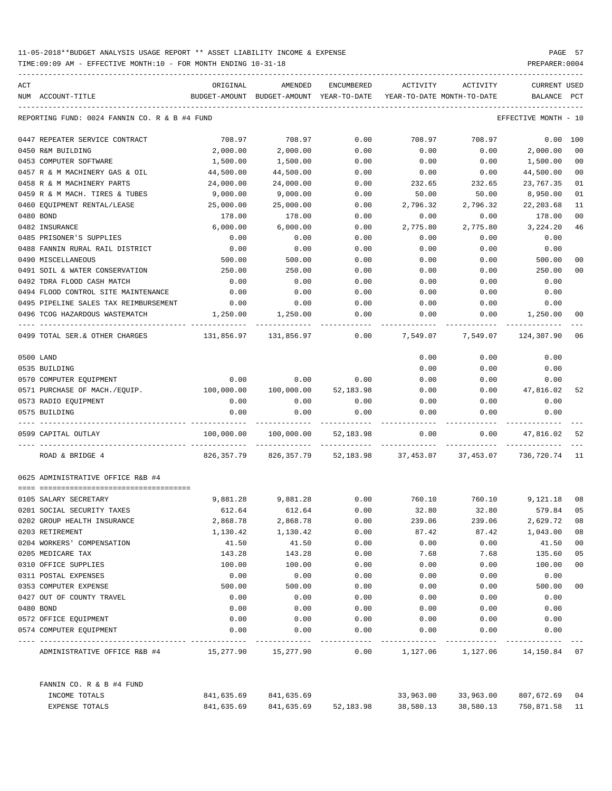| ACT |                                                     | ORIGINAL           | AMENDED                                  | ENCUMBERED   | ACTIVITY        | ACTIVITY                       | CURRENT USED         |                 |
|-----|-----------------------------------------------------|--------------------|------------------------------------------|--------------|-----------------|--------------------------------|----------------------|-----------------|
|     | NUM ACCOUNT-TITLE                                   |                    | BUDGET-AMOUNT BUDGET-AMOUNT YEAR-TO-DATE |              |                 | YEAR-TO-DATE MONTH-TO-DATE     | BALANCE              | PCT             |
|     | REPORTING FUND: 0024 FANNIN CO. R & B #4 FUND       |                    |                                          |              |                 |                                | EFFECTIVE MONTH - 10 |                 |
|     | 0447 REPEATER SERVICE CONTRACT                      | 708.97             | 708.97                                   | 0.00         | 708.97          | 708.97                         | 0.00                 | 100             |
|     | 0450 R&M BUILDING                                   | 2,000.00           | 2,000.00                                 | 0.00         | 0.00            | 0.00                           | 2,000.00             | 0 <sub>0</sub>  |
|     | 0453 COMPUTER SOFTWARE                              | 1,500.00           | 1,500.00                                 | 0.00         | 0.00            | 0.00                           | 1,500.00             | 00              |
|     | 0457 R & M MACHINERY GAS & OIL                      | 44,500.00          | 44,500.00                                | 0.00         | 0.00            | 0.00                           | 44,500.00            | 0 <sub>0</sub>  |
|     | 0458 R & M MACHINERY PARTS                          | 24,000.00          | 24,000.00                                | 0.00         | 232.65          | 232.65                         | 23,767.35            | 01              |
|     | 0459 R & M MACH. TIRES & TUBES                      | 9,000.00           | 9.000.00                                 | 0.00         | 50.00           | 50.00                          | 8,950.00             | 01              |
|     | 0460 EQUIPMENT RENTAL/LEASE                         | 25,000.00          | 25,000.00                                | 0.00         | 2,796.32        | 2,796.32                       | 22, 203.68           | 11              |
|     | 0480 BOND                                           | 178.00             | 178.00                                   | 0.00         | 0.00            | 0.00                           | 178.00               | 00              |
|     | 0482 INSURANCE                                      | 6,000.00           | 6,000.00                                 | 0.00         | 2,775.80        | 2,775.80                       | 3,224.20             | 46              |
|     | 0485 PRISONER'S SUPPLIES                            | 0.00               | 0.00                                     | 0.00         | 0.00            | 0.00                           | 0.00                 |                 |
|     | 0488 FANNIN RURAL RAIL DISTRICT                     | 0.00               | 0.00                                     | 0.00         | 0.00            | 0.00                           | 0.00                 |                 |
|     | 0490 MISCELLANEOUS                                  | 500.00             | 500.00                                   | 0.00         | 0.00            | 0.00                           | 500.00               | 0 <sup>0</sup>  |
|     | 0491 SOIL & WATER CONSERVATION                      | 250.00             | 250.00                                   | 0.00         | 0.00            | 0.00                           | 250.00               | 00              |
|     | 0492 TDRA FLOOD CASH MATCH                          | 0.00               | 0.00                                     | 0.00         | 0.00            | 0.00                           | 0.00                 |                 |
|     | 0494 FLOOD CONTROL SITE MAINTENANCE                 | 0.00               | 0.00                                     | 0.00         | 0.00            | 0.00                           | 0.00                 |                 |
|     | 0495 PIPELINE SALES TAX REIMBURSEMENT               | 0.00               | 0.00                                     | 0.00         | 0.00            | 0.00                           | 0.00                 |                 |
|     | 0496 TCOG HAZARDOUS WASTEMATCH                      | 1,250.00           | 1,250.00                                 | 0.00         | 0.00            | 0.00                           | 1,250.00             | 00              |
|     | 0499 TOTAL SER. & OTHER CHARGES                     | 131,856.97         | 131,856.97                               | 0.00         | 7,549.07        | 7,549.07                       | 124,307.90           | 06              |
|     | 0500 LAND                                           |                    |                                          |              | 0.00            | 0.00                           | 0.00                 |                 |
|     | 0535 BUILDING                                       |                    |                                          |              | 0.00            | 0.00                           | 0.00                 |                 |
|     | 0570 COMPUTER EQUIPMENT                             | 0.00               | 0.00                                     | 0.00         | 0.00            | 0.00                           | 0.00                 |                 |
|     | 0571 PURCHASE OF MACH./EQUIP.                       | 100,000.00         | 100,000.00                               | 52,183.98    | 0.00            | 0.00                           | 47,816.02            | 52              |
|     | 0573 RADIO EQUIPMENT                                | 0.00               | 0.00                                     | 0.00         | 0.00            | 0.00                           | 0.00                 |                 |
|     | 0575 BUILDING                                       | 0.00               | 0.00                                     | 0.00         | 0.00            | 0.00                           | 0.00                 |                 |
|     | 0599 CAPITAL OUTLAY                                 | 100,000.00         | 100,000.00                               | 52,183.98    | 0.00            | 0.00                           | 47,816.02            | 52              |
|     | ROAD & BRIDGE 4                                     | 826,357.79         | 826,357.79                               | 52,183.98    | 37,453.07       | 37,453.07                      | 736,720.74 11        |                 |
|     | 0625 ADMINISTRATIVE OFFICE R&B #4                   |                    |                                          |              |                 |                                |                      |                 |
|     |                                                     |                    |                                          |              |                 |                                |                      |                 |
|     | 0105 SALARY SECRETARY<br>0201 SOCIAL SECURITY TAXES | 9,881.28<br>612.64 | 9,881.28<br>612.64                       | 0.00<br>0.00 | 760.10<br>32.80 | 760.10<br>32.80                | 9,121.18<br>579.84   | 08<br>05        |
|     | 0202 GROUP HEALTH INSURANCE                         | 2,868.78           | 2,868.78                                 | 0.00         | 239.06          | 239.06                         | 2,629.72             | 08              |
|     | 0203 RETIREMENT                                     | 1,130.42           | 1,130.42                                 | 0.00         | 87.42           | 87.42                          | 1,043.00             | 08              |
|     | 0204 WORKERS' COMPENSATION                          | 41.50              | 41.50                                    | 0.00         | 0.00            | 0.00                           | 41.50                | 00              |
|     | 0205 MEDICARE TAX                                   | 143.28             | 143.28                                   | 0.00         | 7.68            | 7.68                           | 135.60               | 05              |
|     | 0310 OFFICE SUPPLIES                                | 100.00             | 100.00                                   | 0.00         | 0.00            | 0.00                           | 100.00               | 00              |
|     | 0311 POSTAL EXPENSES                                | 0.00               | 0.00                                     | 0.00         | 0.00            | 0.00                           | 0.00                 |                 |
|     | 0353 COMPUTER EXPENSE                               | 500.00             | 500.00                                   | 0.00         | 0.00            | 0.00                           | 500.00               | 00 <sub>0</sub> |
|     | 0427 OUT OF COUNTY TRAVEL                           | 0.00               | 0.00                                     | 0.00         | 0.00            | 0.00                           | 0.00                 |                 |
|     | 0480 BOND                                           | 0.00               | 0.00                                     | 0.00         | 0.00            | 0.00                           | 0.00                 |                 |
|     | 0572 OFFICE EQUIPMENT                               | 0.00               | 0.00                                     | 0.00         | 0.00            | 0.00                           | 0.00                 |                 |
|     | 0574 COMPUTER EQUIPMENT                             | 0.00               | 0.00                                     | 0.00         | 0.00            | 0.00                           | 0.00                 |                 |
|     | ADMINISTRATIVE OFFICE R&B #4                        |                    | 15,277.90 15,277.90                      | 0.00         |                 | 1,127.06 1,127.06 14,150.84 07 |                      |                 |
|     | FANNIN CO. R & B #4 FUND                            |                    |                                          |              |                 |                                |                      |                 |
|     | INCOME TOTALS                                       | 841,635.69         | 841,635.69                               |              | 33,963.00       | 33,963.00                      | 807,672.69 04        |                 |
|     | EXPENSE TOTALS                                      | 841,635.69         | 841,635.69                               | 52,183.98    | 38,580.13       | 38,580.13                      | 750,871.58 11        |                 |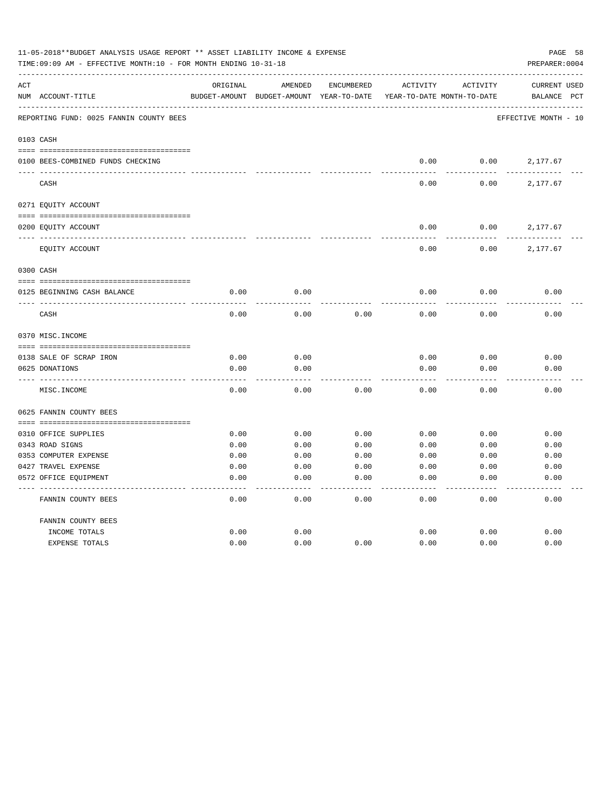|     | 11-05-2018**BUDGET ANALYSIS USAGE REPORT ** ASSET LIABILITY INCOME & EXPENSE<br>TIME:09:09 AM - EFFECTIVE MONTH:10 - FOR MONTH ENDING 10-31-18 |              |                                          |            |                            |              | PAGE 58<br>PREPARER: 0004 |
|-----|------------------------------------------------------------------------------------------------------------------------------------------------|--------------|------------------------------------------|------------|----------------------------|--------------|---------------------------|
| ACT |                                                                                                                                                | ORIGINAL     | AMENDED                                  | ENCUMBERED | ACTIVITY                   | ACTIVITY     | CURRENT USED              |
|     | NUM ACCOUNT-TITLE                                                                                                                              |              | BUDGET-AMOUNT BUDGET-AMOUNT YEAR-TO-DATE |            | YEAR-TO-DATE MONTH-TO-DATE |              | BALANCE PCT               |
|     | REPORTING FUND: 0025 FANNIN COUNTY BEES                                                                                                        |              |                                          |            |                            |              | EFFECTIVE MONTH - 10      |
|     | 0103 CASH                                                                                                                                      |              |                                          |            |                            |              |                           |
|     | 0100 BEES-COMBINED FUNDS CHECKING                                                                                                              |              |                                          |            | 0.00                       | 0.00         | 2,177.67                  |
|     | CASH                                                                                                                                           |              |                                          |            | 0.00                       | 0.00         | 2,177.67                  |
|     | 0271 EQUITY ACCOUNT                                                                                                                            |              |                                          |            |                            |              |                           |
|     |                                                                                                                                                |              |                                          |            |                            |              |                           |
|     | 0200 EQUITY ACCOUNT                                                                                                                            |              |                                          |            | 0.00                       | 0.00         | 2,177.67                  |
|     | EQUITY ACCOUNT                                                                                                                                 |              |                                          |            | 0.00                       | 0.00         | 2,177.67                  |
|     | 0300 CASH                                                                                                                                      |              |                                          |            |                            |              |                           |
|     |                                                                                                                                                |              |                                          |            |                            |              |                           |
|     | 0125 BEGINNING CASH BALANCE                                                                                                                    | 0.00         | 0.00                                     |            | 0.00                       | 0.00         | 0.00                      |
|     | CASH                                                                                                                                           | 0.00         | 0.00                                     | 0.00       | 0.00                       | 0.00         | 0.00                      |
|     | 0370 MISC. INCOME                                                                                                                              |              |                                          |            |                            |              |                           |
|     |                                                                                                                                                |              |                                          |            |                            |              |                           |
|     | 0138 SALE OF SCRAP IRON<br>0625 DONATIONS                                                                                                      | 0.00<br>0.00 | 0.00<br>0.00                             |            | 0.00<br>0.00               | 0.00<br>0.00 | 0.00<br>0.00              |
|     |                                                                                                                                                |              |                                          |            |                            |              |                           |
|     | MISC. INCOME                                                                                                                                   | 0.00         | 0.00                                     | 0.00       | 0.00                       | 0.00         | 0.00                      |
|     | 0625 FANNIN COUNTY BEES                                                                                                                        |              |                                          |            |                            |              |                           |
|     |                                                                                                                                                |              |                                          |            |                            |              |                           |
|     | 0310 OFFICE SUPPLIES                                                                                                                           | 0.00         | 0.00                                     | 0.00       | 0.00                       | 0.00         | 0.00                      |
|     | 0343 ROAD SIGNS                                                                                                                                | 0.00         | 0.00                                     | 0.00       | 0.00                       | 0.00         | 0.00                      |
|     | 0353 COMPUTER EXPENSE                                                                                                                          | 0.00         | 0.00                                     | 0.00       | 0.00                       | 0.00         | 0.00                      |
|     | 0427 TRAVEL EXPENSE                                                                                                                            | 0.00         | 0.00                                     | 0.00       | 0.00                       | 0.00         | 0.00                      |
|     | 0572 OFFICE EQUIPMENT                                                                                                                          | 0.00         | 0.00                                     | 0.00       | 0.00                       | 0.00         | 0.00                      |
|     | FANNIN COUNTY BEES                                                                                                                             | 0.00         | 0.00                                     | 0.00       | 0.00                       | 0.00         | 0.00                      |
|     | FANNIN COUNTY BEES                                                                                                                             |              |                                          |            |                            |              |                           |
|     | INCOME TOTALS                                                                                                                                  | 0.00         | 0.00                                     |            | 0.00                       | 0.00         | 0.00                      |
|     | <b>EXPENSE TOTALS</b>                                                                                                                          | 0.00         | 0.00                                     | 0.00       | 0.00                       | 0.00         | 0.00                      |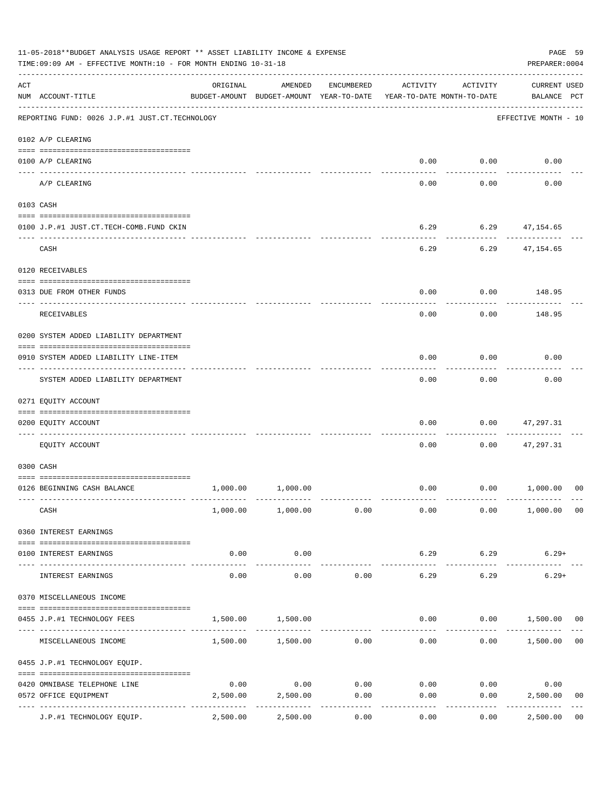|     | 11-05-2018**BUDGET ANALYSIS USAGE REPORT ** ASSET LIABILITY INCOME & EXPENSE<br>TIME:09:09 AM - EFFECTIVE MONTH:10 - FOR MONTH ENDING 10-31-18<br>PREPARER: 0004 |                     |                                                     |            |                                        |                      |                                    |                |  |  |  |
|-----|------------------------------------------------------------------------------------------------------------------------------------------------------------------|---------------------|-----------------------------------------------------|------------|----------------------------------------|----------------------|------------------------------------|----------------|--|--|--|
| ACT | NUM ACCOUNT-TITLE                                                                                                                                                | ORIGINAL            | AMENDED<br>BUDGET-AMOUNT BUDGET-AMOUNT YEAR-TO-DATE | ENCUMBERED | ACTIVITY<br>YEAR-TO-DATE MONTH-TO-DATE | ACTIVITY             | <b>CURRENT USED</b><br>BALANCE PCT |                |  |  |  |
|     | REPORTING FUND: 0026 J.P.#1 JUST.CT.TECHNOLOGY                                                                                                                   |                     |                                                     |            |                                        |                      | EFFECTIVE MONTH - 10               |                |  |  |  |
|     | 0102 A/P CLEARING                                                                                                                                                |                     |                                                     |            |                                        |                      |                                    |                |  |  |  |
|     | 0100 A/P CLEARING                                                                                                                                                |                     |                                                     |            |                                        | $0.00$ $0.00$        | 0.00                               |                |  |  |  |
|     | A/P CLEARING                                                                                                                                                     |                     |                                                     |            | 0.00                                   | 0.00                 | 0.00                               |                |  |  |  |
|     | 0103 CASH                                                                                                                                                        |                     |                                                     |            |                                        |                      |                                    |                |  |  |  |
|     | 0100 J.P.#1 JUST.CT.TECH-COMB.FUND CKIN                                                                                                                          |                     |                                                     |            | 6.29                                   |                      | $6.29$ $47,154.65$                 |                |  |  |  |
|     | CASH                                                                                                                                                             |                     |                                                     |            | 6.29                                   | ---------            | 6.29 47,154.65                     |                |  |  |  |
|     | 0120 RECEIVABLES                                                                                                                                                 |                     |                                                     |            |                                        |                      |                                    |                |  |  |  |
|     | 0313 DUE FROM OTHER FUNDS                                                                                                                                        |                     |                                                     |            | 0.00                                   |                      | $0.00$ 148.95                      |                |  |  |  |
|     | RECEIVABLES                                                                                                                                                      |                     |                                                     |            | 0.00                                   | 0.00                 | 148.95                             |                |  |  |  |
|     | 0200 SYSTEM ADDED LIABILITY DEPARTMENT                                                                                                                           |                     |                                                     |            |                                        |                      |                                    |                |  |  |  |
|     | 0910 SYSTEM ADDED LIABILITY LINE-ITEM                                                                                                                            |                     |                                                     |            | 0.00                                   | 0.00                 | 0.00                               |                |  |  |  |
|     | SYSTEM ADDED LIABILITY DEPARTMENT                                                                                                                                |                     |                                                     |            | 0.00                                   | . <u>.</u> .<br>0.00 | 0.00                               |                |  |  |  |
|     | 0271 EQUITY ACCOUNT                                                                                                                                              |                     |                                                     |            |                                        |                      |                                    |                |  |  |  |
|     | 0200 EQUITY ACCOUNT                                                                                                                                              |                     |                                                     |            | 0.00                                   | 0.00                 | 47,297.31                          |                |  |  |  |
|     | EQUITY ACCOUNT                                                                                                                                                   |                     |                                                     |            | 0.00                                   | 0.00                 | 47,297.31                          |                |  |  |  |
|     | 0300 CASH                                                                                                                                                        |                     |                                                     |            |                                        |                      |                                    |                |  |  |  |
|     | 0126 BEGINNING CASH BALANCE                                                                                                                                      | 1,000.00            | 1,000.00                                            |            |                                        |                      | $0.00$ $0.00$ $1,000.00$           | 00             |  |  |  |
|     | CASH                                                                                                                                                             |                     | 1,000.00 1,000.00 0.00                              |            | 0.00                                   | 0.00                 | 1,000.00 00                        |                |  |  |  |
|     | 0360 INTEREST EARNINGS                                                                                                                                           |                     |                                                     |            |                                        |                      |                                    |                |  |  |  |
|     | 0100 INTEREST EARNINGS                                                                                                                                           | 0.00                | 0.00                                                |            | 6.29                                   | 6.29                 | $6.29+$                            |                |  |  |  |
|     | INTEREST EARNINGS                                                                                                                                                | $- - - - -$<br>0.00 | ----------<br>0.00                                  | 0.00       | 6.29                                   | 6.29                 | $6.29+$                            |                |  |  |  |
|     | 0370 MISCELLANEOUS INCOME                                                                                                                                        |                     |                                                     |            |                                        |                      |                                    |                |  |  |  |
|     | 0455 J.P.#1 TECHNOLOGY FEES                                                                                                                                      | 1,500.00            | 1,500.00                                            |            | 0.00                                   |                      | $0.00$ 1,500.00 00                 |                |  |  |  |
|     | MISCELLANEOUS INCOME                                                                                                                                             |                     | 1,500.00 1,500.00 0.00                              |            | 0.00                                   |                      | 0.00<br>1,500.00                   | 0 <sub>0</sub> |  |  |  |
|     | 0455 J.P.#1 TECHNOLOGY EQUIP.                                                                                                                                    |                     |                                                     |            |                                        |                      |                                    |                |  |  |  |
|     | 0420 OMNIBASE TELEPHONE LINE                                                                                                                                     | 0.00                | 0.00                                                | 0.00       | 0.00                                   | 0.00                 | 0.00                               |                |  |  |  |
|     | 0572 OFFICE EQUIPMENT                                                                                                                                            | 2,500.00            | 2,500.00                                            | 0.00       | 0.00                                   | 0.00                 | 2,500.00                           | 0 <sub>0</sub> |  |  |  |
|     | J.P.#1 TECHNOLOGY EQUIP.                                                                                                                                         | 2,500.00            | 2,500.00                                            | 0.00       | 0.00                                   | 0.00                 | 2,500.00                           | 0 <sub>0</sub> |  |  |  |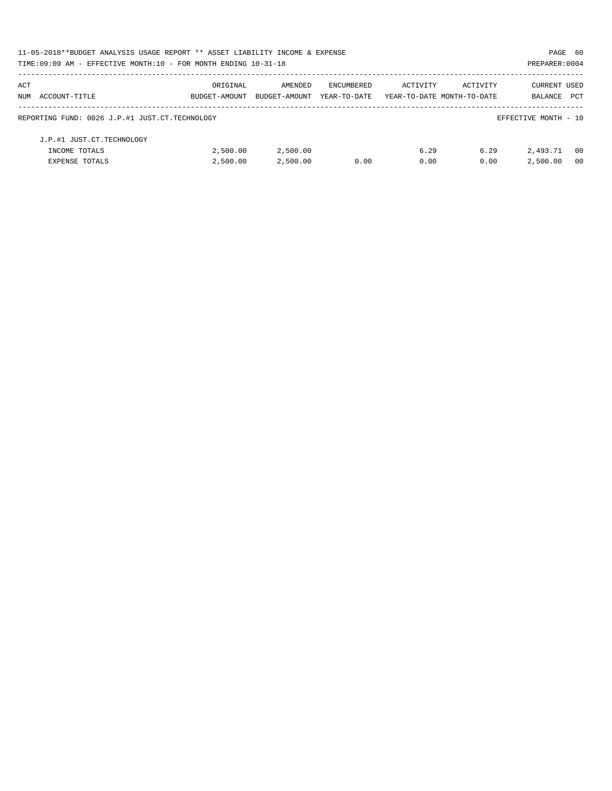| 11-05-2018**BUDGET ANALYSIS USAGE REPORT ** ASSET LIABILITY INCOME & EXPENSE |               |               |              |                            |          | PAGE 60              |            |
|------------------------------------------------------------------------------|---------------|---------------|--------------|----------------------------|----------|----------------------|------------|
| TIME: $09:09$ AM - EFFECTIVE MONTH: $10$ - FOR MONTH ENDING $10-31-18$       |               |               |              |                            |          | PREPARER: 0004       |            |
| ACT                                                                          | ORIGINAL      | AMENDED       | ENCUMBERED   | ACTIVITY                   | ACTIVITY | CURRENT USED         |            |
| NUM ACCOUNT-TITLE                                                            | BUDGET-AMOUNT | BUDGET-AMOUNT | YEAR-TO-DATE | YEAR-TO-DATE MONTH-TO-DATE |          | BALANCE              | <b>PCT</b> |
| REPORTING FUND: 0026 J.P.#1 JUST.CT.TECHNOLOGY                               |               |               |              |                            |          | EFFECTIVE MONTH - 10 |            |
| J.P.#1 JUST.CT.TECHNOLOGY                                                    |               |               |              |                            |          |                      |            |
| INCOME TOTALS                                                                | 2,500.00      | 2,500.00      |              | 6.29                       | 6.29     | 2,493.71             | - 00       |
| <b>EXPENSE TOTALS</b>                                                        | 2,500.00      | 2,500.00      | 0.00         | 0.00                       | 0.00     | 2,500.00             | -00        |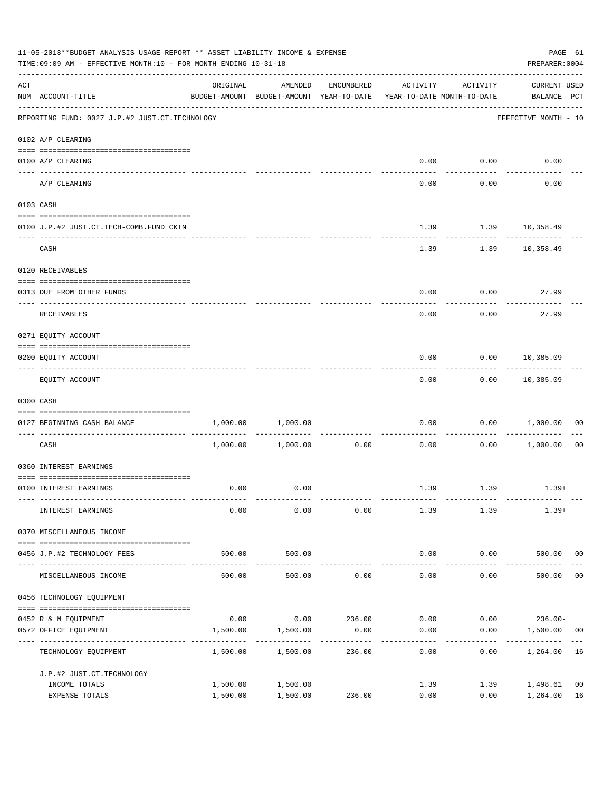|     | 11-05-2018**BUDGET ANALYSIS USAGE REPORT ** ASSET LIABILITY INCOME & EXPENSE<br>TIME: 09:09 AM - EFFECTIVE MONTH: 10 - FOR MONTH ENDING 10-31-18                                                                                                                                                                                                                                                                                                                                                                                      |                         |                                                                                |            |              |                    |                                    |                      |  |  |
|-----|---------------------------------------------------------------------------------------------------------------------------------------------------------------------------------------------------------------------------------------------------------------------------------------------------------------------------------------------------------------------------------------------------------------------------------------------------------------------------------------------------------------------------------------|-------------------------|--------------------------------------------------------------------------------|------------|--------------|--------------------|------------------------------------|----------------------|--|--|
| ACT | NUM ACCOUNT-TITLE                                                                                                                                                                                                                                                                                                                                                                                                                                                                                                                     | ORIGINAL                | AMENDED<br>BUDGET-AMOUNT BUDGET-AMOUNT YEAR-TO-DATE YEAR-TO-DATE MONTH-TO-DATE | ENCUMBERED | ACTIVITY     | ACTIVITY           | <b>CURRENT USED</b><br>BALANCE PCT |                      |  |  |
|     | REPORTING FUND: 0027 J.P.#2 JUST.CT.TECHNOLOGY                                                                                                                                                                                                                                                                                                                                                                                                                                                                                        |                         |                                                                                |            |              |                    | EFFECTIVE MONTH - 10               |                      |  |  |
|     | 0102 A/P CLEARING                                                                                                                                                                                                                                                                                                                                                                                                                                                                                                                     |                         |                                                                                |            |              |                    |                                    |                      |  |  |
|     | 0100 A/P CLEARING                                                                                                                                                                                                                                                                                                                                                                                                                                                                                                                     |                         |                                                                                |            | 0.00         | 0.00               | 0.00                               |                      |  |  |
|     | A/P CLEARING                                                                                                                                                                                                                                                                                                                                                                                                                                                                                                                          |                         |                                                                                |            | 0.00         | 0.00               | 0.00                               |                      |  |  |
|     | 0103 CASH                                                                                                                                                                                                                                                                                                                                                                                                                                                                                                                             |                         |                                                                                |            |              |                    |                                    |                      |  |  |
|     | 0100 J.P.#2 JUST.CT.TECH-COMB.FUND CKIN                                                                                                                                                                                                                                                                                                                                                                                                                                                                                               |                         |                                                                                |            | 1.39         | $1.39$ $10,358.49$ |                                    |                      |  |  |
|     | CASH                                                                                                                                                                                                                                                                                                                                                                                                                                                                                                                                  |                         |                                                                                |            | 1.39         | . <u>.</u>         | 1.39 10,358.49                     |                      |  |  |
|     | 0120 RECEIVABLES                                                                                                                                                                                                                                                                                                                                                                                                                                                                                                                      |                         |                                                                                |            |              |                    |                                    |                      |  |  |
|     | 0313 DUE FROM OTHER FUNDS                                                                                                                                                                                                                                                                                                                                                                                                                                                                                                             |                         |                                                                                |            | 0.00         |                    | 0.00<br>27.99                      |                      |  |  |
|     | RECEIVABLES                                                                                                                                                                                                                                                                                                                                                                                                                                                                                                                           |                         |                                                                                |            | 0.00         | 0.00               | 27.99                              |                      |  |  |
|     | 0271 EQUITY ACCOUNT                                                                                                                                                                                                                                                                                                                                                                                                                                                                                                                   |                         |                                                                                |            |              |                    |                                    |                      |  |  |
|     | 0200 EQUITY ACCOUNT                                                                                                                                                                                                                                                                                                                                                                                                                                                                                                                   |                         |                                                                                |            | 0.00         |                    | $0.00$ 10,385.09                   |                      |  |  |
|     | EQUITY ACCOUNT                                                                                                                                                                                                                                                                                                                                                                                                                                                                                                                        |                         |                                                                                |            | 0.00         | ---------          | . <u>.</u> .<br>$0.00$ 10,385.09   |                      |  |  |
|     | 0300 CASH                                                                                                                                                                                                                                                                                                                                                                                                                                                                                                                             |                         |                                                                                |            |              |                    |                                    |                      |  |  |
|     | $\begin{minipage}{0.03\textwidth} \centering \begin{tabular}{ l l l } \hline \texttt{0.03\textwidth} \centering \end{tabular} \end{minipage} \begin{minipage}{0.03\textwidth} \centering \begin{tabular}{ l l l } \hline \texttt{0.03\textwidth} \centering \end{tabular} \end{minipage} \end{minipage} \begin{minipage}{0.03\textwidth} \centering \begin{tabular}{ l l l l } \hline \texttt{0.03\textwidth} \centering \end{tabular} \end{minipage} \end{minipage} \begin{minipage}{0.03\textwidth}$<br>0127 BEGINNING CASH BALANCE | 1,000.00                | 1,000.00                                                                       |            | 0.00         |                    | 0.00 1,000.00                      | 00                   |  |  |
|     | ----------------------------- ----<br>CASH                                                                                                                                                                                                                                                                                                                                                                                                                                                                                            |                         | 1,000.00 1,000.00                                                              | 0.00       | 0.00         |                    | 0.00 1,000.00                      | 0 <sub>0</sub>       |  |  |
|     | 0360 INTEREST EARNINGS                                                                                                                                                                                                                                                                                                                                                                                                                                                                                                                |                         |                                                                                |            |              |                    |                                    |                      |  |  |
|     | 0100 INTEREST EARNINGS                                                                                                                                                                                                                                                                                                                                                                                                                                                                                                                | 0.00                    | 0.00                                                                           |            |              | 1.39 1.39          | $1.39+$                            |                      |  |  |
|     | INTEREST EARNINGS                                                                                                                                                                                                                                                                                                                                                                                                                                                                                                                     | 0.00                    | 0.00                                                                           | 0.00       | 1.39         | 1.39               | $1.39+$                            |                      |  |  |
|     | 0370 MISCELLANEOUS INCOME                                                                                                                                                                                                                                                                                                                                                                                                                                                                                                             |                         |                                                                                |            |              |                    |                                    |                      |  |  |
|     | 0456 J.P.#2 TECHNOLOGY FEES                                                                                                                                                                                                                                                                                                                                                                                                                                                                                                           | 500.00                  | 500.00                                                                         |            | 0.00         | 0.00               | 500.00 00                          |                      |  |  |
|     | MISCELLANEOUS INCOME                                                                                                                                                                                                                                                                                                                                                                                                                                                                                                                  | -------------<br>500.00 | ----------<br>500.00                                                           | 0.00       | 0.00         | --------<br>0.00   | 500.00                             | 0 <sub>0</sub>       |  |  |
|     | 0456 TECHNOLOGY EQUIPMENT                                                                                                                                                                                                                                                                                                                                                                                                                                                                                                             |                         |                                                                                |            |              |                    |                                    |                      |  |  |
|     | 0452 R & M EQUIPMENT                                                                                                                                                                                                                                                                                                                                                                                                                                                                                                                  | 0.00                    | 0.00                                                                           | 236.00     | 0.00         | 0.00               | $236.00 -$                         |                      |  |  |
|     | 0572 OFFICE EQUIPMENT<br>---------------                                                                                                                                                                                                                                                                                                                                                                                                                                                                                              | 1,500.00                | 1,500.00                                                                       | 0.00       | 0.00         | 0.00               | 1,500.00                           | 00                   |  |  |
|     | TECHNOLOGY EQUIPMENT                                                                                                                                                                                                                                                                                                                                                                                                                                                                                                                  | 1,500.00                | 1,500.00                                                                       | 236.00     | 0.00         | 0.00               | 1,264.00                           | 16                   |  |  |
|     | J.P.#2 JUST.CT.TECHNOLOGY                                                                                                                                                                                                                                                                                                                                                                                                                                                                                                             |                         |                                                                                |            |              |                    |                                    |                      |  |  |
|     | INCOME TOTALS<br>EXPENSE TOTALS                                                                                                                                                                                                                                                                                                                                                                                                                                                                                                       | 1,500.00<br>1,500.00    | 1,500.00<br>1,500.00                                                           | 236.00     | 1.39<br>0.00 | 1.39<br>0.00       | 1,498.61<br>1,264.00               | 0 <sub>0</sub><br>16 |  |  |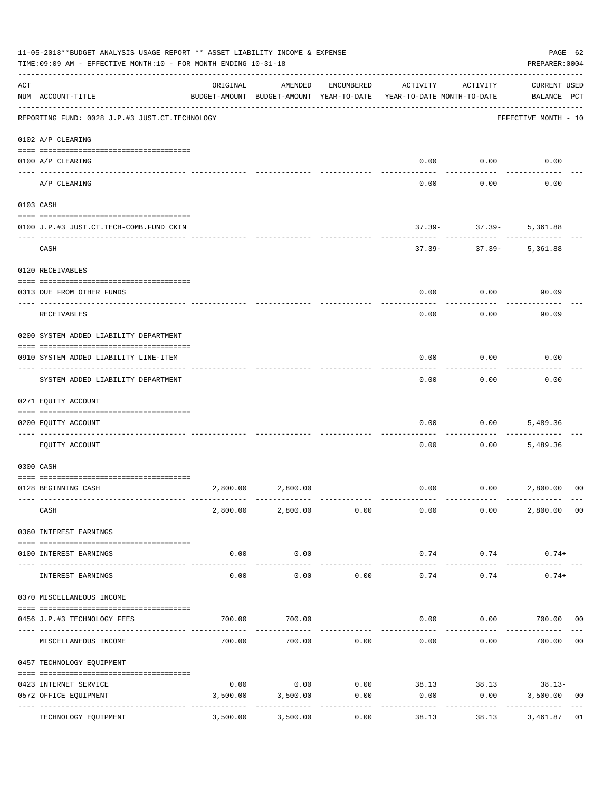|     | 11-05-2018**BUDGET ANALYSIS USAGE REPORT ** ASSET LIABILITY INCOME & EXPENSE<br>TIME: 09:09 AM - EFFECTIVE MONTH: 10 - FOR MONTH ENDING 10-31-18 |          |                                                     |            |                                        |                                        | PAGE 62<br>PREPARER: 0004          |                |
|-----|--------------------------------------------------------------------------------------------------------------------------------------------------|----------|-----------------------------------------------------|------------|----------------------------------------|----------------------------------------|------------------------------------|----------------|
| ACT | NUM ACCOUNT-TITLE                                                                                                                                | ORIGINAL | AMENDED<br>BUDGET-AMOUNT BUDGET-AMOUNT YEAR-TO-DATE | ENCUMBERED | ACTIVITY<br>YEAR-TO-DATE MONTH-TO-DATE | ACTIVITY                               | <b>CURRENT USED</b><br>BALANCE PCT |                |
|     | REPORTING FUND: 0028 J.P.#3 JUST.CT.TECHNOLOGY                                                                                                   |          |                                                     |            |                                        |                                        | EFFECTIVE MONTH - 10               |                |
|     | 0102 A/P CLEARING                                                                                                                                |          |                                                     |            |                                        |                                        |                                    |                |
|     | 0100 A/P CLEARING<br>---- ------                                                                                                                 |          |                                                     |            | 0.00                                   | 0.00                                   | 0.00                               |                |
|     | A/P CLEARING                                                                                                                                     |          |                                                     |            | 0.00                                   | 0.00                                   | 0.00                               |                |
|     | 0103 CASH                                                                                                                                        |          |                                                     |            |                                        |                                        |                                    |                |
|     | 0100 J.P.#3 JUST.CT.TECH-COMB.FUND CKIN                                                                                                          |          |                                                     |            | $37.39 -$                              | $37.39 -$                              | 5,361.88                           |                |
|     | CASH                                                                                                                                             |          |                                                     |            | $37.39 -$                              | ---------<br>$37.39-$                  | 5,361.88                           |                |
|     | 0120 RECEIVABLES                                                                                                                                 |          |                                                     |            |                                        |                                        |                                    |                |
|     | 0313 DUE FROM OTHER FUNDS                                                                                                                        |          |                                                     |            | 0.00                                   | 0.00                                   | 90.09                              |                |
|     | RECEIVABLES                                                                                                                                      |          |                                                     |            | 0.00                                   | 0.00                                   | 90.09                              |                |
|     | 0200 SYSTEM ADDED LIABILITY DEPARTMENT                                                                                                           |          |                                                     |            |                                        |                                        |                                    |                |
|     | 0910 SYSTEM ADDED LIABILITY LINE-ITEM                                                                                                            |          |                                                     |            | 0.00                                   | 0.00                                   | 0.00                               |                |
|     | SYSTEM ADDED LIABILITY DEPARTMENT                                                                                                                |          |                                                     |            | 0.00                                   | 0.00                                   | 0.00                               |                |
|     | 0271 EQUITY ACCOUNT                                                                                                                              |          |                                                     |            |                                        |                                        |                                    |                |
|     | 0200 EQUITY ACCOUNT                                                                                                                              |          |                                                     |            | 0.00                                   | 0.00                                   | 5,489.36                           |                |
|     | EOUITY ACCOUNT                                                                                                                                   |          |                                                     |            | 0.00                                   | 0.00                                   | 5,489.36                           |                |
|     | 0300 CASH                                                                                                                                        |          |                                                     |            |                                        |                                        |                                    |                |
|     | 0128 BEGINNING CASH                                                                                                                              |          | 2,800.00 2,800.00                                   |            | 0.00                                   | 0.00                                   | 2,800.00                           | 00             |
|     | CASH                                                                                                                                             |          | 2,800.00 2,800.00 0.00                              |            | 0.00                                   | 0.00                                   | 2,800.00                           | 00             |
|     | 0360 INTEREST EARNINGS                                                                                                                           |          |                                                     |            |                                        |                                        |                                    |                |
|     | 0100 INTEREST EARNINGS                                                                                                                           | 0.00     | 0.00                                                |            | 0.74                                   | 0.74                                   | $0.74+$                            |                |
|     | INTEREST EARNINGS                                                                                                                                | 0.00     | -----------<br>0.00                                 | 0.00       | -------------<br>0.74                  | ----------<br>0.74                     | $0.74+$                            |                |
|     | 0370 MISCELLANEOUS INCOME                                                                                                                        |          |                                                     |            |                                        |                                        |                                    |                |
|     | 0456 J.P.#3 TECHNOLOGY FEES                                                                                                                      | 700.00   | 700.00                                              |            | 0.00                                   | 0.00                                   | 700.00                             | 00             |
|     | MISCELLANEOUS INCOME                                                                                                                             | 700.00   | 700.00                                              | 0.00       | 0.00                                   | 0.00                                   | 700.00                             | 0 <sub>0</sub> |
|     | 0457 TECHNOLOGY EQUIPMENT                                                                                                                        |          |                                                     |            |                                        |                                        |                                    |                |
|     |                                                                                                                                                  | 0.00     | 0.00                                                |            |                                        |                                        |                                    |                |
|     | 0423 INTERNET SERVICE<br>0572 OFFICE EQUIPMENT                                                                                                   | 3,500.00 | 3,500.00                                            | 0.00       | 0.00                                   | $0.00$ 38.13 38.13 38.13 38.13<br>0.00 | 3,500.00                           | 00             |
|     | TECHNOLOGY EQUIPMENT                                                                                                                             | 3,500.00 | -----------<br>3,500.00                             | 0.00       | 38.13                                  | 38.13                                  | -----------<br>3,461.87            | 01             |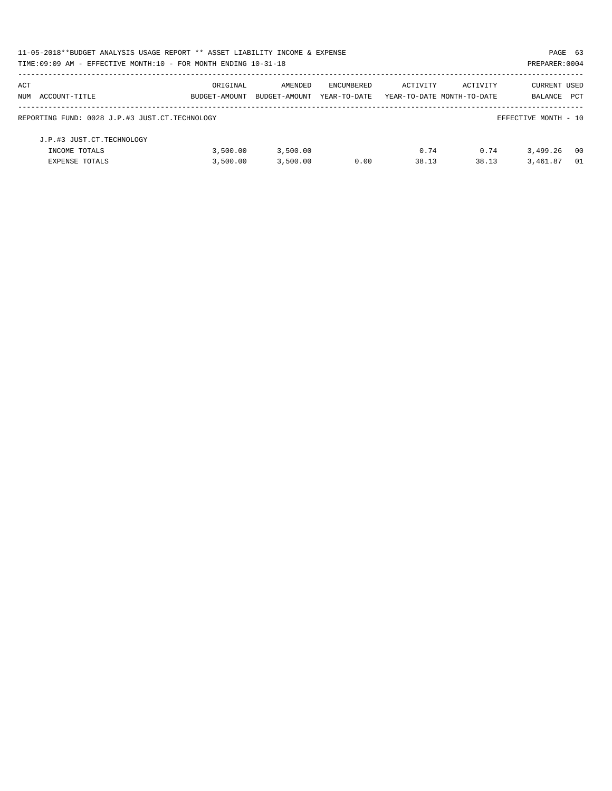| 11-05-2018**BUDGET ANALYSIS USAGE REPORT ** ASSET LIABILITY INCOME & EXPENSE |               |               |              |          |                            |                      | PAGE 63 |
|------------------------------------------------------------------------------|---------------|---------------|--------------|----------|----------------------------|----------------------|---------|
| TIME:09:09 AM - EFFECTIVE MONTH:10 - FOR MONTH ENDING 10-31-18               |               |               |              |          |                            | PREPARER: 0004       |         |
| ACT                                                                          | ORIGINAL      | AMENDED       | ENCUMBERED   | ACTIVITY | ACTIVITY                   | <b>CURRENT USED</b>  |         |
| NUM ACCOUNT-TITLE                                                            | BUDGET-AMOUNT | BUDGET-AMOUNT | YEAR-TO-DATE |          | YEAR-TO-DATE MONTH-TO-DATE | BALANCE              | PCT     |
| REPORTING FUND: 0028 J.P.#3 JUST.CT.TECHNOLOGY                               |               |               |              |          |                            | EFFECTIVE MONTH - 10 |         |
| J.P.#3 JUST.CT.TECHNOLOGY                                                    |               |               |              |          |                            |                      |         |
| INCOME TOTALS                                                                | 3,500.00      | 3,500.00      |              | 0.74     | 0.74                       | 3,499.26             | - 00    |
| <b>EXPENSE TOTALS</b>                                                        | 3.500.00      | 3.500.00      | 0.00         | 38.13    | 38.13                      | 3,461.87             | 01      |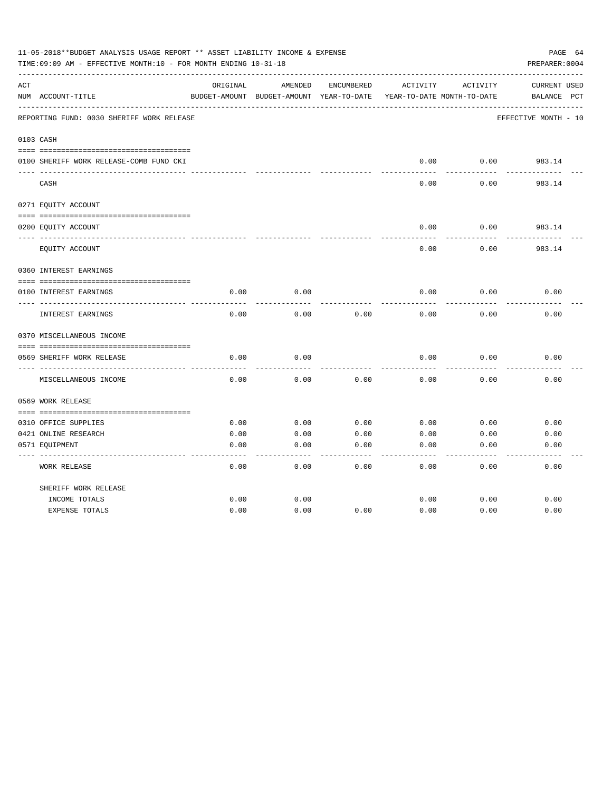|     | 11-05-2018**BUDGET ANALYSIS USAGE REPORT ** ASSET LIABILITY INCOME & EXPENSE<br>TIME:09:09 AM - EFFECTIVE MONTH:10 - FOR MONTH ENDING 10-31-18 |          |                                          |            |          |                            | PAGE 64<br>PREPARER: 0004 |
|-----|------------------------------------------------------------------------------------------------------------------------------------------------|----------|------------------------------------------|------------|----------|----------------------------|---------------------------|
| ACT |                                                                                                                                                | ORIGINAL | AMENDED                                  | ENCUMBERED | ACTIVITY | ACTIVITY                   | CURRENT USED              |
|     | NUM ACCOUNT-TITLE                                                                                                                              |          | BUDGET-AMOUNT BUDGET-AMOUNT YEAR-TO-DATE |            |          | YEAR-TO-DATE MONTH-TO-DATE | BALANCE<br>$_{\rm PCT}$   |
|     | REPORTING FUND: 0030 SHERIFF WORK RELEASE                                                                                                      |          |                                          |            |          |                            | EFFECTIVE MONTH - 10      |
|     | 0103 CASH                                                                                                                                      |          |                                          |            |          |                            |                           |
|     | 0100 SHERIFF WORK RELEASE-COMB FUND CKI                                                                                                        |          |                                          |            | 0.00     | 0.00                       | 983.14                    |
|     | CASH                                                                                                                                           |          |                                          |            | 0.00     | 0.00                       | 983.14                    |
|     | 0271 EQUITY ACCOUNT                                                                                                                            |          |                                          |            |          |                            |                           |
|     | 0200 EQUITY ACCOUNT                                                                                                                            |          |                                          |            | 0.00     | 0.00                       | 983.14                    |
|     | EQUITY ACCOUNT                                                                                                                                 |          |                                          |            | 0.00     | 0.00                       | 983.14                    |
|     | 0360 INTEREST EARNINGS                                                                                                                         |          |                                          |            |          |                            |                           |
|     | 0100 INTEREST EARNINGS                                                                                                                         | 0.00     | 0.00                                     |            | 0.00     | 0.00                       | 0.00                      |
|     | INTEREST EARNINGS                                                                                                                              | 0.00     | 0.00                                     | 0.00       | 0.00     | 0.00                       | 0.00                      |
|     | 0370 MISCELLANEOUS INCOME                                                                                                                      |          |                                          |            |          |                            |                           |
|     |                                                                                                                                                |          |                                          |            |          |                            |                           |
|     | 0569 SHERIFF WORK RELEASE<br>-----------                                                                                                       | 0.00     | 0.00                                     |            | 0.00     | 0.00                       | 0.00                      |
|     | MISCELLANEOUS INCOME                                                                                                                           | 0.00     | 0.00                                     | 0.00       | 0.00     | 0.00                       | 0.00                      |
|     | 0569 WORK RELEASE                                                                                                                              |          |                                          |            |          |                            |                           |
|     |                                                                                                                                                |          |                                          |            |          |                            |                           |
|     | 0310 OFFICE SUPPLIES                                                                                                                           | 0.00     | 0.00                                     | 0.00       | 0.00     | 0.00                       | 0.00                      |
|     | 0421 ONLINE RESEARCH                                                                                                                           | 0.00     | 0.00                                     | 0.00       | 0.00     | 0.00                       | 0.00                      |
|     | 0571 EQUIPMENT                                                                                                                                 | 0.00     | 0.00                                     | 0.00       | 0.00     | 0.00                       | 0.00                      |
|     | <b>WORK RELEASE</b>                                                                                                                            | 0.00     | 0.00                                     | 0.00       | 0.00     | 0.00                       | 0.00                      |
|     | SHERIFF WORK RELEASE                                                                                                                           |          |                                          |            |          |                            |                           |
|     | INCOME TOTALS                                                                                                                                  | 0.00     | 0.00                                     |            | 0.00     | 0.00                       | 0.00                      |
|     | <b>EXPENSE TOTALS</b>                                                                                                                          | 0.00     | 0.00                                     | 0.00       | 0.00     | 0.00                       | 0.00                      |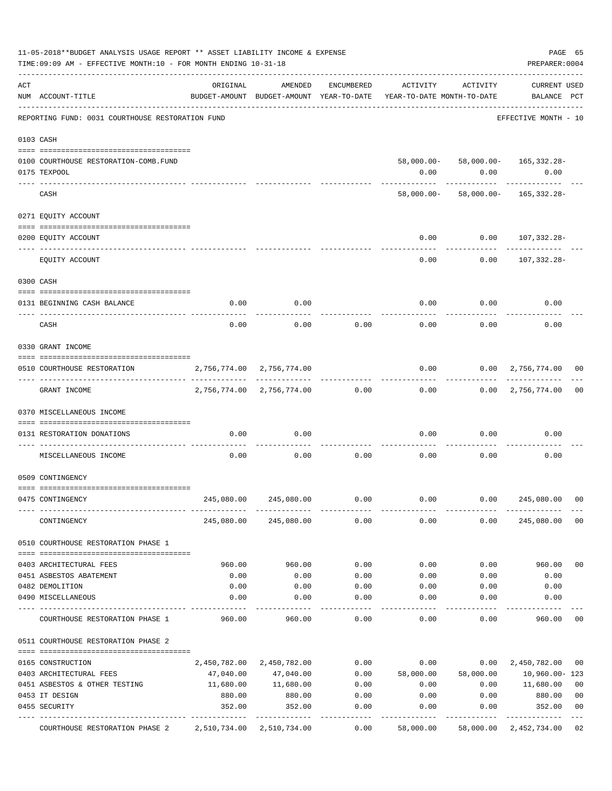|     | 11-05-2018**BUDGET ANALYSIS USAGE REPORT ** ASSET LIABILITY INCOME & EXPENSE<br>TIME: 09:09 AM - EFFECTIVE MONTH: 10 - FOR MONTH ENDING 10-31-18 |                           |                                |            |                                                                                 |                     | PAGE 65<br>PREPARER: 0004                                  |                |
|-----|--------------------------------------------------------------------------------------------------------------------------------------------------|---------------------------|--------------------------------|------------|---------------------------------------------------------------------------------|---------------------|------------------------------------------------------------|----------------|
| ACT | NUM ACCOUNT-TITLE                                                                                                                                | ORIGINAL                  | AMENDED                        | ENCUMBERED | ACTIVITY<br>BUDGET-AMOUNT BUDGET-AMOUNT YEAR-TO-DATE YEAR-TO-DATE MONTH-TO-DATE | ACTIVITY            | <b>CURRENT USED</b><br>BALANCE PCT                         |                |
|     | REPORTING FUND: 0031 COURTHOUSE RESTORATION FUND                                                                                                 |                           |                                |            |                                                                                 |                     | EFFECTIVE MONTH - 10                                       |                |
|     | 0103 CASH                                                                                                                                        |                           |                                |            |                                                                                 |                     |                                                            |                |
|     | 0100 COURTHOUSE RESTORATION-COMB.FUND<br>0175 TEXPOOL                                                                                            |                           |                                |            | 0.00                                                                            | 0.00<br>----------- | 58,000.00- 58,000.00- 165,332.28-<br>0.00<br>------------- |                |
|     | CASH                                                                                                                                             |                           |                                |            |                                                                                 |                     | 58,000.00- 58,000.00- 165,332.28-                          |                |
|     | 0271 EQUITY ACCOUNT                                                                                                                              |                           |                                |            |                                                                                 |                     |                                                            |                |
|     | 0200 EQUITY ACCOUNT                                                                                                                              |                           |                                |            | 0.00                                                                            |                     | $0.00 107,332.28-$                                         |                |
|     | EQUITY ACCOUNT                                                                                                                                   |                           |                                |            | 0.00                                                                            | 0.00                | 107,332.28-                                                |                |
|     | 0300 CASH                                                                                                                                        |                           |                                |            |                                                                                 |                     |                                                            |                |
|     | 0131 BEGINNING CASH BALANCE                                                                                                                      | 0.00                      | 0.00                           |            | 0.00                                                                            | 0.00                | 0.00                                                       |                |
|     | CASH                                                                                                                                             | 0.00                      | 0.00                           | 0.00       | 0.00                                                                            | 0.00                | 0.00                                                       |                |
|     | 0330 GRANT INCOME                                                                                                                                |                           |                                |            |                                                                                 |                     |                                                            |                |
|     | 0510 COURTHOUSE RESTORATION                                                                                                                      | 2,756,774.00 2,756,774.00 |                                |            | 0.00                                                                            |                     | $0.00 \quad 2,756,774.00$                                  | 00             |
|     | GRANT INCOME                                                                                                                                     |                           | 2,756,774.00 2,756,774.00 0.00 |            |                                                                                 |                     | $0.00$ $0.00$ $2,756,774.00$                               | 0 <sub>0</sub> |
|     | 0370 MISCELLANEOUS INCOME                                                                                                                        |                           |                                |            |                                                                                 |                     |                                                            |                |
|     | 0131 RESTORATION DONATIONS                                                                                                                       | 0.00                      | 0.00                           |            | 0.00                                                                            | 0.00                | 0.00                                                       |                |
|     | MISCELLANEOUS INCOME                                                                                                                             | 0.00                      | 0.00                           | 0.00       | 0.00                                                                            | 0.00                | 0.00                                                       |                |
|     | 0509 CONTINGENCY                                                                                                                                 |                           |                                |            |                                                                                 |                     |                                                            |                |
|     | 0475 CONTINGENCY                                                                                                                                 | 245,080.00                | 245,080.00                     | 0.00       | 0.00                                                                            | 0.00                | 245,080.00                                                 | 00             |
|     | CONTINGENCY                                                                                                                                      |                           | 245,080.00 245,080.00          | 0.00       | 0.00                                                                            | 0.00                | 245,080.00                                                 | 0 <sub>0</sub> |
|     | 0510 COURTHOUSE RESTORATION PHASE 1                                                                                                              |                           |                                |            |                                                                                 |                     |                                                            |                |
|     | 0403 ARCHITECTURAL FEES                                                                                                                          | 960.00                    | 960.00                         | 0.00       | 0.00                                                                            | 0.00                | 960.00                                                     | 0 <sub>0</sub> |
|     | 0451 ASBESTOS ABATEMENT                                                                                                                          | 0.00                      | 0.00                           | 0.00       | 0.00                                                                            | 0.00                | 0.00                                                       |                |
|     | 0482 DEMOLITION                                                                                                                                  | 0.00                      | 0.00                           | 0.00       | 0.00                                                                            | 0.00                | 0.00                                                       |                |
|     | 0490 MISCELLANEOUS                                                                                                                               | 0.00                      | 0.00                           | 0.00       | 0.00                                                                            | 0.00                | 0.00                                                       |                |
|     | COURTHOUSE RESTORATION PHASE 1                                                                                                                   | 960.00                    | 960.00                         | 0.00       | 0.00                                                                            | 0.00                | 960.00                                                     | 00             |
|     | 0511 COURTHOUSE RESTORATION PHASE 2                                                                                                              |                           |                                |            |                                                                                 |                     |                                                            |                |
|     | 0165 CONSTRUCTION                                                                                                                                |                           | 2,450,782.00 2,450,782.00      | 0.00       | 0.00                                                                            | 0.00                | 2,450,782.00                                               | 00             |
|     | 0403 ARCHITECTURAL FEES                                                                                                                          | 47,040.00                 | 47,040.00                      | 0.00       | 58,000.00                                                                       | 58,000.00           | 10,960.00-123                                              |                |
|     | 0451 ASBESTOS & OTHER TESTING                                                                                                                    | 11,680.00                 | 11,680.00                      | 0.00       | 0.00                                                                            | 0.00                | 11,680.00                                                  | 0 <sub>0</sub> |
|     | 0453 IT DESIGN                                                                                                                                   | 880.00                    | 880.00                         | 0.00       | 0.00                                                                            | 0.00                | 880.00                                                     | 0 <sub>0</sub> |
|     | 0455 SECURITY                                                                                                                                    | 352.00                    | 352.00                         | 0.00       | 0.00                                                                            | 0.00                | 352.00                                                     | 0 <sub>0</sub> |
|     | COURTHOUSE RESTORATION PHASE 2                                                                                                                   | 2,510,734.00 2,510,734.00 |                                | 0.00       | 58,000.00                                                                       |                     | 58,000.00 2,452,734.00                                     | 02             |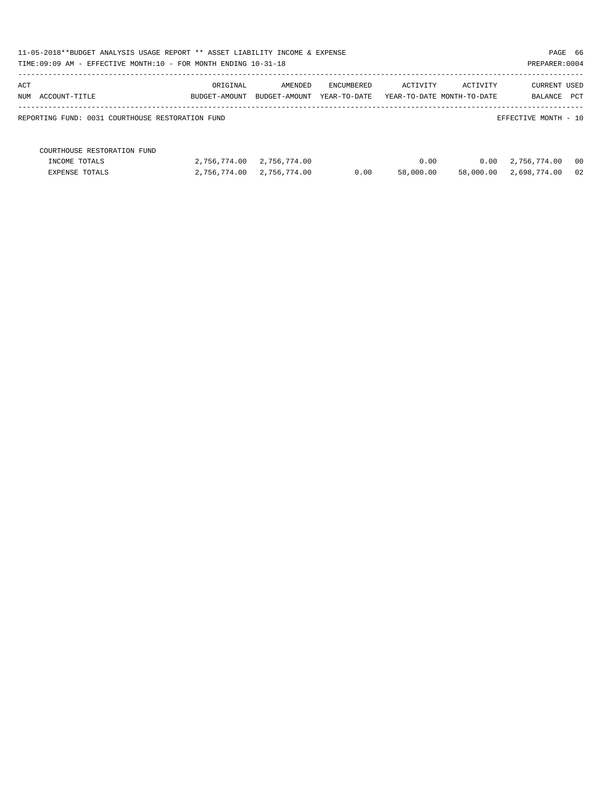| 11-05-2018**BUDGET ANALYSIS USAGE REPORT ** ASSET LIABILITY INCOME & EXPENSE<br>TIME:09:09 AM - EFFECTIVE MONTH:10 - FOR MONTH ENDING 10-31-18 |               |               |              |                            |           | PAGE 66<br>PREPARER: 0004 |      |
|------------------------------------------------------------------------------------------------------------------------------------------------|---------------|---------------|--------------|----------------------------|-----------|---------------------------|------|
| ACT                                                                                                                                            | ORIGINAL      | AMENDED       | ENCUMBERED   | ACTIVITY                   | ACTIVITY  | <b>CURRENT USED</b>       |      |
| NUM ACCOUNT-TITLE                                                                                                                              | BUDGET-AMOUNT | BUDGET-AMOUNT | YEAR-TO-DATE | YEAR-TO-DATE MONTH-TO-DATE |           | BALANCE                   | PCT  |
| REPORTING FUND: 0031 COURTHOUSE RESTORATION FUND                                                                                               |               |               |              |                            |           | EFFECTIVE MONTH - 10      |      |
| COURTHOUSE RESTORATION FUND                                                                                                                    |               |               |              |                            |           |                           |      |
| INCOME TOTALS                                                                                                                                  | 2,756,774.00  | 2,756,774.00  |              | 0.00                       | 0.00      | 2,756,774.00              | - 00 |
| <b>EXPENSE TOTALS</b>                                                                                                                          | 2,756,774.00  | 2,756,774.00  | 0.00         | 58,000.00                  | 58,000.00 | 2,698,774.00              | 02   |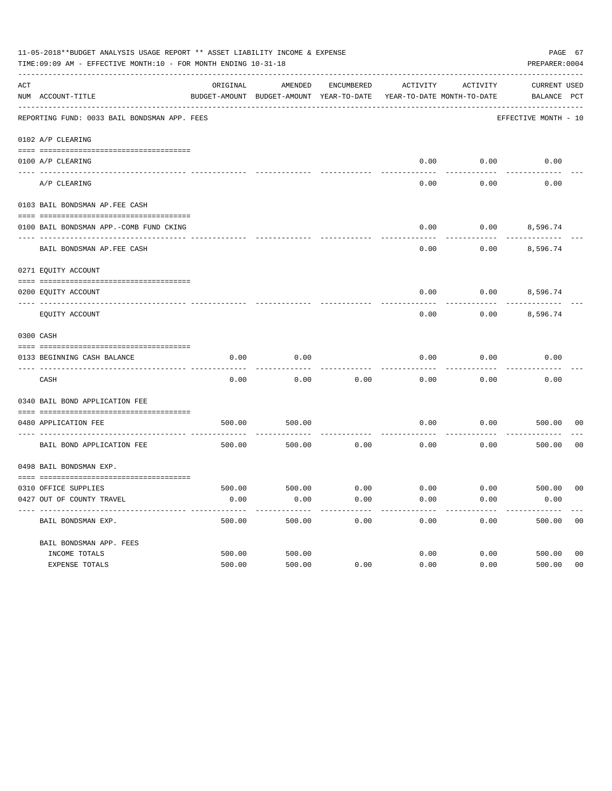|     | 11-05-2018**BUDGET ANALYSIS USAGE REPORT ** ASSET LIABILITY INCOME & EXPENSE<br>TIME: 09:09 AM - EFFECTIVE MONTH: 10 - FOR MONTH ENDING 10-31-18 |          |                                                     |            |                                        |          | PAGE 67<br>PREPARER: 0004          |                |
|-----|--------------------------------------------------------------------------------------------------------------------------------------------------|----------|-----------------------------------------------------|------------|----------------------------------------|----------|------------------------------------|----------------|
| ACT | NUM ACCOUNT-TITLE                                                                                                                                | ORIGINAL | AMENDED<br>BUDGET-AMOUNT BUDGET-AMOUNT YEAR-TO-DATE | ENCUMBERED | ACTIVITY<br>YEAR-TO-DATE MONTH-TO-DATE | ACTIVITY | <b>CURRENT USED</b><br>BALANCE PCT |                |
|     | REPORTING FUND: 0033 BAIL BONDSMAN APP. FEES                                                                                                     |          |                                                     |            |                                        |          | EFFECTIVE MONTH - 10               |                |
|     | 0102 A/P CLEARING                                                                                                                                |          |                                                     |            |                                        |          |                                    |                |
|     | 0100 A/P CLEARING                                                                                                                                |          |                                                     |            | 0.00                                   | 0.00     | 0.00                               |                |
|     | ---- --------<br>A/P CLEARING                                                                                                                    |          |                                                     |            | 0.00                                   | 0.00     | 0.00                               |                |
|     | 0103 BAIL BONDSMAN AP.FEE CASH                                                                                                                   |          |                                                     |            |                                        |          |                                    |                |
|     | 0100 BAIL BONDSMAN APP.-COMB FUND CKING                                                                                                          |          |                                                     |            | 0.00                                   | 0.00     | 8,596.74                           |                |
|     | BAIL BONDSMAN AP.FEE CASH                                                                                                                        |          |                                                     |            | 0.00                                   | 0.00     | 8,596.74                           |                |
|     | 0271 EQUITY ACCOUNT                                                                                                                              |          |                                                     |            |                                        |          |                                    |                |
|     | 0200 EQUITY ACCOUNT                                                                                                                              |          |                                                     |            | 0.00                                   |          | $0.00$ 8,596.74                    |                |
|     | EQUITY ACCOUNT                                                                                                                                   |          |                                                     |            | 0.00                                   | 0.00     | 8,596.74                           |                |
|     | 0300 CASH                                                                                                                                        |          |                                                     |            |                                        |          |                                    |                |
|     | 0133 BEGINNING CASH BALANCE                                                                                                                      | 0.00     | 0.00                                                |            | 0.00                                   | 0.00     | 0.00                               |                |
|     | CASH                                                                                                                                             | 0.00     | 0.00                                                | 0.00       | 0.00                                   | 0.00     | 0.00                               |                |
|     | 0340 BAIL BOND APPLICATION FEE                                                                                                                   |          |                                                     |            |                                        |          |                                    |                |
|     | 0480 APPLICATION FEE                                                                                                                             | 500.00   | 500.00                                              |            | 0.00                                   | 0.00     | 500.00                             | 00             |
|     | BAIL BOND APPLICATION FEE                                                                                                                        | 500.00   | 500.00                                              | 0.00       | 0.00                                   | 0.00     | 500.00                             | 0 <sub>0</sub> |
|     | 0498 BAIL BONDSMAN EXP.                                                                                                                          |          |                                                     |            |                                        |          |                                    |                |
|     | 0310 OFFICE SUPPLIES                                                                                                                             | 500.00   | 500.00 0.00                                         |            | $0.00$ $0.00$ $500.00$                 |          |                                    | 00             |
|     | 0427 OUT OF COUNTY TRAVEL                                                                                                                        | 0.00     | 0.00                                                | 0.00       | 0.00                                   | 0.00     | 0.00                               |                |
|     | BAIL BONDSMAN EXP.                                                                                                                               | 500.00   | 500.00                                              | 0.00       | 0.00                                   | 0.00     | 500.00                             | 0 <sub>0</sub> |
|     | BAIL BONDSMAN APP. FEES                                                                                                                          |          |                                                     |            |                                        |          |                                    |                |
|     | INCOME TOTALS                                                                                                                                    | 500.00   | 500.00                                              |            | 0.00                                   | 0.00     | 500.00                             | 0 <sub>0</sub> |
|     | EXPENSE TOTALS                                                                                                                                   | 500.00   | 500.00                                              | 0.00       | 0.00                                   | 0.00     | 500.00                             | 0 <sub>0</sub> |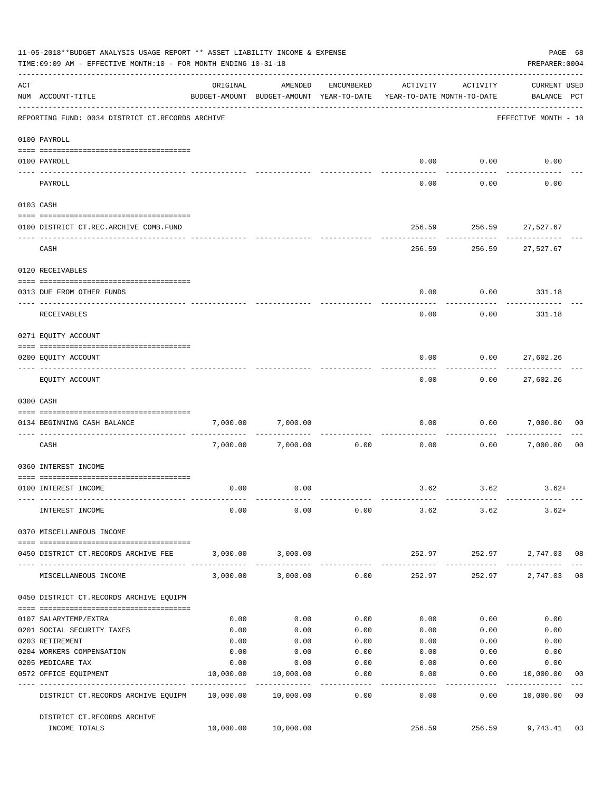|     | 11-05-2018**BUDGET ANALYSIS USAGE REPORT ** ASSET LIABILITY INCOME & EXPENSE<br>TIME: 09:09 AM - EFFECTIVE MONTH: 10 - FOR MONTH ENDING 10-31-18 |              |                                                                                |                    |                 |                                         | PAGE 68<br>PREPARER: 0004                       |                |
|-----|--------------------------------------------------------------------------------------------------------------------------------------------------|--------------|--------------------------------------------------------------------------------|--------------------|-----------------|-----------------------------------------|-------------------------------------------------|----------------|
| ACT | NUM ACCOUNT-TITLE                                                                                                                                | ORIGINAL     | AMENDED<br>BUDGET-AMOUNT BUDGET-AMOUNT YEAR-TO-DATE YEAR-TO-DATE MONTH-TO-DATE | ENCUMBERED         | ACTIVITY        | ACTIVITY                                | <b>CURRENT USED</b><br>BALANCE PCT              |                |
|     | REPORTING FUND: 0034 DISTRICT CT.RECORDS ARCHIVE                                                                                                 |              |                                                                                |                    |                 |                                         | EFFECTIVE MONTH - 10                            |                |
|     | 0100 PAYROLL                                                                                                                                     |              |                                                                                |                    |                 |                                         |                                                 |                |
|     | 0100 PAYROLL                                                                                                                                     |              |                                                                                |                    |                 | $0.00$ $0.00$                           | 0.00                                            |                |
|     | --------------------------- --------<br>---- -------<br>PAYROLL                                                                                  |              |                                                                                |                    | 0.00            | .<br>0.00                               | 0.00                                            |                |
|     | 0103 CASH                                                                                                                                        |              |                                                                                |                    |                 |                                         |                                                 |                |
|     | 0100 DISTRICT CT.REC.ARCHIVE COMB.FUND                                                                                                           |              |                                                                                |                    |                 | 256.59 256.59 27,527.67                 |                                                 |                |
|     | CASH                                                                                                                                             |              |                                                                                |                    |                 | ------------<br>256.59 256.59 27,527.67 |                                                 |                |
|     | 0120 RECEIVABLES                                                                                                                                 |              |                                                                                |                    |                 |                                         |                                                 |                |
|     | 0313 DUE FROM OTHER FUNDS                                                                                                                        |              |                                                                                |                    | 0.00            |                                         | $0.00$ 331.18                                   |                |
|     |                                                                                                                                                  |              |                                                                                |                    |                 |                                         |                                                 |                |
|     | RECEIVABLES                                                                                                                                      |              |                                                                                |                    | 0.00            | 0.00                                    | 331.18                                          |                |
|     | 0271 EQUITY ACCOUNT                                                                                                                              |              |                                                                                |                    |                 |                                         |                                                 |                |
|     | 0200 EQUITY ACCOUNT                                                                                                                              |              |                                                                                |                    | 0.00            | $0.00$ 27,602.26                        |                                                 |                |
|     | EQUITY ACCOUNT                                                                                                                                   |              |                                                                                |                    | 0.00            | ---------<br>0.00                       | -----------<br>27,602.26                        |                |
|     | 0300 CASH                                                                                                                                        |              |                                                                                |                    |                 |                                         |                                                 |                |
|     | 0134 BEGINNING CASH BALANCE                                                                                                                      | 7,000.00     | 7,000.00                                                                       |                    | 0.00            |                                         | 0.00 7,000.00                                   | 0 <sub>0</sub> |
|     | ----------------------------<br>CASH                                                                                                             |              | 7,000.00 7,000.00                                                              | 0.00               | 0.00            |                                         | 0.00 7,000.00                                   | 0 <sub>0</sub> |
|     | 0360 INTEREST INCOME                                                                                                                             |              |                                                                                |                    |                 |                                         |                                                 |                |
|     | 0100 INTEREST INCOME                                                                                                                             | 0.00         | 0.00                                                                           |                    |                 | $3.62$ $3.62$                           | $3.62+$                                         |                |
|     | INTEREST INCOME                                                                                                                                  | 0.00         | 0.00                                                                           |                    |                 | $0.00$ 3.62 3.62                        | $3.62+$                                         |                |
|     | 0370 MISCELLANEOUS INCOME                                                                                                                        |              |                                                                                |                    |                 |                                         |                                                 |                |
|     | 0450 DISTRICT CT.RECORDS ARCHIVE FEE                                                                                                             |              | 3,000.00 3,000.00                                                              |                    |                 | 252.97 252.97 2,747.03 08               |                                                 |                |
|     | MISCELLANEOUS INCOME                                                                                                                             |              | 3,000.00 3,000.00 0.00                                                         |                    | 252.97          |                                         | ------------- --------------<br>252.97 2,747.03 | 08             |
|     | 0450 DISTRICT CT.RECORDS ARCHIVE EQUIPM                                                                                                          |              |                                                                                |                    |                 |                                         |                                                 |                |
|     |                                                                                                                                                  |              |                                                                                |                    |                 |                                         |                                                 |                |
|     | 0107 SALARYTEMP/EXTRA                                                                                                                            | 0.00<br>0.00 | 0.00<br>0.00                                                                   | 0.00<br>0.00       | 0.00            | 0.00                                    | 0.00<br>0.00                                    |                |
|     | 0201 SOCIAL SECURITY TAXES<br>0203 RETIREMENT                                                                                                    | 0.00         | 0.00                                                                           | 0.00               | 0.00<br>0.00    | 0.00<br>0.00                            | 0.00                                            |                |
|     | 0204 WORKERS COMPENSATION                                                                                                                        | 0.00         | 0.00                                                                           | 0.00               | 0.00            | 0.00                                    | 0.00                                            |                |
|     | 0205 MEDICARE TAX                                                                                                                                | 0.00         | 0.00                                                                           | 0.00               | 0.00            | 0.00                                    | 0.00                                            |                |
|     | 0572 OFFICE EQUIPMENT                                                                                                                            | 10,000.00    | 10,000.00                                                                      | 0.00               | 0.00            | 0.00                                    | 10,000.00                                       | 00             |
|     | -------------------- -----------<br>DISTRICT CT.RECORDS ARCHIVE EQUIPM 10,000.00 10,000.00                                                       |              | --------------                                                                 | . <u>.</u><br>0.00 | -------<br>0.00 | ---------<br>0.00                       | ------------<br>10,000.00                       | 0 <sub>0</sub> |
|     | DISTRICT CT.RECORDS ARCHIVE                                                                                                                      |              |                                                                                |                    |                 |                                         |                                                 |                |
|     | INCOME TOTALS                                                                                                                                    |              | 10,000.00 10,000.00                                                            |                    | 256.59          |                                         | 256.59 9,743.41                                 | 03             |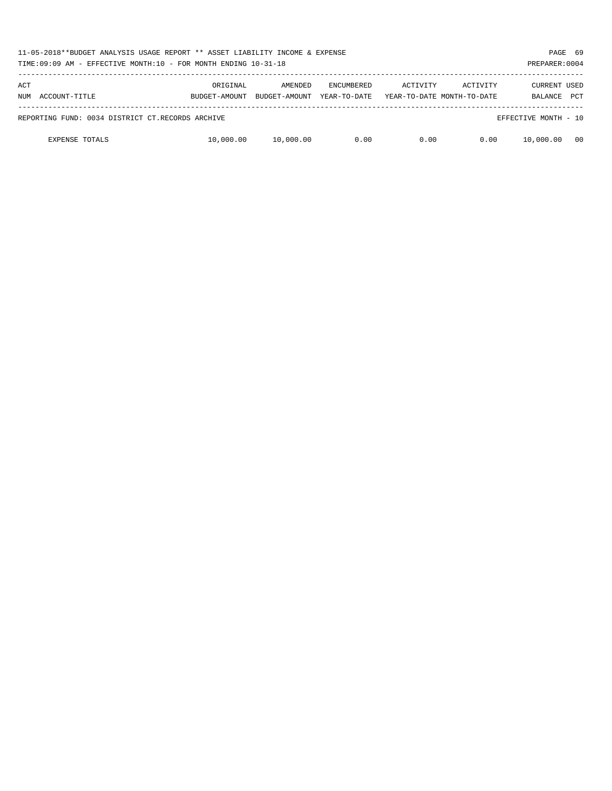| 11-05-2018**BUDGET ANALYSIS USAGE REPORT ** ASSET LIABILITY INCOME & EXPENSE<br>TIME:09:09 AM - EFFECTIVE MONTH:10 - FOR MONTH ENDING 10-31-18 |                           |                          |                                   |          |                                        | PREPARER: 0004                 | PAGE 69    |
|------------------------------------------------------------------------------------------------------------------------------------------------|---------------------------|--------------------------|-----------------------------------|----------|----------------------------------------|--------------------------------|------------|
| ACT<br>NUM ACCOUNT-TITLE                                                                                                                       | ORIGINAL<br>BUDGET-AMOUNT | AMENDED<br>BUDGET-AMOUNT | <b>ENCUMBERED</b><br>YEAR-TO-DATE | ACTIVITY | ACTIVITY<br>YEAR-TO-DATE MONTH-TO-DATE | <b>CURRENT USED</b><br>BALANCE | <b>PCT</b> |
| REPORTING FUND: 0034 DISTRICT CT.RECORDS ARCHIVE                                                                                               |                           |                          |                                   |          |                                        | EFFECTIVE MONTH - 10           |            |
| <b>EXPENSE TOTALS</b>                                                                                                                          | 10,000.00                 | 10,000.00                | 0.00                              | 0.00     | 0.00                                   | 10,000.00                      | 00         |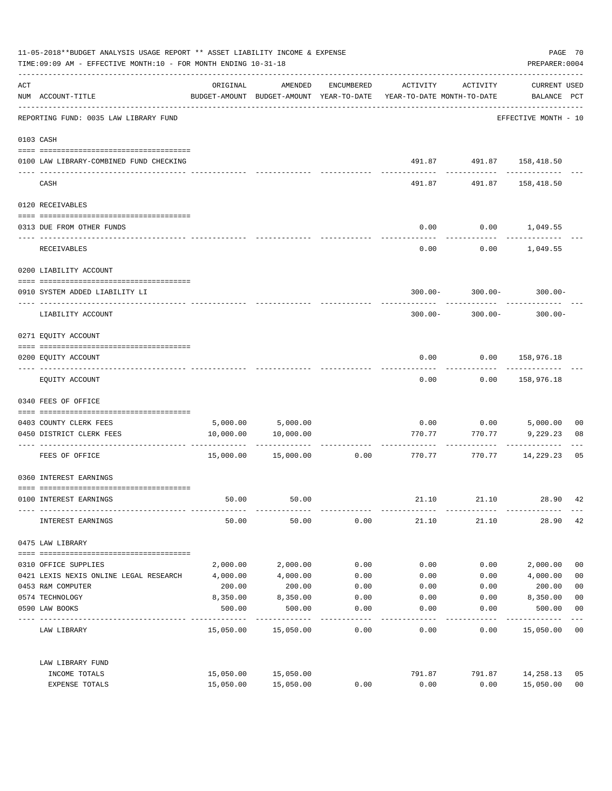| 11-05-2018**BUDGET ANALYSIS USAGE REPORT ** ASSET LIABILITY INCOME & EXPENSE<br>TIME: 09:09 AM - EFFECTIVE MONTH: 10 - FOR MONTH ENDING 10-31-18 |                                                     |           |                      |            |                                                                                 |                            |                                    | PAGE 70<br>PREPARER: 0004 |  |
|--------------------------------------------------------------------------------------------------------------------------------------------------|-----------------------------------------------------|-----------|----------------------|------------|---------------------------------------------------------------------------------|----------------------------|------------------------------------|---------------------------|--|
| ACT                                                                                                                                              | NUM ACCOUNT-TITLE                                   | ORIGINAL  | AMENDED              | ENCUMBERED | ACTIVITY<br>BUDGET-AMOUNT BUDGET-AMOUNT YEAR-TO-DATE YEAR-TO-DATE MONTH-TO-DATE | ACTIVITY                   | <b>CURRENT USED</b><br>BALANCE PCT |                           |  |
|                                                                                                                                                  | REPORTING FUND: 0035 LAW LIBRARY FUND               |           |                      |            |                                                                                 |                            | EFFECTIVE MONTH - 10               |                           |  |
|                                                                                                                                                  | 0103 CASH                                           |           |                      |            |                                                                                 |                            |                                    |                           |  |
|                                                                                                                                                  | 0100 LAW LIBRARY-COMBINED FUND CHECKING             |           |                      |            |                                                                                 | 491.87  491.87  158,418.50 |                                    |                           |  |
|                                                                                                                                                  | CASH                                                |           |                      |            | 491.87                                                                          | 491.87                     | ---------<br>158,418.50            |                           |  |
|                                                                                                                                                  | 0120 RECEIVABLES                                    |           |                      |            |                                                                                 |                            |                                    |                           |  |
|                                                                                                                                                  | 0313 DUE FROM OTHER FUNDS                           |           |                      |            | 0.00                                                                            | $0.00$ 1,049.55            |                                    |                           |  |
|                                                                                                                                                  | RECEIVABLES                                         |           |                      |            | 0.00                                                                            |                            | $0.00$ 1,049.55                    |                           |  |
|                                                                                                                                                  | 0200 LIABILITY ACCOUNT                              |           |                      |            |                                                                                 |                            |                                    |                           |  |
|                                                                                                                                                  | 0910 SYSTEM ADDED LIABILITY LI                      |           |                      |            |                                                                                 |                            | $300.00 - 300.00 - 300.00 -$       |                           |  |
|                                                                                                                                                  | LIABILITY ACCOUNT                                   |           |                      |            | $300.00 -$                                                                      | 300.00-                    | $300.00 -$                         |                           |  |
|                                                                                                                                                  | 0271 EQUITY ACCOUNT                                 |           |                      |            |                                                                                 |                            |                                    |                           |  |
|                                                                                                                                                  | 0200 EQUITY ACCOUNT                                 |           |                      |            | 0.00                                                                            | $0.00$ 158,976.18          |                                    |                           |  |
|                                                                                                                                                  | EQUITY ACCOUNT                                      |           |                      |            | 0.00                                                                            | 0.00                       | 158,976.18                         |                           |  |
|                                                                                                                                                  | 0340 FEES OF OFFICE                                 |           |                      |            |                                                                                 |                            |                                    |                           |  |
|                                                                                                                                                  | 0403 COUNTY CLERK FEES                              |           | 5,000.00 5,000.00    |            |                                                                                 | $0.00$ $0.00$              | 5,000.00                           | 00                        |  |
|                                                                                                                                                  | 0450 DISTRICT CLERK FEES                            | 10,000.00 | 10,000.00            |            | 770.77                                                                          | 770.77                     | 9,229.23                           | 08                        |  |
|                                                                                                                                                  | ------------------- -------------<br>FEES OF OFFICE |           | 15,000.00  15,000.00 | 0.00       | ---------- ------------- ----------<br>770.77                                   | 770.77                     | 14,229.23                          | 05                        |  |
|                                                                                                                                                  | 0360 INTEREST EARNINGS                              |           |                      |            |                                                                                 |                            |                                    |                           |  |
|                                                                                                                                                  | 0100 INTEREST EARNINGS                              | 50.00     | 50.00                |            | 21.10                                                                           | 21.10                      | 28.90                              | 42                        |  |
|                                                                                                                                                  | INTEREST EARNINGS                                   | 50.00     | 50.00                | 0.00       | 21.10                                                                           | 21.10                      | 28.90                              | 42                        |  |
|                                                                                                                                                  | 0475 LAW LIBRARY                                    |           |                      |            |                                                                                 |                            |                                    |                           |  |
|                                                                                                                                                  | 0310 OFFICE SUPPLIES                                | 2,000.00  | 2,000.00             | 0.00       | 0.00                                                                            | 0.00                       | 2,000.00                           | 0 <sub>0</sub>            |  |
|                                                                                                                                                  | 0421 LEXIS NEXIS ONLINE LEGAL RESEARCH              | 4,000.00  | 4,000.00             | 0.00       | 0.00                                                                            | 0.00                       | 4,000.00                           | 0 <sub>0</sub>            |  |
|                                                                                                                                                  | 0453 R&M COMPUTER                                   | 200.00    | 200.00               | 0.00       | 0.00                                                                            | 0.00                       | 200.00                             | 0 <sub>0</sub>            |  |
|                                                                                                                                                  | 0574 TECHNOLOGY                                     | 8,350.00  | 8,350.00             | 0.00       | 0.00                                                                            | 0.00                       | 8,350.00                           | 0 <sub>0</sub>            |  |
|                                                                                                                                                  | 0590 LAW BOOKS                                      | 500.00    | 500.00               | 0.00       | 0.00                                                                            | 0.00                       | 500.00                             | 0 <sub>0</sub>            |  |
|                                                                                                                                                  | LAW LIBRARY                                         |           | 15,050.00 15,050.00  | 0.00       | 0.00                                                                            | 0.00                       | 15,050.00                          | $---$<br>0 <sub>0</sub>   |  |
|                                                                                                                                                  | LAW LIBRARY FUND                                    |           |                      |            |                                                                                 |                            |                                    |                           |  |
|                                                                                                                                                  | INCOME TOTALS                                       | 15,050.00 | 15,050.00            |            | 791.87                                                                          | 791.87                     | 14,258.13                          | 05                        |  |
|                                                                                                                                                  | EXPENSE TOTALS                                      | 15,050.00 | 15,050.00            | 0.00       | 0.00                                                                            | 0.00                       | 15,050.00                          | 0 <sub>0</sub>            |  |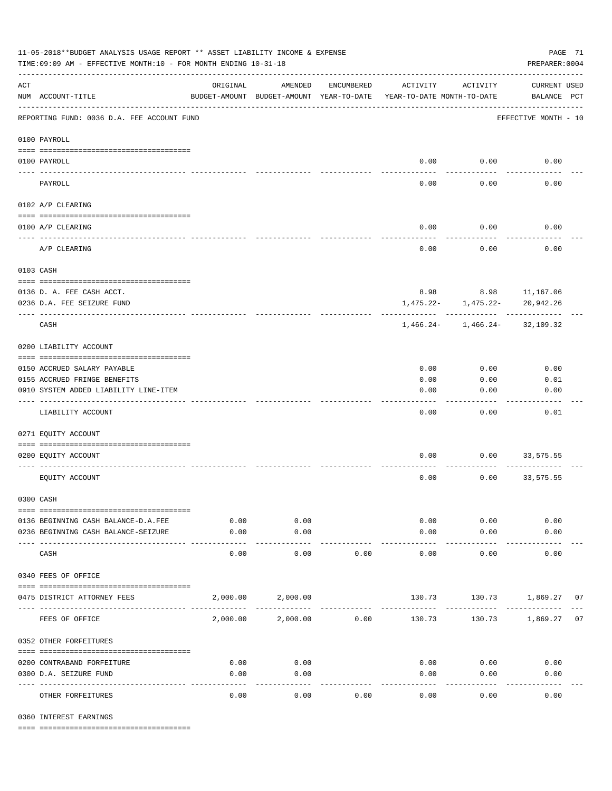| ORIGINAL<br>AMENDED<br>ENCUMBERED<br>ACTIVITY<br>ACTIVITY<br>NUM ACCOUNT-TITLE<br>BUDGET-AMOUNT BUDGET-AMOUNT YEAR-TO-DATE<br>YEAR-TO-DATE MONTH-TO-DATE<br>EFFECTIVE MONTH - 10<br>0.00<br>0.00<br>---- --<br>0.00<br>0.00<br>PAYROLL<br>0102 A/P CLEARING<br>0.00<br>0.00<br>0.00<br>0100 A/P CLEARING<br>0.00<br>0.00<br>A/P CLEARING<br>8.98 8.98 11,167.06<br>0136 D. A. FEE CASH ACCT.<br>1,475.22-<br>1,475.22-<br>20,942.26<br>0236 D.A. FEE SEIZURE FUND<br>CASH<br>1,466.24-<br>1,466.24-<br>32,109.32<br>0200 LIABILITY ACCOUNT<br>0.00<br>0.00<br>0.00<br>0155 ACCRUED FRINGE BENEFITS<br>0.00<br>0.00 | PAGE 71<br>PREPARER: 0004          | 11-05-2018**BUDGET ANALYSIS USAGE REPORT ** ASSET LIABILITY INCOME & EXPENSE<br>TIME: 09:09 AM - EFFECTIVE MONTH: 10 - FOR MONTH ENDING 10-31-18 |  |  |  |  |  |                    |  |
|--------------------------------------------------------------------------------------------------------------------------------------------------------------------------------------------------------------------------------------------------------------------------------------------------------------------------------------------------------------------------------------------------------------------------------------------------------------------------------------------------------------------------------------------------------------------------------------------------------------------|------------------------------------|--------------------------------------------------------------------------------------------------------------------------------------------------|--|--|--|--|--|--------------------|--|
| REPORTING FUND: 0036 D.A. FEE ACCOUNT FUND<br>0100 PAYROLL<br>0100 PAYROLL<br>0103 CASH<br>0150 ACCRUED SALARY PAYABLE                                                                                                                                                                                                                                                                                                                                                                                                                                                                                             | <b>CURRENT USED</b><br>BALANCE PCT |                                                                                                                                                  |  |  |  |  |  | $\mathop{\rm ACT}$ |  |
|                                                                                                                                                                                                                                                                                                                                                                                                                                                                                                                                                                                                                    |                                    |                                                                                                                                                  |  |  |  |  |  |                    |  |
|                                                                                                                                                                                                                                                                                                                                                                                                                                                                                                                                                                                                                    |                                    |                                                                                                                                                  |  |  |  |  |  |                    |  |
|                                                                                                                                                                                                                                                                                                                                                                                                                                                                                                                                                                                                                    | 0.00                               |                                                                                                                                                  |  |  |  |  |  |                    |  |
|                                                                                                                                                                                                                                                                                                                                                                                                                                                                                                                                                                                                                    | 0.00                               |                                                                                                                                                  |  |  |  |  |  |                    |  |
|                                                                                                                                                                                                                                                                                                                                                                                                                                                                                                                                                                                                                    |                                    |                                                                                                                                                  |  |  |  |  |  |                    |  |
|                                                                                                                                                                                                                                                                                                                                                                                                                                                                                                                                                                                                                    |                                    |                                                                                                                                                  |  |  |  |  |  |                    |  |
|                                                                                                                                                                                                                                                                                                                                                                                                                                                                                                                                                                                                                    |                                    |                                                                                                                                                  |  |  |  |  |  |                    |  |
|                                                                                                                                                                                                                                                                                                                                                                                                                                                                                                                                                                                                                    | 0.00                               |                                                                                                                                                  |  |  |  |  |  |                    |  |
|                                                                                                                                                                                                                                                                                                                                                                                                                                                                                                                                                                                                                    |                                    |                                                                                                                                                  |  |  |  |  |  |                    |  |
|                                                                                                                                                                                                                                                                                                                                                                                                                                                                                                                                                                                                                    |                                    |                                                                                                                                                  |  |  |  |  |  |                    |  |
|                                                                                                                                                                                                                                                                                                                                                                                                                                                                                                                                                                                                                    |                                    |                                                                                                                                                  |  |  |  |  |  |                    |  |
|                                                                                                                                                                                                                                                                                                                                                                                                                                                                                                                                                                                                                    |                                    |                                                                                                                                                  |  |  |  |  |  |                    |  |
|                                                                                                                                                                                                                                                                                                                                                                                                                                                                                                                                                                                                                    |                                    |                                                                                                                                                  |  |  |  |  |  |                    |  |
|                                                                                                                                                                                                                                                                                                                                                                                                                                                                                                                                                                                                                    |                                    |                                                                                                                                                  |  |  |  |  |  |                    |  |
|                                                                                                                                                                                                                                                                                                                                                                                                                                                                                                                                                                                                                    |                                    |                                                                                                                                                  |  |  |  |  |  |                    |  |
|                                                                                                                                                                                                                                                                                                                                                                                                                                                                                                                                                                                                                    | 0.01                               |                                                                                                                                                  |  |  |  |  |  |                    |  |
| 0.00<br>0.00<br>0910 SYSTEM ADDED LIABILITY LINE-ITEM                                                                                                                                                                                                                                                                                                                                                                                                                                                                                                                                                              | 0.00                               |                                                                                                                                                  |  |  |  |  |  |                    |  |
| 0.00<br>LIABILITY ACCOUNT<br>0.00                                                                                                                                                                                                                                                                                                                                                                                                                                                                                                                                                                                  | 0.01                               |                                                                                                                                                  |  |  |  |  |  |                    |  |
| 0271 EQUITY ACCOUNT                                                                                                                                                                                                                                                                                                                                                                                                                                                                                                                                                                                                |                                    |                                                                                                                                                  |  |  |  |  |  |                    |  |
|                                                                                                                                                                                                                                                                                                                                                                                                                                                                                                                                                                                                                    |                                    |                                                                                                                                                  |  |  |  |  |  |                    |  |
| 0.00<br>0.00<br>33,575.55<br>0200 EQUITY ACCOUNT                                                                                                                                                                                                                                                                                                                                                                                                                                                                                                                                                                   |                                    |                                                                                                                                                  |  |  |  |  |  |                    |  |
| 0.00<br>EQUITY ACCOUNT<br>0.00<br>33,575.55                                                                                                                                                                                                                                                                                                                                                                                                                                                                                                                                                                        |                                    |                                                                                                                                                  |  |  |  |  |  |                    |  |
| 0300 CASH                                                                                                                                                                                                                                                                                                                                                                                                                                                                                                                                                                                                          |                                    |                                                                                                                                                  |  |  |  |  |  |                    |  |
| 0.00<br>0.00<br>0.00<br>0136 BEGINNING CASH BALANCE-D.A.FEE<br>0.00                                                                                                                                                                                                                                                                                                                                                                                                                                                                                                                                                | 0.00                               |                                                                                                                                                  |  |  |  |  |  |                    |  |
| 0.00<br>0.00<br>0.00<br>0.00<br>0236 BEGINNING CASH BALANCE-SEIZURE                                                                                                                                                                                                                                                                                                                                                                                                                                                                                                                                                | 0.00                               |                                                                                                                                                  |  |  |  |  |  |                    |  |
| $- - - - -$<br>----------<br>-----------<br>0.00<br>0.00<br>CASH<br>0.00<br>0.00<br>0.00                                                                                                                                                                                                                                                                                                                                                                                                                                                                                                                           | 0.00                               |                                                                                                                                                  |  |  |  |  |  |                    |  |
| 0340 FEES OF OFFICE                                                                                                                                                                                                                                                                                                                                                                                                                                                                                                                                                                                                |                                    |                                                                                                                                                  |  |  |  |  |  |                    |  |
|                                                                                                                                                                                                                                                                                                                                                                                                                                                                                                                                                                                                                    |                                    |                                                                                                                                                  |  |  |  |  |  |                    |  |
| 130.73 130.73 1,869.27 07<br>2,000.00 2,000.00<br>0475 DISTRICT ATTORNEY FEES<br>----------                                                                                                                                                                                                                                                                                                                                                                                                                                                                                                                        |                                    |                                                                                                                                                  |  |  |  |  |  |                    |  |
| 2,000.00 2,000.00<br>0.00<br>130.73<br>130.73 1,869.27 07<br>FEES OF OFFICE                                                                                                                                                                                                                                                                                                                                                                                                                                                                                                                                        |                                    |                                                                                                                                                  |  |  |  |  |  |                    |  |
| 0352 OTHER FORFEITURES                                                                                                                                                                                                                                                                                                                                                                                                                                                                                                                                                                                             |                                    |                                                                                                                                                  |  |  |  |  |  |                    |  |
| 0.00<br>0.00<br>0.00<br>0.00<br>0200 CONTRABAND FORFEITURE                                                                                                                                                                                                                                                                                                                                                                                                                                                                                                                                                         | 0.00                               |                                                                                                                                                  |  |  |  |  |  |                    |  |
| 0.00<br>0.00<br>0300 D.A. SEIZURE FUND<br>0.00<br>0.00                                                                                                                                                                                                                                                                                                                                                                                                                                                                                                                                                             | 0.00                               |                                                                                                                                                  |  |  |  |  |  |                    |  |
| $- - - - -$<br>0.00<br>0.00<br>0.00<br>0.00<br>0.00<br>OTHER FORFEITURES                                                                                                                                                                                                                                                                                                                                                                                                                                                                                                                                           | 0.00                               |                                                                                                                                                  |  |  |  |  |  |                    |  |

0360 INTEREST EARNINGS

==== ===================================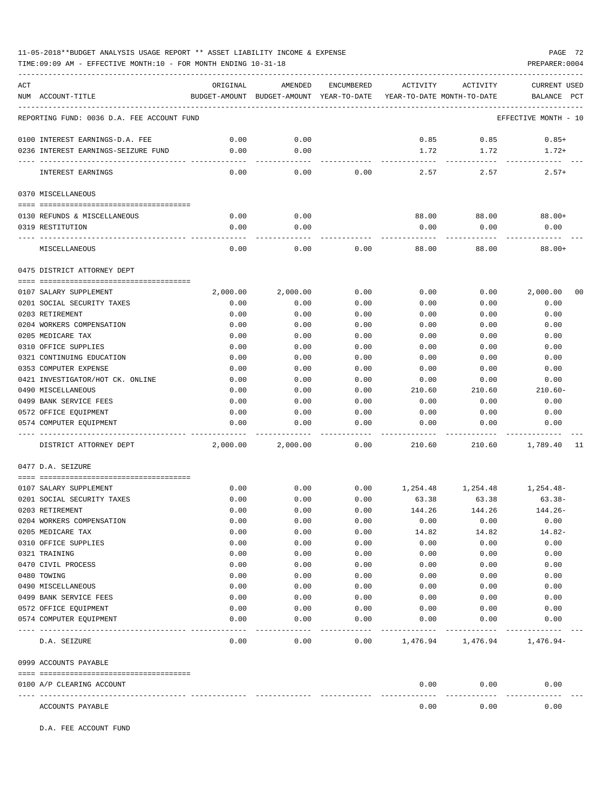TIME:09:09 AM - EFFECTIVE MONTH:10 - FOR MONTH ENDING 10-31-18 PREPARER:0004

| ACT |                                            | ORIGINAL     | AMENDED         | <b>ENCUMBERED</b> | ACTIVITY                                                            | ACTIVITY           | <b>CURRENT USED</b>     |
|-----|--------------------------------------------|--------------|-----------------|-------------------|---------------------------------------------------------------------|--------------------|-------------------------|
|     | NUM ACCOUNT-TITLE                          |              |                 |                   | BUDGET-AMOUNT BUDGET-AMOUNT YEAR-TO-DATE YEAR-TO-DATE MONTH-TO-DATE |                    | BALANCE<br>$_{\rm PCT}$ |
|     |                                            |              |                 |                   |                                                                     |                    |                         |
|     | REPORTING FUND: 0036 D.A. FEE ACCOUNT FUND |              |                 |                   |                                                                     |                    | EFFECTIVE MONTH - 10    |
|     | 0100 INTEREST EARNINGS-D.A. FEE            | 0.00         | 0.00            |                   | 0.85                                                                | 0.85               | $0.85+$                 |
|     | 0236 INTEREST EARNINGS-SEIZURE FUND        | 0.00         | 0.00            |                   | 1.72                                                                | 1.72               | $1.72+$                 |
|     |                                            |              | $- - - - - - -$ |                   |                                                                     | ----------         |                         |
|     | INTEREST EARNINGS                          | 0.00         | 0.00            | 0.00              | 2.57                                                                | 2.57               | $2.57+$                 |
|     | 0370 MISCELLANEOUS                         |              |                 |                   |                                                                     |                    |                         |
|     |                                            |              |                 |                   |                                                                     |                    |                         |
|     | 0130 REFUNDS & MISCELLANEOUS               | 0.00         | 0.00            |                   |                                                                     | 88.00 88.00 88.00+ |                         |
|     | 0319 RESTITUTION                           | 0.00         | 0.00            |                   | 0.00                                                                | 0.00               | 0.00                    |
|     | MISCELLANEOUS                              | 0.00         | 0.00            | 0.00              | 88.00                                                               | 88.00              | $88.00+$                |
|     | 0475 DISTRICT ATTORNEY DEPT                |              |                 |                   |                                                                     |                    |                         |
|     |                                            |              |                 |                   |                                                                     |                    |                         |
|     | 0107 SALARY SUPPLEMENT                     | 2,000.00     | 2,000.00        | 0.00              | 0.00                                                                | 0.00               | 2,000.00<br>00          |
|     | 0201 SOCIAL SECURITY TAXES                 | 0.00         | 0.00            | 0.00              | 0.00                                                                | 0.00               | 0.00                    |
|     | 0203 RETIREMENT                            | 0.00         | 0.00            | 0.00              | 0.00                                                                | 0.00               | 0.00                    |
|     | 0204 WORKERS COMPENSATION                  | 0.00         | 0.00            | 0.00              | 0.00                                                                | 0.00               | 0.00                    |
|     | 0205 MEDICARE TAX                          | 0.00         | 0.00            | 0.00              | 0.00                                                                | 0.00               | 0.00                    |
|     | 0310 OFFICE SUPPLIES                       | 0.00         | 0.00            | 0.00              | 0.00                                                                | 0.00               | 0.00                    |
|     | 0321 CONTINUING EDUCATION                  | 0.00         | 0.00            | 0.00              | 0.00                                                                | 0.00               | 0.00                    |
|     | 0353 COMPUTER EXPENSE                      | 0.00         | 0.00            | 0.00              | 0.00                                                                | 0.00               | 0.00                    |
|     | 0421 INVESTIGATOR/HOT CK. ONLINE           | 0.00         | 0.00            | 0.00              | 0.00                                                                | 0.00               | 0.00                    |
|     | 0490 MISCELLANEOUS                         | 0.00         | 0.00            | 0.00              | 210.60                                                              | 210.60             | 210.60-                 |
|     | 0499 BANK SERVICE FEES                     | 0.00         | 0.00            | 0.00              | 0.00                                                                | 0.00               | 0.00                    |
|     | 0572 OFFICE EQUIPMENT                      | 0.00         | 0.00            | 0.00              | 0.00                                                                | 0.00               | 0.00                    |
|     | 0574 COMPUTER EQUIPMENT                    | 0.00         | 0.00            | 0.00              | 0.00                                                                | 0.00               | 0.00                    |
|     |                                            |              |                 |                   |                                                                     |                    |                         |
|     | DISTRICT ATTORNEY DEPT                     | 2,000.00     | 2,000.00        | 0.00              | 210.60                                                              | 210.60             | 1,789.40 11             |
|     | 0477 D.A. SEIZURE                          |              |                 |                   |                                                                     |                    |                         |
|     |                                            |              |                 |                   |                                                                     |                    |                         |
|     | 0107 SALARY SUPPLEMENT                     | 0.00         | 0.00            | 0.00              |                                                                     | 1,254.48 1,254.48  | 1,254.48-               |
|     | 0201 SOCIAL SECURITY TAXES                 | 0.00         | 0.00            | 0.00              | 63.38                                                               | 63.38              | $63.38-$                |
|     | 0203 RETIREMENT                            | 0.00         | 0.00            | 0.00              | 144.26                                                              | 144.26             | $144.26-$               |
|     | 0204 WORKERS COMPENSATION                  | 0.00         | 0.00            | 0.00              | 0.00                                                                | 0.00               | 0.00                    |
|     | 0205 MEDICARE TAX                          | 0.00         | 0.00            | 0.00              | 14.82                                                               | 14.82              | $14.82-$                |
|     | 0310 OFFICE SUPPLIES                       | 0.00         | 0.00            | 0.00              | 0.00                                                                | 0.00               | 0.00                    |
|     | 0321 TRAINING                              | 0.00         | 0.00            | 0.00              | 0.00                                                                | 0.00               | 0.00                    |
|     | 0470 CIVIL PROCESS<br>0480 TOWING          | 0.00<br>0.00 | 0.00            | 0.00              | 0.00                                                                | 0.00               | 0.00                    |
|     | 0490 MISCELLANEOUS                         | 0.00         | 0.00<br>0.00    | 0.00<br>0.00      | 0.00<br>0.00                                                        | 0.00<br>0.00       | 0.00<br>0.00            |
|     | 0499 BANK SERVICE FEES                     | 0.00         | 0.00            | 0.00              | 0.00                                                                | 0.00               |                         |
|     | 0572 OFFICE EQUIPMENT                      | 0.00         | 0.00            | 0.00              |                                                                     | 0.00               | 0.00                    |
|     | 0574 COMPUTER EQUIPMENT                    | 0.00         | 0.00            | 0.00              | 0.00                                                                |                    | 0.00<br>0.00            |
|     |                                            |              | $- - - -$       |                   | 0.00                                                                | 0.00               |                         |
|     | D.A. SEIZURE                               | 0.00         | 0.00            | 0.00              | 1,476.94                                                            | 1,476.94 1,476.94- |                         |
|     | 0999 ACCOUNTS PAYABLE                      |              |                 |                   |                                                                     |                    |                         |
|     | 0100 A/P CLEARING ACCOUNT                  |              |                 |                   | 0.00                                                                | 0.00               | 0.00                    |
|     | --- ------------<br>ACCOUNTS PAYABLE       |              |                 |                   | 0.00                                                                | 0.00               | 0.00                    |

D.A. FEE ACCOUNT FUND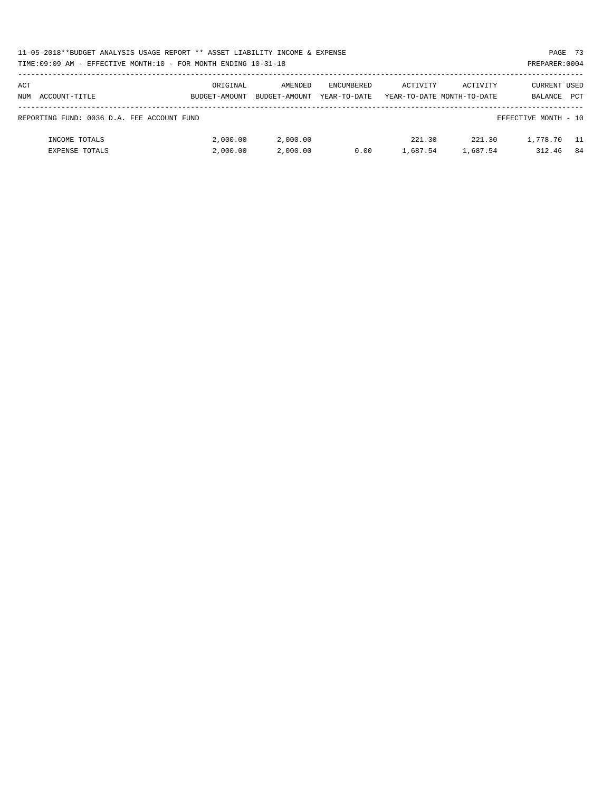| 11-05-2018**BUDGET ANALYSIS USAGE REPORT ** ASSET LIABILITY INCOME & EXPENSE |               |               |                   |                            |          | PAGE 73              |            |
|------------------------------------------------------------------------------|---------------|---------------|-------------------|----------------------------|----------|----------------------|------------|
| TIME:09:09 AM - EFFECTIVE MONTH:10 - FOR MONTH ENDING 10-31-18               |               |               |                   |                            |          | PREPARER: 0004       |            |
|                                                                              |               |               |                   |                            |          |                      |            |
| ACT                                                                          | ORIGINAL      | AMENDED       | <b>ENCUMBERED</b> | ACTIVITY                   | ACTIVITY | CURRENT USED         |            |
| NUM ACCOUNT-TITLE                                                            | BUDGET-AMOUNT | BUDGET-AMOUNT | YEAR-TO-DATE      | YEAR-TO-DATE MONTH-TO-DATE |          | BALANCE              | <b>PCT</b> |
|                                                                              |               |               |                   |                            |          |                      |            |
| REPORTING FUND: 0036 D.A. FEE ACCOUNT FUND                                   |               |               |                   |                            |          | EFFECTIVE MONTH - 10 |            |
|                                                                              |               |               |                   |                            |          |                      |            |
| INCOME TOTALS                                                                | 2,000.00      | 2,000.00      |                   | 221.30                     | 221.30   | 1,778.70             | - 11       |
| <b>EXPENSE TOTALS</b>                                                        | 2,000.00      | 2,000.00      | 0.00              | 1,687.54                   | 1,687.54 | 312.46               | -84        |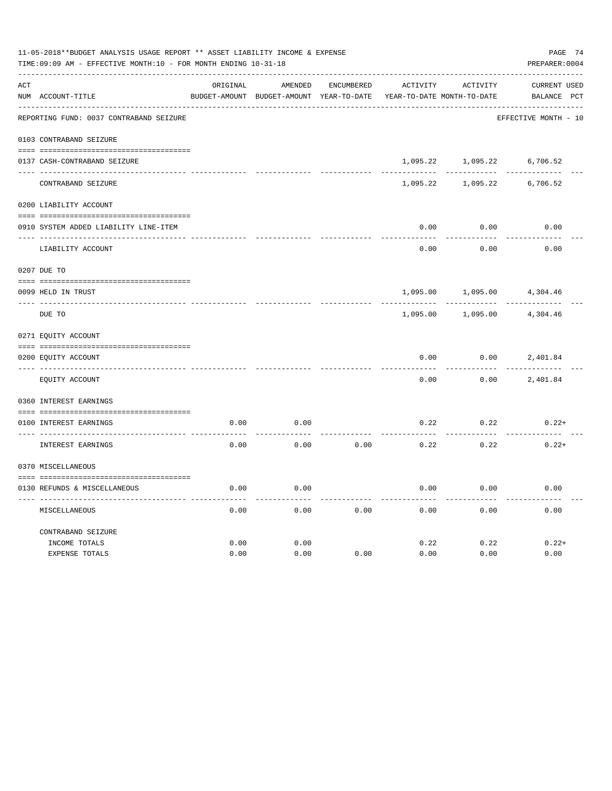| PAGE 74<br>PREPARER: 0004          |  |
|------------------------------------|--|
| <b>CURRENT USED</b><br>BALANCE PCT |  |
| EFFECTIVE MONTH - 10               |  |
|                                    |  |
| 6,706.52                           |  |
| 6,706.52                           |  |
|                                    |  |
| 0.00                               |  |
| 0.00                               |  |
|                                    |  |
| 4,304.46                           |  |
| 4,304.46                           |  |
|                                    |  |
| 2,401.84                           |  |
| 2,401.84                           |  |
|                                    |  |
| $0.22+$                            |  |
| $0.22+$                            |  |
|                                    |  |
| 0.00                               |  |
| 0.00                               |  |
| $0.22+$                            |  |
| 0.00                               |  |
|                                    |  |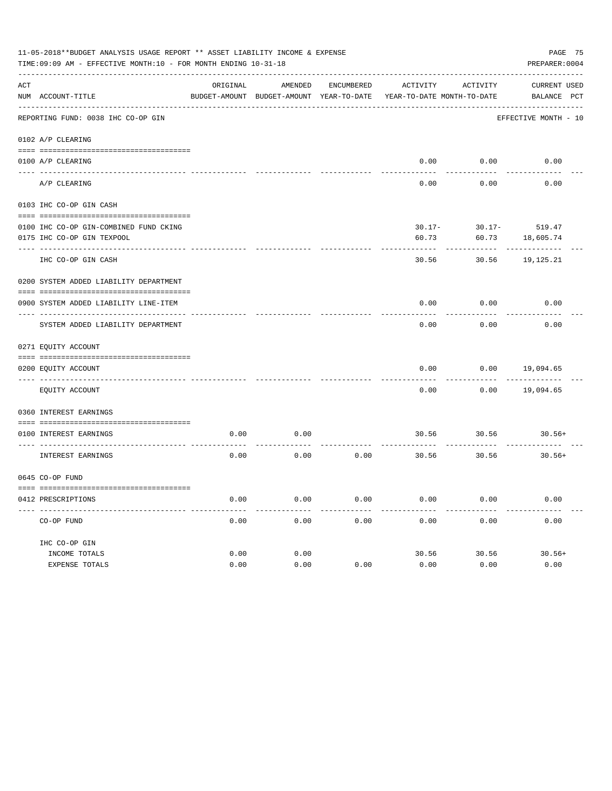| 11-05-2018**BUDGET ANALYSIS USAGE REPORT ** ASSET LIABILITY INCOME & EXPENSE<br>PAGE 75<br>TIME: 09:09 AM - EFFECTIVE MONTH: 10 - FOR MONTH ENDING 10-31-18<br>PREPARER: 0004 |                                                     |          |                                          |            |                            |                          |                      |  |  |
|-------------------------------------------------------------------------------------------------------------------------------------------------------------------------------|-----------------------------------------------------|----------|------------------------------------------|------------|----------------------------|--------------------------|----------------------|--|--|
| ACT                                                                                                                                                                           |                                                     | ORIGINAL | AMENDED                                  | ENCUMBERED | ACTIVITY                   | ACTIVITY                 | CURRENT USED         |  |  |
|                                                                                                                                                                               | NUM ACCOUNT-TITLE                                   |          | BUDGET-AMOUNT BUDGET-AMOUNT YEAR-TO-DATE |            | YEAR-TO-DATE MONTH-TO-DATE |                          | BALANCE PCT          |  |  |
|                                                                                                                                                                               | REPORTING FUND: 0038 IHC CO-OP GIN                  |          |                                          |            |                            |                          | EFFECTIVE MONTH - 10 |  |  |
|                                                                                                                                                                               | 0102 A/P CLEARING                                   |          |                                          |            |                            |                          |                      |  |  |
|                                                                                                                                                                               | 0100 A/P CLEARING                                   |          |                                          |            |                            | $0.00$ $0.00$            | 0.00                 |  |  |
|                                                                                                                                                                               | A/P CLEARING                                        |          |                                          |            | 0.00                       | 0.00                     | 0.00                 |  |  |
|                                                                                                                                                                               | 0103 IHC CO-OP GIN CASH                             |          |                                          |            |                            |                          |                      |  |  |
|                                                                                                                                                                               | 0100 IHC CO-OP GIN-COMBINED FUND CKING              |          |                                          |            |                            | $30.17 - 30.17 - 519.47$ |                      |  |  |
|                                                                                                                                                                               | 0175 IHC CO-OP GIN TEXPOOL                          |          |                                          |            | 60.73                      |                          | 60.73 18,605.74      |  |  |
|                                                                                                                                                                               | IHC CO-OP GIN CASH                                  |          |                                          |            | 30.56                      |                          | 30.56 19,125.21      |  |  |
|                                                                                                                                                                               | 0200 SYSTEM ADDED LIABILITY DEPARTMENT              |          |                                          |            |                            |                          |                      |  |  |
|                                                                                                                                                                               | 0900 SYSTEM ADDED LIABILITY LINE-ITEM               |          |                                          |            | 0.00                       | 0.00                     | 0.00                 |  |  |
|                                                                                                                                                                               | SYSTEM ADDED LIABILITY DEPARTMENT                   |          |                                          |            | 0.00                       | 0.00                     | 0.00                 |  |  |
|                                                                                                                                                                               | 0271 EQUITY ACCOUNT                                 |          |                                          |            |                            |                          |                      |  |  |
|                                                                                                                                                                               |                                                     |          |                                          |            |                            |                          |                      |  |  |
|                                                                                                                                                                               | 0200 EQUITY ACCOUNT<br>---- ----------------------- |          |                                          |            | 0.00<br>-----              |                          | $0.00$ 19,094.65     |  |  |
|                                                                                                                                                                               | EQUITY ACCOUNT                                      |          |                                          |            | 0.00                       | 0.00                     | 19,094.65            |  |  |
|                                                                                                                                                                               | 0360 INTEREST EARNINGS                              |          |                                          |            |                            |                          |                      |  |  |
|                                                                                                                                                                               |                                                     |          |                                          |            |                            |                          |                      |  |  |
|                                                                                                                                                                               | 0100 INTEREST EARNINGS                              | 0.00     | 0.00                                     |            |                            | 30.56 30.56 30.56+       |                      |  |  |
|                                                                                                                                                                               | INTEREST EARNINGS                                   | 0.00     | 0.00                                     | 0.00       |                            | 30.56 30.56              | $30.56+$             |  |  |
|                                                                                                                                                                               | 0645 CO-OP FUND                                     |          |                                          |            |                            |                          |                      |  |  |
|                                                                                                                                                                               |                                                     |          |                                          |            |                            |                          |                      |  |  |
|                                                                                                                                                                               | 0412 PRESCRIPTIONS                                  | 0.00     | 0.00                                     | 0.00       | 0.00                       | 0.00                     | 0.00                 |  |  |
|                                                                                                                                                                               | CO-OP FUND                                          | 0.00     | 0.00                                     | 0.00       | 0.00                       | 0.00                     | 0.00                 |  |  |
|                                                                                                                                                                               | IHC CO-OP GIN                                       |          |                                          |            |                            |                          |                      |  |  |
|                                                                                                                                                                               | INCOME TOTALS                                       | 0.00     | 0.00                                     |            | 30.56                      | 30.56                    | $30.56+$             |  |  |
|                                                                                                                                                                               | EXPENSE TOTALS                                      | 0.00     | 0.00                                     | 0.00       | 0.00                       | 0.00                     | 0.00                 |  |  |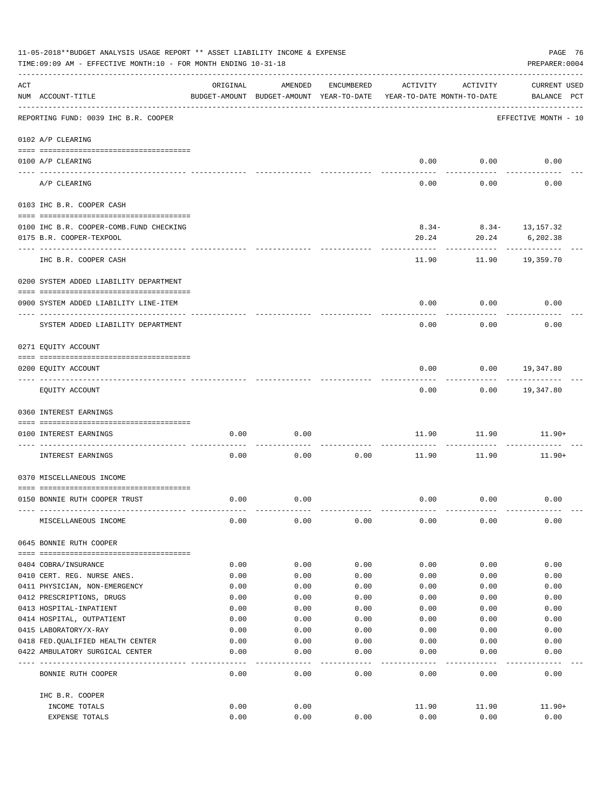| 11-05-2018**BUDGET ANALYSIS USAGE REPORT ** ASSET LIABILITY INCOME & EXPENSE<br>TIME: 09:09 AM - EFFECTIVE MONTH: 10 - FOR MONTH ENDING 10-31-18<br>PREPARER: 0004 |                                                                      |          |                                                     |            |                                        |                           |                                    |  |
|--------------------------------------------------------------------------------------------------------------------------------------------------------------------|----------------------------------------------------------------------|----------|-----------------------------------------------------|------------|----------------------------------------|---------------------------|------------------------------------|--|
| ACT                                                                                                                                                                | NUM ACCOUNT-TITLE                                                    | ORIGINAL | AMENDED<br>BUDGET-AMOUNT BUDGET-AMOUNT YEAR-TO-DATE | ENCUMBERED | ACTIVITY<br>YEAR-TO-DATE MONTH-TO-DATE | ACTIVITY                  | <b>CURRENT USED</b><br>BALANCE PCT |  |
|                                                                                                                                                                    | REPORTING FUND: 0039 IHC B.R. COOPER                                 |          |                                                     |            |                                        |                           | EFFECTIVE MONTH - 10               |  |
|                                                                                                                                                                    | 0102 A/P CLEARING                                                    |          |                                                     |            |                                        |                           |                                    |  |
|                                                                                                                                                                    | 0100 A/P CLEARING<br>---- ---------                                  |          |                                                     |            |                                        | $0.00$ 0.00               | 0.00                               |  |
|                                                                                                                                                                    | A/P CLEARING                                                         |          |                                                     |            | 0.00                                   | 0.00                      | 0.00                               |  |
|                                                                                                                                                                    | 0103 IHC B.R. COOPER CASH                                            |          |                                                     |            |                                        |                           |                                    |  |
|                                                                                                                                                                    |                                                                      |          |                                                     |            |                                        |                           |                                    |  |
|                                                                                                                                                                    | 0100 IHC B.R. COOPER-COMB.FUND CHECKING                              |          |                                                     |            |                                        | $8.34 - 8.34 - 13,157.32$ |                                    |  |
|                                                                                                                                                                    | 0175 B.R. COOPER-TEXPOOL                                             |          |                                                     |            | 20.24                                  | 20.24                     | 6,202.38                           |  |
|                                                                                                                                                                    | IHC B.R. COOPER CASH                                                 |          |                                                     |            | 11.90                                  |                           | 11.90 19,359.70                    |  |
|                                                                                                                                                                    | 0200 SYSTEM ADDED LIABILITY DEPARTMENT                               |          |                                                     |            |                                        |                           |                                    |  |
|                                                                                                                                                                    |                                                                      |          |                                                     |            |                                        |                           |                                    |  |
|                                                                                                                                                                    | 0900 SYSTEM ADDED LIABILITY LINE-ITEM                                |          |                                                     |            | 0.00                                   | 0.00                      | 0.00                               |  |
|                                                                                                                                                                    | SYSTEM ADDED LIABILITY DEPARTMENT                                    |          |                                                     |            | 0.00                                   | 0.00                      | 0.00                               |  |
|                                                                                                                                                                    | 0271 EQUITY ACCOUNT                                                  |          |                                                     |            |                                        |                           |                                    |  |
|                                                                                                                                                                    |                                                                      |          |                                                     |            |                                        |                           |                                    |  |
|                                                                                                                                                                    | 0200 EQUITY ACCOUNT                                                  |          |                                                     |            | 0.00                                   | 0.00                      | 19,347.80                          |  |
|                                                                                                                                                                    | EQUITY ACCOUNT                                                       |          |                                                     |            | 0.00                                   |                           | 0.00 19,347.80                     |  |
|                                                                                                                                                                    | 0360 INTEREST EARNINGS                                               |          |                                                     |            |                                        |                           |                                    |  |
|                                                                                                                                                                    | 0100 INTEREST EARNINGS                                               | 0.00     | 0.00                                                |            | 11.90                                  | 11.90                     | 11.90+                             |  |
|                                                                                                                                                                    | INTEREST EARNINGS                                                    | 0.00     | 0.00                                                | 0.00       | 11.90                                  | 11.90                     | $11.90+$                           |  |
|                                                                                                                                                                    | 0370 MISCELLANEOUS INCOME                                            |          |                                                     |            |                                        |                           |                                    |  |
|                                                                                                                                                                    |                                                                      |          |                                                     |            |                                        |                           |                                    |  |
|                                                                                                                                                                    | 0150 BONNIE RUTH COOPER TRUST                                        | 0.00     | 0.00                                                |            | 0.00                                   | 0.00                      | 0.00                               |  |
|                                                                                                                                                                    | MISCELLANEOUS INCOME                                                 | 0.00     | 0.00                                                | 0.00       | 0.00                                   | 0.00                      | 0.00                               |  |
|                                                                                                                                                                    | 0645 BONNIE RUTH COOPER                                              |          |                                                     |            |                                        |                           |                                    |  |
|                                                                                                                                                                    | 0404 COBRA/INSURANCE                                                 | 0.00     | 0.00                                                | 0.00       | 0.00                                   | 0.00                      | 0.00                               |  |
|                                                                                                                                                                    | 0410 CERT. REG. NURSE ANES.                                          | 0.00     | 0.00                                                | 0.00       | 0.00                                   | 0.00                      | 0.00                               |  |
|                                                                                                                                                                    | 0411 PHYSICIAN, NON-EMERGENCY                                        | 0.00     | 0.00                                                | 0.00       | 0.00                                   | 0.00                      | 0.00                               |  |
|                                                                                                                                                                    | 0412 PRESCRIPTIONS, DRUGS                                            | 0.00     | 0.00                                                | 0.00       | 0.00                                   | 0.00                      | 0.00                               |  |
|                                                                                                                                                                    | 0413 HOSPITAL-INPATIENT                                              | 0.00     | 0.00                                                | 0.00       | 0.00                                   | 0.00                      | 0.00                               |  |
|                                                                                                                                                                    | 0414 HOSPITAL, OUTPATIENT                                            | 0.00     | 0.00                                                | 0.00       | 0.00                                   | 0.00                      | 0.00                               |  |
|                                                                                                                                                                    | 0415 LABORATORY/X-RAY                                                | 0.00     | 0.00                                                | 0.00       | 0.00                                   | 0.00                      | 0.00                               |  |
|                                                                                                                                                                    | 0418 FED. QUALIFIED HEALTH CENTER                                    | 0.00     | 0.00                                                | 0.00       | 0.00                                   | 0.00                      | 0.00                               |  |
|                                                                                                                                                                    | 0422 AMBULATORY SURGICAL CENTER<br>--------------------------------- | 0.00     | 0.00                                                | 0.00       | 0.00                                   | 0.00                      | 0.00<br>-----                      |  |
|                                                                                                                                                                    | BONNIE RUTH COOPER                                                   | 0.00     | 0.00                                                | 0.00       | 0.00                                   | 0.00                      | 0.00                               |  |
|                                                                                                                                                                    | IHC B.R. COOPER                                                      |          |                                                     |            |                                        |                           |                                    |  |
|                                                                                                                                                                    | INCOME TOTALS                                                        | 0.00     | 0.00                                                |            | 11.90                                  | 11.90                     | $11.90+$                           |  |
|                                                                                                                                                                    | EXPENSE TOTALS                                                       | 0.00     | 0.00                                                | 0.00       | 0.00                                   | 0.00                      | 0.00                               |  |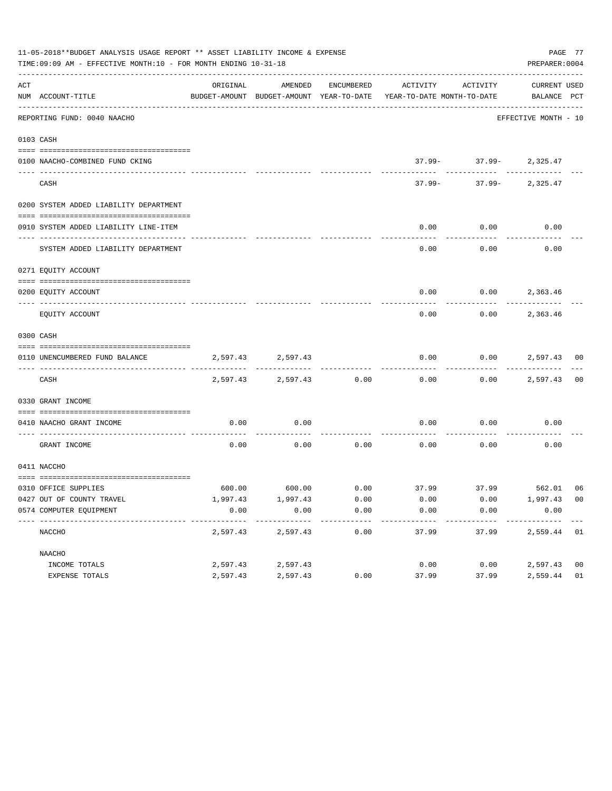|     | 11-05-2018**BUDGET ANALYSIS USAGE REPORT ** ASSET LIABILITY INCOME & EXPENSE<br>TIME: 09:09 AM - EFFECTIVE MONTH: 10 - FOR MONTH ENDING 10-31-18 |          |                                                     |            |                                        |                            |                             |                |  |
|-----|--------------------------------------------------------------------------------------------------------------------------------------------------|----------|-----------------------------------------------------|------------|----------------------------------------|----------------------------|-----------------------------|----------------|--|
| ACT | NUM ACCOUNT-TITLE                                                                                                                                | ORIGINAL | AMENDED<br>BUDGET-AMOUNT BUDGET-AMOUNT YEAR-TO-DATE | ENCUMBERED | ACTIVITY<br>YEAR-TO-DATE MONTH-TO-DATE | ACTIVITY                   | CURRENT USED<br>BALANCE PCT |                |  |
|     | REPORTING FUND: 0040 NAACHO                                                                                                                      |          |                                                     |            |                                        |                            | EFFECTIVE MONTH - 10        |                |  |
|     | 0103 CASH                                                                                                                                        |          |                                                     |            |                                        |                            |                             |                |  |
|     | 0100 NAACHO-COMBINED FUND CKING                                                                                                                  |          |                                                     |            |                                        | $37.99 - 37.99 - 2,325.47$ |                             |                |  |
|     | CASH                                                                                                                                             |          |                                                     |            | 37.99-                                 |                            | $37.99 - 2,325.47$          |                |  |
|     | 0200 SYSTEM ADDED LIABILITY DEPARTMENT                                                                                                           |          |                                                     |            |                                        |                            |                             |                |  |
|     | 0910 SYSTEM ADDED LIABILITY LINE-ITEM                                                                                                            |          |                                                     |            | 0.00                                   | 0.00                       | 0.00                        |                |  |
|     | SYSTEM ADDED LIABILITY DEPARTMENT                                                                                                                |          |                                                     |            | 0.00                                   | 0.00                       | 0.00                        |                |  |
|     | 0271 EQUITY ACCOUNT                                                                                                                              |          |                                                     |            |                                        |                            |                             |                |  |
|     | 0200 EQUITY ACCOUNT                                                                                                                              |          |                                                     |            |                                        | $0.00$ $0.00$ $2,363.46$   |                             |                |  |
|     | EQUITY ACCOUNT                                                                                                                                   |          |                                                     |            | 0.00                                   |                            | $0.00$ 2,363.46             |                |  |
|     | 0300 CASH                                                                                                                                        |          |                                                     |            |                                        |                            |                             |                |  |
|     | 0110 UNENCUMBERED FUND BALANCE                                                                                                                   |          | 2,597.43 2,597.43                                   |            | 0.00                                   |                            | $0.00$ 2,597.43 00          |                |  |
|     | CASH                                                                                                                                             |          | 2,597.43 2,597.43                                   | 0.00       | 0.00                                   |                            | $0.00$ 2,597.43             | 0 <sub>0</sub> |  |
|     | 0330 GRANT INCOME                                                                                                                                |          |                                                     |            |                                        |                            |                             |                |  |
|     | 0410 NAACHO GRANT INCOME<br>------------- --                                                                                                     | 0.00     | 0.00                                                |            | 0.00                                   | 0.00                       | 0.00                        |                |  |
|     | GRANT INCOME                                                                                                                                     | 0.00     | 0.00                                                | 0.00       | 0.00                                   | 0.00                       | 0.00                        |                |  |
|     | 0411 NACCHO                                                                                                                                      |          |                                                     |            |                                        |                            |                             |                |  |
|     |                                                                                                                                                  |          |                                                     |            |                                        |                            |                             |                |  |
|     | 0310 OFFICE SUPPLIES<br>0427 OUT OF COUNTY TRAVEL                                                                                                | 1,997.43 | 1,997.43                                            | 0.00       | 0.00                                   | 0.00                       | 1,997.43 00                 |                |  |
|     | 0574 COMPUTER EQUIPMENT                                                                                                                          | 0.00     | 0.00                                                | 0.00       | 0.00                                   | 0.00                       | 0.00                        |                |  |
|     | NACCHO                                                                                                                                           | 2,597.43 | 2,597.43                                            | 0.00       | 37.99                                  | 37.99                      | 2,559.44 01                 |                |  |
|     | NAACHO                                                                                                                                           |          |                                                     |            |                                        |                            |                             |                |  |
|     | INCOME TOTALS                                                                                                                                    | 2,597.43 | 2,597.43                                            |            | 0.00                                   | 0.00                       | 2,597.43 00                 |                |  |
|     | EXPENSE TOTALS                                                                                                                                   | 2,597.43 | 2,597.43                                            | 0.00       | 37.99                                  | 37.99                      | 2,559.44                    | 01             |  |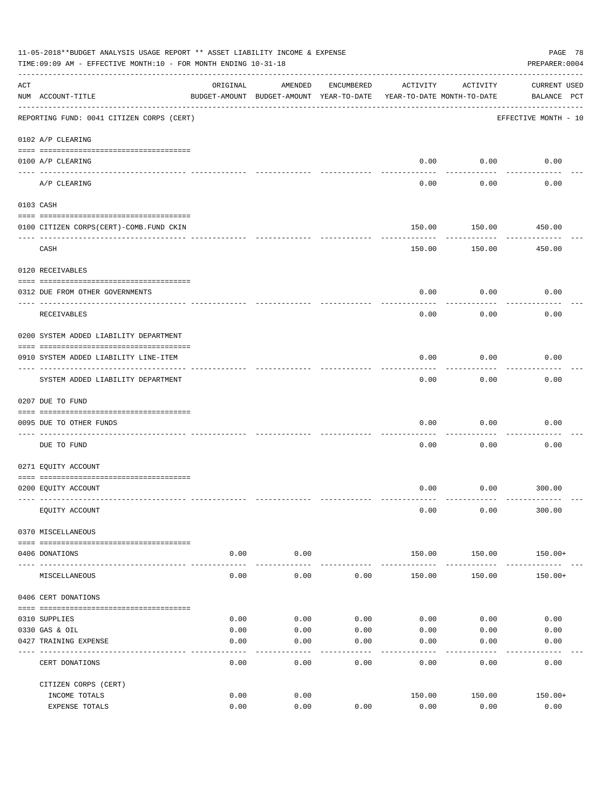| 11-05-2018**BUDGET ANALYSIS USAGE REPORT ** ASSET LIABILITY INCOME & EXPENSE<br>TIME: 09:09 AM - EFFECTIVE MONTH: 10 - FOR MONTH ENDING 10-31-18<br>PREPARER: 0004 |                                           |               |                                                                                |              |                |                     |                             |  |
|--------------------------------------------------------------------------------------------------------------------------------------------------------------------|-------------------------------------------|---------------|--------------------------------------------------------------------------------|--------------|----------------|---------------------|-----------------------------|--|
| ACT                                                                                                                                                                | NUM ACCOUNT-TITLE                         | ORIGINAL      | AMENDED<br>BUDGET-AMOUNT BUDGET-AMOUNT YEAR-TO-DATE YEAR-TO-DATE MONTH-TO-DATE | ENCUMBERED   | ACTIVITY       | ACTIVITY            | CURRENT USED<br>BALANCE PCT |  |
|                                                                                                                                                                    | REPORTING FUND: 0041 CITIZEN CORPS (CERT) |               |                                                                                |              |                |                     | EFFECTIVE MONTH - 10        |  |
|                                                                                                                                                                    | 0102 A/P CLEARING                         |               |                                                                                |              |                |                     |                             |  |
|                                                                                                                                                                    | 0100 A/P CLEARING                         |               |                                                                                |              | 0.00           | 0.00                | 0.00                        |  |
|                                                                                                                                                                    | A/P CLEARING                              |               |                                                                                |              | 0.00           | 0.00                | 0.00                        |  |
|                                                                                                                                                                    | 0103 CASH                                 |               |                                                                                |              |                |                     |                             |  |
|                                                                                                                                                                    | 0100 CITIZEN CORPS (CERT)-COMB. FUND CKIN |               |                                                                                |              | 150.00         | 150.00              | 450.00                      |  |
|                                                                                                                                                                    | CASH                                      |               |                                                                                |              | 150.00         | .<br>150.00         | ---------<br>450.00         |  |
|                                                                                                                                                                    | 0120 RECEIVABLES                          |               |                                                                                |              |                |                     |                             |  |
|                                                                                                                                                                    | 0312 DUE FROM OTHER GOVERNMENTS           |               |                                                                                |              | 0.00           | 0.00                | 0.00                        |  |
|                                                                                                                                                                    | RECEIVABLES                               |               |                                                                                |              | 0.00           | 0.00                | 0.00                        |  |
|                                                                                                                                                                    | 0200 SYSTEM ADDED LIABILITY DEPARTMENT    |               |                                                                                |              |                |                     |                             |  |
|                                                                                                                                                                    | 0910 SYSTEM ADDED LIABILITY LINE-ITEM     |               |                                                                                |              | 0.00           | 0.00                | 0.00                        |  |
|                                                                                                                                                                    | SYSTEM ADDED LIABILITY DEPARTMENT         |               |                                                                                |              | 0.00           | 0.00                | 0.00                        |  |
|                                                                                                                                                                    | 0207 DUE TO FUND                          |               |                                                                                |              |                |                     |                             |  |
|                                                                                                                                                                    | 0095 DUE TO OTHER FUNDS                   |               |                                                                                |              | 0.00           | 0.00                | 0.00                        |  |
|                                                                                                                                                                    | DUE TO FUND                               |               |                                                                                |              | 0.00           | 0.00                | 0.00                        |  |
|                                                                                                                                                                    | 0271 EQUITY ACCOUNT                       |               |                                                                                |              |                |                     |                             |  |
|                                                                                                                                                                    | 0200 EQUITY ACCOUNT                       |               |                                                                                |              | 0.00           |                     | $0.00$ 300.00               |  |
|                                                                                                                                                                    | EQUITY ACCOUNT                            |               |                                                                                |              | 0.00           | 0.00                | 300.00                      |  |
|                                                                                                                                                                    | 0370 MISCELLANEOUS                        |               |                                                                                |              |                |                     |                             |  |
|                                                                                                                                                                    | 0406 DONATIONS                            | 0.00          | 0.00                                                                           |              | 150.00         | 150.00              | 150.00+                     |  |
|                                                                                                                                                                    | MISCELLANEOUS                             | -----<br>0.00 | ---------<br>0.00                                                              | 0.00         | 150.00         | ---------<br>150.00 | $150.00+$                   |  |
|                                                                                                                                                                    | 0406 CERT DONATIONS                       |               |                                                                                |              |                |                     |                             |  |
|                                                                                                                                                                    |                                           |               |                                                                                |              |                |                     |                             |  |
|                                                                                                                                                                    | 0310 SUPPLIES                             | 0.00          | 0.00                                                                           | 0.00         | 0.00           | 0.00                | 0.00                        |  |
|                                                                                                                                                                    | 0330 GAS & OIL<br>0427 TRAINING EXPENSE   | 0.00<br>0.00  | 0.00<br>0.00                                                                   | 0.00<br>0.00 | 0.00<br>0.00   | 0.00<br>0.00        | 0.00<br>0.00                |  |
|                                                                                                                                                                    |                                           |               |                                                                                |              |                |                     |                             |  |
|                                                                                                                                                                    | CERT DONATIONS                            | 0.00          | 0.00                                                                           | 0.00         | 0.00           | 0.00                | 0.00                        |  |
|                                                                                                                                                                    | CITIZEN CORPS (CERT)                      |               |                                                                                |              |                |                     |                             |  |
|                                                                                                                                                                    | INCOME TOTALS<br>EXPENSE TOTALS           | 0.00<br>0.00  | 0.00<br>0.00                                                                   | 0.00         | 150.00<br>0.00 | 150.00<br>0.00      | $150.00+$<br>0.00           |  |
|                                                                                                                                                                    |                                           |               |                                                                                |              |                |                     |                             |  |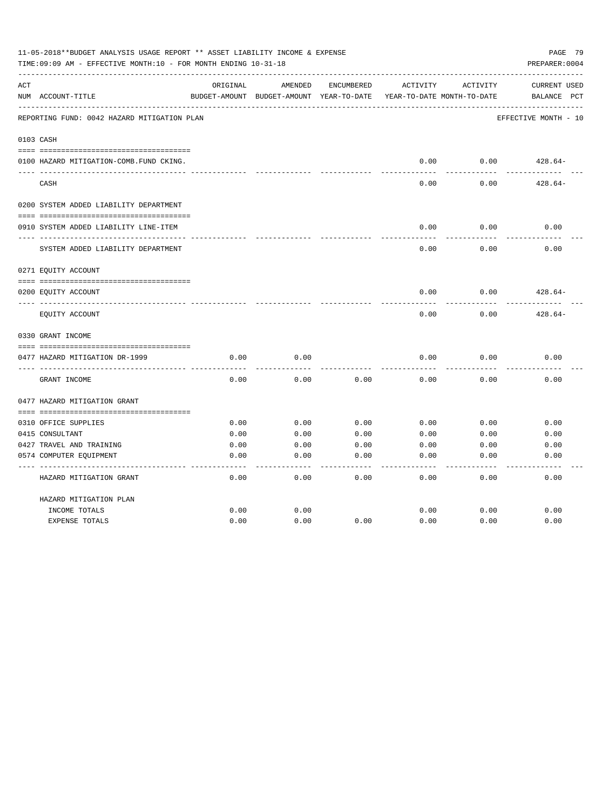| 11-05-2018**BUDGET ANALYSIS USAGE REPORT ** ASSET LIABILITY INCOME & EXPENSE<br>TIME: 09:09 AM - EFFECTIVE MONTH: 10 - FOR MONTH ENDING 10-31-18<br>PREPARER: 0004 |                                             |          |                                                     |            |          |                                        |                                                |  |
|--------------------------------------------------------------------------------------------------------------------------------------------------------------------|---------------------------------------------|----------|-----------------------------------------------------|------------|----------|----------------------------------------|------------------------------------------------|--|
| ACT                                                                                                                                                                | NUM ACCOUNT-TITLE                           | ORIGINAL | AMENDED<br>BUDGET-AMOUNT BUDGET-AMOUNT YEAR-TO-DATE | ENCUMBERED | ACTIVITY | ACTIVITY<br>YEAR-TO-DATE MONTH-TO-DATE | <b>CURRENT USED</b><br>$_{\rm PCT}$<br>BALANCE |  |
|                                                                                                                                                                    | REPORTING FUND: 0042 HAZARD MITIGATION PLAN |          |                                                     |            |          |                                        | EFFECTIVE MONTH - 10                           |  |
|                                                                                                                                                                    | 0103 CASH                                   |          |                                                     |            |          |                                        |                                                |  |
|                                                                                                                                                                    | 0100 HAZARD MITIGATION-COMB.FUND CKING.     |          |                                                     |            | 0.00     | 0.00                                   | $428.64-$                                      |  |
|                                                                                                                                                                    | CASH                                        |          |                                                     |            | 0.00     | 0.00                                   | $428.64-$                                      |  |
|                                                                                                                                                                    | 0200 SYSTEM ADDED LIABILITY DEPARTMENT      |          |                                                     |            |          |                                        |                                                |  |
|                                                                                                                                                                    | 0910 SYSTEM ADDED LIABILITY LINE-ITEM       |          |                                                     |            | 0.00     | 0.00                                   | 0.00                                           |  |
|                                                                                                                                                                    | SYSTEM ADDED LIABILITY DEPARTMENT           |          |                                                     |            | 0.00     | 0.00                                   | 0.00                                           |  |
|                                                                                                                                                                    | 0271 EQUITY ACCOUNT                         |          |                                                     |            |          |                                        |                                                |  |
|                                                                                                                                                                    | 0200 EQUITY ACCOUNT                         |          |                                                     |            | 0.00     | 0.00                                   | $428.64-$                                      |  |
|                                                                                                                                                                    | EQUITY ACCOUNT                              |          |                                                     |            | 0.00     | 0.00                                   | $428.64-$                                      |  |
|                                                                                                                                                                    | 0330 GRANT INCOME                           |          |                                                     |            |          |                                        |                                                |  |
|                                                                                                                                                                    | 0477 HAZARD MITIGATION DR-1999              | 0.00     | 0.00                                                |            | 0.00     | 0.00                                   | 0.00                                           |  |
|                                                                                                                                                                    | GRANT INCOME                                | 0.00     | 0.00                                                | 0.00       | 0.00     | 0.00                                   | 0.00                                           |  |
|                                                                                                                                                                    | 0477 HAZARD MITIGATION GRANT                |          |                                                     |            |          |                                        |                                                |  |
|                                                                                                                                                                    | 0310 OFFICE SUPPLIES                        | 0.00     | 0.00                                                | 0.00       | 0.00     | 0.00                                   | 0.00                                           |  |
|                                                                                                                                                                    | 0415 CONSULTANT                             | 0.00     | 0.00                                                | 0.00       | 0.00     | 0.00                                   | 0.00                                           |  |
|                                                                                                                                                                    | 0427 TRAVEL AND TRAINING                    | 0.00     | 0.00                                                | 0.00       | 0.00     | 0.00                                   | 0.00                                           |  |
|                                                                                                                                                                    | 0574 COMPUTER EQUIPMENT                     | 0.00     | 0.00                                                | 0.00       | 0.00     | 0.00                                   | 0.00                                           |  |
|                                                                                                                                                                    |                                             |          |                                                     |            |          |                                        |                                                |  |
|                                                                                                                                                                    | HAZARD MITIGATION GRANT                     | 0.00     | 0.00                                                | 0.00       | 0.00     | 0.00                                   | 0.00                                           |  |
|                                                                                                                                                                    | HAZARD MITIGATION PLAN                      |          |                                                     |            |          |                                        |                                                |  |
|                                                                                                                                                                    | INCOME TOTALS                               | 0.00     | 0.00                                                |            | 0.00     | 0.00                                   | 0.00                                           |  |
|                                                                                                                                                                    | <b>EXPENSE TOTALS</b>                       | 0.00     | 0.00                                                | 0.00       | 0.00     | 0.00                                   | 0.00                                           |  |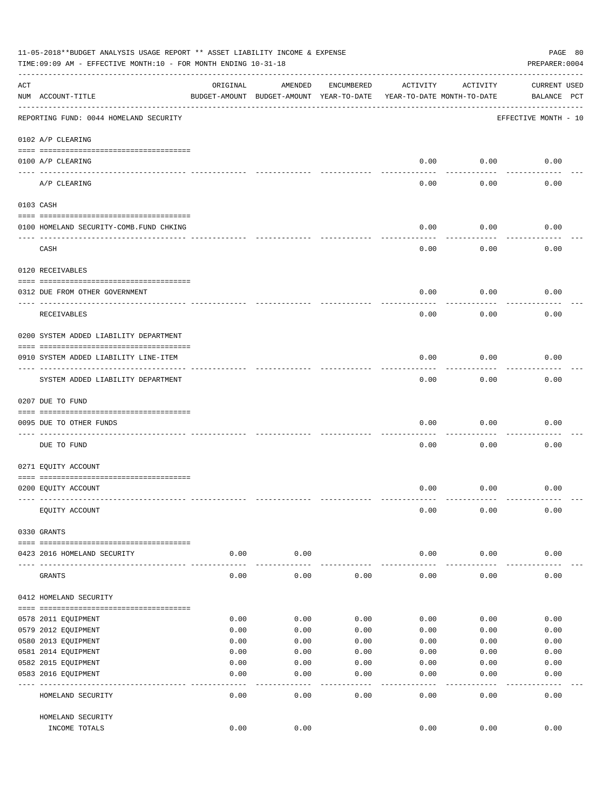| 11-05-2018**BUDGET ANALYSIS USAGE REPORT ** ASSET LIABILITY INCOME & EXPENSE<br>PAGE 80<br>TIME: 09:09 AM - EFFECTIVE MONTH: 10 - FOR MONTH ENDING 10-31-18<br>PREPARER: 0004 |                                          |          |                                                     |            |                                        |                 |                                    |  |
|-------------------------------------------------------------------------------------------------------------------------------------------------------------------------------|------------------------------------------|----------|-----------------------------------------------------|------------|----------------------------------------|-----------------|------------------------------------|--|
| ACT                                                                                                                                                                           | NUM ACCOUNT-TITLE                        | ORIGINAL | AMENDED<br>BUDGET-AMOUNT BUDGET-AMOUNT YEAR-TO-DATE | ENCUMBERED | ACTIVITY<br>YEAR-TO-DATE MONTH-TO-DATE | ACTIVITY        | <b>CURRENT USED</b><br>BALANCE PCT |  |
|                                                                                                                                                                               | REPORTING FUND: 0044 HOMELAND SECURITY   |          |                                                     |            |                                        |                 | EFFECTIVE MONTH - 10               |  |
|                                                                                                                                                                               | 0102 A/P CLEARING                        |          |                                                     |            |                                        |                 |                                    |  |
|                                                                                                                                                                               | 0100 A/P CLEARING                        |          |                                                     |            | 0.00                                   | 0.00            | 0.00                               |  |
|                                                                                                                                                                               | ____ _________<br>A/P CLEARING           |          |                                                     |            | 0.00                                   | 0.00            | 0.00                               |  |
|                                                                                                                                                                               | 0103 CASH                                |          |                                                     |            |                                        |                 |                                    |  |
|                                                                                                                                                                               | 0100 HOMELAND SECURITY-COMB. FUND CHKING |          |                                                     |            | 0.00                                   | 0.00            | 0.00                               |  |
|                                                                                                                                                                               | CASH                                     |          |                                                     |            | 0.00                                   | 0.00            | 0.00                               |  |
|                                                                                                                                                                               | 0120 RECEIVABLES                         |          |                                                     |            |                                        |                 |                                    |  |
|                                                                                                                                                                               | 0312 DUE FROM OTHER GOVERNMENT           |          |                                                     |            | 0.00                                   | 0.00            | 0.00                               |  |
|                                                                                                                                                                               | RECEIVABLES                              |          |                                                     |            | 0.00                                   | 0.00            | 0.00                               |  |
|                                                                                                                                                                               | 0200 SYSTEM ADDED LIABILITY DEPARTMENT   |          |                                                     |            |                                        |                 |                                    |  |
|                                                                                                                                                                               | 0910 SYSTEM ADDED LIABILITY LINE-ITEM    |          |                                                     |            | 0.00                                   | 0.00            | 0.00                               |  |
|                                                                                                                                                                               | SYSTEM ADDED LIABILITY DEPARTMENT        |          |                                                     |            | 0.00                                   | 0.00            | 0.00                               |  |
|                                                                                                                                                                               | 0207 DUE TO FUND                         |          |                                                     |            |                                        |                 |                                    |  |
|                                                                                                                                                                               | 0095 DUE TO OTHER FUNDS                  |          |                                                     |            | 0.00                                   | 0.00            | 0.00                               |  |
|                                                                                                                                                                               | DUE TO FUND                              |          |                                                     |            | 0.00                                   | 0.00            | 0.00                               |  |
|                                                                                                                                                                               | 0271 EQUITY ACCOUNT                      |          |                                                     |            |                                        |                 |                                    |  |
|                                                                                                                                                                               | 0200 EQUITY ACCOUNT                      |          |                                                     |            | 0.00                                   | 0.00            | 0.00                               |  |
|                                                                                                                                                                               | EQUITY ACCOUNT                           |          |                                                     |            | 0.00                                   | 0.00            | 0.00                               |  |
|                                                                                                                                                                               | 0330 GRANTS                              |          |                                                     |            |                                        |                 |                                    |  |
|                                                                                                                                                                               | 0423 2016 HOMELAND SECURITY              | 0.00     | 0.00                                                |            | 0.00                                   | 0.00            | 0.00                               |  |
|                                                                                                                                                                               | GRANTS                                   | 0.00     | 0.00                                                | 0.00       | 0.00                                   | 0.00            | 0.00                               |  |
|                                                                                                                                                                               | 0412 HOMELAND SECURITY                   |          |                                                     |            |                                        |                 |                                    |  |
|                                                                                                                                                                               | 0578 2011 EQUIPMENT                      | 0.00     | 0.00                                                | 0.00       | 0.00                                   | 0.00            | 0.00                               |  |
|                                                                                                                                                                               | 0579 2012 EQUIPMENT                      | 0.00     | 0.00                                                | 0.00       | 0.00                                   | 0.00            | 0.00                               |  |
|                                                                                                                                                                               | 0580 2013 EQUIPMENT                      | 0.00     | 0.00                                                | 0.00       | 0.00                                   | 0.00            | 0.00                               |  |
|                                                                                                                                                                               | 0581 2014 EQUIPMENT                      | 0.00     | 0.00                                                | 0.00       | 0.00                                   | 0.00            | 0.00                               |  |
|                                                                                                                                                                               | 0582 2015 EQUIPMENT                      | 0.00     | 0.00                                                | 0.00       | 0.00                                   | 0.00            | 0.00                               |  |
|                                                                                                                                                                               | 0583 2016 EQUIPMENT                      | 0.00     | 0.00                                                | 0.00       | 0.00                                   | 0.00            | 0.00                               |  |
|                                                                                                                                                                               | HOMELAND SECURITY                        | 0.00     | 0.00                                                | 0.00       | 0.00                                   | $--- -$<br>0.00 | 0.00                               |  |
|                                                                                                                                                                               | HOMELAND SECURITY                        |          |                                                     |            |                                        |                 |                                    |  |
|                                                                                                                                                                               | INCOME TOTALS                            | 0.00     | 0.00                                                |            | 0.00                                   | 0.00            | 0.00                               |  |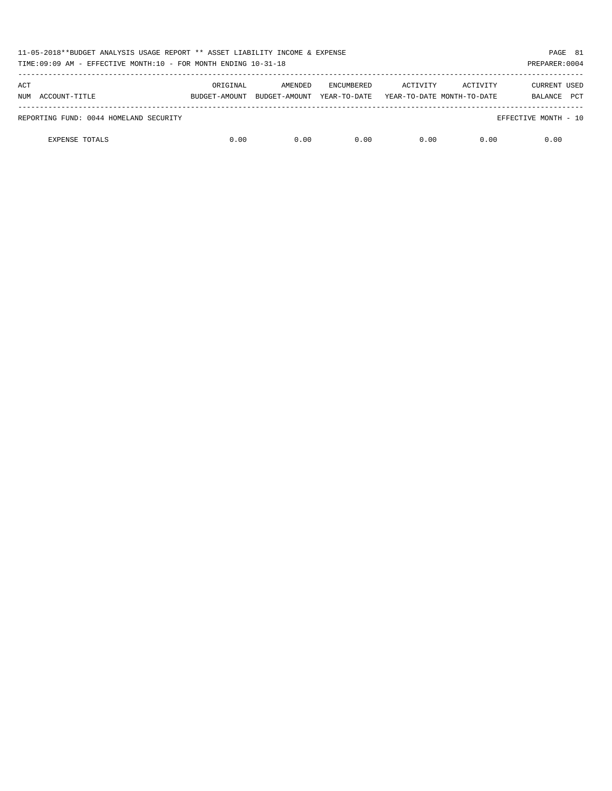| 11-05-2018**BUDGET ANALYSIS USAGE REPORT ** ASSET LIABILITY INCOME & EXPENSE<br>TIME:09:09 AM - EFFECTIVE MONTH:10 - FOR MONTH ENDING 10-31-18 |               |               |                   |          |                            |                       |  |
|------------------------------------------------------------------------------------------------------------------------------------------------|---------------|---------------|-------------------|----------|----------------------------|-----------------------|--|
| ACT                                                                                                                                            | ORIGINAL      | AMENDED       | <b>ENCUMBERED</b> | ACTIVITY | ACTIVITY                   | <b>CURRENT USED</b>   |  |
| ACCOUNT-TITLE<br>NUM                                                                                                                           | BUDGET-AMOUNT | BUDGET-AMOUNT | YEAR-TO-DATE      |          | YEAR-TO-DATE MONTH-TO-DATE | <b>PCT</b><br>BALANCE |  |
| REPORTING FUND: 0044 HOMELAND SECURITY                                                                                                         |               |               |                   |          |                            | EFFECTIVE MONTH - 10  |  |
| <b>EXPENSE TOTALS</b>                                                                                                                          | 0.00          | 0.00          | 0.00              | 0.00     | 0.00                       | 0.00                  |  |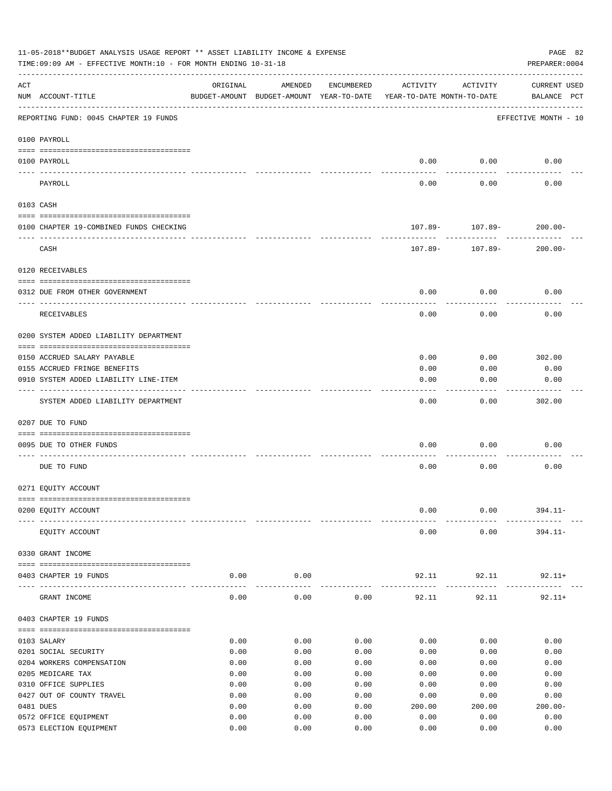| 11-05-2018**BUDGET ANALYSIS USAGE REPORT ** ASSET LIABILITY INCOME & EXPENSE<br>PAGE 82<br>TIME: 09:09 AM - EFFECTIVE MONTH: 10 - FOR MONTH ENDING 10-31-18<br>PREPARER: 0004 |                                                  |              |                                                     |              |                                        |                     |                             |  |
|-------------------------------------------------------------------------------------------------------------------------------------------------------------------------------|--------------------------------------------------|--------------|-----------------------------------------------------|--------------|----------------------------------------|---------------------|-----------------------------|--|
| ACT                                                                                                                                                                           | NUM ACCOUNT-TITLE                                | ORIGINAL     | AMENDED<br>BUDGET-AMOUNT BUDGET-AMOUNT YEAR-TO-DATE | ENCUMBERED   | ACTIVITY<br>YEAR-TO-DATE MONTH-TO-DATE | ACTIVITY            | CURRENT USED<br>BALANCE PCT |  |
|                                                                                                                                                                               | REPORTING FUND: 0045 CHAPTER 19 FUNDS            |              |                                                     |              |                                        |                     | EFFECTIVE MONTH - 10        |  |
|                                                                                                                                                                               | 0100 PAYROLL                                     |              |                                                     |              |                                        |                     |                             |  |
|                                                                                                                                                                               | 0100 PAYROLL                                     |              |                                                     |              | 0.00                                   | 0.00                | 0.00                        |  |
|                                                                                                                                                                               | PAYROLL                                          |              |                                                     |              | 0.00                                   | 0.00                | 0.00                        |  |
|                                                                                                                                                                               | 0103 CASH                                        |              |                                                     |              |                                        |                     |                             |  |
|                                                                                                                                                                               | 0100 CHAPTER 19-COMBINED FUNDS CHECKING          |              |                                                     |              |                                        | $107.89 - 107.89 -$ | $200.00 -$                  |  |
|                                                                                                                                                                               | CASH                                             |              |                                                     |              | 107.89-                                | 107.89-             | $200.00 -$                  |  |
|                                                                                                                                                                               |                                                  |              |                                                     |              |                                        |                     |                             |  |
|                                                                                                                                                                               | 0120 RECEIVABLES                                 |              |                                                     |              |                                        |                     |                             |  |
|                                                                                                                                                                               | 0312 DUE FROM OTHER GOVERNMENT                   |              |                                                     |              | 0.00                                   | 0.00                | 0.00                        |  |
|                                                                                                                                                                               | RECEIVABLES                                      |              |                                                     |              | 0.00                                   | 0.00                | 0.00                        |  |
|                                                                                                                                                                               | 0200 SYSTEM ADDED LIABILITY DEPARTMENT           |              |                                                     |              |                                        |                     |                             |  |
|                                                                                                                                                                               | 0150 ACCRUED SALARY PAYABLE                      |              |                                                     |              | 0.00                                   | 0.00                | 302.00                      |  |
|                                                                                                                                                                               | 0155 ACCRUED FRINGE BENEFITS                     |              |                                                     |              | 0.00                                   | 0.00                | 0.00                        |  |
|                                                                                                                                                                               | 0910 SYSTEM ADDED LIABILITY LINE-ITEM            |              |                                                     |              | 0.00                                   | 0.00                | 0.00                        |  |
|                                                                                                                                                                               | SYSTEM ADDED LIABILITY DEPARTMENT                |              |                                                     |              | 0.00                                   | 0.00                | 302.00                      |  |
|                                                                                                                                                                               | 0207 DUE TO FUND                                 |              |                                                     |              |                                        |                     |                             |  |
|                                                                                                                                                                               | 0095 DUE TO OTHER FUNDS                          |              |                                                     |              | 0.00                                   | 0.00                | 0.00                        |  |
|                                                                                                                                                                               |                                                  |              |                                                     |              |                                        |                     |                             |  |
|                                                                                                                                                                               | DUE TO FUND                                      |              |                                                     |              | 0.00                                   | 0.00                | 0.00                        |  |
|                                                                                                                                                                               | 0271 EQUITY ACCOUNT                              |              |                                                     |              |                                        |                     |                             |  |
|                                                                                                                                                                               | 0200 EQUITY ACCOUNT                              |              |                                                     |              | 0.00                                   | 0.00                | $394.11 -$                  |  |
|                                                                                                                                                                               |                                                  |              |                                                     |              |                                        |                     |                             |  |
|                                                                                                                                                                               | EQUITY ACCOUNT                                   |              |                                                     |              | 0.00                                   | 0.00                | $394.11 -$                  |  |
|                                                                                                                                                                               | 0330 GRANT INCOME                                |              |                                                     |              |                                        |                     |                             |  |
|                                                                                                                                                                               | 0403 CHAPTER 19 FUNDS                            | 0.00         | 0.00                                                |              | 92.11                                  | 92.11<br>---------- | $92.11+$<br>---------       |  |
|                                                                                                                                                                               | GRANT INCOME                                     | 0.00         | 0.00                                                | 0.00         | 92.11                                  | 92.11               | $92.11+$                    |  |
|                                                                                                                                                                               | 0403 CHAPTER 19 FUNDS                            |              |                                                     |              |                                        |                     |                             |  |
|                                                                                                                                                                               | 0103 SALARY                                      | 0.00         | 0.00                                                | 0.00         | 0.00                                   | 0.00                | 0.00                        |  |
|                                                                                                                                                                               | 0201 SOCIAL SECURITY                             | 0.00         | 0.00                                                | 0.00         | 0.00                                   | 0.00                | 0.00                        |  |
|                                                                                                                                                                               | 0204 WORKERS COMPENSATION                        | 0.00         | 0.00                                                | 0.00         | 0.00                                   | 0.00                | 0.00                        |  |
|                                                                                                                                                                               | 0205 MEDICARE TAX                                | 0.00         | 0.00                                                | 0.00         | 0.00                                   | 0.00                | 0.00                        |  |
|                                                                                                                                                                               | 0310 OFFICE SUPPLIES                             | 0.00         | 0.00                                                | 0.00         | 0.00                                   | 0.00                | 0.00                        |  |
|                                                                                                                                                                               | 0427 OUT OF COUNTY TRAVEL                        | 0.00         | 0.00                                                | 0.00         | 0.00                                   | 0.00                | 0.00                        |  |
|                                                                                                                                                                               | 0481 DUES                                        | 0.00<br>0.00 | 0.00<br>0.00                                        | 0.00<br>0.00 | 200.00<br>0.00                         | 200.00<br>0.00      | $200.00 -$<br>0.00          |  |
|                                                                                                                                                                               | 0572 OFFICE EQUIPMENT<br>0573 ELECTION EQUIPMENT | 0.00         | 0.00                                                | 0.00         | 0.00                                   | 0.00                | 0.00                        |  |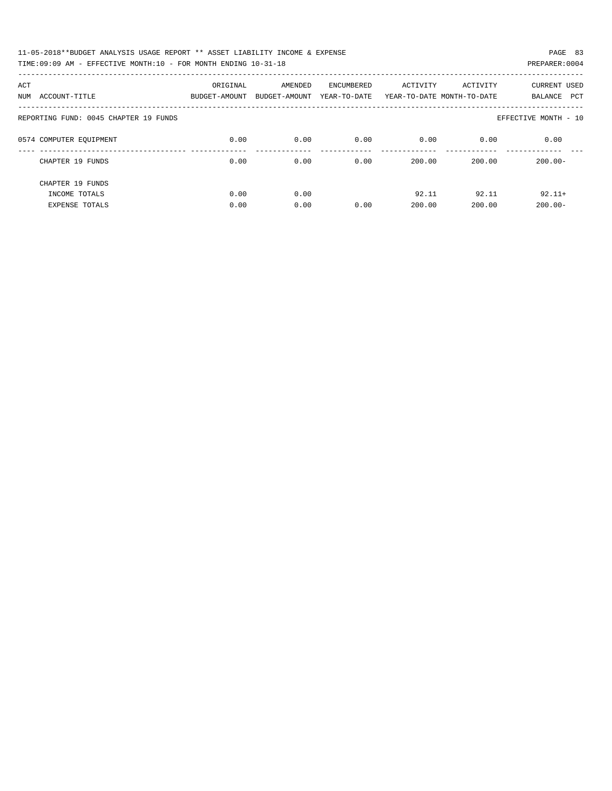| 11-05-2018**BUDGET ANALYSIS USAGE REPORT ** ASSET LIABILITY INCOME & EXPENSE | PAGE 83        |
|------------------------------------------------------------------------------|----------------|
| TIME:09:09 AM - EFFECTIVE MONTH:10 - FOR MONTH ENDING 10-31-18               | PREPARER: 0004 |

| ACT<br>ACCOUNT-TITLE<br>NUM           | ORIGINAL<br>BUDGET-AMOUNT | AMENDED<br>BUDGET-AMOUNT | <b>ENCUMBERED</b><br>YEAR-TO-DATE | ACTIVITY | ACTIVITY<br>YEAR-TO-DATE MONTH-TO-DATE | CURRENT USED<br>PCT<br>BALANCE |
|---------------------------------------|---------------------------|--------------------------|-----------------------------------|----------|----------------------------------------|--------------------------------|
| REPORTING FUND: 0045 CHAPTER 19 FUNDS |                           |                          |                                   |          |                                        | EFFECTIVE MONTH - 10           |
| 0574 COMPUTER EOUIPMENT               | 0.00                      | 0.00                     | 0.00                              | 0.00     | 0.00                                   | 0.00                           |
| CHAPTER 19 FUNDS                      | 0.00                      | 0.00                     | 0.00                              | 200.00   | 200.00                                 | $200.00 -$                     |
| CHAPTER 19 FUNDS                      |                           |                          |                                   |          |                                        |                                |
| INCOME TOTALS                         | 0.00                      | 0.00                     |                                   | 92.11    | 92.11                                  | $92.11+$                       |
| <b>EXPENSE TOTALS</b>                 | 0.00                      | 0.00                     | 0.00                              | 200.00   | 200.00                                 | $200.00 -$                     |
|                                       |                           |                          |                                   |          |                                        |                                |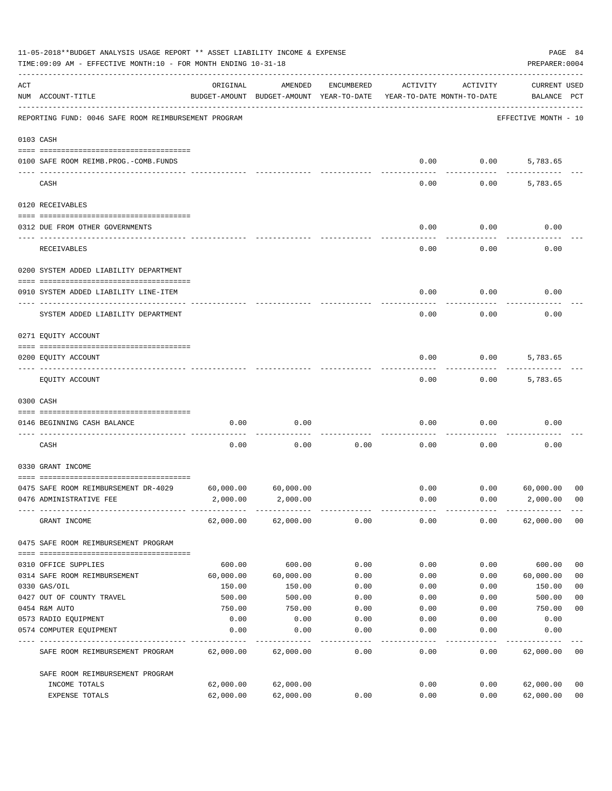|           | 11-05-2018**BUDGET ANALYSIS USAGE REPORT ** ASSET LIABILITY INCOME & EXPENSE<br>TIME: 09:09 AM - EFFECTIVE MONTH: 10 - FOR MONTH ENDING 10-31-18 |                     |                                                     |            |                                        |          |                                    |                |
|-----------|--------------------------------------------------------------------------------------------------------------------------------------------------|---------------------|-----------------------------------------------------|------------|----------------------------------------|----------|------------------------------------|----------------|
| ACT       | NUM ACCOUNT-TITLE                                                                                                                                | ORIGINAL            | AMENDED<br>BUDGET-AMOUNT BUDGET-AMOUNT YEAR-TO-DATE | ENCUMBERED | ACTIVITY<br>YEAR-TO-DATE MONTH-TO-DATE | ACTIVITY | <b>CURRENT USED</b><br>BALANCE PCT |                |
|           | REPORTING FUND: 0046 SAFE ROOM REIMBURSEMENT PROGRAM                                                                                             |                     |                                                     |            |                                        |          | EFFECTIVE MONTH - 10               |                |
| 0103 CASH |                                                                                                                                                  |                     |                                                     |            |                                        |          |                                    |                |
|           | 0100 SAFE ROOM REIMB.PROG.-COMB.FUNDS                                                                                                            |                     |                                                     |            | 0.00                                   | 0.00     | 5,783.65                           |                |
|           | CASH                                                                                                                                             |                     |                                                     |            | 0.00                                   | 0.00     | 5,783.65                           |                |
|           | 0120 RECEIVABLES                                                                                                                                 |                     |                                                     |            |                                        |          |                                    |                |
|           | 0312 DUE FROM OTHER GOVERNMENTS                                                                                                                  |                     |                                                     |            | 0.00                                   | 0.00     | 0.00                               |                |
|           | RECEIVABLES                                                                                                                                      |                     |                                                     |            | 0.00                                   | 0.00     | 0.00                               |                |
|           | 0200 SYSTEM ADDED LIABILITY DEPARTMENT                                                                                                           |                     |                                                     |            |                                        |          |                                    |                |
|           | 0910 SYSTEM ADDED LIABILITY LINE-ITEM                                                                                                            |                     |                                                     |            | 0.00                                   | 0.00     | 0.00                               |                |
|           | SYSTEM ADDED LIABILITY DEPARTMENT                                                                                                                |                     |                                                     |            | 0.00                                   | 0.00     | 0.00                               |                |
|           | 0271 EQUITY ACCOUNT                                                                                                                              |                     |                                                     |            |                                        |          |                                    |                |
|           |                                                                                                                                                  |                     |                                                     |            |                                        |          |                                    |                |
|           | 0200 EQUITY ACCOUNT                                                                                                                              |                     |                                                     |            | 0.00                                   | 0.00     | 5,783.65                           |                |
|           | EQUITY ACCOUNT                                                                                                                                   |                     |                                                     |            | 0.00                                   | 0.00     | 5,783.65                           |                |
|           | 0300 CASH                                                                                                                                        |                     |                                                     |            |                                        |          |                                    |                |
|           | 0146 BEGINNING CASH BALANCE                                                                                                                      | 0.00                | 0.00                                                |            | 0.00                                   | 0.00     | 0.00                               |                |
|           | CASH                                                                                                                                             | 0.00                | 0.00                                                | 0.00       | 0.00                                   | 0.00     | 0.00                               |                |
|           | 0330 GRANT INCOME                                                                                                                                |                     |                                                     |            |                                        |          |                                    |                |
|           | 0475 SAFE ROOM REIMBURSEMENT DR-4029                                                                                                             | 60,000.00           | 60,000.00                                           |            | 0.00                                   | 0.00     | 60,000.00                          | 00             |
|           | 0476 ADMINISTRATIVE FEE                                                                                                                          | 2,000.00            | 2,000.00                                            |            | 0.00                                   | 0.00     | 2,000.00                           | 00             |
|           | GRANT INCOME                                                                                                                                     |                     | 62,000.00 62,000.00                                 | 0.00       | 0.00                                   | 0.00     | 62,000.00                          | 0 <sub>0</sub> |
|           | 0475 SAFE ROOM REIMBURSEMENT PROGRAM                                                                                                             |                     |                                                     |            |                                        |          |                                    |                |
|           |                                                                                                                                                  |                     | 600.00                                              | 0.00       | 0.00                                   | 0.00     | 600.00                             | 0 <sub>0</sub> |
|           | 0310 OFFICE SUPPLIES<br>0314 SAFE ROOM REIMBURSEMENT                                                                                             | 600.00<br>60,000.00 | 60,000.00                                           | 0.00       | 0.00                                   | 0.00     | 60,000.00                          | 0 <sub>0</sub> |
|           | 0330 GAS/OIL                                                                                                                                     | 150.00              | 150.00                                              | 0.00       | 0.00                                   | 0.00     | 150.00                             | 0 <sub>0</sub> |
|           | 0427 OUT OF COUNTY TRAVEL                                                                                                                        | 500.00              | 500.00                                              | 0.00       | 0.00                                   | 0.00     | 500.00                             | 0 <sub>0</sub> |
|           | 0454 R&M AUTO                                                                                                                                    | 750.00              | 750.00                                              | 0.00       | 0.00                                   | 0.00     | 750.00                             | 0 <sub>0</sub> |
|           | 0573 RADIO EQUIPMENT                                                                                                                             | 0.00                | 0.00                                                | 0.00       | 0.00                                   | 0.00     | 0.00                               |                |
|           | 0574 COMPUTER EQUIPMENT                                                                                                                          | 0.00                | 0.00                                                | 0.00       | 0.00                                   | 0.00     | 0.00                               |                |
|           | SAFE ROOM REIMBURSEMENT PROGRAM                                                                                                                  | 62,000.00           | 62,000.00                                           | 0.00       | 0.00                                   | 0.00     | 62,000.00                          | 0 <sub>0</sub> |
|           | SAFE ROOM REIMBURSEMENT PROGRAM                                                                                                                  |                     |                                                     |            |                                        |          |                                    |                |
|           | INCOME TOTALS                                                                                                                                    | 62,000.00           | 62,000.00                                           |            | 0.00                                   | 0.00     | 62,000.00                          | 0 <sub>0</sub> |
|           | EXPENSE TOTALS                                                                                                                                   | 62,000.00           | 62,000.00                                           | 0.00       | 0.00                                   | 0.00     | 62,000.00                          | 0 <sub>0</sub> |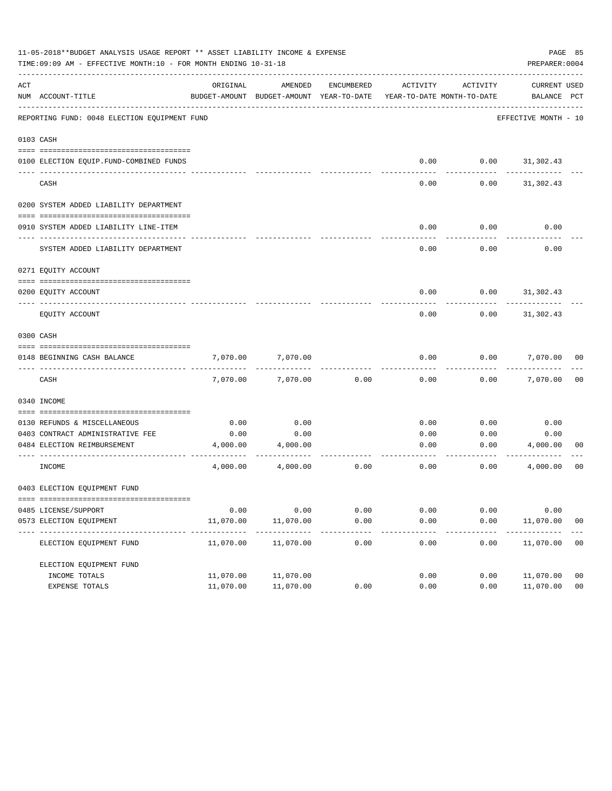|     | 11-05-2018**BUDGET ANALYSIS USAGE REPORT ** ASSET LIABILITY INCOME & EXPENSE<br>PAGE 85<br>TIME: 09:09 AM - EFFECTIVE MONTH: 10 - FOR MONTH ENDING 10-31-18<br>PREPARER: 0004 |                         |                                                                                |               |              |          |                             |                |  |  |
|-----|-------------------------------------------------------------------------------------------------------------------------------------------------------------------------------|-------------------------|--------------------------------------------------------------------------------|---------------|--------------|----------|-----------------------------|----------------|--|--|
| ACT | NUM ACCOUNT-TITLE                                                                                                                                                             | ORIGINAL                | AMENDED<br>BUDGET-AMOUNT BUDGET-AMOUNT YEAR-TO-DATE YEAR-TO-DATE MONTH-TO-DATE | ENCUMBERED    | ACTIVITY     | ACTIVITY | CURRENT USED<br>BALANCE PCT |                |  |  |
|     | REPORTING FUND: 0048 ELECTION EQUIPMENT FUND                                                                                                                                  |                         |                                                                                |               |              |          | EFFECTIVE MONTH - 10        |                |  |  |
|     | 0103 CASH                                                                                                                                                                     |                         |                                                                                |               |              |          |                             |                |  |  |
|     | 0100 ELECTION EQUIP. FUND-COMBINED FUNDS                                                                                                                                      |                         |                                                                                |               | 0.00         | 0.00     | 31,302.43                   |                |  |  |
|     |                                                                                                                                                                               |                         |                                                                                |               |              |          |                             |                |  |  |
|     | CASH                                                                                                                                                                          |                         |                                                                                |               | 0.00         | 0.00     | 31,302.43                   |                |  |  |
|     | 0200 SYSTEM ADDED LIABILITY DEPARTMENT                                                                                                                                        |                         |                                                                                |               |              |          |                             |                |  |  |
|     | 0910 SYSTEM ADDED LIABILITY LINE-ITEM                                                                                                                                         |                         |                                                                                |               | 0.00         | 0.00     | 0.00                        |                |  |  |
|     |                                                                                                                                                                               |                         |                                                                                |               |              |          |                             |                |  |  |
|     | SYSTEM ADDED LIABILITY DEPARTMENT                                                                                                                                             |                         |                                                                                |               | 0.00         | 0.00     | 0.00                        |                |  |  |
|     | 0271 EQUITY ACCOUNT                                                                                                                                                           |                         |                                                                                |               |              |          |                             |                |  |  |
|     |                                                                                                                                                                               |                         |                                                                                |               |              |          |                             |                |  |  |
|     | 0200 EOUITY ACCOUNT                                                                                                                                                           |                         |                                                                                |               | 0.00         | 0.00     | 31,302.43                   |                |  |  |
|     | EQUITY ACCOUNT                                                                                                                                                                |                         |                                                                                |               | 0.00         | 0.00     | 31,302.43                   |                |  |  |
|     | 0300 CASH                                                                                                                                                                     |                         |                                                                                |               |              |          |                             |                |  |  |
|     | 0148 BEGINNING CASH BALANCE                                                                                                                                                   | 7,070.00                | 7,070.00                                                                       |               | 0.00         | 0.00     | 7,070.00 00                 |                |  |  |
|     | CASH                                                                                                                                                                          | 7,070.00                | 7,070.00                                                                       | 0.00          | 0.00         | 0.00     | 7,070.00                    | 00             |  |  |
|     | 0340 INCOME                                                                                                                                                                   |                         |                                                                                |               |              |          |                             |                |  |  |
|     |                                                                                                                                                                               |                         |                                                                                |               |              |          |                             |                |  |  |
|     | 0130 REFUNDS & MISCELLANEOUS                                                                                                                                                  | 0.00                    | 0.00                                                                           |               | 0.00         | 0.00     | 0.00                        |                |  |  |
|     | 0403 CONTRACT ADMINISTRATIVE FEE<br>0484 ELECTION REIMBURSEMENT                                                                                                               | 0.00<br>4,000.00        | 0.00<br>4,000.00                                                               |               | 0.00<br>0.00 | 0.00     | 0.00<br>0.00<br>4,000.00    | 00             |  |  |
|     |                                                                                                                                                                               |                         |                                                                                |               |              |          |                             |                |  |  |
|     | INCOME                                                                                                                                                                        | 4,000.00                | 4,000.00                                                                       | 0.00          | 0.00         | 0.00     | 4,000.00                    | 00             |  |  |
|     | 0403 ELECTION EQUIPMENT FUND                                                                                                                                                  |                         |                                                                                |               |              |          |                             |                |  |  |
|     |                                                                                                                                                                               |                         |                                                                                |               |              |          |                             |                |  |  |
|     | 0485 LICENSE/SUPPORT                                                                                                                                                          | 0.00                    | 0.00                                                                           | 0.00          | 0.00         | 0.00     | 0.00                        |                |  |  |
|     | 0573 ELECTION EQUIPMENT                                                                                                                                                       | 11,070.00<br>---------- | 11,070.00<br>-----------                                                       | 0.00<br>----- | 0.00         | 0.00     | 11,070.00                   | 0 <sub>0</sub> |  |  |
|     | ELECTION EQUIPMENT FUND                                                                                                                                                       | 11,070.00               | 11,070.00                                                                      | 0.00          | 0.00         | 0.00     | 11,070.00                   | 00             |  |  |
|     | ELECTION EOUIPMENT FUND                                                                                                                                                       |                         |                                                                                |               |              |          |                             |                |  |  |
|     | INCOME TOTALS                                                                                                                                                                 | 11,070.00               | 11,070.00                                                                      |               | 0.00         | 0.00     | 11,070.00                   | 0 <sub>0</sub> |  |  |
|     | EXPENSE TOTALS                                                                                                                                                                | 11,070.00               | 11,070.00                                                                      | 0.00          | 0.00         | 0.00     | 11,070.00                   | 0 <sub>0</sub> |  |  |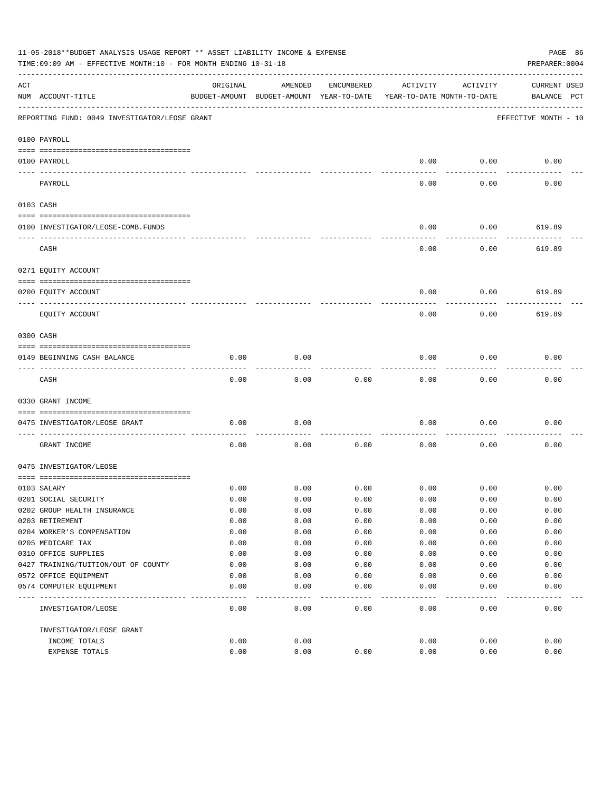|           | 11-05-2018**BUDGET ANALYSIS USAGE REPORT ** ASSET LIABILITY INCOME & EXPENSE<br>PAGE 86<br>TIME: 09:09 AM - EFFECTIVE MONTH: 10 - FOR MONTH ENDING 10-31-18<br>PREPARER: 0004 |          |                                          |            |          |                            |                      |  |  |
|-----------|-------------------------------------------------------------------------------------------------------------------------------------------------------------------------------|----------|------------------------------------------|------------|----------|----------------------------|----------------------|--|--|
| ACT       |                                                                                                                                                                               | ORIGINAL | AMENDED                                  | ENCUMBERED | ACTIVITY | ACTIVITY                   | <b>CURRENT USED</b>  |  |  |
|           | NUM ACCOUNT-TITLE                                                                                                                                                             |          | BUDGET-AMOUNT BUDGET-AMOUNT YEAR-TO-DATE |            |          | YEAR-TO-DATE MONTH-TO-DATE | BALANCE PCT          |  |  |
|           | REPORTING FUND: 0049 INVESTIGATOR/LEOSE GRANT                                                                                                                                 |          |                                          |            |          |                            | EFFECTIVE MONTH - 10 |  |  |
|           | 0100 PAYROLL                                                                                                                                                                  |          |                                          |            |          |                            |                      |  |  |
|           | 0100 PAYROLL                                                                                                                                                                  |          |                                          |            | 0.00     | 0.00                       | 0.00                 |  |  |
|           | PAYROLL                                                                                                                                                                       |          |                                          |            | 0.00     | --------<br>0.00           | 0.00                 |  |  |
| 0103 CASH |                                                                                                                                                                               |          |                                          |            |          |                            |                      |  |  |
|           |                                                                                                                                                                               |          |                                          |            |          |                            |                      |  |  |
|           | 0100 INVESTIGATOR/LEOSE-COMB.FUNDS                                                                                                                                            |          |                                          |            | 0.00     | 0.00                       | 619.89               |  |  |
|           | CASH                                                                                                                                                                          |          |                                          |            | 0.00     | 0.00                       | 619.89               |  |  |
|           | 0271 EQUITY ACCOUNT                                                                                                                                                           |          |                                          |            |          |                            |                      |  |  |
|           | 0200 EQUITY ACCOUNT                                                                                                                                                           |          |                                          |            | 0.00     | 0.00                       | 619.89               |  |  |
|           |                                                                                                                                                                               |          |                                          |            |          |                            |                      |  |  |
|           | EQUITY ACCOUNT                                                                                                                                                                |          |                                          |            | 0.00     | 0.00                       | 619.89               |  |  |
| 0300 CASH |                                                                                                                                                                               |          |                                          |            |          |                            |                      |  |  |
|           | 0149 BEGINNING CASH BALANCE                                                                                                                                                   | 0.00     | 0.00                                     |            | 0.00     | 0.00                       | 0.00                 |  |  |
|           | CASH                                                                                                                                                                          | 0.00     | 0.00                                     | 0.00       | 0.00     | 0.00                       | 0.00                 |  |  |
|           | 0330 GRANT INCOME                                                                                                                                                             |          |                                          |            |          |                            |                      |  |  |
|           |                                                                                                                                                                               |          |                                          |            |          |                            |                      |  |  |
|           | 0475 INVESTIGATOR/LEOSE GRANT                                                                                                                                                 | 0.00     | 0.00                                     |            | 0.00     | 0.00                       | 0.00                 |  |  |
|           | GRANT INCOME                                                                                                                                                                  | 0.00     | 0.00                                     | 0.00       | 0.00     | 0.00                       | 0.00                 |  |  |
|           | 0475 INVESTIGATOR/LEOSE                                                                                                                                                       |          |                                          |            |          |                            |                      |  |  |
|           | 0103 SALARY                                                                                                                                                                   | 0.00     | 0.00                                     | 0.00       | 0.00     | 0.00                       | 0.00                 |  |  |
|           | 0201 SOCIAL SECURITY                                                                                                                                                          | 0.00     | 0.00                                     | 0.00       | 0.00     | 0.00                       | 0.00                 |  |  |
|           | 0202 GROUP HEALTH INSURANCE                                                                                                                                                   | 0.00     | 0.00                                     | 0.00       | 0.00     | 0.00                       | 0.00                 |  |  |
|           | 0203 RETIREMENT                                                                                                                                                               | 0.00     | 0.00                                     | 0.00       | 0.00     | 0.00                       | 0.00                 |  |  |
|           | 0204 WORKER'S COMPENSATION                                                                                                                                                    | 0.00     | 0.00                                     | 0.00       | 0.00     | 0.00                       | 0.00                 |  |  |
|           | 0205 MEDICARE TAX                                                                                                                                                             | 0.00     | 0.00                                     | 0.00       | 0.00     | 0.00                       | 0.00                 |  |  |
|           | 0310 OFFICE SUPPLIES                                                                                                                                                          | 0.00     | 0.00                                     | 0.00       | 0.00     | 0.00                       | 0.00                 |  |  |
|           | 0427 TRAINING/TUITION/OUT OF COUNTY                                                                                                                                           | 0.00     | 0.00                                     | 0.00       | 0.00     | 0.00                       | 0.00                 |  |  |
|           | 0572 OFFICE EQUIPMENT                                                                                                                                                         | 0.00     | 0.00                                     | 0.00       | 0.00     | 0.00                       | 0.00                 |  |  |
|           | 0574 COMPUTER EQUIPMENT                                                                                                                                                       | 0.00     | 0.00                                     | 0.00       | 0.00     | 0.00                       | 0.00                 |  |  |
|           | INVESTIGATOR/LEOSE                                                                                                                                                            | 0.00     | 0.00                                     | 0.00       | 0.00     | 0.00                       | 0.00                 |  |  |
|           | INVESTIGATOR/LEOSE GRANT                                                                                                                                                      |          |                                          |            |          |                            |                      |  |  |
|           | INCOME TOTALS                                                                                                                                                                 | 0.00     | 0.00                                     |            | 0.00     | 0.00                       | 0.00                 |  |  |
|           | EXPENSE TOTALS                                                                                                                                                                | 0.00     | 0.00                                     | 0.00       | 0.00     | 0.00                       | 0.00                 |  |  |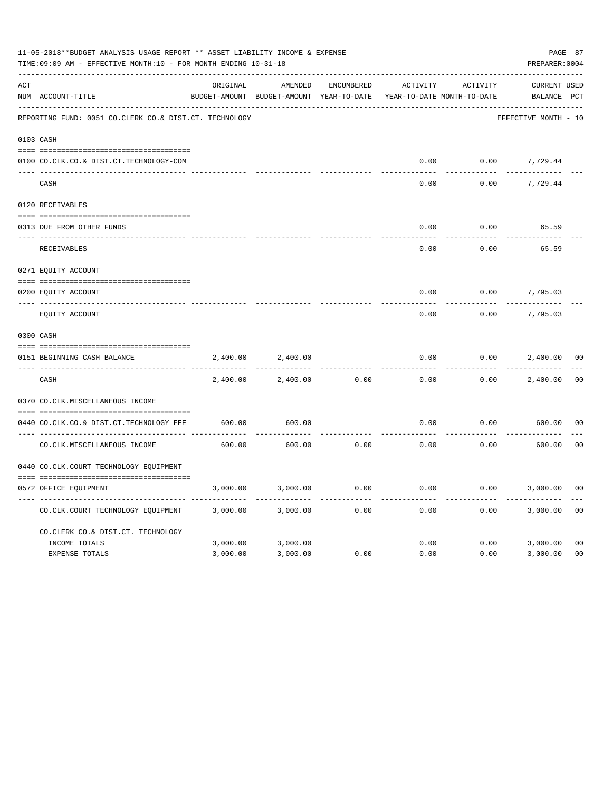|     | 11-05-2018**BUDGET ANALYSIS USAGE REPORT ** ASSET LIABILITY INCOME & EXPENSE<br>TIME: 09:09 AM - EFFECTIVE MONTH: 10 - FOR MONTH ENDING 10-31-18 |          |                                                     |                   |          |                                        |                                    |                |  |
|-----|--------------------------------------------------------------------------------------------------------------------------------------------------|----------|-----------------------------------------------------|-------------------|----------|----------------------------------------|------------------------------------|----------------|--|
| ACT | NUM ACCOUNT-TITLE                                                                                                                                | ORIGINAL | AMENDED<br>BUDGET-AMOUNT BUDGET-AMOUNT YEAR-TO-DATE | <b>ENCUMBERED</b> | ACTIVITY | ACTIVITY<br>YEAR-TO-DATE MONTH-TO-DATE | <b>CURRENT USED</b><br>BALANCE PCT |                |  |
|     | REPORTING FUND: 0051 CO.CLERK CO.& DIST.CT. TECHNOLOGY                                                                                           |          |                                                     |                   |          |                                        | EFFECTIVE MONTH - 10               |                |  |
|     | 0103 CASH                                                                                                                                        |          |                                                     |                   |          |                                        |                                    |                |  |
|     | 0100 CO.CLK.CO.& DIST.CT.TECHNOLOGY-COM                                                                                                          |          |                                                     |                   | 0.00     | 0.00                                   | 7,729.44                           |                |  |
|     | CASH                                                                                                                                             |          |                                                     |                   | 0.00     | 0.00                                   | 7,729.44                           |                |  |
|     | 0120 RECEIVABLES                                                                                                                                 |          |                                                     |                   |          |                                        |                                    |                |  |
|     | 0313 DUE FROM OTHER FUNDS                                                                                                                        |          |                                                     |                   | 0.00     | 0.00                                   | 65.59                              |                |  |
|     | RECEIVABLES                                                                                                                                      |          |                                                     |                   | 0.00     | 0.00                                   | 65.59                              |                |  |
|     | 0271 EQUITY ACCOUNT                                                                                                                              |          |                                                     |                   |          |                                        |                                    |                |  |
|     | 0200 EQUITY ACCOUNT                                                                                                                              |          |                                                     |                   | 0.00     | 0.00                                   | 7,795.03                           |                |  |
|     | ---- ---------------<br>EQUITY ACCOUNT                                                                                                           |          |                                                     |                   | 0.00     | 0.00                                   | 7,795.03                           |                |  |
|     |                                                                                                                                                  |          |                                                     |                   |          |                                        |                                    |                |  |
|     | 0300 CASH                                                                                                                                        |          |                                                     |                   |          |                                        |                                    |                |  |
|     | 0151 BEGINNING CASH BALANCE                                                                                                                      | 2,400.00 | 2,400.00                                            |                   | 0.00     | 0.00                                   | 2,400.00                           | 0 <sub>0</sub> |  |
|     | CASH                                                                                                                                             | 2,400.00 | 2,400.00                                            | 0.00              | 0.00     | 0.00                                   | 2,400.00                           | 0 <sub>0</sub> |  |
|     | 0370 CO.CLK.MISCELLANEOUS INCOME                                                                                                                 |          |                                                     |                   |          |                                        |                                    |                |  |
|     | 0440 CO.CLK.CO.& DIST.CT.TECHNOLOGY FEE                                                                                                          | 600.00   | 600.00                                              |                   | 0.00     | 0.00                                   | 600.00                             | 0 <sub>0</sub> |  |
|     | CO. CLK. MISCELLANEOUS INCOME                                                                                                                    | 600.00   | 600.00                                              | 0.00              | 0.00     | 0.00                                   | 600.00                             | 0 <sub>0</sub> |  |
|     | 0440 CO.CLK.COURT TECHNOLOGY EQUIPMENT                                                                                                           |          |                                                     |                   |          |                                        |                                    |                |  |
|     | 0572 OFFICE EQUIPMENT                                                                                                                            | 3,000.00 | 3,000.00                                            | 0.00              | 0.00     | 0.00                                   | 3,000.00                           | 0 <sub>0</sub> |  |
|     | CO.CLK.COURT TECHNOLOGY EQUIPMENT                                                                                                                | 3,000.00 | 3,000.00                                            | 0.00              | 0.00     | 0.00                                   | 3,000.00                           | 0 <sub>0</sub> |  |
|     | CO.CLERK CO.& DIST.CT. TECHNOLOGY                                                                                                                |          |                                                     |                   |          |                                        |                                    |                |  |
|     | INCOME TOTALS                                                                                                                                    | 3,000.00 | 3,000.00                                            |                   | 0.00     | 0.00                                   | 3,000.00                           | 0 <sub>0</sub> |  |
|     | EXPENSE TOTALS                                                                                                                                   | 3,000.00 | 3,000.00                                            | 0.00              | 0.00     | 0.00                                   | 3,000.00                           | 0 <sup>0</sup> |  |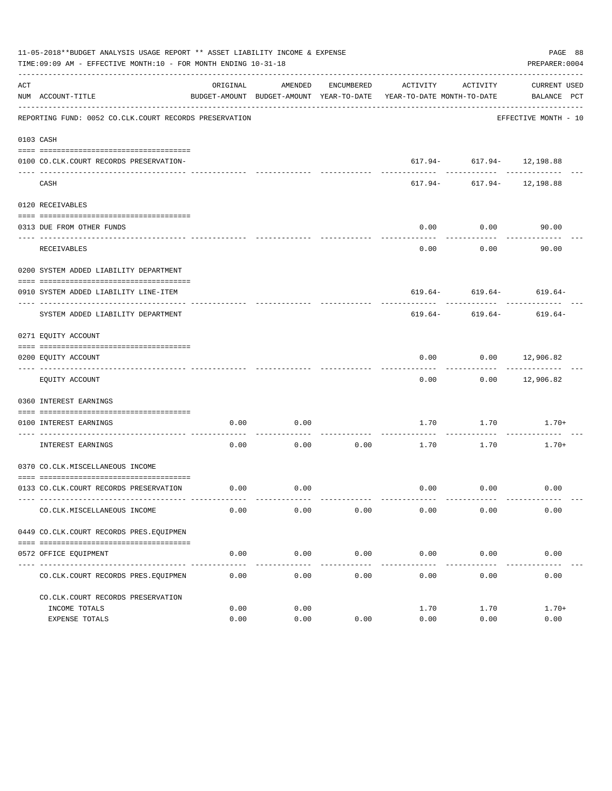|     | 11-05-2018**BUDGET ANALYSIS USAGE REPORT ** ASSET LIABILITY INCOME & EXPENSE<br>TIME:09:09 AM - EFFECTIVE MONTH:10 - FOR MONTH ENDING 10-31-18<br>PREPARER: 0004 |          |             |            |                                                                                 |                                                             |                      |  |  |
|-----|------------------------------------------------------------------------------------------------------------------------------------------------------------------|----------|-------------|------------|---------------------------------------------------------------------------------|-------------------------------------------------------------|----------------------|--|--|
| ACT | NUM ACCOUNT-TITLE                                                                                                                                                | ORIGINAL | AMENDED     | ENCUMBERED | BUDGET-AMOUNT BUDGET-AMOUNT YEAR-TO-DATE YEAR-TO-DATE MONTH-TO-DATE BALANCE PCT | ACTIVITY ACTIVITY                                           | CURRENT USED         |  |  |
|     | REPORTING FUND: 0052 CO.CLK.COURT RECORDS PRESERVATION                                                                                                           |          |             |            |                                                                                 |                                                             | EFFECTIVE MONTH - 10 |  |  |
|     | 0103 CASH                                                                                                                                                        |          |             |            |                                                                                 |                                                             |                      |  |  |
|     | 0100 CO.CLK.COURT RECORDS PRESERVATION-                                                                                                                          |          |             |            |                                                                                 | $617.94 - 617.94 - 12,198.88$                               |                      |  |  |
|     | CASH                                                                                                                                                             |          |             |            |                                                                                 | ------------- ------------<br>$617.94 - 617.94 - 12,198.88$ |                      |  |  |
|     | 0120 RECEIVABLES                                                                                                                                                 |          |             |            |                                                                                 |                                                             |                      |  |  |
|     | 0313 DUE FROM OTHER FUNDS                                                                                                                                        |          |             |            | 0.00                                                                            | 0.00                                                        | 90.00                |  |  |
|     | RECEIVABLES                                                                                                                                                      |          |             |            | --------<br>0.00                                                                | ---------<br>0.00                                           | 90.00                |  |  |
|     | 0200 SYSTEM ADDED LIABILITY DEPARTMENT                                                                                                                           |          |             |            |                                                                                 |                                                             |                      |  |  |
|     | 0910 SYSTEM ADDED LIABILITY LINE-ITEM                                                                                                                            |          |             |            |                                                                                 | $619.64 - 619.64 - 619.64$                                  |                      |  |  |
|     | SYSTEM ADDED LIABILITY DEPARTMENT                                                                                                                                |          |             |            |                                                                                 | $619.64 - 619.64 - 619.64 -$                                |                      |  |  |
|     | 0271 EQUITY ACCOUNT                                                                                                                                              |          |             |            |                                                                                 |                                                             |                      |  |  |
|     | 0200 EQUITY ACCOUNT                                                                                                                                              |          |             |            | 0.00                                                                            | $0.00$ 12,906.82                                            |                      |  |  |
|     | EQUITY ACCOUNT                                                                                                                                                   |          |             |            | $- - - - - -$<br>0.00                                                           |                                                             | $0.00$ 12,906.82     |  |  |
|     | 0360 INTEREST EARNINGS                                                                                                                                           |          |             |            |                                                                                 |                                                             |                      |  |  |
|     | 0100 INTEREST EARNINGS                                                                                                                                           | 0.00     | 0.00        |            |                                                                                 | 1.70 1.70                                                   | $1.70+$              |  |  |
|     | INTEREST EARNINGS                                                                                                                                                | 0.00     |             |            | $0.00$ $0.00$ $1.70$ $1.70$                                                     |                                                             | $1.70+$              |  |  |
|     | 0370 CO.CLK.MISCELLANEOUS INCOME                                                                                                                                 |          |             |            |                                                                                 |                                                             |                      |  |  |
|     | 0133 CO.CLK.COURT RECORDS PRESERVATION                                                                                                                           |          | $0.00$ 0.00 |            |                                                                                 | $0.00$ $0.00$ $0.00$                                        |                      |  |  |
|     | CO. CLK. MISCELLANEOUS INCOME                                                                                                                                    | 0.00     | 0.00        | 0.00       | 0.00                                                                            | 0.00                                                        | 0.00                 |  |  |
|     | 0449 CO.CLK.COURT RECORDS PRES.EQUIPMEN                                                                                                                          |          |             |            |                                                                                 |                                                             |                      |  |  |
|     | 0572 OFFICE EQUIPMENT                                                                                                                                            | 0.00     | 0.00        | 0.00       | 0.00                                                                            | 0.00                                                        | 0.00                 |  |  |
|     | CO. CLK. COURT RECORDS PRES. EOUIPMEN                                                                                                                            | 0.00     | 0.00        | 0.00       | 0.00                                                                            | 0.00                                                        | 0.00                 |  |  |
|     | CO.CLK.COURT RECORDS PRESERVATION                                                                                                                                |          |             |            |                                                                                 |                                                             |                      |  |  |
|     | INCOME TOTALS                                                                                                                                                    | 0.00     | 0.00        |            | 1.70                                                                            | 1.70                                                        | $1.70+$              |  |  |
|     | EXPENSE TOTALS                                                                                                                                                   | 0.00     | 0.00        | 0.00       | 0.00                                                                            | 0.00                                                        | 0.00                 |  |  |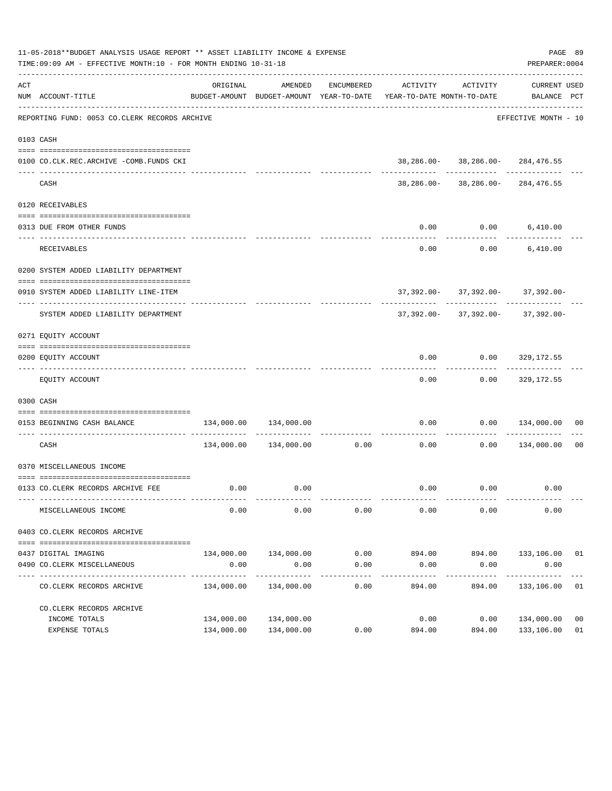|     | 11-05-2018**BUDGET ANALYSIS USAGE REPORT ** ASSET LIABILITY INCOME & EXPENSE<br>PAGE 89<br>TIME:09:09 AM - EFFECTIVE MONTH:10 - FOR MONTH ENDING 10-31-18<br>PREPARER: 0004 |                       |                       |                    |                                                                                             |                                       |                                    |    |  |  |
|-----|-----------------------------------------------------------------------------------------------------------------------------------------------------------------------------|-----------------------|-----------------------|--------------------|---------------------------------------------------------------------------------------------|---------------------------------------|------------------------------------|----|--|--|
| ACT | NUM ACCOUNT-TITLE                                                                                                                                                           | ORIGINAL              | AMENDED               | ENCUMBERED         | ACTIVITY<br>BUDGET-AMOUNT BUDGET-AMOUNT YEAR-TO-DATE YEAR-TO-DATE MONTH-TO-DATE BALANCE PCT | ACTIVITY                              | CURRENT USED                       |    |  |  |
|     | REPORTING FUND: 0053 CO.CLERK RECORDS ARCHIVE                                                                                                                               |                       |                       |                    |                                                                                             |                                       | EFFECTIVE MONTH - 10               |    |  |  |
|     | 0103 CASH                                                                                                                                                                   |                       |                       |                    |                                                                                             |                                       |                                    |    |  |  |
|     |                                                                                                                                                                             |                       |                       |                    |                                                                                             | 38, 286.00- 38, 286.00- 284, 476.55   |                                    |    |  |  |
|     | 0100 CO.CLK.REC.ARCHIVE -COMB.FUNDS CKI                                                                                                                                     |                       |                       |                    |                                                                                             |                                       |                                    |    |  |  |
|     | CASH                                                                                                                                                                        |                       |                       |                    |                                                                                             | 38, 286.00- 38, 286.00- 284, 476.55   |                                    |    |  |  |
|     | 0120 RECEIVABLES                                                                                                                                                            |                       |                       |                    |                                                                                             |                                       |                                    |    |  |  |
|     | 0313 DUE FROM OTHER FUNDS                                                                                                                                                   |                       |                       |                    | 0.00                                                                                        | $0.00$ 6,410.00                       |                                    |    |  |  |
|     |                                                                                                                                                                             |                       |                       |                    |                                                                                             |                                       |                                    |    |  |  |
|     | RECEIVABLES                                                                                                                                                                 |                       |                       |                    | 0.00                                                                                        |                                       | $0.00$ 6,410.00                    |    |  |  |
|     | 0200 SYSTEM ADDED LIABILITY DEPARTMENT                                                                                                                                      |                       |                       |                    |                                                                                             |                                       |                                    |    |  |  |
|     |                                                                                                                                                                             |                       |                       |                    |                                                                                             |                                       |                                    |    |  |  |
|     | 0910 SYSTEM ADDED LIABILITY LINE-ITEM                                                                                                                                       |                       |                       |                    |                                                                                             | $37,392.00 - 37,392.00 - 37,392.00 -$ |                                    |    |  |  |
|     | SYSTEM ADDED LIABILITY DEPARTMENT                                                                                                                                           |                       |                       |                    |                                                                                             | $37,392.00 - 37,392.00 - 37,392.00 -$ |                                    |    |  |  |
|     | 0271 EQUITY ACCOUNT                                                                                                                                                         |                       |                       |                    |                                                                                             |                                       |                                    |    |  |  |
|     |                                                                                                                                                                             |                       |                       |                    |                                                                                             |                                       |                                    |    |  |  |
|     | 0200 EQUITY ACCOUNT                                                                                                                                                         |                       |                       |                    | 0.00                                                                                        |                                       | $0.00$ 329,172.55                  |    |  |  |
|     | EQUITY ACCOUNT                                                                                                                                                              |                       |                       |                    | 0.00                                                                                        |                                       | $0.00$ 329,172.55                  |    |  |  |
|     | 0300 CASH                                                                                                                                                                   |                       |                       |                    |                                                                                             |                                       |                                    |    |  |  |
|     | 0153 BEGINNING CASH BALANCE                                                                                                                                                 | 134,000.00            | 134,000.00            |                    | 0.00                                                                                        |                                       | $0.00 \qquad 134,000.00 \qquad 00$ |    |  |  |
|     | CASH                                                                                                                                                                        |                       |                       |                    | ----------------------------<br>$134,000.00$ $134,000.00$ 0.00 0.00 0.00                    |                                       | $0.00$ 134,000.00                  | 00 |  |  |
|     | 0370 MISCELLANEOUS INCOME                                                                                                                                                   |                       |                       |                    |                                                                                             |                                       |                                    |    |  |  |
|     |                                                                                                                                                                             |                       |                       |                    |                                                                                             |                                       |                                    |    |  |  |
|     | 0133 CO.CLERK RECORDS ARCHIVE FEE                                                                                                                                           |                       | $0.00$ $0.00$         |                    | 0.00                                                                                        | 0.00                                  | 0.00                               |    |  |  |
|     | MISCELLANEOUS INCOME                                                                                                                                                        | 0.00                  | 0.00                  | 0.00               | 0.00                                                                                        | 0.00                                  | 0.00                               |    |  |  |
|     | 0403 CO. CLERK RECORDS ARCHIVE                                                                                                                                              |                       |                       |                    |                                                                                             |                                       |                                    |    |  |  |
|     |                                                                                                                                                                             |                       |                       |                    |                                                                                             |                                       |                                    |    |  |  |
|     | 0437 DIGITAL IMAGING                                                                                                                                                        |                       | 134,000.00 134,000.00 | 0.00               | 894.00                                                                                      | 894.00                                | 133,106.00 01                      |    |  |  |
|     | 0490 CO. CLERK MISCELLANEOUS                                                                                                                                                | 0.00<br>------------- | 0.00<br>------------- | 0.00               | 0.00                                                                                        | 0.00                                  | 0.00<br>. <u>.</u>                 |    |  |  |
|     | CO. CLERK RECORDS ARCHIVE                                                                                                                                                   | 134,000.00            | 134,000.00            | ----------<br>0.00 | 894.00                                                                                      | ----------<br>894.00                  | 133,106.00                         | 01 |  |  |
|     | CO. CLERK RECORDS ARCHIVE                                                                                                                                                   |                       |                       |                    |                                                                                             |                                       |                                    |    |  |  |
|     | INCOME TOTALS                                                                                                                                                               | 134,000.00            | 134,000.00            |                    | 0.00                                                                                        | 0.00                                  | 134,000.00                         | 00 |  |  |
|     | EXPENSE TOTALS                                                                                                                                                              | 134,000.00            | 134,000.00            | 0.00               | 894.00                                                                                      | 894.00                                | 133,106.00                         | 01 |  |  |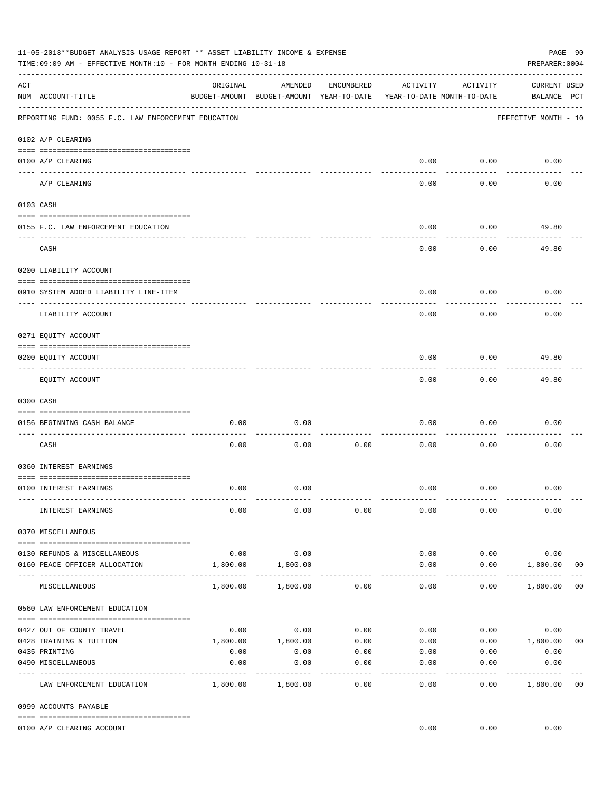|     | 11-05-2018**BUDGET ANALYSIS USAGE REPORT ** ASSET LIABILITY INCOME & EXPENSE<br>TIME: 09:09 AM - EFFECTIVE MONTH: 10 - FOR MONTH ENDING 10-31-18<br>PREPARER: 0004 |                     |                                                     |                 |                                        |                    |                                    |                |  |
|-----|--------------------------------------------------------------------------------------------------------------------------------------------------------------------|---------------------|-----------------------------------------------------|-----------------|----------------------------------------|--------------------|------------------------------------|----------------|--|
| ACT | NUM ACCOUNT-TITLE                                                                                                                                                  | ORIGINAL            | AMENDED<br>BUDGET-AMOUNT BUDGET-AMOUNT YEAR-TO-DATE | ENCUMBERED      | ACTIVITY<br>YEAR-TO-DATE MONTH-TO-DATE | ACTIVITY           | <b>CURRENT USED</b><br>BALANCE PCT |                |  |
|     | REPORTING FUND: 0055 F.C. LAW ENFORCEMENT EDUCATION                                                                                                                |                     |                                                     |                 |                                        |                    | EFFECTIVE MONTH - 10               |                |  |
|     | 0102 A/P CLEARING                                                                                                                                                  |                     |                                                     |                 |                                        |                    |                                    |                |  |
|     | 0100 A/P CLEARING                                                                                                                                                  |                     |                                                     |                 | 0.00                                   | 0.00               | 0.00                               |                |  |
|     | A/P CLEARING                                                                                                                                                       |                     |                                                     |                 | 0.00                                   | 0.00               | 0.00                               |                |  |
|     | 0103 CASH                                                                                                                                                          |                     |                                                     |                 |                                        |                    |                                    |                |  |
|     | 0155 F.C. LAW ENFORCEMENT EDUCATION                                                                                                                                |                     |                                                     |                 | 0.00                                   | 0.00               | 49.80                              |                |  |
|     | CASH                                                                                                                                                               |                     |                                                     |                 | 0.00                                   | 0.00               | 49.80                              |                |  |
|     | 0200 LIABILITY ACCOUNT                                                                                                                                             |                     |                                                     |                 |                                        |                    |                                    |                |  |
|     | 0910 SYSTEM ADDED LIABILITY LINE-ITEM                                                                                                                              |                     |                                                     |                 | 0.00                                   | 0.00               | 0.00                               |                |  |
|     | LIABILITY ACCOUNT                                                                                                                                                  |                     |                                                     |                 | 0.00                                   | 0.00               | 0.00                               |                |  |
|     | 0271 EQUITY ACCOUNT                                                                                                                                                |                     |                                                     |                 |                                        |                    |                                    |                |  |
|     | 0200 EQUITY ACCOUNT                                                                                                                                                |                     |                                                     |                 | 0.00                                   | 0.00               | 49.80                              |                |  |
|     | EQUITY ACCOUNT                                                                                                                                                     |                     |                                                     |                 | 0.00                                   | --------<br>0.00   | 49.80                              |                |  |
|     | 0300 CASH                                                                                                                                                          |                     |                                                     |                 |                                        |                    |                                    |                |  |
|     | 0156 BEGINNING CASH BALANCE                                                                                                                                        | 0.00                | 0.00                                                |                 | 0.00                                   | 0.00               | 0.00                               |                |  |
|     | CASH                                                                                                                                                               | 0.00                | 0.00                                                | 0.00            | 0.00                                   | 0.00               | 0.00                               |                |  |
|     | 0360 INTEREST EARNINGS                                                                                                                                             |                     |                                                     |                 |                                        |                    |                                    |                |  |
|     | 0100 INTEREST EARNINGS                                                                                                                                             | 0.00                | 0.00                                                |                 | 0.00                                   | 0.00               | 0.00                               |                |  |
|     | INTEREST EARNINGS                                                                                                                                                  | 0.00                | 0.00                                                | 0.00            | 0.00                                   | 0.00               | 0.00                               |                |  |
|     | 0370 MISCELLANEOUS                                                                                                                                                 |                     |                                                     |                 |                                        |                    |                                    |                |  |
|     | 0130 REFUNDS & MISCELLANEOUS                                                                                                                                       | 0.00                | 0.00                                                |                 | 0.00                                   | 0.00               | 0.00                               |                |  |
|     | 0160 PEACE OFFICER ALLOCATION                                                                                                                                      | 1,800.00            | 1,800.00                                            |                 | 0.00                                   | 0.00               | 1,800.00<br>_____________          | 0 <sub>0</sub> |  |
|     | MISCELLANEOUS                                                                                                                                                      | 1,800.00            | 1,800.00                                            | 0.00            | $\cdots$<br>0.00                       | ----------<br>0.00 | 1,800.00                           | 0 <sub>0</sub> |  |
|     | 0560 LAW ENFORCEMENT EDUCATION                                                                                                                                     |                     |                                                     |                 |                                        |                    |                                    |                |  |
|     | 0427 OUT OF COUNTY TRAVEL                                                                                                                                          |                     | $0.00$ 0.00                                         | 0.00            | 0.00                                   |                    | 0.00<br>0.00                       |                |  |
|     | 0428 TRAINING & TUITION                                                                                                                                            |                     | 1,800.00    1,800.00                                | 0.00            | 0.00                                   |                    | $0.00$ 1,800.00                    | 0 <sub>0</sub> |  |
|     | 0435 PRINTING                                                                                                                                                      | 0.00                | 0.00                                                | 0.00            |                                        | $0.00$ 0.00        | 0.00                               |                |  |
|     | 0490 MISCELLANEOUS                                                                                                                                                 | 0.00<br>----------- | 0.00                                                | 0.00<br>------- | 0.00                                   | 0.00               | 0.00                               |                |  |
|     | LAW ENFORCEMENT EDUCATION                                                                                                                                          |                     | 1,800.00 1,800.00                                   | 0.00            | 0.00                                   | 0.00               | 1,800.00                           | 0 <sub>0</sub> |  |
|     | 0999 ACCOUNTS PAYABLE                                                                                                                                              |                     |                                                     |                 |                                        |                    |                                    |                |  |
|     | 0100 A/P CLEARING ACCOUNT                                                                                                                                          |                     |                                                     |                 | 0.00                                   | 0.00               | 0.00                               |                |  |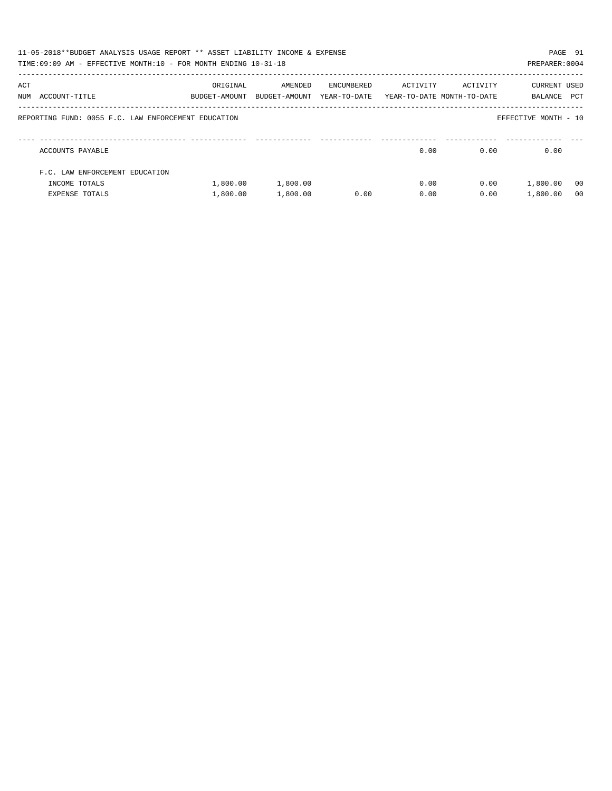|     | 11-05-2018**BUDGET ANALYSIS USAGE REPORT ** ASSET LIABILITY INCOME & EXPENSE<br>PAGE 91<br>TIME:09:09 AM - EFFECTIVE MONTH:10 - FOR MONTH ENDING 10-31-18<br>PREPARER: 0004 |                           |                          |                            |                                        |          |                         |                |  |
|-----|-----------------------------------------------------------------------------------------------------------------------------------------------------------------------------|---------------------------|--------------------------|----------------------------|----------------------------------------|----------|-------------------------|----------------|--|
| ACT | NUM ACCOUNT-TITLE                                                                                                                                                           | ORIGINAL<br>BUDGET-AMOUNT | AMENDED<br>BUDGET-AMOUNT | ENCUMBERED<br>YEAR-TO-DATE | ACTIVITY<br>YEAR-TO-DATE MONTH-TO-DATE | ACTIVITY | CURRENT USED<br>BALANCE | PCT            |  |
|     | REPORTING FUND: 0055 F.C. LAW ENFORCEMENT EDUCATION                                                                                                                         |                           |                          |                            |                                        |          | EFFECTIVE MONTH - 10    |                |  |
|     | ACCOUNTS PAYABLE                                                                                                                                                            |                           |                          |                            | 0.00                                   | 0.00     | 0.00                    |                |  |
|     | F.C. LAW ENFORCEMENT EDUCATION                                                                                                                                              |                           |                          |                            |                                        |          |                         |                |  |
|     | INCOME TOTALS                                                                                                                                                               | 1,800.00                  | 1,800.00                 |                            | 0.00                                   | 0.00     | 1,800.00                | - 00           |  |
|     | <b>EXPENSE TOTALS</b>                                                                                                                                                       | 1,800.00                  | 1,800.00                 | 0.00                       | 0.00                                   | 0.00     | 1,800.00                | 0 <sub>0</sub> |  |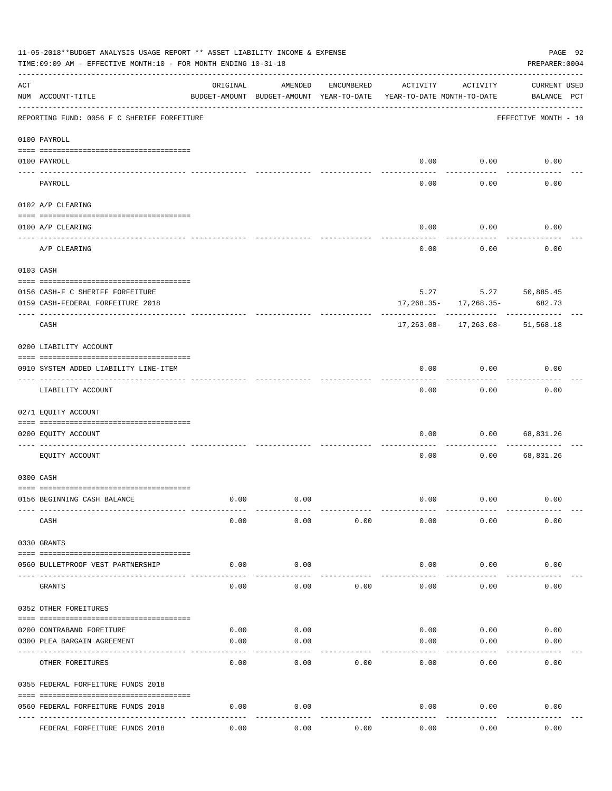| 11-05-2018**BUDGET ANALYSIS USAGE REPORT ** ASSET LIABILITY INCOME & EXPENSE<br>PAGE 92<br>TIME: 09:09 AM - EFFECTIVE MONTH: 10 - FOR MONTH ENDING 10-31-18<br>PREPARER: 0004 |                                              |          |                                                     |            |                                        |                           |                                    |  |  |
|-------------------------------------------------------------------------------------------------------------------------------------------------------------------------------|----------------------------------------------|----------|-----------------------------------------------------|------------|----------------------------------------|---------------------------|------------------------------------|--|--|
| ACT                                                                                                                                                                           | NUM ACCOUNT-TITLE                            | ORIGINAL | AMENDED<br>BUDGET-AMOUNT BUDGET-AMOUNT YEAR-TO-DATE | ENCUMBERED | ACTIVITY<br>YEAR-TO-DATE MONTH-TO-DATE | ACTIVITY                  | <b>CURRENT USED</b><br>BALANCE PCT |  |  |
|                                                                                                                                                                               | REPORTING FUND: 0056 F C SHERIFF FORFEITURE  |          |                                                     |            |                                        |                           | EFFECTIVE MONTH - 10               |  |  |
|                                                                                                                                                                               | 0100 PAYROLL                                 |          |                                                     |            |                                        |                           |                                    |  |  |
|                                                                                                                                                                               | 0100 PAYROLL                                 |          |                                                     |            | 0.00                                   | 0.00                      | 0.00                               |  |  |
| $------------$                                                                                                                                                                | ------------------------ --------<br>PAYROLL |          |                                                     |            | 0.00                                   | 0.00                      | 0.00                               |  |  |
|                                                                                                                                                                               | 0102 A/P CLEARING                            |          |                                                     |            |                                        |                           |                                    |  |  |
|                                                                                                                                                                               | 0100 A/P CLEARING                            |          |                                                     |            | 0.00                                   | 0.00                      | 0.00                               |  |  |
|                                                                                                                                                                               | A/P CLEARING                                 |          |                                                     |            | 0.00                                   | 0.00                      | 0.00                               |  |  |
|                                                                                                                                                                               | 0103 CASH                                    |          |                                                     |            |                                        |                           |                                    |  |  |
|                                                                                                                                                                               | 0156 CASH-F C SHERIFF FORFEITURE             |          |                                                     |            |                                        |                           | $5.27$ $5.27$ $50,885.45$          |  |  |
|                                                                                                                                                                               | 0159 CASH-FEDERAL FORFEITURE 2018            |          |                                                     |            |                                        | $17,268.35 - 17,268.35 -$ | 682.73                             |  |  |
|                                                                                                                                                                               | CASH                                         |          |                                                     |            |                                        |                           | 17, 263.08- 17, 263.08- 51, 568.18 |  |  |
|                                                                                                                                                                               | 0200 LIABILITY ACCOUNT                       |          |                                                     |            |                                        |                           |                                    |  |  |
|                                                                                                                                                                               | 0910 SYSTEM ADDED LIABILITY LINE-ITEM        |          |                                                     |            | 0.00                                   | 0.00<br>-------           | 0.00                               |  |  |
|                                                                                                                                                                               | LIABILITY ACCOUNT                            |          |                                                     |            | 0.00                                   | 0.00                      | 0.00                               |  |  |
|                                                                                                                                                                               | 0271 EQUITY ACCOUNT                          |          |                                                     |            |                                        |                           |                                    |  |  |
|                                                                                                                                                                               | 0200 EQUITY ACCOUNT                          |          |                                                     |            | 0.00                                   | 0.00                      | 68,831.26                          |  |  |
|                                                                                                                                                                               | EQUITY ACCOUNT                               |          |                                                     |            | 0.00                                   | 0.00                      | 68,831.26                          |  |  |
|                                                                                                                                                                               | 0300 CASH                                    |          |                                                     |            |                                        |                           |                                    |  |  |
|                                                                                                                                                                               | 0156 BEGINNING CASH BALANCE                  | 0.00     | 0.00                                                |            | 0.00                                   | 0.00                      | 0.00                               |  |  |
|                                                                                                                                                                               | CASH                                         | 0.00     | 0.00                                                | 0.00       | 0.00                                   | 0.00                      | 0.00                               |  |  |
|                                                                                                                                                                               | 0330 GRANTS                                  |          |                                                     |            |                                        |                           |                                    |  |  |
|                                                                                                                                                                               | 0560 BULLETPROOF VEST PARTNERSHIP            | 0.00     | 0.00                                                |            | 0.00                                   | 0.00                      | 0.00                               |  |  |
|                                                                                                                                                                               | GRANTS                                       | 0.00     | 0.00                                                | 0.00       | 0.00                                   | 0.00                      | 0.00                               |  |  |
|                                                                                                                                                                               | 0352 OTHER FOREITURES                        |          |                                                     |            |                                        |                           |                                    |  |  |
|                                                                                                                                                                               | 0200 CONTRABAND FOREITURE                    | 0.00     | 0.00                                                |            | 0.00                                   | 0.00                      | 0.00                               |  |  |
|                                                                                                                                                                               | 0300 PLEA BARGAIN AGREEMENT                  | 0.00     | 0.00                                                |            | 0.00                                   | 0.00                      | 0.00                               |  |  |
|                                                                                                                                                                               | OTHER FOREITURES                             | 0.00     | 0.00                                                | 0.00       | 0.00                                   | 0.00                      | 0.00                               |  |  |
|                                                                                                                                                                               | 0355 FEDERAL FORFEITURE FUNDS 2018           |          |                                                     |            |                                        |                           |                                    |  |  |
|                                                                                                                                                                               | 0560 FEDERAL FORFEITURE FUNDS 2018           | 0.00     | 0.00                                                |            | 0.00                                   | 0.00                      | 0.00                               |  |  |
|                                                                                                                                                                               | FEDERAL FORFEITURE FUNDS 2018                | 0.00     | 0.00                                                | 0.00       | 0.00                                   | 0.00                      | 0.00                               |  |  |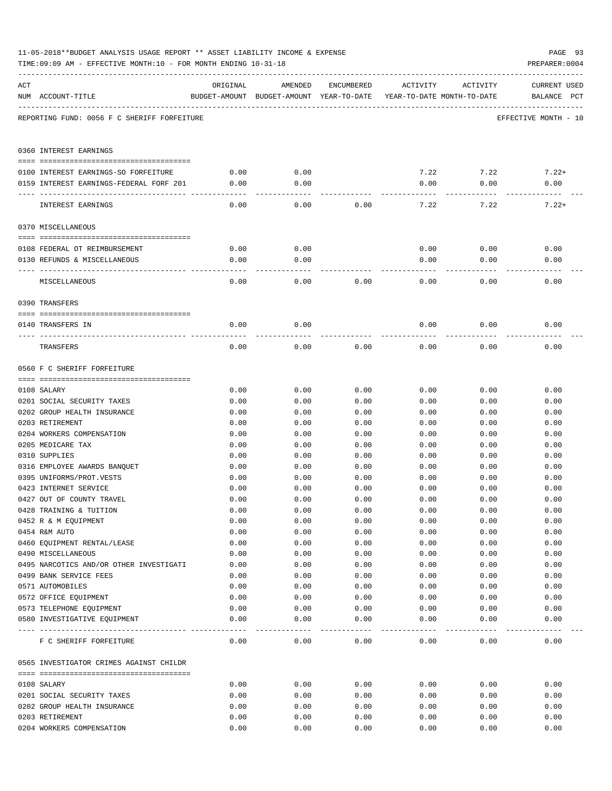|     | TIME: 09:09 AM - EFFECTIVE MONTH: 10 - FOR MONTH ENDING 10-31-18 |              |                                                                                |              |              |              | PREPARER: 0004                     |
|-----|------------------------------------------------------------------|--------------|--------------------------------------------------------------------------------|--------------|--------------|--------------|------------------------------------|
| ACT | NUM ACCOUNT-TITLE                                                | ORIGINAL     | AMENDED<br>BUDGET-AMOUNT BUDGET-AMOUNT YEAR-TO-DATE YEAR-TO-DATE MONTH-TO-DATE | ENCUMBERED   | ACTIVITY     | ACTIVITY     | <b>CURRENT USED</b><br>BALANCE PCT |
|     | REPORTING FUND: 0056 F C SHERIFF FORFEITURE                      |              |                                                                                |              |              |              | EFFECTIVE MONTH - 10               |
|     | 0360 INTEREST EARNINGS                                           |              |                                                                                |              |              |              |                                    |
|     | 0100 INTEREST EARNINGS-SO FORFEITURE                             | 0.00         | 0.00                                                                           |              | 7.22         | 7.22         | $7.22+$                            |
|     | 0159 INTEREST EARNINGS-FEDERAL FORF 201                          | 0.00         | 0.00                                                                           |              | 0.00         | 0.00         | 0.00                               |
|     |                                                                  | ----------   | -------                                                                        |              |              |              |                                    |
|     | INTEREST EARNINGS                                                | 0.00         | 0.00                                                                           | 0.00         | 7.22         | 7.22         | $7.22+$                            |
|     | 0370 MISCELLANEOUS                                               |              |                                                                                |              |              |              |                                    |
|     |                                                                  |              |                                                                                |              |              |              |                                    |
|     | 0108 FEDERAL OT REIMBURSEMENT                                    | 0.00         | 0.00                                                                           |              | 0.00         | 0.00         | 0.00                               |
|     | 0130 REFUNDS & MISCELLANEOUS                                     | 0.00         | 0.00                                                                           |              | 0.00         | 0.00         | 0.00                               |
|     | MISCELLANEOUS                                                    | 0.00         | 0.00                                                                           | 0.00         | 0.00         | 0.00         | 0.00                               |
|     | 0390 TRANSFERS                                                   |              |                                                                                |              |              |              |                                    |
|     |                                                                  |              |                                                                                |              |              |              |                                    |
|     | 0140 TRANSFERS IN                                                | 0.00         | 0.00                                                                           |              | 0.00         | 0.00         | 0.00                               |
|     | TRANSFERS                                                        | 0.00         | 0.00                                                                           | 0.00         | 0.00         | 0.00         | 0.00                               |
|     | 0560 F C SHERIFF FORFEITURE                                      |              |                                                                                |              |              |              |                                    |
|     |                                                                  |              |                                                                                |              |              |              |                                    |
|     | 0108 SALARY                                                      | 0.00         | 0.00                                                                           | 0.00         | 0.00         | 0.00         | 0.00                               |
|     | 0201 SOCIAL SECURITY TAXES<br>0202 GROUP HEALTH INSURANCE        | 0.00<br>0.00 | 0.00<br>0.00                                                                   | 0.00<br>0.00 | 0.00         | 0.00         | 0.00<br>0.00                       |
|     | 0203 RETIREMENT                                                  | 0.00         | 0.00                                                                           | 0.00         | 0.00<br>0.00 | 0.00<br>0.00 | 0.00                               |
|     | 0204 WORKERS COMPENSATION                                        | 0.00         | 0.00                                                                           | 0.00         | 0.00         | 0.00         | 0.00                               |
|     | 0205 MEDICARE TAX                                                | 0.00         | 0.00                                                                           | 0.00         | 0.00         | 0.00         | 0.00                               |
|     | 0310 SUPPLIES                                                    | 0.00         | 0.00                                                                           | 0.00         | 0.00         | 0.00         | 0.00                               |
|     | 0316 EMPLOYEE AWARDS BANQUET                                     | 0.00         | 0.00                                                                           | 0.00         | 0.00         | 0.00         | 0.00                               |
|     | 0395 UNIFORMS/PROT.VESTS                                         | 0.00         | 0.00                                                                           | 0.00         | 0.00         | 0.00         | 0.00                               |
|     | 0423 INTERNET SERVICE                                            | 0.00         | 0.00                                                                           | 0.00         | 0.00         | 0.00         | 0.00                               |
|     | 0427 OUT OF COUNTY TRAVEL                                        | 0.00         | 0.00                                                                           | 0.00         | 0.00         | 0.00         | 0.00                               |
|     | 0428 TRAINING & TUITION                                          | 0.00         | 0.00                                                                           | 0.00         | 0.00         | 0.00         | 0.00                               |
|     | 0452 R & M EQUIPMENT                                             | 0.00         | 0.00                                                                           | 0.00         | 0.00         | 0.00         | 0.00                               |
|     | 0454 R&M AUTO                                                    | 0.00         | 0.00                                                                           | 0.00         | 0.00         | 0.00         | 0.00                               |
|     | 0460 EQUIPMENT RENTAL/LEASE                                      | 0.00         | 0.00                                                                           | 0.00         | 0.00         | 0.00         | 0.00                               |
|     | 0490 MISCELLANEOUS                                               | 0.00         | 0.00                                                                           | 0.00         | 0.00         | 0.00         | 0.00                               |
|     | 0495 NARCOTICS AND/OR OTHER INVESTIGATI                          | 0.00         | 0.00                                                                           | 0.00         | 0.00         | 0.00         | 0.00                               |
|     | 0499 BANK SERVICE FEES                                           | 0.00         | 0.00                                                                           | 0.00         | 0.00         | 0.00         | 0.00                               |
|     | 0571 AUTOMOBILES                                                 | 0.00         | 0.00                                                                           | 0.00         | 0.00         | 0.00         | 0.00                               |
|     | 0572 OFFICE EQUIPMENT                                            | 0.00         | 0.00                                                                           | 0.00         | 0.00         | 0.00         | 0.00                               |
|     | 0573 TELEPHONE EQUIPMENT<br>0580 INVESTIGATIVE EQUIPMENT         | 0.00<br>0.00 | 0.00<br>0.00                                                                   | 0.00<br>0.00 | 0.00<br>0.00 | 0.00<br>0.00 | 0.00<br>0.00                       |
|     |                                                                  |              | $- - - - -$                                                                    | ---------    | ---------    | --------     | ----------                         |
|     | F C SHERIFF FORFEITURE                                           | 0.00         | 0.00                                                                           | 0.00         | 0.00         | 0.00         | 0.00                               |
|     | 0565 INVESTIGATOR CRIMES AGAINST CHILDR                          |              |                                                                                |              |              |              |                                    |
|     | 0108 SALARY                                                      | 0.00         | 0.00                                                                           | 0.00         | 0.00         | 0.00         | 0.00                               |
|     | 0201 SOCIAL SECURITY TAXES                                       | 0.00         | 0.00                                                                           | 0.00         | 0.00         | 0.00         | 0.00                               |
|     | 0202 GROUP HEALTH INSURANCE                                      | 0.00         | 0.00                                                                           | 0.00         | 0.00         | 0.00         | 0.00                               |
|     | 0203 RETIREMENT                                                  | 0.00         | 0.00                                                                           | 0.00         | 0.00         | 0.00         | 0.00                               |
|     | 0204 WORKERS COMPENSATION                                        | 0.00         | 0.00                                                                           | 0.00         | 0.00         | 0.00         | 0.00                               |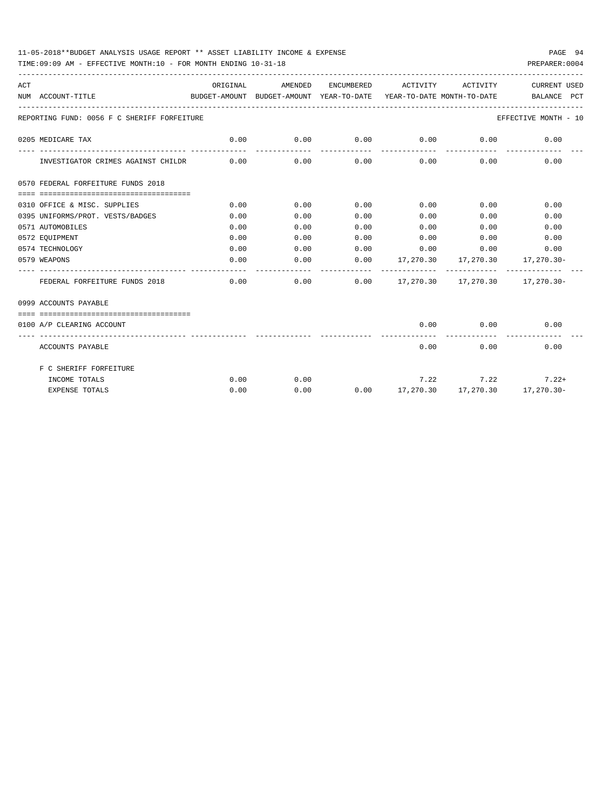## 11-05-2018\*\*BUDGET ANALYSIS USAGE REPORT \*\* ASSET LIABILITY INCOME & EXPENSE PAGE 94

TIME:09:09 AM - EFFECTIVE MONTH:10 - FOR MONTH ENDING 10-31-18 PREPARER:0004

| ACT | NUM ACCOUNT-TITLE                           | ORIGINAL | AMENDED |      | ENCUMBERED ACTIVITY ACTIVITY |           | <b>CURRENT USED</b><br>BUDGET-AMOUNT BUDGET-AMOUNT YEAR-TO-DATE YEAR-TO-DATE MONTH-TO-DATE BALANCE PCT |
|-----|---------------------------------------------|----------|---------|------|------------------------------|-----------|--------------------------------------------------------------------------------------------------------|
|     | REPORTING FUND: 0056 F C SHERIFF FORFEITURE |          |         |      |                              |           | EFFECTIVE MONTH - 10                                                                                   |
|     | 0205 MEDICARE TAX                           | 0.00     | 0.00    | 0.00 | $0.00$ 0.00                  |           | 0.00                                                                                                   |
|     | INVESTIGATOR CRIMES AGAINST CHILDR 0.00     |          | 0.00    |      | $0.00$ 0.00                  |           | $0.00$ and $0.00$<br>0.00                                                                              |
|     | 0570 FEDERAL FORFEITURE FUNDS 2018          |          |         |      |                              |           |                                                                                                        |
|     |                                             |          |         |      |                              |           |                                                                                                        |
|     | 0310 OFFICE & MISC. SUPPLIES                | 0.00     | 0.00    | 0.00 | $0.00$ 0.00                  |           | 0.00                                                                                                   |
|     | 0395 UNIFORMS/PROT. VESTS/BADGES            | 0.00     | 0.00    | 0.00 | 0.00                         | 0.00      | 0.00                                                                                                   |
|     | 0571 AUTOMOBILES                            | 0.00     | 0.00    | 0.00 | 0.00                         | 0.00      | 0.00                                                                                                   |
|     | 0572 EOUIPMENT                              | 0.00     | 0.00    | 0.00 | $0.00$ 0.00                  |           | 0.00                                                                                                   |
|     | 0574 TECHNOLOGY                             | 0.00     | 0.00    | 0.00 | $0.00$ $0.00$ $0.00$ $0.00$  |           |                                                                                                        |
|     | 0579 WEAPONS                                | 0.00     | 0.00    |      |                              |           | $0.00$ $17,270.30$ $17,270.30$ $17,270.30$                                                             |
|     | FEDERAL FORFEITURE FUNDS 2018               | 0.00     | 0.00    |      |                              |           | $0.00$ 17,270.30 17,270.30 17,270.30                                                                   |
|     | 0999 ACCOUNTS PAYABLE                       |          |         |      |                              |           |                                                                                                        |
|     |                                             |          |         |      |                              |           |                                                                                                        |
|     | 0100 A/P CLEARING ACCOUNT                   |          |         |      |                              |           | $0.00$ $0.00$ $0.00$                                                                                   |
|     | ACCOUNTS PAYABLE                            |          |         |      |                              | 0.00      | $0.00$ and $0.00$<br>0.00                                                                              |
|     | F C SHERIFF FORFEITURE                      |          |         |      |                              |           |                                                                                                        |
|     | INCOME TOTALS                               | 0.00     | 0.00    |      |                              | 7.22 7.22 | $7.22+$                                                                                                |
|     | <b>EXPENSE TOTALS</b>                       | 0.00     | 0.00    |      |                              |           | $0.00$ $17,270.30$ $17,270.30$ $17,270.30$                                                             |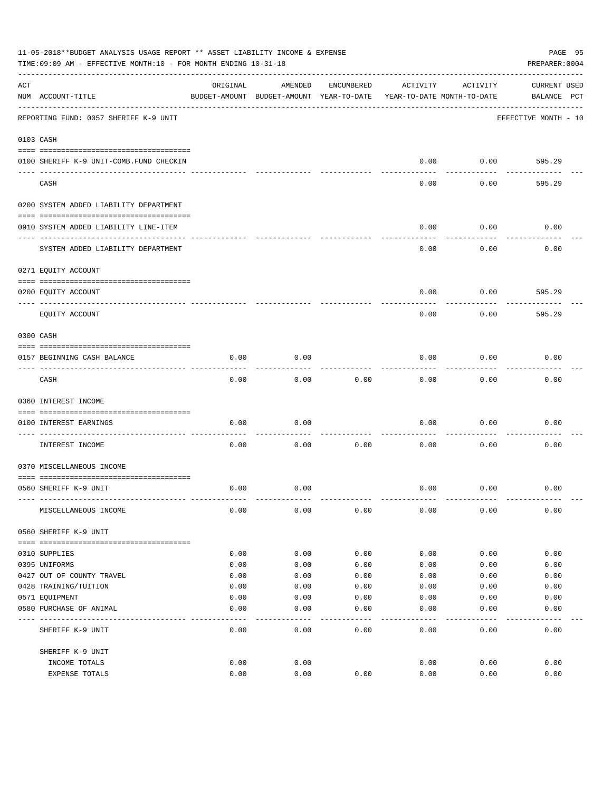|     | 11-05-2018**BUDGET ANALYSIS USAGE REPORT ** ASSET LIABILITY INCOME & EXPENSE<br>PAGE 95<br>TIME: 09:09 AM - EFFECTIVE MONTH: 10 - FOR MONTH ENDING 10-31-18<br>PREPARER: 0004 |          |                                                     |            |          |                                        |                                    |  |  |
|-----|-------------------------------------------------------------------------------------------------------------------------------------------------------------------------------|----------|-----------------------------------------------------|------------|----------|----------------------------------------|------------------------------------|--|--|
| ACT | NUM ACCOUNT-TITLE                                                                                                                                                             | ORIGINAL | AMENDED<br>BUDGET-AMOUNT BUDGET-AMOUNT YEAR-TO-DATE | ENCUMBERED | ACTIVITY | ACTIVITY<br>YEAR-TO-DATE MONTH-TO-DATE | <b>CURRENT USED</b><br>BALANCE PCT |  |  |
|     | REPORTING FUND: 0057 SHERIFF K-9 UNIT                                                                                                                                         |          |                                                     |            |          |                                        | EFFECTIVE MONTH - 10               |  |  |
|     | 0103 CASH                                                                                                                                                                     |          |                                                     |            |          |                                        |                                    |  |  |
|     | 0100 SHERIFF K-9 UNIT-COMB.FUND CHECKIN                                                                                                                                       |          |                                                     |            | 0.00     | 0.00                                   | 595.29                             |  |  |
|     | CASH                                                                                                                                                                          |          |                                                     |            | 0.00     | 0.00                                   | 595.29                             |  |  |
|     | 0200 SYSTEM ADDED LIABILITY DEPARTMENT                                                                                                                                        |          |                                                     |            |          |                                        |                                    |  |  |
|     | 0910 SYSTEM ADDED LIABILITY LINE-ITEM                                                                                                                                         |          |                                                     |            | 0.00     | 0.00                                   | 0.00                               |  |  |
|     | SYSTEM ADDED LIABILITY DEPARTMENT                                                                                                                                             |          |                                                     |            | 0.00     | 0.00                                   | 0.00                               |  |  |
|     | 0271 EQUITY ACCOUNT                                                                                                                                                           |          |                                                     |            |          |                                        |                                    |  |  |
|     | 0200 EQUITY ACCOUNT                                                                                                                                                           |          |                                                     |            | 0.00     | 0.00                                   | 595.29                             |  |  |
|     | EQUITY ACCOUNT                                                                                                                                                                |          |                                                     |            | 0.00     | 0.00                                   | 595.29                             |  |  |
|     | 0300 CASH                                                                                                                                                                     |          |                                                     |            |          |                                        |                                    |  |  |
|     | 0157 BEGINNING CASH BALANCE                                                                                                                                                   | 0.00     | 0.00                                                |            | 0.00     | 0.00                                   | 0.00                               |  |  |
|     | CASH                                                                                                                                                                          | 0.00     | 0.00                                                | 0.00       | 0.00     | 0.00                                   | 0.00                               |  |  |
|     | 0360 INTEREST INCOME                                                                                                                                                          |          |                                                     |            |          |                                        |                                    |  |  |
|     | 0100 INTEREST EARNINGS<br>----------------- ---                                                                                                                               | 0.00     | 0.00                                                |            | 0.00     | 0.00                                   | 0.00                               |  |  |
|     | INTEREST INCOME                                                                                                                                                               | 0.00     | 0.00                                                | 0.00       | 0.00     | 0.00                                   | 0.00                               |  |  |
|     | 0370 MISCELLANEOUS INCOME                                                                                                                                                     |          |                                                     |            |          |                                        |                                    |  |  |
|     | 0560 SHERIFF K-9 UNIT                                                                                                                                                         | 0.00     | 0.00                                                |            | 0.00     | 0.00                                   | 0.00                               |  |  |
|     | MISCELLANEOUS INCOME                                                                                                                                                          | 0.00     | 0.00                                                | 0.00       | 0.00     | 0.00                                   | 0.00                               |  |  |
|     | 0560 SHERIFF K-9 UNIT                                                                                                                                                         |          |                                                     |            |          |                                        |                                    |  |  |
|     | 0310 SUPPLIES                                                                                                                                                                 | 0.00     | 0.00                                                | 0.00       | 0.00     | 0.00                                   | 0.00                               |  |  |
|     | 0395 UNIFORMS                                                                                                                                                                 | 0.00     | 0.00                                                | 0.00       | 0.00     | 0.00                                   | 0.00                               |  |  |
|     | 0427 OUT OF COUNTY TRAVEL                                                                                                                                                     | 0.00     | 0.00                                                | 0.00       | 0.00     | 0.00                                   | 0.00                               |  |  |
|     | 0428 TRAINING/TUITION                                                                                                                                                         | 0.00     | 0.00                                                | 0.00       | 0.00     | 0.00                                   | 0.00                               |  |  |
|     | 0571 EQUIPMENT                                                                                                                                                                | 0.00     | 0.00                                                | 0.00       | 0.00     | 0.00                                   | 0.00                               |  |  |
|     | 0580 PURCHASE OF ANIMAL                                                                                                                                                       | 0.00     | 0.00                                                | 0.00       | 0.00     | 0.00                                   | 0.00                               |  |  |
|     | SHERIFF K-9 UNIT                                                                                                                                                              | 0.00     | 0.00                                                | 0.00       | 0.00     | 0.00                                   | 0.00                               |  |  |
|     | SHERIFF K-9 UNIT                                                                                                                                                              |          |                                                     |            |          |                                        |                                    |  |  |
|     | INCOME TOTALS                                                                                                                                                                 | 0.00     | 0.00                                                |            | 0.00     | 0.00                                   | 0.00                               |  |  |
|     | EXPENSE TOTALS                                                                                                                                                                | 0.00     | 0.00                                                | 0.00       | 0.00     | 0.00                                   | 0.00                               |  |  |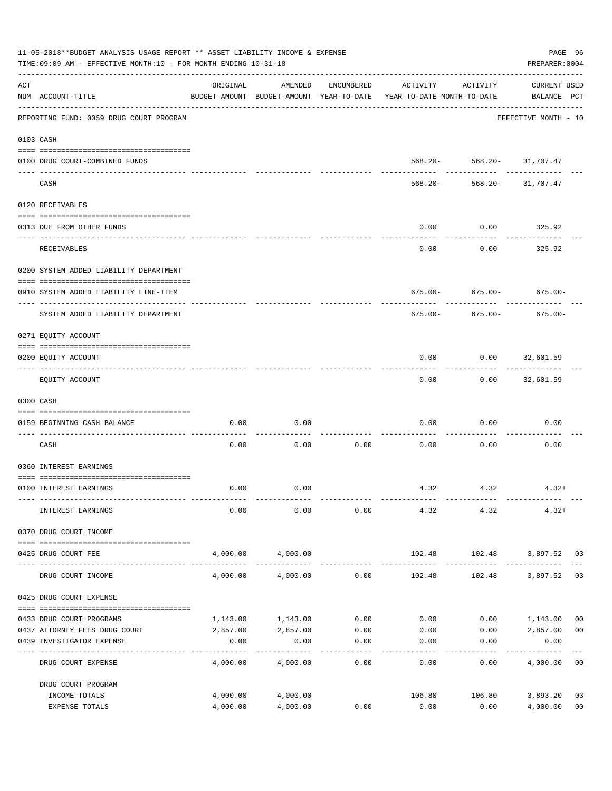| 11-05-2018**BUDGET ANALYSIS USAGE REPORT ** ASSET LIABILITY INCOME & EXPENSE<br>TIME: 09:09 AM - EFFECTIVE MONTH: 10 - FOR MONTH ENDING 10-31-18 |                                                            |                  |                   |                     |                                                                                 |                           |                                    |                |  |
|--------------------------------------------------------------------------------------------------------------------------------------------------|------------------------------------------------------------|------------------|-------------------|---------------------|---------------------------------------------------------------------------------|---------------------------|------------------------------------|----------------|--|
| ACT                                                                                                                                              | NUM ACCOUNT-TITLE                                          | ORIGINAL         | AMENDED           | ENCUMBERED          | ACTIVITY<br>BUDGET-AMOUNT BUDGET-AMOUNT YEAR-TO-DATE YEAR-TO-DATE MONTH-TO-DATE | ACTIVITY                  | <b>CURRENT USED</b><br>BALANCE PCT |                |  |
|                                                                                                                                                  | REPORTING FUND: 0059 DRUG COURT PROGRAM                    |                  |                   |                     |                                                                                 |                           | EFFECTIVE MONTH - 10               |                |  |
|                                                                                                                                                  | 0103 CASH                                                  |                  |                   |                     |                                                                                 |                           |                                    |                |  |
|                                                                                                                                                  | 0100 DRUG COURT-COMBINED FUNDS                             |                  |                   |                     |                                                                                 | 568.20- 568.20- 31,707.47 |                                    |                |  |
|                                                                                                                                                  | CASH                                                       |                  |                   |                     | 568.20-                                                                         | ------------- ---------   | 568.20- 31,707.47                  |                |  |
|                                                                                                                                                  | 0120 RECEIVABLES                                           |                  |                   |                     |                                                                                 |                           |                                    |                |  |
|                                                                                                                                                  | 0313 DUE FROM OTHER FUNDS                                  |                  |                   |                     | 0.00                                                                            | 0.00                      | 325.92                             |                |  |
|                                                                                                                                                  | <b>RECEIVABLES</b>                                         |                  |                   |                     | 0.00                                                                            | 0.00                      | ----------<br>325.92               |                |  |
|                                                                                                                                                  | 0200 SYSTEM ADDED LIABILITY DEPARTMENT                     |                  |                   |                     |                                                                                 |                           |                                    |                |  |
|                                                                                                                                                  | 0910 SYSTEM ADDED LIABILITY LINE-ITEM                      |                  |                   |                     |                                                                                 |                           | $675.00 - 675.00 - 675.00 -$       |                |  |
|                                                                                                                                                  | SYSTEM ADDED LIABILITY DEPARTMENT                          |                  |                   |                     | 675.00-                                                                         | 675.00-                   | 675.00-                            |                |  |
|                                                                                                                                                  | 0271 EQUITY ACCOUNT                                        |                  |                   |                     |                                                                                 |                           |                                    |                |  |
|                                                                                                                                                  | 0200 EQUITY ACCOUNT                                        |                  |                   |                     | 0.00                                                                            | $0.00$ 32,601.59          |                                    |                |  |
|                                                                                                                                                  | EQUITY ACCOUNT                                             |                  |                   |                     | 0.00                                                                            |                           | $0.00$ 32,601.59                   |                |  |
|                                                                                                                                                  | 0300 CASH                                                  |                  |                   |                     |                                                                                 |                           |                                    |                |  |
|                                                                                                                                                  | 0159 BEGINNING CASH BALANCE                                | 0.00             | 0.00              |                     | 0.00                                                                            | 0.00                      | 0.00                               |                |  |
|                                                                                                                                                  | CASH                                                       | 0.00             | 0.00              | 0.00                | 0.00                                                                            | 0.00                      | 0.00                               |                |  |
|                                                                                                                                                  | 0360 INTEREST EARNINGS                                     |                  |                   |                     |                                                                                 |                           |                                    |                |  |
|                                                                                                                                                  | 0100 INTEREST EARNINGS                                     | 0.00             | 0.00              |                     |                                                                                 | 4.32 4.32                 | $4.32+$                            |                |  |
|                                                                                                                                                  | INTEREST EARNINGS                                          | 0.00             | 0.00              | 0.00                | 4.32                                                                            | 4.32                      | $4.32+$                            |                |  |
|                                                                                                                                                  | 0370 DRUG COURT INCOME                                     |                  |                   |                     |                                                                                 |                           |                                    |                |  |
|                                                                                                                                                  | 0425 DRUG COURT FEE                                        |                  | 4,000.00 4,000.00 |                     |                                                                                 |                           | 102.48 102.48 3,897.52 03          |                |  |
|                                                                                                                                                  | DRUG COURT INCOME                                          | 4,000.00         | 4,000.00          | 0.00                | 102.48                                                                          | 102.48                    | 3,897.52 03                        |                |  |
|                                                                                                                                                  | 0425 DRUG COURT EXPENSE                                    |                  |                   |                     |                                                                                 |                           |                                    |                |  |
|                                                                                                                                                  | 0433 DRUG COURT PROGRAMS                                   | 1,143.00         | 1,143.00          | 0.00                | 0.00                                                                            |                           | $0.00$ 1,143.00                    | 0 <sub>0</sub> |  |
|                                                                                                                                                  | 0437 ATTORNEY FEES DRUG COURT<br>0439 INVESTIGATOR EXPENSE | 2,857.00<br>0.00 | 2,857.00<br>0.00  | 0.00<br>0.00        | 0.00<br>0.00                                                                    | 0.00                      | $0.00$ 2,857.00<br>0.00            | 0 <sub>0</sub> |  |
|                                                                                                                                                  | DRUG COURT EXPENSE                                         | 4,000.00         | 4,000.00          | -----------<br>0.00 | --------<br>0.00                                                                | ---------<br>0.00         | 4,000.00 00                        |                |  |
|                                                                                                                                                  | DRUG COURT PROGRAM                                         |                  |                   |                     |                                                                                 |                           |                                    |                |  |
|                                                                                                                                                  | INCOME TOTALS                                              | 4,000.00         | 4,000.00          |                     | 106.80                                                                          | 106.80                    | 3,893.20                           | 03             |  |
|                                                                                                                                                  | EXPENSE TOTALS                                             | 4,000.00         | 4,000.00          | 0.00                | 0.00                                                                            | 0.00                      | 4,000.00                           | 0 <sub>0</sub> |  |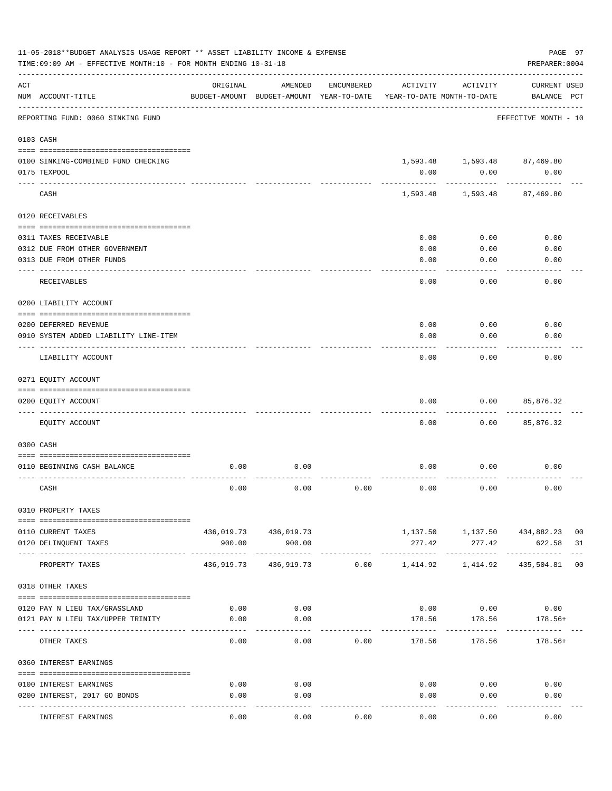|     | PAGE 97<br>11-05-2018**BUDGET ANALYSIS USAGE REPORT ** ASSET LIABILITY INCOME & EXPENSE<br>TIME: 09:09 AM - EFFECTIVE MONTH: 10 - FOR MONTH ENDING 10-31-18<br>PREPARER: 0004 |            |                                                     |            |          |                                        |                                   |                             |  |  |
|-----|-------------------------------------------------------------------------------------------------------------------------------------------------------------------------------|------------|-----------------------------------------------------|------------|----------|----------------------------------------|-----------------------------------|-----------------------------|--|--|
| ACT | NUM ACCOUNT-TITLE                                                                                                                                                             | ORIGINAL   | AMENDED<br>BUDGET-AMOUNT BUDGET-AMOUNT YEAR-TO-DATE | ENCUMBERED | ACTIVITY | ACTIVITY<br>YEAR-TO-DATE MONTH-TO-DATE | CURRENT USED<br>BALANCE PCT       |                             |  |  |
|     | REPORTING FUND: 0060 SINKING FUND                                                                                                                                             |            |                                                     |            |          |                                        | EFFECTIVE MONTH - 10              |                             |  |  |
|     | 0103 CASH                                                                                                                                                                     |            |                                                     |            |          |                                        |                                   |                             |  |  |
|     | 0100 SINKING-COMBINED FUND CHECKING                                                                                                                                           |            |                                                     |            |          |                                        | $1,593.48$ $1,593.48$ $87,469.80$ |                             |  |  |
|     | 0175 TEXPOOL                                                                                                                                                                  |            |                                                     |            | 0.00     | 0.00                                   | 0.00                              |                             |  |  |
|     | CASH                                                                                                                                                                          |            |                                                     |            | 1,593.48 | 1,593.48                               | 87,469.80                         |                             |  |  |
|     | 0120 RECEIVABLES                                                                                                                                                              |            |                                                     |            |          |                                        |                                   |                             |  |  |
|     | 0311 TAXES RECEIVABLE                                                                                                                                                         |            |                                                     |            | 0.00     | 0.00                                   | 0.00                              |                             |  |  |
|     | 0312 DUE FROM OTHER GOVERNMENT                                                                                                                                                |            |                                                     |            | 0.00     | 0.00                                   | 0.00                              |                             |  |  |
|     | 0313 DUE FROM OTHER FUNDS                                                                                                                                                     |            |                                                     |            | 0.00     | 0.00                                   | 0.00                              |                             |  |  |
|     | RECEIVABLES                                                                                                                                                                   |            |                                                     |            | 0.00     | 0.00                                   | 0.00                              |                             |  |  |
|     | 0200 LIABILITY ACCOUNT                                                                                                                                                        |            |                                                     |            |          |                                        |                                   |                             |  |  |
|     | 0200 DEFERRED REVENUE                                                                                                                                                         |            |                                                     |            | 0.00     | 0.00                                   | 0.00                              |                             |  |  |
|     | 0910 SYSTEM ADDED LIABILITY LINE-ITEM                                                                                                                                         |            |                                                     |            | 0.00     | 0.00                                   | 0.00                              |                             |  |  |
|     | LIABILITY ACCOUNT                                                                                                                                                             |            |                                                     |            | 0.00     | 0.00                                   | 0.00                              |                             |  |  |
|     | 0271 EQUITY ACCOUNT                                                                                                                                                           |            |                                                     |            |          |                                        |                                   |                             |  |  |
|     | 0200 EQUITY ACCOUNT                                                                                                                                                           |            |                                                     |            | 0.00     | 0.00                                   | 85,876.32                         |                             |  |  |
|     | EQUITY ACCOUNT                                                                                                                                                                |            |                                                     |            | 0.00     | 0.00                                   | 85,876.32                         |                             |  |  |
|     | 0300 CASH                                                                                                                                                                     |            |                                                     |            |          |                                        |                                   |                             |  |  |
|     | 0110 BEGINNING CASH BALANCE                                                                                                                                                   | 0.00       | 0.00                                                |            | 0.00     | 0.00                                   | 0.00                              |                             |  |  |
|     | CASH                                                                                                                                                                          | 0.00       | 0.00                                                | 0.00       | 0.00     | 0.00                                   | 0.00                              |                             |  |  |
|     | 0310 PROPERTY TAXES                                                                                                                                                           |            |                                                     |            |          |                                        |                                   |                             |  |  |
|     | 0110 CURRENT TAXES                                                                                                                                                            |            | 436,019.73 436,019.73                               |            |          |                                        | 1,137.50 1,137.50 434,882.23 00   |                             |  |  |
|     | 0120 DELINQUENT TAXES                                                                                                                                                         | 900.00     | 900.00                                              |            | 277.42   | 277.42                                 | 622.58 31                         |                             |  |  |
|     | PROPERTY TAXES                                                                                                                                                                | 436,919.73 |                                                     |            |          |                                        | 435,504.81                        | $- - - -$<br>0 <sub>0</sub> |  |  |
|     | 0318 OTHER TAXES                                                                                                                                                              |            |                                                     |            |          |                                        |                                   |                             |  |  |
|     | 0120 PAY N LIEU TAX/GRASSLAND                                                                                                                                                 | 0.00       | 0.00                                                |            |          |                                        | $0.00$ $0.00$ $0.00$              |                             |  |  |
|     | 0121 PAY N LIEU TAX/UPPER TRINITY                                                                                                                                             | 0.00       | 0.00                                                |            |          |                                        | 178.56 178.56 178.56+             |                             |  |  |
|     | OTHER TAXES                                                                                                                                                                   | 0.00       | 0.00                                                | 0.00       | 178.56   | ----------<br>178.56                   | $178.56+$                         |                             |  |  |
|     | 0360 INTEREST EARNINGS                                                                                                                                                        |            |                                                     |            |          |                                        |                                   |                             |  |  |
|     |                                                                                                                                                                               |            |                                                     |            |          |                                        |                                   |                             |  |  |
|     | 0100 INTEREST EARNINGS                                                                                                                                                        | 0.00       | 0.00                                                |            |          | $0.00$ 0.00                            | 0.00                              |                             |  |  |
|     | 0200 INTEREST, 2017 GO BONDS                                                                                                                                                  | 0.00       | 0.00<br>$- - - -$                                   |            | 0.00     | 0.00                                   | 0.00                              |                             |  |  |
|     | INTEREST EARNINGS                                                                                                                                                             | 0.00       | 0.00                                                | 0.00       | 0.00     | 0.00                                   | 0.00                              |                             |  |  |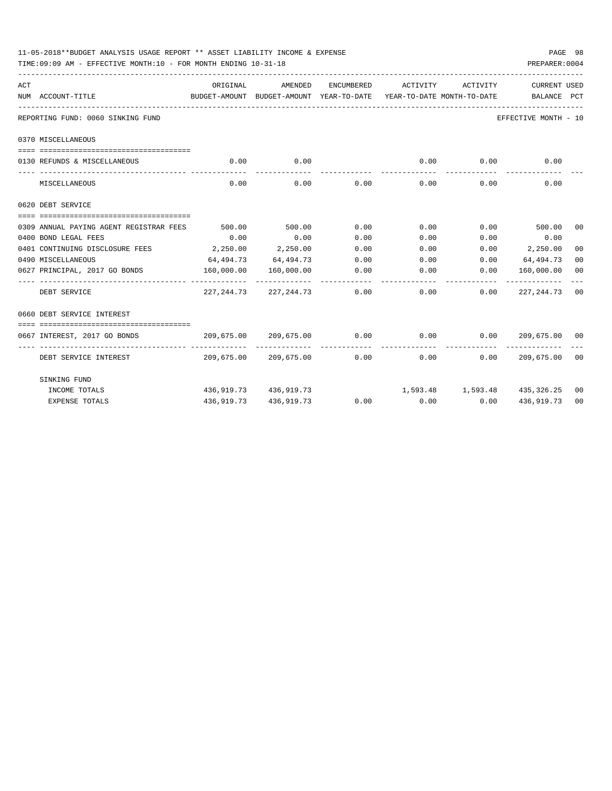|     | PAGE 98<br>11-05-2018**BUDGET ANALYSIS USAGE REPORT ** ASSET LIABILITY INCOME & EXPENSE<br>PREPARER: 0004<br>TIME: 09:09 AM - EFFECTIVE MONTH: 10 - FOR MONTH ENDING 10-31-18 |            |                                                |              |                              |                               |                                |         |  |  |  |
|-----|-------------------------------------------------------------------------------------------------------------------------------------------------------------------------------|------------|------------------------------------------------|--------------|------------------------------|-------------------------------|--------------------------------|---------|--|--|--|
| ACT |                                                                                                                                                                               | ORIGINAL   | AMENDED                                        | ENCUMBERED   | ACTIVITY                     | ACTIVITY                      | <b>CURRENT USED</b>            |         |  |  |  |
|     | NUM ACCOUNT-TITLE                                                                                                                                                             |            | BUDGET-AMOUNT BUDGET-AMOUNT YEAR-TO-DATE       |              | YEAR-TO-DATE MONTH-TO-DATE   |                               | BALANCE PCT                    |         |  |  |  |
|     | REPORTING FUND: 0060 SINKING FUND                                                                                                                                             |            |                                                |              |                              |                               | EFFECTIVE MONTH - 10           |         |  |  |  |
|     | 0370 MISCELLANEOUS                                                                                                                                                            |            |                                                |              |                              |                               |                                |         |  |  |  |
|     | 0130 REFUNDS & MISCELLANEOUS                                                                                                                                                  | 0.00       | 0.00                                           |              | 0.00                         | 0.00                          | 0.00                           |         |  |  |  |
|     | MISCELLANEOUS                                                                                                                                                                 | 0.00       | 0.00                                           | 0.00         | 0.00                         | 0.00                          | 0.00                           |         |  |  |  |
|     | 0620 DEBT SERVICE                                                                                                                                                             |            |                                                |              |                              |                               |                                |         |  |  |  |
|     |                                                                                                                                                                               |            |                                                |              |                              |                               |                                |         |  |  |  |
|     | 0309 ANNUAL PAYING AGENT REGISTRAR FEES                                                                                                                                       | 500.00     | 500.00                                         | 0.00         | 0.00                         |                               | $0.00$ 500.00                  | $00 \,$ |  |  |  |
|     | 0400 BOND LEGAL FEES                                                                                                                                                          | 0.00       | 0.00                                           | 0.00         | 0.00                         | 0.00                          | 0.00                           |         |  |  |  |
|     | 0401 CONTINUING DISCLOSURE FEES                                                                                                                                               | 2,250.00   | 2,250.00                                       | 0.00         | 0.00                         | 0.00                          | 2,250.00                       | 00      |  |  |  |
|     | 0490 MISCELLANEOUS                                                                                                                                                            | 64,494.73  | 64,494.73                                      | 0.00         | 0.00                         |                               | $0.00$ 64,494.73               | 00      |  |  |  |
|     | 0627 PRINCIPAL, 2017 GO BONDS                                                                                                                                                 | 160,000.00 | 160,000.00                                     | 0.00         | 0.00                         | 0.00                          | 160,000.00                     | 00      |  |  |  |
|     | ----------------------- --------------<br>DEBT SERVICE                                                                                                                        |            | ______________<br>227, 244.73 227, 244.73 0.00 | ------------ |                              | 0.00<br>0.00                  | -----------<br>227, 244. 73 00 |         |  |  |  |
|     | 0660 DEBT SERVICE INTEREST                                                                                                                                                    |            |                                                |              |                              |                               |                                |         |  |  |  |
|     | ======================================                                                                                                                                        |            |                                                |              |                              |                               |                                |         |  |  |  |
|     | 0667 INTEREST, 2017 GO BONDS                                                                                                                                                  |            | 209,675.00 209,675.00                          | 0.00         | 0.00                         |                               |                                |         |  |  |  |
|     | DEBT SERVICE INTEREST                                                                                                                                                         |            | 209,675.00 209,675.00 0.00                     | ------------ |                              | -------------<br>0.00<br>0.00 | 209,675.00 00                  |         |  |  |  |
|     | SINKING FUND                                                                                                                                                                  |            |                                                |              |                              |                               |                                |         |  |  |  |
|     | INCOME TOTALS                                                                                                                                                                 |            | 436,919.73 436,919.73                          |              | 1,593.48 1,593.48 435,326.25 |                               |                                | 00      |  |  |  |
|     | <b>EXPENSE TOTALS</b>                                                                                                                                                         | 436,919.73 | 436,919.73                                     | 0.00         |                              | $0.00$ 0.00                   | 436,919.73                     | 00      |  |  |  |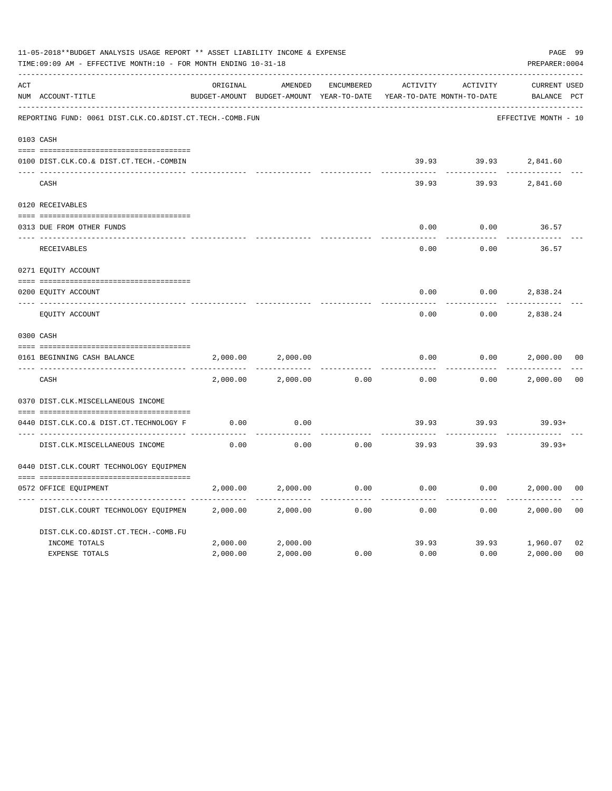|     | 11-05-2018**BUDGET ANALYSIS USAGE REPORT ** ASSET LIABILITY INCOME & EXPENSE<br>TIME: 09:09 AM - EFFECTIVE MONTH: 10 - FOR MONTH ENDING 10-31-18 |          |                                                     |                   |          |                                        |                                |                |  |
|-----|--------------------------------------------------------------------------------------------------------------------------------------------------|----------|-----------------------------------------------------|-------------------|----------|----------------------------------------|--------------------------------|----------------|--|
| ACT | NUM ACCOUNT-TITLE                                                                                                                                | ORIGINAL | AMENDED<br>BUDGET-AMOUNT BUDGET-AMOUNT YEAR-TO-DATE | <b>ENCUMBERED</b> | ACTIVITY | ACTIVITY<br>YEAR-TO-DATE MONTH-TO-DATE | <b>CURRENT USED</b><br>BALANCE | PCT            |  |
|     | REPORTING FUND: 0061 DIST.CLK.CO.&DIST.CT.TECH.-COMB.FUN                                                                                         |          |                                                     |                   |          |                                        | EFFECTIVE MONTH - 10           |                |  |
|     | 0103 CASH                                                                                                                                        |          |                                                     |                   |          |                                        |                                |                |  |
|     | 0100 DIST.CLK.CO.& DIST.CT.TECH.-COMBIN                                                                                                          |          |                                                     |                   | 39.93    | 39.93                                  | 2,841.60                       |                |  |
|     | CASH                                                                                                                                             |          |                                                     |                   | 39.93    | 39.93                                  | 2,841.60                       |                |  |
|     | 0120 RECEIVABLES                                                                                                                                 |          |                                                     |                   |          |                                        |                                |                |  |
|     | 0313 DUE FROM OTHER FUNDS                                                                                                                        |          |                                                     |                   | 0.00     | 0.00                                   | 36.57                          |                |  |
|     | RECEIVABLES                                                                                                                                      |          |                                                     |                   | 0.00     | 0.00                                   | 36.57                          |                |  |
|     | 0271 EQUITY ACCOUNT                                                                                                                              |          |                                                     |                   |          |                                        |                                |                |  |
|     | 0200 EQUITY ACCOUNT                                                                                                                              |          |                                                     |                   | 0.00     | 0.00                                   | 2,838.24                       |                |  |
|     | EQUITY ACCOUNT                                                                                                                                   |          |                                                     |                   | 0.00     | 0.00                                   | 2,838.24                       |                |  |
|     | 0300 CASH                                                                                                                                        |          |                                                     |                   |          |                                        |                                |                |  |
|     | 0161 BEGINNING CASH BALANCE                                                                                                                      | 2,000.00 | 2,000.00                                            |                   | 0.00     | 0.00                                   | 2,000.00                       | 0 <sup>0</sup> |  |
|     | CASH                                                                                                                                             | 2,000.00 | 2,000.00                                            | 0.00              | 0.00     | 0.00                                   | 2,000.00                       | 0 <sub>0</sub> |  |
|     | 0370 DIST.CLK.MISCELLANEOUS INCOME                                                                                                               |          |                                                     |                   |          |                                        |                                |                |  |
|     | 0440 DIST.CLK.CO.& DIST.CT.TECHNOLOGY F                                                                                                          | 0.00     | 0.00                                                |                   | 39.93    | 39.93                                  | $39.93+$                       |                |  |
|     | DIST.CLK.MISCELLANEOUS INCOME                                                                                                                    | 0.00     | 0.00                                                | 0.00              | 39.93    | 39.93                                  | $39.93+$                       |                |  |
|     | 0440 DIST.CLK.COURT TECHNOLOGY EQUIPMEN                                                                                                          |          |                                                     |                   |          |                                        |                                |                |  |
|     | 0572 OFFICE EQUIPMENT                                                                                                                            | 2,000.00 | 2,000.00                                            | 0.00              | 0.00     | 0.00                                   | 2,000.00                       | 0 <sub>0</sub> |  |
|     | DIST.CLK.COURT TECHNOLOGY EQUIPMEN                                                                                                               | 2,000.00 | 2,000.00                                            | 0.00              | 0.00     | 0.00                                   | 2,000.00                       | 0 <sub>0</sub> |  |
|     | DIST.CLK.CO.&DIST.CT.TECH.-COMB.FU                                                                                                               |          |                                                     |                   |          |                                        |                                |                |  |
|     | INCOME TOTALS                                                                                                                                    | 2,000.00 | 2,000.00                                            |                   | 39.93    | 39.93                                  | 1,960.07                       | 02             |  |
|     | <b>EXPENSE TOTALS</b>                                                                                                                            | 2,000.00 | 2,000.00                                            | 0.00              | 0.00     | 0.00                                   | 2,000.00                       | 0 <sub>0</sub> |  |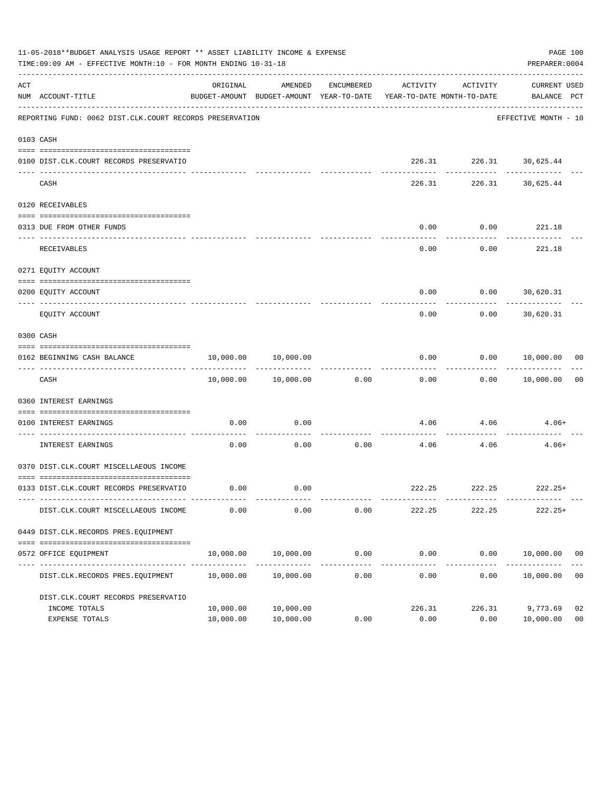|     | 11-05-2018**BUDGET ANALYSIS USAGE REPORT ** ASSET LIABILITY INCOME & EXPENSE<br>PAGE 100<br>TIME:09:09 AM - EFFECTIVE MONTH:10 - FOR MONTH ENDING 10-31-18<br>PREPARER: 0004 |                        |                                                                                            |            |                       |                                         |                                  |                      |  |  |
|-----|------------------------------------------------------------------------------------------------------------------------------------------------------------------------------|------------------------|--------------------------------------------------------------------------------------------|------------|-----------------------|-----------------------------------------|----------------------------------|----------------------|--|--|
| ACT | NUM ACCOUNT-TITLE                                                                                                                                                            | ORIGINAL               | AMENDED<br>BUDGET-AMOUNT BUDGET-AMOUNT YEAR-TO-DATE YEAR-TO-DATE MONTH-TO-DATE BALANCE PCT | ENCUMBERED | ACTIVITY              | ACTIVITY                                | CURRENT USED                     |                      |  |  |
|     | REPORTING FUND: 0062 DIST.CLK.COURT RECORDS PRESERVATION                                                                                                                     |                        |                                                                                            |            |                       |                                         | EFFECTIVE MONTH - 10             |                      |  |  |
|     | 0103 CASH                                                                                                                                                                    |                        |                                                                                            |            |                       |                                         |                                  |                      |  |  |
|     | 0100 DIST.CLK.COURT RECORDS PRESERVATIO                                                                                                                                      |                        |                                                                                            |            |                       | 226.31 226.31 30,625.44                 |                                  |                      |  |  |
|     | CASH                                                                                                                                                                         |                        |                                                                                            |            |                       | ------------<br>226.31 226.31 30,625.44 | .                                |                      |  |  |
|     | 0120 RECEIVABLES                                                                                                                                                             |                        |                                                                                            |            |                       |                                         |                                  |                      |  |  |
|     | 0313 DUE FROM OTHER FUNDS                                                                                                                                                    |                        |                                                                                            |            | 0.00                  |                                         | $0.00$ 221.18                    |                      |  |  |
|     | RECEIVABLES                                                                                                                                                                  |                        |                                                                                            |            | 0.00                  | 0.00                                    | -----------<br>221.18            |                      |  |  |
|     | 0271 EQUITY ACCOUNT                                                                                                                                                          |                        |                                                                                            |            |                       |                                         |                                  |                      |  |  |
|     | 0200 EQUITY ACCOUNT                                                                                                                                                          |                        |                                                                                            |            | 0.00                  |                                         | $0.00$ 30,620.31                 |                      |  |  |
|     | EOUITY ACCOUNT                                                                                                                                                               |                        |                                                                                            |            | 0.00                  |                                         | -----------<br>$0.00$ 30,620.31  |                      |  |  |
|     | 0300 CASH                                                                                                                                                                    |                        |                                                                                            |            |                       |                                         |                                  |                      |  |  |
|     | 0162 BEGINNING CASH BALANCE                                                                                                                                                  |                        | 10,000.00 10,000.00                                                                        |            |                       |                                         | $0.00$ $0.00$ $10,000.00$ 00     |                      |  |  |
|     | CASH                                                                                                                                                                         |                        | 10,000.00    10,000.00    0.00                                                             |            | -------------<br>0.00 |                                         | . <u>.</u><br>$0.00$ $10,000.00$ | 0 <sub>0</sub>       |  |  |
|     | 0360 INTEREST EARNINGS                                                                                                                                                       |                        |                                                                                            |            |                       |                                         |                                  |                      |  |  |
|     | 0100 INTEREST EARNINGS                                                                                                                                                       | 0.00                   | 0.00                                                                                       |            |                       | 4.06 4.06                               | $4.06+$                          |                      |  |  |
|     | ------------------- ---<br>INTEREST EARNINGS                                                                                                                                 | 0.00                   | 0.00                                                                                       | 0.00       | 4.06                  | 4.06                                    | $4.06+$                          |                      |  |  |
|     | 0370 DIST.CLK.COURT MISCELLAEOUS INCOME                                                                                                                                      |                        |                                                                                            |            |                       |                                         |                                  |                      |  |  |
|     | 0133 DIST.CLK.COURT RECORDS PRESERVATIO                                                                                                                                      |                        | $0.00$ 0.00                                                                                |            |                       |                                         | 222.25 222.25 222.25+            |                      |  |  |
|     | DIST.CLK.COURT MISCELLAEOUS INCOME                                                                                                                                           | 0.00                   | 0.00                                                                                       | 0.00       | 222.25                | 222.25                                  | $222.25+$                        |                      |  |  |
|     | 0449 DIST.CLK.RECORDS PRES.EQUIPMENT                                                                                                                                         |                        |                                                                                            |            |                       |                                         |                                  |                      |  |  |
|     | 0572 OFFICE EQUIPMENT                                                                                                                                                        |                        | 10,000.00 10,000.00                                                                        | 0.00       | 0.00                  |                                         | $0.00$ $10,000.00$ 00            |                      |  |  |
|     | DIST.CLK.RECORDS PRES.EQUIPMENT                                                                                                                                              | 10,000.00              | 10,000.00                                                                                  | 0.00       | 0.00                  | 0.00                                    | 10,000.00                        | 0 <sub>0</sub>       |  |  |
|     | DIST.CLK.COURT RECORDS PRESERVATIO                                                                                                                                           |                        |                                                                                            |            |                       |                                         |                                  |                      |  |  |
|     | INCOME TOTALS<br>EXPENSE TOTALS                                                                                                                                              | 10,000.00<br>10,000.00 | 10,000.00<br>10,000.00                                                                     | 0.00       | 226.31<br>0.00        | 226.31<br>0.00                          | 9,773.69<br>10,000.00            | 02<br>0 <sub>0</sub> |  |  |
|     |                                                                                                                                                                              |                        |                                                                                            |            |                       |                                         |                                  |                      |  |  |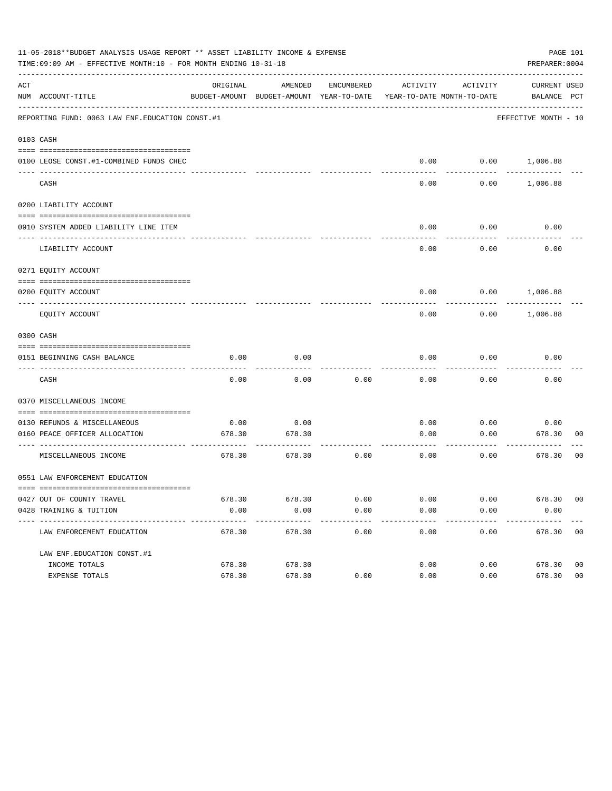|     | 11-05-2018**BUDGET ANALYSIS USAGE REPORT ** ASSET LIABILITY INCOME & EXPENSE<br>PAGE 101<br>TIME:09:09 AM - EFFECTIVE MONTH:10 - FOR MONTH ENDING 10-31-18<br>PREPARER: 0004 |          |                                                     |            |                       |                                        |                             |                |  |  |
|-----|------------------------------------------------------------------------------------------------------------------------------------------------------------------------------|----------|-----------------------------------------------------|------------|-----------------------|----------------------------------------|-----------------------------|----------------|--|--|
| ACT | NUM ACCOUNT-TITLE                                                                                                                                                            | ORIGINAL | AMENDED<br>BUDGET-AMOUNT BUDGET-AMOUNT YEAR-TO-DATE | ENCUMBERED | ACTIVITY              | ACTIVITY<br>YEAR-TO-DATE MONTH-TO-DATE | CURRENT USED<br>BALANCE PCT |                |  |  |
|     | REPORTING FUND: 0063 LAW ENF. EDUCATION CONST.#1                                                                                                                             |          |                                                     |            |                       |                                        | EFFECTIVE MONTH - 10        |                |  |  |
|     | 0103 CASH                                                                                                                                                                    |          |                                                     |            |                       |                                        |                             |                |  |  |
|     | 0100 LEOSE CONST.#1-COMBINED FUNDS CHEC                                                                                                                                      |          |                                                     |            |                       |                                        | $0.00$ $0.00$ $1,006.88$    |                |  |  |
|     | CASH                                                                                                                                                                         |          |                                                     |            | 0.00                  | 0.00                                   | 1,006.88                    |                |  |  |
|     | 0200 LIABILITY ACCOUNT                                                                                                                                                       |          |                                                     |            |                       |                                        |                             |                |  |  |
|     | 0910 SYSTEM ADDED LIABILITY LINE ITEM                                                                                                                                        |          |                                                     |            | 0.00                  | 0.00                                   | 0.00                        |                |  |  |
|     | LIABILITY ACCOUNT                                                                                                                                                            |          |                                                     |            | 0.00                  | 0.00                                   | 0.00                        |                |  |  |
|     | 0271 EQUITY ACCOUNT                                                                                                                                                          |          |                                                     |            |                       |                                        |                             |                |  |  |
|     | 0200 EQUITY ACCOUNT                                                                                                                                                          |          |                                                     |            |                       |                                        | $0.00$ $0.00$ $1,006.88$    |                |  |  |
|     | EQUITY ACCOUNT                                                                                                                                                               |          |                                                     |            | 0.00                  | 0.00                                   | 1,006.88                    |                |  |  |
|     | 0300 CASH                                                                                                                                                                    |          |                                                     |            |                       |                                        |                             |                |  |  |
|     | 0151 BEGINNING CASH BALANCE                                                                                                                                                  | 0.00     | 0.00                                                |            | 0.00                  | 0.00                                   | 0.00                        |                |  |  |
|     | CASH                                                                                                                                                                         | 0.00     | 0.00                                                | 0.00       | 0.00                  | 0.00                                   | 0.00                        |                |  |  |
|     | 0370 MISCELLANEOUS INCOME                                                                                                                                                    |          |                                                     |            |                       |                                        |                             |                |  |  |
|     | 0130 REFUNDS & MISCELLANEOUS                                                                                                                                                 | 0.00     | 0.00                                                |            | 0.00                  | 0.00                                   | 0.00                        |                |  |  |
|     | 0160 PEACE OFFICER ALLOCATION                                                                                                                                                | 678.30   | 678.30                                              |            | 0.00<br>------------- | 0.00<br>--------                       | 678.30                      | 00             |  |  |
|     | MISCELLANEOUS INCOME                                                                                                                                                         | 678.30   | 678.30                                              | 0.00       | 0.00                  | 0.00                                   | 678.30                      | 0 <sub>0</sub> |  |  |
|     | 0551 LAW ENFORCEMENT EDUCATION                                                                                                                                               |          |                                                     |            |                       |                                        |                             |                |  |  |
|     | 0427 OUT OF COUNTY TRAVEL                                                                                                                                                    | 678.30   | 678.30                                              | 0.00       | 0.00                  | 0.00                                   | 678.30 00                   |                |  |  |
|     | 0428 TRAINING & TUITION                                                                                                                                                      | 0.00     | 0.00                                                | 0.00       | 0.00                  | 0.00                                   | 0.00                        |                |  |  |
|     | LAW ENFORCEMENT EDUCATION                                                                                                                                                    | 678.30   | 678.30                                              | 0.00       | 0.00                  | 0.00                                   | 678.30 00                   |                |  |  |
|     | LAW ENF. EDUCATION CONST. #1                                                                                                                                                 |          |                                                     |            |                       |                                        |                             |                |  |  |
|     | INCOME TOTALS                                                                                                                                                                | 678.30   | 678.30                                              |            | 0.00                  | 0.00                                   | 678.30                      | 0 <sub>0</sub> |  |  |
|     | EXPENSE TOTALS                                                                                                                                                               | 678.30   | 678.30                                              | 0.00       | 0.00                  | 0.00                                   | 678.30                      | 0 <sub>0</sub> |  |  |
|     |                                                                                                                                                                              |          |                                                     |            |                       |                                        |                             |                |  |  |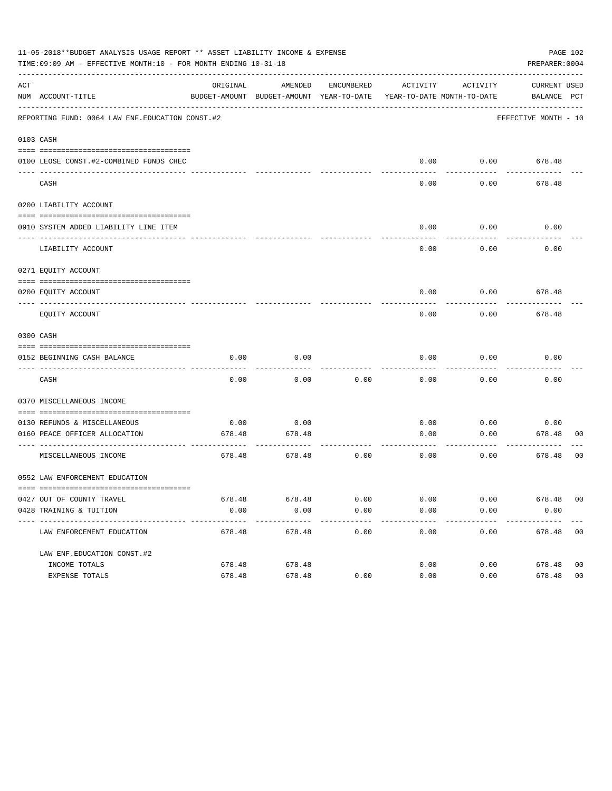|     | 11-05-2018**BUDGET ANALYSIS USAGE REPORT ** ASSET LIABILITY INCOME & EXPENSE<br>PAGE 102<br>TIME:09:09 AM - EFFECTIVE MONTH:10 - FOR MONTH ENDING 10-31-18<br>PREPARER: 0004 |          |                                                                                |            |                       |          |                             |                |  |  |
|-----|------------------------------------------------------------------------------------------------------------------------------------------------------------------------------|----------|--------------------------------------------------------------------------------|------------|-----------------------|----------|-----------------------------|----------------|--|--|
| ACT | NUM ACCOUNT-TITLE                                                                                                                                                            | ORIGINAL | AMENDED<br>BUDGET-AMOUNT BUDGET-AMOUNT YEAR-TO-DATE YEAR-TO-DATE MONTH-TO-DATE | ENCUMBERED | ACTIVITY              | ACTIVITY | CURRENT USED<br>BALANCE PCT |                |  |  |
|     | REPORTING FUND: 0064 LAW ENF. EDUCATION CONST. #2                                                                                                                            |          |                                                                                |            |                       |          | EFFECTIVE MONTH - 10        |                |  |  |
|     | 0103 CASH                                                                                                                                                                    |          |                                                                                |            |                       |          |                             |                |  |  |
|     | 0100 LEOSE CONST.#2-COMBINED FUNDS CHEC<br>---------------------------                                                                                                       |          |                                                                                |            | 0.00                  |          | $0.00$ 678.48               |                |  |  |
|     | CASH                                                                                                                                                                         |          |                                                                                |            | 0.00                  | 0.00     | 678.48                      |                |  |  |
|     | 0200 LIABILITY ACCOUNT                                                                                                                                                       |          |                                                                                |            |                       |          |                             |                |  |  |
|     | 0910 SYSTEM ADDED LIABILITY LINE ITEM                                                                                                                                        |          |                                                                                |            | 0.00                  | 0.00     | 0.00                        |                |  |  |
|     | LIABILITY ACCOUNT                                                                                                                                                            |          |                                                                                |            | 0.00                  | 0.00     | 0.00                        |                |  |  |
|     | 0271 EQUITY ACCOUNT                                                                                                                                                          |          |                                                                                |            |                       |          |                             |                |  |  |
|     | 0200 EQUITY ACCOUNT                                                                                                                                                          |          |                                                                                |            | 0.00                  |          | $0.00$ 678.48               |                |  |  |
|     | EOUITY ACCOUNT                                                                                                                                                               |          |                                                                                |            | 0.00                  | 0.00     | 678.48                      |                |  |  |
|     | 0300 CASH                                                                                                                                                                    |          |                                                                                |            |                       |          |                             |                |  |  |
|     | 0152 BEGINNING CASH BALANCE                                                                                                                                                  | 0.00     | 0.00                                                                           |            | 0.00                  | 0.00     | 0.00                        |                |  |  |
|     | CASH                                                                                                                                                                         | 0.00     | 0.00                                                                           | 0.00       | 0.00                  | 0.00     | 0.00                        |                |  |  |
|     | 0370 MISCELLANEOUS INCOME                                                                                                                                                    |          |                                                                                |            |                       |          |                             |                |  |  |
|     | 0130 REFUNDS & MISCELLANEOUS                                                                                                                                                 | 0.00     | 0.00                                                                           |            | 0.00                  | 0.00     | 0.00                        |                |  |  |
|     | 0160 PEACE OFFICER ALLOCATION                                                                                                                                                | 678.48   | 678.48                                                                         |            | 0.00                  | 0.00     | 678.48<br>---------         | 00             |  |  |
|     | MISCELLANEOUS INCOME                                                                                                                                                         | 678.48   | 678.48                                                                         | 0.00       | 0.00                  | 0.00     | 678.48                      | 0 <sub>0</sub> |  |  |
|     | 0552 LAW ENFORCEMENT EDUCATION                                                                                                                                               |          |                                                                                |            |                       |          |                             |                |  |  |
|     | 0427 OUT OF COUNTY TRAVEL                                                                                                                                                    | 678.48   | 678.48                                                                         | 0.00       | 0.00                  | 0.00     | 678.48 00                   |                |  |  |
|     | 0428 TRAINING & TUITION                                                                                                                                                      | 0.00     | 0.00                                                                           | 0.00       | 0.00                  | 0.00     | 0.00                        |                |  |  |
|     | LAW ENFORCEMENT EDUCATION                                                                                                                                                    | 678.48   | 678.48                                                                         | 0.00       | $- - - - - -$<br>0.00 | 0.00     | 678.48 00                   |                |  |  |
|     | LAW ENF. EDUCATION CONST. #2                                                                                                                                                 |          |                                                                                |            |                       |          |                             |                |  |  |
|     | INCOME TOTALS                                                                                                                                                                | 678.48   | 678.48                                                                         |            | 0.00                  | 0.00     | 678.48                      | 0 <sub>0</sub> |  |  |
|     | EXPENSE TOTALS                                                                                                                                                               | 678.48   | 678.48                                                                         | 0.00       | 0.00                  | 0.00     | 678.48                      | 0 <sub>0</sub> |  |  |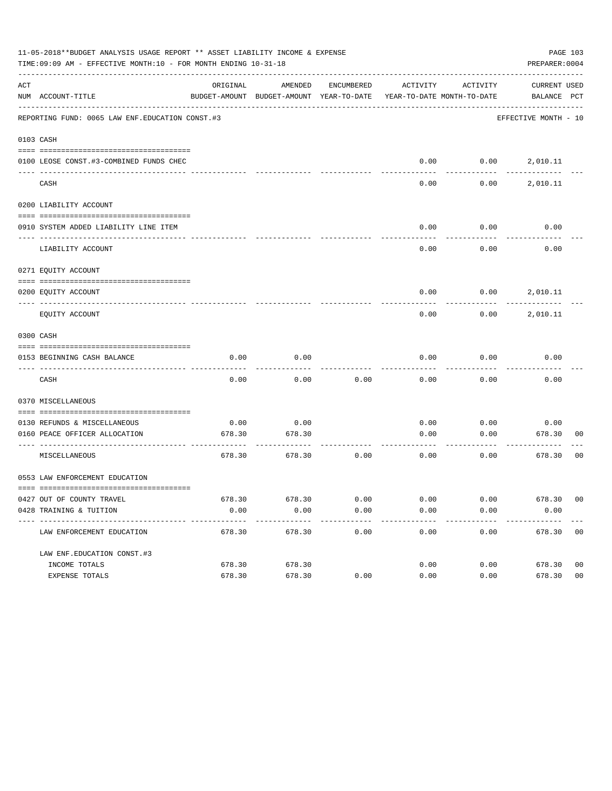|     | 11-05-2018**BUDGET ANALYSIS USAGE REPORT ** ASSET LIABILITY INCOME & EXPENSE<br>PAGE 103<br>TIME: 09:09 AM - EFFECTIVE MONTH: 10 - FOR MONTH ENDING 10-31-18<br>PREPARER: 0004 |          |                                                                                |            |          |          |                             |                |  |  |
|-----|--------------------------------------------------------------------------------------------------------------------------------------------------------------------------------|----------|--------------------------------------------------------------------------------|------------|----------|----------|-----------------------------|----------------|--|--|
| ACT | NUM ACCOUNT-TITLE                                                                                                                                                              | ORIGINAL | AMENDED<br>BUDGET-AMOUNT BUDGET-AMOUNT YEAR-TO-DATE YEAR-TO-DATE MONTH-TO-DATE | ENCUMBERED | ACTIVITY | ACTIVITY | CURRENT USED<br>BALANCE PCT |                |  |  |
|     | REPORTING FUND: 0065 LAW ENF. EDUCATION CONST.#3                                                                                                                               |          |                                                                                |            |          |          | EFFECTIVE MONTH - 10        |                |  |  |
|     | 0103 CASH                                                                                                                                                                      |          |                                                                                |            |          |          |                             |                |  |  |
|     | 0100 LEOSE CONST.#3-COMBINED FUNDS CHEC                                                                                                                                        |          |                                                                                |            |          |          | $0.00$ $0.00$ $2,010.11$    |                |  |  |
|     | CASH                                                                                                                                                                           |          |                                                                                |            | 0.00     | 0.00     | 2,010.11                    |                |  |  |
|     | 0200 LIABILITY ACCOUNT                                                                                                                                                         |          |                                                                                |            |          |          |                             |                |  |  |
|     | 0910 SYSTEM ADDED LIABILITY LINE ITEM                                                                                                                                          |          |                                                                                |            | 0.00     | 0.00     | 0.00                        |                |  |  |
|     | LIABILITY ACCOUNT                                                                                                                                                              |          |                                                                                |            | 0.00     | 0.00     | 0.00                        |                |  |  |
|     | 0271 EQUITY ACCOUNT                                                                                                                                                            |          |                                                                                |            |          |          |                             |                |  |  |
|     | 0200 EQUITY ACCOUNT                                                                                                                                                            |          |                                                                                |            | 0.00     |          | $0.00$ 2,010.11             |                |  |  |
|     | EQUITY ACCOUNT                                                                                                                                                                 |          |                                                                                |            | 0.00     | 0.00     | 2,010.11                    |                |  |  |
|     | 0300 CASH                                                                                                                                                                      |          |                                                                                |            |          |          |                             |                |  |  |
|     | 0153 BEGINNING CASH BALANCE                                                                                                                                                    | 0.00     | 0.00                                                                           |            | 0.00     | 0.00     | 0.00                        |                |  |  |
|     | CASH                                                                                                                                                                           | 0.00     | 0.00                                                                           | 0.00       | 0.00     | 0.00     | 0.00                        |                |  |  |
|     | 0370 MISCELLANEOUS                                                                                                                                                             |          |                                                                                |            |          |          |                             |                |  |  |
|     | 0130 REFUNDS & MISCELLANEOUS                                                                                                                                                   | 0.00     | 0.00                                                                           |            | 0.00     | 0.00     | 0.00                        |                |  |  |
|     | 0160 PEACE OFFICER ALLOCATION                                                                                                                                                  | 678.30   | 678.30                                                                         |            | 0.00     | 0.00     | 678.30<br>---------         | 00             |  |  |
|     | MISCELLANEOUS                                                                                                                                                                  | 678.30   | 678.30                                                                         | 0.00       | 0.00     | 0.00     | 678.30                      | 0 <sub>0</sub> |  |  |
|     | 0553 LAW ENFORCEMENT EDUCATION                                                                                                                                                 |          |                                                                                |            |          |          |                             |                |  |  |
|     | 0427 OUT OF COUNTY TRAVEL                                                                                                                                                      | 678.30   | 678.30                                                                         | 0.00       | 0.00     | 0.00     | 678.30 00                   |                |  |  |
|     | 0428 TRAINING & TUITION                                                                                                                                                        | 0.00     | 0.00                                                                           | 0.00       | 0.00     | 0.00     | 0.00                        |                |  |  |
|     | LAW ENFORCEMENT EDUCATION                                                                                                                                                      | 678.30   | 678.30                                                                         | 0.00       | 0.00     | 0.00     | 678.30 00                   |                |  |  |
|     | LAW ENF. EDUCATION CONST. #3                                                                                                                                                   |          |                                                                                |            |          |          |                             |                |  |  |
|     | INCOME TOTALS                                                                                                                                                                  | 678.30   | 678.30                                                                         |            | 0.00     | 0.00     | 678.30                      | 0 <sub>0</sub> |  |  |
|     | EXPENSE TOTALS                                                                                                                                                                 | 678.30   | 678.30                                                                         | 0.00       | 0.00     | 0.00     | 678.30                      | 0 <sub>0</sub> |  |  |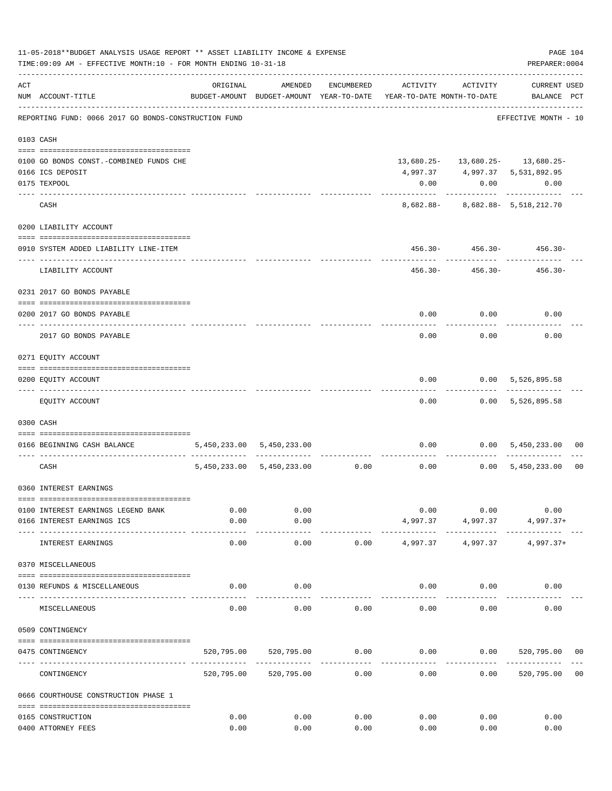| 11-05-2018**BUDGET ANALYSIS USAGE REPORT ** ASSET LIABILITY INCOME & EXPENSE<br>TIME:09:09 AM - EFFECTIVE MONTH:10 - FOR MONTH ENDING 10-31-18 |                                                      |               |                                    |               |                                                                                 |                                   |                                          |                |  |
|------------------------------------------------------------------------------------------------------------------------------------------------|------------------------------------------------------|---------------|------------------------------------|---------------|---------------------------------------------------------------------------------|-----------------------------------|------------------------------------------|----------------|--|
| ACT                                                                                                                                            | NUM ACCOUNT-TITLE                                    | ORIGINAL      | AMENDED                            | ENCUMBERED    | ACTIVITY<br>BUDGET-AMOUNT BUDGET-AMOUNT YEAR-TO-DATE YEAR-TO-DATE MONTH-TO-DATE | ACTIVITY                          | <b>CURRENT USED</b><br>BALANCE PCT       |                |  |
|                                                                                                                                                | REPORTING FUND: 0066 2017 GO BONDS-CONSTRUCTION FUND |               |                                    |               |                                                                                 |                                   | ----------------<br>EFFECTIVE MONTH - 10 |                |  |
|                                                                                                                                                | 0103 CASH                                            |               |                                    |               |                                                                                 |                                   |                                          |                |  |
|                                                                                                                                                | 0100 GO BONDS CONST. - COMBINED FUNDS CHE            |               |                                    |               |                                                                                 |                                   | 13,680.25- 13,680.25- 13,680.25-         |                |  |
|                                                                                                                                                | 0166 ICS DEPOSIT                                     |               |                                    |               |                                                                                 |                                   | 4,997.37 4,997.37 5,531,892.95           |                |  |
|                                                                                                                                                | 0175 TEXPOOL                                         |               |                                    |               | 0.00                                                                            | 0.00                              | 0.00                                     |                |  |
|                                                                                                                                                | CASH                                                 |               |                                    |               |                                                                                 |                                   | 8,682.88- 8,682.88- 5,518,212.70         |                |  |
|                                                                                                                                                | 0200 LIABILITY ACCOUNT                               |               |                                    |               |                                                                                 |                                   |                                          |                |  |
|                                                                                                                                                | 0910 SYSTEM ADDED LIABILITY LINE-ITEM                |               |                                    |               |                                                                                 |                                   | $456.30 - 456.30 - 456.30 -$             |                |  |
|                                                                                                                                                | LIABILITY ACCOUNT                                    |               |                                    |               | 456.30-                                                                         | ----------<br>456.30-             | 456.30-                                  |                |  |
|                                                                                                                                                | 0231 2017 GO BONDS PAYABLE                           |               |                                    |               |                                                                                 |                                   |                                          |                |  |
|                                                                                                                                                |                                                      |               |                                    |               |                                                                                 |                                   |                                          |                |  |
|                                                                                                                                                | 0200 2017 GO BONDS PAYABLE                           |               |                                    |               |                                                                                 | $0.00$ 0.00                       | 0.00                                     |                |  |
|                                                                                                                                                | 2017 GO BONDS PAYABLE                                |               |                                    |               |                                                                                 | $0.00$ $0.00$                     | 0.00                                     |                |  |
|                                                                                                                                                | 0271 EQUITY ACCOUNT                                  |               |                                    |               |                                                                                 |                                   |                                          |                |  |
|                                                                                                                                                |                                                      |               |                                    |               |                                                                                 |                                   |                                          |                |  |
|                                                                                                                                                | 0200 EQUITY ACCOUNT                                  |               |                                    |               | 0.00                                                                            |                                   | $0.00$ 5,526,895.58                      |                |  |
|                                                                                                                                                | EQUITY ACCOUNT                                       |               |                                    |               |                                                                                 |                                   | $0.00$ $0.00$ $5,526,895.58$             |                |  |
|                                                                                                                                                | 0300 CASH                                            |               |                                    |               |                                                                                 |                                   |                                          |                |  |
|                                                                                                                                                | 0166 BEGINNING CASH BALANCE                          |               | 5,450,233.00 5,450,233.00          |               |                                                                                 |                                   | $0.00$ $0.00$ $5,450,233.00$ 00          |                |  |
|                                                                                                                                                |                                                      |               |                                    |               |                                                                                 | -----------                       | -------------                            |                |  |
|                                                                                                                                                | CASH                                                 |               | $5,450,233.00$ $5,450,233.00$ 0.00 |               | 0.00                                                                            |                                   | 0.00 5,450,233.00                        | 0 <sub>0</sub> |  |
|                                                                                                                                                | 0360 INTEREST EARNINGS                               |               |                                    |               |                                                                                 |                                   |                                          |                |  |
|                                                                                                                                                | 0100 INTEREST EARNINGS LEGEND BANK                   | 0.00          | 0.00                               |               |                                                                                 | 0.00<br>0.00                      | 0.00                                     |                |  |
|                                                                                                                                                | 0166 INTEREST EARNINGS ICS                           | 0.00          | 0.00                               |               |                                                                                 | 4,997.37 4,997.37<br>------------ | $4,997.37+$                              |                |  |
|                                                                                                                                                | INTEREST EARNINGS                                    | -----<br>0.00 | $- - - - - -$<br>0.00              | 0.00          |                                                                                 | 4,997.37 4,997.37                 | $4,997.37+$                              |                |  |
|                                                                                                                                                | 0370 MISCELLANEOUS                                   |               |                                    |               |                                                                                 |                                   |                                          |                |  |
|                                                                                                                                                | 0130 REFUNDS & MISCELLANEOUS                         | 0.00          | 0.00                               |               |                                                                                 | 0.00                              | 0.00<br>0.00                             |                |  |
|                                                                                                                                                | MISCELLANEOUS                                        | 0.00          | 0.00                               | 0.00          | 0.00                                                                            | 0.00                              | 0.00                                     |                |  |
|                                                                                                                                                | 0509 CONTINGENCY                                     |               |                                    |               |                                                                                 |                                   |                                          |                |  |
|                                                                                                                                                | 0475 CONTINGENCY                                     |               | 520,795.00 520,795.00              | 0.00          | $0.00$ $0.00$ $520,795.00$                                                      |                                   |                                          | 00             |  |
|                                                                                                                                                |                                                      |               |                                    | ------------- | ------------                                                                    |                                   |                                          |                |  |
|                                                                                                                                                | CONTINGENCY                                          |               | 520,795.00 520,795.00              | 0.00          | 0.00                                                                            | 0.00                              | 520,795.00 00                            |                |  |
|                                                                                                                                                | 0666 COURTHOUSE CONSTRUCTION PHASE 1                 |               |                                    |               |                                                                                 |                                   |                                          |                |  |
|                                                                                                                                                | 0165 CONSTRUCTION                                    | 0.00          | 0.00                               | 0.00          | 0.00                                                                            | 0.00                              | 0.00                                     |                |  |
|                                                                                                                                                | 0400 ATTORNEY FEES                                   | 0.00          | 0.00                               | 0.00          | 0.00                                                                            | 0.00                              | 0.00                                     |                |  |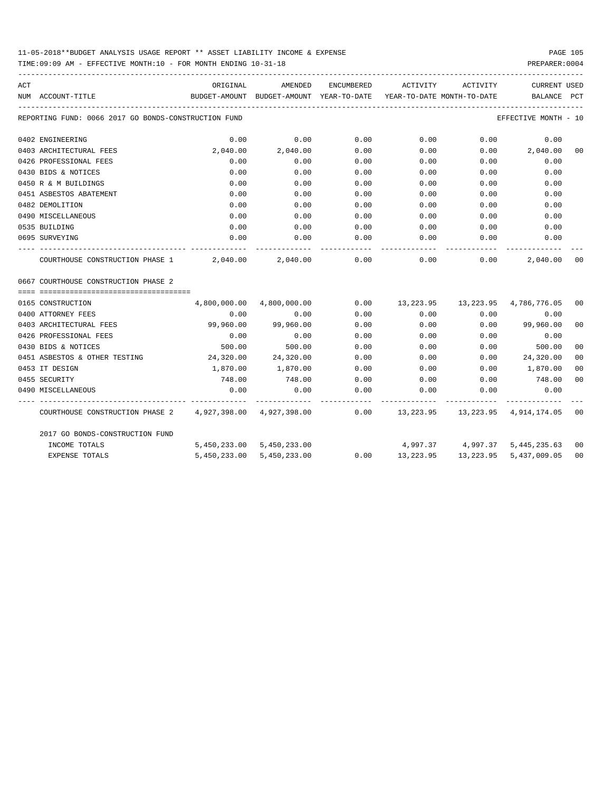## 11-05-2018\*\*BUDGET ANALYSIS USAGE REPORT \*\* ASSET LIABILITY INCOME & EXPENSE PAGE 105

TIME:09:09 AM - EFFECTIVE MONTH:10 - FOR MONTH ENDING 10-31-18 PREPARER:0004

| ACT |                                                                                                    | ORIGINAL                                                                        | AMENDED                    | ENCUMBERED | ACTIVITY  | ACTIVITY                                | CURRENT USED           |                |
|-----|----------------------------------------------------------------------------------------------------|---------------------------------------------------------------------------------|----------------------------|------------|-----------|-----------------------------------------|------------------------|----------------|
|     | NUM ACCOUNT-TITLE                                                                                  | BUDGET-AMOUNT BUDGET-AMOUNT YEAR-TO-DATE YEAR-TO-DATE MONTH-TO-DATE BALANCE PCT |                            |            |           |                                         |                        |                |
|     | REPORTING FUND: 0066 2017 GO BONDS-CONSTRUCTION FUND                                               |                                                                                 |                            |            |           |                                         | EFFECTIVE MONTH - 10   |                |
|     | 0402 ENGINEERING                                                                                   | 0.00                                                                            | 0.00                       | 0.00       | 0.00      | 0.00                                    | 0.00                   |                |
|     | 0403 ARCHITECTURAL FEES                                                                            | 2,040.00                                                                        | 2,040.00                   | 0.00       | 0.00      |                                         | $0.00$ 2,040.00        | 0 <sub>0</sub> |
|     | 0426 PROFESSIONAL FEES                                                                             | 0.00                                                                            | 0.00                       | 0.00       | 0.00      | 0.00                                    | 0.00                   |                |
|     | 0430 BIDS & NOTICES                                                                                | 0.00                                                                            | 0.00                       | 0.00       | 0.00      | 0.00                                    | 0.00                   |                |
|     | 0450 R & M BUILDINGS                                                                               | 0.00                                                                            | 0.00                       | 0.00       | 0.00      | 0.00                                    | 0.00                   |                |
|     | 0451 ASBESTOS ABATEMENT                                                                            | 0.00                                                                            | 0.00                       | 0.00       | 0.00      | 0.00                                    | 0.00                   |                |
|     | 0482 DEMOLITION                                                                                    | 0.00                                                                            | 0.00                       | 0.00       | 0.00      | 0.00                                    | 0.00                   |                |
|     | 0490 MISCELLANEOUS                                                                                 | 0.00                                                                            | 0.00                       | 0.00       | 0.00      | 0.00                                    | 0.00                   |                |
|     | 0535 BUILDING                                                                                      | 0.00                                                                            | 0.00                       | 0.00       | 0.00      | 0.00                                    | 0.00                   |                |
|     | 0695 SURVEYING                                                                                     | 0.00                                                                            | 0.00                       | 0.00       | 0.00      | 0.00                                    | 0.00                   |                |
|     | COURTHOUSE CONSTRUCTION PHASE $1$ $2,040.00$ $2,040.00$ $0.00$ $0.00$ $0.00$ $0.00$                |                                                                                 |                            |            |           |                                         | 2,040.00               | 0 <sub>0</sub> |
|     | 0667 COURTHOUSE CONSTRUCTION PHASE 2                                                               |                                                                                 |                            |            |           |                                         |                        |                |
|     | 0165 CONSTRUCTION                                                                                  |                                                                                 | 4,800,000.00  4,800,000.00 |            |           | $0.00$ 13,223.95 13,223.95 4,786,776.05 |                        | 00             |
|     | 0400 ATTORNEY FEES                                                                                 | 0.00                                                                            | 0.00                       | 0.00       | 0.00      | 0.00                                    | 0.00                   |                |
|     | 0403 ARCHITECTURAL FEES                                                                            | 99,960.00                                                                       | 99,960.00                  | 0.00       | 0.00      |                                         | $0.00$ 99,960.00       | 0 <sub>0</sub> |
|     | 0426 PROFESSIONAL FEES                                                                             | 0.00                                                                            | 0.00                       | 0.00       | 0.00      | 0.00                                    | 0.00                   |                |
|     | 0430 BIDS & NOTICES                                                                                | 500.00                                                                          | 500.00                     | 0.00       | 0.00      | 0.00                                    | 500.00                 | 0 <sub>0</sub> |
|     | 0451 ASBESTOS & OTHER TESTING                                                                      | 24,320.00 24,320.00                                                             |                            | 0.00       | 0.00      | 0.00                                    | 24,320.00              | 0 <sub>0</sub> |
|     | 0453 IT DESIGN                                                                                     | 1,870.00                                                                        | 1,870.00                   | 0.00       |           | $0.00$ 0.00                             | 1,870.00               | 0 <sub>0</sub> |
|     | 0455 SECURITY                                                                                      | 748.00                                                                          | 748.00                     |            |           | $0.00$ $0.00$ $0.00$ $0.00$             | 748.00                 | 0 <sub>0</sub> |
|     | 0490 MISCELLANEOUS                                                                                 | 0.00                                                                            | 0.00                       | 0.00       | 0.00      | 0.00                                    | 0.00                   |                |
|     | COURTHOUSE CONSTRUCTION PHASE 2 4,927,398.00 4,927,398.00 0.00 13,223.95 13,223.95 4,914,174.05 00 |                                                                                 |                            |            |           |                                         |                        |                |
|     | 2017 GO BONDS-CONSTRUCTION FUND                                                                    |                                                                                 |                            |            |           |                                         |                        |                |
|     | INCOME TOTALS                                                                                      |                                                                                 | 5,450,233.00 5,450,233.00  |            |           | 4,997.37 4,997.37 5,445,235.63 00       |                        |                |
|     | <b>EXPENSE TOTALS</b>                                                                              |                                                                                 | 5,450,233.00 5,450,233.00  | 0.00       | 13,223.95 |                                         | 13,223.95 5,437,009.05 | 0 <sub>0</sub> |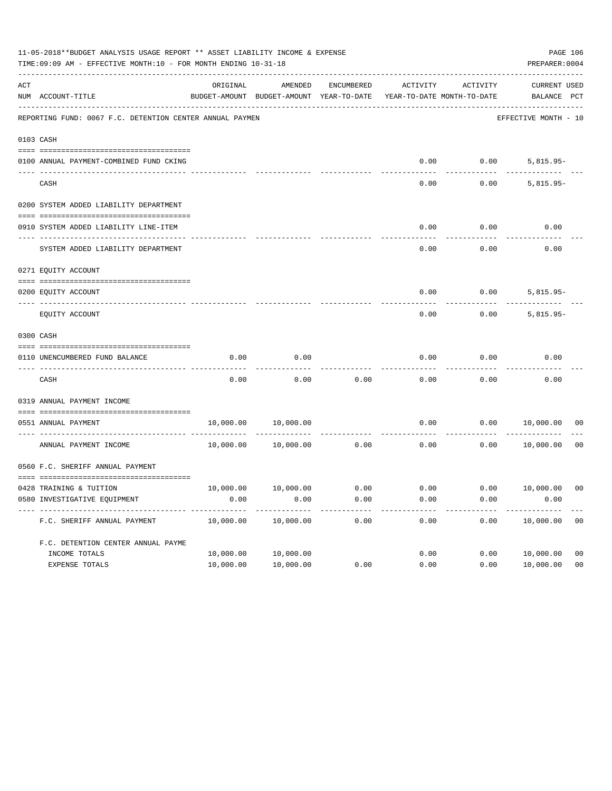|           | 11-05-2018**BUDGET ANALYSIS USAGE REPORT ** ASSET LIABILITY INCOME & EXPENSE<br>TIME: 09:09 AM - EFFECTIVE MONTH: 10 - FOR MONTH ENDING 10-31-18 |           |                                                     |            |          |                                        |                                    |                |  |
|-----------|--------------------------------------------------------------------------------------------------------------------------------------------------|-----------|-----------------------------------------------------|------------|----------|----------------------------------------|------------------------------------|----------------|--|
| ACT       | NUM ACCOUNT-TITLE                                                                                                                                | ORIGINAL  | AMENDED<br>BUDGET-AMOUNT BUDGET-AMOUNT YEAR-TO-DATE | ENCUMBERED | ACTIVITY | ACTIVITY<br>YEAR-TO-DATE MONTH-TO-DATE | <b>CURRENT USED</b><br>BALANCE PCT |                |  |
|           | REPORTING FUND: 0067 F.C. DETENTION CENTER ANNUAL PAYMEN                                                                                         |           |                                                     |            |          |                                        | EFFECTIVE MONTH - 10               |                |  |
| 0103 CASH |                                                                                                                                                  |           |                                                     |            |          |                                        |                                    |                |  |
|           | 0100 ANNUAL PAYMENT-COMBINED FUND CKING                                                                                                          |           |                                                     |            | 0.00     | 0.00                                   | $5,815.95-$                        |                |  |
|           | CASH                                                                                                                                             |           |                                                     |            | 0.00     | 0.00                                   | $5,815.95-$                        |                |  |
|           | 0200 SYSTEM ADDED LIABILITY DEPARTMENT                                                                                                           |           |                                                     |            |          |                                        |                                    |                |  |
|           | 0910 SYSTEM ADDED LIABILITY LINE-ITEM                                                                                                            |           |                                                     |            | 0.00     | 0.00                                   | 0.00                               |                |  |
|           | SYSTEM ADDED LIABILITY DEPARTMENT                                                                                                                |           |                                                     |            | 0.00     | 0.00                                   | 0.00                               |                |  |
|           | 0271 EQUITY ACCOUNT                                                                                                                              |           |                                                     |            |          |                                        |                                    |                |  |
|           | 0200 EQUITY ACCOUNT                                                                                                                              |           |                                                     |            | 0.00     | 0.00                                   | $5,815.95-$                        |                |  |
|           | EQUITY ACCOUNT                                                                                                                                   |           |                                                     |            | 0.00     | 0.00                                   | $5,815.95-$                        |                |  |
| 0300 CASH |                                                                                                                                                  |           |                                                     |            |          |                                        |                                    |                |  |
|           | 0110 UNENCUMBERED FUND BALANCE                                                                                                                   | 0.00      | 0.00                                                |            | 0.00     | 0.00                                   | 0.00                               |                |  |
|           | CASH                                                                                                                                             | 0.00      | 0.00                                                | 0.00       | 0.00     | 0.00                                   | 0.00                               |                |  |
|           | 0319 ANNUAL PAYMENT INCOME                                                                                                                       |           |                                                     |            |          |                                        |                                    |                |  |
|           | 0551 ANNUAL PAYMENT<br>------------------ -                                                                                                      | 10,000.00 | 10,000.00                                           | .          | 0.00     | 0.00                                   | 10,000.00                          | 00             |  |
|           | ANNUAL PAYMENT INCOME                                                                                                                            | 10,000.00 | 10,000.00                                           | 0.00       | 0.00     | 0.00                                   | 10,000.00                          | 0 <sub>0</sub> |  |
|           | 0560 F.C. SHERIFF ANNUAL PAYMENT                                                                                                                 |           |                                                     |            |          |                                        |                                    |                |  |
|           | 0428 TRAINING & TUITION                                                                                                                          |           | 10,000.00   10,000.00   0.00                        |            |          |                                        | $0.00$ $0.00$ $10,000.00$          | 0 <sub>0</sub> |  |
|           | 0580 INVESTIGATIVE EQUIPMENT                                                                                                                     | 0.00      | 0.00                                                | 0.00       | 0.00     | 0.00                                   | 0.00                               |                |  |
|           | F.C. SHERIFF ANNUAL PAYMENT                                                                                                                      | 10,000.00 | 10,000.00                                           | 0.00       | 0.00     | 0.00                                   | 10,000.00                          | 0 <sub>0</sub> |  |
|           | F.C. DETENTION CENTER ANNUAL PAYME                                                                                                               |           |                                                     |            |          |                                        |                                    |                |  |
|           | INCOME TOTALS                                                                                                                                    | 10,000.00 | 10,000.00                                           |            | 0.00     | 0.00                                   | 10,000.00                          | 0 <sub>0</sub> |  |
|           | EXPENSE TOTALS                                                                                                                                   | 10,000.00 | 10,000.00                                           | 0.00       | 0.00     | 0.00                                   | 10,000.00                          | 0 <sub>0</sub> |  |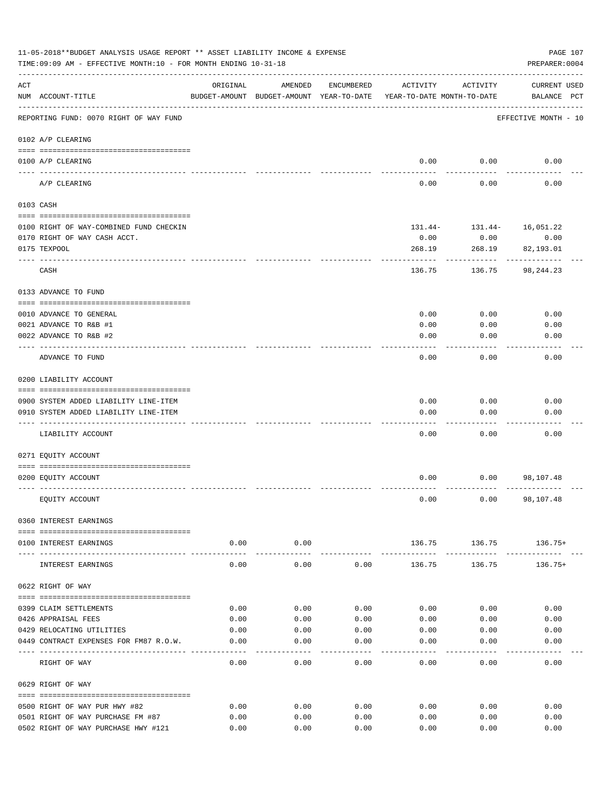|                    | 11-05-2018**BUDGET ANALYSIS USAGE REPORT ** ASSET LIABILITY INCOME & EXPENSE<br>PAGE 107<br>TIME: 09:09 AM - EFFECTIVE MONTH: 10 - FOR MONTH ENDING 10-31-18<br>PREPARER: 0004 |                    |                     |              |                                                                                 |                           |                                    |  |  |
|--------------------|--------------------------------------------------------------------------------------------------------------------------------------------------------------------------------|--------------------|---------------------|--------------|---------------------------------------------------------------------------------|---------------------------|------------------------------------|--|--|
| $\mathop{\rm ACT}$ | NUM ACCOUNT-TITLE                                                                                                                                                              | ORIGINAL           | AMENDED             | ENCUMBERED   | ACTIVITY<br>BUDGET-AMOUNT BUDGET-AMOUNT YEAR-TO-DATE YEAR-TO-DATE MONTH-TO-DATE | ACTIVITY                  | <b>CURRENT USED</b><br>BALANCE PCT |  |  |
|                    | REPORTING FUND: 0070 RIGHT OF WAY FUND                                                                                                                                         |                    |                     |              |                                                                                 |                           | EFFECTIVE MONTH - 10               |  |  |
|                    | 0102 A/P CLEARING                                                                                                                                                              |                    |                     |              |                                                                                 |                           |                                    |  |  |
|                    | 0100 A/P CLEARING<br>---- --------                                                                                                                                             |                    |                     |              |                                                                                 | $0.00$ 0.00               | 0.00                               |  |  |
|                    | A/P CLEARING                                                                                                                                                                   |                    |                     |              | 0.00                                                                            | 0.00                      | 0.00                               |  |  |
|                    | 0103 CASH                                                                                                                                                                      |                    |                     |              |                                                                                 |                           |                                    |  |  |
|                    | 0100 RIGHT OF WAY-COMBINED FUND CHECKIN                                                                                                                                        |                    |                     |              |                                                                                 | 131.44- 131.44- 16,051.22 |                                    |  |  |
|                    | 0170 RIGHT OF WAY CASH ACCT.                                                                                                                                                   |                    |                     |              | 0.00                                                                            | 0.00                      | 0.00                               |  |  |
|                    | 0175 TEXPOOL                                                                                                                                                                   |                    |                     |              | 268.19                                                                          | 268.19                    | 82,193.01                          |  |  |
|                    | CASH                                                                                                                                                                           |                    |                     |              | 136.75                                                                          | ---------<br>136.75       | 98,244.23                          |  |  |
|                    | 0133 ADVANCE TO FUND                                                                                                                                                           |                    |                     |              |                                                                                 |                           |                                    |  |  |
|                    | 0010 ADVANCE TO GENERAL                                                                                                                                                        |                    |                     |              | 0.00                                                                            | 0.00                      | 0.00                               |  |  |
|                    | 0021 ADVANCE TO R&B #1                                                                                                                                                         |                    |                     |              | 0.00                                                                            | 0.00                      | 0.00                               |  |  |
|                    | 0022 ADVANCE TO R&B #2                                                                                                                                                         |                    |                     |              | 0.00                                                                            | 0.00                      | 0.00                               |  |  |
|                    |                                                                                                                                                                                |                    |                     |              |                                                                                 |                           |                                    |  |  |
|                    | ADVANCE TO FUND                                                                                                                                                                |                    |                     |              | 0.00                                                                            | 0.00                      | 0.00                               |  |  |
|                    | 0200 LIABILITY ACCOUNT                                                                                                                                                         |                    |                     |              |                                                                                 |                           |                                    |  |  |
|                    |                                                                                                                                                                                |                    |                     |              |                                                                                 |                           |                                    |  |  |
|                    | 0900 SYSTEM ADDED LIABILITY LINE-ITEM<br>0910 SYSTEM ADDED LIABILITY LINE-ITEM                                                                                                 |                    |                     |              | 0.00<br>0.00                                                                    | 0.00<br>0.00              | 0.00<br>0.00                       |  |  |
|                    |                                                                                                                                                                                |                    |                     |              |                                                                                 |                           |                                    |  |  |
|                    | LIABILITY ACCOUNT                                                                                                                                                              |                    |                     |              | 0.00                                                                            | 0.00                      | 0.00                               |  |  |
|                    | 0271 EQUITY ACCOUNT                                                                                                                                                            |                    |                     |              |                                                                                 |                           |                                    |  |  |
|                    | 0200 EQUITY ACCOUNT                                                                                                                                                            |                    |                     |              | 0.00                                                                            |                           | $0.00$ 98,107.48                   |  |  |
|                    | EQUITY ACCOUNT                                                                                                                                                                 |                    |                     |              | 0.00                                                                            |                           | $0.00$ 98,107.48                   |  |  |
|                    | 0360 INTEREST EARNINGS                                                                                                                                                         |                    |                     |              |                                                                                 |                           |                                    |  |  |
|                    | 0100 INTEREST EARNINGS                                                                                                                                                         | 0.00               | 0.00                |              |                                                                                 | 136.75 136.75 136.75+     |                                    |  |  |
|                    | --------------------------------------<br>INTEREST EARNINGS                                                                                                                    | ----------<br>0.00 | -----------<br>0.00 | 0.00         | -------------<br>136.75                                                         | . <u>.</u><br>136.75      | $136.75+$                          |  |  |
|                    | 0622 RIGHT OF WAY                                                                                                                                                              |                    |                     |              |                                                                                 |                           |                                    |  |  |
|                    |                                                                                                                                                                                |                    |                     |              |                                                                                 |                           |                                    |  |  |
|                    | 0399 CLAIM SETTLEMENTS<br>0426 APPRAISAL FEES                                                                                                                                  | 0.00<br>0.00       | 0.00<br>0.00        | 0.00<br>0.00 | 0.00<br>0.00                                                                    | 0.00<br>0.00              | 0.00<br>0.00                       |  |  |
|                    | 0429 RELOCATING UTILITIES                                                                                                                                                      | 0.00               | 0.00                | 0.00         | 0.00                                                                            | 0.00                      | 0.00                               |  |  |
|                    | 0449 CONTRACT EXPENSES FOR FM87 R.O.W.                                                                                                                                         | 0.00               | 0.00                | 0.00         | 0.00                                                                            | 0.00                      | 0.00                               |  |  |
|                    |                                                                                                                                                                                |                    |                     |              |                                                                                 |                           |                                    |  |  |
|                    | RIGHT OF WAY                                                                                                                                                                   | 0.00               | 0.00                | 0.00         | 0.00                                                                            | 0.00                      | 0.00                               |  |  |
|                    | 0629 RIGHT OF WAY                                                                                                                                                              |                    |                     |              |                                                                                 |                           |                                    |  |  |
|                    | 0500 RIGHT OF WAY PUR HWY #82                                                                                                                                                  | 0.00               | 0.00                | 0.00         | 0.00                                                                            | 0.00                      | 0.00                               |  |  |
|                    | 0501 RIGHT OF WAY PURCHASE FM #87                                                                                                                                              | 0.00               | 0.00                | 0.00         | 0.00                                                                            | 0.00                      | 0.00                               |  |  |
|                    | 0502 RIGHT OF WAY PURCHASE HWY #121                                                                                                                                            | 0.00               | 0.00                | 0.00         | 0.00                                                                            | 0.00                      | 0.00                               |  |  |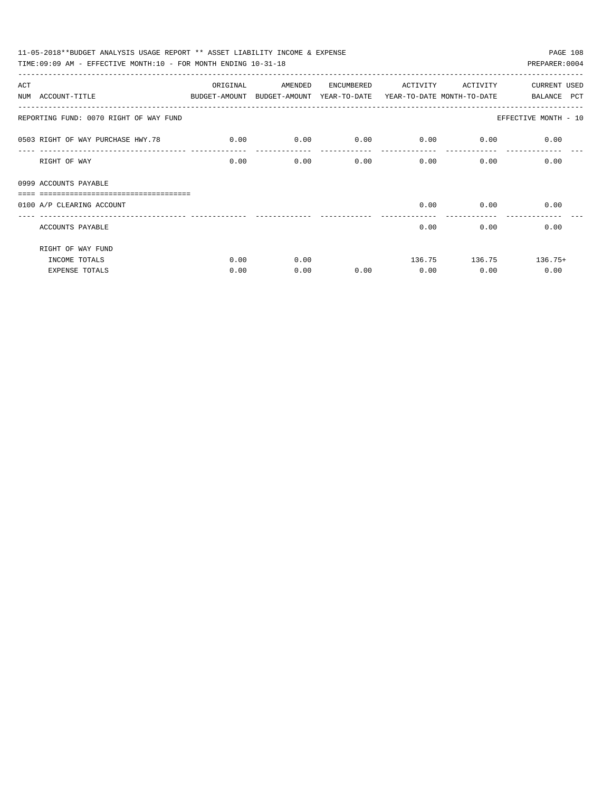| 11-05-2018**BUDGET ANALYSIS USAGE REPORT ** ASSET LIABILITY INCOME & EXPENSE             |          |         |            |                             |                             | PAGE 108             |  |
|------------------------------------------------------------------------------------------|----------|---------|------------|-----------------------------|-----------------------------|----------------------|--|
| TIME: 09:09 AM - EFFECTIVE MONTH: 10 - FOR MONTH ENDING 10-31-18                         |          |         |            |                             |                             | PREPARER: 0004       |  |
| ACT                                                                                      | ORIGINAL | AMENDED | ENCUMBERED | ACTIVITY ACTIVITY           |                             | <b>CURRENT USED</b>  |  |
| NUM ACCOUNT-TITLE<br>BUDGET-AMOUNT BUDGET-AMOUNT YEAR-TO-DATE YEAR-TO-DATE MONTH-TO-DATE |          |         |            |                             |                             | BALANCE PCT          |  |
| REPORTING FUND: 0070 RIGHT OF WAY FUND                                                   |          |         |            |                             |                             | EFFECTIVE MONTH - 10 |  |
| 0.00 0503 RIGHT OF WAY PURCHASE HWY.78                                                   |          | 0.00    |            | $0.00$ $0.00$ $0.00$ $0.00$ |                             | 0.00                 |  |
| RIGHT OF WAY                                                                             | 0.00     | 0.00    | 0.00       | $0.00$ 0.00                 |                             | 0.00                 |  |
| 0999 ACCOUNTS PAYABLE<br>=================================                               |          |         |            |                             |                             |                      |  |
| 0100 A/P CLEARING ACCOUNT                                                                |          |         |            |                             | $0.00$ 0.00<br>------------ | 0.00                 |  |
| ACCOUNTS PAYABLE                                                                         |          |         |            | 0.00                        |                             | 0.00<br>0.00         |  |
| RIGHT OF WAY FUND                                                                        |          |         |            |                             |                             |                      |  |
| INCOME TOTALS                                                                            | 0.00     | 0.00    |            |                             | 136.75 136.75               | $136.75+$            |  |
| <b>EXPENSE TOTALS</b>                                                                    | 0.00     | 0.00    | 0.00       | 0.00                        | 0.00                        | 0.00                 |  |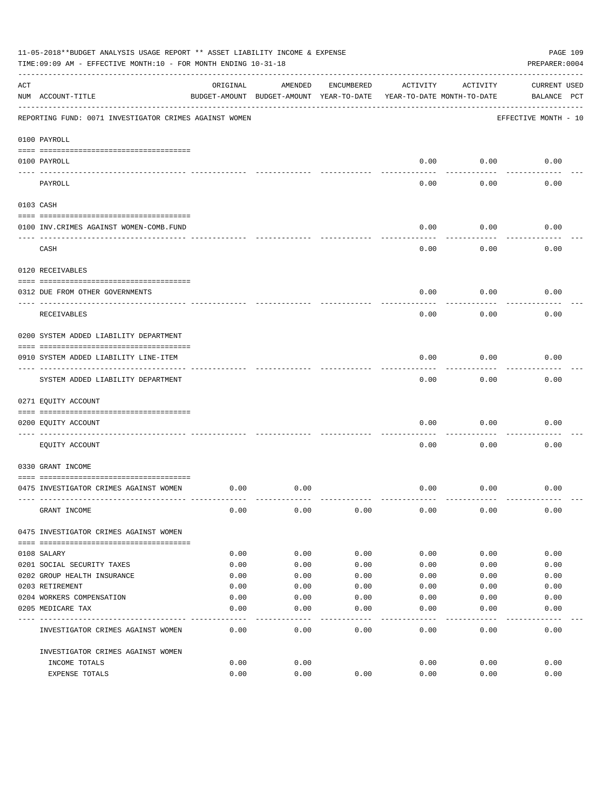|     | 11-05-2018**BUDGET ANALYSIS USAGE REPORT ** ASSET LIABILITY INCOME & EXPENSE<br>TIME: 09:09 AM - EFFECTIVE MONTH: 10 - FOR MONTH ENDING 10-31-18 |          |                                                     |            |          |                                        | PAGE 109<br>PREPARER: 0004         |
|-----|--------------------------------------------------------------------------------------------------------------------------------------------------|----------|-----------------------------------------------------|------------|----------|----------------------------------------|------------------------------------|
| ACT | NUM ACCOUNT-TITLE                                                                                                                                | ORIGINAL | AMENDED<br>BUDGET-AMOUNT BUDGET-AMOUNT YEAR-TO-DATE | ENCUMBERED | ACTIVITY | ACTIVITY<br>YEAR-TO-DATE MONTH-TO-DATE | <b>CURRENT USED</b><br>BALANCE PCT |
|     | REPORTING FUND: 0071 INVESTIGATOR CRIMES AGAINST WOMEN                                                                                           |          |                                                     |            |          |                                        | EFFECTIVE MONTH - 10               |
|     | 0100 PAYROLL                                                                                                                                     |          |                                                     |            |          |                                        |                                    |
|     | 0100 PAYROLL<br>---- ----                                                                                                                        |          |                                                     |            | 0.00     | 0.00                                   | 0.00                               |
|     | PAYROLL                                                                                                                                          |          |                                                     |            | 0.00     | 0.00                                   | 0.00                               |
|     | 0103 CASH                                                                                                                                        |          |                                                     |            |          |                                        |                                    |
|     | 0100 INV. CRIMES AGAINST WOMEN-COMB. FUND                                                                                                        |          |                                                     |            | 0.00     | 0.00                                   | 0.00                               |
|     | CASH                                                                                                                                             |          |                                                     |            | 0.00     | 0.00                                   | 0.00                               |
|     | 0120 RECEIVABLES                                                                                                                                 |          |                                                     |            |          |                                        |                                    |
|     | 0312 DUE FROM OTHER GOVERNMENTS                                                                                                                  |          |                                                     |            | 0.00     | 0.00                                   | 0.00                               |
|     | RECEIVABLES                                                                                                                                      |          |                                                     |            | 0.00     | 0.00                                   | 0.00                               |
|     | 0200 SYSTEM ADDED LIABILITY DEPARTMENT                                                                                                           |          |                                                     |            |          |                                        |                                    |
|     | 0910 SYSTEM ADDED LIABILITY LINE-ITEM                                                                                                            |          |                                                     |            | 0.00     | 0.00                                   | 0.00                               |
|     | SYSTEM ADDED LIABILITY DEPARTMENT                                                                                                                |          |                                                     |            | 0.00     | 0.00                                   | 0.00                               |
|     | 0271 EQUITY ACCOUNT                                                                                                                              |          |                                                     |            |          |                                        |                                    |
|     | 0200 EQUITY ACCOUNT                                                                                                                              |          |                                                     |            | 0.00     | 0.00                                   | 0.00                               |
|     | EQUITY ACCOUNT                                                                                                                                   |          |                                                     |            | 0.00     | 0.00                                   | 0.00                               |
|     | 0330 GRANT INCOME                                                                                                                                |          |                                                     |            |          |                                        |                                    |
|     | 0475 INVESTIGATOR CRIMES AGAINST WOMEN                                                                                                           | 0.00     | 0.00                                                |            | 0.00     | 0.00                                   | 0.00                               |
|     | GRANT INCOME                                                                                                                                     | 0.00     | 0.00                                                | 0.00       | 0.00     | 0.00                                   | 0.00                               |
|     | 0475 INVESTIGATOR CRIMES AGAINST WOMEN                                                                                                           |          |                                                     |            |          |                                        |                                    |
|     | 0108 SALARY                                                                                                                                      | 0.00     | 0.00                                                | 0.00       | 0.00     | 0.00                                   | 0.00                               |
|     | 0201 SOCIAL SECURITY TAXES                                                                                                                       | 0.00     | 0.00                                                | 0.00       | 0.00     | 0.00                                   | 0.00                               |
|     | 0202 GROUP HEALTH INSURANCE                                                                                                                      | 0.00     | 0.00                                                | 0.00       | 0.00     | 0.00                                   | 0.00                               |
|     | 0203 RETIREMENT                                                                                                                                  | 0.00     | 0.00                                                | 0.00       | 0.00     | 0.00                                   | 0.00                               |
|     | 0204 WORKERS COMPENSATION                                                                                                                        | 0.00     | 0.00                                                | 0.00       | 0.00     | 0.00                                   | 0.00                               |
|     | 0205 MEDICARE TAX                                                                                                                                | 0.00     | 0.00                                                | 0.00       | 0.00     | 0.00                                   | 0.00                               |
|     | INVESTIGATOR CRIMES AGAINST WOMEN                                                                                                                | 0.00     | 0.00                                                | 0.00       | 0.00     | 0.00                                   | 0.00                               |
|     | INVESTIGATOR CRIMES AGAINST WOMEN                                                                                                                |          |                                                     |            |          |                                        |                                    |
|     | INCOME TOTALS                                                                                                                                    | 0.00     | 0.00                                                |            | 0.00     | 0.00                                   | 0.00                               |
|     | EXPENSE TOTALS                                                                                                                                   | 0.00     | 0.00                                                | 0.00       | 0.00     | 0.00                                   | 0.00                               |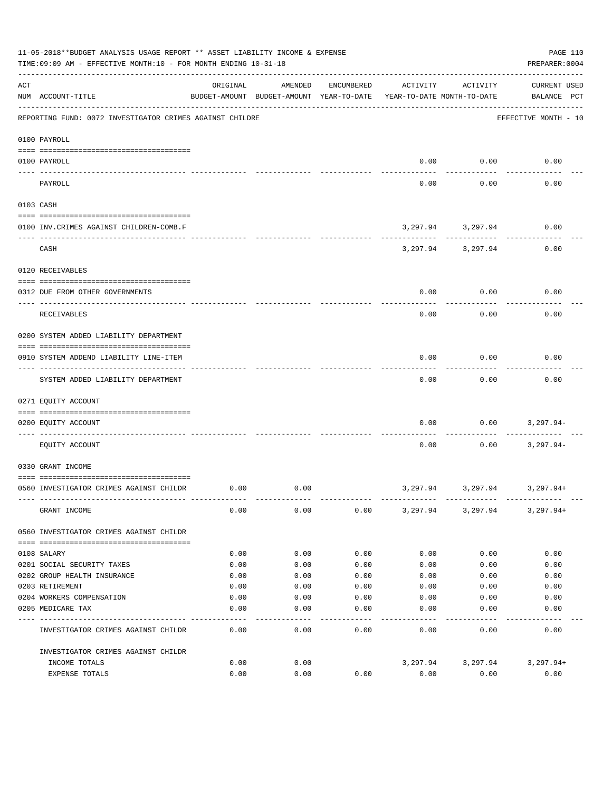|          | 11-05-2018**BUDGET ANALYSIS USAGE REPORT ** ASSET LIABILITY INCOME & EXPENSE<br>TIME: 09:09 AM - EFFECTIVE MONTH: 10 - FOR MONTH ENDING 10-31-18 |          |                                                     |            |                                        |                        | PAGE 110<br>PREPARER: 0004         |
|----------|--------------------------------------------------------------------------------------------------------------------------------------------------|----------|-----------------------------------------------------|------------|----------------------------------------|------------------------|------------------------------------|
| ACT      | NUM ACCOUNT-TITLE                                                                                                                                | ORIGINAL | AMENDED<br>BUDGET-AMOUNT BUDGET-AMOUNT YEAR-TO-DATE | ENCUMBERED | ACTIVITY<br>YEAR-TO-DATE MONTH-TO-DATE | ACTIVITY               | <b>CURRENT USED</b><br>BALANCE PCT |
|          | REPORTING FUND: 0072 INVESTIGATOR CRIMES AGAINST CHILDRE                                                                                         |          |                                                     |            |                                        |                        | EFFECTIVE MONTH - 10               |
|          | 0100 PAYROLL                                                                                                                                     |          |                                                     |            |                                        |                        |                                    |
| ---- --- | 0100 PAYROLL                                                                                                                                     |          |                                                     |            | 0.00                                   | 0.00                   | 0.00                               |
|          | PAYROLL                                                                                                                                          |          |                                                     |            | 0.00                                   | 0.00                   | 0.00                               |
|          | 0103 CASH                                                                                                                                        |          |                                                     |            |                                        |                        |                                    |
|          | 0100 INV. CRIMES AGAINST CHILDREN-COMB.F                                                                                                         |          |                                                     |            |                                        | 3,297.94 3,297.94<br>. | 0.00                               |
|          | CASH                                                                                                                                             |          |                                                     |            |                                        | 3,297.94 3,297.94      | 0.00                               |
|          | 0120 RECEIVABLES                                                                                                                                 |          |                                                     |            |                                        |                        |                                    |
|          | 0312 DUE FROM OTHER GOVERNMENTS                                                                                                                  |          |                                                     |            | 0.00                                   | 0.00                   | 0.00                               |
|          | RECEIVABLES                                                                                                                                      |          |                                                     |            | 0.00                                   | 0.00                   | 0.00                               |
|          | 0200 SYSTEM ADDED LIABILITY DEPARTMENT                                                                                                           |          |                                                     |            |                                        |                        |                                    |
|          | 0910 SYSTEM ADDEND LIABILITY LINE-ITEM                                                                                                           |          |                                                     |            | 0.00                                   | 0.00                   | 0.00                               |
|          | SYSTEM ADDED LIABILITY DEPARTMENT                                                                                                                |          |                                                     |            | 0.00                                   | 0.00                   | 0.00                               |
|          | 0271 EQUITY ACCOUNT                                                                                                                              |          |                                                     |            |                                        |                        |                                    |
|          | 0200 EQUITY ACCOUNT                                                                                                                              |          |                                                     |            | 0.00                                   | 0.00                   | 3,297.94-                          |
|          | EQUITY ACCOUNT                                                                                                                                   |          |                                                     |            | 0.00                                   | 0.00                   | $3,297.94-$                        |
|          | 0330 GRANT INCOME                                                                                                                                |          |                                                     |            |                                        |                        |                                    |
|          | 0560 INVESTIGATOR CRIMES AGAINST CHILDR                                                                                                          | 0.00     | 0.00                                                |            | 3,297.94                               | 3,297.94               | 3,297.94+                          |
|          | GRANT INCOME                                                                                                                                     | 0.00     | 0.00                                                | 0.00       |                                        |                        | 3, 297.94 3, 297.94 3, 297.94+     |
|          | 0560 INVESTIGATOR CRIMES AGAINST CHILDR                                                                                                          |          |                                                     |            |                                        |                        |                                    |
|          | 0108 SALARY                                                                                                                                      | 0.00     | 0.00                                                | 0.00       | 0.00                                   | 0.00                   | 0.00                               |
|          | 0201 SOCIAL SECURITY TAXES                                                                                                                       | 0.00     | 0.00                                                | 0.00       | 0.00                                   | 0.00                   | 0.00                               |
|          | 0202 GROUP HEALTH INSURANCE                                                                                                                      | 0.00     | 0.00                                                | 0.00       | 0.00                                   | 0.00                   | 0.00                               |
|          | 0203 RETIREMENT                                                                                                                                  | 0.00     | 0.00                                                | 0.00       | 0.00                                   | 0.00                   | 0.00                               |
|          | 0204 WORKERS COMPENSATION                                                                                                                        | 0.00     | 0.00                                                | 0.00       | 0.00                                   | 0.00                   | 0.00                               |
|          | 0205 MEDICARE TAX                                                                                                                                | 0.00     | 0.00                                                | 0.00       | 0.00                                   | 0.00                   | 0.00                               |
|          | INVESTIGATOR CRIMES AGAINST CHILDR                                                                                                               | 0.00     | 0.00                                                | 0.00       | 0.00                                   | 0.00                   | 0.00                               |
|          | INVESTIGATOR CRIMES AGAINST CHILDR                                                                                                               |          |                                                     |            |                                        |                        |                                    |
|          | INCOME TOTALS                                                                                                                                    | 0.00     | 0.00                                                |            | 3,297.94                               | 3,297.94               | 3,297.94+                          |
|          | EXPENSE TOTALS                                                                                                                                   | 0.00     | 0.00                                                | 0.00       | 0.00                                   | 0.00                   | 0.00                               |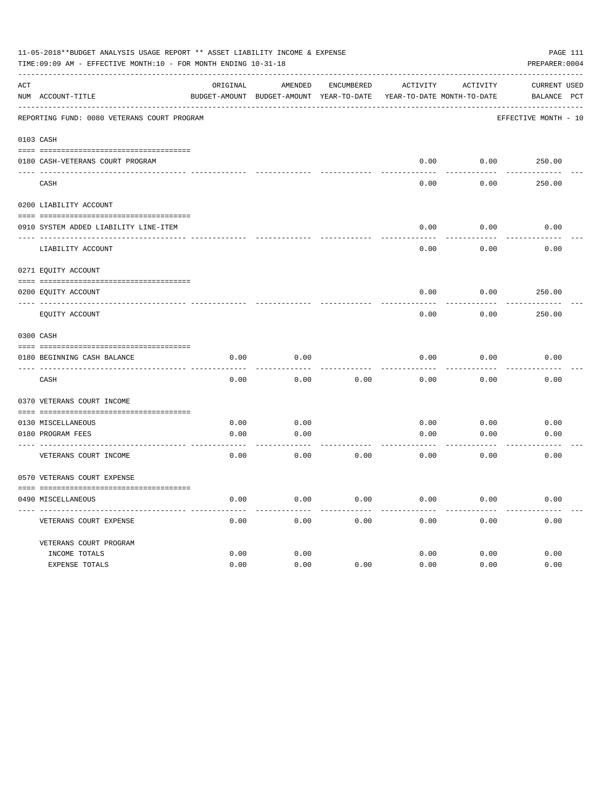|     | 11-05-2018**BUDGET ANALYSIS USAGE REPORT ** ASSET LIABILITY INCOME & EXPENSE<br>TIME:09:09 AM - EFFECTIVE MONTH:10 - FOR MONTH ENDING 10-31-18 |          |                      |            |                                                                     |          | PAGE 111<br>PREPARER: 0004 |
|-----|------------------------------------------------------------------------------------------------------------------------------------------------|----------|----------------------|------------|---------------------------------------------------------------------|----------|----------------------------|
| ACT |                                                                                                                                                | ORIGINAL | AMENDED              | ENCUMBERED | ACTIVITY                                                            | ACTIVITY | CURRENT USED               |
|     | NUM ACCOUNT-TITLE                                                                                                                              |          |                      |            | BUDGET-AMOUNT BUDGET-AMOUNT YEAR-TO-DATE YEAR-TO-DATE MONTH-TO-DATE |          | BALANCE PCT                |
|     | REPORTING FUND: 0080 VETERANS COURT PROGRAM                                                                                                    |          |                      |            |                                                                     |          | EFFECTIVE MONTH - 10       |
|     | 0103 CASH                                                                                                                                      |          |                      |            |                                                                     |          |                            |
|     |                                                                                                                                                |          |                      |            | 0.00                                                                | 0.00     |                            |
|     | 0180 CASH-VETERANS COURT PROGRAM                                                                                                               |          |                      |            |                                                                     |          | 250.00                     |
|     | CASH                                                                                                                                           |          |                      |            | 0.00                                                                | 0.00     | 250.00                     |
|     | 0200 LIABILITY ACCOUNT                                                                                                                         |          |                      |            |                                                                     |          |                            |
|     | 0910 SYSTEM ADDED LIABILITY LINE-ITEM                                                                                                          |          |                      |            | 0.00                                                                | 0.00     | 0.00                       |
|     | LIABILITY ACCOUNT                                                                                                                              |          |                      |            | 0.00                                                                | 0.00     | 0.00                       |
|     | 0271 EQUITY ACCOUNT                                                                                                                            |          |                      |            |                                                                     |          |                            |
|     |                                                                                                                                                |          |                      |            |                                                                     |          |                            |
|     | 0200 EQUITY ACCOUNT                                                                                                                            |          |                      |            | 0.00                                                                | 0.00     | 250.00                     |
|     | EQUITY ACCOUNT                                                                                                                                 |          |                      |            | 0.00                                                                | 0.00     | 250.00                     |
|     | 0300 CASH                                                                                                                                      |          |                      |            |                                                                     |          |                            |
|     | 0180 BEGINNING CASH BALANCE                                                                                                                    | 0.00     | 0.00                 |            | 0.00                                                                | 0.00     | 0.00                       |
|     | CASH                                                                                                                                           | 0.00     | 0.00                 | 0.00       | 0.00                                                                | 0.00     | 0.00                       |
|     | 0370 VETERANS COURT INCOME                                                                                                                     |          |                      |            |                                                                     |          |                            |
|     | 0130 MISCELLANEOUS                                                                                                                             | 0.00     | 0.00                 |            | 0.00                                                                | 0.00     | 0.00                       |
|     | 0180 PROGRAM FEES                                                                                                                              | 0.00     | 0.00                 |            | 0.00                                                                | 0.00     | 0.00                       |
|     | ------------------------ ----<br>VETERANS COURT INCOME                                                                                         | 0.00     | . <u>.</u> .<br>0.00 | 0.00       | 0.00                                                                | 0.00     | 0.00                       |
|     | 0570 VETERANS COURT EXPENSE                                                                                                                    |          |                      |            |                                                                     |          |                            |
|     | 0490 MISCELLANEOUS                                                                                                                             | 0.00     | 0.00                 | 0.00       | 0.00                                                                | 0.00     | 0.00                       |
|     | VETERANS COURT EXPENSE                                                                                                                         | 0.00     | 0.00                 | 0.00       | 0.00                                                                | 0.00     | 0.00                       |
|     | VETERANS COURT PROGRAM                                                                                                                         |          |                      |            |                                                                     |          |                            |
|     | INCOME TOTALS                                                                                                                                  | 0.00     | 0.00                 |            | 0.00                                                                | 0.00     | 0.00                       |
|     | EXPENSE TOTALS                                                                                                                                 | 0.00     | 0.00                 | 0.00       | 0.00                                                                | 0.00     | 0.00                       |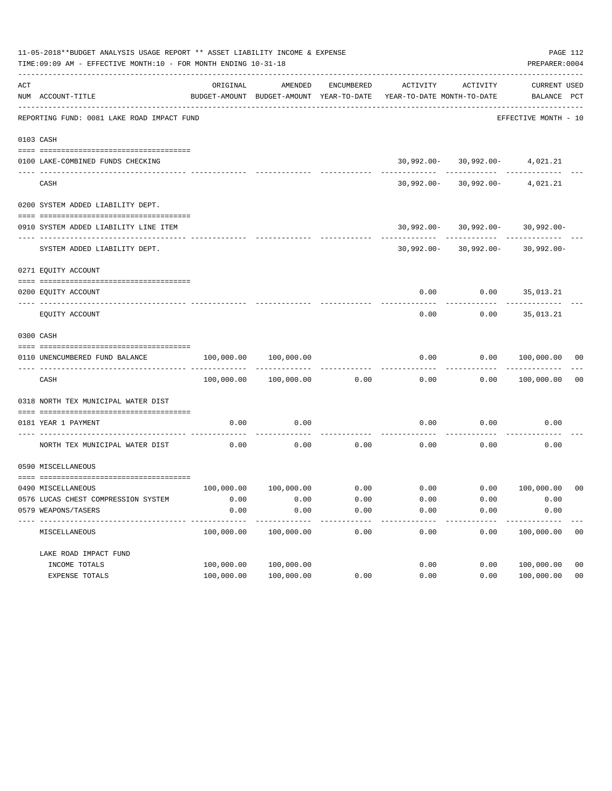|     | 11-05-2018**BUDGET ANALYSIS USAGE REPORT ** ASSET LIABILITY INCOME & EXPENSE<br>TIME:09:09 AM - EFFECTIVE MONTH:10 - FOR MONTH ENDING 10-31-18 |                                                      |                       |            |                                                                                                                                   |                                                       | PAGE 112<br>PREPARER: 0004         |                |
|-----|------------------------------------------------------------------------------------------------------------------------------------------------|------------------------------------------------------|-----------------------|------------|-----------------------------------------------------------------------------------------------------------------------------------|-------------------------------------------------------|------------------------------------|----------------|
| ACT | NUM ACCOUNT-TITLE                                                                                                                              | ORIGINAL<br>BUDGET-AMOUNT BUDGET-AMOUNT YEAR-TO-DATE | AMENDED               | ENCUMBERED | ACTIVITY<br>YEAR-TO-DATE MONTH-TO-DATE                                                                                            | ACTIVITY                                              | <b>CURRENT USED</b><br>BALANCE PCT |                |
|     | REPORTING FUND: 0081 LAKE ROAD IMPACT FUND                                                                                                     |                                                      |                       |            |                                                                                                                                   |                                                       | EFFECTIVE MONTH - 10               |                |
|     | 0103 CASH                                                                                                                                      |                                                      |                       |            |                                                                                                                                   |                                                       |                                    |                |
|     | 0100 LAKE-COMBINED FUNDS CHECKING                                                                                                              |                                                      |                       |            |                                                                                                                                   | $30,992.00 - 30,992.00 - 4,021.21$                    |                                    |                |
|     | CASH                                                                                                                                           |                                                      |                       |            |                                                                                                                                   | $30,992.00 - 30,992.00 - 4,021.21$                    |                                    |                |
|     | 0200 SYSTEM ADDED LIABILITY DEPT.                                                                                                              |                                                      |                       |            |                                                                                                                                   |                                                       |                                    |                |
|     | 0910 SYSTEM ADDED LIABILITY LINE ITEM                                                                                                          |                                                      |                       |            |                                                                                                                                   | $30,992.00 - 30,992.00 - 30,992.00 -$<br>------------ |                                    |                |
|     | SYSTEM ADDED LIABILITY DEPT.                                                                                                                   |                                                      |                       |            |                                                                                                                                   | $30,992.00 - 30,992.00 - 30,992.00 -$                 |                                    |                |
|     | 0271 EQUITY ACCOUNT                                                                                                                            |                                                      |                       |            |                                                                                                                                   |                                                       |                                    |                |
|     | 0200 EQUITY ACCOUNT                                                                                                                            |                                                      |                       |            |                                                                                                                                   | $0.00$ $0.00$ $35,013.21$                             |                                    |                |
|     | EQUITY ACCOUNT                                                                                                                                 |                                                      |                       |            | 0.00                                                                                                                              | 0.00                                                  | 35,013.21                          |                |
|     | 0300 CASH                                                                                                                                      |                                                      |                       |            |                                                                                                                                   |                                                       |                                    |                |
|     | 0110 UNENCUMBERED FUND BALANCE                                                                                                                 | 100,000.00                                           | 100,000.00            |            | 0.00                                                                                                                              | 0.00                                                  | 100,000.00 00                      |                |
|     | CASH                                                                                                                                           |                                                      | 100,000.00 100,000.00 | 0.00       | 0.00                                                                                                                              |                                                       | 0.00 100,000.00                    | 0 <sub>0</sub> |
|     | 0318 NORTH TEX MUNICIPAL WATER DIST                                                                                                            |                                                      |                       |            |                                                                                                                                   |                                                       |                                    |                |
|     | 0181 YEAR 1 PAYMENT                                                                                                                            | 0.00                                                 | 0.00                  |            | 0.00                                                                                                                              | 0.00                                                  | 0.00                               |                |
|     | NORTH TEX MUNICIPAL WATER DIST                                                                                                                 | 0.00                                                 | 0.00                  | 0.00       | 0.00                                                                                                                              | 0.00                                                  | 0.00                               |                |
|     | 0590 MISCELLANEOUS                                                                                                                             |                                                      |                       |            |                                                                                                                                   |                                                       |                                    |                |
|     | 0490 MISCELLANEOUS                                                                                                                             |                                                      |                       |            | $100,000.00 \qquad \qquad 100,000.00 \qquad \qquad 0.00 \qquad \qquad 0.00 \qquad \qquad 0.00 \qquad \qquad 100,000.00 \qquad 00$ |                                                       |                                    |                |
|     | 0576 LUCAS CHEST COMPRESSION SYSTEM                                                                                                            | 0.00                                                 | 0.00                  | 0.00       | 0.00                                                                                                                              | 0.00                                                  | 0.00                               |                |
|     | 0579 WEAPONS/TASERS                                                                                                                            | 0.00                                                 | 0.00                  | 0.00       | 0.00                                                                                                                              | 0.00                                                  | 0.00                               |                |
|     | MISCELLANEOUS                                                                                                                                  | 100,000.00                                           | 100,000.00            | 0.00       | 0.00                                                                                                                              | 0.00                                                  | 100,000.00                         | 00             |
|     | LAKE ROAD IMPACT FUND                                                                                                                          |                                                      |                       |            |                                                                                                                                   |                                                       |                                    |                |
|     | INCOME TOTALS                                                                                                                                  | 100,000.00                                           | 100,000.00            |            | 0.00                                                                                                                              | 0.00                                                  | 100,000.00                         | 0 <sub>0</sub> |
|     | EXPENSE TOTALS                                                                                                                                 | 100,000.00                                           | 100,000.00            | 0.00       | 0.00                                                                                                                              | 0.00                                                  | 100,000.00                         | 0 <sub>0</sub> |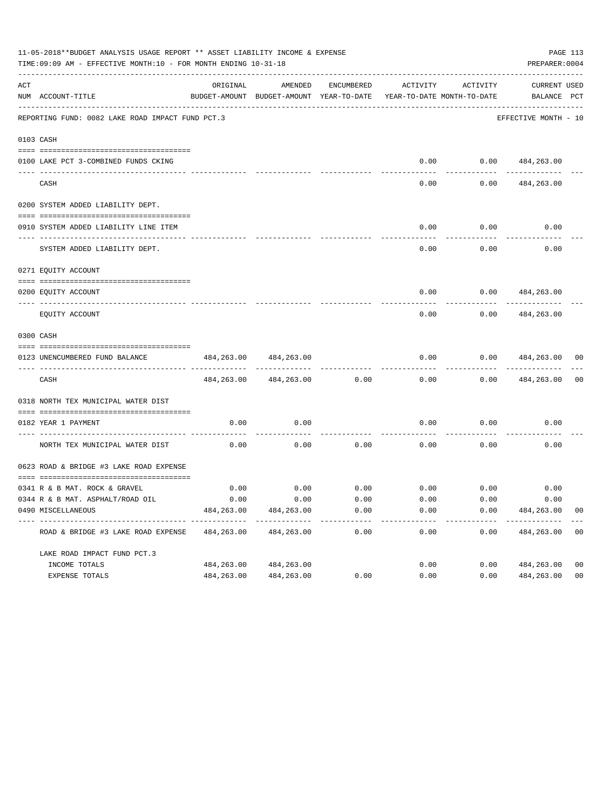|     | 11-05-2018**BUDGET ANALYSIS USAGE REPORT ** ASSET LIABILITY INCOME & EXPENSE<br>TIME: 09:09 AM - EFFECTIVE MONTH: 10 - FOR MONTH ENDING 10-31-18 |                    |                                                     |              |                       |                                        | PREPARER: 0004                 | PAGE 113       |
|-----|--------------------------------------------------------------------------------------------------------------------------------------------------|--------------------|-----------------------------------------------------|--------------|-----------------------|----------------------------------------|--------------------------------|----------------|
| ACT | NUM ACCOUNT-TITLE                                                                                                                                | ORIGINAL           | AMENDED<br>BUDGET-AMOUNT BUDGET-AMOUNT YEAR-TO-DATE | ENCUMBERED   | ACTIVITY              | ACTIVITY<br>YEAR-TO-DATE MONTH-TO-DATE | CURRENT USED<br>BALANCE PCT    |                |
|     | REPORTING FUND: 0082 LAKE ROAD IMPACT FUND PCT.3                                                                                                 |                    |                                                     |              |                       |                                        | EFFECTIVE MONTH - 10           |                |
|     | 0103 CASH                                                                                                                                        |                    |                                                     |              |                       |                                        |                                |                |
|     | 0100 LAKE PCT 3-COMBINED FUNDS CKING                                                                                                             |                    |                                                     |              |                       | $0.00$ $0.00$ $484,263.00$             |                                |                |
|     | CASH                                                                                                                                             |                    |                                                     |              | 0.00                  | 0.00                                   | 484,263.00                     |                |
|     | 0200 SYSTEM ADDED LIABILITY DEPT.                                                                                                                |                    |                                                     |              |                       |                                        |                                |                |
|     | 0910 SYSTEM ADDED LIABILITY LINE ITEM                                                                                                            |                    |                                                     |              | 0.00                  | 0.00                                   | 0.00                           |                |
|     | SYSTEM ADDED LIABILITY DEPT.                                                                                                                     |                    |                                                     |              | 0.00                  | .<br>0.00                              | 0.00                           |                |
|     | 0271 EQUITY ACCOUNT                                                                                                                              |                    |                                                     |              |                       |                                        |                                |                |
|     | 0200 EOUITY ACCOUNT                                                                                                                              |                    |                                                     |              | 0.00                  |                                        | $0.00$ $484,263.00$            |                |
|     | EQUITY ACCOUNT                                                                                                                                   |                    |                                                     |              | 0.00                  | 0.00                                   | 484,263.00                     |                |
|     | 0300 CASH                                                                                                                                        |                    |                                                     |              |                       |                                        |                                |                |
|     | 0123 UNENCUMBERED FUND BALANCE                                                                                                                   | 484,263.00         | 484,263.00                                          |              | 0.00                  | 0.00                                   | 484,263.00                     | 00             |
|     | CASH                                                                                                                                             |                    | 484, 263.00 484, 263.00                             | 0.00         | 0.00                  | 0.00                                   | 484,263.00                     | 0 <sub>0</sub> |
|     | 0318 NORTH TEX MUNICIPAL WATER DIST                                                                                                              |                    |                                                     |              |                       |                                        |                                |                |
|     | 0182 YEAR 1 PAYMENT                                                                                                                              | 0.00               | 0.00                                                |              | 0.00                  | 0.00                                   | 0.00                           |                |
|     | NORTH TEX MUNICIPAL WATER DIST                                                                                                                   | 0.00               | 0.00                                                | 0.00         | 0.00                  | 0.00                                   | 0.00                           |                |
|     | 0623 ROAD & BRIDGE #3 LAKE ROAD EXPENSE                                                                                                          |                    |                                                     |              |                       |                                        |                                |                |
|     |                                                                                                                                                  |                    |                                                     |              |                       |                                        |                                |                |
|     | 0341 R & B MAT. ROCK & GRAVEL                                                                                                                    | 0.00               | 0.00                                                |              |                       | $0.00$ $0.00$ $0.00$ $0.00$            | 0.00                           |                |
|     | 0344 R & B MAT. ASPHALT/ROAD OIL<br>0490 MISCELLANEOUS                                                                                           | 0.00<br>484,263.00 | 0.00<br>484,263.00                                  | 0.00<br>0.00 | 0.00<br>0.00          | 0.00<br>0.00                           | 0.00<br>484,263.00             | 0 <sub>0</sub> |
|     | ROAD & BRIDGE #3 LAKE ROAD EXPENSE                                                                                                               | 484,263.00         | 484,263.00                                          | 0.00         | -------------<br>0.00 | ------------<br>0.00                   | -------------<br>484,263.00 00 | $---$          |
|     | LAKE ROAD IMPACT FUND PCT.3                                                                                                                      |                    |                                                     |              |                       |                                        |                                |                |
|     | INCOME TOTALS                                                                                                                                    | 484,263.00         | 484,263.00                                          |              | 0.00                  | 0.00                                   | 484,263.00                     | 0 <sub>0</sub> |
|     | EXPENSE TOTALS                                                                                                                                   | 484,263.00         | 484,263.00                                          | 0.00         | 0.00                  | 0.00                                   | 484,263.00                     | 0 <sub>0</sub> |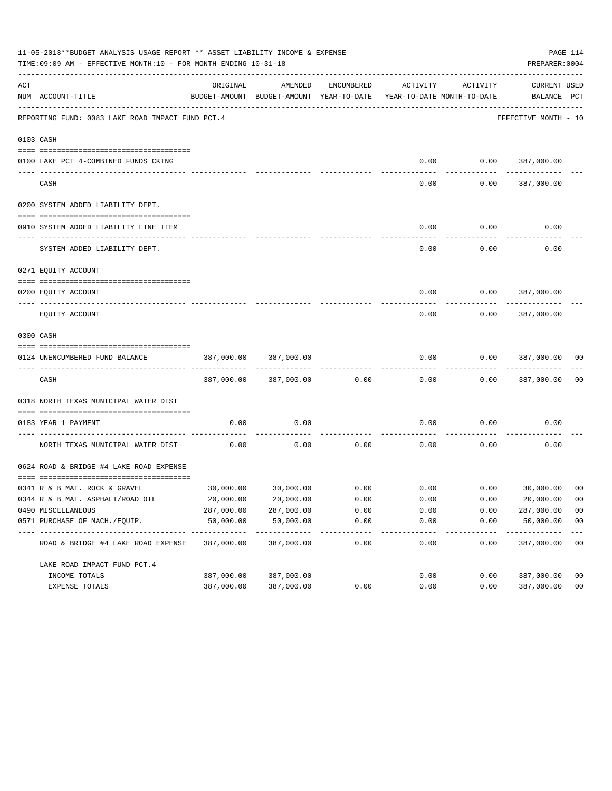|     | 11-05-2018**BUDGET ANALYSIS USAGE REPORT ** ASSET LIABILITY INCOME & EXPENSE<br>TIME: 09:09 AM - EFFECTIVE MONTH: 10 - FOR MONTH ENDING 10-31-18 |                            |                                                     |                     |                   |                                        | PAGE 114<br>PREPARER: 0004  |                         |
|-----|--------------------------------------------------------------------------------------------------------------------------------------------------|----------------------------|-----------------------------------------------------|---------------------|-------------------|----------------------------------------|-----------------------------|-------------------------|
| ACT | NUM ACCOUNT-TITLE                                                                                                                                | ORIGINAL                   | AMENDED<br>BUDGET-AMOUNT BUDGET-AMOUNT YEAR-TO-DATE | ENCUMBERED          | ACTIVITY          | ACTIVITY<br>YEAR-TO-DATE MONTH-TO-DATE | CURRENT USED<br>BALANCE PCT |                         |
|     | REPORTING FUND: 0083 LAKE ROAD IMPACT FUND PCT.4                                                                                                 |                            |                                                     |                     |                   |                                        | EFFECTIVE MONTH - 10        |                         |
|     | 0103 CASH                                                                                                                                        |                            |                                                     |                     |                   |                                        |                             |                         |
|     |                                                                                                                                                  |                            |                                                     |                     |                   |                                        |                             |                         |
|     | 0100 LAKE PCT 4-COMBINED FUNDS CKING                                                                                                             |                            |                                                     |                     |                   |                                        | $0.00$ $0.00$ $387,000.00$  |                         |
|     | CASH                                                                                                                                             |                            |                                                     |                     | 0.00              | 0.00                                   | 387,000.00                  |                         |
|     | 0200 SYSTEM ADDED LIABILITY DEPT.                                                                                                                |                            |                                                     |                     |                   |                                        |                             |                         |
|     |                                                                                                                                                  |                            |                                                     |                     |                   |                                        |                             |                         |
|     | 0910 SYSTEM ADDED LIABILITY LINE ITEM                                                                                                            |                            |                                                     |                     | 0.00              | 0.00                                   | 0.00                        |                         |
|     |                                                                                                                                                  |                            |                                                     |                     |                   |                                        |                             |                         |
|     | SYSTEM ADDED LIABILITY DEPT.                                                                                                                     |                            |                                                     |                     | 0.00              | 0.00                                   | 0.00                        |                         |
|     | 0271 EQUITY ACCOUNT                                                                                                                              |                            |                                                     |                     |                   |                                        |                             |                         |
|     |                                                                                                                                                  |                            |                                                     |                     |                   |                                        |                             |                         |
|     | 0200 EQUITY ACCOUNT                                                                                                                              |                            |                                                     |                     | 0.00              | 0.00                                   | 387,000.00                  |                         |
|     | EQUITY ACCOUNT                                                                                                                                   |                            |                                                     |                     | 0.00              | 0.00                                   | 387,000.00                  |                         |
|     | 0300 CASH                                                                                                                                        |                            |                                                     |                     |                   |                                        |                             |                         |
|     |                                                                                                                                                  |                            |                                                     |                     |                   |                                        |                             |                         |
|     | 0124 UNENCUMBERED FUND BALANCE                                                                                                                   | 387,000.00                 | 387,000.00                                          |                     | 0.00              | 0.00                                   | 387,000.00                  | 00                      |
|     | CASH                                                                                                                                             | 387,000.00                 | 387,000.00                                          | 0.00                | 0.00              | 0.00                                   | 387,000.00                  | 0 <sub>0</sub>          |
|     | 0318 NORTH TEXAS MUNICIPAL WATER DIST                                                                                                            |                            |                                                     |                     |                   |                                        |                             |                         |
|     |                                                                                                                                                  |                            |                                                     |                     |                   |                                        |                             |                         |
|     | 0183 YEAR 1 PAYMENT                                                                                                                              | 0.00                       | 0.00                                                |                     | 0.00              | 0.00                                   | 0.00                        |                         |
|     | NORTH TEXAS MUNICIPAL WATER DIST                                                                                                                 | 0.00                       | 0.00                                                | 0.00                | 0.00              | 0.00                                   | 0.00                        |                         |
|     | 0624 ROAD & BRIDGE #4 LAKE ROAD EXPENSE                                                                                                          |                            |                                                     |                     |                   |                                        |                             |                         |
|     |                                                                                                                                                  |                            |                                                     |                     |                   |                                        |                             |                         |
|     | 0341 R & B MAT. ROCK & GRAVEL                                                                                                                    |                            | 30,000.00 30,000.00                                 | 0.00                |                   | 0.00                                   | $0.00$ 30,000.00            | 0 <sub>0</sub>          |
|     | 0344 R & B MAT. ASPHALT/ROAD OIL                                                                                                                 | 20,000.00                  | 20,000.00                                           | 0.00                | 0.00              | 0.00                                   | 20,000.00                   | 00                      |
|     | 0490 MISCELLANEOUS                                                                                                                               | 287,000.00                 | 287,000.00                                          | 0.00                | 0.00              | 0.00                                   | 287,000.00                  | 0 <sub>0</sub>          |
|     | 0571 PURCHASE OF MACH./EOUIP.<br>----------------------------------                                                                              | 50,000.00<br>_____________ | 50,000.00<br>-------------                          | 0.00<br>----------- | 0.00<br>--------- | 0.00                                   | 50,000.00<br>-----------    | 0 <sub>0</sub><br>$---$ |
|     | ROAD & BRIDGE #4 LAKE ROAD EXPENSE                                                                                                               | 387,000.00                 | 387,000.00                                          | 0.00                | 0.00              | 0.00                                   | 387,000.00                  | 0 <sub>0</sub>          |
|     | LAKE ROAD IMPACT FUND PCT. 4                                                                                                                     |                            |                                                     |                     |                   |                                        |                             |                         |
|     | INCOME TOTALS                                                                                                                                    | 387,000.00                 | 387,000.00                                          |                     | 0.00              | 0.00                                   | 387,000.00                  | 0 <sub>0</sub>          |
|     | EXPENSE TOTALS                                                                                                                                   | 387,000.00                 | 387,000.00                                          | 0.00                | 0.00              | 0.00                                   | 387,000.00                  | 0 <sub>0</sub>          |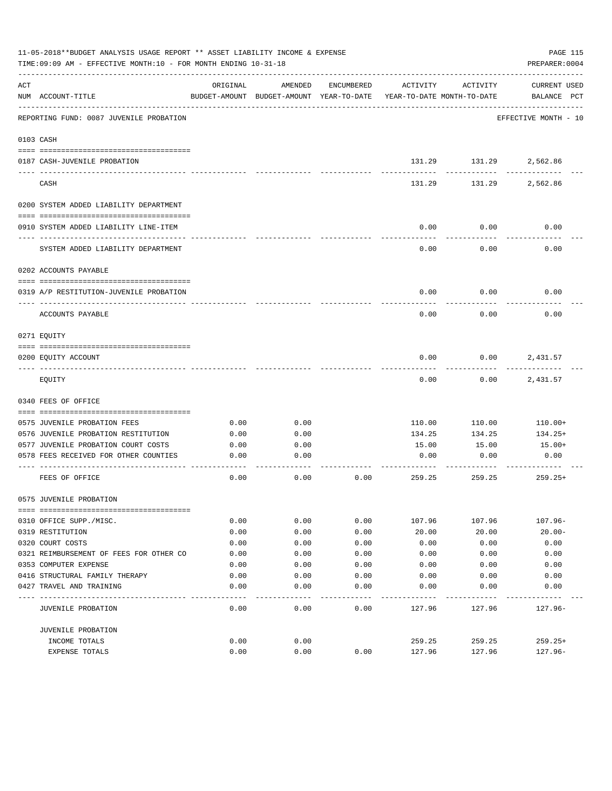|     | 11-05-2018**BUDGET ANALYSIS USAGE REPORT ** ASSET LIABILITY INCOME & EXPENSE<br>TIME: 09:09 AM - EFFECTIVE MONTH: 10 - FOR MONTH ENDING 10-31-18 |          |                                                     |            |                                        |                             | PAGE 115<br>PREPARER: 0004         |
|-----|--------------------------------------------------------------------------------------------------------------------------------------------------|----------|-----------------------------------------------------|------------|----------------------------------------|-----------------------------|------------------------------------|
| ACT | NUM ACCOUNT-TITLE                                                                                                                                | ORIGINAL | AMENDED<br>BUDGET-AMOUNT BUDGET-AMOUNT YEAR-TO-DATE | ENCUMBERED | ACTIVITY<br>YEAR-TO-DATE MONTH-TO-DATE | ACTIVITY                    | <b>CURRENT USED</b><br>BALANCE PCT |
|     | REPORTING FUND: 0087 JUVENILE PROBATION                                                                                                          |          |                                                     |            |                                        |                             | EFFECTIVE MONTH - 10               |
|     | 0103 CASH                                                                                                                                        |          |                                                     |            |                                        |                             |                                    |
|     | 0187 CASH-JUVENILE PROBATION                                                                                                                     |          |                                                     |            |                                        | 131.29 131.29<br>---------- | 2,562.86                           |
|     | CASH                                                                                                                                             |          |                                                     |            | 131.29                                 | 131.29                      | 2,562.86                           |
|     | 0200 SYSTEM ADDED LIABILITY DEPARTMENT                                                                                                           |          |                                                     |            |                                        |                             |                                    |
|     | 0910 SYSTEM ADDED LIABILITY LINE-ITEM                                                                                                            |          |                                                     |            | 0.00                                   | 0.00                        | 0.00                               |
|     | SYSTEM ADDED LIABILITY DEPARTMENT                                                                                                                |          |                                                     |            | 0.00                                   | 0.00                        | 0.00                               |
|     | 0202 ACCOUNTS PAYABLE                                                                                                                            |          |                                                     |            |                                        |                             |                                    |
|     | 0319 A/P RESTITUTION-JUVENILE PROBATION                                                                                                          |          |                                                     |            | 0.00                                   | 0.00                        | 0.00                               |
|     | ACCOUNTS PAYABLE                                                                                                                                 |          |                                                     |            | 0.00                                   | 0.00                        | 0.00                               |
|     | 0271 EOUITY                                                                                                                                      |          |                                                     |            |                                        |                             |                                    |
|     | 0200 EQUITY ACCOUNT                                                                                                                              |          |                                                     |            | 0.00                                   | 0.00                        | 2,431.57                           |
|     | EQUITY                                                                                                                                           |          |                                                     |            | 0.00                                   | 0.00                        | 2,431.57                           |
|     | 0340 FEES OF OFFICE                                                                                                                              |          |                                                     |            |                                        |                             |                                    |
|     | 0575 JUVENILE PROBATION FEES                                                                                                                     | 0.00     | 0.00                                                |            | 110.00                                 | 110.00                      | 110.00+                            |
|     | 0576 JUVENILE PROBATION RESTITUTION                                                                                                              | 0.00     | 0.00                                                |            | 134.25                                 | 134.25                      | $134.25+$                          |
|     | 0577 JUVENILE PROBATION COURT COSTS                                                                                                              | 0.00     | 0.00                                                |            | 15.00                                  | 15.00                       | 15.00+                             |
|     | 0578 FEES RECEIVED FOR OTHER COUNTIES                                                                                                            | 0.00     | 0.00                                                |            | 0.00                                   | 0.00                        | 0.00                               |
|     | FEES OF OFFICE                                                                                                                                   | 0.00     | 0.00                                                | 0.00       | 259.25                                 | 259.25                      | $259.25+$                          |
|     | 0575 JUVENILE PROBATION                                                                                                                          |          |                                                     |            |                                        |                             |                                    |
|     | 0310 OFFICE SUPP./MISC.                                                                                                                          | 0.00     | 0.00                                                | 0.00       | 107.96                                 | 107.96                      | $107.96 -$                         |
|     | 0319 RESTITUTION                                                                                                                                 | 0.00     | 0.00                                                | 0.00       | 20.00                                  | 20.00                       | $20.00 -$                          |
|     | 0320 COURT COSTS                                                                                                                                 | 0.00     | 0.00                                                | 0.00       | 0.00                                   | 0.00                        | 0.00                               |
|     | 0321 REIMBURSEMENT OF FEES FOR OTHER CO                                                                                                          | 0.00     | 0.00                                                | 0.00       | 0.00                                   | 0.00                        | 0.00                               |
|     | 0353 COMPUTER EXPENSE                                                                                                                            | 0.00     | 0.00                                                | 0.00       | 0.00                                   | 0.00                        | 0.00                               |
|     | 0416 STRUCTURAL FAMILY THERAPY                                                                                                                   | 0.00     | 0.00                                                | 0.00       | 0.00                                   | 0.00                        | 0.00                               |
|     | 0427 TRAVEL AND TRAINING                                                                                                                         | 0.00     | 0.00                                                | 0.00       | 0.00                                   | 0.00                        | 0.00                               |
|     | JUVENILE PROBATION                                                                                                                               | 0.00     | 0.00                                                | 0.00       | 127.96                                 | 127.96                      | $127.96-$                          |
|     | JUVENILE PROBATION                                                                                                                               |          |                                                     |            |                                        |                             |                                    |
|     | INCOME TOTALS                                                                                                                                    | 0.00     | 0.00                                                |            | 259.25                                 | 259.25                      | $259.25+$                          |
|     | EXPENSE TOTALS                                                                                                                                   | 0.00     | 0.00                                                | 0.00       | 127.96                                 | 127.96                      | $127.96-$                          |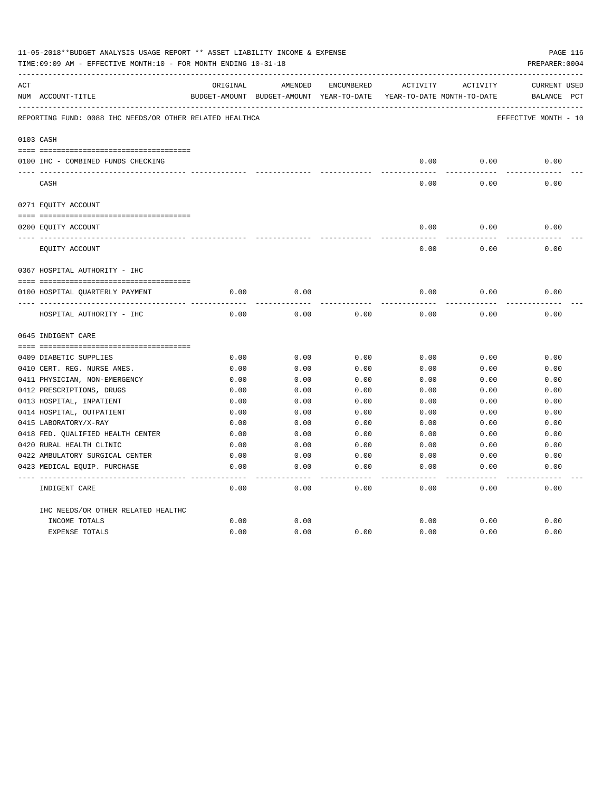|     | 11-05-2018**BUDGET ANALYSIS USAGE REPORT ** ASSET LIABILITY INCOME & EXPENSE<br>TIME: 09:09 AM - EFFECTIVE MONTH: 10 - FOR MONTH ENDING 10-31-18 |          |                                                     |            |          |                                        | PAGE 116<br>PREPARER: 0004         |
|-----|--------------------------------------------------------------------------------------------------------------------------------------------------|----------|-----------------------------------------------------|------------|----------|----------------------------------------|------------------------------------|
| ACT | NUM ACCOUNT-TITLE                                                                                                                                | ORIGINAL | AMENDED<br>BUDGET-AMOUNT BUDGET-AMOUNT YEAR-TO-DATE | ENCUMBERED | ACTIVITY | ACTIVITY<br>YEAR-TO-DATE MONTH-TO-DATE | <b>CURRENT USED</b><br>BALANCE PCT |
|     | REPORTING FUND: 0088 IHC NEEDS/OR OTHER RELATED HEALTHCA                                                                                         |          |                                                     |            |          |                                        | EFFECTIVE MONTH - 10               |
|     | 0103 CASH                                                                                                                                        |          |                                                     |            |          |                                        |                                    |
|     | 0100 IHC - COMBINED FUNDS CHECKING                                                                                                               |          |                                                     |            | 0.00     | 0.00                                   | 0.00                               |
|     | CASH                                                                                                                                             |          |                                                     |            | 0.00     | 0.00                                   | 0.00                               |
|     | 0271 EQUITY ACCOUNT                                                                                                                              |          |                                                     |            |          |                                        |                                    |
|     |                                                                                                                                                  |          |                                                     |            |          |                                        |                                    |
|     | 0200 EQUITY ACCOUNT                                                                                                                              |          |                                                     |            | 0.00     | 0.00                                   | 0.00                               |
|     | EQUITY ACCOUNT                                                                                                                                   |          |                                                     |            | 0.00     | 0.00                                   | 0.00                               |
|     | 0367 HOSPITAL AUTHORITY - IHC                                                                                                                    |          |                                                     |            |          |                                        |                                    |
|     |                                                                                                                                                  |          |                                                     |            |          |                                        |                                    |
|     | 0100 HOSPITAL QUARTERLY PAYMENT                                                                                                                  | 0.00     | 0.00                                                |            | 0.00     | 0.00                                   | 0.00                               |
|     | HOSPITAL AUTHORITY - IHC                                                                                                                         | 0.00     | 0.00                                                | 0.00       | 0.00     | 0.00                                   | 0.00                               |
|     | 0645 INDIGENT CARE                                                                                                                               |          |                                                     |            |          |                                        |                                    |
|     |                                                                                                                                                  |          |                                                     |            |          |                                        |                                    |
|     | 0409 DIABETIC SUPPLIES                                                                                                                           | 0.00     | 0.00                                                | 0.00       | 0.00     | 0.00                                   | 0.00                               |
|     | 0410 CERT. REG. NURSE ANES.                                                                                                                      | 0.00     | 0.00                                                | 0.00       | 0.00     | 0.00                                   | 0.00                               |
|     | 0411 PHYSICIAN, NON-EMERGENCY                                                                                                                    | 0.00     | 0.00                                                | 0.00       | 0.00     | 0.00                                   | 0.00                               |
|     | 0412 PRESCRIPTIONS, DRUGS                                                                                                                        | 0.00     | 0.00                                                | 0.00       | 0.00     | 0.00                                   | 0.00                               |
|     | 0413 HOSPITAL, INPATIENT                                                                                                                         | 0.00     | 0.00                                                | 0.00       | 0.00     | 0.00                                   | 0.00                               |
|     | 0414 HOSPITAL, OUTPATIENT                                                                                                                        | 0.00     | 0.00                                                | 0.00       | 0.00     | 0.00                                   | 0.00                               |
|     | 0415 LABORATORY/X-RAY                                                                                                                            | 0.00     | 0.00                                                | 0.00       | 0.00     | 0.00                                   | 0.00                               |
|     | 0418 FED. QUALIFIED HEALTH CENTER                                                                                                                | 0.00     | 0.00                                                | 0.00       | 0.00     | 0.00                                   | 0.00                               |
|     | 0420 RURAL HEALTH CLINIC                                                                                                                         | 0.00     | 0.00                                                | 0.00       | 0.00     | 0.00                                   | 0.00                               |
|     | 0422 AMBULATORY SURGICAL CENTER                                                                                                                  | 0.00     | 0.00                                                | 0.00       | 0.00     | 0.00                                   | 0.00                               |
|     | 0423 MEDICAL EQUIP. PURCHASE                                                                                                                     | 0.00     | 0.00                                                | 0.00       | 0.00     | 0.00                                   | 0.00                               |
|     | INDIGENT CARE                                                                                                                                    | 0.00     | 0.00                                                | 0.00       | 0.00     | 0.00                                   | -----<br>0.00                      |
|     | IHC NEEDS/OR OTHER RELATED HEALTHC                                                                                                               |          |                                                     |            |          |                                        |                                    |
|     | INCOME TOTALS                                                                                                                                    | 0.00     | 0.00                                                |            | 0.00     | 0.00                                   | 0.00                               |
|     | <b>EXPENSE TOTALS</b>                                                                                                                            | 0.00     | 0.00                                                | 0.00       | 0.00     | 0.00                                   | 0.00                               |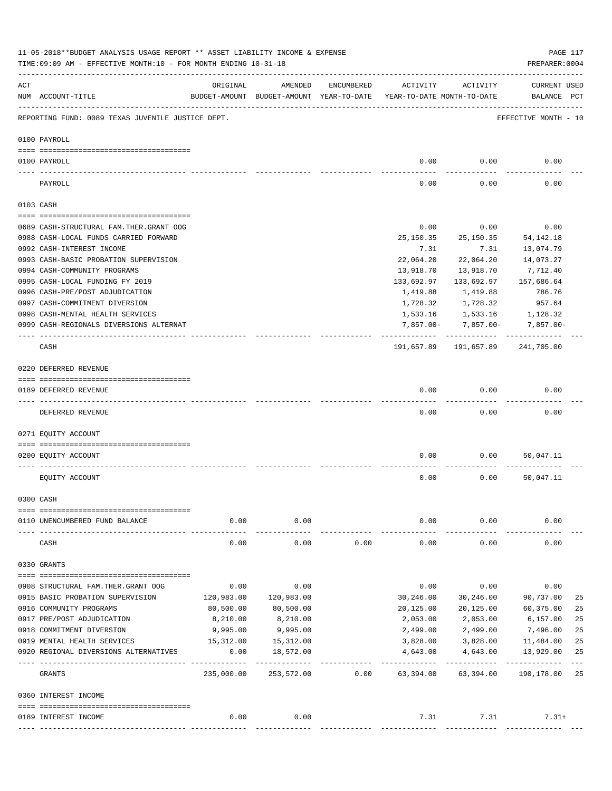|     | 11-05-2018**BUDGET ANALYSIS USAGE REPORT ** ASSET LIABILITY INCOME & EXPENSE<br>TIME: 09:09 AM - EFFECTIVE MONTH: 10 - FOR MONTH ENDING 10-31-18 |                     |                                                     |            |                                        |                                       | PREPARER: 0004                     | PAGE 117    |
|-----|--------------------------------------------------------------------------------------------------------------------------------------------------|---------------------|-----------------------------------------------------|------------|----------------------------------------|---------------------------------------|------------------------------------|-------------|
| ACT | NUM ACCOUNT-TITLE                                                                                                                                | ORIGINAL            | AMENDED<br>BUDGET-AMOUNT BUDGET-AMOUNT YEAR-TO-DATE | ENCUMBERED | ACTIVITY<br>YEAR-TO-DATE MONTH-TO-DATE | ACTIVITY                              | <b>CURRENT USED</b><br>BALANCE PCT |             |
|     | REPORTING FUND: 0089 TEXAS JUVENILE JUSTICE DEPT.                                                                                                |                     |                                                     |            |                                        |                                       | EFFECTIVE MONTH - 10               |             |
|     | 0100 PAYROLL                                                                                                                                     |                     |                                                     |            |                                        |                                       |                                    |             |
|     | 0100 PAYROLL                                                                                                                                     |                     |                                                     |            | 0.00                                   | 0.00                                  | 0.00                               |             |
|     | PAYROLL                                                                                                                                          |                     |                                                     |            | 0.00                                   | 0.00                                  | 0.00                               |             |
|     | 0103 CASH                                                                                                                                        |                     |                                                     |            |                                        |                                       |                                    |             |
|     | 0689 CASH-STRUCTURAL FAM.THER.GRANT OOG                                                                                                          |                     |                                                     |            | 0.00                                   | 0.00                                  | 0.00                               |             |
|     | 0988 CASH-LOCAL FUNDS CARRIED FORWARD                                                                                                            |                     |                                                     |            | 25,150.35                              | 25, 150.35                            | 54, 142. 18                        |             |
|     | 0992 CASH-INTEREST INCOME                                                                                                                        |                     |                                                     |            | 7.31                                   | 7.31                                  | 13,074.79                          |             |
|     | 0993 CASH-BASIC PROBATION SUPERVISION                                                                                                            |                     |                                                     |            | 22,064.20                              | 22,064.20                             | 14,073.27                          |             |
|     | 0994 CASH-COMMUNITY PROGRAMS                                                                                                                     |                     |                                                     |            | 13,918.70                              | 13,918.70                             | 7,712.40                           |             |
|     | 0995 CASH-LOCAL FUNDING FY 2019                                                                                                                  |                     |                                                     |            | 133,692.97                             | 133,692.97                            | 157,686.64                         |             |
|     | 0996 CASH-PRE/POST ADJUDICATION                                                                                                                  |                     |                                                     |            | 1,419.88                               | 1,419.88                              | 786.76                             |             |
|     | 0997 CASH-COMMITMENT DIVERSION                                                                                                                   |                     |                                                     |            | 1,728.32                               | 1,728.32                              | 957.64                             |             |
|     | 0998 CASH-MENTAL HEALTH SERVICES                                                                                                                 |                     |                                                     |            | 1,533.16                               | 1,533.16                              | 1,128.32                           |             |
|     | 0999 CASH-REGIONALS DIVERSIONS ALTERNAT                                                                                                          |                     |                                                     |            | 7,857.00-                              | 7,857.00-                             | 7,857.00-                          |             |
|     | CASH                                                                                                                                             |                     |                                                     |            | ----------                             | . <u>.</u> .<br>191,657.89 191,657.89 | 241,705.00                         |             |
|     | 0220 DEFERRED REVENUE                                                                                                                            |                     |                                                     |            |                                        |                                       |                                    |             |
|     | 0189 DEFERRED REVENUE                                                                                                                            |                     |                                                     |            | 0.00                                   | 0.00                                  | 0.00                               |             |
|     | DEFERRED REVENUE                                                                                                                                 |                     |                                                     |            | 0.00                                   | 0.00                                  | 0.00                               |             |
|     | 0271 EQUITY ACCOUNT                                                                                                                              |                     |                                                     |            |                                        |                                       |                                    |             |
|     | 0200 EQUITY ACCOUNT                                                                                                                              |                     |                                                     |            | 0.00                                   |                                       | 0.00<br>50,047.11                  |             |
|     | EQUITY ACCOUNT                                                                                                                                   |                     |                                                     |            | 0.00                                   | 0.00                                  | 50,047.11                          |             |
|     | 0300 CASH                                                                                                                                        |                     |                                                     |            |                                        |                                       |                                    |             |
|     | 0110 UNENCUMBERED FUND BALANCE                                                                                                                   | 0.00                | 0.00                                                |            | 0.00                                   | 0.00                                  | 0.00                               |             |
|     | CASH                                                                                                                                             | 0.00                | 0.00                                                | 0.00       | 0.00                                   | 0.00                                  | 0.00                               |             |
|     | 0330 GRANTS                                                                                                                                      |                     |                                                     |            |                                        |                                       |                                    |             |
|     | 0908 STRUCTURAL FAM. THER. GRANT OOG                                                                                                             | 0.00                | 0.00                                                |            | 0.00                                   | 0.00                                  | 0.00                               |             |
|     | 0915 BASIC PROBATION SUPERVISION                                                                                                                 | 120,983.00          | 120,983.00                                          |            | 30,246.00                              | 30,246.00                             | 90,737.00                          | 25          |
|     | 0916 COMMUNITY PROGRAMS                                                                                                                          | 80,500.00           | 80,500.00                                           |            | 20,125.00                              | 20,125.00                             | 60,375.00                          | 25          |
|     | 0917 PRE/POST ADJUDICATION                                                                                                                       | 8,210.00            | 8,210.00                                            |            | 2,053.00                               | 2,053.00                              | 6,157.00                           | 25          |
|     | 0918 COMMITMENT DIVERSION                                                                                                                        | 9,995.00            | 9,995.00                                            |            | 2,499.00                               | 2,499.00                              | 7,496.00                           | 25          |
|     | 0919 MENTAL HEALTH SERVICES                                                                                                                      | 15,312.00           | 15, 312.00                                          |            | 3,828.00                               | 3,828.00                              | 11,484.00                          | 25          |
|     | 0920 REGIONAL DIVERSIONS ALTERNATIVES                                                                                                            | 0.00<br>----------- | 18,572.00<br>-----------                            |            | 4,643.00                               | 4,643.00                              | 13,929.00<br>-----------           | 25<br>$---$ |
|     | GRANTS                                                                                                                                           | 235,000.00          | 253,572.00                                          | 0.00       | 63,394.00                              | 63,394.00                             | 190,178.00                         | 25          |
|     | 0360 INTEREST INCOME                                                                                                                             |                     |                                                     |            |                                        |                                       |                                    |             |
|     |                                                                                                                                                  |                     |                                                     |            |                                        |                                       |                                    |             |
|     | 0189 INTEREST INCOME                                                                                                                             | 0.00                | 0.00                                                |            | 7.31                                   | 7.31                                  | $7.31+$                            |             |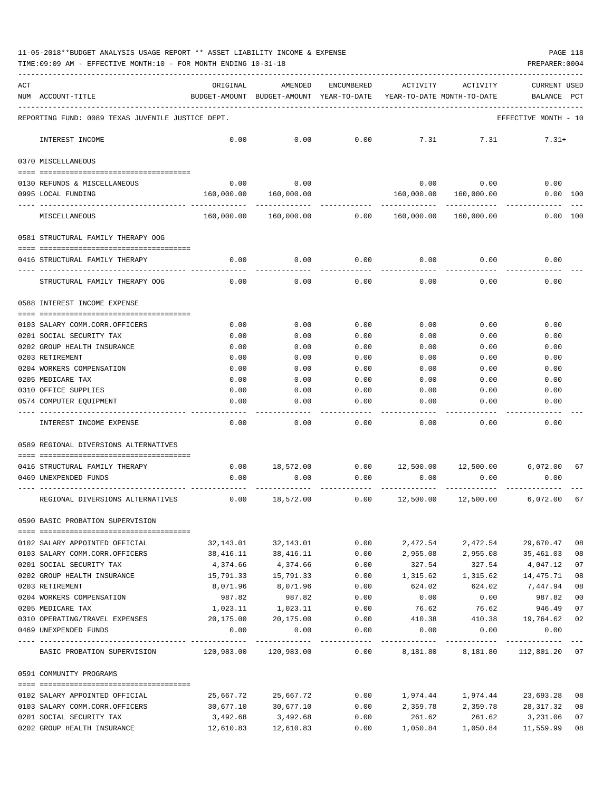11-05-2018\*\*BUDGET ANALYSIS USAGE REPORT \*\* ASSET LIABILITY INCOME & EXPENSE PAGE 118

TIME:09:09 AM - EFFECTIVE MONTH:10 - FOR MONTH ENDING 10-31-18 PREPARER:0004

| ACT |                                                                                        | ORIGINAL              | AMENDED                                  | ENCUMBERED   | ACTIVITY                   | ACTIVITY                  | <b>CURRENT USED</b>                                   |          |
|-----|----------------------------------------------------------------------------------------|-----------------------|------------------------------------------|--------------|----------------------------|---------------------------|-------------------------------------------------------|----------|
|     | NUM ACCOUNT-TITLE                                                                      |                       | BUDGET-AMOUNT BUDGET-AMOUNT YEAR-TO-DATE |              | YEAR-TO-DATE MONTH-TO-DATE |                           | BALANCE                                               | PCT      |
|     |                                                                                        |                       |                                          |              |                            |                           |                                                       |          |
|     | REPORTING FUND: 0089 TEXAS JUVENILE JUSTICE DEPT.                                      |                       |                                          |              |                            |                           | EFFECTIVE MONTH - 10                                  |          |
|     | INTEREST INCOME                                                                        | 0.00                  | 0.00                                     | 0.00         | 7.31                       | 7.31                      | $7.31+$                                               |          |
|     | 0370 MISCELLANEOUS                                                                     |                       |                                          |              |                            |                           |                                                       |          |
|     |                                                                                        | 0.00                  | 0.00                                     |              |                            |                           | 0.00                                                  |          |
|     | 0130 REFUNDS & MISCELLANEOUS<br>0995 LOCAL FUNDING                                     | 160,000.00            | 160,000.00                               |              | 160,000.00                 | $0.00$ 0.00<br>160,000.00 | $0.00$ 100                                            |          |
|     |                                                                                        |                       |                                          |              |                            |                           |                                                       |          |
|     | MISCELLANEOUS                                                                          | 160,000.00            | 160,000.00                               | 0.00         | 160,000.00                 | 160,000.00                | 0.00 100                                              |          |
|     | 0581 STRUCTURAL FAMILY THERAPY OOG                                                     |                       |                                          |              |                            |                           |                                                       |          |
|     | 0416 STRUCTURAL FAMILY THERAPY                                                         | 0.00                  | 0.00                                     | 0.00         | 0.00                       | 0.00                      | 0.00                                                  |          |
|     |                                                                                        |                       |                                          |              |                            |                           |                                                       |          |
|     | STRUCTURAL FAMILY THERAPY OOG                                                          | 0.00                  | 0.00                                     | 0.00         | 0.00                       | 0.00                      | 0.00                                                  |          |
|     | 0588 INTEREST INCOME EXPENSE                                                           |                       |                                          |              |                            |                           |                                                       |          |
|     | 0103 SALARY COMM.CORR.OFFICERS                                                         | 0.00                  | 0.00                                     | 0.00         | 0.00                       | 0.00                      | 0.00                                                  |          |
|     | 0201 SOCIAL SECURITY TAX                                                               | 0.00                  | 0.00                                     | 0.00         | 0.00                       | 0.00                      | 0.00                                                  |          |
|     | 0202 GROUP HEALTH INSURANCE                                                            | 0.00                  | 0.00                                     | 0.00         | 0.00                       | 0.00                      | 0.00                                                  |          |
|     | 0203 RETIREMENT                                                                        | 0.00                  | 0.00                                     | 0.00         | 0.00                       | 0.00                      | 0.00                                                  |          |
|     | 0204 WORKERS COMPENSATION                                                              | 0.00                  | 0.00                                     | 0.00         | 0.00                       | 0.00                      | 0.00                                                  |          |
|     | 0205 MEDICARE TAX                                                                      | 0.00                  | 0.00                                     | 0.00         | 0.00                       | 0.00                      | 0.00                                                  |          |
|     | 0310 OFFICE SUPPLIES                                                                   | 0.00                  | 0.00                                     | 0.00         | 0.00                       | 0.00                      | 0.00                                                  |          |
|     | 0574 COMPUTER EQUIPMENT                                                                | 0.00                  | 0.00                                     | 0.00         | 0.00                       | 0.00                      | 0.00                                                  |          |
|     | INTEREST INCOME EXPENSE                                                                | 0.00                  | 0.00                                     | 0.00         | 0.00                       | 0.00                      | 0.00                                                  |          |
|     | 0589 REGIONAL DIVERSIONS ALTERNATIVES                                                  |                       |                                          |              |                            |                           |                                                       |          |
|     |                                                                                        |                       |                                          |              |                            |                           |                                                       |          |
|     | 0416 STRUCTURAL FAMILY THERAPY                                                         | 0.00                  |                                          |              |                            |                           | $18,572.00$ $0.00$ $12,500.00$ $12,500.00$ $6,072.00$ | 67       |
|     | 0469 UNEXPENDED FUNDS                                                                  | 0.00                  | 0.00                                     | 0.00         | 0.00                       | 0.00                      | 0.00                                                  |          |
|     | REGIONAL DIVERSIONS ALTERNATIVES                                                       | 0.00                  | 18,572.00                                | 0.00         | 12,500.00                  | 12,500.00                 | 6,072.00                                              | 67       |
|     | 0590 BASIC PROBATION SUPERVISION                                                       |                       |                                          |              |                            |                           |                                                       |          |
|     |                                                                                        |                       |                                          |              |                            |                           |                                                       |          |
|     | 0102 SALARY APPOINTED OFFICIAL                                                         |                       | 32,143.01 32,143.01                      | 0.00         | 2,472.54                   | 2,472.54                  | 29,670.47                                             | 08       |
|     | 0103 SALARY COMM.CORR.OFFICERS<br>0201 SOCIAL SECURITY TAX                             | 38,416.11<br>4,374.66 | 38,416.11<br>4,374.66                    | 0.00<br>0.00 | 2,955.08<br>327.54         | 2,955.08<br>327.54        | 35,461.03<br>4,047.12                                 | 08<br>07 |
|     | 0202 GROUP HEALTH INSURANCE                                                            | 15,791.33             | 15,791.33                                | 0.00         |                            |                           | 1,315.62 1,315.62 14,475.71                           | 08       |
|     | 0203 RETIREMENT                                                                        | 8,071.96              | 8,071.96                                 | 0.00         | 624.02                     | 624.02                    | 7,447.94                                              | 08       |
|     | 0204 WORKERS COMPENSATION                                                              | 987.82                | 987.82                                   | 0.00         | 0.00                       | 0.00                      | 987.82                                                | 00       |
|     | 0205 MEDICARE TAX                                                                      | 1,023.11              | 1,023.11                                 | 0.00         | 76.62                      | 76.62                     | 946.49                                                | 07       |
|     | 0310 OPERATING/TRAVEL EXPENSES                                                         | 20,175.00             | 20,175.00                                | 0.00         | 410.38                     | 410.38                    | 19,764.62                                             | 02       |
|     | 0469 UNEXPENDED FUNDS                                                                  | 0.00                  | 0.00                                     | 0.00         | 0.00                       | 0.00                      | 0.00                                                  |          |
|     |                                                                                        |                       |                                          |              |                            |                           | <u>. Bergera Bergera</u>                              |          |
|     | BASIC PROBATION SUPERVISION 120,983.00 120,983.00 0.00 8,181.80 8,181.80 112,801.20 07 |                       |                                          |              |                            |                           |                                                       |          |
|     | 0591 COMMUNITY PROGRAMS                                                                |                       |                                          |              |                            |                           |                                                       |          |
|     | 0102 SALARY APPOINTED OFFICIAL                                                         | 25,667.72             | 25,667.72                                |              |                            | $0.00$ 1,974.44 1,974.44  | 23,693.28                                             | 08       |
|     | 0103 SALARY COMM.CORR.OFFICERS                                                         | 30,677.10             | 30,677.10                                | 0.00         |                            |                           | 2,359.78 2,359.78 28,317.32                           | 08       |
|     | 0201 SOCIAL SECURITY TAX                                                               | 3,492.68              | 3,492.68                                 | 0.00         | 261.62                     | 261.62                    | 3,231.06                                              | 07       |
|     | 0202 GROUP HEALTH INSURANCE                                                            | 12,610.83             | 12,610.83                                | 0.00         | 1,050.84                   | 1,050.84                  | 11,559.99                                             | 08       |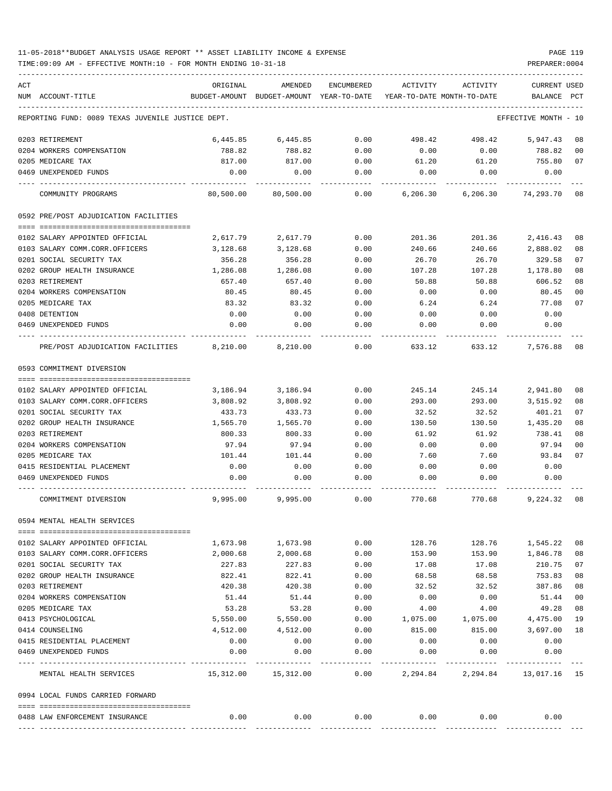## 11-05-2018\*\*BUDGET ANALYSIS USAGE REPORT \*\* ASSET LIABILITY INCOME & EXPENSE PAGE 119

TIME:09:09 AM - EFFECTIVE MONTH:10 - FOR MONTH ENDING 10-31-18 PREPARER:0004

| ACT |                                                   | ORIGINAL                             | AMENDED                                  | ENCUMBERED     | ACTIVITY                   | ACTIVITY                          | <b>CURRENT USED</b>  |                |
|-----|---------------------------------------------------|--------------------------------------|------------------------------------------|----------------|----------------------------|-----------------------------------|----------------------|----------------|
|     | NUM ACCOUNT-TITLE                                 |                                      | BUDGET-AMOUNT BUDGET-AMOUNT YEAR-TO-DATE |                | YEAR-TO-DATE MONTH-TO-DATE |                                   | BALANCE              | PCT            |
|     | REPORTING FUND: 0089 TEXAS JUVENILE JUSTICE DEPT. |                                      |                                          |                |                            |                                   | EFFECTIVE MONTH - 10 |                |
|     | 0203 RETIREMENT                                   | 6,445.85                             | 6,445.85                                 | 0.00           | 498.42                     | 498.42                            | 5,947.43             | 08             |
|     | 0204 WORKERS COMPENSATION                         | 788.82                               | 788.82                                   | 0.00           | 0.00                       | 0.00                              | 788.82               | 00             |
|     | 0205 MEDICARE TAX                                 | 817.00                               | 817.00                                   | 0.00           | 61.20                      | 61.20                             | 755.80               | 07             |
|     | 0469 UNEXPENDED FUNDS                             | 0.00                                 | 0.00                                     | 0.00           | 0.00                       | 0.00                              | 0.00                 |                |
|     | COMMUNITY PROGRAMS                                | 80,500.00                            | 80,500.00                                | 0.00           | 6,206.30                   | 6,206.30                          | 74,293.70 08         |                |
|     | 0592 PRE/POST ADJUDICATION FACILITIES             |                                      |                                          |                |                            |                                   |                      |                |
|     | 0102 SALARY APPOINTED OFFICIAL                    | 2,617.79                             | 2,617.79                                 | 0.00           | 201.36                     | 201.36                            | 2,416.43             | 08             |
|     | 0103 SALARY COMM.CORR.OFFICERS                    | 3,128.68                             | 3,128.68                                 | 0.00           | 240.66                     | 240.66                            | 2,888.02             | 08             |
|     | 0201 SOCIAL SECURITY TAX                          | 356.28                               | 356.28                                   | 0.00           | 26.70                      | 26.70                             | 329.58               | 07             |
|     | 0202 GROUP HEALTH INSURANCE                       | 1,286.08                             | 1,286.08                                 | 0.00           | 107.28                     | 107.28                            | 1,178.80             | 08             |
|     | 0203 RETIREMENT                                   | 657.40                               | 657.40                                   | 0.00           | 50.88                      | 50.88                             | 606.52               | 08             |
|     | 0204 WORKERS COMPENSATION                         | 80.45                                | 80.45                                    | 0.00           | 0.00                       | 0.00                              | 80.45                | 0 <sub>0</sub> |
|     | 0205 MEDICARE TAX                                 | 83.32                                | 83.32                                    | 0.00           | 6.24                       | 6.24                              | 77.08                | 07             |
|     | 0408 DETENTION                                    | 0.00                                 | 0.00                                     | 0.00           | 0.00                       | 0.00                              | 0.00                 |                |
|     | 0469 UNEXPENDED FUNDS                             | 0.00                                 | 0.00                                     | 0.00           | 0.00                       | 0.00                              | 0.00                 |                |
|     | PRE/POST ADJUDICATION FACILITIES 8,210.00         |                                      | 8,210.00                                 | 0.00           | 633.12                     | 633.12                            | 7,576.88             | 08             |
|     | 0593 COMMITMENT DIVERSION                         |                                      |                                          |                |                            |                                   |                      |                |
|     |                                                   |                                      |                                          |                |                            |                                   |                      |                |
|     | 0102 SALARY APPOINTED OFFICIAL                    | 3,186.94                             | 3,186.94                                 | 0.00           | 245.14                     | 245.14                            | 2,941.80             | 08             |
|     | 0103 SALARY COMM.CORR.OFFICERS                    | 3,808.92                             | 3,808.92                                 | 0.00           | 293.00                     | 293.00                            | 3,515.92             | 08             |
|     | 0201 SOCIAL SECURITY TAX                          | 433.73                               | 433.73                                   | 0.00           | 32.52                      | 32.52                             | 401.21               | 07             |
|     | 0202 GROUP HEALTH INSURANCE<br>0203 RETIREMENT    | 1,565.70                             | 1,565.70                                 | 0.00           | 130.50                     | 130.50                            | 1,435.20             | 08<br>08       |
|     | 0204 WORKERS COMPENSATION                         | 800.33<br>97.94                      | 800.33<br>97.94                          | 0.00<br>0.00   | 61.92<br>0.00              | 61.92<br>0.00                     | 738.41<br>97.94      | 00             |
|     | 0205 MEDICARE TAX                                 | 101.44                               | 101.44                                   | 0.00           | 7.60                       | 7.60                              | 93.84                | 07             |
|     | 0415 RESIDENTIAL PLACEMENT                        | 0.00                                 | 0.00                                     | 0.00           | 0.00                       | 0.00                              | 0.00                 |                |
|     | 0469 UNEXPENDED FUNDS                             | 0.00                                 | 0.00                                     | 0.00           | 0.00                       | 0.00                              | 0.00                 |                |
|     |                                                   |                                      |                                          |                |                            |                                   |                      |                |
|     | COMMITMENT DIVERSION                              | 9,995.00                             | 9,995.00                                 | 0.00           | 770.68                     | 770.68                            | 9,224.32             | 08             |
|     | 0594 MENTAL HEALTH SERVICES                       |                                      |                                          |                |                            |                                   |                      |                |
|     | 0102 SALARY APPOINTED OFFICIAL                    | 1,673.98                             | 1,673.98                                 | 0.00           | 128.76                     | 128.76                            | 1,545.22             | 08             |
|     | 0103 SALARY COMM.CORR.OFFICERS                    | 2,000.68                             | 2,000.68                                 | 0.00           | 153.90                     | 153.90                            | 1,846.78             | 08             |
|     | 0201 SOCIAL SECURITY TAX                          | 227.83                               | 227.83                                   | 0.00           | 17.08                      | 17.08                             | 210.75               | 07             |
|     | 0202 GROUP HEALTH INSURANCE                       | 822.41                               | 822.41                                   | 0.00           | 68.58                      | 68.58                             | 753.83               | 08             |
|     | 0203 RETIREMENT                                   | 420.38                               | 420.38                                   | 0.00           | 32.52                      | 32.52                             | 387.86               | 08             |
|     | 0204 WORKERS COMPENSATION                         | 51.44                                | 51.44                                    | 0.00           | 0.00                       | 0.00                              | 51.44                | 00             |
|     | 0205 MEDICARE TAX                                 | 53.28                                | 53.28                                    | 0.00           | 4.00                       | 4.00                              | 49.28                | 08             |
|     | 0413 PSYCHOLOGICAL                                | 5,550.00                             | 5,550.00                                 | 0.00           | 1,075.00                   | 1,075.00                          | 4,475.00             | 19             |
|     | 0414 COUNSELING                                   | 4,512.00                             | 4,512.00                                 | 0.00           | 815.00                     | 815.00                            | 3,697.00             | 18             |
|     | 0415 RESIDENTIAL PLACEMENT                        | 0.00                                 | 0.00                                     | 0.00           | 0.00                       | 0.00                              | 0.00                 |                |
|     | 0469 UNEXPENDED FUNDS                             | 0.00<br>------------- -------------- | 0.00<br>----------                       | 0.00<br>------ | 0.00<br>----------         | 0.00                              | 0.00<br>-----------  |                |
|     | MENTAL HEALTH SERVICES                            |                                      | 15,312.00 15,312.00                      | 0.00           |                            | 2, 294.84 2, 294.84 13, 017.16 15 |                      |                |
|     | 0994 LOCAL FUNDS CARRIED FORWARD                  |                                      |                                          |                |                            |                                   |                      |                |
|     | 0488 LAW ENFORCEMENT INSURANCE                    | 0.00                                 | 0.00                                     | 0.00           | 0.00                       | 0.00                              | 0.00                 |                |
|     |                                                   |                                      |                                          |                |                            |                                   |                      |                |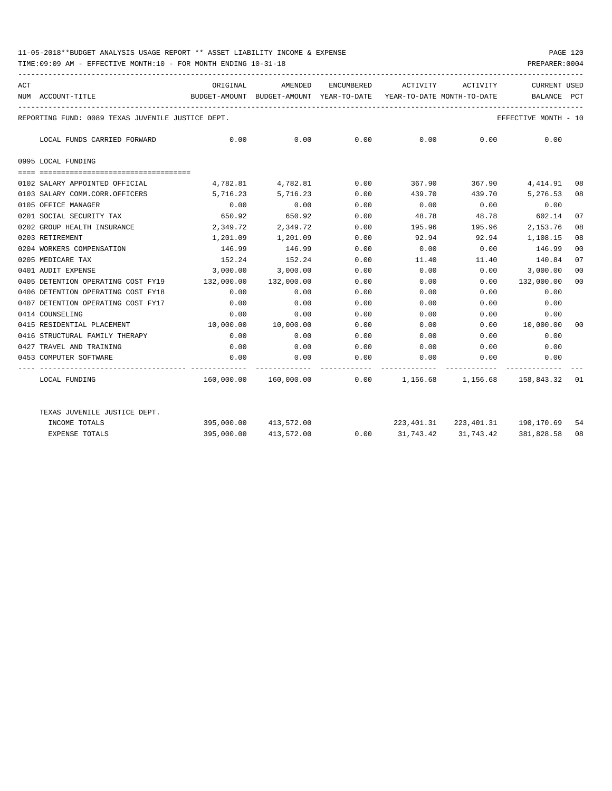## 11-05-2018\*\*BUDGET ANALYSIS USAGE REPORT \*\* ASSET LIABILITY INCOME & EXPENSE PAGE 120

TIME:09:09 AM - EFFECTIVE MONTH:10 - FOR MONTH ENDING 10-31-18 PREPARER:0004

| ACT |                                                         | ORIGINAL                                                            | AMENDED                                                              | ENCUMBERED |        | ACTIVITY ACTIVITY                           | <b>CURRENT USED</b>   |                |
|-----|---------------------------------------------------------|---------------------------------------------------------------------|----------------------------------------------------------------------|------------|--------|---------------------------------------------|-----------------------|----------------|
|     | NUM ACCOUNT-TITLE<br>---------------------------------- | BUDGET-AMOUNT BUDGET-AMOUNT YEAR-TO-DATE YEAR-TO-DATE MONTH-TO-DATE |                                                                      |            |        |                                             | BALANCE               | PCT            |
|     | REPORTING FUND: 0089 TEXAS JUVENILE JUSTICE DEPT.       |                                                                     |                                                                      |            |        |                                             | EFFECTIVE MONTH - 10  |                |
|     | LOCAL FUNDS CARRIED FORWARD                             | $0.00$ $0.00$ $0.00$ $0.00$ $0.00$ $0.00$ $0.00$                    |                                                                      |            |        |                                             | 0.00                  |                |
|     | 0995 LOCAL FUNDING                                      |                                                                     |                                                                      |            |        |                                             |                       |                |
|     | 0102 SALARY APPOINTED OFFICIAL                          |                                                                     | 4,782.81 4,782.81 0.00                                               |            |        | 367.90 367.90 4,414.91                      |                       | 08             |
|     | 0103 SALARY COMM.CORR.OFFICERS                          |                                                                     | 5,716.23 5,716.23                                                    | 0.00       |        | 439.70 439.70 5,276.53                      |                       | 08             |
|     | 0105 OFFICE MANAGER                                     | 0.00                                                                | 0.00                                                                 | 0.00       | 0.00   | 0.00                                        | 0.00                  |                |
|     | 0201 SOCIAL SECURITY TAX                                | 650.92                                                              | 650.92                                                               | 0.00       | 48.78  | 48.78                                       | 602.14                | 07             |
|     | 0202 GROUP HEALTH INSURANCE                             |                                                                     | 2,349.72 2,349.72                                                    | 0.00       | 195.96 | 195.96                                      | 2,153.76              | 08             |
|     | 0203 RETIREMENT                                         |                                                                     | 1,201.09 1,201.09                                                    | 0.00       | 92.94  | 92.94 1,108.15                              |                       | 08             |
|     | 0204 WORKERS COMPENSATION                               |                                                                     | 146.99 146.99                                                        | 0.00       | 0.00   | $0.00$ 146.99                               |                       | 0 <sub>0</sub> |
|     | 0205 MEDICARE TAX                                       | 152.24                                                              | 152.24                                                               | 0.00       | 11.40  | 11.40                                       | 140.84                | 07             |
|     | 0401 AUDIT EXPENSE                                      | 3,000.00                                                            | 3,000.00                                                             | 0.00       | 0.00   | 0.00                                        | 3,000.00              | 0 <sup>0</sup> |
|     | 0405 DETENTION OPERATING COST FY19                      | 132,000.00                                                          | 132,000.00                                                           | 0.00       | 0.00   | 0.00                                        | 132,000.00            | 00             |
|     | 0406 DETENTION OPERATING COST FY18                      | 0.00                                                                | 0.00                                                                 | 0.00       | 0.00   | 0.00                                        | 0.00                  |                |
|     | 0407 DETENTION OPERATING COST FY17                      | 0.00                                                                | 0.00                                                                 | 0.00       | 0.00   | 0.00                                        | 0.00                  |                |
|     | 0414 COUNSELING                                         | 0.00                                                                | 0.00                                                                 | 0.00       | 0.00   | 0.00                                        | 0.00                  |                |
|     | 0415 RESIDENTIAL PLACEMENT                              |                                                                     | 10,000.00  10,000.00                                                 | 0.00       | 0.00   |                                             | $0.00$ $10,000.00$ 00 |                |
|     | 0416 STRUCTURAL FAMILY THERAPY                          | 0.00                                                                | 0.00                                                                 | 0.00       | 0.00   | 0.00                                        | 0.00                  |                |
|     | 0427 TRAVEL AND TRAINING                                | 0.00                                                                | 0.00                                                                 | 0.00       |        | $0.00$ 0.00 0.00                            |                       |                |
|     | 0453 COMPUTER SOFTWARE                                  | 0.00                                                                | 0.00                                                                 |            |        | $0.00$ $0.00$ $0.00$ $0.00$ $0.00$          |                       |                |
|     | LOCAL FUNDING                                           |                                                                     | $160,000.00$ $160,000.00$ 0.00 $1,156.68$ $1,156.68$ $158,843.32$ 01 |            |        |                                             |                       |                |
|     | TEXAS JUVENILE JUSTICE DEPT.                            |                                                                     |                                                                      |            |        |                                             |                       |                |
|     | INCOME TOTALS                                           |                                                                     | 395,000.00 413,572.00                                                |            |        | 223,401.31 223,401.31 190,170.69 54         |                       |                |
|     | <b>EXPENSE TOTALS</b>                                   |                                                                     | 395,000.00 413,572.00                                                |            |        | $0.00$ $31,743.42$ $31,743.42$ $381,828.58$ |                       | 08             |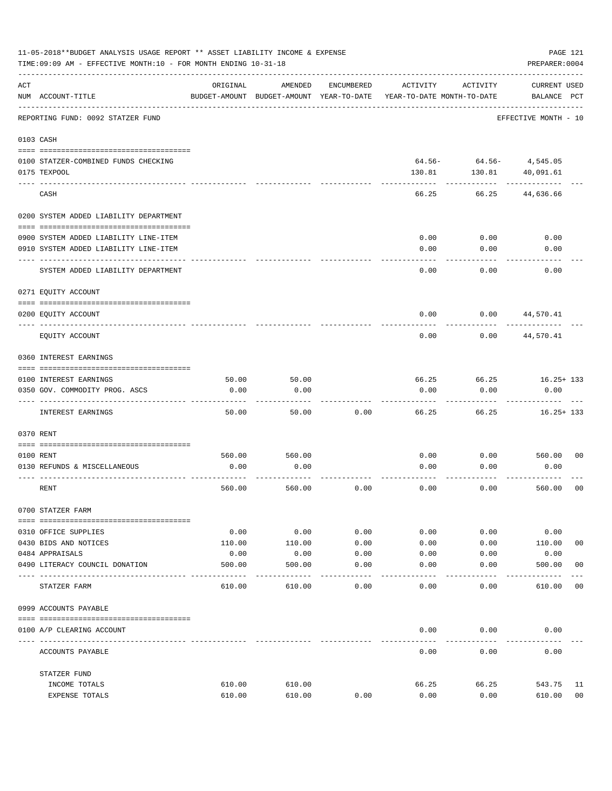|     | 11-05-2018**BUDGET ANALYSIS USAGE REPORT ** ASSET LIABILITY INCOME & EXPENSE<br>PAGE 121<br>PREPARER: 0004<br>TIME: 09:09 AM - EFFECTIVE MONTH: 10 - FOR MONTH ENDING 10-31-18 |                |                                                     |                     |                                        |                            |                                    |                |  |  |
|-----|--------------------------------------------------------------------------------------------------------------------------------------------------------------------------------|----------------|-----------------------------------------------------|---------------------|----------------------------------------|----------------------------|------------------------------------|----------------|--|--|
| ACT | NUM ACCOUNT-TITLE                                                                                                                                                              | ORIGINAL       | AMENDED<br>BUDGET-AMOUNT BUDGET-AMOUNT YEAR-TO-DATE | ENCUMBERED          | ACTIVITY<br>YEAR-TO-DATE MONTH-TO-DATE | ACTIVITY                   | <b>CURRENT USED</b><br>BALANCE PCT |                |  |  |
|     | REPORTING FUND: 0092 STATZER FUND                                                                                                                                              |                |                                                     |                     |                                        |                            | EFFECTIVE MONTH - 10               |                |  |  |
|     | 0103 CASH                                                                                                                                                                      |                |                                                     |                     |                                        |                            |                                    |                |  |  |
|     | 0100 STATZER-COMBINED FUNDS CHECKING                                                                                                                                           |                |                                                     |                     |                                        | $64.56 - 64.56 - 4,545.05$ |                                    |                |  |  |
|     | 0175 TEXPOOL                                                                                                                                                                   |                |                                                     |                     | 130.81                                 | 130.81                     | 40,091.61                          |                |  |  |
|     | CASH                                                                                                                                                                           |                |                                                     |                     | 66.25                                  | 66.25                      | 44,636.66                          |                |  |  |
|     | 0200 SYSTEM ADDED LIABILITY DEPARTMENT                                                                                                                                         |                |                                                     |                     |                                        |                            |                                    |                |  |  |
|     | 0900 SYSTEM ADDED LIABILITY LINE-ITEM                                                                                                                                          |                |                                                     |                     | 0.00                                   | 0.00                       | 0.00                               |                |  |  |
|     | 0910 SYSTEM ADDED LIABILITY LINE-ITEM                                                                                                                                          |                |                                                     |                     | 0.00                                   | 0.00                       | 0.00                               |                |  |  |
|     | SYSTEM ADDED LIABILITY DEPARTMENT                                                                                                                                              |                |                                                     |                     | 0.00                                   | 0.00                       | 0.00                               |                |  |  |
|     | 0271 EQUITY ACCOUNT                                                                                                                                                            |                |                                                     |                     |                                        |                            |                                    |                |  |  |
|     | 0200 EQUITY ACCOUNT                                                                                                                                                            |                |                                                     |                     | 0.00                                   | 0.00                       | 44,570.41                          |                |  |  |
|     | EOUITY ACCOUNT                                                                                                                                                                 |                |                                                     |                     | 0.00                                   | 0.00                       | 44,570.41                          |                |  |  |
|     | 0360 INTEREST EARNINGS                                                                                                                                                         |                |                                                     |                     |                                        |                            |                                    |                |  |  |
|     | 0100 INTEREST EARNINGS                                                                                                                                                         | 50.00          | 50.00                                               |                     | 66.25                                  | 66.25                      | $16.25 + 133$                      |                |  |  |
|     | 0350 GOV. COMMODITY PROG. ASCS                                                                                                                                                 | 0.00           | 0.00                                                |                     | 0.00                                   | 0.00                       | 0.00                               |                |  |  |
|     | INTEREST EARNINGS                                                                                                                                                              | 50.00          | 50.00                                               | 0.00                | 66.25                                  | 66.25                      | $16.25 + 133$                      |                |  |  |
|     | 0370 RENT                                                                                                                                                                      |                |                                                     |                     |                                        |                            |                                    |                |  |  |
|     |                                                                                                                                                                                |                |                                                     |                     |                                        |                            |                                    |                |  |  |
|     | 0100 RENT<br>0130 REFUNDS & MISCELLANEOUS                                                                                                                                      | 560.00<br>0.00 | 560.00<br>0.00                                      |                     | 0.00<br>0.00                           | 0.00<br>0.00               | 560.00<br>0.00                     | 0 <sub>0</sub> |  |  |
|     |                                                                                                                                                                                |                |                                                     |                     |                                        |                            |                                    |                |  |  |
|     | RENT                                                                                                                                                                           | 560.00         | 560.00                                              | 0.00                | 0.00                                   | 0.00                       | 560.00                             | 0 <sub>0</sub> |  |  |
|     | 0700 STATZER FARM                                                                                                                                                              |                |                                                     |                     |                                        |                            |                                    |                |  |  |
|     | 0310 OFFICE SUPPLIES                                                                                                                                                           | 0.00           | 0.00                                                | 0.00                | 0.00                                   | 0.00                       | 0.00                               |                |  |  |
|     | 0430 BIDS AND NOTICES                                                                                                                                                          | 110.00         | 110.00                                              | 0.00                | 0.00                                   | 0.00                       | 110.00                             | 0 <sub>0</sub> |  |  |
|     | 0484 APPRAISALS                                                                                                                                                                | 0.00           | 0.00                                                | 0.00                | 0.00                                   | 0.00                       | 0.00                               |                |  |  |
|     | 0490 LITERACY COUNCIL DONATION<br>---------------------                                                                                                                        | 500.00         | 500.00                                              | 0.00<br>$- - - - -$ | 0.00                                   | 0.00                       | 500.00                             | 0 <sub>0</sub> |  |  |
|     | STATZER FARM                                                                                                                                                                   | 610.00         | 610.00                                              | 0.00                | 0.00                                   | 0.00                       | 610.00                             | 0 <sub>0</sub> |  |  |
|     | 0999 ACCOUNTS PAYABLE                                                                                                                                                          |                |                                                     |                     |                                        |                            |                                    |                |  |  |
|     | 0100 A/P CLEARING ACCOUNT                                                                                                                                                      |                |                                                     |                     | 0.00                                   | 0.00                       | 0.00                               |                |  |  |
|     | ACCOUNTS PAYABLE                                                                                                                                                               |                |                                                     |                     | 0.00                                   | 0.00                       | 0.00                               |                |  |  |
|     | STATZER FUND                                                                                                                                                                   |                |                                                     |                     |                                        |                            |                                    |                |  |  |
|     | INCOME TOTALS                                                                                                                                                                  | 610.00         | 610.00                                              |                     | 66.25                                  | 66.25                      | 543.75                             | 11             |  |  |
|     | EXPENSE TOTALS                                                                                                                                                                 | 610.00         | 610.00                                              | 0.00                | 0.00                                   | 0.00                       | 610.00                             | 0 <sub>0</sub> |  |  |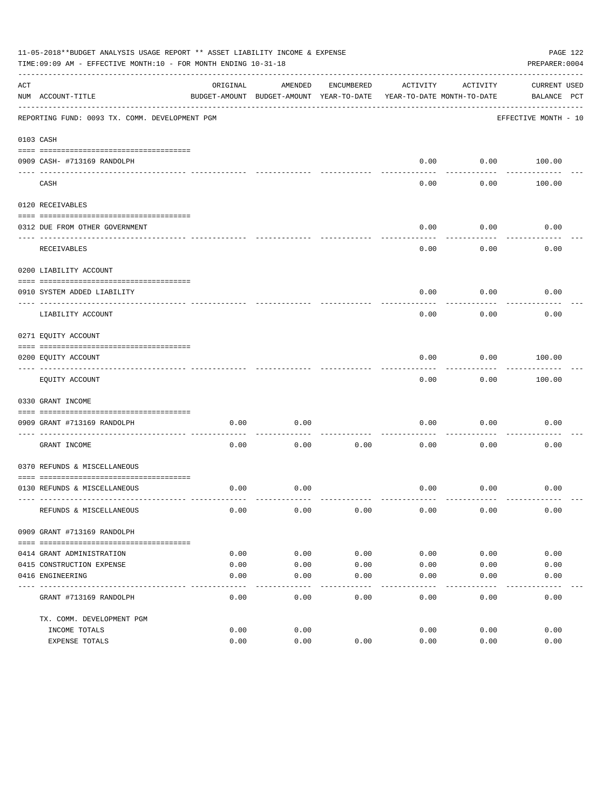|     | 11-05-2018**BUDGET ANALYSIS USAGE REPORT ** ASSET LIABILITY INCOME & EXPENSE<br>PAGE 122<br>TIME: 09:09 AM - EFFECTIVE MONTH: 10 - FOR MONTH ENDING 10-31-18<br>PREPARER: 0004 |                     |                                                     |               |                                        |               |                             |  |  |  |
|-----|--------------------------------------------------------------------------------------------------------------------------------------------------------------------------------|---------------------|-----------------------------------------------------|---------------|----------------------------------------|---------------|-----------------------------|--|--|--|
| ACT | NUM ACCOUNT-TITLE                                                                                                                                                              | ORIGINAL            | AMENDED<br>BUDGET-AMOUNT BUDGET-AMOUNT YEAR-TO-DATE | ENCUMBERED    | ACTIVITY<br>YEAR-TO-DATE MONTH-TO-DATE | ACTIVITY      | CURRENT USED<br>BALANCE PCT |  |  |  |
|     | REPORTING FUND: 0093 TX. COMM. DEVELOPMENT PGM                                                                                                                                 |                     |                                                     |               |                                        |               | EFFECTIVE MONTH - 10        |  |  |  |
|     | 0103 CASH                                                                                                                                                                      |                     |                                                     |               |                                        |               |                             |  |  |  |
|     | 0909 CASH- #713169 RANDOLPH                                                                                                                                                    |                     |                                                     |               | 0.00                                   | 0.00          | 100.00                      |  |  |  |
|     | CASH                                                                                                                                                                           |                     |                                                     |               | 0.00                                   | 0.00          | 100.00                      |  |  |  |
|     | 0120 RECEIVABLES                                                                                                                                                               |                     |                                                     |               |                                        |               |                             |  |  |  |
|     | 0312 DUE FROM OTHER GOVERNMENT                                                                                                                                                 |                     |                                                     |               | 0.00                                   | 0.00          | 0.00                        |  |  |  |
|     | RECEIVABLES                                                                                                                                                                    |                     |                                                     |               | 0.00                                   | 0.00          | 0.00                        |  |  |  |
|     | 0200 LIABILITY ACCOUNT                                                                                                                                                         |                     |                                                     |               |                                        |               |                             |  |  |  |
|     | 0910 SYSTEM ADDED LIABILITY                                                                                                                                                    |                     |                                                     |               | 0.00                                   | 0.00          | 0.00                        |  |  |  |
|     | ---- ----------------<br>LIABILITY ACCOUNT                                                                                                                                     |                     |                                                     |               | 0.00                                   | 0.00          | 0.00                        |  |  |  |
|     | 0271 EQUITY ACCOUNT                                                                                                                                                            |                     |                                                     |               |                                        |               |                             |  |  |  |
|     | 0200 EQUITY ACCOUNT                                                                                                                                                            |                     |                                                     |               | 0.00                                   | 0.00          | 100.00                      |  |  |  |
|     | EQUITY ACCOUNT                                                                                                                                                                 |                     |                                                     |               | 0.00                                   | 0.00          | 100.00                      |  |  |  |
|     | 0330 GRANT INCOME                                                                                                                                                              |                     |                                                     |               |                                        |               |                             |  |  |  |
|     | 0909 GRANT #713169 RANDOLPH                                                                                                                                                    | 0.00                | 0.00                                                |               | 0.00                                   | 0.00          | 0.00                        |  |  |  |
|     | GRANT INCOME                                                                                                                                                                   | 0.00                | 0.00                                                | 0.00          | 0.00                                   | 0.00          | 0.00                        |  |  |  |
|     | 0370 REFUNDS & MISCELLANEOUS                                                                                                                                                   |                     |                                                     |               |                                        |               |                             |  |  |  |
|     | 0130 REFUNDS & MISCELLANEOUS                                                                                                                                                   | 0.00                | 0.00                                                |               | 0.00                                   | 0.00          | 0.00                        |  |  |  |
|     | REFUNDS & MISCELLANEOUS                                                                                                                                                        | 0.00                | 0.00                                                | 0.00          | 0.00                                   | 0.00          | 0.00                        |  |  |  |
|     | 0909 GRANT #713169 RANDOLPH                                                                                                                                                    |                     |                                                     |               |                                        |               |                             |  |  |  |
|     |                                                                                                                                                                                |                     |                                                     |               |                                        |               |                             |  |  |  |
|     | 0414 GRANT ADMINISTRATION<br>0415 CONSTRUCTION EXPENSE                                                                                                                         | 0.00<br>0.00        | 0.00<br>0.00                                        | 0.00<br>0.00  | 0.00<br>0.00                           | 0.00<br>0.00  | 0.00<br>0.00                |  |  |  |
|     | 0416 ENGINEERING                                                                                                                                                               | 0.00                | 0.00                                                | 0.00          | 0.00                                   | 0.00          | 0.00                        |  |  |  |
|     | GRANT #713169 RANDOLPH                                                                                                                                                         | $- - - - -$<br>0.00 | $- - - - -$<br>0.00                                 | $---$<br>0.00 | $- - - - -$<br>0.00                    | -----<br>0.00 | 0.00                        |  |  |  |
|     | TX. COMM. DEVELOPMENT PGM                                                                                                                                                      |                     |                                                     |               |                                        |               |                             |  |  |  |
|     | INCOME TOTALS                                                                                                                                                                  | 0.00                | 0.00                                                |               | 0.00                                   | 0.00          | 0.00                        |  |  |  |
|     | EXPENSE TOTALS                                                                                                                                                                 | 0.00                | 0.00                                                | 0.00          | 0.00                                   | 0.00          | 0.00                        |  |  |  |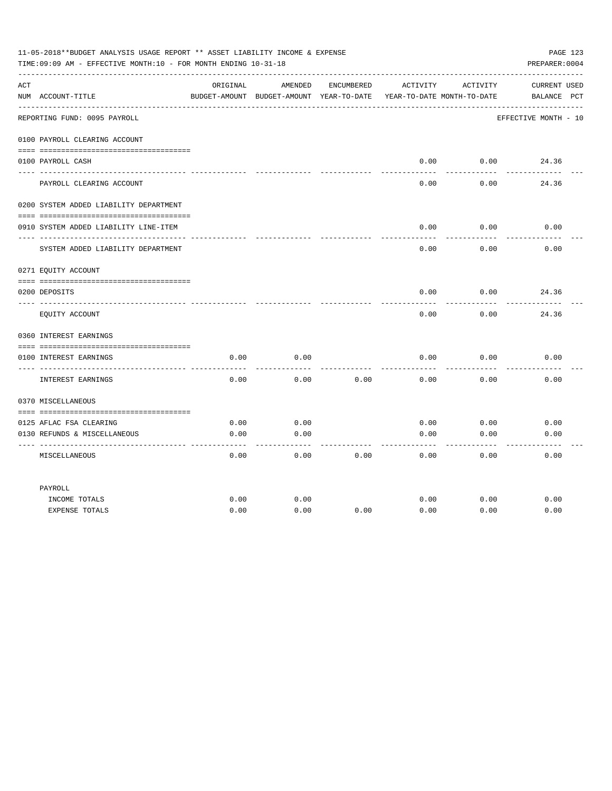|     | 11-05-2018**BUDGET ANALYSIS USAGE REPORT ** ASSET LIABILITY INCOME & EXPENSE<br>TIME: 09:09 AM - EFFECTIVE MONTH: 10 - FOR MONTH ENDING 10-31-18 |          |                                                     |            |          |                                        | PAGE 123<br>PREPARER: 0004         |
|-----|--------------------------------------------------------------------------------------------------------------------------------------------------|----------|-----------------------------------------------------|------------|----------|----------------------------------------|------------------------------------|
| ACT | NUM ACCOUNT-TITLE                                                                                                                                | ORIGINAL | AMENDED<br>BUDGET-AMOUNT BUDGET-AMOUNT YEAR-TO-DATE | ENCUMBERED | ACTIVITY | ACTIVITY<br>YEAR-TO-DATE MONTH-TO-DATE | <b>CURRENT USED</b><br>BALANCE PCT |
|     | REPORTING FUND: 0095 PAYROLL                                                                                                                     |          |                                                     |            |          |                                        | EFFECTIVE MONTH - 10               |
|     | 0100 PAYROLL CLEARING ACCOUNT                                                                                                                    |          |                                                     |            |          |                                        |                                    |
|     | 0100 PAYROLL CASH                                                                                                                                |          |                                                     |            | 0.00     | 0.00                                   | 24.36                              |
|     | PAYROLL CLEARING ACCOUNT                                                                                                                         |          |                                                     |            | 0.00     | 0.00                                   | 24.36                              |
|     | 0200 SYSTEM ADDED LIABILITY DEPARTMENT                                                                                                           |          |                                                     |            |          |                                        |                                    |
|     | 0910 SYSTEM ADDED LIABILITY LINE-ITEM                                                                                                            |          |                                                     |            | 0.00     | 0.00                                   | 0.00                               |
|     | SYSTEM ADDED LIABILITY DEPARTMENT                                                                                                                |          |                                                     |            | 0.00     | 0.00                                   | 0.00                               |
|     | 0271 EQUITY ACCOUNT                                                                                                                              |          |                                                     |            |          |                                        |                                    |
|     | 0200 DEPOSITS                                                                                                                                    |          |                                                     |            | 0.00     | 0.00                                   | 24.36                              |
|     | EQUITY ACCOUNT                                                                                                                                   |          |                                                     |            | 0.00     | 0.00                                   | 24.36                              |
|     | 0360 INTEREST EARNINGS                                                                                                                           |          |                                                     |            |          |                                        |                                    |
|     | 0100 INTEREST EARNINGS                                                                                                                           | 0.00     | 0.00                                                |            | 0.00     | 0.00                                   | 0.00                               |
|     | INTEREST EARNINGS                                                                                                                                | 0.00     | 0.00                                                | 0.00       | 0.00     | 0.00                                   | 0.00                               |
|     | 0370 MISCELLANEOUS                                                                                                                               |          |                                                     |            |          |                                        |                                    |
|     | 0125 AFLAC FSA CLEARING                                                                                                                          | 0.00     | 0.00                                                |            | 0.00     | 0.00                                   | 0.00                               |
|     | 0130 REFUNDS & MISCELLANEOUS<br>--------------------                                                                                             | 0.00     | 0.00<br>----                                        |            | 0.00     | 0.00                                   | 0.00                               |
|     | MISCELLANEOUS                                                                                                                                    | 0.00     | 0.00                                                | 0.00       | 0.00     | 0.00                                   | 0.00                               |
|     | PAYROLL                                                                                                                                          |          |                                                     |            |          |                                        |                                    |
|     | INCOME TOTALS                                                                                                                                    | 0.00     | 0.00                                                |            | 0.00     | 0.00                                   | 0.00                               |
|     | <b>EXPENSE TOTALS</b>                                                                                                                            | 0.00     | 0.00                                                | 0.00       | 0.00     | 0.00                                   | 0.00                               |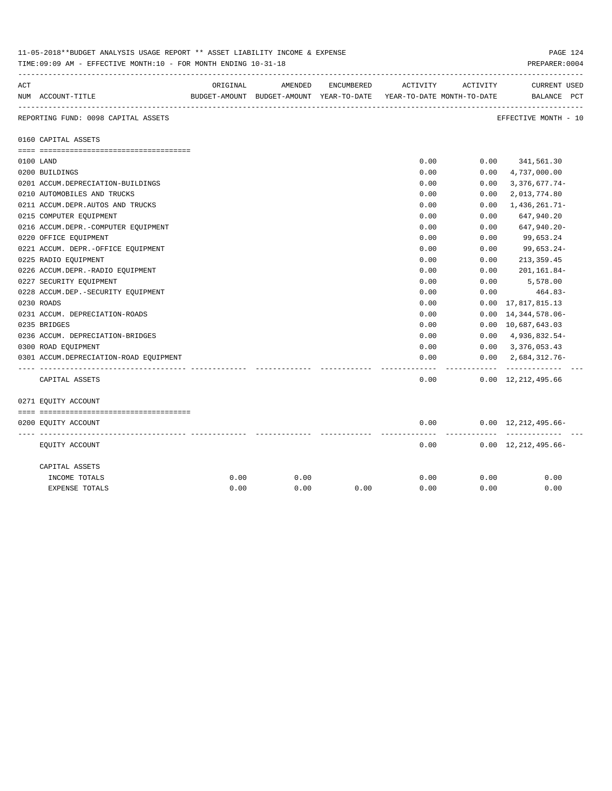|     | 11-05-2018**BUDGET ANALYSIS USAGE REPORT ** ASSET LIABILITY INCOME & EXPENSE<br>PAGE 124<br>PREPARER: 0004<br>TIME: 09:09 AM - EFFECTIVE MONTH: 10 - FOR MONTH ENDING 10-31-18 |          |                                                                                |            |          |          |                                         |  |  |  |
|-----|--------------------------------------------------------------------------------------------------------------------------------------------------------------------------------|----------|--------------------------------------------------------------------------------|------------|----------|----------|-----------------------------------------|--|--|--|
| ACT | NUM ACCOUNT-TITLE                                                                                                                                                              | ORIGINAL | AMENDED<br>BUDGET-AMOUNT BUDGET-AMOUNT YEAR-TO-DATE YEAR-TO-DATE MONTH-TO-DATE | ENCUMBERED | ACTIVITY | ACTIVITY | <b>CURRENT USED</b><br>BALANCE PCT      |  |  |  |
|     | REPORTING FUND: 0098 CAPITAL ASSETS                                                                                                                                            |          |                                                                                |            |          |          | EFFECTIVE MONTH - 10                    |  |  |  |
|     | 0160 CAPITAL ASSETS                                                                                                                                                            |          |                                                                                |            |          |          |                                         |  |  |  |
|     |                                                                                                                                                                                |          |                                                                                |            |          |          |                                         |  |  |  |
|     | 0100 LAND                                                                                                                                                                      |          |                                                                                |            | 0.00     |          | $0.00$ $341,561.30$                     |  |  |  |
|     | 0200 BUILDINGS                                                                                                                                                                 |          |                                                                                |            | 0.00     | 0.00     | 4,737,000.00                            |  |  |  |
|     | 0201 ACCUM.DEPRECIATION-BUILDINGS                                                                                                                                              |          |                                                                                |            | 0.00     | 0.00     | $3,376,677.74-$                         |  |  |  |
|     | 0210 AUTOMOBILES AND TRUCKS                                                                                                                                                    |          |                                                                                |            | 0.00     | 0.00     | 2,013,774.80                            |  |  |  |
|     | 0211 ACCUM.DEPR.AUTOS AND TRUCKS                                                                                                                                               |          |                                                                                |            | 0.00     | 0.00     | $1,436,261.71-$                         |  |  |  |
|     | 0215 COMPUTER EQUIPMENT                                                                                                                                                        |          |                                                                                |            | 0.00     | 0.00     | 647,940.20                              |  |  |  |
|     | 0216 ACCUM.DEPR.-COMPUTER EQUIPMENT                                                                                                                                            |          |                                                                                |            | 0.00     | 0.00     | 647,940.20-                             |  |  |  |
|     | 0220 OFFICE EQUIPMENT                                                                                                                                                          |          |                                                                                |            | 0.00     | 0.00     | 99,653.24                               |  |  |  |
|     | 0221 ACCUM. DEPR.-OFFICE EQUIPMENT                                                                                                                                             |          |                                                                                |            | 0.00     | 0.00     | 99,653.24-                              |  |  |  |
|     | 0225 RADIO EQUIPMENT                                                                                                                                                           |          |                                                                                |            | 0.00     | 0.00     | 213, 359.45                             |  |  |  |
|     | 0226 ACCUM.DEPR.-RADIO EQUIPMENT                                                                                                                                               |          |                                                                                |            | 0.00     | 0.00     | 201,161.84-                             |  |  |  |
|     | 0227 SECURITY EQUIPMENT                                                                                                                                                        |          |                                                                                |            | 0.00     | 0.00     | 5,578.00                                |  |  |  |
|     | 0228 ACCUM.DEP. - SECURITY EQUIPMENT                                                                                                                                           |          |                                                                                |            | 0.00     | 0.00     | 464.83-                                 |  |  |  |
|     | 0230 ROADS                                                                                                                                                                     |          |                                                                                |            | 0.00     |          | $0.00 \quad 17,817,815.13$              |  |  |  |
|     | 0231 ACCUM. DEPRECIATION-ROADS                                                                                                                                                 |          |                                                                                |            | 0.00     | 0.00     | 14, 344, 578.06-                        |  |  |  |
|     | 0235 BRIDGES                                                                                                                                                                   |          |                                                                                |            | 0.00     |          | 0.00 10,687,643.03                      |  |  |  |
|     | 0236 ACCUM. DEPRECIATION-BRIDGES                                                                                                                                               |          |                                                                                |            | 0.00     |          | $0.00 \quad 4,936,832.54$               |  |  |  |
|     | 0300 ROAD EQUIPMENT                                                                                                                                                            |          |                                                                                |            | 0.00     |          | $0.00 \quad 3,376,053.43$               |  |  |  |
|     | 0301 ACCUM.DEPRECIATION-ROAD EQUIPMENT                                                                                                                                         |          |                                                                                |            | 0.00     | -------- | $0.00 \quad 2,684,312.76$<br>. <u>.</u> |  |  |  |
|     | CAPITAL ASSETS                                                                                                                                                                 |          |                                                                                |            | 0.00     |          | $0.00 \quad 12,212,495.66$              |  |  |  |
|     | 0271 EQUITY ACCOUNT                                                                                                                                                            |          |                                                                                |            |          |          |                                         |  |  |  |
|     |                                                                                                                                                                                |          |                                                                                |            |          |          |                                         |  |  |  |
|     | 0200 EQUITY ACCOUNT                                                                                                                                                            |          |                                                                                |            | 0.00     |          | $0.00 \quad 12,212,495.66$ -            |  |  |  |
|     | EQUITY ACCOUNT                                                                                                                                                                 |          |                                                                                |            | 0.00     |          | $0.00 \quad 12,212,495.66 -$            |  |  |  |
|     | CAPITAL ASSETS                                                                                                                                                                 |          |                                                                                |            |          |          |                                         |  |  |  |
|     | INCOME TOTALS                                                                                                                                                                  | 0.00     | 0.00                                                                           |            | 0.00     | 0.00     | 0.00                                    |  |  |  |
|     | <b>EXPENSE TOTALS</b>                                                                                                                                                          | 0.00     | 0.00                                                                           | 0.00       | 0.00     | 0.00     | 0.00                                    |  |  |  |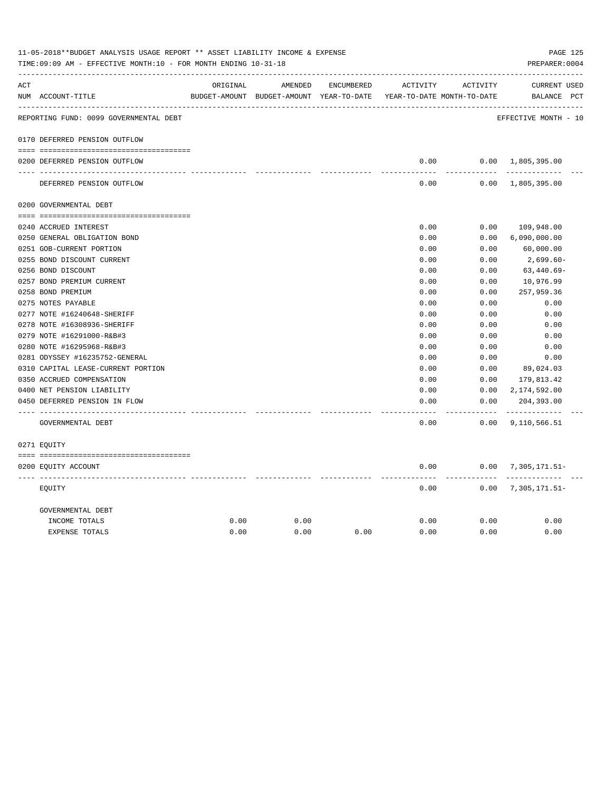|     | 11-05-2018**BUDGET ANALYSIS USAGE REPORT ** ASSET LIABILITY INCOME & EXPENSE<br>PAGE 125<br>TIME: 09:09 AM - EFFECTIVE MONTH: 10 - FOR MONTH ENDING 10-31-18<br>PREPARER: 0004 |          |                                                                     |            |               |                       |                             |  |  |  |  |
|-----|--------------------------------------------------------------------------------------------------------------------------------------------------------------------------------|----------|---------------------------------------------------------------------|------------|---------------|-----------------------|-----------------------------|--|--|--|--|
| ACT |                                                                                                                                                                                | ORIGINAL | AMENDED                                                             | ENCUMBERED | ACTIVITY      | ACTIVITY              | CURRENT USED                |  |  |  |  |
|     | NUM ACCOUNT-TITLE                                                                                                                                                              |          | BUDGET-AMOUNT BUDGET-AMOUNT YEAR-TO-DATE YEAR-TO-DATE MONTH-TO-DATE |            |               |                       | BALANCE PCT                 |  |  |  |  |
|     | REPORTING FUND: 0099 GOVERNMENTAL DEBT                                                                                                                                         |          |                                                                     |            |               |                       | EFFECTIVE MONTH - 10        |  |  |  |  |
|     | 0170 DEFERRED PENSION OUTFLOW                                                                                                                                                  |          |                                                                     |            |               |                       |                             |  |  |  |  |
|     | 0200 DEFERRED PENSION OUTFLOW                                                                                                                                                  |          |                                                                     |            | 0.00          |                       | $0.00 \quad 1,805,395.00$   |  |  |  |  |
|     | DEFERRED PENSION OUTFLOW                                                                                                                                                       |          |                                                                     |            | 0.00          |                       | $0.00 \quad 1,805,395.00$   |  |  |  |  |
|     | 0200 GOVERNMENTAL DEBT                                                                                                                                                         |          |                                                                     |            |               |                       |                             |  |  |  |  |
|     | 0240 ACCRUED INTEREST                                                                                                                                                          |          |                                                                     |            | 0.00          | 0.00                  | 109,948.00                  |  |  |  |  |
|     | 0250 GENERAL OBLIGATION BOND                                                                                                                                                   |          |                                                                     |            | 0.00          | 0.00                  | 6,090,000.00                |  |  |  |  |
|     | 0251 GOB-CURRENT PORTION                                                                                                                                                       |          |                                                                     |            | 0.00          | 0.00                  | 60,000.00                   |  |  |  |  |
|     | 0255 BOND DISCOUNT CURRENT                                                                                                                                                     |          |                                                                     |            | 0.00          | 0.00                  | 2,699.60-                   |  |  |  |  |
|     | 0256 BOND DISCOUNT                                                                                                                                                             |          |                                                                     |            | 0.00          | 0.00                  | $63,440.69-$                |  |  |  |  |
|     | 0257 BOND PREMIUM CURRENT                                                                                                                                                      |          |                                                                     |            | 0.00          | 0.00                  | 10,976.99                   |  |  |  |  |
|     | 0258 BOND PREMIUM                                                                                                                                                              |          |                                                                     |            | 0.00          | 0.00                  | 257,959.36                  |  |  |  |  |
|     | 0275 NOTES PAYABLE                                                                                                                                                             |          |                                                                     |            | 0.00          | 0.00                  | 0.00                        |  |  |  |  |
|     | 0277 NOTE #16240648-SHERIFF                                                                                                                                                    |          |                                                                     |            | 0.00          | 0.00                  | 0.00                        |  |  |  |  |
|     | 0278 NOTE #16308936-SHERIFF                                                                                                                                                    |          |                                                                     |            | 0.00          | 0.00                  | 0.00                        |  |  |  |  |
|     | 0279 NOTE #16291000-R&B#3                                                                                                                                                      |          |                                                                     |            | 0.00          | 0.00                  | 0.00                        |  |  |  |  |
|     | 0280 NOTE #16295968-R&B#3                                                                                                                                                      |          |                                                                     |            | 0.00          | 0.00                  | 0.00                        |  |  |  |  |
|     | 0281 ODYSSEY #16235752-GENERAL                                                                                                                                                 |          |                                                                     |            | 0.00          | 0.00                  | 0.00                        |  |  |  |  |
|     | 0310 CAPITAL LEASE-CURRENT PORTION                                                                                                                                             |          |                                                                     |            | 0.00          | 0.00                  | 89,024.03                   |  |  |  |  |
|     | 0350 ACCRUED COMPENSATION                                                                                                                                                      |          |                                                                     |            | 0.00          | 0.00                  | 179,813.42                  |  |  |  |  |
|     | 0400 NET PENSION LIABILITY                                                                                                                                                     |          |                                                                     |            | 0.00          | 0.00                  | 2,174,592.00                |  |  |  |  |
|     | 0450 DEFERRED PENSION IN FLOW                                                                                                                                                  |          |                                                                     |            | 0.00<br>----- | 0.00<br>$- - - - - -$ | 204,393.00<br>------------- |  |  |  |  |
|     | GOVERNMENTAL DEBT                                                                                                                                                              |          |                                                                     |            | 0.00          |                       | $0.00$ 9, 110, 566.51       |  |  |  |  |
|     | 0271 EQUITY                                                                                                                                                                    |          |                                                                     |            |               |                       |                             |  |  |  |  |
|     | 0200 EQUITY ACCOUNT                                                                                                                                                            |          |                                                                     |            | 0.00          |                       | $0.00$ 7, 305, 171.51-      |  |  |  |  |
|     | EOUITY                                                                                                                                                                         |          |                                                                     |            | 0.00          |                       | $0.00$ 7, 305, 171.51-      |  |  |  |  |
|     | GOVERNMENTAL DEBT                                                                                                                                                              |          |                                                                     |            |               |                       |                             |  |  |  |  |
|     | INCOME TOTALS                                                                                                                                                                  | 0.00     | 0.00                                                                |            | 0.00          | 0.00                  | 0.00                        |  |  |  |  |
|     | <b>EXPENSE TOTALS</b>                                                                                                                                                          | 0.00     | 0.00                                                                | 0.00       | 0.00          | 0.00                  | 0.00                        |  |  |  |  |